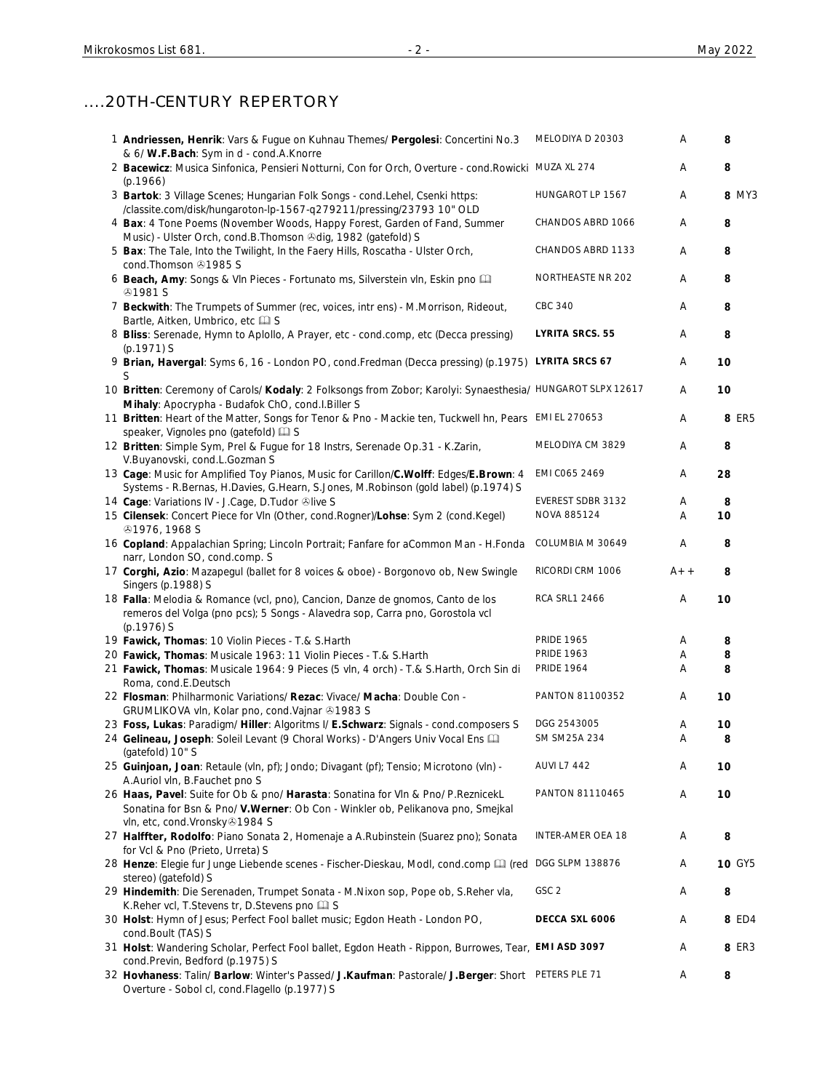# ....20TH-CENTURY REPERTORY

| 1 Andriessen, Henrik: Vars & Fugue on Kuhnau Themes/ Pergolesi: Concertini No.3<br>& 6/ W.F.Bach: Sym in d - cond.A.Knorre                                                    | MELODIYA D 20303       | Α     | 8             |
|-------------------------------------------------------------------------------------------------------------------------------------------------------------------------------|------------------------|-------|---------------|
| 2 Bacewicz: Musica Sinfonica, Pensieri Notturni, Con for Orch, Overture - cond. Rowicki MUZA XL 274<br>(p.1966)                                                               |                        | A     | 8             |
| 3 Bartok: 3 Village Scenes; Hungarian Folk Songs - cond.Lehel, Csenki https:<br>/classite.com/disk/hungaroton-lp-1567-q279211/pressing/23793 10" OLD                          | HUNGAROT LP 1567       | Α     | 8 MY3         |
| 4 Bax: 4 Tone Poems (November Woods, Happy Forest, Garden of Fand, Summer<br>Music) - Ulster Orch, cond.B.Thomson @dig, 1982 (gatefold) S                                     | CHANDOS ABRD 1066      | Α     | 8             |
| 5 Bax: The Tale, Into the Twilight, In the Faery Hills, Roscatha - Ulster Orch,<br>cond. Thomson 31985 S                                                                      | CHANDOS ABRD 1133      | Α     | 8             |
| 6 Beach, Amy: Songs & VIn Pieces - Fortunato ms, Silverstein vIn, Eskin pno<br><b>@1981 S</b>                                                                                 | NORTHEASTE NR 202      | A     | 8             |
| 7 Beckwith: The Trumpets of Summer (rec, voices, intr ens) - M.Morrison, Rideout,<br>Bartle, Aitken, Umbrico, etc [1] S                                                       | CBC 340                | A     | 8             |
| 8 Bliss: Serenade, Hymn to Aplollo, A Prayer, etc - cond.comp, etc (Decca pressing)<br>$(p.1971)$ S                                                                           | <b>LYRITA SRCS. 55</b> | Α     | 8             |
| 9 Brian, Havergal: Syms 6, 16 - London PO, cond.Fredman (Decca pressing) (p.1975) LYRITA SRCS 67<br>S                                                                         |                        | Α     | 10            |
| 10 Britten: Ceremony of Carols/ Kodaly: 2 Folksongs from Zobor; Karolyi: Synaesthesia/ HUNGAROT SLPX 12617<br>Mihaly: Apocrypha - Budafok ChO, cond.I.Biller S                |                        | Α     | 10            |
| 11 Britten: Heart of the Matter, Songs for Tenor & Pno - Mackie ten, Tuckwell hn, Pears EMI EL 270653<br>speaker, Vignoles pno (gatefold) [2] S                               |                        | Α     | 8 ER5         |
| 12 Britten: Simple Sym, Prel & Fugue for 18 Instrs, Serenade Op.31 - K.Zarin,<br>V.Buyanovski, cond.L.Gozman S                                                                | MELODIYA CM 3829       | Α     | 8             |
| 13 Cage: Music for Amplified Toy Pianos, Music for Carillon/C.Wolff: Edges/E.Brown: 4<br>Systems - R.Bernas, H.Davies, G.Hearn, S.Jones, M.Robinson (gold label) (p.1974) S   | EMI C065 2469          | Α     | 28            |
| 14 Cage: Variations IV - J.Cage, D.Tudor Olive S                                                                                                                              | EVEREST SDBR 3132      | Α     | 8             |
| 15 Cilensek: Concert Piece for VIn (Other, cond. Rogner)/Lohse: Sym 2 (cond. Kegel)<br><b>@1976, 1968 S</b>                                                                   | NOVA 885124            | Α     | 10            |
| 16 Copland: Appalachian Spring; Lincoln Portrait; Fanfare for aCommon Man - H.Fonda<br>narr, London SO, cond.comp. S                                                          | COLUMBIA M 30649       | Α     | 8             |
| 17 Corghi, Azio: Mazapegul (ballet for 8 voices & oboe) - Borgonovo ob, New Swingle<br>Singers (p.1988) S                                                                     | RICORDI CRM 1006       | $A++$ | 8             |
| 18 Falla: Melodia & Romance (vcl, pno), Cancion, Danze de gnomos, Canto de los<br>remeros del Volga (pno pcs); 5 Songs - Alavedra sop, Carra pno, Gorostola vcl<br>(p.1976) S | <b>RCA SRL1 2466</b>   | Α     | 10            |
| 19 Fawick, Thomas: 10 Violin Pieces - T.& S.Harth                                                                                                                             | <b>PRIDE 1965</b>      | A     | 8             |
|                                                                                                                                                                               | <b>PRIDE 1963</b>      |       |               |
| 20 Fawick, Thomas: Musicale 1963: 11 Violin Pieces - T.& S.Harth                                                                                                              |                        | Α     | 8             |
| 21 Fawick, Thomas: Musicale 1964: 9 Pieces (5 vln, 4 orch) - T.& S.Harth, Orch Sin di<br>Roma, cond.E.Deutsch                                                                 | <b>PRIDE 1964</b>      | Α     | 8             |
| 22 Flosman: Philharmonic Variations/ Rezac: Vivace/ Macha: Double Con -<br>GRUMLIKOVA vln, Kolar pno, cond.Vajnar +1983 S                                                     | PANTON 81100352        | Α     | 10            |
| 23 Foss, Lukas: Paradigm/ Hiller: Algoritms I/ E.Schwarz: Signals - cond.composers S                                                                                          | DGG 2543005            | Α     | 10            |
| 24 Gelineau, Joseph: Soleil Levant (9 Choral Works) - D'Angers Univ Vocal Ens [1]                                                                                             | SM SM25A 234           | Α     | 8             |
| (gatefold) 10" S                                                                                                                                                              |                        |       |               |
| 25 Guinjoan, Joan: Retaule (vln, pf); Jondo; Divagant (pf); Tensio; Microtono (vln) -                                                                                         | <b>AUVI L7 442</b>     | Α     | 10            |
| A.Auriol vln, B.Fauchet pno S                                                                                                                                                 |                        |       |               |
| 26 Haas, Pavel: Suite for Ob & pno/ Harasta: Sonatina for VIn & Pno/ P.ReznicekL<br>Sonatina for Bsn & Pno/ V. Werner: Ob Con - Winkler ob, Pelikanova pno, Smejkal           | PANTON 81110465        | Α     | 10            |
| vln, etc, cond.Vronsky&1984 S<br>27 Halffter, Rodolfo: Piano Sonata 2, Homenaje a A.Rubinstein (Suarez pno); Sonata                                                           | INTER-AMER OEA 18      | Α     | 8             |
| for Vcl & Pno (Prieto, Urreta) S<br>28 Henze: Elegie fur Junge Liebende scenes - Fischer-Dieskau, Modl, cond.comp [1] (red DGG SLPM 138876                                    |                        | Α     | <b>10 GY5</b> |
| stereo) (gatefold) S<br>29 Hindemith: Die Serenaden, Trumpet Sonata - M.Nixon sop, Pope ob, S.Reher vla,                                                                      | GSC <sub>2</sub>       | Α     | 8             |
| K.Reher vcl, T.Stevens tr, D.Stevens pno La S<br>30 Holst: Hymn of Jesus; Perfect Fool ballet music; Egdon Heath - London PO,                                                 | DECCA SXL 6006         | Α     | 8 ED4         |
| cond.Boult (TAS) S<br>31 Holst: Wandering Scholar, Perfect Fool ballet, Egdon Heath - Rippon, Burrowes, Tear, EMI ASD 3097<br>cond.Previn, Bedford (p.1975) S                 |                        | A     | 8 ER3         |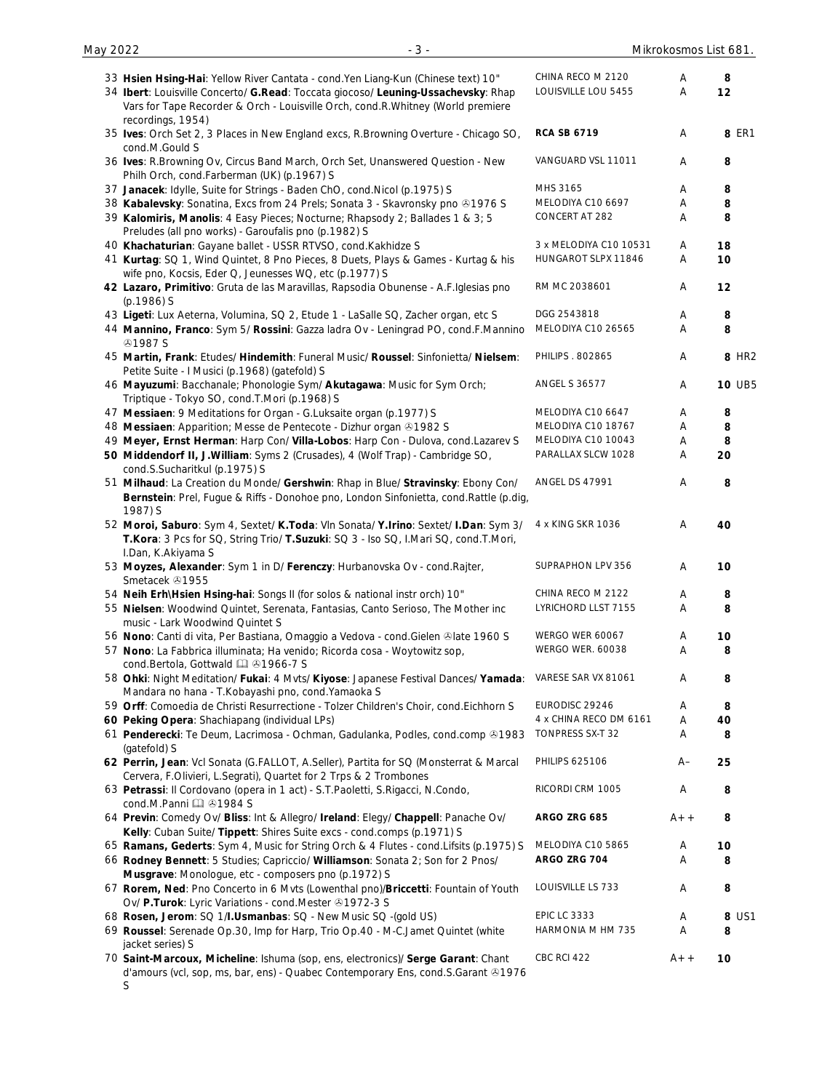| May 2022 |  |  |
|----------|--|--|
|----------|--|--|

S

| 33 Hsien Hsing-Hai: Yellow River Cantata - cond. Yen Liang-Kun (Chinese text) 10"<br>34 Ibert: Louisville Concerto/ G.Read: Toccata giocoso/ Leuning-Ussachevsky: Rhap                           | CHINA RECO M 2120<br>LOUISVILLE LOU 5455 | A<br>Α | 8<br>12           |
|--------------------------------------------------------------------------------------------------------------------------------------------------------------------------------------------------|------------------------------------------|--------|-------------------|
| Vars for Tape Recorder & Orch - Louisville Orch, cond.R.Whitney (World premiere                                                                                                                  |                                          |        |                   |
| recordings, 1954)<br>35 Ives: Orch Set 2, 3 Places in New England excs, R.Browning Overture - Chicago SO,<br>cond.M.Gould S                                                                      | <b>RCA SB 6719</b>                       | Α      | 8 ER1             |
| 36 Ives: R.Browning Ov, Circus Band March, Orch Set, Unanswered Question - New<br>Philh Orch, cond.Farberman (UK) (p.1967) S                                                                     | VANGUARD VSL 11011                       | A      | 8                 |
| 37 Janacek: Idylle, Suite for Strings - Baden ChO, cond. Nicol (p.1975) S                                                                                                                        | MHS 3165                                 | Α      | 8                 |
| 38 Kabalevsky: Sonatina, Excs from 24 Prels; Sonata 3 - Skavronsky pno @1976 S                                                                                                                   | MELODIYA C10 6697                        | Α      | 8                 |
| 39 Kalomiris, Manolis: 4 Easy Pieces; Nocturne; Rhapsody 2; Ballades 1 & 3; 5<br>Preludes (all pno works) - Garoufalis pno (p.1982) S                                                            | CONCERT AT 282                           | Α      | 8                 |
| 40 Khachaturian: Gayane ballet - USSR RTVSO, cond.Kakhidze S                                                                                                                                     | 3 x MELODIYA C10 10531                   | Α      | 18                |
| 41 Kurtag: SQ 1, Wind Quintet, 8 Pno Pieces, 8 Duets, Plays & Games - Kurtag & his<br>wife pno, Kocsis, Eder Q, Jeunesses WQ, etc (p.1977) S                                                     | HUNGAROT SLPX 11846                      | Α      | 10                |
| 42 Lazaro, Primitivo: Gruta de las Maravillas, Rapsodia Obunense - A.F.Iglesias pno<br>$(p.1986)$ S                                                                                              | RM MC 2038601                            | Α      | 12                |
| 43 Ligeti: Lux Aeterna, Volumina, SQ 2, Etude 1 - LaSalle SQ, Zacher organ, etc S                                                                                                                | DGG 2543818                              | Α      | 8                 |
| 44 Mannino, Franco: Sym 5/ Rossini: Gazza ladra Ov - Leningrad PO, cond.F.Mannino<br><b>⊕1987 S</b>                                                                                              | MELODIYA C10 26565                       | Α      | 8                 |
| 45 Martin, Frank: Etudes/ Hindemith: Funeral Music/ Roussel: Sinfonietta/ Nielsem:<br>Petite Suite - I Musici (p.1968) (gatefold) S                                                              | PHILIPS . 802865                         | Α      | 8 HR <sub>2</sub> |
| 46 Mayuzumi: Bacchanale; Phonologie Sym/ Akutagawa: Music for Sym Orch;<br>Triptique - Tokyo SO, cond.T.Mori (p.1968) S                                                                          | <b>ANGEL S 36577</b>                     | Α      | <b>10 UB5</b>     |
| 47 Messiaen: 9 Meditations for Organ - G.Luksaite organ (p.1977) S                                                                                                                               | MELODIYA C10 6647                        | Α      | 8                 |
| 48 Messiaen: Apparition; Messe de Pentecote - Dizhur organ @1982 S                                                                                                                               | MELODIYA C10 18767                       | Α      | 8                 |
| 49 Meyer, Ernst Herman: Harp Con/ Villa-Lobos: Harp Con - Dulova, cond.Lazarev S                                                                                                                 | MELODIYA C10 10043                       | Α      | 8                 |
| 50 Middendorf II, J. William: Syms 2 (Crusades), 4 (Wolf Trap) - Cambridge SO,<br>cond.S.Sucharitkul (p.1975) S                                                                                  | PARALLAX SLCW 1028                       | Α      | 20                |
| 51 Milhaud: La Creation du Monde/ Gershwin: Rhap in Blue/ Stravinsky: Ebony Con/<br>Bernstein: Prel, Fugue & Riffs - Donohoe pno, London Sinfonietta, cond. Rattle (p.dig,<br>1987) S            | ANGEL DS 47991                           | Α      | 8                 |
| 52 Moroi, Saburo: Sym 4, Sextet/ K.Toda: Vln Sonata/ Y.Irino: Sextet/ I.Dan: Sym 3/<br>T.Kora: 3 Pcs for SQ, String Trio/ T.Suzuki: SQ 3 - Iso SQ, I.Mari SQ, cond.T.Mori,<br>I.Dan, K.Akiyama S | 4 x KING SKR 1036                        | A      | 40                |
| 53 Moyzes, Alexander: Sym 1 in D/ Ferenczy: Hurbanovska Ov - cond. Rajter,<br>Smetacek 21955                                                                                                     | SUPRAPHON LPV 356                        | A      | 10                |
| 54 Neih Erh\Hsien Hsing-hai: Songs II (for solos & national instr orch) 10"                                                                                                                      | CHINA RECO M 2122                        | A      | 8                 |
| 55 Nielsen: Woodwind Quintet, Serenata, Fantasias, Canto Serioso, The Mother inc<br>music - Lark Woodwind Quintet S                                                                              | LYRICHORD LLST 7155                      | A      | 8                 |
| 56 Nono: Canti di vita, Per Bastiana, Omaggio a Vedova - cond. Gielen & late 1960 S                                                                                                              | WERGO WER 60067                          | A      | 10                |
| 57 Nono: La Fabbrica illuminata; Ha venido; Ricorda cosa - Woytowitz sop,<br>cond.Bertola, Gottwald 4 31966-7 S                                                                                  | WERGO WER. 60038                         | Α      | 8                 |
| 58 Ohki: Night Meditation/ Fukai: 4 Mvts/ Kiyose: Japanese Festival Dances/ Yamada:<br>Mandara no hana - T.Kobayashi pno, cond.Yamaoka S                                                         | VARESE SAR VX 81061                      | Α      | 8                 |
| 59 Orff: Comoedia de Christi Resurrectione - Tolzer Children's Choir, cond. Eichhorn S                                                                                                           | EURODISC 29246                           | Α      | 8                 |
| 60 Peking Opera: Shachiapang (individual LPs)                                                                                                                                                    | 4 x CHINA RECO DM 6161                   | Α      | 40                |
| 61 Penderecki: Te Deum, Lacrimosa - Ochman, Gadulanka, Podles, cond.comp &1983<br>(gatefold) S                                                                                                   | TONPRESS SX-T 32                         | Α      | 8                 |
| 62 Perrin, Jean: Vcl Sonata (G.FALLOT, A.Seller), Partita for SQ (Monsterrat & Marcal<br>Cervera, F.Olivieri, L.Segrati), Quartet for 2 Trps & 2 Trombones                                       | <b>PHILIPS 625106</b>                    | A–     | 25                |
| 63 Petrassi: Il Cordovano (opera in 1 act) - S.T.Paoletti, S.Rigacci, N.Condo,<br>cond.M.Panni [1] 31984 S                                                                                       | RICORDI CRM 1005                         | Α      | 8                 |
| 64 Previn: Comedy Ov/ Bliss: Int & Allegro/ Ireland: Elegy/ Chappell: Panache Ov/<br>Kelly: Cuban Suite/ Tippett: Shires Suite excs - cond.comps (p.1971) S                                      | ARGO ZRG 685                             | $A++$  | 8                 |
| 65 Ramans, Gederts: Sym 4, Music for String Orch & 4 Flutes - cond. Lifsits (p.1975) S                                                                                                           | MELODIYA C10 5865                        | Α      | 10                |
| 66 Rodney Bennett: 5 Studies; Capriccio/ Williamson: Sonata 2; Son for 2 Pnos/                                                                                                                   | ARGO ZRG 704                             | Α      | 8                 |
| Musgrave: Monologue, etc - composers pno (p.1972) S                                                                                                                                              |                                          |        |                   |
| 67 Rorem, Ned: Pno Concerto in 6 Mvts (Lowenthal pno)/Briccetti: Fountain of Youth<br>Ov/ P.Turok: Lyric Variations - cond. Mester 31972-3 S                                                     | LOUISVILLE LS 733                        | Α      | 8                 |
| 68 Rosen, Jerom: SQ 1/I.Usmanbas: SQ - New Music SQ -(gold US)                                                                                                                                   | <b>EPIC LC 3333</b>                      | Α      | 8 US1             |
| 69 Roussel: Serenade Op.30, Imp for Harp, Trio Op.40 - M-C.Jamet Quintet (white<br>jacket series) S                                                                                              | HARMONIA M HM 735                        | Α      | 8                 |
| 70 Saint-Marcoux, Micheline: Ishuma (sop, ens, electronics)/ Serge Garant: Chant<br>d'amours (vcl, sop, ms, bar, ens) - Quabec Contemporary Ens, cond.S.Garant @1976                             | CBC RCI 422                              | $A++$  | 10                |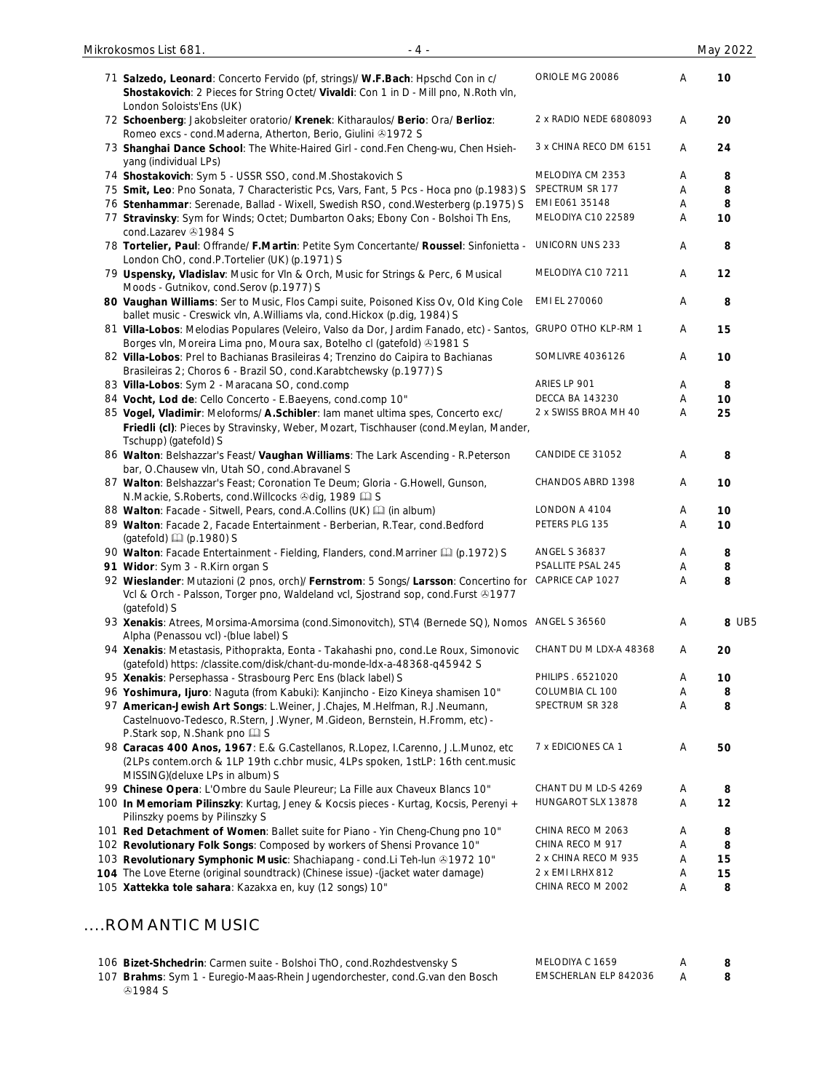| Mikrokosmos List 681.<br>$-4-$                                                                                                                                                                           |                            |   | May 2022 |
|----------------------------------------------------------------------------------------------------------------------------------------------------------------------------------------------------------|----------------------------|---|----------|
|                                                                                                                                                                                                          | ORIOLE MG 20086            | A | 10       |
| 71 Salzedo, Leonard: Concerto Fervido (pf, strings)/ W.F.Bach: Hpschd Con in c/<br>Shostakovich: 2 Pieces for String Octet/ Vivaldi: Con 1 in D - Mill pno, N.Roth vln,                                  |                            |   |          |
| London Soloists'Ens (UK)<br>72 Schoenberg: Jakobsleiter oratorio/ Krenek: Kitharaulos/ Berio: Ora/ Berlioz:                                                                                              | 2 x RADIO NEDE 6808093     | A | 20       |
| Romeo excs - cond.Maderna, Atherton, Berio, Giulini & 1972 S                                                                                                                                             |                            |   |          |
| 73 Shanghai Dance School: The White-Haired Girl - cond.Fen Cheng-wu, Chen Hsieh-                                                                                                                         | 3 x CHINA RECO DM 6151     | A | 24       |
| yang (individual LPs)<br>74 Shostakovich: Sym 5 - USSR SSO, cond.M.Shostakovich S                                                                                                                        | MELODIYA CM 2353           | Α | 8        |
| 75 Smit, Leo: Pno Sonata, 7 Characteristic Pcs, Vars, Fant, 5 Pcs - Hoca pno (p.1983) S                                                                                                                  | SPECTRUM SR 177            | Α | 8        |
| 76 Stenhammar: Serenade, Ballad - Wixell, Swedish RSO, cond. Westerberg (p.1975) S                                                                                                                       | EMI E061 35148             | Α | 8        |
| 77 Stravinsky: Sym for Winds; Octet; Dumbarton Oaks; Ebony Con - Bolshoi Th Ens,                                                                                                                         | MELODIYA C10 22589         | Α | 10       |
| cond.Lazarev 31984 S                                                                                                                                                                                     |                            |   |          |
| 78 Tortelier, Paul: Offrande/ F.Martin: Petite Sym Concertante/ Roussel: Sinfonietta -<br>London ChO, cond.P.Tortelier (UK) (p.1971) S                                                                   | <b>UNICORN UNS 233</b>     | A | 8        |
| 79 Uspensky, Vladislav: Music for Vln & Orch, Music for Strings & Perc, 6 Musical<br>Moods - Gutnikov, cond.Serov (p.1977) S                                                                             | MELODIYA C10 7211          | A | 12       |
| 80 Vaughan Williams: Ser to Music, Flos Campi suite, Poisoned Kiss Ov, Old King Cole<br>ballet music - Creswick vln, A.Williams vla, cond.Hickox (p.dig, 1984) S                                         | EMI EL 270060              | A | 8        |
| 81 Villa-Lobos: Melodias Populares (Veleiro, Valso da Dor, Jardim Fanado, etc) - Santos,<br>Borges vln, Moreira Lima pno, Moura sax, Botelho cl (gatefold) 31981 S                                       | <b>GRUPO OTHO KLP-RM 1</b> | A | 15       |
| 82 Villa-Lobos: Prel to Bachianas Brasileiras 4; Trenzino do Caipira to Bachianas<br>Brasileiras 2; Choros 6 - Brazil SO, cond.Karabtchewsky (p.1977) S                                                  | SOMLIVRE 4036126           | A | 10       |
| 83 Villa-Lobos: Sym 2 - Maracana SO, cond.comp                                                                                                                                                           | ARIES LP 901               | A | 8        |
| 84 Vocht, Lod de: Cello Concerto - E.Baeyens, cond.comp 10"                                                                                                                                              | <b>DECCA BA 143230</b>     | A | 10       |
| 85 Vogel, Vladimir: Meloforms/ A.Schibler: lam manet ultima spes, Concerto exc/                                                                                                                          | 2 x SWISS BROA MH 40       | Α | 25       |
| Friedli (cl): Pieces by Stravinsky, Weber, Mozart, Tischhauser (cond.Meylan, Mander,<br>Tschupp) (gatefold) S                                                                                            |                            |   |          |
| 86 Walton: Belshazzar's Feast/ Vaughan Williams: The Lark Ascending - R. Peterson<br>bar, O.Chausew vln, Utah SO, cond.Abravanel S                                                                       | CANDIDE CE 31052           | A | 8        |
| 87 Walton: Belshazzar's Feast; Coronation Te Deum; Gloria - G.Howell, Gunson,<br>N.Mackie, S.Roberts, cond.Willcocks +dig, 1989                                                                          | CHANDOS ABRD 1398          | Α | 10       |
| 88 Walton: Facade - Sitwell, Pears, cond.A.Collins (UK) [1] (in album)                                                                                                                                   | LONDON A 4104              | Α | 10       |
| 89 Walton: Facade 2, Facade Entertainment - Berberian, R.Tear, cond.Bedford<br>(gatefold) (2) (p.1980) S                                                                                                 | PETERS PLG 135             | Α | 10       |
| 90 Walton: Facade Entertainment - Fielding, Flanders, cond.Marriner [1] (p.1972) S                                                                                                                       | <b>ANGEL S 36837</b>       | Α | 8        |
| 91 Widor: Sym 3 - R.Kirn organ S                                                                                                                                                                         | PSALLITE PSAL 245          | Α | 8        |
| 92 Wieslander: Mutazioni (2 pnos, orch)/ Fernstrom: 5 Songs/ Larsson: Concertino for CAPRICE CAP 1027<br>Vcl & Orch - Palsson, Torger pno, Waldeland vcl, Sjostrand sop, cond.Furst @1977                |                            | Α | 8        |
| (gatefold) S<br>93 Xenakis: Atrees, Morsima-Amorsima (cond. Simonovitch), ST\4 (Bernede SQ), Nomos ANGEL S 36560                                                                                         |                            | Α | 8 UB5    |
| Alpha (Penassou vcl) - (blue label) S<br>94 Xenakis: Metastasis, Pithoprakta, Eonta - Takahashi pno, cond.Le Roux, Simonovic<br>(gatefold) https: /classite.com/disk/chant-du-monde-ldx-a-48368-q45942 S | CHANT DU M LDX-A 48368     | A | 20       |
| 95 Xenakis: Persephassa - Strasbourg Perc Ens (black label) S                                                                                                                                            | PHILIPS . 6521020          | Α | 10       |
| 96 Yoshimura, Ijuro: Naguta (from Kabuki): Kanjincho - Eizo Kineya shamisen 10"                                                                                                                          | COLUMBIA CL 100            | Α | 8        |
| 97 American-Jewish Art Songs: L.Weiner, J.Chajes, M.Helfman, R.J.Neumann,<br>Castelnuovo-Tedesco, R.Stern, J.Wyner, M.Gideon, Bernstein, H.Fromm, etc) -<br>P.Stark sop, N.Shank pno La S                | SPECTRUM SR 328            | A | 8        |
| 98 Caracas 400 Anos, 1967: E.& G.Castellanos, R.Lopez, I.Carenno, J.L.Munoz, etc<br>(2LPs contem.orch & 1LP 19th c.chbr music, 4LPs spoken, 1stLP: 16th cent.music<br>MISSING)(deluxe LPs in album) S    | 7 x EDICIONES CA 1         | A | 50       |
| 99 Chinese Opera: L'Ombre du Saule Pleureur; La Fille aux Chaveux Blancs 10"                                                                                                                             | CHANT DU M LD-S 4269       | A | 8        |
| 100 In Memoriam Pilinszky: Kurtag, Jeney & Kocsis pieces - Kurtag, Kocsis, Perenyi +<br>Pilinszky poems by Pilinszky S                                                                                   | HUNGAROT SLX 13878         | A | 12       |
| 101 Red Detachment of Women: Ballet suite for Piano - Yin Cheng-Chung pno 10"                                                                                                                            | CHINA RECO M 2063          | Α | 8        |
|                                                                                                                                                                                                          | CHINA RECO M 917           | Α | 8        |
|                                                                                                                                                                                                          |                            |   |          |
| 102 Revolutionary Folk Songs: Composed by workers of Shensi Provance 10"<br>103 Revolutionary Symphonic Music: Shachiapang - cond.Li Teh-lun @1972 10"                                                   | 2 x CHINA RECO M 935       | Α | 15       |
| 104 The Love Eterne (original soundtrack) (Chinese issue) -(jacket water damage)<br>105 Xattekka tole sahara: Kazakxa en, kuy (12 songs) 10"                                                             | 2 x EMI LRHX 812           | Α | 15       |

### ....ROMANTIC MUSIC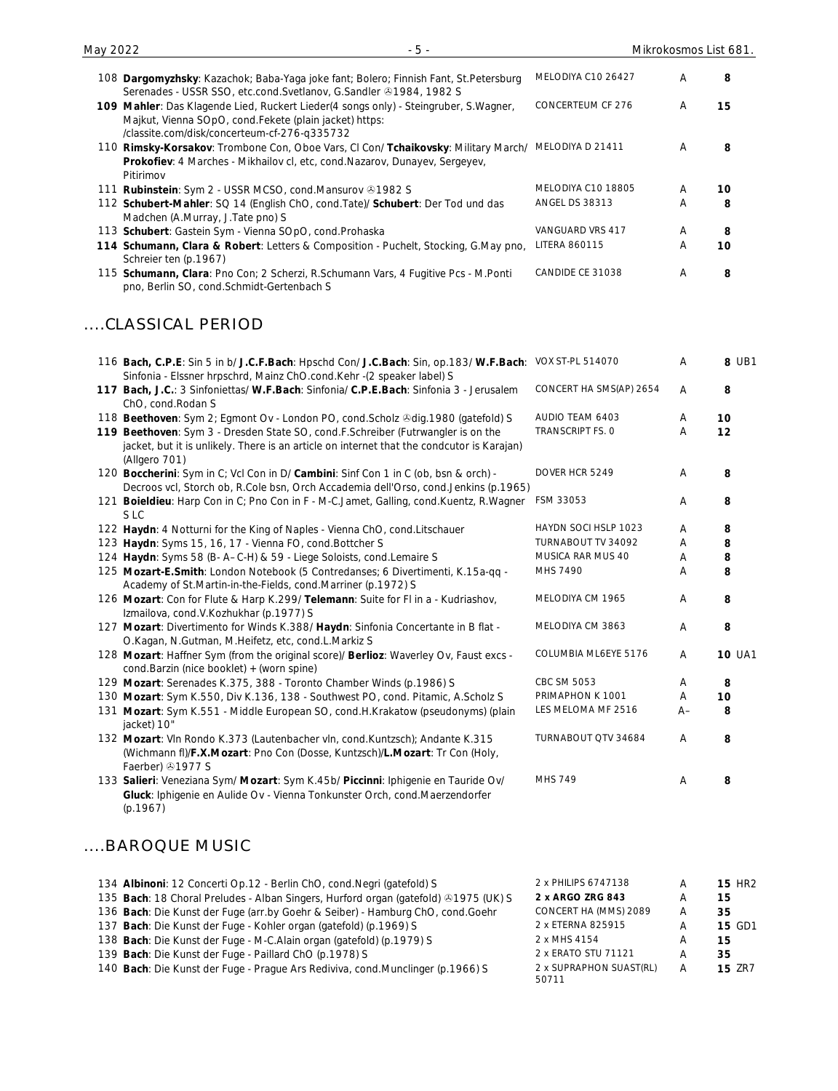| 108 Dargomyzhsky: Kazachok; Baba-Yaga joke fant; Bolero; Finnish Fant, St.Petersburg<br>Serenades - USSR SSO, etc.cond.Svetlanov, G.Sandler & 1984, 1982 S                                                                         | MELODIYA C10 26427      | Α  | 8             |
|------------------------------------------------------------------------------------------------------------------------------------------------------------------------------------------------------------------------------------|-------------------------|----|---------------|
| 109 Mahler: Das Klagende Lied, Ruckert Lieder(4 songs only) - Steingruber, S.Wagner,<br>Majkut, Vienna SOpO, cond. Fekete (plain jacket) https:                                                                                    | CONCERTEUM CF 276       | Α  | 15            |
| /classite.com/disk/concerteum-cf-276-q335732<br>110 Rimsky-Korsakov: Trombone Con, Oboe Vars, Cl Con/ Tchaikovsky: Military March/ MELODIYA D 21411<br>Prokofiev: 4 Marches - Mikhailov cl, etc, cond. Nazarov, Dunayev, Sergeyev, |                         | A  | 8             |
| Pitirimov<br>111 Rubinstein: Sym 2 - USSR MCSO, cond.Mansurov +1982 S                                                                                                                                                              | MELODIYA C10 18805      | A  | 10            |
| 112 Schubert-Mahler: SQ 14 (English ChO, cond. Tate)/ Schubert: Der Tod und das<br>Madchen (A.Murray, J.Tate pno) S                                                                                                                | <b>ANGEL DS 38313</b>   | A  | 8             |
| 113 Schubert: Gastein Sym - Vienna SOpO, cond. Prohaska                                                                                                                                                                            | VANGUARD VRS 417        | A  | 8             |
| 114 Schumann, Clara & Robert: Letters & Composition - Puchelt, Stocking, G.May pno,<br>Schreier ten (p.1967)                                                                                                                       | LITERA 860115           | A  | 10            |
| 115 Schumann, Clara: Pno Con; 2 Scherzi, R.Schumann Vars, 4 Fugitive Pcs - M.Ponti<br>pno, Berlin SO, cond. Schmidt-Gertenbach S                                                                                                   | CANDIDE CE 31038        | Α  | 8             |
| CLASSICAL PERIOD                                                                                                                                                                                                                   |                         |    |               |
| 116 Bach, C.P.E: Sin 5 in b/ J.C.F.Bach: Hpschd Con/ J.C.Bach: Sin, op.183/ W.F.Bach:<br>Sinfonia - Elssner hrpschrd, Mainz ChO.cond.Kehr -(2 speaker label) S                                                                     | VOX ST-PL 514070        | Α  | 8 UB1         |
| 117 Bach, J.C.: 3 Sinfoniettas/ W.F.Bach: Sinfonia/ C.P.E.Bach: Sinfonia 3 - Jerusalem<br>ChO, cond.Rodan S                                                                                                                        | CONCERT HA SMS(AP) 2654 | Α  | 8             |
| 118 Beethoven: Sym 2; Egmont Ov - London PO, cond. Scholz & dig. 1980 (gatefold) S                                                                                                                                                 | AUDIO TEAM 6403         | Α  | 10            |
| 119 Beethoven: Sym 3 - Dresden State SO, cond.F.Schreiber (Futrwangler is on the<br>jacket, but it is unlikely. There is an article on internet that the condcutor is Karajan)<br>(Allgero 701)                                    | TRANSCRIPT FS. O        | Α  | 12            |
| 120 Boccherini: Sym in C; Vcl Con in D/ Cambini: Sinf Con 1 in C (ob, bsn & orch) -<br>Decroos vcl, Storch ob, R.Cole bsn, Orch Accademia dell'Orso, cond.Jenkins (p.1965)                                                         | DOVER HCR 5249          | A  | 8             |
| 121 Boieldieu: Harp Con in C; Pno Con in F - M-C.Jamet, Galling, cond.Kuentz, R.Wagner<br>S LC                                                                                                                                     | FSM 33053               | Α  | 8             |
| 122 Haydn: 4 Notturni for the King of Naples - Vienna ChO, cond.Litschauer                                                                                                                                                         | HAYDN SOCI HSLP 1023    | A  | 8             |
| 123 Haydn: Syms 15, 16, 17 - Vienna FO, cond. Bottcher S                                                                                                                                                                           | TURNABOUT TV 34092      | Α  | 8             |
| 124 Haydn: Syms 58 (B-A-C-H) & 59 - Liege Soloists, cond. Lemaire S                                                                                                                                                                | MUSICA RAR MUS 40       | Α  | 8             |
| 125 Mozart-E.Smith: London Notebook (5 Contredanses; 6 Divertimenti, K.15a-qq -<br>Academy of St.Martin-in-the-Fields, cond.Marriner (p.1972) S                                                                                    | MHS 7490                | А  | 8             |
| 126 Mozart: Con for Flute & Harp K.299/ Telemann: Suite for Fl in a - Kudriashov,<br>Izmailova, cond.V.Kozhukhar (p.1977) S                                                                                                        | MELODIYA CM 1965        | Α  | 8             |
| 127 Mozart: Divertimento for Winds K.388/ Haydn: Sinfonia Concertante in B flat -<br>O.Kagan, N.Gutman, M.Heifetz, etc, cond.L.Markiz S                                                                                            | MELODIYA CM 3863        | Α  | 8             |
| 128 Mozart: Haffner Sym (from the original score)/ Berlioz: Waverley Ov, Faust excs -<br>cond.Barzin (nice booklet) + (worn spine)                                                                                                 | COLUMBIA ML6EYE 5176    | Α  | <b>10 UA1</b> |
| 129 Mozart: Serenades K.375, 388 - Toronto Chamber Winds (p.1986) S                                                                                                                                                                | CBC SM 5053             | A  | 8             |
| 130 Mozart: Sym K.550, Div K.136, 138 - Southwest PO, cond. Pitamic, A.Scholz S                                                                                                                                                    | PRIMAPHON K 1001        | A  | 10            |
| 131 Mozart: Sym K.551 - Middle European SO, cond.H.Krakatow (pseudonyms) (plain<br>jacket) 10"                                                                                                                                     | LES MELOMA MF 2516      | A– | 8             |
| 132 Mozart: VIn Rondo K.373 (Lautenbacher vIn, cond.Kuntzsch); Andante K.315                                                                                                                                                       | TURNABOUT QTV 34684     | A  | 8             |
| (Wichmann fl)/F.X.Mozart: Pno Con (Dosse, Kuntzsch)/L.Mozart: Tr Con (Holy,<br>Faerber) 31977 S                                                                                                                                    |                         |    |               |
| 133 Salieri: Veneziana Sym/ Mozart: Sym K.45b/ Piccinni: Iphigenie en Tauride Ov/<br>Gluck: Iphigenie en Aulide Ov - Vienna Tonkunster Orch, cond.Maerzendorfer<br>(p.1967)                                                        | <b>MHS 749</b>          | A  | 8             |

May 2022 - 5 - Mikrokosmos List 681.

### ....BAROQUE MUSIC

| 134 Albinoni: 12 Concerti Op.12 - Berlin ChO, cond. Negri (gatefold) S              | 2 x PHILIPS 6747138              | Α | <b>15 HR2</b> |
|-------------------------------------------------------------------------------------|----------------------------------|---|---------------|
| 135 Bach: 18 Choral Preludes - Alban Singers, Hurford organ (gatefold) @1975 (UK) S | 2 x ARGO ZRG 843                 | A | 15            |
| 136 Bach: Die Kunst der Fuge (arr.by Goehr & Seiber) - Hamburg ChO, cond.Goehr      | CONCERT HA (MMS) 2089            | A | 35            |
| 137 Bach: Die Kunst der Fuge - Kohler organ (gatefold) (p.1969) S                   | 2 x ETERNA 825915                | A | <b>15 GD1</b> |
| 138 Bach: Die Kunst der Fuge - M-C.Alain organ (gatefold) (p.1979) S                | 2 x MHS 4154                     | Α | 15            |
| 139 Bach: Die Kunst der Fuge - Paillard ChO (p.1978) S                              | 2 x ERATO STU 71121              | A | 35            |
| 140 Bach: Die Kunst der Fuge - Prague Ars Rediviva, cond. Munclinger (p.1966) S     | 2 x SUPRAPHON SUAST(RL)<br>50711 | Α | <b>15 ZR7</b> |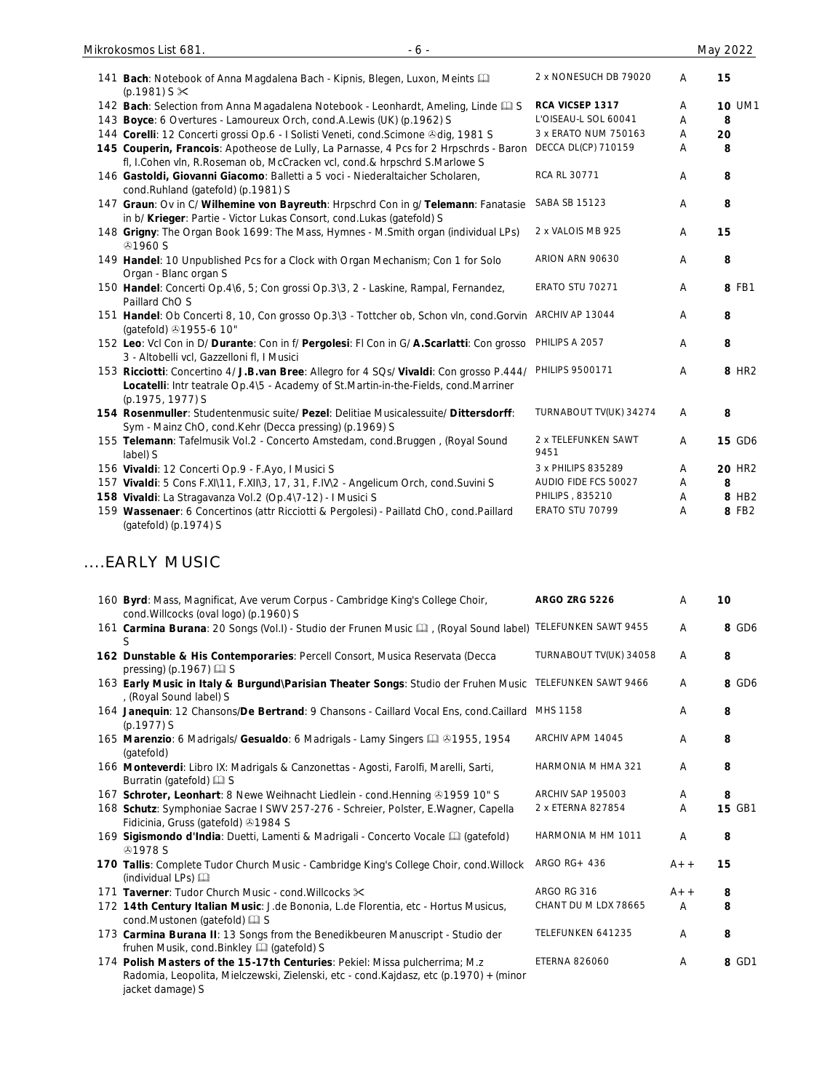| 141 Bach: Notebook of Anna Magdalena Bach - Kipnis, Blegen, Luxon, Meints [11]<br>$(p.1981)$ S $\times$                                                                                             | 2 x NONESUCH DB 79020       | Α | 15                |
|-----------------------------------------------------------------------------------------------------------------------------------------------------------------------------------------------------|-----------------------------|---|-------------------|
| 142 Bach: Selection from Anna Magadalena Notebook - Leonhardt, Ameling, Linde Ca S                                                                                                                  | RCA VICSEP 1317             | A | <b>10 UM1</b>     |
| 143 Boyce: 6 Overtures - Lamoureux Orch, cond.A.Lewis (UK) (p.1962) S                                                                                                                               | L'OISEAU-L SOL 60041        | A | 8                 |
| 144 Corelli: 12 Concerti grossi Op.6 - I Solisti Veneti, cond. Scimone & dig, 1981 S                                                                                                                | 3 x ERATO NUM 750163        | A | 20                |
| 145 Couperin, Francois: Apotheose de Lully, La Parnasse, 4 Pcs for 2 Hrpschrds - Baron<br>fl, I.Cohen vln, R.Roseman ob, McCracken vcl, cond.& hrpschrd S.Marlowe S                                 | DECCA DL(CP) 710159         | A | 8                 |
| 146 Gastoldi, Giovanni Giacomo: Balletti a 5 voci - Niederaltaicher Scholaren,<br>cond.Ruhland (gatefold) (p.1981) S                                                                                | RCA RL 30771                | A | 8                 |
| 147 Graun: Ov in C/ Wilhemine von Bayreuth: Hrpschrd Con in g/ Telemann: Fanatasie<br>in b/ Krieger: Partie - Victor Lukas Consort, cond.Lukas (gatefold) S                                         | SABA SB 15123               | A | 8                 |
| 148 Grigny: The Organ Book 1699: The Mass, Hymnes - M.Smith organ (individual LPs)<br><b>⊕1960 S</b>                                                                                                | 2 x VALOIS MB 925           | A | 15                |
| 149 Handel: 10 Unpublished Pcs for a Clock with Organ Mechanism; Con 1 for Solo<br>Organ - Blanc organ S                                                                                            | ARION ARN 90630             | A | 8                 |
| 150 Handel: Concerti Op.4\6, 5; Con grossi Op.3\3, 2 - Laskine, Rampal, Fernandez,<br>Paillard ChO S                                                                                                | <b>ERATO STU 70271</b>      | A | 8 FB1             |
| 151 Handel: Ob Concerti 8, 10, Con grosso Op.3\3 - Tottcher ob, Schon vln, cond.Gorvin<br>(gatefold) 31955-6 10"                                                                                    | ARCHIV AP 13044             | A | 8                 |
| 152 Leo: Vcl Con in D/ Durante: Con in f/ Pergolesi: FI Con in G/ A.Scarlatti: Con grosso<br>3 - Altobelli vcl, Gazzelloni fl, I Musici                                                             | PHILIPS A 2057              | A | 8                 |
| 153 Ricciotti: Concertino 4/ J.B.van Bree: Allegro for 4 SQs/ Vivaldi: Con grosso P.444/<br>Locatelli: Intr teatrale Op.4\5 - Academy of St.Martin-in-the-Fields, cond.Marriner<br>(p.1975, 1977) S | PHILIPS 9500171             | A | 8 HR <sub>2</sub> |
| 154 Rosenmuller: Studentenmusic suite/ Pezel: Delitiae Musicalessuite/ Dittersdorff:<br>Sym - Mainz ChO, cond.Kehr (Decca pressing) (p.1969) S                                                      | TURNABOUT TV(UK) 34274      | A | 8                 |
| 155 Telemann: Tafelmusik Vol.2 - Concerto Amstedam, cond.Bruggen, (Royal Sound<br>label) S                                                                                                          | 2 x TELEFUNKEN SAWT<br>9451 | Α | <b>15 GD6</b>     |
| 156 Vivaldi: 12 Concerti Op.9 - F.Ayo, I Musici S                                                                                                                                                   | 3 x PHILIPS 835289          | Α | <b>20 HR2</b>     |
| 157 Vivaldi: 5 Cons F.XI\11, F.XII\3, 17, 31, F.IV\2 - Angelicum Orch, cond.Suvini S                                                                                                                | AUDIO FIDE FCS 50027        | A | 8                 |
| 158 Vivaldi: La Stragavanza Vol.2 (Op.4\7-12) - I Musici S                                                                                                                                          | PHILIPS, 835210             | Α | 8 HB2             |
| 159 Wassenaer: 6 Concertinos (attr Ricciotti & Pergolesi) - Paillatd ChO, cond.Paillard<br>(gatefold) (p.1974) S                                                                                    | ERATO STU 70799             | Α | 8 FB2             |

## ....EARLY MUSIC

| 160 Byrd: Mass, Magnificat, Ave verum Corpus - Cambridge King's College Choir,<br>cond. Willcocks (oval logo) (p. 1960) S                                                                 | <b>ARGO ZRG 5226</b>   | A     | 10            |
|-------------------------------------------------------------------------------------------------------------------------------------------------------------------------------------------|------------------------|-------|---------------|
| 161 Carmina Burana: 20 Songs (Vol.I) - Studio der Frunen Music [1], (Royal Sound label) TELEFUNKEN SAWT 9455<br>S                                                                         |                        | A     | 8 GD6         |
| 162 Dunstable & His Contemporaries: Percell Consort, Musica Reservata (Decca<br>pressing) (p.1967) $\Box$ S                                                                               | TURNABOUT TV(UK) 34058 | A     | 8             |
| 163 Early Music in Italy & Burgund\Parisian Theater Songs: Studio der Fruhen Music<br>, (Royal Sound label) S                                                                             | TELEFUNKEN SAWT 9466   | A     | 8 GD6         |
| 164 Janequin: 12 Chansons/De Bertrand: 9 Chansons - Caillard Vocal Ens, cond.Caillard<br>$(p.1977)$ S                                                                                     | MHS 1158               | A     | 8             |
| 165 Marenzio: 6 Madrigals/ Gesualdo: 6 Madrigals - Lamy Singers (2 81955, 1954<br>(gatefold)                                                                                              | ARCHIV APM 14045       | A     | 8             |
| 166 Monteverdi: Libro IX: Madrigals & Canzonettas - Agosti, Farolfi, Marelli, Sarti,<br>Burratin (gatefold) [12] S                                                                        | HARMONIA M HMA 321     | A     | 8             |
| 167 Schroter, Leonhart: 8 Newe Weihnacht Liedlein - cond. Henning 31959 10" S                                                                                                             | ARCHIV SAP 195003      | A     | 8             |
| 168 Schutz: Symphoniae Sacrae I SWV 257-276 - Schreier, Polster, E.Wagner, Capella<br>Fidicinia, Gruss (gatefold) 31984 S                                                                 | 2 x ETERNA 827854      | A     | <b>15 GB1</b> |
| 169 Sigismondo d'India: Duetti, Lamenti & Madrigali - Concerto Vocale [1] (gatefold)<br><b>31978 S</b>                                                                                    | HARMONIA M HM 1011     | A     | 8             |
| 170 Tallis: Complete Tudor Church Music - Cambridge King's College Choir, cond. Willock<br>(individual LPs)                                                                               | ARGO $RG+436$          | $A++$ | 15            |
| 171 Taverner: Tudor Church Music - cond. Willcocks $\times$                                                                                                                               | ARGO RG 316            | $A++$ | 8             |
| 172 14th Century Italian Music: J.de Bononia, L.de Florentia, etc - Hortus Musicus,<br>cond.Mustonen (gatefold) [1] S                                                                     | CHANT DU M LDX 78665   | A     | 8             |
| 173 Carmina Burana II: 13 Songs from the Benedikbeuren Manuscript - Studio der<br>fruhen Musik, cond. Binkley [12] (gatefold) S                                                           | TELEFUNKEN 641235      | A     | 8             |
| 174 Polish Masters of the 15-17th Centuries: Pekiel: Missa pulcherrima; M.z<br>Radomia, Leopolita, Mielczewski, Zielenski, etc - cond. Kajdasz, etc (p.1970) + (minor<br>jacket damage) S | <b>ETERNA 826060</b>   | Α     | 8 GD1         |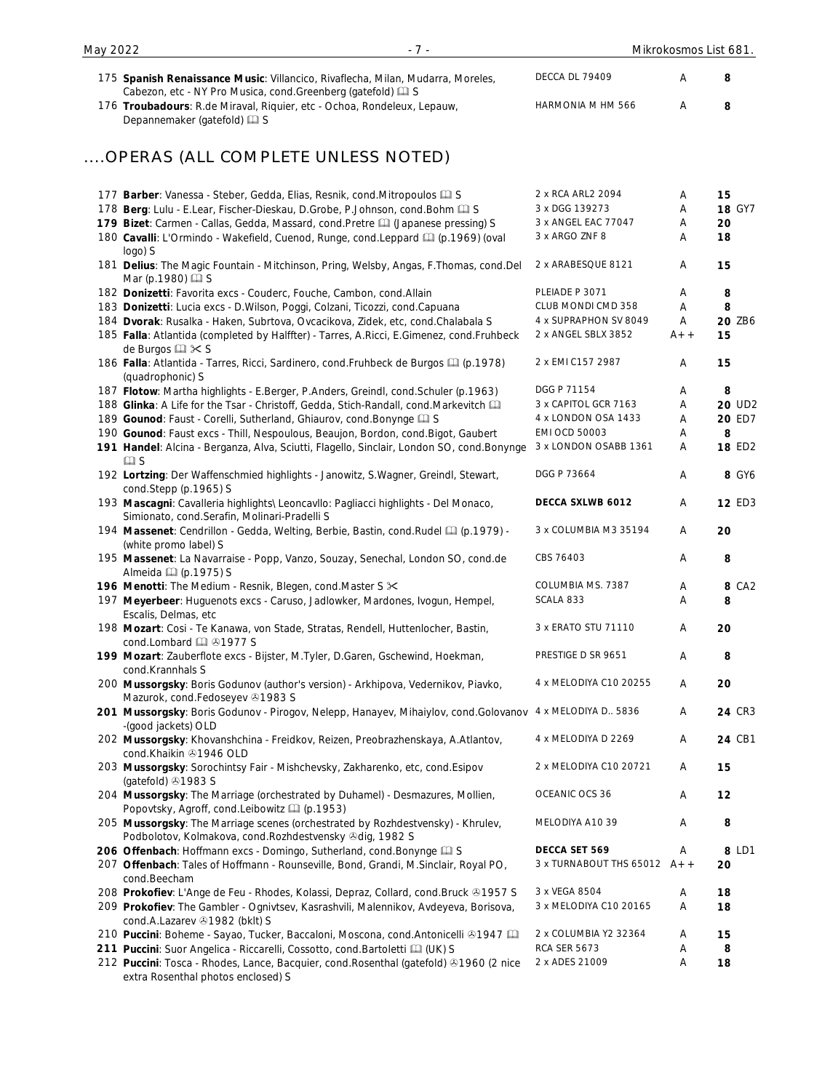| 175 Spanish Renaissance Music: Villancico, Rivaflecha, Milan, Mudarra, Moreles,<br>Cabezon, etc - NY Pro Musica, cond.Greenberg (gatefold) [1] S | DECCA DL 79409          | Α     | 8             |
|--------------------------------------------------------------------------------------------------------------------------------------------------|-------------------------|-------|---------------|
| 176 Troubadours: R.de Miraval, Riquier, etc - Ochoa, Rondeleux, Lepauw,<br>Depannemaker (gatefold) [2] S                                         | HARMONIA M HM 566       | Α     | 8             |
| OPERAS (ALL COMPLETE UNLESS NOTED)                                                                                                               |                         |       |               |
| 177 Barber: Vanessa - Steber, Gedda, Elias, Resnik, cond. Mitropoulos Q S                                                                        | 2 x RCA ARL2 2094       | A     | 15            |
| 178 Berg: Lulu - E.Lear, Fischer-Dieskau, D.Grobe, P.Johnson, cond.Bohm [1] S                                                                    | 3 x DGG 139273          | Α     | <b>18 GY7</b> |
| 179 Bizet: Carmen - Callas, Gedda, Massard, cond.Pretre [1] (Japanese pressing) S                                                                | 3 x ANGEL EAC 77047     | A     | 20            |
| 180 Cavalli: L'Ormindo - Wakefield, Cuenod, Runge, cond.Leppard [1] (p.1969) (oval<br>logo) S                                                    | 3 x ARGO ZNF 8          | Α     | 18            |
| 181 Delius: The Magic Fountain - Mitchinson, Pring, Welsby, Angas, F.Thomas, cond.Del<br>Mar (p.1980) 2 S                                        | 2 x ARABESQUE 8121      | A     | 15            |
| 182 Donizetti: Favorita excs - Couderc, Fouche, Cambon, cond. Allain                                                                             | PLEIADE P 3071          | A     | 8             |
| 183 Donizetti: Lucia excs - D.Wilson, Poggi, Colzani, Ticozzi, cond.Capuana                                                                      | CLUB MONDI CMD 358      | Α     | 8             |
| 184 Dvorak: Rusalka - Haken, Subrtova, Ovcacikova, Zidek, etc, cond.Chalabala S                                                                  | 4 x SUPRAPHON SV 8049   | Α     | 20 ZB6        |
| 185 Falla: Atlantida (completed by Halffter) - Tarres, A.Ricci, E.Gimenez, cond.Fruhbeck<br>de Burgos $\square \times S$                         | 2 x ANGEL SBLX 3852     | $A++$ | 15            |
| 186 Falla: Atlantida - Tarres, Ricci, Sardinero, cond.Fruhbeck de Burgos [1] (p.1978)<br>(quadrophonic) S                                        | 2 x EMI C157 2987       | A     | 15            |
| 187 Flotow: Martha highlights - E.Berger, P.Anders, Greindl, cond.Schuler (p.1963)                                                               | DGG P 71154             | A     | 8             |
| 188 Glinka: A Life for the Tsar - Christoff, Gedda, Stich-Randall, cond.Markevitch                                                               | 3 x CAPITOL GCR 7163    | A     | 20 UD2        |
| 189 Gounod: Faust - Corelli, Sutherland, Ghiaurov, cond. Bonynge [2] S                                                                           | 4 x LONDON OSA 1433     | A     | 20 ED7        |
| 190 Gounod: Faust excs - Thill, Nespoulous, Beaujon, Bordon, cond. Bigot, Gaubert                                                                | <b>EMI OCD 50003</b>    | A     | 8             |
| 191 Handel: Alcina - Berganza, Alva, Sciutti, Flagello, Sinclair, London SO, cond.Bonynge<br>$\square$ S                                         | 3 x LONDON OSABB 1361   | A     | <b>18 ED2</b> |
| 192 Lortzing: Der Waffenschmied highlights - Janowitz, S. Wagner, Greindl, Stewart,<br>cond.Stepp (p.1965) S                                     | DGG P 73664             | A     | 8 GY6         |
| 193 Mascagni: Cavalleria highlights\ Leoncavllo: Pagliacci highlights - Del Monaco,<br>Simionato, cond.Serafin, Molinari-Pradelli S              | DECCA SXLWB 6012        | Α     | <b>12 ED3</b> |
| 194 Massenet: Cendrillon - Gedda, Welting, Berbie, Bastin, cond. Rudel [1] (p.1979) -<br>(white promo label) S                                   | 3 x COLUMBIA M3 35194   | A     | 20            |
| 195 Massenet: La Navarraise - Popp, Vanzo, Souzay, Senechal, London SO, cond.de<br>Almeida (p.1975) S                                            | CBS 76403               | A     | 8             |
| 196 Menotti: The Medium - Resnik, Blegen, cond. Master S X                                                                                       | COLUMBIA MS. 7387       | Α     | 8 CA2         |
| 197 Meyerbeer: Huguenots excs - Caruso, Jadlowker, Mardones, Ivogun, Hempel,<br>Escalis, Delmas, etc                                             | SCALA 833               | A     | 8             |
| 198 Mozart: Cosi - Te Kanawa, von Stade, Stratas, Rendell, Huttenlocher, Bastin,<br>cond.Lombard (2 31977 S                                      | 3 x ERATO STU 71110     | Α     | 20            |
| 199 Mozart: Zauberflote excs - Bijster, M.Tyler, D.Garen, Gschewind, Hoekman,<br>cond.Krannhals S                                                | PRESTIGE D SR 9651      | A     | 8             |
| 200 Mussorgsky: Boris Godunov (author's version) - Arkhipova, Vedernikov, Piavko,<br>Mazurok, cond.Fedoseyev +1983 S                             | 4 x MELODIYA C10 20255  | A     | 20            |
| 201 Mussorgsky: Boris Godunov - Pirogov, Nelepp, Hanayev, Mihaiylov, cond. Golovanov<br>-(good jackets) OLD                                      | 4 x MELODIYA D. 5836    | Α     | 24 CR3        |
| 202 Mussorgsky: Khovanshchina - Freidkov, Reizen, Preobrazhenskaya, A.Atlantov,<br>cond.Khaikin +1946 OLD                                        | 4 x MELODIYA D 2269     | Α     | 24 CB1        |
| 203 Mussorgsky: Sorochintsy Fair - Mishchevsky, Zakharenko, etc, cond. Esipov<br>(gatefold) 31983 S                                              | 2 x MELODIYA C10 20721  | Α     | 15            |
| 204 Mussorgsky: The Marriage (orchestrated by Duhamel) - Desmazures, Mollien,<br>Popovtsky, Agroff, cond.Leibowitz [14] (p.1953)                 | OCEANIC OCS 36          | A     | 12            |
| 205 Mussorgsky: The Marriage scenes (orchestrated by Rozhdestvensky) - Khrulev,<br>Podbolotov, Kolmakova, cond. Rozhdestvensky Odig, 1982 S      | MELODIYA A10 39         | Α     | 8             |
| 206 Offenbach: Hoffmann excs - Domingo, Sutherland, cond. Bonynge [2] S                                                                          | DECCA SET 569           | A     | 8 LD1         |
| 207 Offenbach: Tales of Hoffmann - Rounseville, Bond, Grandi, M.Sinclair, Royal PO,<br>cond.Beecham                                              | 3 x TURNABOUT THS 65012 | $A++$ | 20            |
| 208 Prokofiev: L'Ange de Feu - Rhodes, Kolassi, Depraz, Collard, cond. Bruck & 1957 S                                                            | 3 x VEGA 8504           | A     | 18            |
| 209 Prokofiev: The Gambler - Ognivtsev, Kasrashvili, Malennikov, Avdeyeva, Borisova,<br>cond.A.Lazarev 31982 (bklt) S                            | 3 x MELODIYA C10 20165  | Α     | 18            |
| 210 Puccini: Boheme - Sayao, Tucker, Baccaloni, Moscona, cond.Antonicelli & 1947 [11]                                                            | 2 x COLUMBIA Y2 32364   | Α     | 15            |
| 211 Puccini: Suor Angelica - Riccarelli, Cossotto, cond. Bartoletti [1] (UK) S                                                                   | <b>RCA SER 5673</b>     | A     | 8             |
| 212 Puccini: Tosca - Rhodes, Lance, Bacquier, cond. Rosenthal (gatefold) & 1960 (2 nice                                                          | 2 x ADES 21009          | Α     | 18            |

extra Rosenthal photos enclosed) S

May 2022 **1988** - 7 - 1999 - 7 - 1999 - 7 - 1999 Mikrokosmos List 681.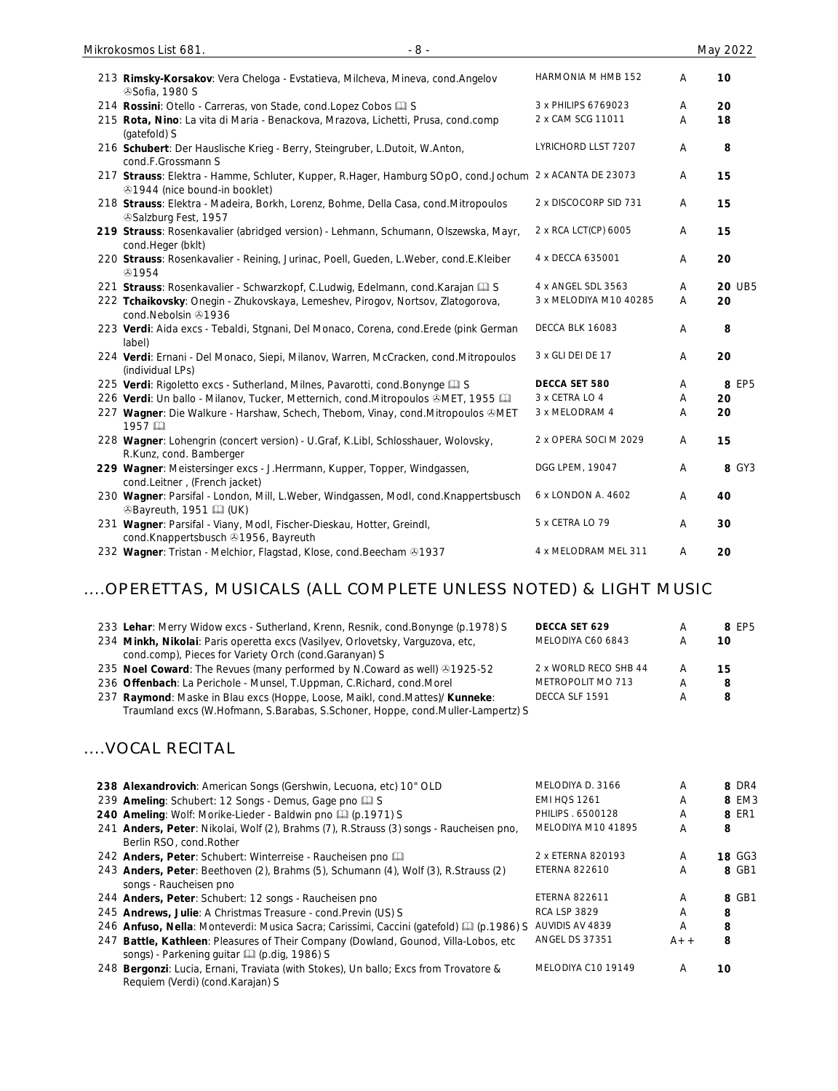| 213 Rimsky-Korsakov: Vera Cheloga - Evstatieva, Milcheva, Mineva, cond. Angelov<br><b><i></i></b> Sofia, 1980 S                         | HARMONIA M HMB 152     | A | 10            |
|-----------------------------------------------------------------------------------------------------------------------------------------|------------------------|---|---------------|
| 214 Rossini: Otello - Carreras, von Stade, cond. Lopez Cobos [1] S                                                                      | 3 x PHILIPS 6769023    | A | 20            |
| 215 Rota, Nino: La vita di Maria - Benackova, Mrazova, Lichetti, Prusa, cond.comp<br>(gatefold) S                                       | 2 x CAM SCG 11011      | A | 18            |
| 216 Schubert: Der Hauslische Krieg - Berry, Steingruber, L.Dutoit, W.Anton,<br>cond.F.Grossmann S                                       | LYRICHORD LLST 7207    | A | 8             |
| 217 Strauss: Elektra - Hamme, Schluter, Kupper, R.Hager, Hamburg SOpO, cond.Jochum 2 x ACANTA DE 23073<br>⊙1944 (nice bound-in booklet) |                        | A | 15            |
| 218 Strauss: Elektra - Madeira, Borkh, Lorenz, Bohme, Della Casa, cond.Mitropoulos<br>Salzburg Fest, 1957                               | 2 x DISCOCORP SID 731  | A | 15            |
| 219 Strauss: Rosenkavalier (abridged version) - Lehmann, Schumann, Olszewska, Mayr,<br>cond.Heger (bklt)                                | 2 x RCA LCT(CP) 6005   | A | 15            |
| 220 Strauss: Rosenkavalier - Reining, Jurinac, Poell, Gueden, L.Weber, cond.E.Kleiber<br>⊙1954                                          | 4 x DECCA 635001       | A | 20            |
| 221 Strauss: Rosenkavalier - Schwarzkopf, C.Ludwig, Edelmann, cond.Karajan Q S                                                          | 4 x ANGEL SDL 3563     | A | <b>20 UB5</b> |
| 222 Tchaikovsky: Onegin - Zhukovskaya, Lemeshev, Pirogov, Nortsov, Zlatogorova,<br>cond.Nebolsin 21936                                  | 3 x MELODIYA M10 40285 | A | 20            |
| 223 Verdi: Aida excs - Tebaldi, Stgnani, Del Monaco, Corena, cond. Erede (pink German<br>label)                                         | DECCA BLK 16083        | A | 8             |
| 224 Verdi: Ernani - Del Monaco, Siepi, Milanov, Warren, McCracken, cond.Mitropoulos<br>(individual LPs)                                 | 3 x GLI DEI DE 17      | Α | 20            |
| 225 Verdi: Rigoletto excs - Sutherland, Milnes, Pavarotti, cond. Bonynge [1] S                                                          | DECCA SET 580          | Α | 8 EP5         |
| 226 Verdi: Un ballo - Milanov, Tucker, Metternich, cond. Mitropoulos &MET, 1955 [11]                                                    | 3 x CETRA LO 4         | Α | 20            |
| 227 Wagner: Die Walkure - Harshaw, Schech, Thebom, Vinay, cond.Mitropoulos &MET<br>1957                                                 | 3 x MELODRAM 4         | A | 20            |
| 228 Wagner: Lohengrin (concert version) - U.Graf, K.Libl, Schlosshauer, Wolovsky,<br>R.Kunz, cond. Bamberger                            | 2 x OPERA SOCI M 2029  | A | 15            |
| 229 Wagner: Meistersinger excs - J.Herrmann, Kupper, Topper, Windgassen,<br>cond.Leitner, (French jacket)                               | DGG LPEM, 19047        | A | 8 GY3         |
| 230 Wagner: Parsifal - London, Mill, L.Weber, Windgassen, Modl, cond.Knappertsbusch<br><sup>3</sup> Bayreuth, 1951 (UK)                 | 6 x LONDON A. 4602     | A | 40            |
| 231 Wagner: Parsifal - Viany, Modl, Fischer-Dieskau, Hotter, Greindl,<br>cond.Knappertsbusch 31956, Bayreuth                            | 5 x CETRA LO 79        | Α | 30            |
| 232 Wagner: Tristan - Melchior, Flagstad, Klose, cond. Beecham @1937                                                                    | 4 x MELODRAM MEL 311   | A | 20            |

### ....OPERETTAS, MUSICALS (ALL COMPLETE UNLESS NOTED) & LIGHT MUSIC

| 233 Lehar: Merry Widow excs - Sutherland, Krenn, Resnik, cond. Bonynge (p.1978) S<br>234 Minkh, Nikolai: Paris operetta excs (Vasilyev, Orlovetsky, Varguzova, etc,<br>cond.comp), Pieces for Variety Orch (cond.Garanyan) S | DECCA SET 629<br>MELODIYA C60 6843         | A      | 8 FP5<br>10 |
|------------------------------------------------------------------------------------------------------------------------------------------------------------------------------------------------------------------------------|--------------------------------------------|--------|-------------|
| 235 Noel Coward: The Revues (many performed by N.Coward as well) 01925-52<br>236 Offenbach: La Perichole - Munsel, T.Uppman, C.Richard, cond.Morel                                                                           | 2 x WORLD RECO SHB 44<br>METROPOLIT MO 713 | A<br>A | 15<br>8     |
| 237 Raymond: Maske in Blau excs (Hoppe, Loose, Maikl, cond. Mattes)/ Kunneke:<br>Traumland excs (W.Hofmann, S.Barabas, S.Schoner, Hoppe, cond.Muller-Lampertz) S                                                             | DECCA SLF 1591                             | А      | 8           |

# ....VOCAL RECITAL

| MELODIYA D. 3166                                                                                          | A     | 8 DR4         |
|-----------------------------------------------------------------------------------------------------------|-------|---------------|
| <b>EMI HOS 1261</b>                                                                                       | A     | 8 EM3         |
| PHILIPS . 6500128                                                                                         | Α     | <b>8 ER1</b>  |
| MELODIYA M10 41895                                                                                        | A     | 8             |
|                                                                                                           |       |               |
| 2 x ETERNA 820193                                                                                         | A     | <b>18 GG3</b> |
| <b>ETERNA 822610</b>                                                                                      | A     | 8 GB1         |
|                                                                                                           |       |               |
| ETERNA 822611                                                                                             | A     | 8 GB1         |
| <b>RCA LSP 3829</b>                                                                                       | A     | 8             |
| 246 Anfuso, Nella: Monteverdi: Musica Sacra; Carissimi, Caccini (gatefold) [1] (p.1986) S AUVIDIS AV 4839 | A     | 8             |
| <b>ANGEL DS 37351</b>                                                                                     | $A++$ | 8             |
|                                                                                                           |       |               |
| MELODIYA C10 19149                                                                                        | A     | 10            |
|                                                                                                           |       |               |
|                                                                                                           |       |               |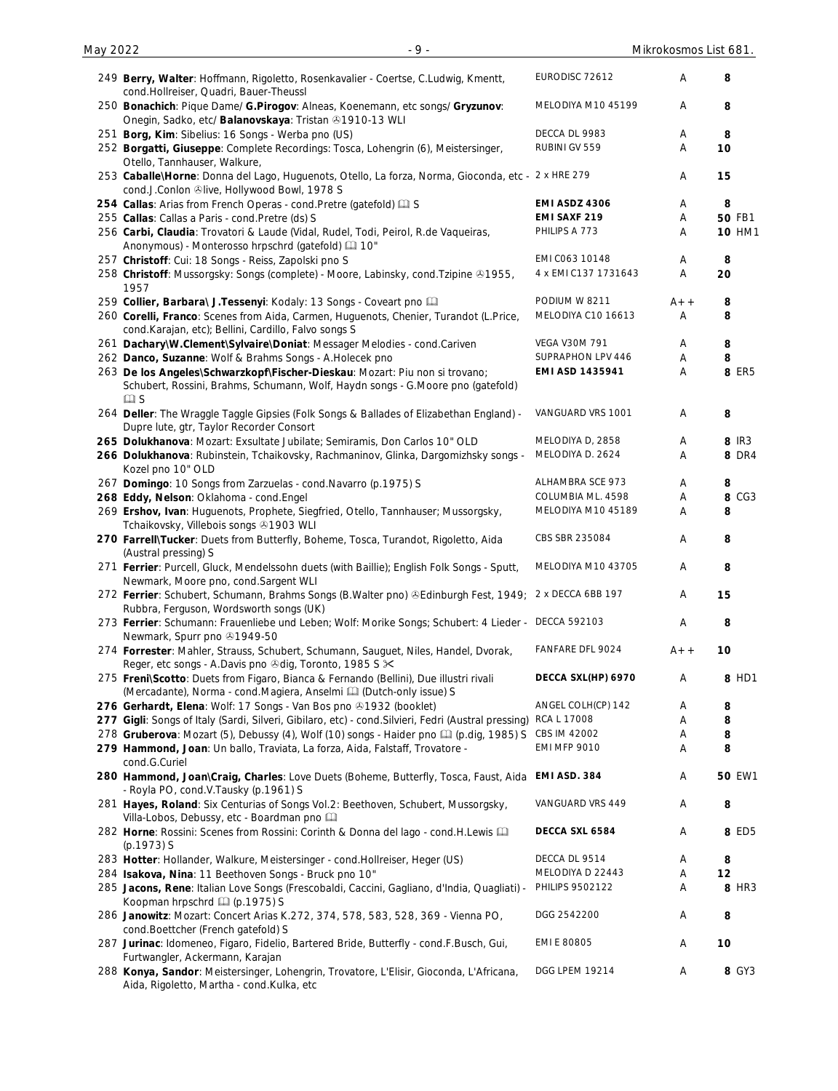| 249 Berry, Walter: Hoffmann, Rigoletto, Rosenkavalier - Coertse, C.Ludwig, Kmentt,<br>cond.Hollreiser, Quadri, Bauer-Theussl                                   | EURODISC 72612        | A     | 8             |
|----------------------------------------------------------------------------------------------------------------------------------------------------------------|-----------------------|-------|---------------|
| 250 Bonachich: Pique Dame/ G. Pirogov: Alneas, Koenemann, etc songs/ Gryzunov:<br>Onegin, Sadko, etc/ Balanovskaya: Tristan +1910-13 WLI                       | MELODIYA M10 45199    | A     | 8             |
| 251 Borg, Kim: Sibelius: 16 Songs - Werba pno (US)                                                                                                             | DECCA DL 9983         | A     | 8             |
| 252 Borgatti, Giuseppe: Complete Recordings: Tosca, Lohengrin (6), Meistersinger,<br>Otello, Tannhauser, Walkure,                                              | RUBINI GV 559         | A     | 10            |
| 253 Caballe\Horne: Donna del Lago, Huguenots, Otello, La forza, Norma, Gioconda, etc - 2 x HRE 279<br>cond.J.Conlon @live, Hollywood Bowl, 1978 S              |                       | A     | 15            |
| 254 Callas: Arias from French Operas - cond. Pretre (gatefold) [1] S                                                                                           | EMI ASDZ 4306         | Α     | 8             |
| 255 Callas: Callas a Paris - cond. Pretre (ds) S                                                                                                               | <b>EMI SAXF 219</b>   | Α     | <b>50 FB1</b> |
| 256 Carbi, Claudia: Trovatori & Laude (Vidal, Rudel, Todi, Peirol, R.de Vaqueiras,<br>Anonymous) - Monterosso hrpschrd (gatefold) [10"                         | PHILIPS A 773         | Α     | <b>10 HM1</b> |
| 257 Christoff: Cui: 18 Songs - Reiss, Zapolski pno S                                                                                                           | EMI C063 10148        | A     | 8             |
| 258 Christoff: Mussorgsky: Songs (complete) - Moore, Labinsky, cond. Tzipine & 1955,<br>1957                                                                   | 4 x EMI C137 1731643  | A     | 20            |
| 259 Collier, Barbara\ J. Tessenyi: Kodaly: 13 Songs - Coveart pno                                                                                              | PODIUM W 8211         | A+ +  | 8             |
| 260 Corelli, Franco: Scenes from Aida, Carmen, Huguenots, Chenier, Turandot (L.Price,<br>cond.Karajan, etc); Bellini, Cardillo, Falvo songs S                  | MELODIYA C10 16613    | Α     | 8             |
| 261 Dachary\W.Clement\Sylvaire\Doniat: Messager Melodies - cond.Cariven                                                                                        | <b>VEGA V30M 791</b>  | Α     | 8             |
| 262 Danco, Suzanne: Wolf & Brahms Songs - A.Holecek pno                                                                                                        | SUPRAPHON LPV 446     | Α     | 8             |
| 263 De los Angeles\Schwarzkopf\Fischer-Dieskau: Mozart: Piu non si trovano;<br>Schubert, Rossini, Brahms, Schumann, Wolf, Haydn songs - G.Moore pno (gatefold) | EMI ASD 1435941       | Α     | 8 ER5         |
| $\square$ S<br>264 Deller: The Wraggle Taggle Gipsies (Folk Songs & Ballades of Elizabethan England) -<br>Dupre lute, gtr, Taylor Recorder Consort             | VANGUARD VRS 1001     | A     | 8             |
| 265 Dolukhanova: Mozart: Exsultate Jubilate; Semiramis, Don Carlos 10" OLD                                                                                     | MELODIYA D, 2858      | Α     | 8 IR3         |
| 266 Dolukhanova: Rubinstein, Tchaikovsky, Rachmaninov, Glinka, Dargomizhsky songs -<br>Kozel pno 10" OLD                                                       | MELODIYA D. 2624      | Α     | <b>8 DR4</b>  |
| 267 Domingo: 10 Songs from Zarzuelas - cond. Navarro (p.1975) S                                                                                                | ALHAMBRA SCE 973      | A     | 8             |
| 268 Eddy, Nelson: Oklahoma - cond. Engel                                                                                                                       | COLUMBIA ML. 4598     | A     | 8 CG3         |
| 269 Ershov, Ivan: Huguenots, Prophete, Siegfried, Otello, Tannhauser; Mussorgsky,<br>Tchaikovsky, Villebois songs 31903 WLI                                    | MELODIYA M10 45189    | Α     | 8             |
| 270 Farrell\Tucker: Duets from Butterfly, Boheme, Tosca, Turandot, Rigoletto, Aida<br>(Austral pressing) S                                                     | CBS SBR 235084        | A     | 8             |
| 271 Ferrier: Purcell, Gluck, Mendelssohn duets (with Baillie); English Folk Songs - Sputt,<br>Newmark, Moore pno, cond.Sargent WLI                             | MELODIYA M10 43705    | Α     | 8             |
| 272 Ferrier: Schubert, Schumann, Brahms Songs (B.Walter pno) ®Edinburgh Fest, 1949; 2 x DECCA 6BB 197<br>Rubbra, Ferguson, Wordsworth songs (UK)               |                       | A     | 15            |
| 273 Ferrier: Schumann: Frauenliebe und Leben; Wolf: Morike Songs; Schubert: 4 Lieder - DECCA 592103<br>Newmark, Spurr pno 31949-50                             |                       | Α     | 8             |
| 274 Forrester: Mahler, Strauss, Schubert, Schumann, Sauguet, Niles, Handel, Dvorak,<br>Reger, etc songs - A.Davis pno @dig, Toronto, 1985 S $\times$           | FANFARE DFL 9024      | $A++$ | 10            |
| 275 Freni\Scotto: Duets from Figaro, Bianca & Fernando (Bellini), Due illustri rivali<br>(Mercadante), Norma - cond.Magiera, Anselmi [12] (Dutch-only issue) S | DECCA SXL(HP) 6970    | Α     | 8 HD1         |
| 276 Gerhardt, Elena: Wolf: 17 Songs - Van Bos pno 31932 (booklet)                                                                                              | ANGEL COLH(CP) 142    | Α     | 8             |
| 277 Gigli: Songs of Italy (Sardi, Silveri, Gibilaro, etc) - cond. Silvieri, Fedri (Austral pressing)                                                           | RCA L 17008           | Α     | 8             |
| 278 Gruberova: Mozart (5), Debussy (4), Wolf (10) songs - Haider pno [1] (p.dig, 1985) S                                                                       | CBS IM 42002          | Α     | 8             |
| 279 Hammond, Joan: Un ballo, Traviata, La forza, Aida, Falstaff, Trovatore -<br>cond.G.Curiel                                                                  | <b>EMI MFP 9010</b>   | Α     | 8             |
| 280 Hammond, Joan\Craig, Charles: Love Duets (Boheme, Butterfly, Tosca, Faust, Aida<br>- Royla PO, cond.V.Tausky (p.1961) S                                    | EMI ASD. 384          | Α     | <b>50 EW1</b> |
| 281 Hayes, Roland: Six Centurias of Songs Vol.2: Beethoven, Schubert, Mussorgsky,<br>Villa-Lobos, Debussy, etc - Boardman pno                                  | VANGUARD VRS 449      | Α     | 8             |
| 282 Horne: Rossini: Scenes from Rossini: Corinth & Donna del lago - cond.H.Lewis Q<br>(p.1973) S                                                               | DECCA SXL 6584        | Α     | 8 ED5         |
| 283 Hotter: Hollander, Walkure, Meistersinger - cond. Hollreiser, Heger (US)                                                                                   | DECCA DL 9514         | A     | 8             |
| 284 Isakova, Nina: 11 Beethoven Songs - Bruck pno 10"                                                                                                          | MELODIYA D 22443      | Α     | 12            |
| 285 Jacons, Rene: Italian Love Songs (Frescobaldi, Caccini, Gagliano, d'India, Quagliati) -<br>Koopman hrpschrd [1] (p.1975) S                                 | PHILIPS 9502122       | Α     | 8 HR3         |
| 286 Janowitz: Mozart: Concert Arias K.272, 374, 578, 583, 528, 369 - Vienna PO,<br>cond.Boettcher (French gatefold) S                                          | DGG 2542200           | Α     | 8             |
| 287 Jurinac: Idomeneo, Figaro, Fidelio, Bartered Bride, Butterfly - cond.F.Busch, Gui,<br>Furtwangler, Ackermann, Karajan                                      | EMI E 80805           | Α     | 10            |
| 288 Konya, Sandor: Meistersinger, Lohengrin, Trovatore, L'Elisir, Gioconda, L'Africana,<br>Aida, Rigoletto, Martha - cond.Kulka, etc                           | <b>DGG LPEM 19214</b> | Α     | 8 GY3         |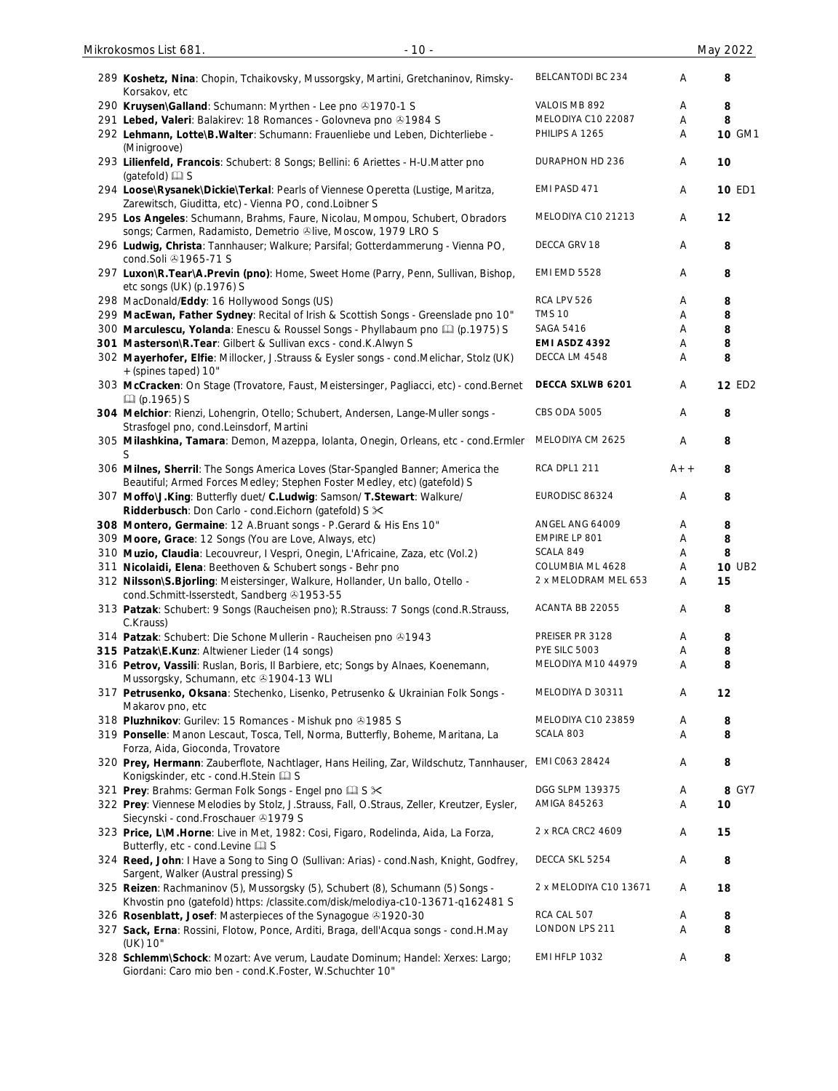| 289 Koshetz, Nina: Chopin, Tchaikovsky, Mussorgsky, Martini, Gretchaninov, Rimsky-<br>Korsakov, etc                                                               | BELCANTODI BC 234      | Α      | 8             |
|-------------------------------------------------------------------------------------------------------------------------------------------------------------------|------------------------|--------|---------------|
| 290 Kruysen\Galland: Schumann: Myrthen - Lee pno @1970-1 S                                                                                                        | VALOIS MB 892          | Α      | 8             |
| 291 Lebed, Valeri: Balakirev: 18 Romances - Golovneva pno 01984 S                                                                                                 | MELODIYA C10 22087     | Α      | 8             |
| 292 Lehmann, Lotte\B. Walter: Schumann: Frauenliebe und Leben, Dichterliebe -<br>(Minigroove)                                                                     | PHILIPS A 1265         | Α      | 10 GM1        |
| 293 Lilienfeld, Francois: Schubert: 8 Songs; Bellini: 6 Ariettes - H-U.Matter pno<br>(gatefold) <b>I</b> S                                                        | DURAPHON HD 236        | Α      | 10            |
| 294 Loose\Rysanek\Dickie\Terkal: Pearls of Viennese Operetta (Lustige, Maritza,<br>Zarewitsch, Giuditta, etc) - Vienna PO, cond.Loibner S                         | EMI PASD 471           | A      | <b>10 ED1</b> |
| 295 Los Angeles: Schumann, Brahms, Faure, Nicolau, Mompou, Schubert, Obradors<br>songs; Carmen, Radamisto, Demetrio ®live, Moscow, 1979 LRO S                     | MELODIYA C10 21213     | Α      | 12            |
| 296 Ludwig, Christa: Tannhauser; Walkure; Parsifal; Gotterdammerung - Vienna PO,<br>cond.Soli 491965-71 S                                                         | DECCA GRV 18           | Α      | 8             |
| 297 Luxon\R.Tear\A.Previn (pno): Home, Sweet Home (Parry, Penn, Sullivan, Bishop,                                                                                 | <b>EMI EMD 5528</b>    | Α      | 8             |
| etc songs (UK) (p.1976) S<br>298 MacDonald/Eddy: 16 Hollywood Songs (US)                                                                                          | RCA LPV 526            | Α      | 8             |
| 299 MacEwan, Father Sydney: Recital of Irish & Scottish Songs - Greenslade pno 10"                                                                                | <b>TMS 10</b>          | Α      | 8             |
| 300 Marculescu, Yolanda: Enescu & Roussel Songs - Phyllabaum pno [1] (p.1975) S                                                                                   | <b>SAGA 5416</b>       | Α      | 8             |
| 301 Masterson\R.Tear: Gilbert & Sullivan excs - cond.K.Alwyn S                                                                                                    | EMI ASDZ 4392          | Α      | 8             |
| 302 Mayerhofer, Elfie: Millocker, J.Strauss & Eysler songs - cond.Melichar, Stolz (UK)                                                                            | DECCA LM 4548          | Α      | 8             |
| +(spines taped) 10"                                                                                                                                               | DECCA SXLWB 6201       |        | <b>12 ED2</b> |
| 303 McCracken: On Stage (Trovatore, Faust, Meistersinger, Pagliacci, etc) - cond. Bernet<br><b>Q</b> (p.1965) S                                                   |                        | Α      |               |
| 304 Melchior: Rienzi, Lohengrin, Otello; Schubert, Andersen, Lange-Muller songs -<br>Strasfogel pno, cond.Leinsdorf, Martini                                      | CBS ODA 5005           | Α      | 8             |
| 305 Milashkina, Tamara: Demon, Mazeppa, Iolanta, Onegin, Orleans, etc - cond. Ermler                                                                              | MELODIYA CM 2625       | Α      | 8             |
| 306 Milnes, Sherril: The Songs America Loves (Star-Spangled Banner; America the<br>Beautiful; Armed Forces Medley; Stephen Foster Medley, etc) (gatefold) S       | <b>RCA DPL1 211</b>    | $A++$  | 8             |
| 307 Moffo\J.King: Butterfly duet/ C.Ludwig: Samson/ T.Stewart: Walkure/<br>Ridderbusch: Don Carlo - cond. Eichorn (gatefold) S $\times$                           | EURODISC 86324         | Α      | 8             |
| 308 Montero, Germaine: 12 A.Bruant songs - P.Gerard & His Ens 10"                                                                                                 | ANGEL ANG 64009        | Α      | 8             |
| 309 Moore, Grace: 12 Songs (You are Love, Always, etc)                                                                                                            | EMPIRE LP 801          | A      | 8             |
| 310 Muzio, Claudia: Lecouvreur, I Vespri, Onegin, L'Africaine, Zaza, etc (Vol.2)                                                                                  | SCALA 849              | Α      | 8             |
| 311 Nicolaidi, Elena: Beethoven & Schubert songs - Behr pno                                                                                                       | COLUMBIA ML 4628       | Α      | <b>10 UB2</b> |
| 312 Nilsson\S.Bjorling: Meistersinger, Walkure, Hollander, Un ballo, Otello -<br>cond.Schmitt-Isserstedt, Sandberg & 1953-55                                      | 2 x MELODRAM MEL 653   | Α      | 15            |
| 313 Patzak: Schubert: 9 Songs (Raucheisen pno); R.Strauss: 7 Songs (cond.R.Strauss,<br>C.Krauss)                                                                  | ACANTA BB 22055        | Α      | 8             |
| 314 Patzak: Schubert: Die Schone Mullerin - Raucheisen pno 31943                                                                                                  | PREISER PR 3128        | Α      | 8             |
| 315 Patzak\E.Kunz: Altwiener Lieder (14 songs)                                                                                                                    | PYE SILC 5003          | Α      | 8             |
| 316 Petrov, Vassili: Ruslan, Boris, Il Barbiere, etc; Songs by Alnaes, Koenemann,<br>Mussorgsky, Schumann, etc 31904-13 WLI                                       | MELODIYA M10 44979     | Α      | 8             |
| 317 Petrusenko, Oksana: Stechenko, Lisenko, Petrusenko & Ukrainian Folk Songs -<br>Makarov pno, etc                                                               | MELODIYA D 30311       | Α      | 12            |
| 318 Pluzhnikov: Gurilev: 15 Romances - Mishuk pno 21985 S                                                                                                         | MELODIYA C10 23859     | Α      | 8             |
| 319 Ponselle: Manon Lescaut, Tosca, Tell, Norma, Butterfly, Boheme, Maritana, La<br>Forza, Aida, Gioconda, Trovatore                                              | SCALA 803              | Α      | 8             |
| 320 Prey, Hermann: Zauberflote, Nachtlager, Hans Heiling, Zar, Wildschutz, Tannhauser,                                                                            | EMI C063 28424         | A      | 8             |
| Konigskinder, etc - cond.H.Stein La S                                                                                                                             | DGG SLPM 139375        |        |               |
| 321 Prey: Brahms: German Folk Songs - Engel pno La S $\times$<br>322 Prey: Viennese Melodies by Stolz, J.Strauss, Fall, O.Straus, Zeller, Kreutzer, Eysler,       | AMIGA 845263           | A<br>Α | 8 GY7<br>10   |
| Siecynski - cond.Froschauer 21979 S<br>323 Price, L\M.Horne: Live in Met, 1982: Cosi, Figaro, Rodelinda, Aida, La Forza,                                          | 2 x RCA CRC2 4609      | Α      | 15            |
| Butterfly, etc - cond. Levine Q S<br>324 Reed, John: I Have a Song to Sing O (Sullivan: Arias) - cond. Nash, Knight, Godfrey,                                     | DECCA SKL 5254         | Α      | 8             |
| Sargent, Walker (Austral pressing) S                                                                                                                              |                        |        |               |
| 325 Reizen: Rachmaninov (5), Mussorgsky (5), Schubert (8), Schumann (5) Songs -<br>Khvostin pno (gatefold) https: /classite.com/disk/melodiya-c10-13671-q162481 S | 2 x MELODIYA C10 13671 | A      | 18            |
| 326 Rosenblatt, Josef: Masterpieces of the Synagogue 81920-30                                                                                                     | RCA CAL 507            | A      | 8             |
| 327 Sack, Erna: Rossini, Flotow, Ponce, Arditi, Braga, dell'Acqua songs - cond.H.May                                                                              | LONDON LPS 211         | Α      | 8             |
| (UK) 10"                                                                                                                                                          |                        |        |               |
| 328 Schlemm\Schock: Mozart: Ave verum, Laudate Dominum; Handel: Xerxes: Largo;<br>Giordani: Caro mio ben - cond.K.Foster, W.Schuchter 10"                         | EMI HFLP 1032          | A      | 8             |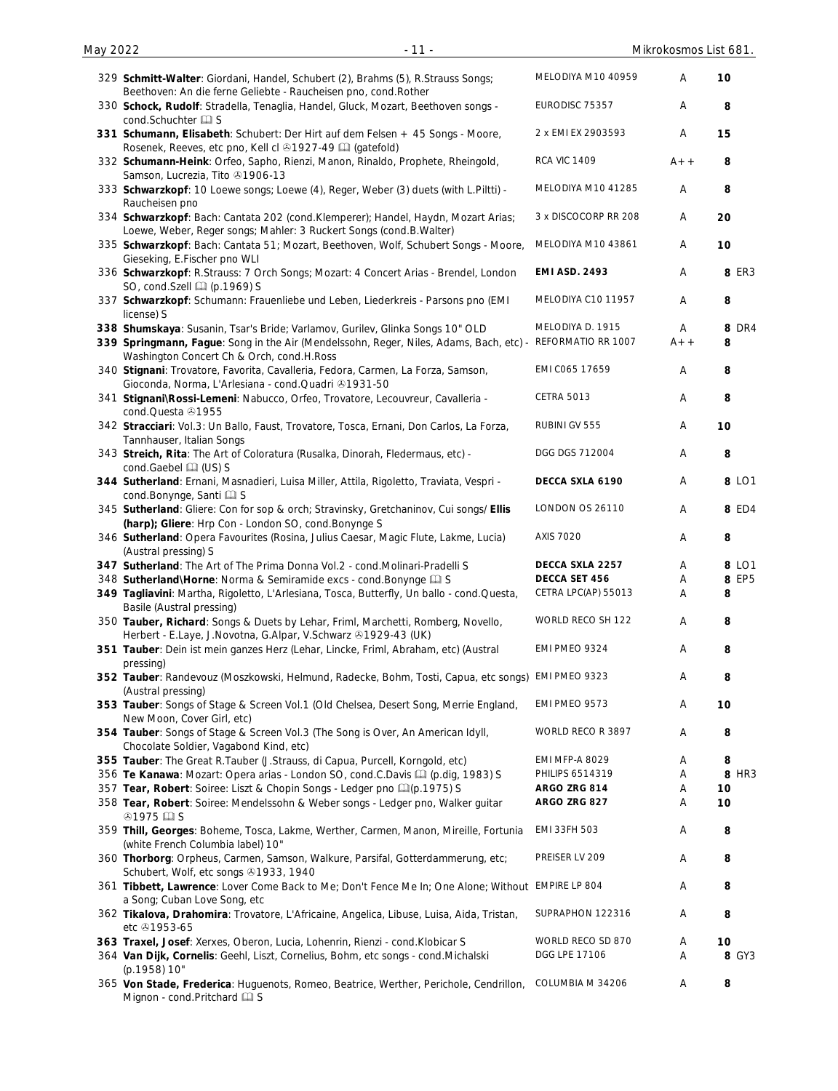| May 2022 | $-11-$                                                                                                                                                                                                                                  |                                    | Mikrokosmos List 681. |                   |
|----------|-----------------------------------------------------------------------------------------------------------------------------------------------------------------------------------------------------------------------------------------|------------------------------------|-----------------------|-------------------|
|          | 329 Schmitt-Walter: Giordani, Handel, Schubert (2), Brahms (5), R.Strauss Songs;<br>Beethoven: An die ferne Geliebte - Raucheisen pno, cond. Rother                                                                                     | MELODIYA M10 40959                 | A                     | 10                |
|          | 330 Schock, Rudolf: Stradella, Tenaglia, Handel, Gluck, Mozart, Beethoven songs -<br>cond.Schuchter La S                                                                                                                                | EURODISC 75357                     | Α                     | 8                 |
|          | 331 Schumann, Elisabeth: Schubert: Der Hirt auf dem Felsen + 45 Songs - Moore,<br>Rosenek, Reeves, etc pno, Kell cl +1927-49 [1] (gatefold)                                                                                             | 2 x EMI EX 2903593                 | Α                     | 15                |
|          | 332 Schumann-Heink: Orfeo, Sapho, Rienzi, Manon, Rinaldo, Prophete, Rheingold,<br>Samson, Lucrezia, Tito 21906-13                                                                                                                       | <b>RCA VIC 1409</b>                | $A++$                 | 8                 |
|          | 333 Schwarzkopf: 10 Loewe songs; Loewe (4), Reger, Weber (3) duets (with L.Piltti) -<br>Raucheisen pno                                                                                                                                  | MELODIYA M10 41285                 | Α                     | 8                 |
|          | 334 Schwarzkopf: Bach: Cantata 202 (cond.Klemperer); Handel, Haydn, Mozart Arias;<br>Loewe, Weber, Reger songs; Mahler: 3 Ruckert Songs (cond.B.Walter)                                                                                 | 3 x DISCOCORP RR 208               | Α                     | 20                |
|          | 335 Schwarzkopf: Bach: Cantata 51; Mozart, Beethoven, Wolf, Schubert Songs - Moore,<br>Gieseking, E.Fischer pno WLI                                                                                                                     | MELODIYA M10 43861                 | Α                     | 10                |
|          | 336 Schwarzkopf: R.Strauss: 7 Orch Songs; Mozart: 4 Concert Arias - Brendel, London<br>SO, cond.Szell [1] (p.1969) S                                                                                                                    | <b>EMI ASD. 2493</b>               | Α                     | <b>8 ER3</b>      |
|          | 337 Schwarzkopf: Schumann: Frauenliebe und Leben, Liederkreis - Parsons pno (EMI<br>license) S                                                                                                                                          | MELODIYA C10 11957                 | Α                     | 8                 |
|          | 338 Shumskaya: Susanin, Tsar's Bride; Varlamov, Gurilev, Glinka Songs 10" OLD<br>339 Springmann, Fague: Song in the Air (Mendelssohn, Reger, Niles, Adams, Bach, etc) - REFORMATIO RR 1007<br>Washington Concert Ch & Orch, cond.H.Ross | MELODIYA D. 1915                   | Α<br>$A++$            | <b>8 DR4</b><br>8 |
|          | 340 Stignani: Trovatore, Favorita, Cavalleria, Fedora, Carmen, La Forza, Samson,<br>Gioconda, Norma, L'Arlesiana - cond.Quadri +1931-50                                                                                                 | EMI C065 17659                     | Α                     | 8                 |
|          | 341 Stignani\Rossi-Lemeni: Nabucco, Orfeo, Trovatore, Lecouvreur, Cavalleria -<br>cond.Questa 31955                                                                                                                                     | <b>CETRA 5013</b>                  | Α                     | 8                 |
|          | 342 Stracciari: Vol.3: Un Ballo, Faust, Trovatore, Tosca, Ernani, Don Carlos, La Forza,<br>Tannhauser, Italian Songs                                                                                                                    | RUBINI GV 555                      | Α                     | 10                |
|          | 343 Streich, Rita: The Art of Coloratura (Rusalka, Dinorah, Fledermaus, etc) -<br>cond.Gaebel (US) S                                                                                                                                    | DGG DGS 712004                     | Α                     | 8                 |
|          | 344 Sutherland: Ernani, Masnadieri, Luisa Miller, Attila, Rigoletto, Traviata, Vespri -<br>cond.Bonynge, Santi [1] S                                                                                                                    | DECCA SXLA 6190<br>LONDON OS 26110 | Α                     | 8 LO1             |
|          | 345 Sutherland: Gliere: Con for sop & orch; Stravinsky, Gretchaninov, Cui songs/ Ellis<br>(harp); Gliere: Hrp Con - London SO, cond.Bonynge S                                                                                           | <b>AXIS 7020</b>                   | Α                     | 8 ED4             |
|          | 346 Sutherland: Opera Favourites (Rosina, Julius Caesar, Magic Flute, Lakme, Lucia)<br>(Austral pressing) S                                                                                                                             | DECCA SXLA 2257                    | Α                     | 8                 |
|          | 347 Sutherland: The Art of The Prima Donna Vol.2 - cond. Molinari-Pradelli S<br>348 Sutherland\Horne: Norma & Semiramide excs - cond. Bonynge La S                                                                                      | DECCA SET 456                      | Α<br>Α                | 8 LO1<br>8 EP5    |
|          | 349 Tagliavini: Martha, Rigoletto, L'Arlesiana, Tosca, Butterfly, Un ballo - cond.Questa,<br>Basile (Austral pressing)                                                                                                                  | CETRA LPC(AP) 55013                | A                     | 8                 |
|          | 350 Tauber, Richard: Songs & Duets by Lehar, Friml, Marchetti, Romberg, Novello,<br>Herbert - E.Laye, J.Novotna, G.Alpar, V.Schwarz 31929-43 (UK)                                                                                       | WORLD RECO SH 122                  | Α                     | 8                 |
|          | 351 Tauber: Dein ist mein ganzes Herz (Lehar, Lincke, Friml, Abraham, etc) (Austral<br>pressing)                                                                                                                                        | EMI PMEO 9324                      | Α                     | 8                 |
|          | 352 Tauber: Randevouz (Moszkowski, Helmund, Radecke, Bohm, Tosti, Capua, etc songs)<br>(Austral pressing)                                                                                                                               | EMI PMEO 9323                      | Α                     | 8                 |
|          | 353 Tauber: Songs of Stage & Screen Vol.1 (Old Chelsea, Desert Song, Merrie England,<br>New Moon, Cover Girl, etc)                                                                                                                      | EMI PMEO 9573                      | Α                     | 10                |
|          | 354 Tauber: Songs of Stage & Screen Vol.3 (The Song is Over, An American Idyll,<br>Chocolate Soldier, Vagabond Kind, etc)                                                                                                               | WORLD RECO R 3897                  | Α                     | 8                 |
|          | 355 Tauber: The Great R.Tauber (J.Strauss, di Capua, Purcell, Korngold, etc)                                                                                                                                                            | EMI MFP-A 8029                     | Α                     | 8                 |
|          | 356 Te Kanawa: Mozart: Opera arias - London SO, cond.C.Davis Q (p.dig, 1983) S                                                                                                                                                          | PHILIPS 6514319                    | Α                     | 8 HR3             |
|          | 357 Tear, Robert: Soiree: Liszt & Chopin Songs - Ledger pno [1](p.1975) S<br>358 Tear, Robert: Soiree: Mendelssohn & Weber songs - Ledger pno, Walker guitar<br><b>41975 国S</b>                                                         | ARGO ZRG 814<br>ARGO ZRG 827       | Α<br>Α                | 10<br>10          |
|          | 359 Thill, Georges: Boheme, Tosca, Lakme, Werther, Carmen, Manon, Mireille, Fortunia<br>(white French Columbia label) 10"                                                                                                               | EMI 33FH 503                       | Α                     | 8                 |
|          | 360 Thorborg: Orpheus, Carmen, Samson, Walkure, Parsifal, Gotterdammerung, etc;<br>Schubert, Wolf, etc songs 31933, 1940                                                                                                                | PREISER LV 209                     | Α                     | 8                 |
|          | 361 Tibbett, Lawrence: Lover Come Back to Me; Don't Fence Me In; One Alone; Without EMPIRE LP 804<br>a Song; Cuban Love Song, etc                                                                                                       |                                    | Α                     | 8                 |
|          | 362 Tikalova, Drahomira: Trovatore, L'Africaine, Angelica, Libuse, Luisa, Aida, Tristan,<br>etc 41953-65                                                                                                                                | SUPRAPHON 122316                   | Α                     | 8                 |
|          | 363 Traxel, Josef: Xerxes, Oberon, Lucia, Lohenrin, Rienzi - cond.Klobicar S                                                                                                                                                            | WORLD RECO SD 870                  | Α                     | 10                |
|          | 364 Van Dijk, Cornelis: Geehl, Liszt, Cornelius, Bohm, etc songs - cond. Michalski<br>(p.1958) 10"                                                                                                                                      | DGG LPE 17106                      | Α                     | 8 GY3             |
|          | 365 Von Stade, Frederica: Huguenots, Romeo, Beatrice, Werther, Perichole, Cendrillon,<br>Mignon - cond. Pritchard La S                                                                                                                  | COLUMBIA M 34206                   | Α                     | 8                 |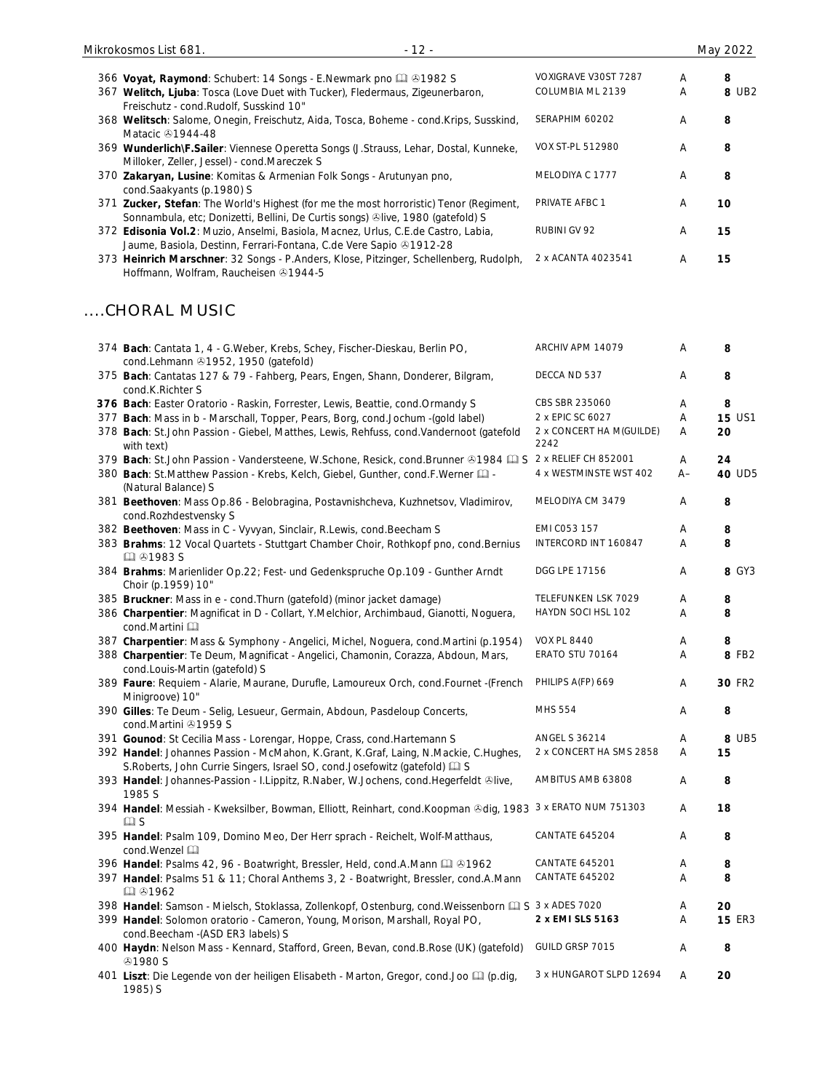| 366 Voyat, Raymond: Schubert: 14 Songs - E.Newmark pno & 01982 S<br>367 Welitch, Ljuba: Tosca (Love Duet with Tucker), Fledermaus, Zigeunerbaron,                        | VOXIGRAVE V30ST 7287<br>COLUMBIA ML 2139 | Α<br>Α | 8<br>8 UB2    |
|--------------------------------------------------------------------------------------------------------------------------------------------------------------------------|------------------------------------------|--------|---------------|
| Freischutz - cond.Rudolf, Susskind 10"<br>368 Welitsch: Salome, Onegin, Freischutz, Aida, Tosca, Boheme - cond.Krips, Susskind,<br>Matacic <b>31944-48</b>               | SERAPHIM 60202                           | Α      | 8             |
| 369 Wunderlich\F.Sailer: Viennese Operetta Songs (J.Strauss, Lehar, Dostal, Kunneke,<br>Milloker, Zeller, Jessel) - cond.Mareczek S                                      | VOX ST-PL 512980                         | Α      | 8             |
| 370 Zakaryan, Lusine: Komitas & Armenian Folk Songs - Arutunyan pno,<br>cond.Saakyants (p.1980) S                                                                        | MELODIYA C 1777                          | Α      | 8             |
| 371 Zucker, Stefan: The World's Highest (for me the most horroristic) Tenor (Regiment,<br>Sonnambula, etc; Donizetti, Bellini, De Curtis songs) @live, 1980 (gatefold) S | PRIVATE AFBC 1                           | Α      | 10            |
| 372 Edisonia Vol.2: Muzio, Anselmi, Basiola, Macnez, Urlus, C.E.de Castro, Labia,<br>Jaume, Basiola, Destinn, Ferrari-Fontana, C.de Vere Sapio & 1912-28                 | RUBINI GV 92                             | Α      | 15            |
| 373 Heinrich Marschner: 32 Songs - P.Anders, Klose, Pitzinger, Schellenberg, Rudolph,<br>Hoffmann, Wolfram, Raucheisen 31944-5                                           | 2 x ACANTA 4023541                       | Α      | 15            |
| CHORAL MUSIC                                                                                                                                                             |                                          |        |               |
| 374 Bach: Cantata 1, 4 - G. Weber, Krebs, Schey, Fischer-Dieskau, Berlin PO,<br>cond.Lehmann 21952, 1950 (gatefold)                                                      | ARCHIV APM 14079                         | Α      | 8             |
| 375 Bach: Cantatas 127 & 79 - Fahberg, Pears, Engen, Shann, Donderer, Bilgram,<br>cond.K.Richter S                                                                       | DECCA ND 537                             | A      | 8             |
| 376 Bach: Easter Oratorio - Raskin, Forrester, Lewis, Beattie, cond.Ormandy S                                                                                            | CBS SBR 235060                           | Α      | 8             |
| 377 Bach: Mass in b - Marschall, Topper, Pears, Borg, cond.Jochum -(gold label)                                                                                          | 2 x EPIC SC 6027                         | A      | <b>15 US1</b> |
| 378 Bach: St.John Passion - Giebel, Matthes, Lewis, Rehfuss, cond.Vandernoot (gatefold<br>with text)                                                                     | 2 x CONCERT HA M(GUILDE)<br>2242         | Α      | 20            |
| 379 Bach: St.John Passion - Vandersteene, W.Schone, Resick, cond.Brunner & 1984 [1] S                                                                                    | 2 x RELIEF CH 852001                     | A      | 24            |
| 380 Bach: St.Matthew Passion - Krebs, Kelch, Giebel, Gunther, cond.F.Werner [1] -<br>(Natural Balance) S                                                                 | 4 x WESTMINSTE WST 402                   | $A-$   | 40 UD5        |
| 381 Beethoven: Mass Op.86 - Belobragina, Postavnishcheva, Kuzhnetsov, Vladimirov,<br>cond.Rozhdestvensky S                                                               | MELODIYA CM 3479                         | Α      | 8             |
| 382 Beethoven: Mass in C - Vyvyan, Sinclair, R.Lewis, cond.Beecham S                                                                                                     | EMI C053 157                             | Α      | 8             |
| 383 Brahms: 12 Vocal Quartets - Stuttgart Chamber Choir, Rothkopf pno, cond. Bernius<br>Q 31983 S                                                                        | INTERCORD INT 160847                     | Α      | 8             |
| 384 Brahms: Marienlider Op.22; Fest- und Gedenkspruche Op.109 - Gunther Arndt<br>Choir (p.1959) 10"                                                                      | DGG LPE 17156                            | Α      | 8 GY3         |
| 385 Bruckner: Mass in e - cond. Thurn (gatefold) (minor jacket damage)                                                                                                   | TELEFUNKEN LSK 7029                      | Α      | 8             |
| 386 Charpentier: Magnificat in D - Collart, Y.Melchior, Archimbaud, Gianotti, Noguera,<br>cond.Martini                                                                   | HAYDN SOCI HSL 102                       | Α      | 8             |
| 387 Charpentier: Mass & Symphony - Angelici, Michel, Noguera, cond. Martini (p.1954)                                                                                     | <b>VOX PL 8440</b>                       | Α      | 8             |
| 388 Charpentier: Te Deum, Magnificat - Angelici, Chamonin, Corazza, Abdoun, Mars,<br>cond.Louis-Martin (gatefold) S                                                      | ERATO STU 70164                          | Α      | 8 FB2         |
| 389 Faure: Requiem - Alarie, Maurane, Durufle, Lamoureux Orch, cond.Fournet -(French<br>Minigroove) 10"                                                                  | PHILIPS A(FP) 669                        | Α      | 30 FR2        |
| 390 Gilles: Te Deum - Selig, Lesueur, Germain, Abdoun, Pasdeloup Concerts,<br>cond.Martini 21959 S                                                                       | MHS 554                                  | Α      | 8             |
| 391 Gounod: St Cecilia Mass - Lorengar, Hoppe, Crass, cond. Hartemann S                                                                                                  | <b>ANGEL S 36214</b>                     | Α      | 8 UB5         |
| 392 Handel: Johannes Passion - McMahon, K.Grant, K.Graf, Laing, N.Mackie, C.Hughes,<br>S. Roberts, John Currie Singers, Israel SO, cond. Josefowitz (gatefold) [1] S     | 2 x CONCERT HA SMS 2858                  | Α      | 15            |
| 393 Handel: Johannes-Passion - I.Lippitz, R.Naber, W.Jochens, cond.Hegerfeldt ®live,<br>1985 S                                                                           | AMBITUS AMB 63808                        | Α      | 8             |
| 394 Handel: Messiah - Kweksilber, Bowman, Elliott, Reinhart, cond. Koopman @dig, 1983 3 x ERATO NUM 751303<br>$\square$ S                                                |                                          | Α      | 18            |
| 395 Handel: Psalm 109, Domino Meo, Der Herr sprach - Reichelt, Wolf-Matthaus,<br>cond. Wenzel                                                                            | CANTATE 645204                           | Α      | 8             |
| 396 Handel: Psalms 42, 96 - Boatwright, Bressler, Held, cond.A.Mann [1] 31962                                                                                            | <b>CANTATE 645201</b>                    | A      | 8             |
| 397 Handel: Psalms 51 & 11; Choral Anthems 3, 2 - Boatwright, Bressler, cond.A.Mann<br>国 31962                                                                           | <b>CANTATE 645202</b>                    | Α      | 8             |
| 398 Handel: Samson - Mielsch, Stoklassa, Zollenkopf, Ostenburg, cond. Weissenborn [1] S 3 x ADES 7020                                                                    |                                          | Α      | 20            |
| 399 Handel: Solomon oratorio - Cameron, Young, Morison, Marshall, Royal PO,<br>cond.Beecham - (ASD ER3 labels) S                                                         | 2 x EMI SLS 5163                         | Α      | <b>15 ER3</b> |
| 400 Haydn: Nelson Mass - Kennard, Stafford, Green, Bevan, cond.B.Rose (UK) (gatefold)<br><b>⊕1980 S</b>                                                                  | GUILD GRSP 7015                          | Α      | 8             |
| 401 Liszt: Die Legende von der heiligen Elisabeth - Marton, Gregor, cond.Joo [1] (p.dig,<br>1985) S                                                                      | 3 x HUNGAROT SLPD 12694                  | A      | 20            |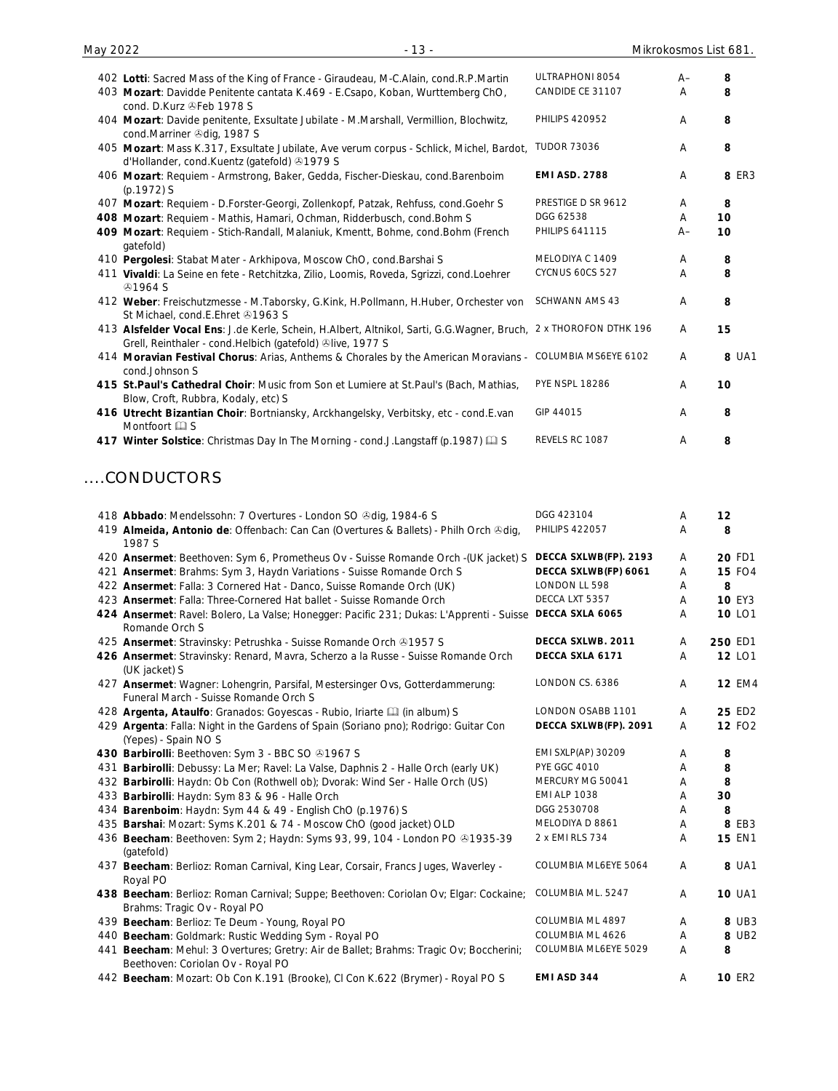| 402 Lotti: Sacred Mass of the King of France - Giraudeau, M-C.Alain, cond.R.P.Martin                                                                     | ULTRAPHONI 8054       | $A -$          | 8     |
|----------------------------------------------------------------------------------------------------------------------------------------------------------|-----------------------|----------------|-------|
| 403 Mozart: Davidde Penitente cantata K.469 - E.Csapo, Koban, Wurttemberg ChO,<br>cond. D.Kurz @Feb 1978 S                                               | CANDIDE CE 31107      | A              | 8     |
| 404 Mozart: Davide penitente, Exsultate Jubilate - M.Marshall, Vermillion, Blochwitz,<br>cond.Marriner @dig, 1987 S                                      | <b>PHILIPS 420952</b> | A              | 8     |
| 405 Mozart: Mass K.317, Exsultate Jubilate, Ave verum corpus - Schlick, Michel, Bardot,<br>d'Hollander, cond.Kuentz (gatefold) +1979 S                   | <b>TUDOR 73036</b>    | A              | 8     |
| 406 Mozart: Requiem - Armstrong, Baker, Gedda, Fischer-Dieskau, cond.Barenboim<br>(p.1972) S                                                             | <b>EMI ASD. 2788</b>  | Α              | 8 ER3 |
| 407 Mozart: Requiem - D.Forster-Georgi, Zollenkopf, Patzak, Rehfuss, cond.Goehr S                                                                        | PRESTIGE D SR 9612    | Α              | 8     |
| 408 Mozart: Requiem - Mathis, Hamari, Ochman, Ridderbusch, cond. Bohm S                                                                                  | DGG 62538             | A              | 10    |
| 409 Mozart: Requiem - Stich-Randall, Malaniuk, Kmentt, Bohme, cond. Bohm (French<br>gatefold)                                                            | <b>PHILIPS 641115</b> | $A-$           | 10    |
| 410 Pergolesi: Stabat Mater - Arkhipova, Moscow ChO, cond. Barshai S                                                                                     | MELODIYA C 1409       | A              | 8     |
| 411 Vivaldi: La Seine en fete - Retchitzka, Zilio, Loomis, Roveda, Sgrizzi, cond.Loehrer<br><b>@1964 S</b>                                               | CYCNUS 60CS 527       | A              | 8     |
| 412 Weber: Freischutzmesse - M.Taborsky, G.Kink, H.Pollmann, H.Huber, Orchester von<br>St Michael, cond.E.Ehret 21963 S                                  | <b>SCHWANN AMS 43</b> | A              | 8     |
| 413 Alsfelder Vocal Ens: J.de Kerle, Schein, H.Albert, Altnikol, Sarti, G.G.Wagner, Bruch,<br>Grell, Reinthaler - cond. Helbich (gatefold) Olive, 1977 S | 2 x THOROFON DTHK 196 | A              | 15    |
| 414 Moravian Festival Chorus: Arias, Anthems & Chorales by the American Moravians - COLUMBIA MS6EYE 6102<br>cond.Johnson S                               |                       | Α              | 8 UA1 |
| 415 St.Paul's Cathedral Choir: Music from Son et Lumiere at St.Paul's (Bach, Mathias,<br>Blow, Croft, Rubbra, Kodaly, etc) S                             | <b>PYE NSPL 18286</b> | A              | 10    |
| 416 Utrecht Bizantian Choir: Bortniansky, Arckhangelsky, Verbitsky, etc - cond.E.van<br>Montfoort <b>Q</b> S                                             | GIP 44015             | $\overline{A}$ | 8     |
| 417 Winter Solstice: Christmas Day In The Morning - cond.J.Langstaff (p.1987) Q S                                                                        | REVELS RC 1087        | Α              | 8     |
| CONDUCTORS                                                                                                                                               |                       |                |       |
| 418 Abbado: Mendelssohn: 7 Overtures - London SO & dig, 1984-6 S                                                                                         | DGG 423104            | A              | 12    |

| 419 Almeida, Antonio de: Offenbach: Can Can (Overtures & Ballets) - Philh Orch &dig,<br>1987 S                              | <b>PHILIPS 422057</b>     | Α | 8             |
|-----------------------------------------------------------------------------------------------------------------------------|---------------------------|---|---------------|
| 420 Ansermet: Beethoven: Sym 6, Prometheus Ov - Suisse Romande Orch -(UK jacket) S                                          | DECCA SXLWB(FP). 2193     | A | 20 FD1        |
| 421 Ansermet: Brahms: Sym 3, Haydn Variations - Suisse Romande Orch S                                                       | DECCA SXLWB(FP) 6061      | Α | <b>15 FO4</b> |
| 422 Ansermet: Falla: 3 Cornered Hat - Danco, Suisse Romande Orch (UK)                                                       | LONDON LL 598             | Α | 8             |
| 423 Ansermet: Falla: Three-Cornered Hat ballet - Suisse Romande Orch                                                        | DECCA LXT 5357            | Α | <b>10 EY3</b> |
| 424 Ansermet: Ravel: Bolero, La Valse; Honegger: Pacific 231; Dukas: L'Apprenti - Suisse DECCA SXLA 6065<br>Romande Orch S  |                           | Α | 10 LO1        |
| 425 Ansermet: Stravinsky: Petrushka - Suisse Romande Orch @1957 S                                                           | DECCA SXLWB. 2011         | Α | 250 ED1       |
| 426 Ansermet: Stravinsky: Renard, Mavra, Scherzo a la Russe - Suisse Romande Orch<br>(UK jacket) S                          | DECCA SXLA 6171           | A | 12 LO1        |
| 427 Ansermet: Wagner: Lohengrin, Parsifal, Mestersinger Ovs, Gotterdammerung:<br>Funeral March - Suisse Romande Orch S      | LONDON CS. 6386           | A | <b>12 EM4</b> |
| 428 Argenta, Ataulfo: Granados: Goyescas - Rubio, Iriarte [1] (in album) S                                                  | LONDON OSABB 1101         | A | 25 ED2        |
| 429 Argenta: Falla: Night in the Gardens of Spain (Soriano pno); Rodrigo: Guitar Con<br>(Yepes) - Spain NO S                | DECCA SXLWB(FP). 2091     | A | <b>12 FO2</b> |
| 430 Barbirolli: Beethoven: Sym 3 - BBC SO 31967 S                                                                           | <b>EMI SXLP(AP) 30209</b> | Α | 8             |
| 431 Barbirolli: Debussy: La Mer; Ravel: La Valse, Daphnis 2 - Halle Orch (early UK)                                         | <b>PYE GGC 4010</b>       | Α | 8             |
| 432 Barbirolli: Haydn: Ob Con (Rothwell ob); Dvorak: Wind Ser - Halle Orch (US)                                             | MERCURY MG 50041          | Α | 8             |
| 433 Barbirolli: Haydn: Sym 83 & 96 - Halle Orch                                                                             | <b>EMI ALP 1038</b>       | Α | 30            |
| 434 Barenboim: Haydn: Sym 44 & 49 - English ChO (p.1976) S                                                                  | DGG 2530708               | Α | 8             |
| 435 Barshai: Mozart: Syms K.201 & 74 - Moscow ChO (good jacket) OLD                                                         | MELODIYA D 8861           | Α | 8 EB3         |
| 436 Beecham: Beethoven: Sym 2; Haydn: Syms 93, 99, 104 - London PO & 1935-39<br>(gatefold)                                  | 2 x EMI RLS 734           | Α | <b>15 EN1</b> |
| 437 Beecham: Berlioz: Roman Carnival, King Lear, Corsair, Francs Juges, Waverley -<br>Royal PO                              | COLUMBIA ML6EYE 5064      | Α | 8 UA1         |
| 438 Beecham: Berlioz: Roman Carnival; Suppe; Beethoven: Coriolan Ov; Elgar: Cockaine;<br>Brahms: Tragic Ov - Royal PO       | COLUMBIA ML. 5247         | A | <b>10 UA1</b> |
| 439 Beecham: Berlioz: Te Deum - Young, Royal PO                                                                             | COLUMBIA ML 4897          | A | 8 UB3         |
| 440 Beecham: Goldmark: Rustic Wedding Sym - Royal PO                                                                        | COLUMBIA ML 4626          | Α | 8 UB2         |
| 441 Beecham: Mehul: 3 Overtures; Gretry: Air de Ballet; Brahms: Tragic Ov; Boccherini;<br>Beethoven: Coriolan Ov - Royal PO | COLUMBIA ML6EYE 5029      | Α | 8             |
| 442 Beecham: Mozart: Ob Con K.191 (Brooke), CI Con K.622 (Brymer) - Royal PO S                                              | EMI ASD 344               | A | <b>10 ER2</b> |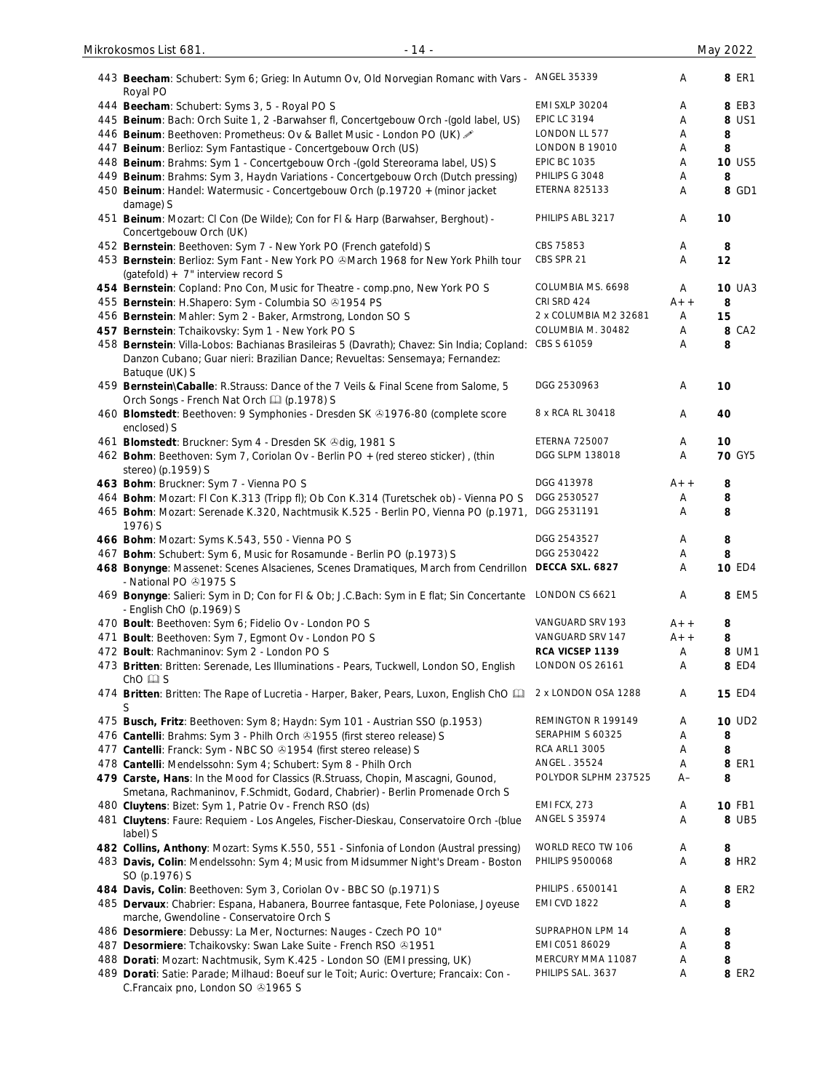| 443 Beecham: Schubert: Sym 6; Grieg: In Autumn Ov, Old Norvegian Romanc with Vars - ANGEL 35339                                                                  |                        | Α     | 8 ER1              |
|------------------------------------------------------------------------------------------------------------------------------------------------------------------|------------------------|-------|--------------------|
| Royal PO<br>444 Beecham: Schubert: Syms 3, 5 - Royal PO S                                                                                                        | <b>EMI SXLP 30204</b>  | Α     | 8 EB3              |
| 445 Beinum: Bach: Orch Suite 1, 2 - Barwahser fl, Concertgebouw Orch - (gold label, US)                                                                          | <b>EPIC LC 3194</b>    | Α     | 8 US1              |
| 446 Beinum: Beethoven: Prometheus: Ov & Ballet Music - London PO (UK)                                                                                            | LONDON LL 577          |       |                    |
|                                                                                                                                                                  | LONDON B 19010         | Α     | 8<br>8             |
| 447 Beinum: Berlioz: Sym Fantastique - Concertgebouw Orch (US)                                                                                                   | <b>EPIC BC 1035</b>    | Α     |                    |
| 448 Beinum: Brahms: Sym 1 - Concertgebouw Orch -(gold Stereorama label, US) S                                                                                    |                        | Α     | 10 US5             |
| 449 Beinum: Brahms: Sym 3, Haydn Variations - Concertgebouw Orch (Dutch pressing)                                                                                | PHILIPS G 3048         | Α     | 8                  |
| 450 Beinum: Handel: Watermusic - Concertgebouw Orch (p.19720 + (minor jacket<br>damage) S                                                                        | ETERNA 825133          | Α     | 8 GD1              |
| 451 Beinum: Mozart: CI Con (De Wilde); Con for FI & Harp (Barwahser, Berghout) -<br>Concertgebouw Orch (UK)                                                      | PHILIPS ABL 3217       | Α     | 10                 |
| 452 Bernstein: Beethoven: Sym 7 - New York PO (French gatefold) S                                                                                                | CBS 75853              | Α     | 8                  |
| 453 Bernstein: Berlioz: Sym Fant - New York PO & March 1968 for New York Philh tour                                                                              | CBS SPR 21             | Α     | 12                 |
| (gatefold) + 7" interview record S                                                                                                                               |                        |       |                    |
| 454 Bernstein: Copland: Pno Con, Music for Theatre - comp.pno, New York PO S                                                                                     | COLUMBIA MS. 6698      | Α     | <b>10 UA3</b>      |
| 455 Bernstein: H.Shapero: Sym - Columbia SO @1954 PS                                                                                                             | CRI SRD 424            | $A++$ | 8                  |
| 456 Bernstein: Mahler: Sym 2 - Baker, Armstrong, London SO S                                                                                                     | 2 x COLUMBIA M2 32681  | Α     | 15                 |
| 457 Bernstein: Tchaikovsky: Sym 1 - New York PO S                                                                                                                | COLUMBIA M. 30482      | Α     | 8 CA2              |
| 458 Bernstein: Villa-Lobos: Bachianas Brasileiras 5 (Davrath); Chavez: Sin India; Copland:                                                                       | CBS S 61059            | Α     | 8                  |
| Danzon Cubano; Guar nieri: Brazilian Dance; Revueltas: Sensemaya; Fernandez:<br>Batuque (UK) S                                                                   |                        |       |                    |
| 459 Bernstein\Caballe: R.Strauss: Dance of the 7 Veils & Final Scene from Salome, 5<br>Orch Songs - French Nat Orch [1] (p.1978) S                               | DGG 2530963            | Α     | 10                 |
| 460 Blomstedt: Beethoven: 9 Symphonies - Dresden SK +1976-80 (complete score<br>enclosed) S                                                                      | 8 x RCA RL 30418       | Α     | 40                 |
| 461 Blomstedt: Bruckner: Sym 4 - Dresden SK @dig, 1981 S                                                                                                         | <b>ETERNA 725007</b>   | Α     | 10                 |
| 462 Bohm: Beethoven: Sym 7, Coriolan Ov - Berlin PO + (red stereo sticker), (thin                                                                                | DGG SLPM 138018        | Α     | <b>70 GY5</b>      |
| stereo) (p.1959) S                                                                                                                                               |                        |       |                    |
| 463 Bohm: Bruckner: Sym 7 - Vienna PO S                                                                                                                          | DGG 413978             | $A++$ | 8                  |
| 464 Bohm: Mozart: FI Con K.313 (Tripp fl); Ob Con K.314 (Turetschek ob) - Vienna PO S                                                                            | DGG 2530527            | Α     | 8                  |
| 465 Bohm: Mozart: Serenade K.320, Nachtmusik K.525 - Berlin PO, Vienna PO (p.1971,<br>1976) S                                                                    | DGG 2531191            | A     | 8                  |
| 466 Bohm: Mozart: Syms K.543, 550 - Vienna PO S                                                                                                                  | DGG 2543527            | Α     | 8                  |
| 467 Bohm: Schubert: Sym 6, Music for Rosamunde - Berlin PO (p.1973) S                                                                                            | DGG 2530422            | Α     | 8                  |
| 468 Bonynge: Massenet: Scenes Alsacienes, Scenes Dramatiques, March from Cendrillon<br>- National PO 21975 S                                                     | DECCA SXL. 6827        | Α     | <b>10 ED4</b>      |
| 469 Bonynge: Salieri: Sym in D; Con for FI & Ob; J.C.Bach: Sym in E flat; Sin Concertante LONDON CS 6621<br>- English ChO (p.1969) S                             |                        | A     | 8 EM5              |
| 470 Boult: Beethoven: Sym 6; Fidelio Ov - London PO S                                                                                                            | VANGUARD SRV 193       | A+ +  | 8                  |
| 471 Boult: Beethoven: Sym 7, Egmont Ov - London PO S                                                                                                             | VANGUARD SRV 147       | $A++$ | 8                  |
| 472 Boult: Rachmaninov: Sym 2 - London PO S                                                                                                                      | RCA VICSEP 1139        | Α     | 8 UM1              |
| 473 Britten: Britten: Serenade, Les Illuminations - Pears, Tuckwell, London SO, English<br>$ChO \nsubseteq S$                                                    | LONDON OS 26161        | Α     | 8 ED4              |
| 474 Britten: Britten: The Rape of Lucretia - Harper, Baker, Pears, Luxon, English ChO [11]                                                                       | 2 x LONDON OSA 1288    | Α     | <b>15 ED4</b>      |
| S                                                                                                                                                                | REMINGTON R 199149     | A     | 10 UD <sub>2</sub> |
| 475 Busch, Fritz: Beethoven: Sym 8; Haydn: Sym 101 - Austrian SSO (p.1953)                                                                                       | SERAPHIM S 60325       |       |                    |
| 476 Cantelli: Brahms: Sym 3 - Philh Orch 81955 (first stereo release) S                                                                                          |                        | Α     | 8                  |
| 477 Cantelli: Franck: Sym - NBC SO @1954 (first stereo release) S                                                                                                | <b>RCA ARL1 3005</b>   | Α     | 8                  |
| 478 Cantelli: Mendelssohn: Sym 4; Schubert: Sym 8 - Philh Orch                                                                                                   | ANGEL. 35524           | Α     | 8 ER1              |
| 479 Carste, Hans: In the Mood for Classics (R.Struass, Chopin, Mascagni, Gounod,<br>Smetana, Rachmaninov, F.Schmidt, Godard, Chabrier) - Berlin Promenade Orch S | POLYDOR SLPHM 237525   | $A-$  | 8                  |
| 480 Cluytens: Bizet: Sym 1, Patrie Ov - French RSO (ds)                                                                                                          | <b>EMI FCX, 273</b>    | Α     | 10 FB1             |
| 481 Cluytens: Faure: Requiem - Los Angeles, Fischer-Dieskau, Conservatoire Orch -(blue<br>label) S                                                               | ANGEL S 35974          | Α     | 8 UB5              |
| 482 Collins, Anthony: Mozart: Syms K.550, 551 - Sinfonia of London (Austral pressing)                                                                            | WORLD RECO TW 106      | Α     | 8                  |
| 483 Davis, Colin: Mendelssohn: Sym 4; Music from Midsummer Night's Dream - Boston<br>SO (p.1976) S                                                               | <b>PHILIPS 9500068</b> | Α     | 8 HR2              |
| 484 Davis, Colin: Beethoven: Sym 3, Coriolan Ov - BBC SO (p.1971) S                                                                                              | PHILIPS . 6500141      | Α     | 8 ER2              |
| 485 Dervaux: Chabrier: Espana, Habanera, Bourree fantasque, Fete Poloniase, Joyeuse<br>marche, Gwendoline - Conservatoire Orch S                                 | <b>EMI CVD 1822</b>    | A     | 8                  |
| 486 Desormiere: Debussy: La Mer, Nocturnes: Nauges - Czech PO 10"                                                                                                | SUPRAPHON LPM 14       | Α     | 8                  |
| 487 Desormiere: Tchaikovsky: Swan Lake Suite - French RSO @1951                                                                                                  | EMI C051 86029         | Α     | 8                  |
| 488 Dorati: Mozart: Nachtmusik, Sym K.425 - London SO (EMI pressing, UK)                                                                                         | MERCURY MMA 11087      | Α     | 8                  |
| 489 Dorati: Satie: Parade; Milhaud: Boeuf sur le Toit; Auric: Overture; Francaix: Con -<br>C.Francaix pno, London SO 31965 S                                     | PHILIPS SAL. 3637      | Α     | 8 ER2              |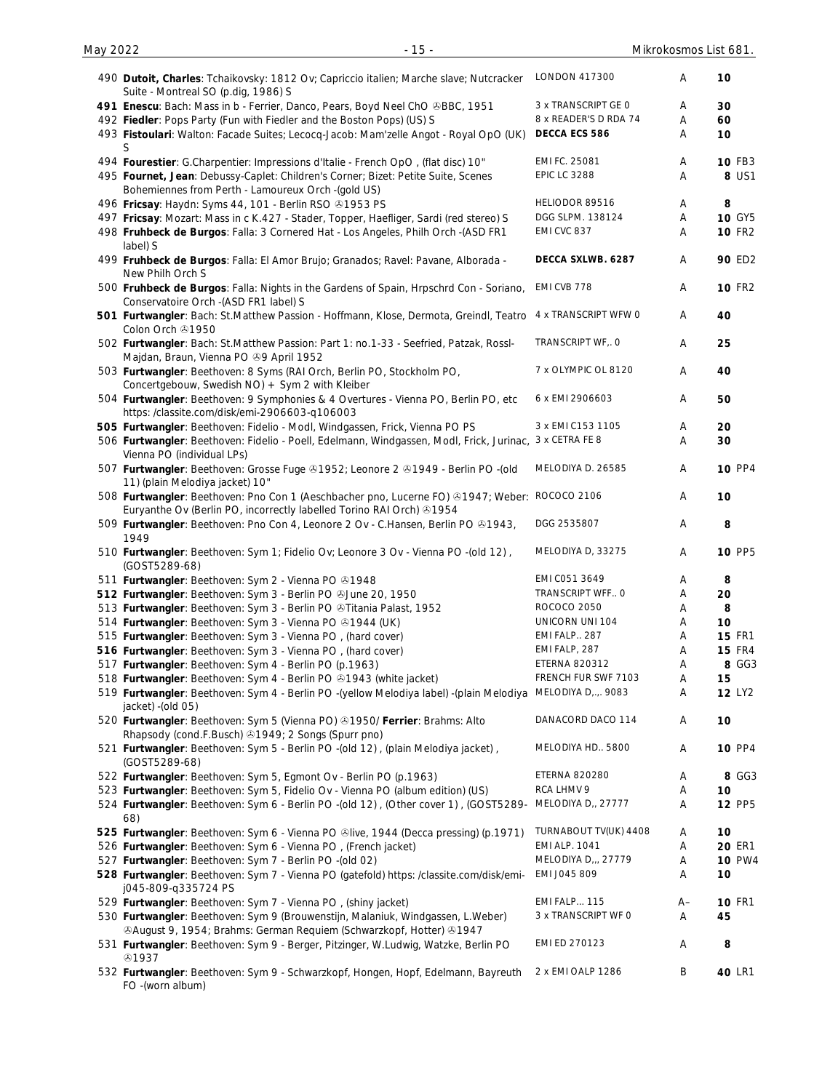|  | 490 Dutoit, Charles: Tchaikovsky: 1812 Ov; Capriccio italien; Marche slave; Nutcracker<br>Suite - Montreal SO (p.dig, 1986) S                                         | <b>LONDON 417300</b>  | A    | 10            |
|--|-----------------------------------------------------------------------------------------------------------------------------------------------------------------------|-----------------------|------|---------------|
|  | 491 Enescu: Bach: Mass in b - Ferrier, Danco, Pears, Boyd Neel ChO &BBC, 1951                                                                                         | 3 x TRANSCRIPT GE O   | Α    | 30            |
|  | 492 Fiedler: Pops Party (Fun with Fiedler and the Boston Pops) (US) S                                                                                                 | 8 x READER'S D RDA 74 | Α    | 60            |
|  | 493 Fistoulari: Walton: Facade Suites; Lecocq-Jacob: Mam'zelle Angot - Royal OpO (UK)<br>S                                                                            | DECCA ECS 586         | Α    | 10            |
|  | 494 Fourestier: G.Charpentier: Impressions d'Italie - French OpO, (flat disc) 10"                                                                                     | EMI FC. 25081         | Α    | <b>10 FB3</b> |
|  | 495 Fournet, Jean: Debussy-Caplet: Children's Corner; Bizet: Petite Suite, Scenes                                                                                     | <b>EPIC LC 3288</b>   | Α    | 8 US1         |
|  | Bohemiennes from Perth - Lamoureux Orch - (gold US)                                                                                                                   |                       |      |               |
|  | 496 Fricsay: Haydn: Syms 44, 101 - Berlin RSO @1953 PS                                                                                                                | HELIODOR 89516        | A    | 8             |
|  | 497 Fricsay: Mozart: Mass in c K.427 - Stader, Topper, Haefliger, Sardi (red stereo) S                                                                                | DGG SLPM. 138124      | Α    | <b>10 GY5</b> |
|  | 498 Fruhbeck de Burgos: Falla: 3 Cornered Hat - Los Angeles, Philh Orch -(ASD FR1<br>label) S                                                                         | EMI CVC 837           | Α    | <b>10 FR2</b> |
|  | 499 Fruhbeck de Burgos: Falla: El Amor Brujo; Granados; Ravel: Pavane, Alborada -<br>New Philh Orch S                                                                 | DECCA SXLWB. 6287     | Α    | <b>90 ED2</b> |
|  | 500 Fruhbeck de Burgos: Falla: Nights in the Gardens of Spain, Hrpschrd Con - Soriano,<br>Conservatoire Orch - (ASD FR1 label) S                                      | EMI CVB 778           | Α    | <b>10 FR2</b> |
|  | 501 Furtwangler: Bach: St.Matthew Passion - Hoffmann, Klose, Dermota, Greindl, Teatro<br>Colon Orch 21950                                                             | 4 x TRANSCRIPT WFW 0  | Α    | 40            |
|  | 502 Furtwangler: Bach: St.Matthew Passion: Part 1: no.1-33 - Seefried, Patzak, Rossl-                                                                                 | TRANSCRIPT WF, O      | Α    | 25            |
|  | Majdan, Braun, Vienna PO +9 April 1952<br>503 Furtwangler: Beethoven: 8 Syms (RAI Orch, Berlin PO, Stockholm PO,                                                      | 7 x OLYMPIC OL 8120   | Α    | 40            |
|  | Concertgebouw, Swedish NO) + Sym 2 with Kleiber<br>504 Furtwangler: Beethoven: 9 Symphonies & 4 Overtures - Vienna PO, Berlin PO, etc                                 | 6 x EMI 2906603       | Α    | 50            |
|  | https:/classite.com/disk/emi-2906603-q106003                                                                                                                          |                       |      |               |
|  | 505 Furtwangler: Beethoven: Fidelio - Modl, Windgassen, Frick, Vienna PO PS                                                                                           | 3 x EMI C153 1105     | Α    | 20            |
|  | 506 Furtwangler: Beethoven: Fidelio - Poell, Edelmann, Windgassen, Modl, Frick, Jurinac, 3 x CETRA FE 8<br>Vienna PO (individual LPs)                                 |                       | Α    | 30            |
|  | 507 Furtwangler: Beethoven: Grosse Fuge & 1952; Leonore 2 & 1949 - Berlin PO -(old<br>11) (plain Melodiya jacket) 10"                                                 | MELODIYA D. 26585     | Α    | <b>10 PP4</b> |
|  | 508 Furtwangler: Beethoven: Pno Con 1 (Aeschbacher pno, Lucerne FO) +1947; Weber: ROCOCO 2106<br>Euryanthe Ov (Berlin PO, incorrectly labelled Torino RAI Orch) +1954 |                       | Α    | 10            |
|  | 509 Furtwangler: Beethoven: Pno Con 4, Leonore 2 Ov - C.Hansen, Berlin PO ®1943,<br>1949                                                                              | DGG 2535807           | Α    | 8             |
|  | 510 Furtwangler: Beethoven: Sym 1; Fidelio Ov; Leonore 3 Ov - Vienna PO -(old 12),<br>(GOST5289-68)                                                                   | MELODIYA D, 33275     | Α    | <b>10 PP5</b> |
|  | 511 Furtwangler: Beethoven: Sym 2 - Vienna PO 01948                                                                                                                   | EMI C051 3649         | Α    | 8             |
|  | 512 Furtwangler: Beethoven: Sym 3 - Berlin PO & June 20, 1950                                                                                                         | TRANSCRIPT WFF O      | Α    | 20            |
|  |                                                                                                                                                                       | ROCOCO 2050           |      |               |
|  | 513 Furtwangler: Beethoven: Sym 3 - Berlin PO @Titania Palast, 1952                                                                                                   |                       | Α    | 8             |
|  | 514 Furtwangler: Beethoven: Sym 3 - Vienna PO @1944 (UK)                                                                                                              | UNICORN UNI 104       | Α    | 10            |
|  | 515 Furtwangler: Beethoven: Sym 3 - Vienna PO, (hard cover)                                                                                                           | EMI FALP 287          | Α    | <b>15 FR1</b> |
|  | 516 Furtwangler: Beethoven: Sym 3 - Vienna PO, (hard cover)                                                                                                           | EMI FALP, 287         | Α    | <b>15 FR4</b> |
|  | 517 Furtwangler: Beethoven: Sym 4 - Berlin PO (p.1963)                                                                                                                | ETERNA 820312         | Α    | 8 GG3         |
|  | 518 Furtwangler: Beethoven: Sym 4 - Berlin PO 31943 (white jacket)                                                                                                    | FRENCH FUR SWF 7103   | Α    | 15            |
|  | 519 Furtwangler: Beethoven: Sym 4 - Berlin PO -(yellow Melodiya label) -(plain Melodiya<br>jacket) - (old 05)                                                         | MELODIYA D,.,. 9083   | A    | 12 LY2        |
|  | 520 Furtwangler: Beethoven: Sym 5 (Vienna PO) 31950/ Ferrier: Brahms: Alto<br>Rhapsody (cond.F.Busch) 31949; 2 Songs (Spurr pno)                                      | DANACORD DACO 114     | A    | 10            |
|  | 521 Furtwangler: Beethoven: Sym 5 - Berlin PO -(old 12), (plain Melodiya jacket),<br>(GOST5289-68)                                                                    | MELODIYA HD., 5800    | Α    | <b>10 PP4</b> |
|  | 522 Furtwangler: Beethoven: Sym 5, Egmont Ov - Berlin PO (p.1963)                                                                                                     | <b>ETERNA 820280</b>  | A    | 8 GG3         |
|  |                                                                                                                                                                       | RCA LHMV 9            |      |               |
|  | 523 Furtwangler: Beethoven: Sym 5, Fidelio Ov - Vienna PO (album edition) (US)                                                                                        |                       | A    | 10            |
|  | 524 Furtwangler: Beethoven: Sym 6 - Berlin PO -(old 12), (Other cover 1), (GOST5289-<br>68)                                                                           | MELODIYA D,, 27777    | Α    | <b>12 PP5</b> |
|  | 525 Furtwangler: Beethoven: Sym 6 - Vienna PO @live, 1944 (Decca pressing) (p.1971)                                                                                   | TURNABOUT TV(UK) 4408 | A    | 10            |
|  | 526 Furtwangler: Beethoven: Sym 6 - Vienna PO, (French jacket)                                                                                                        | <b>EMI ALP. 1041</b>  | Α    | <b>20 ER1</b> |
|  | 527 Furtwangler: Beethoven: Sym 7 - Berlin PO -(old 02)                                                                                                               | MELODIYA D.,, 27779   | Α    | <b>10 PW4</b> |
|  | 528 Furtwangler: Beethoven: Sym 7 - Vienna PO (gatefold) https: /classite.com/disk/emi-<br>j045-809-q335724 PS                                                        | EMI J045 809          | Α    | 10            |
|  | 529 Furtwangler: Beethoven: Sym 7 - Vienna PO, (shiny jacket)                                                                                                         | <b>EMI FALP 115</b>   | $A-$ | <b>10 FR1</b> |
|  | 530 Furtwangler: Beethoven: Sym 9 (Brouwenstijn, Malaniuk, Windgassen, L.Weber)                                                                                       | 3 x TRANSCRIPT WF O   | Α    | 45            |
|  | <b>@August 9, 1954; Brahms: German Requiem (Schwarzkopf, Hotter) @1947</b>                                                                                            |                       |      |               |
|  | 531 Furtwangler: Beethoven: Sym 9 - Berger, Pitzinger, W.Ludwig, Watzke, Berlin PO<br>හ1937                                                                           | EMI ED 270123         | Α    | 8             |
|  | 532 Furtwangler: Beethoven: Sym 9 - Schwarzkopf, Hongen, Hopf, Edelmann, Bayreuth<br>FO -(worn album)                                                                 | 2 x EMI OALP 1286     | Β    | 40 LR1        |
|  |                                                                                                                                                                       |                       |      |               |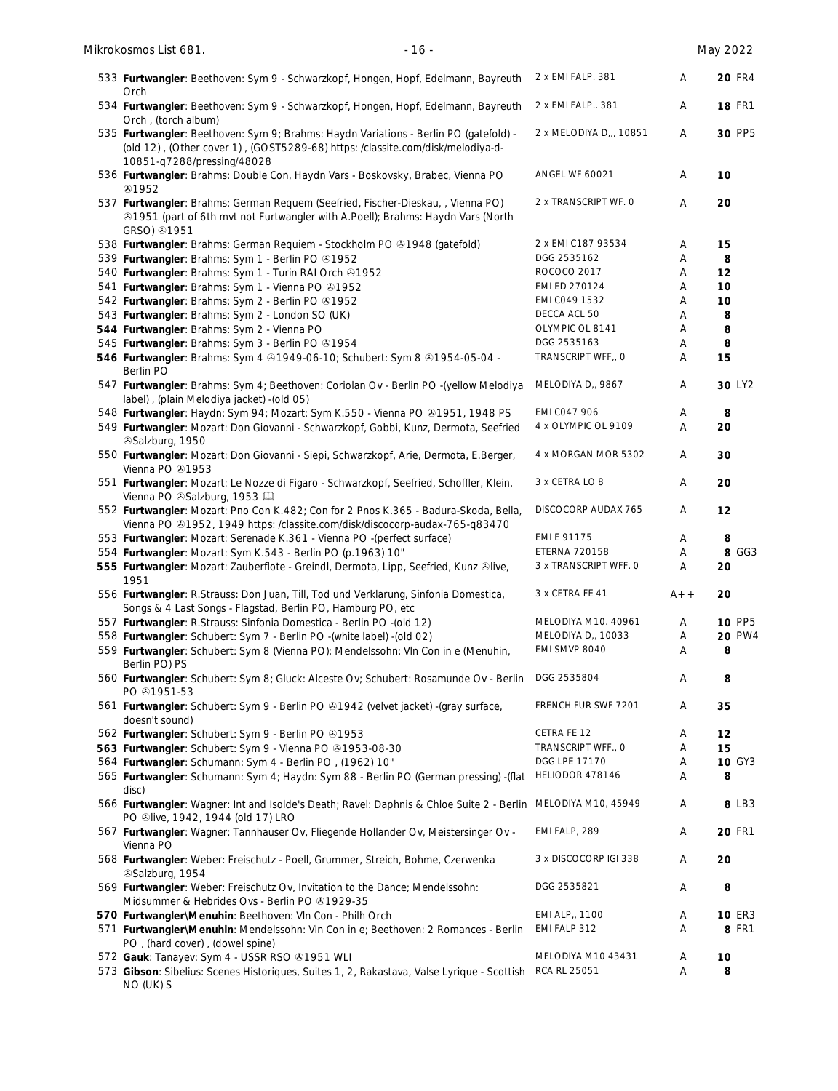| 533 Furtwangler: Beethoven: Sym 9 - Schwarzkopf, Hongen, Hopf, Edelmann, Bayreuth<br>Orch                                                                                                            | 2 x EMI FALP. 381       | Α     | <b>20 FR4</b>      |
|------------------------------------------------------------------------------------------------------------------------------------------------------------------------------------------------------|-------------------------|-------|--------------------|
| 534 Furtwangler: Beethoven: Sym 9 - Schwarzkopf, Hongen, Hopf, Edelmann, Bayreuth<br>Orch, (torch album)                                                                                             | 2 x EMI FALP 381        | Α     | <b>18 FR1</b>      |
| 535 Furtwangler: Beethoven: Sym 9; Brahms: Haydn Variations - Berlin PO (gatefold) -<br>(old 12), (Other cover 1), (GOST5289-68) https: /classite.com/disk/melodiya-d-<br>10851-q7288/pressing/48028 | 2 x MELODIYA D.,, 10851 | A     | 30 PP5             |
| 536 Furtwangler: Brahms: Double Con, Haydn Vars - Boskovsky, Brabec, Vienna PO<br>⊕1952                                                                                                              | <b>ANGEL WF 60021</b>   | A     | 10                 |
| 537 Furtwangler: Brahms: German Requem (Seefried, Fischer-Dieskau, , Vienna PO)<br><b>@1951</b> (part of 6th mvt not Furtwangler with A.Poell); Brahms: Haydn Vars (North<br>GRSO) 4951              | 2 x TRANSCRIPT WF. O    | Α     | 20                 |
| 538 Furtwangler: Brahms: German Requiem - Stockholm PO +1948 (gatefold)                                                                                                                              | 2 x EMI C187 93534      | Α     | 15                 |
| 539 Furtwangler: Brahms: Sym 1 - Berlin PO 31952                                                                                                                                                     | DGG 2535162             | Α     | 8                  |
| 540 Furtwangler: Brahms: Sym 1 - Turin RAI Orch & 1952                                                                                                                                               | ROCOCO 2017             | Α     | 12                 |
| 541 Furtwangler: Brahms: Sym 1 - Vienna PO 31952                                                                                                                                                     | EMI ED 270124           | Α     | 10                 |
| 542 Furtwangler: Brahms: Sym 2 - Berlin PO 31952                                                                                                                                                     | EMI CO49 1532           | Α     | 10                 |
| 543 Furtwangler: Brahms: Sym 2 - London SO (UK)                                                                                                                                                      | DECCA ACL 50            | Α     | 8                  |
| 544 Furtwangler: Brahms: Sym 2 - Vienna PO                                                                                                                                                           | OLYMPIC OL 8141         | Α     | 8                  |
| 545 Furtwangler: Brahms: Sym 3 - Berlin PO 31954                                                                                                                                                     | DGG 2535163             | Α     | 8                  |
| 546 Furtwangler: Brahms: Sym 4 81949-06-10; Schubert: Sym 8 81954-05-04 -<br>Berlin PO                                                                                                               | TRANSCRIPT WFF,, O      | A     | 15                 |
| 547 Furtwangler: Brahms: Sym 4; Beethoven: Coriolan Ov - Berlin PO -(yellow Melodiya<br>label), (plain Melodiya jacket) - (old 05)                                                                   | MELODIYA D,, 9867       | A     | 30 LY <sub>2</sub> |
| 548 Furtwangler: Haydn: Sym 94; Mozart: Sym K.550 - Vienna PO ®1951, 1948 PS                                                                                                                         | EMI CO47 906            | Α     | 8                  |
| 549 Furtwangler: Mozart: Don Giovanni - Schwarzkopf, Gobbi, Kunz, Dermota, Seefried<br>Salzburg, 1950                                                                                                | 4 x OLYMPIC OL 9109     | A     | 20                 |
| 550 Furtwangler: Mozart: Don Giovanni - Siepi, Schwarzkopf, Arie, Dermota, E.Berger,<br>Vienna PO 31953                                                                                              | 4 x MORGAN MOR 5302     | A     | 30                 |
| 551 Furtwangler: Mozart: Le Nozze di Figaro - Schwarzkopf, Seefried, Schoffler, Klein,<br>Vienna PO & Salzburg, 1953                                                                                 | 3 x CETRA LO 8          | Α     | 20                 |
| 552 Furtwangler: Mozart: Pno Con K.482; Con for 2 Pnos K.365 - Badura-Skoda, Bella,<br>Vienna PO ®1952, 1949 https: /classite.com/disk/discocorp-audax-765-q83470                                    | DISCOCORP AUDAX 765     | Α     | 12                 |
| 553 Furtwangler: Mozart: Serenade K.361 - Vienna PO -(perfect surface)                                                                                                                               | EMI E 91175             | Α     | 8                  |
| 554 Furtwangler: Mozart: Sym K.543 - Berlin PO (p.1963) 10"                                                                                                                                          | <b>ETERNA 720158</b>    | A     | 8 GG3              |
| 555 Furtwangler: Mozart: Zauberflote - Greindl, Dermota, Lipp, Seefried, Kunz &live,<br>1951                                                                                                         | 3 x TRANSCRIPT WFF. O   | Α     | 20                 |
| 556 Furtwangler: R.Strauss: Don Juan, Till, Tod und Verklarung, Sinfonia Domestica,<br>Songs & 4 Last Songs - Flagstad, Berlin PO, Hamburg PO, etc                                                   | 3 x CETRA FE 41         | $A++$ | 20                 |
| 557 Furtwangler: R.Strauss: Sinfonia Domestica - Berlin PO -(old 12)                                                                                                                                 | MELODIYA M10. 40961     | Α     | 10 PP5             |
| 558 Furtwangler: Schubert: Sym 7 - Berlin PO -(white label) -(old 02)                                                                                                                                | MELODIYA D,, 10033      | Α     | <b>20 PW4</b>      |
| 559 Furtwangler: Schubert: Sym 8 (Vienna PO); Mendelssohn: VIn Con in e (Menuhin,<br>Berlin PO) PS                                                                                                   | EMI SMVP 8040           | Α     | 8                  |
| 560 Furtwangler: Schubert: Sym 8; Gluck: Alceste Ov; Schubert: Rosamunde Ov - Berlin<br>PO $@1951-53$                                                                                                | DGG 2535804             | Α     | 8                  |
| 561 Furtwangler: Schubert: Sym 9 - Berlin PO & 1942 (velvet jacket) - (gray surface,<br>doesn't sound)                                                                                               | FRENCH FUR SWF 7201     | A     | 35                 |
| 562 Furtwangler: Schubert: Sym 9 - Berlin PO 01953                                                                                                                                                   | CETRA FE 12             | Α     | 12                 |
| 563 Furtwangler: Schubert: Sym 9 - Vienna PO 81953-08-30                                                                                                                                             | TRANSCRIPT WFF., O      | Α     | 15                 |
| 564 Furtwangler: Schumann: Sym 4 - Berlin PO, (1962) 10"                                                                                                                                             | DGG LPE 17170           | Α     | 10 GY3             |
| 565 Furtwangler: Schumann: Sym 4; Haydn: Sym 88 - Berlin PO (German pressing) - (flat<br>disc)                                                                                                       | HELIODOR 478146         | Α     | 8                  |
| 566 Furtwangler: Wagner: Int and Isolde's Death; Ravel: Daphnis & Chloe Suite 2 - Berlin<br>PO Slive, 1942, 1944 (old 17) LRO                                                                        | MELODIYA M10, 45949     | Α     | 8 LB3              |
| 567 Furtwangler: Wagner: Tannhauser Ov, Fliegende Hollander Ov, Meistersinger Ov -<br>Vienna PO                                                                                                      | EMI FALP, 289           | Α     | <b>20 FR1</b>      |
| 568 Furtwangler: Weber: Freischutz - Poell, Grummer, Streich, Bohme, Czerwenka<br>Salzburg, 1954                                                                                                     | 3 x DISCOCORP IGI 338   | Α     | 20                 |
| 569 Furtwangler: Weber: Freischutz Ov, Invitation to the Dance; Mendelssohn:<br>Midsummer & Hebrides Ovs - Berlin PO + 1929-35                                                                       | DGG 2535821             | Α     | 8                  |
| 570 Furtwangler\Menuhin: Beethoven: VIn Con - Philh Orch                                                                                                                                             | EMI ALP,, 1100          | Α     | <b>10 ER3</b>      |
| 571 Furtwangler\Menuhin: Mendelssohn: Vln Con in e; Beethoven: 2 Romances - Berlin<br>PO, (hard cover), (dowel spine)                                                                                | EMI FALP 312            | Α     | <b>8 FR1</b>       |
| 572 Gauk: Tanayev: Sym 4 - USSR RSO @1951 WLI                                                                                                                                                        | MELODIYA M10 43431      | Α     | 10                 |
| 573 Gibson: Sibelius: Scenes Historiques, Suites 1, 2, Rakastava, Valse Lyrique - Scottish<br>NO (UK) S                                                                                              | RCA RL 25051            | Α     | 8                  |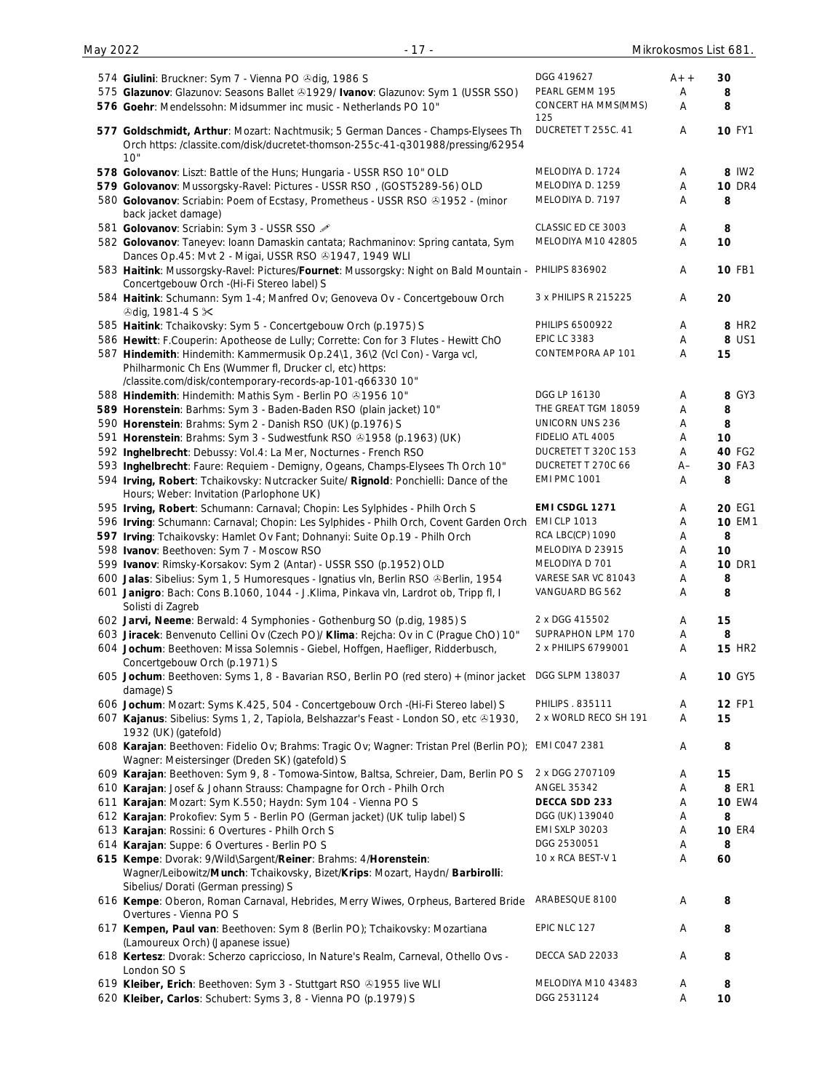|                                                                                                      | DGG 419627                 |       |                   |
|------------------------------------------------------------------------------------------------------|----------------------------|-------|-------------------|
| 574 Giulini: Bruckner: Sym 7 - Vienna PO Odig, 1986 S                                                |                            | $A++$ | 30                |
| 575 Glazunov: Glazunov: Seasons Ballet & 1929/ Ivanov: Glazunov: Sym 1 (USSR SSO)                    | PEARL GEMM 195             | Α     | 8                 |
| 576 Goehr: Mendelssohn: Midsummer inc music - Netherlands PO 10"                                     | CONCERT HA MMS(MMS)        | Α     | 8                 |
|                                                                                                      | 125<br>DUCRETET T 255C. 41 |       |                   |
| 577 Goldschmidt, Arthur: Mozart: Nachtmusik; 5 German Dances - Champs-Elysees Th                     |                            | Α     | <b>10 FY1</b>     |
| Orch https: /classite.com/disk/ducretet-thomson-255c-41-q301988/pressing/62954                       |                            |       |                   |
| 10"                                                                                                  |                            |       |                   |
| 578 Golovanov: Liszt: Battle of the Huns; Hungaria - USSR RSO 10" OLD                                | MELODIYA D. 1724           | Α     | 8 IW2             |
| 579 Golovanov: Mussorgsky-Ravel: Pictures - USSR RSO, (GOST5289-56) OLD                              | MELODIYA D. 1259           | Α     | <b>10 DR4</b>     |
| 580 Golovanov: Scriabin: Poem of Ecstasy, Prometheus - USSR RSO & 1952 - (minor                      | MELODIYA D. 7197           | Α     | 8                 |
| back jacket damage)                                                                                  |                            |       |                   |
| 581 Golovanov: Scriabin: Sym 3 - USSR SSO                                                            | CLASSIC ED CE 3003         | Α     | 8                 |
| 582 Golovanov: Taneyev: Ioann Damaskin cantata; Rachmaninov: Spring cantata, Sym                     | MELODIYA M10 42805         | Α     | 10                |
| Dances Op. 45: Mvt 2 - Migai, USSR RSO @1947, 1949 WLI                                               |                            |       |                   |
| 583 Haitink: Mussorgsky-Ravel: Pictures/Fournet: Mussorgsky: Night on Bald Mountain - PHILIPS 836902 |                            | Α     | <b>10 FB1</b>     |
|                                                                                                      |                            |       |                   |
| Concertgebouw Orch -(Hi-Fi Stereo label) S                                                           |                            |       |                   |
| 584 Haitink: Schumann: Sym 1-4; Manfred Ov; Genoveva Ov - Concertgebouw Orch                         | 3 x PHILIPS R 215225       | Α     | 20                |
| <b><i></i></b> Odig, 1981-4 S $×$                                                                    |                            |       |                   |
| 585 Haitink: Tchaikovsky: Sym 5 - Concertgebouw Orch (p.1975) S                                      | PHILIPS 6500922            | Α     | 8 HR <sub>2</sub> |
| 586 Hewitt: F.Couperin: Apotheose de Lully; Corrette: Con for 3 Flutes - Hewitt ChO                  | <b>EPIC LC 3383</b>        | Α     | 8 US1             |
| 587 Hindemith: Hindemith: Kammermusik Op.24\1, 36\2 (Vcl Con) - Varga vcl,                           | CONTEMPORA AP 101          | Α     | 15                |
| Philharmonic Ch Ens (Wummer fl, Drucker cl, etc) https:                                              |                            |       |                   |
| /classite.com/disk/contemporary-records-ap-101-q66330 10"                                            |                            |       |                   |
| 588 Hindemith: Hindemith: Mathis Sym - Berlin PO +1956 10"                                           | DGG LP 16130               | Α     | 8 GY3             |
|                                                                                                      | THE GREAT TGM 18059        | Α     | 8                 |
| 589 Horenstein: Barhms: Sym 3 - Baden-Baden RSO (plain jacket) 10"                                   |                            |       |                   |
| 590 Horenstein: Brahms: Sym 2 - Danish RSO (UK) (p.1976) S                                           | <b>UNICORN UNS 236</b>     | Α     | 8                 |
| 591 Horenstein: Brahms: Sym 3 - Sudwestfunk RSO 31958 (p.1963) (UK)                                  | FIDELIO ATL 4005           | Α     | 10                |
| 592 Inghelbrecht: Debussy: Vol.4: La Mer, Nocturnes - French RSO                                     | DUCRETET T 320C 153        | Α     | 40 FG2            |
| 593 Inghelbrecht: Faure: Requiem - Demigny, Ogeans, Champs-Elysees Th Orch 10"                       | DUCRETET T 270C 66         | $A-$  | 30 FA3            |
| 594 Irving, Robert: Tchaikovsky: Nutcracker Suite/ Rignold: Ponchielli: Dance of the                 | <b>EMI PMC 1001</b>        | Α     | 8                 |
| Hours; Weber: Invitation (Parlophone UK)                                                             |                            |       |                   |
| 595 Irving, Robert: Schumann: Carnaval; Chopin: Les Sylphides - Philh Orch S                         | EMI CSDGL 1271             | Α     | <b>20 EG1</b>     |
| 596 Irving: Schumann: Carnaval; Chopin: Les Sylphides - Philh Orch, Covent Garden Orch               | <b>EMI CLP 1013</b>        | Α     | <b>10 EM1</b>     |
|                                                                                                      | RCA LBC(CP) 1090           | Α     | 8                 |
| 597 Irving: Tchaikovsky: Hamlet Ov Fant; Dohnanyi: Suite Op.19 - Philh Orch                          |                            |       |                   |
| 598 Ivanov: Beethoven: Sym 7 - Moscow RSO                                                            | MELODIYA D 23915           | Α     | 10                |
| 599 Ivanov: Rimsky-Korsakov: Sym 2 (Antar) - USSR SSO (p.1952) OLD                                   | MELODIYA D 701             | Α     | <b>10 DR1</b>     |
| 600 Jalas: Sibelius: Sym 1, 5 Humoresques - Ignatius vln, Berlin RSO & Berlin, 1954                  | VARESE SAR VC 81043        | Α     | 8                 |
| 601 Janigro: Bach: Cons B.1060, 1044 - J.Klima, Pinkava vln, Lardrot ob, Tripp fl, I                 | VANGUARD BG 562            | Α     | 8                 |
| Solisti di Zagreb                                                                                    |                            |       |                   |
| 602 Jarvi, Neeme: Berwald: 4 Symphonies - Gothenburg SO (p.dig, 1985) S                              | 2 x DGG 415502             | Α     | 15                |
| 603 Jiracek: Benvenuto Cellini Ov (Czech PO)/ Klima: Rejcha: Ov in C (Prague ChO) 10"                | SUPRAPHON LPM 170          | Α     | 8                 |
| 604 Jochum: Beethoven: Missa Solemnis - Giebel, Hoffgen, Haefliger, Ridderbusch,                     | 2 x PHILIPS 6799001        | Α     | <b>15 HR2</b>     |
| Concertgebouw Orch (p.1971) S                                                                        |                            |       |                   |
|                                                                                                      | DGG SLPM 138037            |       | <b>10 GY5</b>     |
| 605 Jochum: Beethoven: Syms 1, 8 - Bavarian RSO, Berlin PO (red stero) + (minor jacket               |                            | Α     |                   |
| damage) S                                                                                            |                            |       |                   |
| 606 Jochum: Mozart: Syms K.425, 504 - Concertgebouw Orch -(Hi-Fi Stereo label) S                     | PHILIPS . 835111           | A     | <b>12 FP1</b>     |
| 607 Kajanus: Sibelius: Syms 1, 2, Tapiola, Belshazzar's Feast - London SO, etc ®1930,                | 2 x WORLD RECO SH 191      | Α     | 15                |
| 1932 (UK) (gatefold)                                                                                 |                            |       |                   |
| 608 Karajan: Beethoven: Fidelio Ov; Brahms: Tragic Ov; Wagner: Tristan Prel (Berlin PO);             | EMI CO47 2381              | Α     | 8                 |
| Wagner: Meistersinger (Dreden SK) (gatefold) S                                                       |                            |       |                   |
| 609 Karajan: Beethoven: Sym 9, 8 - Tomowa-Sintow, Baltsa, Schreier, Dam, Berlin PO S                 | 2 x DGG 2707109            | Α     | 15                |
| 610 Karajan: Josef & Johann Strauss: Champagne for Orch - Philh Orch                                 | ANGEL 35342                | Α     | 8 ER1             |
| 611 Karajan: Mozart: Sym K.550; Haydn: Sym 104 - Vienna PO S                                         | DECCA SDD 233              | Α     | <b>10 EW4</b>     |
|                                                                                                      | DGG (UK) 139040            |       | 8                 |
| 612 Karajan: Prokofiev: Sym 5 - Berlin PO (German jacket) (UK tulip label) S                         |                            | Α     |                   |
| 613 Karajan: Rossini: 6 Overtures - Philh Orch S                                                     | <b>EMI SXLP 30203</b>      | Α     | <b>10 ER4</b>     |
| 614 Karajan: Suppe: 6 Overtures - Berlin PO S                                                        | DGG 2530051                | Α     | 8                 |
| 615 Kempe: Dvorak: 9/Wild\Sargent/Reiner: Brahms: 4/Horenstein:                                      | 10 x RCA BEST-V 1          | Α     | 60                |
| Wagner/Leibowitz/Munch: Tchaikovsky, Bizet/Krips: Mozart, Haydn/ Barbirolli:                         |                            |       |                   |
| Sibelius/ Dorati (German pressing) S                                                                 |                            |       |                   |
| 616 Kempe: Oberon, Roman Carnaval, Hebrides, Merry Wiwes, Orpheus, Bartered Bride                    | ARABESQUE 8100             | Α     | 8                 |
| Overtures - Vienna PO S                                                                              |                            |       |                   |
| 617 Kempen, Paul van: Beethoven: Sym 8 (Berlin PO); Tchaikovsky: Mozartiana                          | EPIC NLC 127               | Α     | 8                 |
| (Lamoureux Orch) (Japanese issue)                                                                    |                            |       |                   |
|                                                                                                      | DECCA SAD 22033            | Α     | 8                 |
| 618 Kertesz: Dvorak: Scherzo capriccioso, In Nature's Realm, Carneval, Othello Ovs -                 |                            |       |                   |
| London SO S                                                                                          |                            |       |                   |
| 619 Kleiber, Erich: Beethoven: Sym 3 - Stuttgart RSO @1955 live WLI                                  | MELODIYA M10 43483         | Α     | 8                 |
| 620 Kleiber, Carlos: Schubert: Syms 3, 8 - Vienna PO (p.1979) S                                      | DGG 2531124                | Α     | 10                |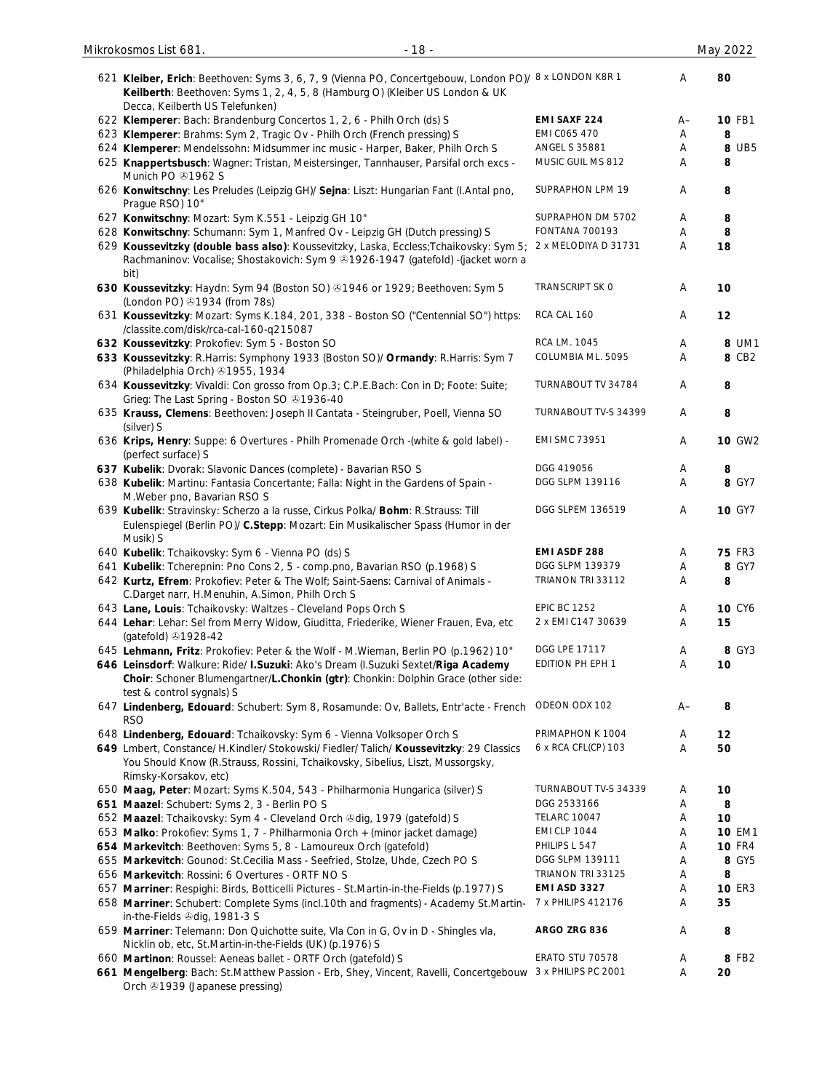| Mikrokosmos List 681.<br>$-18-$                                                                                                                                                                                           |                                           |        | May 2022            |
|---------------------------------------------------------------------------------------------------------------------------------------------------------------------------------------------------------------------------|-------------------------------------------|--------|---------------------|
| 621 Kleiber, Erich: Beethoven: Syms 3, 6, 7, 9 (Vienna PO, Concertgebouw, London PO)/ 8 x LONDON K8R 1<br>Keilberth: Beethoven: Syms 1, 2, 4, 5, 8 (Hamburg O) (Kleiber US London & UK<br>Decca, Keilberth US Telefunken) |                                           | A      | 80                  |
| 622 Klemperer: Bach: Brandenburg Concertos 1, 2, 6 - Philh Orch (ds) S                                                                                                                                                    | <b>EMI SAXF 224</b>                       | A–     | <b>10 FB1</b>       |
| 623 Klemperer: Brahms: Sym 2, Tragic Ov - Philh Orch (French pressing) S                                                                                                                                                  | EMI C065 470                              | Α      | 8                   |
| 624 Klemperer: Mendelssohn: Midsummer inc music - Harper, Baker, Philh Orch S                                                                                                                                             | <b>ANGEL S 35881</b>                      | Α      | 8 UB5               |
| 625 Knappertsbusch: Wagner: Tristan, Meistersinger, Tannhauser, Parsifal orch excs -<br>Munich PO 31962 S                                                                                                                 | MUSIC GUIL MS 812                         | Α      | 8                   |
| 626 Konwitschny: Les Preludes (Leipzig GH)/ Sejna: Liszt: Hungarian Fant (I.Antal pno,<br>Prague RSO) 10"                                                                                                                 | SUPRAPHON LPM 19                          | A      | 8                   |
| 627 Konwitschny: Mozart: Sym K.551 - Leipzig GH 10"                                                                                                                                                                       | SUPRAPHON DM 5702                         | Α      | 8                   |
| 628 Konwitschny: Schumann: Sym 1, Manfred Ov - Leipzig GH (Dutch pressing) S                                                                                                                                              | <b>FONTANA 700193</b>                     | Α      | 8                   |
| 629 Koussevitzky (double bass also): Koussevitzky, Laska, Eccless; Tchaikovsky: Sym 5;<br>Rachmaninov: Vocalise; Shostakovich: Sym 9 & 1926-1947 (gatefold) - (jacket worn a<br>bit)                                      | 2 x MELODIYA D 31731                      | A      | 18                  |
| 630 Koussevitzky: Haydn: Sym 94 (Boston SO) @1946 or 1929; Beethoven: Sym 5<br>(London PO) 31934 (from 78s)                                                                                                               | TRANSCRIPT SK O                           | Α      | 10                  |
| 631 Koussevitzky: Mozart: Syms K.184, 201, 338 - Boston SO ("Centennial SO") https:<br>/classite.com/disk/rca-cal-160-q215087                                                                                             | RCA CAL 160                               | Α      | 12                  |
| 632 Koussevitzky: Prokofiev: Sym 5 - Boston SO                                                                                                                                                                            | RCA LM. 1045                              | Α      | 8 UM1               |
| 633 Koussevitzky: R.Harris: Symphony 1933 (Boston SO)/ Ormandy: R.Harris: Sym 7<br>(Philadelphia Orch) 31955, 1934                                                                                                        | COLUMBIA ML. 5095                         | Α      | 8 CB2               |
| 634 Koussevitzky: Vivaldi: Con grosso from Op.3; C.P.E.Bach: Con in D; Foote: Suite;<br>Grieg: The Last Spring - Boston SO 31936-40                                                                                       | TURNABOUT TV 34784                        | Α      | 8                   |
| 635 Krauss, Clemens: Beethoven: Joseph II Cantata - Steingruber, Poell, Vienna SO<br>(silver) S                                                                                                                           | TURNABOUT TV-S 34399                      | A      | 8                   |
| 636 Krips, Henry: Suppe: 6 Overtures - Philh Promenade Orch -(white & gold label) -<br>(perfect surface) S                                                                                                                | <b>EMI SMC 73951</b>                      | Α      | 10 GW2              |
| 637 Kubelik: Dvorak: Slavonic Dances (complete) - Bavarian RSO S                                                                                                                                                          | DGG 419056                                | Α      | 8                   |
| 638 Kubelik: Martinu: Fantasia Concertante; Falla: Night in the Gardens of Spain -<br>M. Weber pno, Bavarian RSO S                                                                                                        | DGG SLPM 139116                           | Α      | 8 GY7               |
| 639 Kubelik: Stravinsky: Scherzo a la russe, Cirkus Polka/ Bohm: R.Strauss: Till<br>Eulenspiegel (Berlin PO)/ C.Stepp: Mozart: Ein Musikalischer Spass (Humor in der<br>Musik) S                                          | <b>DGG SLPEM 136519</b>                   | Α      | <b>10 GY7</b>       |
| 640 Kubelik: Tchaikovsky: Sym 6 - Vienna PO (ds) S                                                                                                                                                                        | EMI ASDF 288                              | Α      | <b>75 FR3</b>       |
| 641 Kubelik: Tcherepnin: Pno Cons 2, 5 - comp.pno, Bavarian RSO (p.1968) S                                                                                                                                                | DGG SLPM 139379                           | А      | 8 GY7               |
| 642 Kurtz, Efrem: Prokofiev: Peter & The Wolf; Saint-Saens: Carnival of Animals -<br>C.Darget narr, H.Menuhin, A.Simon, Philh Orch S                                                                                      | TRIANON TRI 33112                         | Α      | 8                   |
| 643 Lane, Louis: Tchaikovsky: Waltzes - Cleveland Pops Orch S                                                                                                                                                             | <b>EPIC BC 1252</b>                       | Α      | <b>10 CY6</b>       |
| 644 Lehar: Lehar: Sel from Merry Widow, Giuditta, Friederike, Wiener Frauen, Eva, etc<br>(gatefold) 31928-42                                                                                                              | 2 x EMI C147 30639                        | A      | 15                  |
| 645 Lehmann, Fritz: Prokofiev: Peter & the Wolf - M. Wieman, Berlin PO (p.1962) 10"                                                                                                                                       | DGG LPE 17117                             | A      | 8 GY3               |
| 646 Leinsdorf: Walkure: Ride/ I.Suzuki: Ako's Dream (I.Suzuki Sextet/Riga Academy<br>Choir: Schoner Blumengartner/L.Chonkin (gtr): Chonkin: Dolphin Grace (other side:<br>test & control sygnals) S                       | EDITION PH EPH 1                          | Α      | 10                  |
| 647 Lindenberg, Edouard: Schubert: Sym 8, Rosamunde: Ov, Ballets, Entr'acte - French<br><b>RSO</b>                                                                                                                        | ODEON ODX 102                             | A–     | 8                   |
| 648 Lindenberg, Edouard: Tchaikovsky: Sym 6 - Vienna Volksoper Orch S                                                                                                                                                     | PRIMAPHON K 1004                          | A      | $12 \,$             |
| 649 Lmbert, Constance/ H.Kindler/ Stokowski/ Fiedler/ Talich/ Koussevitzky: 29 Classics<br>You Should Know (R.Strauss, Rossini, Tchaikovsky, Sibelius, Liszt, Mussorgsky,<br>Rimsky-Korsakov, etc)                        | 6 x RCA CFL(CP) 103                       | A      | 50                  |
| 650 Maag, Peter: Mozart: Syms K.504, 543 - Philharmonia Hungarica (silver) S                                                                                                                                              | TURNABOUT TV-S 34339                      | Α      | 10                  |
| 651 Maazel: Schubert: Syms 2, 3 - Berlin PO S                                                                                                                                                                             | DGG 2533166                               | Α      | 8                   |
| 652 Maazel: Tchaikovsky: Sym 4 - Cleveland Orch & dig, 1979 (gatefold) S                                                                                                                                                  | <b>TELARC 10047</b>                       | Α      | 10                  |
| 653 Malko: Prokofiev: Syms 1, 7 - Philharmonia Orch + (minor jacket damage)                                                                                                                                               | <b>EMI CLP 1044</b>                       | Α      | <b>10 EM1</b>       |
| 654 Markevitch: Beethoven: Syms 5, 8 - Lamoureux Orch (gatefold)                                                                                                                                                          | PHILIPS L 547                             | Α      | <b>10 FR4</b>       |
| 655 Markevitch: Gounod: St.Cecilia Mass - Seefried, Stolze, Uhde, Czech PO S                                                                                                                                              | DGG SLPM 139111                           | Α      | 8 GY5               |
| 656 Markevitch: Rossini: 6 Overtures - ORTF NO S                                                                                                                                                                          | TRIANON TRI 33125                         | Α      | 8                   |
| 657 Marriner: Respighi: Birds, Botticelli Pictures - St.Martin-in-the-Fields (p.1977) S<br>658 Marriner: Schubert: Complete Syms (incl.10th and fragments) - Academy St.Martin-                                           | <b>EMI ASD 3327</b><br>7 x PHILIPS 412176 | Α<br>Α | <b>10 ER3</b><br>35 |
| in-the-Fields <sup>@</sup> dig, 1981-3 S<br>659 Marriner: Telemann: Don Quichotte suite, Vla Con in G, Ov in D - Shingles vla,<br>Nicklin ob, etc, St.Martin-in-the-Fields (UK) (p.1976) S                                | ARGO ZRG 836                              | Α      | 8                   |
| 660 Martinon: Roussel: Aeneas ballet - ORTF Orch (gatefold) S                                                                                                                                                             | ERATO STU 70578                           | Α      | 8 FB2               |
| 661 Mengelberg: Bach: St.Matthew Passion - Erb, Shey, Vincent, Ravelli, Concertgebouw 3 x PHILIPS PC 2001<br>Orch ®1939 (Japanese pressing)                                                                               |                                           | Α      | 20                  |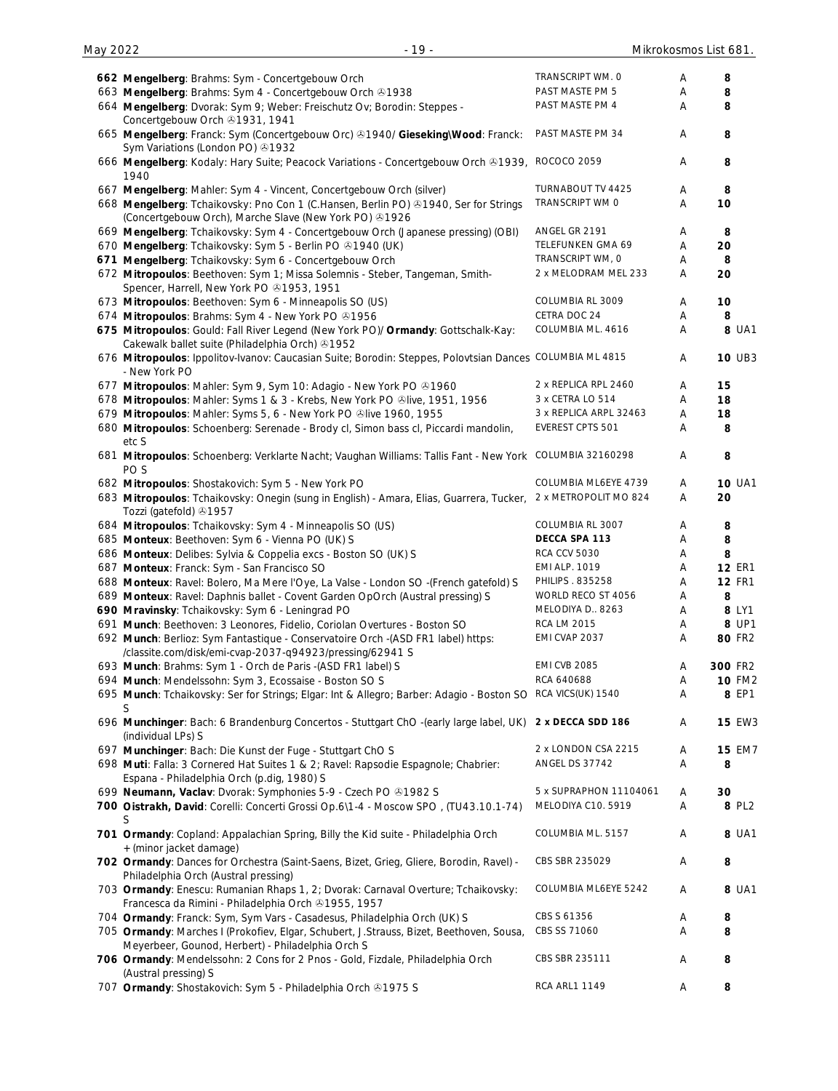| 662 Mengelberg: Brahms: Sym - Concertgebouw Orch                                                                                               | TRANSCRIPT WM. O       | Α | 8             |
|------------------------------------------------------------------------------------------------------------------------------------------------|------------------------|---|---------------|
| 663 Mengelberg: Brahms: Sym 4 - Concertgebouw Orch 21938                                                                                       | PAST MASTE PM 5        | Α | 8             |
| 664 Mengelberg: Dvorak: Sym 9; Weber: Freischutz Ov; Borodin: Steppes -<br>Concertgebouw Orch 21931, 1941                                      | PAST MASTE PM 4        | Α | 8             |
| 665 Mengelberg: Franck: Sym (Concertgebouw Orc) & 1940/ Gieseking\Wood: Franck:<br>Sym Variations (London PO) 31932                            | PAST MASTE PM 34       | Α | 8             |
| 666 Mengelberg: Kodaly: Hary Suite; Peacock Variations - Concertgebouw Orch & 1939, ROCOCO 2059<br>1940                                        |                        | Α | 8             |
| 667 Mengelberg: Mahler: Sym 4 - Vincent, Concertgebouw Orch (silver)                                                                           | TURNABOUT TV 4425      | Α | 8             |
| 668 Mengelberg: Tchaikovsky: Pno Con 1 (C.Hansen, Berlin PO) & 1940, Ser for Strings<br>(Concertgebouw Orch), Marche Slave (New York PO) +1926 | TRANSCRIPT WM O        | Α | 10            |
| 669 Mengelberg: Tchaikovsky: Sym 4 - Concertgebouw Orch (Japanese pressing) (OBI)                                                              | ANGEL GR 2191          | Α | 8             |
| 670 Mengelberg: Tchaikovsky: Sym 5 - Berlin PO & 1940 (UK)                                                                                     | TELEFUNKEN GMA 69      | Α | 20            |
| 671 Mengelberg: Tchaikovsky: Sym 6 - Concertgebouw Orch                                                                                        | TRANSCRIPT WM, O       | Α | 8             |
| 672 Mitropoulos: Beethoven: Sym 1; Missa Solemnis - Steber, Tangeman, Smith-<br>Spencer, Harrell, New York PO ®1953, 1951                      | 2 x MELODRAM MEL 233   | Α | 20            |
| 673 Mitropoulos: Beethoven: Sym 6 - Minneapolis SO (US)                                                                                        | COLUMBIA RL 3009       | Α | 10            |
| 674 Mitropoulos: Brahms: Sym 4 - New York PO @1956                                                                                             | CETRA DOC 24           | Α | 8             |
| 675 Mitropoulos: Gould: Fall River Legend (New York PO)/ Ormandy: Gottschalk-Kay:                                                              | COLUMBIA ML. 4616      | Α | 8 UA1         |
| Cakewalk ballet suite (Philadelphia Orch) +1952                                                                                                |                        |   |               |
| 676 Mitropoulos: Ippolitov-Ivanov: Caucasian Suite; Borodin: Steppes, Polovtsian Dances COLUMBIA ML 4815<br>- New York PO                      |                        | Α | <b>10 UB3</b> |
| 677 Mitropoulos: Mahler: Sym 9, Sym 10: Adagio - New York PO @1960                                                                             | 2 x REPLICA RPL 2460   | Α | 15            |
| 678 Mitropoulos: Mahler: Syms 1 & 3 - Krebs, New York PO ®live, 1951, 1956                                                                     | 3 x CETRA LO 514       | Α | 18            |
| 679 Mitropoulos: Mahler: Syms 5, 6 - New York PO &live 1960, 1955                                                                              | 3 x REPLICA ARPL 32463 | Α | 18            |
| 680 Mitropoulos: Schoenberg: Serenade - Brody cl, Simon bass cl, Piccardi mandolin,<br>etc S                                                   | EVEREST CPTS 501       | Α | 8             |
| 681 Mitropoulos: Schoenberg: Verklarte Nacht; Vaughan Williams: Tallis Fant - New York COLUMBIA 32160298<br>PO S                               |                        | Α | 8             |
| 682 Mitropoulos: Shostakovich: Sym 5 - New York PO                                                                                             | COLUMBIA ML6EYE 4739   | Α | <b>10 UA1</b> |
| 683 Mitropoulos: Tchaikovsky: Onegin (sung in English) - Amara, Elias, Guarrera, Tucker,<br>Tozzi (gatefold) 31957                             | 2 x METROPOLIT MO 824  | Α | 20            |
| 684 Mitropoulos: Tchaikovsky: Sym 4 - Minneapolis SO (US)                                                                                      | COLUMBIA RL 3007       | Α | 8             |
| 685 Monteux: Beethoven: Sym 6 - Vienna PO (UK) S                                                                                               | DECCA SPA 113          | Α | 8             |
| 686 Monteux: Delibes: Sylvia & Coppelia excs - Boston SO (UK) S                                                                                | <b>RCA CCV 5030</b>    | Α | 8             |
| 687 Monteux: Franck: Sym - San Francisco SO                                                                                                    | <b>EMI ALP. 1019</b>   | Α | <b>12 ER1</b> |
| 688 Monteux: Ravel: Bolero, Ma Mere l'Oye, La Valse - London SO -(French gatefold) S                                                           | PHILIPS . 835258       | Α | <b>12 FR1</b> |
| 689 Monteux: Ravel: Daphnis ballet - Covent Garden OpOrch (Austral pressing) S                                                                 | WORLD RECO ST 4056     | A | 8             |
| 690 Mravinsky: Tchaikovsky: Sym 6 - Leningrad PO                                                                                               | MELODIYA D., 8263      | Α | 8 LY1         |
| 691 Munch: Beethoven: 3 Leonores, Fidelio, Coriolan Overtures - Boston SO                                                                      | <b>RCA LM 2015</b>     | Α | 8 UP1         |
| 692 Munch: Berlioz: Sym Fantastique - Conservatoire Orch -(ASD FR1 label) https:<br>/classite.com/disk/emi-cvap-2037-q94923/pressing/62941 S   | EMI CVAP 2037          | Α | 80 FR2        |
| 693 Munch: Brahms: Sym 1 - Orch de Paris -(ASD FR1 label) S                                                                                    | <b>EMI CVB 2085</b>    | Α | 300 FR2       |
| 694 Munch: Mendelssohn: Sym 3, Ecossaise - Boston SO S                                                                                         | RCA 640688             | Α | <b>10 FM2</b> |
| 695 Munch: Tchaikovsky: Ser for Strings; Elgar: Int & Allegro; Barber: Adagio - Boston SO<br>S                                                 | RCA VICS(UK) 1540      | Α | 8 EP1         |
| 696 Munchinger: Bach: 6 Brandenburg Concertos - Stuttgart ChO -(early large label, UK)<br>(individual LPs) S                                   | 2 x DECCA SDD 186      | Α | <b>15 EW3</b> |
| 697 Munchinger: Bach: Die Kunst der Fuge - Stuttgart ChO S                                                                                     | 2 x LONDON CSA 2215    | Α | <b>15 EM7</b> |
| 698 Muti: Falla: 3 Cornered Hat Suites 1 & 2; Ravel: Rapsodie Espagnole; Chabrier:<br>Espana - Philadelphia Orch (p.dig, 1980) S               | ANGEL DS 37742         | Α | 8             |
| 699 Neumann, Vaclav: Dvorak: Symphonies 5-9 - Czech PO @1982 S                                                                                 | 5 x SUPRAPHON 11104061 | A | 30            |
| 700 Oistrakh, David: Corelli: Concerti Grossi Op.6\1-4 - Moscow SPO, (TU43.10.1-74)<br>S                                                       | MELODIYA C10. 5919     | Α | 8 PL2         |
| 701 Ormandy: Copland: Appalachian Spring, Billy the Kid suite - Philadelphia Orch<br>+ (minor jacket damage)                                   | COLUMBIA ML. 5157      | Α | 8 UA1         |
| 702 Ormandy: Dances for Orchestra (Saint-Saens, Bizet, Grieg, Gliere, Borodin, Ravel) -<br>Philadelphia Orch (Austral pressing)                | CBS SBR 235029         | Α | 8             |
| 703 Ormandy: Enescu: Rumanian Rhaps 1, 2; Dvorak: Carnaval Overture; Tchaikovsky:<br>Francesca da Rimini - Philadelphia Orch 31955, 1957       | COLUMBIA ML6EYE 5242   | Α | 8 UA1         |
| 704 Ormandy: Franck: Sym, Sym Vars - Casadesus, Philadelphia Orch (UK) S                                                                       | CBS S 61356            | A | 8             |
| 705 Ormandy: Marches I (Prokofiev, Elgar, Schubert, J.Strauss, Bizet, Beethoven, Sousa,<br>Meyerbeer, Gounod, Herbert) - Philadelphia Orch S   | CBS SS 71060           | Α | 8             |
| 706 Ormandy: Mendelssohn: 2 Cons for 2 Pnos - Gold, Fizdale, Philadelphia Orch<br>(Austral pressing) S                                         | CBS SBR 235111         | Α | 8             |
| 707 Ormandy: Shostakovich: Sym 5 - Philadelphia Orch & 1975 S                                                                                  | <b>RCA ARL1 1149</b>   | A | 8             |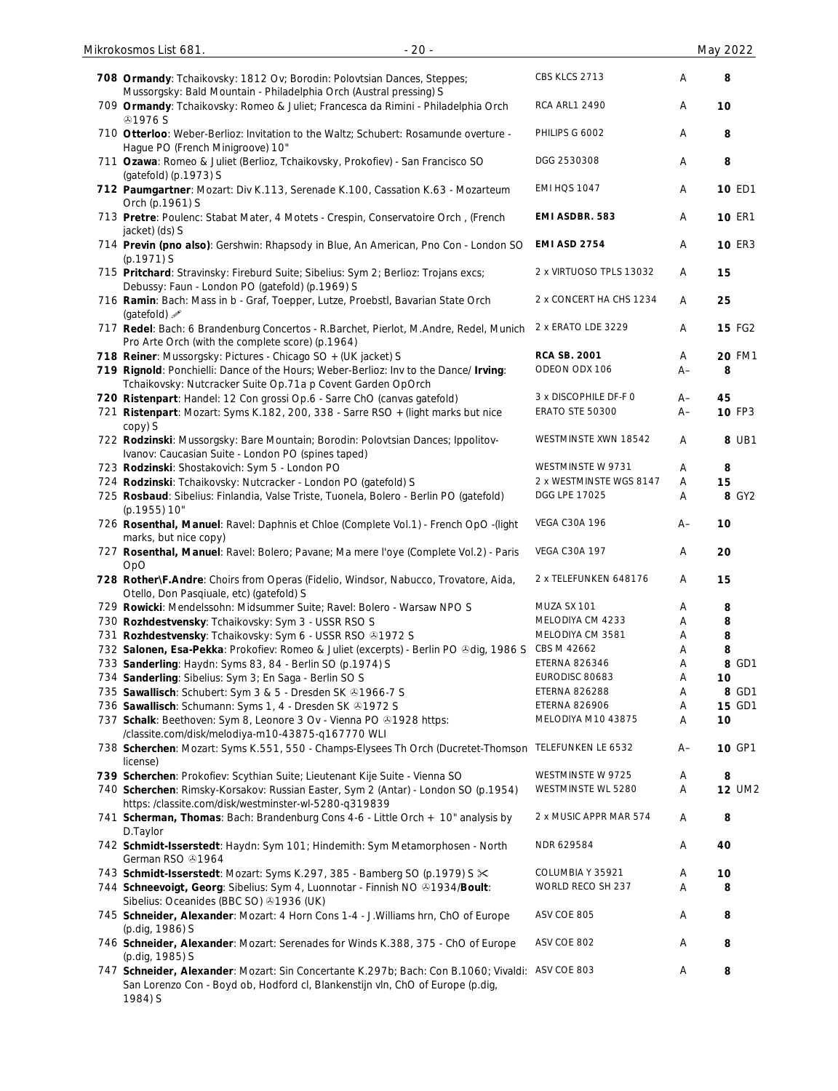| 708 Ormandy: Tchaikovsky: 1812 Ov; Borodin: Polovtsian Dances, Steppes;<br>Mussorgsky: Bald Mountain - Philadelphia Orch (Austral pressing) S                                                 | CBS KLCS 2713           | Α    | 8             |
|-----------------------------------------------------------------------------------------------------------------------------------------------------------------------------------------------|-------------------------|------|---------------|
| 709 Ormandy: Tchaikovsky: Romeo & Juliet; Francesca da Rimini - Philadelphia Orch<br><b>@1976S</b>                                                                                            | <b>RCA ARL1 2490</b>    | Α    | 10            |
| 710 Otterloo: Weber-Berlioz: Invitation to the Waltz; Schubert: Rosamunde overture -<br>Hague PO (French Minigroove) 10"                                                                      | PHILIPS G 6002          | Α    | 8             |
| 711 Ozawa: Romeo & Juliet (Berlioz, Tchaikovsky, Prokofiev) - San Francisco SO<br>(gatefold) (p.1973) S                                                                                       | DGG 2530308             | Α    | 8             |
| 712 Paumgartner: Mozart: Div K.113, Serenade K.100, Cassation K.63 - Mozarteum<br>Orch (p.1961) S                                                                                             | <b>EMI HQS 1047</b>     | Α    | <b>10 ED1</b> |
| 713 Pretre: Poulenc: Stabat Mater, 4 Motets - Crespin, Conservatoire Orch, (French<br>jacket) (ds) S                                                                                          | EMI ASDBR. 583          | A    | <b>10 ER1</b> |
| 714 Previn (pno also): Gershwin: Rhapsody in Blue, An American, Pno Con - London SO<br>(p.1971) S                                                                                             | <b>EMI ASD 2754</b>     | Α    | <b>10 ER3</b> |
| 715 Pritchard: Stravinsky: Fireburd Suite; Sibelius: Sym 2; Berlioz: Trojans excs;<br>Debussy: Faun - London PO (gatefold) (p.1969) S                                                         | 2 x VIRTUOSO TPLS 13032 | Α    | 15            |
| 716 Ramin: Bach: Mass in b - Graf, Toepper, Lutze, Proebstl, Bavarian State Orch<br>(gatefold) $\mathscr{I}$                                                                                  | 2 x CONCERT HA CHS 1234 | Α    | 25            |
| 717 Redel: Bach: 6 Brandenburg Concertos - R.Barchet, Pierlot, M.Andre, Redel, Munich<br>Pro Arte Orch (with the complete score) (p.1964)                                                     | 2 x ERATO LDE 3229      | Α    | <b>15 FG2</b> |
| 718 Reiner: Mussorgsky: Pictures - Chicago SO + (UK jacket) S                                                                                                                                 | <b>RCA SB. 2001</b>     | Α    | <b>20 FM1</b> |
|                                                                                                                                                                                               | ODEON ODX 106           | $A-$ | 8             |
| 719 Rignold: Ponchielli: Dance of the Hours; Weber-Berlioz: Inv to the Dance/ Irving:<br>Tchaikovsky: Nutcracker Suite Op.71a p Covent Garden OpOrch                                          |                         |      |               |
| 720 Ristenpart: Handel: 12 Con grossi Op.6 - Sarre ChO (canvas gatefold)                                                                                                                      | 3 x DISCOPHILE DF-F 0   | $A-$ | 45            |
| 721 Ristenpart: Mozart: Syms K.182, 200, 338 - Sarre RSO + (light marks but nice                                                                                                              | <b>ERATO STE 50300</b>  | $A-$ | <b>10 FP3</b> |
| copy) S                                                                                                                                                                                       |                         |      |               |
| 722 Rodzinski: Mussorgsky: Bare Mountain; Borodin: Polovtsian Dances; Ippolitov-<br>Ivanov: Caucasian Suite - London PO (spines taped)                                                        | WESTMINSTE XWN 18542    | Α    | 8 UB1         |
| 723 Rodzinski: Shostakovich: Sym 5 - London PO                                                                                                                                                | WESTMINSTE W 9731       | Α    | 8             |
|                                                                                                                                                                                               |                         |      |               |
| 724 Rodzinski: Tchaikovsky: Nutcracker - London PO (gatefold) S                                                                                                                               | 2 x WESTMINSTE WGS 8147 | A    | 15            |
| 725 Rosbaud: Sibelius: Finlandia, Valse Triste, Tuonela, Bolero - Berlin PO (gatefold)<br>(p.1955) 10"                                                                                        | DGG LPE 17025           | Α    | 8 GY2         |
| 726 Rosenthal, Manuel: Ravel: Daphnis et Chloe (Complete Vol.1) - French OpO -(light<br>marks, but nice copy)                                                                                 | <b>VEGA C30A 196</b>    | A-   | 10            |
| 727 Rosenthal, Manuel: Ravel: Bolero; Pavane; Ma mere l'oye (Complete Vol.2) - Paris<br>OpO                                                                                                   | <b>VEGA C30A 197</b>    | Α    | 20            |
| 728 Rother\F.Andre: Choirs from Operas (Fidelio, Windsor, Nabucco, Trovatore, Aida,<br>Otello, Don Pasqiuale, etc) (gatefold) S                                                               | 2 x TELEFUNKEN 648176   | A    | 15            |
|                                                                                                                                                                                               | MUZA SX 101             |      |               |
| 729 Rowicki: Mendelssohn: Midsummer Suite; Ravel: Bolero - Warsaw NPO S                                                                                                                       |                         | Α    | 8             |
| 730 Rozhdestvensky: Tchaikovsky: Sym 3 - USSR RSO S                                                                                                                                           | MELODIYA CM 4233        | Α    | 8             |
| 731 Rozhdestvensky: Tchaikovsky: Sym 6 - USSR RSO & 1972 S                                                                                                                                    | MELODIYA CM 3581        | Α    | 8             |
| 732 Salonen, Esa-Pekka: Prokofiev: Romeo & Juliet (excerpts) - Berlin PO &dig, 1986 S                                                                                                         | CBS M 42662             | Α    | 8             |
|                                                                                                                                                                                               | <b>ETERNA 826346</b>    |      | 8 GD1         |
| 733 Sanderling: Haydn: Syms 83, 84 - Berlin SO (p.1974) S                                                                                                                                     |                         | Α    |               |
| 734 Sanderling: Sibelius: Sym 3; En Saga - Berlin SO S                                                                                                                                        | EURODISC 80683          | A    | 10            |
| 735 Sawallisch: Schubert: Sym 3 & 5 - Dresden SK & 1966-7 S                                                                                                                                   | <b>ETERNA 826288</b>    | Α    | 8 GD1         |
| 736 Sawallisch: Schumann: Syms 1, 4 - Dresden SK +1972 S                                                                                                                                      | <b>ETERNA 826906</b>    | Α    | <b>15 GD1</b> |
| 737 Schalk: Beethoven: Sym 8, Leonore 3 Ov - Vienna PO 01928 https:                                                                                                                           | MELODIYA M10 43875      | Α    | 10            |
| /classite.com/disk/melodiya-m10-43875-q167770 WLI                                                                                                                                             |                         |      | 10 GP1        |
| 738 Scherchen: Mozart: Syms K.551, 550 - Champs-Elysees Th Orch (Ducretet-Thomson TELEFUNKEN LE 6532<br>license)                                                                              |                         | $A-$ |               |
| 739 Scherchen: Prokofiev: Scythian Suite; Lieutenant Kije Suite - Vienna SO                                                                                                                   | WESTMINSTE W 9725       | Α    | 8             |
| 740 Scherchen: Rimsky-Korsakov: Russian Easter, Sym 2 (Antar) - London SO (p.1954)<br>https://classite.com/disk/westminster-wl-5280-q319839                                                   | WESTMINSTE WL 5280      | A    | <b>12 UM2</b> |
| 741 Scherman, Thomas: Bach: Brandenburg Cons 4-6 - Little Orch + 10" analysis by<br>D.Taylor                                                                                                  | 2 x MUSIC APPR MAR 574  | Α    | 8             |
| 742 Schmidt-Isserstedt: Haydn: Sym 101; Hindemith: Sym Metamorphosen - North<br>German RSO 31964                                                                                              | NDR 629584              | Α    | 40            |
| 743 Schmidt-Isserstedt: Mozart: Syms K.297, 385 - Bamberg SO (p.1979) S $\times$                                                                                                              | COLUMBIA Y 35921        | Α    | 10            |
|                                                                                                                                                                                               |                         |      |               |
| 744 Schneevoigt, Georg: Sibelius: Sym 4, Luonnotar - Finnish NO @1934/Boult:<br>Sibelius: Oceanides (BBC SO) @1936 (UK)                                                                       | WORLD RECO SH 237       | Α    | 8             |
| 745 Schneider, Alexander: Mozart: 4 Horn Cons 1-4 - J. Williams hrn, ChO of Europe                                                                                                            | ASV COE 805             | Α    | 8             |
| (p.dig, 1986) S                                                                                                                                                                               |                         |      |               |
| 746 Schneider, Alexander: Mozart: Serenades for Winds K.388, 375 - ChO of Europe<br>(p.dig, 1985) S                                                                                           | ASV COE 802             | Α    | 8             |
| 747 Schneider, Alexander: Mozart: Sin Concertante K.297b; Bach: Con B.1060; Vivaldi: ASV COE 803<br>San Lorenzo Con - Boyd ob, Hodford cl, Blankenstijn vln, ChO of Europe (p.dig,<br>1984) S |                         | Α    | 8             |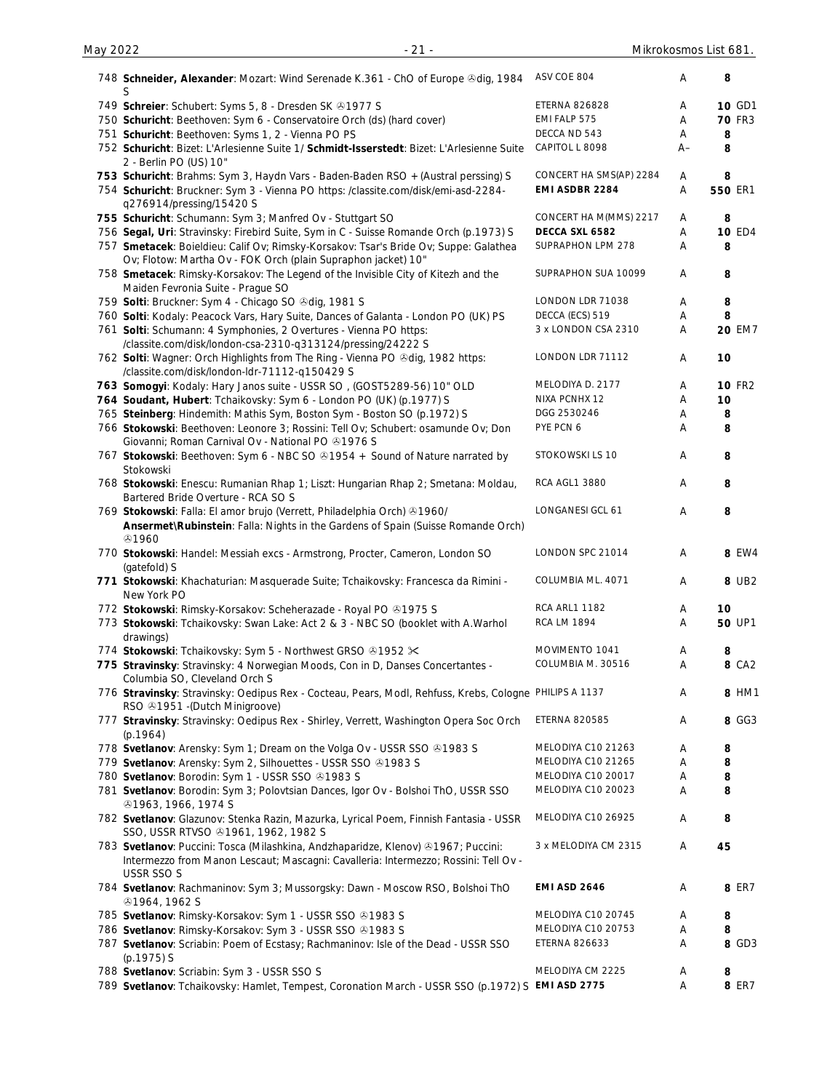| 748 Schneider, Alexander: Mozart: Wind Serenade K.361 - ChO of Europe & dig, 1984<br>S                                                                                                 | ASV COE 804             | Α    | 8             |
|----------------------------------------------------------------------------------------------------------------------------------------------------------------------------------------|-------------------------|------|---------------|
| 749 Schreier: Schubert: Syms 5, 8 - Dresden SK +1977 S                                                                                                                                 | <b>ETERNA 826828</b>    | Α    | 10 GD1        |
| 750 Schuricht: Beethoven: Sym 6 - Conservatoire Orch (ds) (hard cover)                                                                                                                 | EMI FALP 575            | Α    | <b>70 FR3</b> |
| 751 Schuricht: Beethoven: Syms 1, 2 - Vienna PO PS                                                                                                                                     | DECCA ND 543            | Α    | 8             |
| 752 Schuricht: Bizet: L'Arlesienne Suite 1/ Schmidt-Isserstedt: Bizet: L'Arlesienne Suite                                                                                              | CAPITOL L 8098          | $A-$ | 8             |
| 2 - Berlin PO (US) 10"                                                                                                                                                                 |                         |      |               |
| 753 Schuricht: Brahms: Sym 3, Haydn Vars - Baden-Baden RSO + (Austral perssing) S                                                                                                      | CONCERT HA SMS(AP) 2284 | Α    | 8             |
| 754 Schuricht: Bruckner: Sym 3 - Vienna PO https: /classite.com/disk/emi-asd-2284-                                                                                                     | EMI ASDBR 2284          | Α    | 550 ER1       |
| q276914/pressing/15420 S                                                                                                                                                               |                         |      |               |
| 755 Schuricht: Schumann: Sym 3; Manfred Ov - Stuttgart SO                                                                                                                              | CONCERT HA M(MMS) 2217  | A    | 8             |
| 756 Segal, Uri: Stravinsky: Firebird Suite, Sym in C - Suisse Romande Orch (p.1973) S                                                                                                  | DECCA SXL 6582          | Α    | <b>10 ED4</b> |
| 757 Smetacek: Boieldieu: Calif Ov; Rimsky-Korsakov: Tsar's Bride Ov; Suppe: Galathea<br>Ov; Flotow: Martha Ov - FOK Orch (plain Supraphon jacket) 10"                                  | SUPRAPHON LPM 278       | Α    | 8             |
| 758 Smetacek: Rimsky-Korsakov: The Legend of the Invisible City of Kitezh and the<br>Maiden Fevronia Suite - Prague SO                                                                 | SUPRAPHON SUA 10099     | Α    | 8             |
| 759 Solti: Bruckner: Sym 4 - Chicago SO & dig, 1981 S                                                                                                                                  | LONDON LDR 71038        | Α    | 8             |
| 760 Solti: Kodaly: Peacock Vars, Hary Suite, Dances of Galanta - London PO (UK) PS                                                                                                     | DECCA (ECS) 519         | Α    | 8             |
| 761 Solti: Schumann: 4 Symphonies, 2 Overtures - Vienna PO https:                                                                                                                      | 3 x LONDON CSA 2310     | Α    | <b>20 EM7</b> |
| /classite.com/disk/london-csa-2310-q313124/pressing/24222 S                                                                                                                            |                         |      |               |
| 762 Solti: Wagner: Orch Highlights from The Ring - Vienna PO & dig, 1982 https:<br>/classite.com/disk/london-ldr-71112-q150429 S                                                       | LONDON LDR 71112        | Α    | 10            |
| 763 Somogyi: Kodaly: Hary Janos suite - USSR SO, (GOST5289-56) 10" OLD                                                                                                                 | MELODIYA D. 2177        | Α    | <b>10 FR2</b> |
| 764 Soudant, Hubert: Tchaikovsky: Sym 6 - London PO (UK) (p.1977) S                                                                                                                    | NIXA PCNHX 12           | Α    | 10            |
|                                                                                                                                                                                        | DGG 2530246             |      |               |
| 765 Steinberg: Hindemith: Mathis Sym, Boston Sym - Boston SO (p.1972) S                                                                                                                |                         | Α    | 8             |
| 766 Stokowski: Beethoven: Leonore 3; Rossini: Tell Ov; Schubert: osamunde Ov; Don<br>Giovanni; Roman Carnival Ov - National PO 31976 S                                                 | PYE PCN 6               | Α    | 8             |
| 767 Stokowski: Beethoven: Sym 6 - NBC SO 31954 + Sound of Nature narrated by<br>Stokowski                                                                                              | STOKOWSKI LS 10         | Α    | 8             |
| 768 Stokowski: Enescu: Rumanian Rhap 1; Liszt: Hungarian Rhap 2; Smetana: Moldau,<br>Bartered Bride Overture - RCA SO S                                                                | <b>RCA AGL1 3880</b>    | Α    | 8             |
| 769 Stokowski: Falla: El amor brujo (Verrett, Philadelphia Orch) & 1960/<br>Ansermet\Rubinstein: Falla: Nights in the Gardens of Spain (Suisse Romande Orch)                           | LONGANESI GCL 61        | Α    | 8             |
| $Q$ 1960<br>770 Stokowski: Handel: Messiah excs - Armstrong, Procter, Cameron, London SO                                                                                               | LONDON SPC 21014        | Α    | 8 EW4         |
| (gatefold) S<br>771 Stokowski: Khachaturian: Masquerade Suite; Tchaikovsky: Francesca da Rimini -                                                                                      | COLUMBIA ML. 4071       | Α    | 8 UB2         |
| New York PO                                                                                                                                                                            |                         |      |               |
| 772 Stokowski: Rimsky-Korsakov: Scheherazade - Royal PO +1975 S                                                                                                                        | RCA ARL1 1182           | Α    | 10            |
| 773 Stokowski: Tchaikovsky: Swan Lake: Act 2 & 3 - NBC SO (booklet with A.Warhol<br>drawings)                                                                                          | <b>RCA LM 1894</b>      | Α    | <b>50 UP1</b> |
| 774 Stokowski: Tchaikovsky: Sym 5 - Northwest GRSO & 1952 $\times$                                                                                                                     | MOVIMENTO 1041          | Α    | 8             |
| 775 Stravinsky: Stravinsky: 4 Norwegian Moods, Con in D, Danses Concertantes -<br>Columbia SO, Cleveland Orch S                                                                        | COLUMBIA M. 30516       | Α    | 8 CA2         |
| 776 Stravinsky: Stravinsky: Oedipus Rex - Cocteau, Pears, Modl, Rehfuss, Krebs, Cologne PHILIPS A 1137<br>RSO <b>@1951</b> - (Dutch Minigroove)                                        |                         | Α    | 8 HM1         |
| 777 Stravinsky: Stravinsky: Oedipus Rex - Shirley, Verrett, Washington Opera Soc Orch<br>(p.1964)                                                                                      | <b>ETERNA 820585</b>    | Α    | 8 GG3         |
| 778 Svetlanov: Arensky: Sym 1; Dream on the Volga Ov - USSR SSO @1983 S                                                                                                                | MELODIYA C10 21263      | Α    | 8             |
| 779 Svetlanov: Arensky: Sym 2, Silhouettes - USSR SSO 31983 S                                                                                                                          | MELODIYA C10 21265      | Α    | 8             |
| 780 Svetlanov: Borodin: Sym 1 - USSR SSO @1983 S                                                                                                                                       | MELODIYA C10 20017      | Α    | 8             |
| 781 Svetlanov: Borodin: Sym 3; Polovtsian Dances, Igor Ov - Bolshoi ThO, USSR SSO                                                                                                      | MELODIYA C10 20023      | Α    | 8             |
| 31963, 1966, 1974 S                                                                                                                                                                    |                         |      |               |
| 782 Svetlanov: Glazunov: Stenka Razin, Mazurka, Lyrical Poem, Finnish Fantasia - USSR<br>SSO, USSR RTVSO @1961, 1962, 1982 S                                                           | MELODIYA C10 26925      | Α    | 8             |
| 783 Svetlanov: Puccini: Tosca (Milashkina, Andzhaparidze, Klenov) 31967; Puccini:<br>Intermezzo from Manon Lescaut; Mascagni: Cavalleria: Intermezzo; Rossini: Tell Ov -<br>USSR SSO S | 3 x MELODIYA CM 2315    | Α    | 45            |
| 784 Svetlanov: Rachmaninov: Sym 3; Mussorgsky: Dawn - Moscow RSO, Bolshoi ThO<br><b>@1964, 1962 S</b>                                                                                  | <b>EMI ASD 2646</b>     | Α    | 8 ER7         |
| 785 Svetlanov: Rimsky-Korsakov: Sym 1 - USSR SSO & 1983 S                                                                                                                              | MELODIYA C10 20745      | Α    | 8             |
| 786 Svetlanov: Rimsky-Korsakov: Sym 3 - USSR SSO & 1983 S                                                                                                                              | MELODIYA C10 20753      | Α    | 8             |
| 787 Svetlanov: Scriabin: Poem of Ecstasy; Rachmaninov: Isle of the Dead - USSR SSO                                                                                                     | ETERNA 826633           | Α    | 8 GD3         |
| (p.1975) S                                                                                                                                                                             |                         |      |               |
| 788 Svetlanov: Scriabin: Sym 3 - USSR SSO S                                                                                                                                            | MELODIYA CM 2225        | A    | 8             |
| 789 Svetlanov: Tchaikovsky: Hamlet, Tempest, Coronation March - USSR SSO (p.1972) S EMI ASD 2775                                                                                       |                         | Α    | 8 ER7         |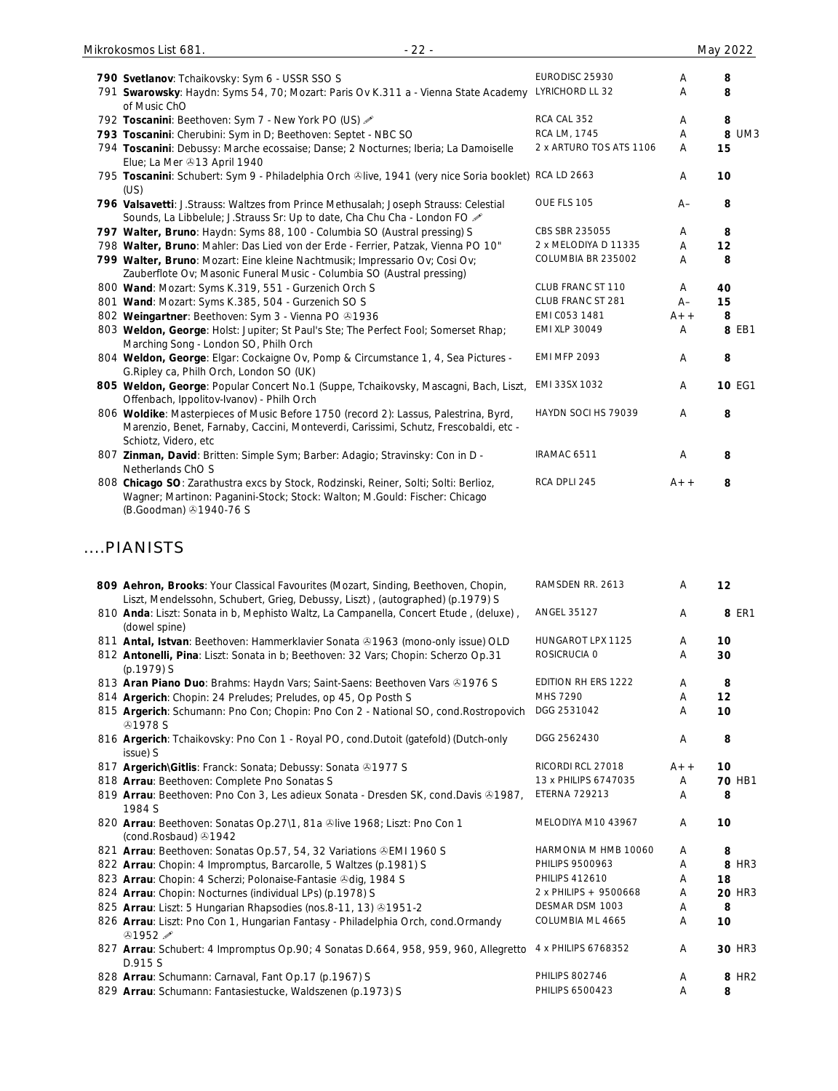| 790 Svetlanov: Tchaikovsky: Sym 6 - USSR SSO S                                                                                                                                                       | EURODISC 25930          | A     | 8             |
|------------------------------------------------------------------------------------------------------------------------------------------------------------------------------------------------------|-------------------------|-------|---------------|
| 791 Swarowsky: Haydn: Syms 54, 70; Mozart: Paris Ov K.311 a - Vienna State Academy<br>of Music ChO                                                                                                   | LYRICHORD LL 32         | A     | 8             |
| 792 Toscanini: Beethoven: Sym 7 - New York PO (US) &                                                                                                                                                 | RCA CAL 352             | A     | 8             |
| 793 Toscanini: Cherubini: Sym in D; Beethoven: Septet - NBC SO                                                                                                                                       | RCA LM, 1745            | A     | 8 UM3         |
| 794 Toscanini: Debussy: Marche ecossaise; Danse; 2 Nocturnes; Iberia; La Damoiselle<br>Elue; La Mer +13 April 1940                                                                                   | 2 x ARTURO TOS ATS 1106 | A     | 15            |
| 795 Toscanini: Schubert: Sym 9 - Philadelphia Orch &live, 1941 (very nice Soria booklet) RCA LD 2663<br>(US)                                                                                         |                         | A     | 10            |
| 796 Valsavetti: J.Strauss: Waltzes from Prince Methusalah; Joseph Strauss: Celestial<br>Sounds, La Libbelule; J.Strauss Sr: Up to date, Cha Chu Cha - London FO 2                                    | OUE FLS 105             | $A-$  | 8             |
| 797 Walter, Bruno: Haydn: Syms 88, 100 - Columbia SO (Austral pressing) S                                                                                                                            | CBS SBR 235055          | Α     | 8             |
| 798 Walter, Bruno: Mahler: Das Lied von der Erde - Ferrier, Patzak, Vienna PO 10"                                                                                                                    | 2 x MELODIYA D 11335    | A     | 12            |
| 799 Walter, Bruno: Mozart: Eine kleine Nachtmusik; Impressario Ov; Cosi Ov;                                                                                                                          | COLUMBIA BR 235002      | A     | 8             |
| Zauberflote Ov; Masonic Funeral Music - Columbia SO (Austral pressing)                                                                                                                               |                         |       |               |
| 800 Wand: Mozart: Syms K.319, 551 - Gurzenich Orch S                                                                                                                                                 | CLUB FRANC ST 110       | A     | 40            |
| 801 Wand: Mozart: Syms K.385, 504 - Gurzenich SO S                                                                                                                                                   | CLUB FRANC ST 281       | $A -$ | 15            |
| 802 Weingartner: Beethoven: Sym 3 - Vienna PO 01936                                                                                                                                                  | EMI C053 1481           | $A++$ | 8             |
| 803 Weldon, George: Holst: Jupiter; St Paul's Ste; The Perfect Fool; Somerset Rhap;<br>Marching Song - London SO, Philh Orch                                                                         | EMI XLP 30049           | Α     | 8 EB1         |
| 804 Weldon, George: Elgar: Cockaigne Ov, Pomp & Circumstance 1, 4, Sea Pictures -<br>G. Ripley ca, Philh Orch, London SO (UK)                                                                        | <b>EMI MFP 2093</b>     | A     | 8             |
| 805 Weldon, George: Popular Concert No.1 (Suppe, Tchaikovsky, Mascagni, Bach, Liszt,<br>Offenbach, Ippolitov-Ivanov) - Philh Orch                                                                    | EMI 33SX 1032           | A     | <b>10 EG1</b> |
| 806 Woldike: Masterpieces of Music Before 1750 (record 2): Lassus, Palestrina, Byrd,<br>Marenzio, Benet, Farnaby, Caccini, Monteverdi, Carissimi, Schutz, Frescobaldi, etc -<br>Schiotz, Videro, etc | HAYDN SOCI HS 79039     | A     | 8             |
| 807 Zinman, David: Britten: Simple Sym; Barber: Adagio; Stravinsky: Con in D -<br>Netherlands ChO S                                                                                                  | IRAMAC 6511             | A     | 8             |
| 808 Chicago SO: Zarathustra excs by Stock, Rodzinski, Reiner, Solti; Solti: Berlioz,<br>Wagner; Martinon: Paganini-Stock; Stock: Walton; M.Gould: Fischer: Chicago                                   | RCA DPLI 245            | $A++$ | 8             |

(B.Goodman) 31940-76 S

### ....PIANISTS

| 809 Aehron, Brooks: Your Classical Favourites (Mozart, Sinding, Beethoven, Chopin,<br>Liszt, Mendelssohn, Schubert, Grieg, Debussy, Liszt), (autographed) (p.1979) S | RAMSDEN RR. 2613      | A     | 12                |
|----------------------------------------------------------------------------------------------------------------------------------------------------------------------|-----------------------|-------|-------------------|
| 810 Anda: Liszt: Sonata in b, Mephisto Waltz, La Campanella, Concert Etude, (deluxe),<br>(dowel spine)                                                               | <b>ANGEL 35127</b>    | A     | 8 ER1             |
| 811 Antal, Istvan: Beethoven: Hammerklavier Sonata & 1963 (mono-only issue) OLD                                                                                      | HUNGAROT LPX 1125     | A     | 10                |
| 812 Antonelli, Pina: Liszt: Sonata in b; Beethoven: 32 Vars; Chopin: Scherzo Op.31<br>(p.1979) S                                                                     | ROSICRUCIA 0          | A     | 30                |
| 813 Aran Piano Duo: Brahms: Haydn Vars; Saint-Saens: Beethoven Vars & 1976 S                                                                                         | EDITION RH ERS 1222   | A     | 8                 |
| 814 Argerich: Chopin: 24 Preludes; Preludes, op 45, Op Posth S                                                                                                       | MHS 7290              | A     | 12                |
| 815 Argerich: Schumann: Pno Con; Chopin: Pno Con 2 - National SO, cond. Rostropovich<br><b>@1978 S</b>                                                               | DGG 2531042           | A     | 10                |
| 816 Argerich: Tchaikovsky: Pno Con 1 - Royal PO, cond.Dutoit (gatefold) (Dutch-only<br>issue) S                                                                      | DGG 2562430           | A     | 8                 |
| 817 Argerich\Gitlis: Franck: Sonata; Debussy: Sonata +1977 S                                                                                                         | RICORDI RCL 27018     | $A++$ | 10                |
| 818 Arrau: Beethoven: Complete Pno Sonatas S                                                                                                                         | 13 x PHILIPS 6747035  | A     | 70 HB1            |
| 819 Arrau: Beethoven: Pno Con 3, Les adieux Sonata - Dresden SK, cond.Davis & 1987,<br>1984 S                                                                        | <b>ETERNA 729213</b>  | A     | 8                 |
| 820 Arrau: Beethoven: Sonatas Op.27\1, 81a + Iive 1968; Liszt: Pno Con 1<br>(cond.Rosbaud) 31942                                                                     | MELODIYA M10 43967    | A     | 10                |
| 821 Arrau: Beethoven: Sonatas Op.57, 54, 32 Variations & EMI 1960 S                                                                                                  | HARMONIA M HMB 10060  | A     | 8                 |
| 822 Arrau: Chopin: 4 Impromptus, Barcarolle, 5 Waltzes (p.1981) S                                                                                                    | PHILIPS 9500963       | A     | 8 HR3             |
| 823 Arrau: Chopin: 4 Scherzi; Polonaise-Fantasie Odig, 1984 S                                                                                                        | <b>PHILIPS 412610</b> | A     | 18                |
| 824 Arrau: Chopin: Nocturnes (individual LPs) (p.1978) S                                                                                                             | 2 x PHILIPS + 9500668 | A     | <b>20 HR3</b>     |
| 825 Arrau: Liszt: 5 Hungarian Rhapsodies (nos.8-11, 13) 31951-2                                                                                                      | DESMAR DSM 1003       | A     | 8                 |
| 826 Arrau: Liszt: Pno Con 1, Hungarian Fantasy - Philadelphia Orch, cond.Ormandy<br>$@1952 \mathscr{D}$                                                              | COLUMBIA ML 4665      | Α     | 10                |
| 827 Arrau: Schubert: 4 Impromptus Op.90; 4 Sonatas D.664, 958, 959, 960, Allegretto<br>D.915 S                                                                       | 4 x PHILIPS 6768352   | Α     | <b>30 HR3</b>     |
| 828 Arrau: Schumann: Carnaval, Fant Op.17 (p.1967) S                                                                                                                 | <b>PHILIPS 802746</b> | Α     | 8 HR <sub>2</sub> |
| 829 Arrau: Schumann: Fantasiestucke, Waldszenen (p.1973) S                                                                                                           | PHILIPS 6500423       | Α     | 8                 |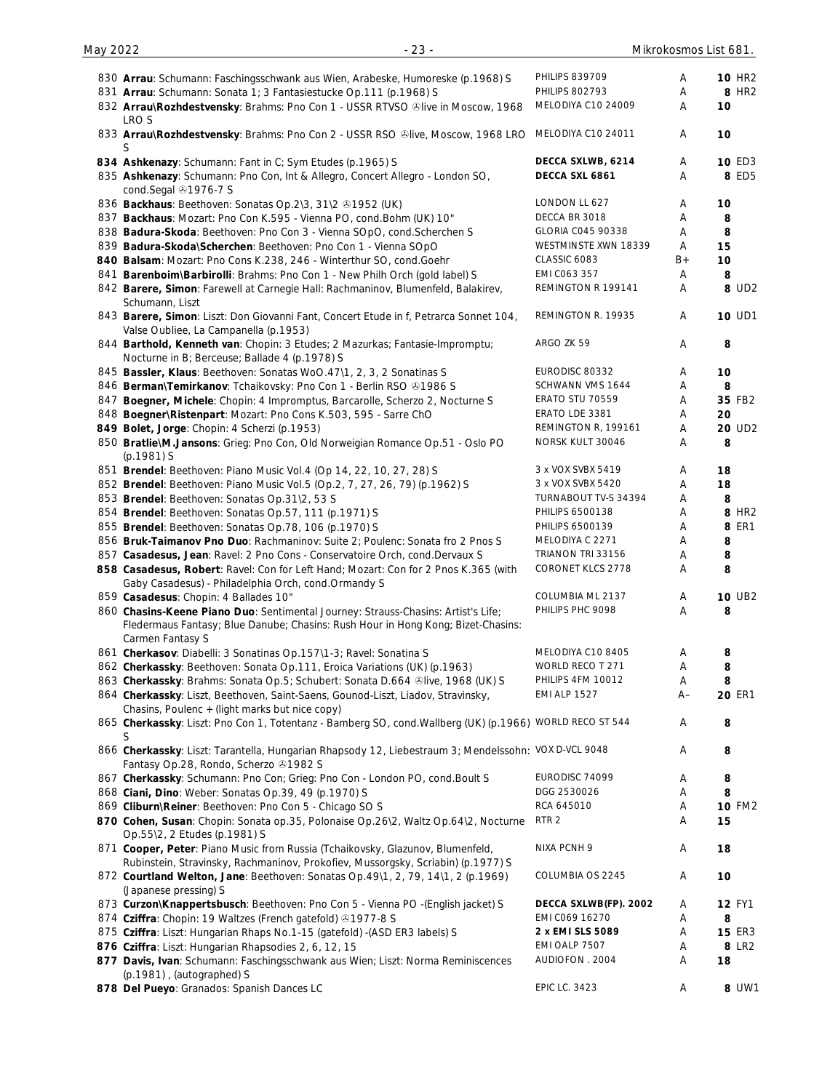| 830 Arrau: Schumann: Faschingsschwank aus Wien, Arabeske, Humoreske (p.1968) S                                                                                        | <b>PHILIPS 839709</b>    | Α    | <b>10 HR2</b>      |
|-----------------------------------------------------------------------------------------------------------------------------------------------------------------------|--------------------------|------|--------------------|
| 831 Arrau: Schumann: Sonata 1; 3 Fantasiestucke Op.111 (p.1968) S                                                                                                     | <b>PHILIPS 802793</b>    | Α    | 8 HR <sub>2</sub>  |
| 832 Arrau\Rozhdestvensky: Brahms: Pno Con 1 - USSR RTVSO ®live in Moscow, 1968<br>LRO S                                                                               | MELODIYA C10 24009       | Α    | 10                 |
| 833 Arrau\Rozhdestvensky: Brahms: Pno Con 2 - USSR RSO ®live, Moscow, 1968 LRO<br>S                                                                                   | MELODIYA C10 24011       | A    | 10                 |
| 834 Ashkenazy: Schumann: Fant in C; Sym Etudes (p.1965) S                                                                                                             | DECCA SXLWB, 6214        | A    | <b>10 ED3</b>      |
| 835 Ashkenazy: Schumann: Pno Con, Int & Allegro, Concert Allegro - London SO,<br>cond.Segal 21976-7 S                                                                 | DECCA SXL 6861           | Α    | 8 ED5              |
| 836 Backhaus: Beethoven: Sonatas Op.2\3, 31\2 +1952 (UK)                                                                                                              | LONDON LL 627            | Α    | 10                 |
| 837 Backhaus: Mozart: Pno Con K.595 - Vienna PO, cond. Bohm (UK) 10"                                                                                                  | DECCA BR 3018            | Α    | 8                  |
| 838 Badura-Skoda: Beethoven: Pno Con 3 - Vienna SOpO, cond. Scherchen S                                                                                               | GLORIA C045 90338        | Α    | 8                  |
| 839 Badura-Skoda\Scherchen: Beethoven: Pno Con 1 - Vienna SOpO                                                                                                        | WESTMINSTE XWN 18339     | A    | 15                 |
| 840 Balsam: Mozart: Pno Cons K.238, 246 - Winterthur SO, cond.Goehr                                                                                                   | CLASSIC 6083             | $B+$ | 10                 |
| 841 Barenboim\Barbirolli: Brahms: Pno Con 1 - New Philh Orch (gold label) S                                                                                           | EMI CO63 357             | Α    | 8                  |
| 842 Barere, Simon: Farewell at Carnegie Hall: Rachmaninov, Blumenfeld, Balakirev,<br>Schumann, Liszt                                                                  | REMINGTON R 199141       | Α    | 8 UD2              |
| 843 Barere, Simon: Liszt: Don Giovanni Fant, Concert Etude in f, Petrarca Sonnet 104,<br>Valse Oubliee, La Campanella (p.1953)                                        | REMINGTON R. 19935       | Α    | <b>10 UD1</b>      |
| 844 Barthold, Kenneth van: Chopin: 3 Etudes; 2 Mazurkas; Fantasie-Impromptu;<br>Nocturne in B; Berceuse; Ballade 4 (p.1978) S                                         | ARGO ZK 59               | A    | 8                  |
| 845 Bassler, Klaus: Beethoven: Sonatas WoO.47\1, 2, 3, 2 Sonatinas S                                                                                                  | EURODISC 80332           | Α    | 10                 |
| 846 Berman\Temirkanov: Tchaikovsky: Pno Con 1 - Berlin RSO @1986 S                                                                                                    | SCHWANN VMS 1644         | Α    | 8                  |
| 847 Boegner, Michele: Chopin: 4 Impromptus, Barcarolle, Scherzo 2, Nocturne S                                                                                         | ERATO STU 70559          | Α    | 35 FB2             |
| 848 Boegner\Ristenpart: Mozart: Pno Cons K.503, 595 - Sarre ChO                                                                                                       | ERATO LDE 3381           | Α    | 20                 |
| 849 Bolet, Jorge: Chopin: 4 Scherzi (p.1953)                                                                                                                          | REMINGTON R, 199161      | Α    | 20 UD <sub>2</sub> |
| 850 Bratlie\M.Jansons: Grieg: Pno Con, Old Norweigian Romance Op.51 - Oslo PO<br>(p.1981) S                                                                           | NORSK KULT 30046         | Α    | 8                  |
| 851 Brendel: Beethoven: Piano Music Vol. 4 (Op 14, 22, 10, 27, 28) S                                                                                                  | 3 x VOX SVBX 5419        | Α    | 18                 |
| 852 Brendel: Beethoven: Piano Music Vol.5 (Op.2, 7, 27, 26, 79) (p.1962) S                                                                                            | 3 x VOX SVBX 5420        | Α    | 18                 |
| 853 Brendel: Beethoven: Sonatas Op.31\2, 53 S                                                                                                                         | TURNABOUT TV-S 34394     | Α    | 8                  |
| 854 Brendel: Beethoven: Sonatas Op.57, 111 (p.1971) S                                                                                                                 | PHILIPS 6500138          | Α    | 8 HR <sub>2</sub>  |
| 855 Brendel: Beethoven: Sonatas Op.78, 106 (p.1970) S                                                                                                                 | PHILIPS 6500139          | Α    | <b>8 ER1</b>       |
| 856 Bruk-Taimanov Pno Duo: Rachmaninov: Suite 2; Poulenc: Sonata fro 2 Pnos S                                                                                         | MELODIYA C 2271          | Α    | 8                  |
| 857 Casadesus, Jean: Ravel: 2 Pno Cons - Conservatoire Orch, cond.Dervaux S                                                                                           | TRIANON TRI 33156        | Α    | 8                  |
| 858 Casadesus, Robert: Ravel: Con for Left Hand; Mozart: Con for 2 Pnos K.365 (with                                                                                   | <b>CORONET KLCS 2778</b> | Α    | 8                  |
| Gaby Casadesus) - Philadelphia Orch, cond.Ormandy S                                                                                                                   |                          |      |                    |
| 859 Casadesus: Chopin: 4 Ballades 10"                                                                                                                                 | COLUMBIA ML 2137         | A    | <b>10 UB2</b>      |
| 860 Chasins-Keene Piano Duo: Sentimental Journey: Strauss-Chasins: Artist's Life;<br>Fledermaus Fantasy; Blue Danube; Chasins: Rush Hour in Hong Kong; Bizet-Chasins: | PHILIPS PHC 9098         | Α    | 8                  |
| Carmen Fantasy S                                                                                                                                                      | MELODIYA C10 8405        | Α    |                    |
| 861 Cherkasov: Diabelli: 3 Sonatinas Op.157\1-3; Ravel: Sonatina S<br>862 Cherkassky: Beethoven: Sonata Op.111, Eroica Variations (UK) (p.1963)                       | WORLD RECO T 271         | Α    | 8<br>8             |
| 863 Cherkassky: Brahms: Sonata Op.5; Schubert: Sonata D.664 &live, 1968 (UK) S                                                                                        | PHILIPS 4FM 10012        | Α    | 8                  |
| 864 Cherkassky: Liszt, Beethoven, Saint-Saens, Gounod-Liszt, Liadov, Stravinsky,<br>Chasins, Poulenc + (light marks but nice copy)                                    | <b>EMI ALP 1527</b>      | $A-$ | <b>20 ER1</b>      |
| 865 Cherkassky: Liszt: Pno Con 1, Totentanz - Bamberg SO, cond. Wallberg (UK) (p.1966) WORLD RECO ST 544<br>S                                                         |                          | Α    | 8                  |
| 866 Cherkassky: Liszt: Tarantella, Hungarian Rhapsody 12, Liebestraum 3; Mendelssohn: VOX D-VCL 9048                                                                  |                          | Α    | 8                  |
| Fantasy Op.28, Rondo, Scherzo 31982 S                                                                                                                                 |                          |      |                    |
| 867 Cherkassky: Schumann: Pno Con; Grieg: Pno Con - London PO, cond. Boult S                                                                                          | EURODISC 74099           | Α    | 8                  |
| 868 Ciani, Dino: Weber: Sonatas Op.39, 49 (p.1970) S                                                                                                                  | DGG 2530026              | Α    | 8                  |
| 869 Cliburn\Reiner: Beethoven: Pno Con 5 - Chicago SO S                                                                                                               | RCA 645010               | Α    | <b>10 FM2</b>      |
| 870 Cohen, Susan: Chopin: Sonata op.35, Polonaise Op.26\2, Waltz Op.64\2, Nocturne<br>Op.55\2, 2 Etudes (p.1981) S                                                    | RTR <sub>2</sub>         | Α    | 15                 |
| 871 Cooper, Peter: Piano Music from Russia (Tchaikovsky, Glazunov, Blumenfeld,<br>Rubinstein, Stravinsky, Rachmaninov, Prokofiev, Mussorgsky, Scriabin) (p.1977) S    | NIXA PCNH 9              | Α    | 18                 |
| 872 Courtland Welton, Jane: Beethoven: Sonatas Op.49\1, 2, 79, 14\1, 2 (p.1969)<br>(Japanese pressing) S                                                              | COLUMBIA OS 2245         | Α    | 10                 |
| 873 Curzon\Knappertsbusch: Beethoven: Pno Con 5 - Vienna PO -(English jacket) S                                                                                       | DECCA SXLWB(FP). 2002    | Α    | <b>12 FY1</b>      |
| 874 Cziffra: Chopin: 19 Waltzes (French gatefold) 31977-8 S                                                                                                           | EMI C069 16270           | Α    | 8                  |
| 875 Cziffra: Liszt: Hungarian Rhaps No.1-15 (gatefold) -(ASD ER3 labels) S                                                                                            | 2 x EMI SLS 5089         | Α    | <b>15 ER3</b>      |
| 876 Cziffra: Liszt: Hungarian Rhapsodies 2, 6, 12, 15                                                                                                                 | EMI OALP 7507            | Α    | 8 LR2              |
| 877 Davis, Ivan: Schumann: Faschingsschwank aus Wien; Liszt: Norma Reminiscences                                                                                      | AUDIOFON . 2004          | Α    | 18                 |
| (p.1981), (autographed) S                                                                                                                                             |                          |      |                    |
| 878 Del Pueyo: Granados: Spanish Dances LC                                                                                                                            | <b>EPIC LC. 3423</b>     | Α    | 8 UW1              |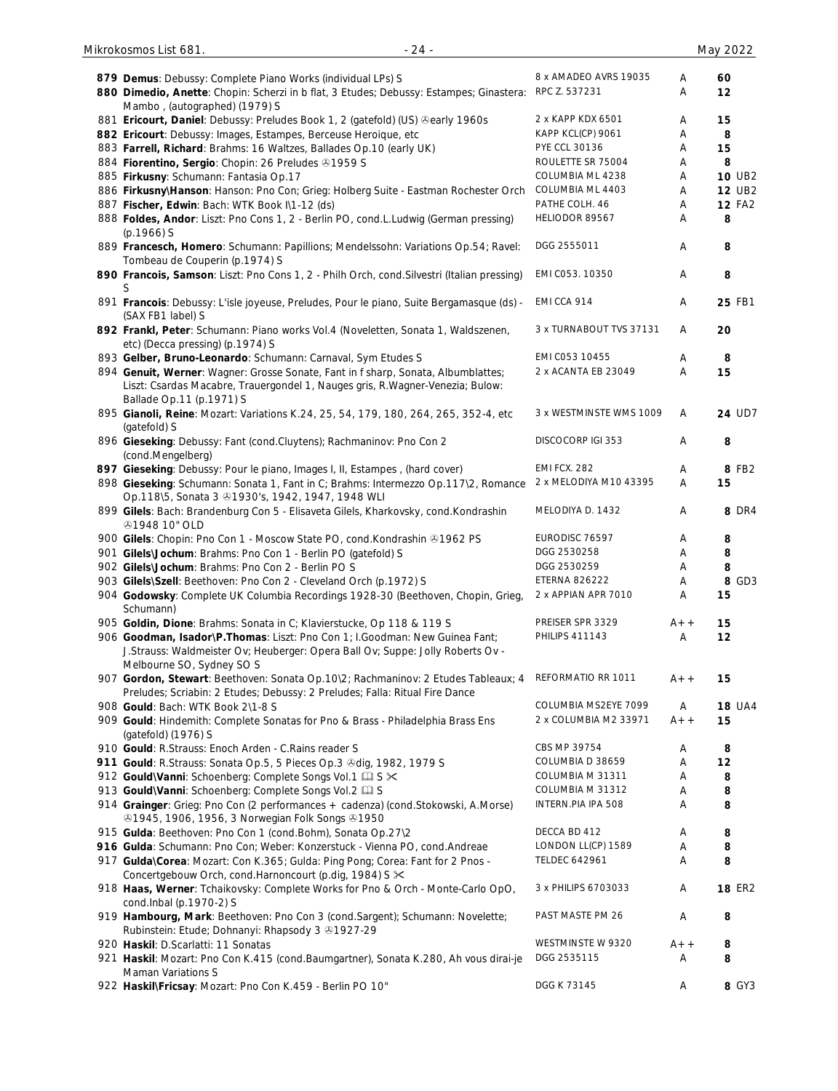| 879 Demus: Debussy: Complete Piano Works (individual LPs) S                                 | 8 x AMADEO AVRS 19035   | Α     | 60            |
|---------------------------------------------------------------------------------------------|-------------------------|-------|---------------|
| 880 Dimedio, Anette: Chopin: Scherzi in b flat, 3 Etudes; Debussy: Estampes; Ginastera:     | RPC Z. 537231           | Α     | 12            |
|                                                                                             |                         |       |               |
| Mambo, (autographed) (1979) S                                                               |                         |       |               |
| 881 Ericourt, Daniel: Debussy: Preludes Book 1, 2 (gatefold) (US) Searly 1960s              | 2 x KAPP KDX 6501       | Α     | 15            |
| 882 Ericourt: Debussy: Images, Estampes, Berceuse Heroique, etc                             | KAPP KCL(CP) 9061       | Α     | 8             |
| 883 Farrell, Richard: Brahms: 16 Waltzes, Ballades Op.10 (early UK)                         | PYE CCL 30136           | Α     | 15            |
| 884 Fiorentino, Sergio: Chopin: 26 Preludes 31959 S                                         | ROULETTE SR 75004       | Α     | 8             |
|                                                                                             | COLUMBIA ML 4238        |       | <b>10 UB2</b> |
| 885 Firkusny: Schumann: Fantasia Op.17                                                      |                         | Α     |               |
| 886 Firkusny\Hanson: Hanson: Pno Con; Grieg: Holberg Suite - Eastman Rochester Orch         | COLUMBIA ML 4403        | Α     | <b>12 UB2</b> |
| 887 Fischer, Edwin: Bach: WTK Book I\1-12 (ds)                                              | PATHE COLH. 46          | Α     | <b>12 FA2</b> |
| 888 Foldes, Andor: Liszt: Pno Cons 1, 2 - Berlin PO, cond.L.Ludwig (German pressing)        | HELIODOR 89567          | Α     | 8             |
| $(p.1966)$ S                                                                                |                         |       |               |
| 889 Francesch, Homero: Schumann: Papillions; Mendelssohn: Variations Op.54; Ravel:          | DGG 2555011             | Α     | 8             |
|                                                                                             |                         |       |               |
| Tombeau de Couperin (p.1974) S                                                              |                         |       |               |
| 890 Francois, Samson: Liszt: Pno Cons 1, 2 - Philh Orch, cond. Silvestri (Italian pressing) | EMI C053. 10350         | Α     | 8             |
|                                                                                             |                         |       |               |
| 891 Francois: Debussy: L'isle joyeuse, Preludes, Pour le piano, Suite Bergamasque (ds) -    | EMI CCA 914             | Α     | 25 FB1        |
| (SAX FB1 label) S                                                                           |                         |       |               |
| 892 Frankl, Peter: Schumann: Piano works Vol.4 (Noveletten, Sonata 1, Waldszenen,           | 3 x TURNABOUT TVS 37131 | Α     | 20            |
| etc) (Decca pressing) (p.1974) S                                                            |                         |       |               |
|                                                                                             |                         |       |               |
| 893 Gelber, Bruno-Leonardo: Schumann: Carnaval, Sym Etudes S                                | EMI C053 10455          | Α     | 8             |
| 894 Genuit, Werner: Wagner: Grosse Sonate, Fant in f sharp, Sonata, Albumblattes;           | 2 x ACANTA EB 23049     | Α     | 15            |
| Liszt: Csardas Macabre, Trauergondel 1, Nauges gris, R. Wagner-Venezia; Bulow:              |                         |       |               |
| Ballade Op.11 (p.1971) S                                                                    |                         |       |               |
| 895 Gianoli, Reine: Mozart: Variations K.24, 25, 54, 179, 180, 264, 265, 352-4, etc         | 3 x WESTMINSTE WMS 1009 | Α     | 24 UD7        |
| (gatefold) S                                                                                |                         |       |               |
|                                                                                             |                         |       |               |
| 896 Gieseking: Debussy: Fant (cond.Cluytens); Rachmaninov: Pno Con 2                        | DISCOCORP IGI 353       | Α     | 8             |
| (cond.Mengelberg)                                                                           |                         |       |               |
| 897 Gieseking: Debussy: Pour le piano, Images I, II, Estampes, (hard cover)                 | EMI FCX. 282            | Α     | 8 FB2         |
| 898 Gieseking: Schumann: Sonata 1, Fant in C; Brahms: Intermezzo Op.117\2, Romance          | 2 x MELODIYA M10 43395  | Α     | 15            |
| Op.118\5, Sonata 3 31930's, 1942, 1947, 1948 WLI                                            |                         |       |               |
|                                                                                             | MELODIYA D. 1432        | Α     | 8 DR4         |
| 899 Gilels: Bach: Brandenburg Con 5 - Elisaveta Gilels, Kharkovsky, cond. Kondrashin        |                         |       |               |
| <b>401948 10" OLD</b>                                                                       |                         |       |               |
| 900 Gilels: Chopin: Pno Con 1 - Moscow State PO, cond.Kondrashin @1962 PS                   | EURODISC 76597          | Α     | 8             |
| 901 Gilels\Jochum: Brahms: Pno Con 1 - Berlin PO (gatefold) S                               | DGG 2530258             | Α     | 8             |
| 902 Gilels\Jochum: Brahms: Pno Con 2 - Berlin PO S                                          | DGG 2530259             | Α     | 8             |
| 903 Gilels\Szell: Beethoven: Pno Con 2 - Cleveland Orch (p.1972) S                          | <b>ETERNA 826222</b>    | Α     | 8 GD3         |
|                                                                                             |                         |       |               |
| 904 Godowsky: Complete UK Columbia Recordings 1928-30 (Beethoven, Chopin, Grieg,            | 2 x APPIAN APR 7010     |       |               |
| Schumann)                                                                                   |                         | A     | 15            |
|                                                                                             |                         |       |               |
| 905 Goldin, Dione: Brahms: Sonata in C; Klavierstucke, Op 118 & 119 S                       | PREISER SPR 3329        | $A++$ | 15            |
|                                                                                             | <b>PHILIPS 411143</b>   |       |               |
| 906 Goodman, Isador\P.Thomas: Liszt: Pno Con 1; I.Goodman: New Guinea Fant;                 |                         | Α     | 12            |
| J.Strauss: Waldmeister Ov; Heuberger: Opera Ball Ov; Suppe: Jolly Roberts Ov -              |                         |       |               |
| Melbourne SO, Sydney SO S                                                                   |                         |       |               |
| 907 Gordon, Stewart: Beethoven: Sonata Op.10\2; Rachmaninov: 2 Etudes Tableaux; 4           | REFORMATIO RR 1011      | $A++$ | 15            |
| Preludes; Scriabin: 2 Etudes; Debussy: 2 Preludes; Falla: Ritual Fire Dance                 |                         |       |               |
| 908 Gould: Bach: WTK Book 2\1-8 S                                                           | COLUMBIA MS2EYE 7099    | A     | <b>18 UA4</b> |
|                                                                                             | 2 x COLUMBIA M2 33971   | $A++$ | 15            |
| 909 Gould: Hindemith: Complete Sonatas for Pno & Brass - Philadelphia Brass Ens             |                         |       |               |
| (gatefold) (1976) S                                                                         |                         |       |               |
| 910 Gould: R.Strauss: Enoch Arden - C.Rains reader S                                        | CBS MP 39754            | Α     | 8             |
| 911 Gould: R.Strauss: Sonata Op.5, 5 Pieces Op.3 & dig, 1982, 1979 S                        | COLUMBIA D 38659        | Α     | 12            |
| 912 Gould\Vanni: Schoenberg: Complete Songs Vol.1 [1] S $\times$                            | COLUMBIA M 31311        | Α     | 8             |
| 913 Gould\Vanni: Schoenberg: Complete Songs Vol.2 [1] S                                     | COLUMBIA M 31312        | Α     | 8             |
|                                                                                             | INTERN.PIA IPA 508      | Α     |               |
| 914 Grainger: Grieg: Pno Con (2 performances + cadenza) (cond.Stokowski, A.Morse)           |                         |       | 8             |
| <b>31945, 1906, 1956, 3 Norwegian Folk Songs 31950</b>                                      |                         |       |               |
| 915 Gulda: Beethoven: Pno Con 1 (cond. Bohm), Sonata Op. 27\2                               | DECCA BD 412            | Α     | 8             |
| 916 Gulda: Schumann: Pno Con; Weber: Konzerstuck - Vienna PO, cond.Andreae                  | LONDON LL(CP) 1589      | Α     | 8             |
| 917 Gulda\Corea: Mozart: Con K.365; Gulda: Ping Pong; Corea: Fant for 2 Pnos -              | <b>TELDEC 642961</b>    | Α     | 8             |
| Concertgebouw Orch, cond.Harnoncourt (p.dig, 1984) S $\times$                               |                         |       |               |
|                                                                                             | 3 x PHILIPS 6703033     | Α     | <b>18 ER2</b> |
| 918 Haas, Werner: Tchaikovsky: Complete Works for Pno & Orch - Monte-Carlo OpO,             |                         |       |               |
| cond.Inbal (p.1970-2) S                                                                     |                         |       |               |
| 919 Hambourg, Mark: Beethoven: Pno Con 3 (cond.Sargent); Schumann: Novelette;               | PAST MASTE PM 26        | A     | 8             |
| Rubinstein: Etude; Dohnanyi: Rhapsody 3 3 1927-29                                           |                         |       |               |
| 920 Haskil: D.Scarlatti: 11 Sonatas                                                         | WESTMINSTE W 9320       | $A++$ | 8             |
| 921 Haskil: Mozart: Pno Con K.415 (cond.Baumgartner), Sonata K.280, Ah vous dirai-je        | DGG 2535115             | Α     | 8             |
| Maman Variations S                                                                          |                         |       |               |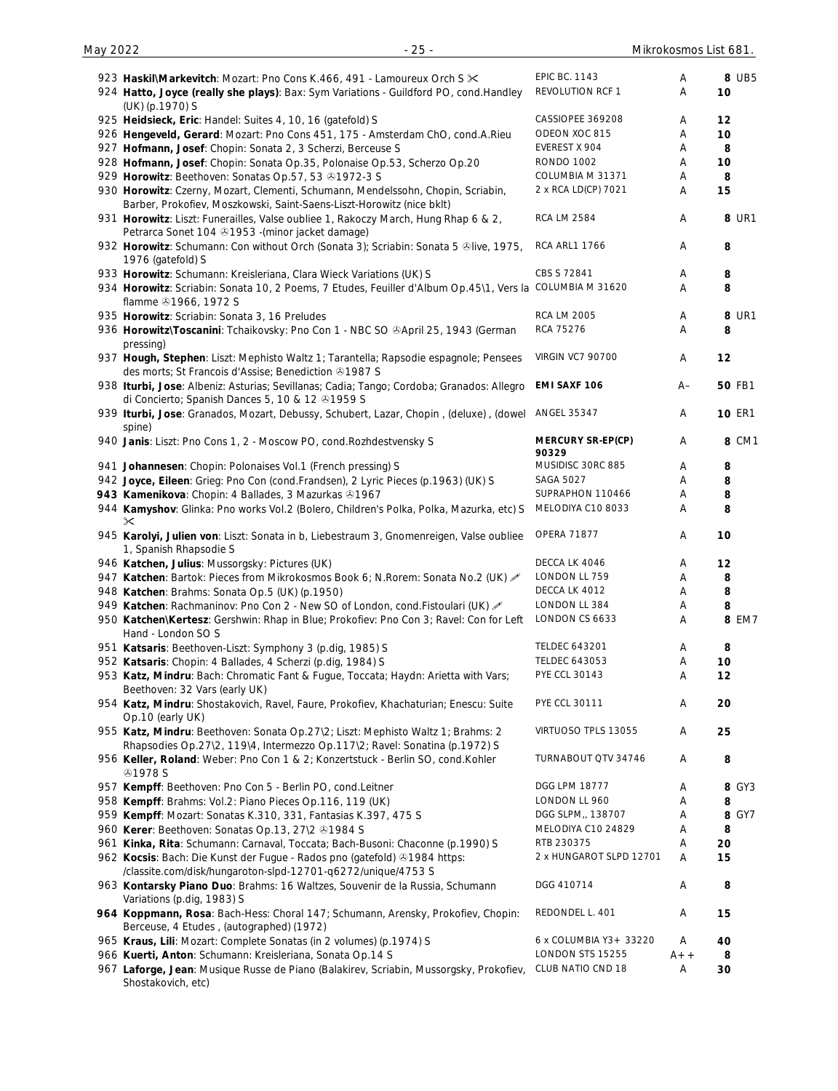| 8 UB5<br><b>EPIC BC. 1143</b><br>923 Haskil\Markevitch: Mozart: Pno Cons K.466, 491 - Lamoureux Orch S $\times$<br>Α<br>REVOLUTION RCF 1<br>Α<br>10<br>924 Hatto, Joyce (really she plays): Bax: Sym Variations - Guildford PO, cond. Handley<br>(UK) (p.1970) S<br>CASSIOPEE 369208<br>925 Heidsieck, Eric: Handel: Suites 4, 10, 16 (gatefold) S<br>12<br>A<br>ODEON XOC 815<br>926 Hengeveld, Gerard: Mozart: Pno Cons 451, 175 - Amsterdam ChO, cond.A.Rieu<br>10<br>A<br>EVEREST X 904<br>927 Hofmann, Josef: Chopin: Sonata 2, 3 Scherzi, Berceuse S<br>8<br>A<br><b>RONDO 1002</b><br>928 Hofmann, Josef: Chopin: Sonata Op.35, Polonaise Op.53, Scherzo Op.20<br>10<br>Α<br>COLUMBIA M 31371<br>929 Horowitz: Beethoven: Sonatas Op.57, 53 31972-3 S<br>8<br>A<br>2 x RCA LD(CP) 7021<br>930 Horowitz: Czerny, Mozart, Clementi, Schumann, Mendelssohn, Chopin, Scriabin,<br>15<br>Α<br>Barber, Prokofiev, Moszkowski, Saint-Saens-Liszt-Horowitz (nice bklt)<br><b>RCA LM 2584</b><br>8 UR1<br>931 Horowitz: Liszt: Funerailles, Valse oubliee 1, Rakoczy March, Hung Rhap 6 & 2,<br>Α<br>Petrarca Sonet 104 31953 - (minor jacket damage)<br><b>RCA ARL1 1766</b><br>932 Horowitz: Schumann: Con without Orch (Sonata 3); Scriabin: Sonata 5 &live, 1975,<br>8<br>Α<br>1976 (gatefold) S<br>CBS S 72841<br>933 Horowitz: Schumann: Kreisleriana, Clara Wieck Variations (UK) S<br>8<br>Α<br>934 Horowitz: Scriabin: Sonata 10, 2 Poems, 7 Etudes, Feuiller d'Album Op.45\1, Vers la COLUMBIA M 31620<br>8<br>A<br>flamme 31966, 1972 S<br><b>RCA LM 2005</b><br>8 UR1<br>935 Horowitz: Scriabin: Sonata 3, 16 Preludes<br>A<br>RCA 75276<br>936 Horowitz\Toscanini: Tchaikovsky: Pno Con 1 - NBC SO ®April 25, 1943 (German<br>8<br>A<br>pressing)<br><b>VIRGIN VC7 90700</b><br>937 Hough, Stephen: Liszt: Mephisto Waltz 1; Tarantella; Rapsodie espagnole; Pensees<br>12<br>Α<br>des morts; St Francois d'Assise; Benediction & 1987 S<br>EMI SAXF 106<br><b>50 FB1</b><br>938 Iturbi, Jose: Albeniz: Asturias; Sevillanas; Cadia; Tango; Cordoba; Granados: Allegro<br>$A-$<br>di Concierto; Spanish Dances 5, 10 & 12 & 1959 S<br><b>ANGEL 35347</b><br><b>10 ER1</b><br>939 Iturbi, Jose: Granados, Mozart, Debussy, Schubert, Lazar, Chopin, (deluxe), (dowel<br>A<br>spine)<br>8 CM1<br>940 Janis: Liszt: Pno Cons 1, 2 - Moscow PO, cond. Rozhdestvensky S<br><b>MERCURY SR-EP(CP)</b><br>A<br>90329<br>MUSIDISC 30RC 885<br>8<br>941 Johannesen: Chopin: Polonaises Vol.1 (French pressing) S<br>Α<br><b>SAGA 5027</b><br>942 Joyce, Eileen: Grieg: Pno Con (cond.Frandsen), 2 Lyric Pieces (p.1963) (UK) S<br>8<br>A<br>943 Kamenikova: Chopin: 4 Ballades, 3 Mazurkas 31967<br>SUPRAPHON 110466<br>Α<br>8<br>944 Kamyshov: Glinka: Pno works Vol.2 (Bolero, Children's Polka, Polka, Mazurka, etc) S<br>MELODIYA C10 8033<br>8<br>Α<br>$\times$<br><b>OPERA 71877</b><br>945 Karolyi, Julien von: Liszt: Sonata in b, Liebestraum 3, Gnomenreigen, Valse oubliee<br>10<br>Α<br>1, Spanish Rhapsodie S<br>DECCA LK 4046<br>946 Katchen, Julius: Mussorgsky: Pictures (UK)<br>12<br>A<br>LONDON LL 759<br>947 Katchen: Bartok: Pieces from Mikrokosmos Book 6; N.Rorem: Sonata No.2 (UK)<br>8<br>A<br>DECCA LK 4012<br>948 Katchen: Brahms: Sonata Op.5 (UK) (p.1950)<br>8<br>Α<br>LONDON LL 384<br>949 Katchen: Rachmaninov: Pno Con 2 - New SO of London, cond. Fistoulari (UK) &<br>8<br>Α<br>LONDON CS 6633<br>8 EM7<br>950 Katchen\Kertesz: Gershwin: Rhap in Blue; Prokofiev: Pno Con 3; Ravel: Con for Left<br>Α<br>Hand - London SO S<br><b>TELDEC 643201</b><br>951 Katsaris: Beethoven-Liszt: Symphony 3 (p.dig, 1985) S<br>8<br>Α<br><b>TELDEC 643053</b><br>952 Katsaris: Chopin: 4 Ballades, 4 Scherzi (p.dig, 1984) S<br>Α<br>10<br>PYE CCL 30143<br>953 Katz, Mindru: Bach: Chromatic Fant & Fugue, Toccata; Haydn: Arietta with Vars;<br>12<br>Α<br>Beethoven: 32 Vars (early UK)<br><b>PYE CCL 30111</b><br>954 Katz, Mindru: Shostakovich, Ravel, Faure, Prokofiev, Khachaturian; Enescu: Suite<br>20<br>Α<br>Op.10 (early UK)<br>955 Katz, Mindru: Beethoven: Sonata Op.27\2; Liszt: Mephisto Waltz 1; Brahms: 2<br>VIRTUOSO TPLS 13055<br>25<br>Α<br>Rhapsodies Op.27\2, 119\4, Intermezzo Op.117\2; Ravel: Sonatina (p.1972) S<br>TURNABOUT QTV 34746<br>956 Keller, Roland: Weber: Pno Con 1 & 2; Konzertstuck - Berlin SO, cond. Kohler<br>8<br>Α<br><b>@1978 S</b><br>DGG LPM 18777<br>8 GY3<br>957 Kempff: Beethoven: Pno Con 5 - Berlin PO, cond.Leitner<br>A<br>LONDON LL 960<br>8<br>958 Kempff: Brahms: Vol.2: Piano Pieces Op.116, 119 (UK)<br>Α<br>DGG SLPM,, 138707<br>8 GY7<br>959 Kempff: Mozart: Sonatas K.310, 331, Fantasias K.397, 475 S<br>Α<br>960 Kerer: Beethoven: Sonatas Op.13, 27\2 31984 S<br>MELODIYA C10 24829<br>8<br>Α<br>RTB 230375<br>961 Kinka, Rita: Schumann: Carnaval, Toccata; Bach-Busoni: Chaconne (p.1990) S<br>20<br>Α<br>2 x HUNGAROT SLPD 12701<br>962 Kocsis: Bach: Die Kunst der Fugue - Rados pno (gatefold) 31984 https:<br>Α<br>15<br>/classite.com/disk/hungaroton-slpd-12701-q6272/unique/4753 S<br>DGG 410714<br>963 Kontarsky Piano Duo: Brahms: 16 Waltzes, Souvenir de la Russia, Schumann<br>8<br>Α<br>Variations (p.dig, 1983) S<br>REDONDEL L. 401<br>964 Koppmann, Rosa: Bach-Hess: Choral 147; Schumann, Arensky, Prokofiev, Chopin:<br>15<br>Α<br>Berceuse, 4 Etudes, (autographed) (1972)<br>6 x COLUMBIA Y3+ 33220<br>965 Kraus, Lili: Mozart: Complete Sonatas (in 2 volumes) (p.1974) S<br>Α<br>40<br>LONDON STS 15255<br>966 Kuerti, Anton: Schumann: Kreisleriana, Sonata Op.14 S<br>$A++$<br>8<br>CLUB NATIO CND 18<br>967 Laforge, Jean: Musique Russe de Piano (Balakirev, Scriabin, Mussorgsky, Prokofiev,<br>Α<br>30<br>Shostakovich, etc) |  |  |  |
|-----------------------------------------------------------------------------------------------------------------------------------------------------------------------------------------------------------------------------------------------------------------------------------------------------------------------------------------------------------------------------------------------------------------------------------------------------------------------------------------------------------------------------------------------------------------------------------------------------------------------------------------------------------------------------------------------------------------------------------------------------------------------------------------------------------------------------------------------------------------------------------------------------------------------------------------------------------------------------------------------------------------------------------------------------------------------------------------------------------------------------------------------------------------------------------------------------------------------------------------------------------------------------------------------------------------------------------------------------------------------------------------------------------------------------------------------------------------------------------------------------------------------------------------------------------------------------------------------------------------------------------------------------------------------------------------------------------------------------------------------------------------------------------------------------------------------------------------------------------------------------------------------------------------------------------------------------------------------------------------------------------------------------------------------------------------------------------------------------------------------------------------------------------------------------------------------------------------------------------------------------------------------------------------------------------------------------------------------------------------------------------------------------------------------------------------------------------------------------------------------------------------------------------------------------------------------------------------------------------------------------------------------------------------------------------------------------------------------------------------------------------------------------------------------------------------------------------------------------------------------------------------------------------------------------------------------------------------------------------------------------------------------------------------------------------------------------------------------------------------------------------------------------------------------------------------------------------------------------------------------------------------------------------------------------------------------------------------------------------------------------------------------------------------------------------------------------------------------------------------------------------------------------------------------------------------------------------------------------------------------------------------------------------------------------------------------------------------------------------------------------------------------------------------------------------------------------------------------------------------------------------------------------------------------------------------------------------------------------------------------------------------------------------------------------------------------------------------------------------------------------------------------------------------------------------------------------------------------------------------------------------------------------------------------------------------------------------------------------------------------------------------------------------------------------------------------------------------------------------------------------------------------------------------------------------------------------------------------------------------------------------------------------------------------------------------------------------------------------------------------------------------------------------------------------------------------------------------------------------------------------------------------------------------------------------------------------------------------------------------------------------------------------------------------------------------------------------------------------------------------------------------------------------------------------------------------------------------------------------------------------------------------------------------------------------------------------------------------------------------------------------------------------------------------------------------------------------------------------------------------------------------------------------------------------------------------------------------------------------------------------------------------------------------------------------------------------------------------------------------------------------|--|--|--|
|                                                                                                                                                                                                                                                                                                                                                                                                                                                                                                                                                                                                                                                                                                                                                                                                                                                                                                                                                                                                                                                                                                                                                                                                                                                                                                                                                                                                                                                                                                                                                                                                                                                                                                                                                                                                                                                                                                                                                                                                                                                                                                                                                                                                                                                                                                                                                                                                                                                                                                                                                                                                                                                                                                                                                                                                                                                                                                                                                                                                                                                                                                                                                                                                                                                                                                                                                                                                                                                                                                                                                                                                                                                                                                                                                                                                                                                                                                                                                                                                                                                                                                                                                                                                                                                                                                                                                                                                                                                                                                                                                                                                                                                                                                                                                                                                                                                                                                                                                                                                                                                                                                                                                                                                                                                                                                                                                                                                                                                                                                                                                                                                                                                                                                                                                           |  |  |  |
|                                                                                                                                                                                                                                                                                                                                                                                                                                                                                                                                                                                                                                                                                                                                                                                                                                                                                                                                                                                                                                                                                                                                                                                                                                                                                                                                                                                                                                                                                                                                                                                                                                                                                                                                                                                                                                                                                                                                                                                                                                                                                                                                                                                                                                                                                                                                                                                                                                                                                                                                                                                                                                                                                                                                                                                                                                                                                                                                                                                                                                                                                                                                                                                                                                                                                                                                                                                                                                                                                                                                                                                                                                                                                                                                                                                                                                                                                                                                                                                                                                                                                                                                                                                                                                                                                                                                                                                                                                                                                                                                                                                                                                                                                                                                                                                                                                                                                                                                                                                                                                                                                                                                                                                                                                                                                                                                                                                                                                                                                                                                                                                                                                                                                                                                                           |  |  |  |
|                                                                                                                                                                                                                                                                                                                                                                                                                                                                                                                                                                                                                                                                                                                                                                                                                                                                                                                                                                                                                                                                                                                                                                                                                                                                                                                                                                                                                                                                                                                                                                                                                                                                                                                                                                                                                                                                                                                                                                                                                                                                                                                                                                                                                                                                                                                                                                                                                                                                                                                                                                                                                                                                                                                                                                                                                                                                                                                                                                                                                                                                                                                                                                                                                                                                                                                                                                                                                                                                                                                                                                                                                                                                                                                                                                                                                                                                                                                                                                                                                                                                                                                                                                                                                                                                                                                                                                                                                                                                                                                                                                                                                                                                                                                                                                                                                                                                                                                                                                                                                                                                                                                                                                                                                                                                                                                                                                                                                                                                                                                                                                                                                                                                                                                                                           |  |  |  |
|                                                                                                                                                                                                                                                                                                                                                                                                                                                                                                                                                                                                                                                                                                                                                                                                                                                                                                                                                                                                                                                                                                                                                                                                                                                                                                                                                                                                                                                                                                                                                                                                                                                                                                                                                                                                                                                                                                                                                                                                                                                                                                                                                                                                                                                                                                                                                                                                                                                                                                                                                                                                                                                                                                                                                                                                                                                                                                                                                                                                                                                                                                                                                                                                                                                                                                                                                                                                                                                                                                                                                                                                                                                                                                                                                                                                                                                                                                                                                                                                                                                                                                                                                                                                                                                                                                                                                                                                                                                                                                                                                                                                                                                                                                                                                                                                                                                                                                                                                                                                                                                                                                                                                                                                                                                                                                                                                                                                                                                                                                                                                                                                                                                                                                                                                           |  |  |  |
|                                                                                                                                                                                                                                                                                                                                                                                                                                                                                                                                                                                                                                                                                                                                                                                                                                                                                                                                                                                                                                                                                                                                                                                                                                                                                                                                                                                                                                                                                                                                                                                                                                                                                                                                                                                                                                                                                                                                                                                                                                                                                                                                                                                                                                                                                                                                                                                                                                                                                                                                                                                                                                                                                                                                                                                                                                                                                                                                                                                                                                                                                                                                                                                                                                                                                                                                                                                                                                                                                                                                                                                                                                                                                                                                                                                                                                                                                                                                                                                                                                                                                                                                                                                                                                                                                                                                                                                                                                                                                                                                                                                                                                                                                                                                                                                                                                                                                                                                                                                                                                                                                                                                                                                                                                                                                                                                                                                                                                                                                                                                                                                                                                                                                                                                                           |  |  |  |
|                                                                                                                                                                                                                                                                                                                                                                                                                                                                                                                                                                                                                                                                                                                                                                                                                                                                                                                                                                                                                                                                                                                                                                                                                                                                                                                                                                                                                                                                                                                                                                                                                                                                                                                                                                                                                                                                                                                                                                                                                                                                                                                                                                                                                                                                                                                                                                                                                                                                                                                                                                                                                                                                                                                                                                                                                                                                                                                                                                                                                                                                                                                                                                                                                                                                                                                                                                                                                                                                                                                                                                                                                                                                                                                                                                                                                                                                                                                                                                                                                                                                                                                                                                                                                                                                                                                                                                                                                                                                                                                                                                                                                                                                                                                                                                                                                                                                                                                                                                                                                                                                                                                                                                                                                                                                                                                                                                                                                                                                                                                                                                                                                                                                                                                                                           |  |  |  |
|                                                                                                                                                                                                                                                                                                                                                                                                                                                                                                                                                                                                                                                                                                                                                                                                                                                                                                                                                                                                                                                                                                                                                                                                                                                                                                                                                                                                                                                                                                                                                                                                                                                                                                                                                                                                                                                                                                                                                                                                                                                                                                                                                                                                                                                                                                                                                                                                                                                                                                                                                                                                                                                                                                                                                                                                                                                                                                                                                                                                                                                                                                                                                                                                                                                                                                                                                                                                                                                                                                                                                                                                                                                                                                                                                                                                                                                                                                                                                                                                                                                                                                                                                                                                                                                                                                                                                                                                                                                                                                                                                                                                                                                                                                                                                                                                                                                                                                                                                                                                                                                                                                                                                                                                                                                                                                                                                                                                                                                                                                                                                                                                                                                                                                                                                           |  |  |  |
|                                                                                                                                                                                                                                                                                                                                                                                                                                                                                                                                                                                                                                                                                                                                                                                                                                                                                                                                                                                                                                                                                                                                                                                                                                                                                                                                                                                                                                                                                                                                                                                                                                                                                                                                                                                                                                                                                                                                                                                                                                                                                                                                                                                                                                                                                                                                                                                                                                                                                                                                                                                                                                                                                                                                                                                                                                                                                                                                                                                                                                                                                                                                                                                                                                                                                                                                                                                                                                                                                                                                                                                                                                                                                                                                                                                                                                                                                                                                                                                                                                                                                                                                                                                                                                                                                                                                                                                                                                                                                                                                                                                                                                                                                                                                                                                                                                                                                                                                                                                                                                                                                                                                                                                                                                                                                                                                                                                                                                                                                                                                                                                                                                                                                                                                                           |  |  |  |
|                                                                                                                                                                                                                                                                                                                                                                                                                                                                                                                                                                                                                                                                                                                                                                                                                                                                                                                                                                                                                                                                                                                                                                                                                                                                                                                                                                                                                                                                                                                                                                                                                                                                                                                                                                                                                                                                                                                                                                                                                                                                                                                                                                                                                                                                                                                                                                                                                                                                                                                                                                                                                                                                                                                                                                                                                                                                                                                                                                                                                                                                                                                                                                                                                                                                                                                                                                                                                                                                                                                                                                                                                                                                                                                                                                                                                                                                                                                                                                                                                                                                                                                                                                                                                                                                                                                                                                                                                                                                                                                                                                                                                                                                                                                                                                                                                                                                                                                                                                                                                                                                                                                                                                                                                                                                                                                                                                                                                                                                                                                                                                                                                                                                                                                                                           |  |  |  |
|                                                                                                                                                                                                                                                                                                                                                                                                                                                                                                                                                                                                                                                                                                                                                                                                                                                                                                                                                                                                                                                                                                                                                                                                                                                                                                                                                                                                                                                                                                                                                                                                                                                                                                                                                                                                                                                                                                                                                                                                                                                                                                                                                                                                                                                                                                                                                                                                                                                                                                                                                                                                                                                                                                                                                                                                                                                                                                                                                                                                                                                                                                                                                                                                                                                                                                                                                                                                                                                                                                                                                                                                                                                                                                                                                                                                                                                                                                                                                                                                                                                                                                                                                                                                                                                                                                                                                                                                                                                                                                                                                                                                                                                                                                                                                                                                                                                                                                                                                                                                                                                                                                                                                                                                                                                                                                                                                                                                                                                                                                                                                                                                                                                                                                                                                           |  |  |  |
|                                                                                                                                                                                                                                                                                                                                                                                                                                                                                                                                                                                                                                                                                                                                                                                                                                                                                                                                                                                                                                                                                                                                                                                                                                                                                                                                                                                                                                                                                                                                                                                                                                                                                                                                                                                                                                                                                                                                                                                                                                                                                                                                                                                                                                                                                                                                                                                                                                                                                                                                                                                                                                                                                                                                                                                                                                                                                                                                                                                                                                                                                                                                                                                                                                                                                                                                                                                                                                                                                                                                                                                                                                                                                                                                                                                                                                                                                                                                                                                                                                                                                                                                                                                                                                                                                                                                                                                                                                                                                                                                                                                                                                                                                                                                                                                                                                                                                                                                                                                                                                                                                                                                                                                                                                                                                                                                                                                                                                                                                                                                                                                                                                                                                                                                                           |  |  |  |
|                                                                                                                                                                                                                                                                                                                                                                                                                                                                                                                                                                                                                                                                                                                                                                                                                                                                                                                                                                                                                                                                                                                                                                                                                                                                                                                                                                                                                                                                                                                                                                                                                                                                                                                                                                                                                                                                                                                                                                                                                                                                                                                                                                                                                                                                                                                                                                                                                                                                                                                                                                                                                                                                                                                                                                                                                                                                                                                                                                                                                                                                                                                                                                                                                                                                                                                                                                                                                                                                                                                                                                                                                                                                                                                                                                                                                                                                                                                                                                                                                                                                                                                                                                                                                                                                                                                                                                                                                                                                                                                                                                                                                                                                                                                                                                                                                                                                                                                                                                                                                                                                                                                                                                                                                                                                                                                                                                                                                                                                                                                                                                                                                                                                                                                                                           |  |  |  |
|                                                                                                                                                                                                                                                                                                                                                                                                                                                                                                                                                                                                                                                                                                                                                                                                                                                                                                                                                                                                                                                                                                                                                                                                                                                                                                                                                                                                                                                                                                                                                                                                                                                                                                                                                                                                                                                                                                                                                                                                                                                                                                                                                                                                                                                                                                                                                                                                                                                                                                                                                                                                                                                                                                                                                                                                                                                                                                                                                                                                                                                                                                                                                                                                                                                                                                                                                                                                                                                                                                                                                                                                                                                                                                                                                                                                                                                                                                                                                                                                                                                                                                                                                                                                                                                                                                                                                                                                                                                                                                                                                                                                                                                                                                                                                                                                                                                                                                                                                                                                                                                                                                                                                                                                                                                                                                                                                                                                                                                                                                                                                                                                                                                                                                                                                           |  |  |  |
|                                                                                                                                                                                                                                                                                                                                                                                                                                                                                                                                                                                                                                                                                                                                                                                                                                                                                                                                                                                                                                                                                                                                                                                                                                                                                                                                                                                                                                                                                                                                                                                                                                                                                                                                                                                                                                                                                                                                                                                                                                                                                                                                                                                                                                                                                                                                                                                                                                                                                                                                                                                                                                                                                                                                                                                                                                                                                                                                                                                                                                                                                                                                                                                                                                                                                                                                                                                                                                                                                                                                                                                                                                                                                                                                                                                                                                                                                                                                                                                                                                                                                                                                                                                                                                                                                                                                                                                                                                                                                                                                                                                                                                                                                                                                                                                                                                                                                                                                                                                                                                                                                                                                                                                                                                                                                                                                                                                                                                                                                                                                                                                                                                                                                                                                                           |  |  |  |
|                                                                                                                                                                                                                                                                                                                                                                                                                                                                                                                                                                                                                                                                                                                                                                                                                                                                                                                                                                                                                                                                                                                                                                                                                                                                                                                                                                                                                                                                                                                                                                                                                                                                                                                                                                                                                                                                                                                                                                                                                                                                                                                                                                                                                                                                                                                                                                                                                                                                                                                                                                                                                                                                                                                                                                                                                                                                                                                                                                                                                                                                                                                                                                                                                                                                                                                                                                                                                                                                                                                                                                                                                                                                                                                                                                                                                                                                                                                                                                                                                                                                                                                                                                                                                                                                                                                                                                                                                                                                                                                                                                                                                                                                                                                                                                                                                                                                                                                                                                                                                                                                                                                                                                                                                                                                                                                                                                                                                                                                                                                                                                                                                                                                                                                                                           |  |  |  |
|                                                                                                                                                                                                                                                                                                                                                                                                                                                                                                                                                                                                                                                                                                                                                                                                                                                                                                                                                                                                                                                                                                                                                                                                                                                                                                                                                                                                                                                                                                                                                                                                                                                                                                                                                                                                                                                                                                                                                                                                                                                                                                                                                                                                                                                                                                                                                                                                                                                                                                                                                                                                                                                                                                                                                                                                                                                                                                                                                                                                                                                                                                                                                                                                                                                                                                                                                                                                                                                                                                                                                                                                                                                                                                                                                                                                                                                                                                                                                                                                                                                                                                                                                                                                                                                                                                                                                                                                                                                                                                                                                                                                                                                                                                                                                                                                                                                                                                                                                                                                                                                                                                                                                                                                                                                                                                                                                                                                                                                                                                                                                                                                                                                                                                                                                           |  |  |  |
|                                                                                                                                                                                                                                                                                                                                                                                                                                                                                                                                                                                                                                                                                                                                                                                                                                                                                                                                                                                                                                                                                                                                                                                                                                                                                                                                                                                                                                                                                                                                                                                                                                                                                                                                                                                                                                                                                                                                                                                                                                                                                                                                                                                                                                                                                                                                                                                                                                                                                                                                                                                                                                                                                                                                                                                                                                                                                                                                                                                                                                                                                                                                                                                                                                                                                                                                                                                                                                                                                                                                                                                                                                                                                                                                                                                                                                                                                                                                                                                                                                                                                                                                                                                                                                                                                                                                                                                                                                                                                                                                                                                                                                                                                                                                                                                                                                                                                                                                                                                                                                                                                                                                                                                                                                                                                                                                                                                                                                                                                                                                                                                                                                                                                                                                                           |  |  |  |
|                                                                                                                                                                                                                                                                                                                                                                                                                                                                                                                                                                                                                                                                                                                                                                                                                                                                                                                                                                                                                                                                                                                                                                                                                                                                                                                                                                                                                                                                                                                                                                                                                                                                                                                                                                                                                                                                                                                                                                                                                                                                                                                                                                                                                                                                                                                                                                                                                                                                                                                                                                                                                                                                                                                                                                                                                                                                                                                                                                                                                                                                                                                                                                                                                                                                                                                                                                                                                                                                                                                                                                                                                                                                                                                                                                                                                                                                                                                                                                                                                                                                                                                                                                                                                                                                                                                                                                                                                                                                                                                                                                                                                                                                                                                                                                                                                                                                                                                                                                                                                                                                                                                                                                                                                                                                                                                                                                                                                                                                                                                                                                                                                                                                                                                                                           |  |  |  |
|                                                                                                                                                                                                                                                                                                                                                                                                                                                                                                                                                                                                                                                                                                                                                                                                                                                                                                                                                                                                                                                                                                                                                                                                                                                                                                                                                                                                                                                                                                                                                                                                                                                                                                                                                                                                                                                                                                                                                                                                                                                                                                                                                                                                                                                                                                                                                                                                                                                                                                                                                                                                                                                                                                                                                                                                                                                                                                                                                                                                                                                                                                                                                                                                                                                                                                                                                                                                                                                                                                                                                                                                                                                                                                                                                                                                                                                                                                                                                                                                                                                                                                                                                                                                                                                                                                                                                                                                                                                                                                                                                                                                                                                                                                                                                                                                                                                                                                                                                                                                                                                                                                                                                                                                                                                                                                                                                                                                                                                                                                                                                                                                                                                                                                                                                           |  |  |  |
|                                                                                                                                                                                                                                                                                                                                                                                                                                                                                                                                                                                                                                                                                                                                                                                                                                                                                                                                                                                                                                                                                                                                                                                                                                                                                                                                                                                                                                                                                                                                                                                                                                                                                                                                                                                                                                                                                                                                                                                                                                                                                                                                                                                                                                                                                                                                                                                                                                                                                                                                                                                                                                                                                                                                                                                                                                                                                                                                                                                                                                                                                                                                                                                                                                                                                                                                                                                                                                                                                                                                                                                                                                                                                                                                                                                                                                                                                                                                                                                                                                                                                                                                                                                                                                                                                                                                                                                                                                                                                                                                                                                                                                                                                                                                                                                                                                                                                                                                                                                                                                                                                                                                                                                                                                                                                                                                                                                                                                                                                                                                                                                                                                                                                                                                                           |  |  |  |
|                                                                                                                                                                                                                                                                                                                                                                                                                                                                                                                                                                                                                                                                                                                                                                                                                                                                                                                                                                                                                                                                                                                                                                                                                                                                                                                                                                                                                                                                                                                                                                                                                                                                                                                                                                                                                                                                                                                                                                                                                                                                                                                                                                                                                                                                                                                                                                                                                                                                                                                                                                                                                                                                                                                                                                                                                                                                                                                                                                                                                                                                                                                                                                                                                                                                                                                                                                                                                                                                                                                                                                                                                                                                                                                                                                                                                                                                                                                                                                                                                                                                                                                                                                                                                                                                                                                                                                                                                                                                                                                                                                                                                                                                                                                                                                                                                                                                                                                                                                                                                                                                                                                                                                                                                                                                                                                                                                                                                                                                                                                                                                                                                                                                                                                                                           |  |  |  |
|                                                                                                                                                                                                                                                                                                                                                                                                                                                                                                                                                                                                                                                                                                                                                                                                                                                                                                                                                                                                                                                                                                                                                                                                                                                                                                                                                                                                                                                                                                                                                                                                                                                                                                                                                                                                                                                                                                                                                                                                                                                                                                                                                                                                                                                                                                                                                                                                                                                                                                                                                                                                                                                                                                                                                                                                                                                                                                                                                                                                                                                                                                                                                                                                                                                                                                                                                                                                                                                                                                                                                                                                                                                                                                                                                                                                                                                                                                                                                                                                                                                                                                                                                                                                                                                                                                                                                                                                                                                                                                                                                                                                                                                                                                                                                                                                                                                                                                                                                                                                                                                                                                                                                                                                                                                                                                                                                                                                                                                                                                                                                                                                                                                                                                                                                           |  |  |  |
|                                                                                                                                                                                                                                                                                                                                                                                                                                                                                                                                                                                                                                                                                                                                                                                                                                                                                                                                                                                                                                                                                                                                                                                                                                                                                                                                                                                                                                                                                                                                                                                                                                                                                                                                                                                                                                                                                                                                                                                                                                                                                                                                                                                                                                                                                                                                                                                                                                                                                                                                                                                                                                                                                                                                                                                                                                                                                                                                                                                                                                                                                                                                                                                                                                                                                                                                                                                                                                                                                                                                                                                                                                                                                                                                                                                                                                                                                                                                                                                                                                                                                                                                                                                                                                                                                                                                                                                                                                                                                                                                                                                                                                                                                                                                                                                                                                                                                                                                                                                                                                                                                                                                                                                                                                                                                                                                                                                                                                                                                                                                                                                                                                                                                                                                                           |  |  |  |
|                                                                                                                                                                                                                                                                                                                                                                                                                                                                                                                                                                                                                                                                                                                                                                                                                                                                                                                                                                                                                                                                                                                                                                                                                                                                                                                                                                                                                                                                                                                                                                                                                                                                                                                                                                                                                                                                                                                                                                                                                                                                                                                                                                                                                                                                                                                                                                                                                                                                                                                                                                                                                                                                                                                                                                                                                                                                                                                                                                                                                                                                                                                                                                                                                                                                                                                                                                                                                                                                                                                                                                                                                                                                                                                                                                                                                                                                                                                                                                                                                                                                                                                                                                                                                                                                                                                                                                                                                                                                                                                                                                                                                                                                                                                                                                                                                                                                                                                                                                                                                                                                                                                                                                                                                                                                                                                                                                                                                                                                                                                                                                                                                                                                                                                                                           |  |  |  |
|                                                                                                                                                                                                                                                                                                                                                                                                                                                                                                                                                                                                                                                                                                                                                                                                                                                                                                                                                                                                                                                                                                                                                                                                                                                                                                                                                                                                                                                                                                                                                                                                                                                                                                                                                                                                                                                                                                                                                                                                                                                                                                                                                                                                                                                                                                                                                                                                                                                                                                                                                                                                                                                                                                                                                                                                                                                                                                                                                                                                                                                                                                                                                                                                                                                                                                                                                                                                                                                                                                                                                                                                                                                                                                                                                                                                                                                                                                                                                                                                                                                                                                                                                                                                                                                                                                                                                                                                                                                                                                                                                                                                                                                                                                                                                                                                                                                                                                                                                                                                                                                                                                                                                                                                                                                                                                                                                                                                                                                                                                                                                                                                                                                                                                                                                           |  |  |  |
|                                                                                                                                                                                                                                                                                                                                                                                                                                                                                                                                                                                                                                                                                                                                                                                                                                                                                                                                                                                                                                                                                                                                                                                                                                                                                                                                                                                                                                                                                                                                                                                                                                                                                                                                                                                                                                                                                                                                                                                                                                                                                                                                                                                                                                                                                                                                                                                                                                                                                                                                                                                                                                                                                                                                                                                                                                                                                                                                                                                                                                                                                                                                                                                                                                                                                                                                                                                                                                                                                                                                                                                                                                                                                                                                                                                                                                                                                                                                                                                                                                                                                                                                                                                                                                                                                                                                                                                                                                                                                                                                                                                                                                                                                                                                                                                                                                                                                                                                                                                                                                                                                                                                                                                                                                                                                                                                                                                                                                                                                                                                                                                                                                                                                                                                                           |  |  |  |
|                                                                                                                                                                                                                                                                                                                                                                                                                                                                                                                                                                                                                                                                                                                                                                                                                                                                                                                                                                                                                                                                                                                                                                                                                                                                                                                                                                                                                                                                                                                                                                                                                                                                                                                                                                                                                                                                                                                                                                                                                                                                                                                                                                                                                                                                                                                                                                                                                                                                                                                                                                                                                                                                                                                                                                                                                                                                                                                                                                                                                                                                                                                                                                                                                                                                                                                                                                                                                                                                                                                                                                                                                                                                                                                                                                                                                                                                                                                                                                                                                                                                                                                                                                                                                                                                                                                                                                                                                                                                                                                                                                                                                                                                                                                                                                                                                                                                                                                                                                                                                                                                                                                                                                                                                                                                                                                                                                                                                                                                                                                                                                                                                                                                                                                                                           |  |  |  |
|                                                                                                                                                                                                                                                                                                                                                                                                                                                                                                                                                                                                                                                                                                                                                                                                                                                                                                                                                                                                                                                                                                                                                                                                                                                                                                                                                                                                                                                                                                                                                                                                                                                                                                                                                                                                                                                                                                                                                                                                                                                                                                                                                                                                                                                                                                                                                                                                                                                                                                                                                                                                                                                                                                                                                                                                                                                                                                                                                                                                                                                                                                                                                                                                                                                                                                                                                                                                                                                                                                                                                                                                                                                                                                                                                                                                                                                                                                                                                                                                                                                                                                                                                                                                                                                                                                                                                                                                                                                                                                                                                                                                                                                                                                                                                                                                                                                                                                                                                                                                                                                                                                                                                                                                                                                                                                                                                                                                                                                                                                                                                                                                                                                                                                                                                           |  |  |  |
|                                                                                                                                                                                                                                                                                                                                                                                                                                                                                                                                                                                                                                                                                                                                                                                                                                                                                                                                                                                                                                                                                                                                                                                                                                                                                                                                                                                                                                                                                                                                                                                                                                                                                                                                                                                                                                                                                                                                                                                                                                                                                                                                                                                                                                                                                                                                                                                                                                                                                                                                                                                                                                                                                                                                                                                                                                                                                                                                                                                                                                                                                                                                                                                                                                                                                                                                                                                                                                                                                                                                                                                                                                                                                                                                                                                                                                                                                                                                                                                                                                                                                                                                                                                                                                                                                                                                                                                                                                                                                                                                                                                                                                                                                                                                                                                                                                                                                                                                                                                                                                                                                                                                                                                                                                                                                                                                                                                                                                                                                                                                                                                                                                                                                                                                                           |  |  |  |
|                                                                                                                                                                                                                                                                                                                                                                                                                                                                                                                                                                                                                                                                                                                                                                                                                                                                                                                                                                                                                                                                                                                                                                                                                                                                                                                                                                                                                                                                                                                                                                                                                                                                                                                                                                                                                                                                                                                                                                                                                                                                                                                                                                                                                                                                                                                                                                                                                                                                                                                                                                                                                                                                                                                                                                                                                                                                                                                                                                                                                                                                                                                                                                                                                                                                                                                                                                                                                                                                                                                                                                                                                                                                                                                                                                                                                                                                                                                                                                                                                                                                                                                                                                                                                                                                                                                                                                                                                                                                                                                                                                                                                                                                                                                                                                                                                                                                                                                                                                                                                                                                                                                                                                                                                                                                                                                                                                                                                                                                                                                                                                                                                                                                                                                                                           |  |  |  |
|                                                                                                                                                                                                                                                                                                                                                                                                                                                                                                                                                                                                                                                                                                                                                                                                                                                                                                                                                                                                                                                                                                                                                                                                                                                                                                                                                                                                                                                                                                                                                                                                                                                                                                                                                                                                                                                                                                                                                                                                                                                                                                                                                                                                                                                                                                                                                                                                                                                                                                                                                                                                                                                                                                                                                                                                                                                                                                                                                                                                                                                                                                                                                                                                                                                                                                                                                                                                                                                                                                                                                                                                                                                                                                                                                                                                                                                                                                                                                                                                                                                                                                                                                                                                                                                                                                                                                                                                                                                                                                                                                                                                                                                                                                                                                                                                                                                                                                                                                                                                                                                                                                                                                                                                                                                                                                                                                                                                                                                                                                                                                                                                                                                                                                                                                           |  |  |  |
|                                                                                                                                                                                                                                                                                                                                                                                                                                                                                                                                                                                                                                                                                                                                                                                                                                                                                                                                                                                                                                                                                                                                                                                                                                                                                                                                                                                                                                                                                                                                                                                                                                                                                                                                                                                                                                                                                                                                                                                                                                                                                                                                                                                                                                                                                                                                                                                                                                                                                                                                                                                                                                                                                                                                                                                                                                                                                                                                                                                                                                                                                                                                                                                                                                                                                                                                                                                                                                                                                                                                                                                                                                                                                                                                                                                                                                                                                                                                                                                                                                                                                                                                                                                                                                                                                                                                                                                                                                                                                                                                                                                                                                                                                                                                                                                                                                                                                                                                                                                                                                                                                                                                                                                                                                                                                                                                                                                                                                                                                                                                                                                                                                                                                                                                                           |  |  |  |
|                                                                                                                                                                                                                                                                                                                                                                                                                                                                                                                                                                                                                                                                                                                                                                                                                                                                                                                                                                                                                                                                                                                                                                                                                                                                                                                                                                                                                                                                                                                                                                                                                                                                                                                                                                                                                                                                                                                                                                                                                                                                                                                                                                                                                                                                                                                                                                                                                                                                                                                                                                                                                                                                                                                                                                                                                                                                                                                                                                                                                                                                                                                                                                                                                                                                                                                                                                                                                                                                                                                                                                                                                                                                                                                                                                                                                                                                                                                                                                                                                                                                                                                                                                                                                                                                                                                                                                                                                                                                                                                                                                                                                                                                                                                                                                                                                                                                                                                                                                                                                                                                                                                                                                                                                                                                                                                                                                                                                                                                                                                                                                                                                                                                                                                                                           |  |  |  |
|                                                                                                                                                                                                                                                                                                                                                                                                                                                                                                                                                                                                                                                                                                                                                                                                                                                                                                                                                                                                                                                                                                                                                                                                                                                                                                                                                                                                                                                                                                                                                                                                                                                                                                                                                                                                                                                                                                                                                                                                                                                                                                                                                                                                                                                                                                                                                                                                                                                                                                                                                                                                                                                                                                                                                                                                                                                                                                                                                                                                                                                                                                                                                                                                                                                                                                                                                                                                                                                                                                                                                                                                                                                                                                                                                                                                                                                                                                                                                                                                                                                                                                                                                                                                                                                                                                                                                                                                                                                                                                                                                                                                                                                                                                                                                                                                                                                                                                                                                                                                                                                                                                                                                                                                                                                                                                                                                                                                                                                                                                                                                                                                                                                                                                                                                           |  |  |  |
|                                                                                                                                                                                                                                                                                                                                                                                                                                                                                                                                                                                                                                                                                                                                                                                                                                                                                                                                                                                                                                                                                                                                                                                                                                                                                                                                                                                                                                                                                                                                                                                                                                                                                                                                                                                                                                                                                                                                                                                                                                                                                                                                                                                                                                                                                                                                                                                                                                                                                                                                                                                                                                                                                                                                                                                                                                                                                                                                                                                                                                                                                                                                                                                                                                                                                                                                                                                                                                                                                                                                                                                                                                                                                                                                                                                                                                                                                                                                                                                                                                                                                                                                                                                                                                                                                                                                                                                                                                                                                                                                                                                                                                                                                                                                                                                                                                                                                                                                                                                                                                                                                                                                                                                                                                                                                                                                                                                                                                                                                                                                                                                                                                                                                                                                                           |  |  |  |
|                                                                                                                                                                                                                                                                                                                                                                                                                                                                                                                                                                                                                                                                                                                                                                                                                                                                                                                                                                                                                                                                                                                                                                                                                                                                                                                                                                                                                                                                                                                                                                                                                                                                                                                                                                                                                                                                                                                                                                                                                                                                                                                                                                                                                                                                                                                                                                                                                                                                                                                                                                                                                                                                                                                                                                                                                                                                                                                                                                                                                                                                                                                                                                                                                                                                                                                                                                                                                                                                                                                                                                                                                                                                                                                                                                                                                                                                                                                                                                                                                                                                                                                                                                                                                                                                                                                                                                                                                                                                                                                                                                                                                                                                                                                                                                                                                                                                                                                                                                                                                                                                                                                                                                                                                                                                                                                                                                                                                                                                                                                                                                                                                                                                                                                                                           |  |  |  |
|                                                                                                                                                                                                                                                                                                                                                                                                                                                                                                                                                                                                                                                                                                                                                                                                                                                                                                                                                                                                                                                                                                                                                                                                                                                                                                                                                                                                                                                                                                                                                                                                                                                                                                                                                                                                                                                                                                                                                                                                                                                                                                                                                                                                                                                                                                                                                                                                                                                                                                                                                                                                                                                                                                                                                                                                                                                                                                                                                                                                                                                                                                                                                                                                                                                                                                                                                                                                                                                                                                                                                                                                                                                                                                                                                                                                                                                                                                                                                                                                                                                                                                                                                                                                                                                                                                                                                                                                                                                                                                                                                                                                                                                                                                                                                                                                                                                                                                                                                                                                                                                                                                                                                                                                                                                                                                                                                                                                                                                                                                                                                                                                                                                                                                                                                           |  |  |  |
|                                                                                                                                                                                                                                                                                                                                                                                                                                                                                                                                                                                                                                                                                                                                                                                                                                                                                                                                                                                                                                                                                                                                                                                                                                                                                                                                                                                                                                                                                                                                                                                                                                                                                                                                                                                                                                                                                                                                                                                                                                                                                                                                                                                                                                                                                                                                                                                                                                                                                                                                                                                                                                                                                                                                                                                                                                                                                                                                                                                                                                                                                                                                                                                                                                                                                                                                                                                                                                                                                                                                                                                                                                                                                                                                                                                                                                                                                                                                                                                                                                                                                                                                                                                                                                                                                                                                                                                                                                                                                                                                                                                                                                                                                                                                                                                                                                                                                                                                                                                                                                                                                                                                                                                                                                                                                                                                                                                                                                                                                                                                                                                                                                                                                                                                                           |  |  |  |
|                                                                                                                                                                                                                                                                                                                                                                                                                                                                                                                                                                                                                                                                                                                                                                                                                                                                                                                                                                                                                                                                                                                                                                                                                                                                                                                                                                                                                                                                                                                                                                                                                                                                                                                                                                                                                                                                                                                                                                                                                                                                                                                                                                                                                                                                                                                                                                                                                                                                                                                                                                                                                                                                                                                                                                                                                                                                                                                                                                                                                                                                                                                                                                                                                                                                                                                                                                                                                                                                                                                                                                                                                                                                                                                                                                                                                                                                                                                                                                                                                                                                                                                                                                                                                                                                                                                                                                                                                                                                                                                                                                                                                                                                                                                                                                                                                                                                                                                                                                                                                                                                                                                                                                                                                                                                                                                                                                                                                                                                                                                                                                                                                                                                                                                                                           |  |  |  |
|                                                                                                                                                                                                                                                                                                                                                                                                                                                                                                                                                                                                                                                                                                                                                                                                                                                                                                                                                                                                                                                                                                                                                                                                                                                                                                                                                                                                                                                                                                                                                                                                                                                                                                                                                                                                                                                                                                                                                                                                                                                                                                                                                                                                                                                                                                                                                                                                                                                                                                                                                                                                                                                                                                                                                                                                                                                                                                                                                                                                                                                                                                                                                                                                                                                                                                                                                                                                                                                                                                                                                                                                                                                                                                                                                                                                                                                                                                                                                                                                                                                                                                                                                                                                                                                                                                                                                                                                                                                                                                                                                                                                                                                                                                                                                                                                                                                                                                                                                                                                                                                                                                                                                                                                                                                                                                                                                                                                                                                                                                                                                                                                                                                                                                                                                           |  |  |  |
|                                                                                                                                                                                                                                                                                                                                                                                                                                                                                                                                                                                                                                                                                                                                                                                                                                                                                                                                                                                                                                                                                                                                                                                                                                                                                                                                                                                                                                                                                                                                                                                                                                                                                                                                                                                                                                                                                                                                                                                                                                                                                                                                                                                                                                                                                                                                                                                                                                                                                                                                                                                                                                                                                                                                                                                                                                                                                                                                                                                                                                                                                                                                                                                                                                                                                                                                                                                                                                                                                                                                                                                                                                                                                                                                                                                                                                                                                                                                                                                                                                                                                                                                                                                                                                                                                                                                                                                                                                                                                                                                                                                                                                                                                                                                                                                                                                                                                                                                                                                                                                                                                                                                                                                                                                                                                                                                                                                                                                                                                                                                                                                                                                                                                                                                                           |  |  |  |
|                                                                                                                                                                                                                                                                                                                                                                                                                                                                                                                                                                                                                                                                                                                                                                                                                                                                                                                                                                                                                                                                                                                                                                                                                                                                                                                                                                                                                                                                                                                                                                                                                                                                                                                                                                                                                                                                                                                                                                                                                                                                                                                                                                                                                                                                                                                                                                                                                                                                                                                                                                                                                                                                                                                                                                                                                                                                                                                                                                                                                                                                                                                                                                                                                                                                                                                                                                                                                                                                                                                                                                                                                                                                                                                                                                                                                                                                                                                                                                                                                                                                                                                                                                                                                                                                                                                                                                                                                                                                                                                                                                                                                                                                                                                                                                                                                                                                                                                                                                                                                                                                                                                                                                                                                                                                                                                                                                                                                                                                                                                                                                                                                                                                                                                                                           |  |  |  |
|                                                                                                                                                                                                                                                                                                                                                                                                                                                                                                                                                                                                                                                                                                                                                                                                                                                                                                                                                                                                                                                                                                                                                                                                                                                                                                                                                                                                                                                                                                                                                                                                                                                                                                                                                                                                                                                                                                                                                                                                                                                                                                                                                                                                                                                                                                                                                                                                                                                                                                                                                                                                                                                                                                                                                                                                                                                                                                                                                                                                                                                                                                                                                                                                                                                                                                                                                                                                                                                                                                                                                                                                                                                                                                                                                                                                                                                                                                                                                                                                                                                                                                                                                                                                                                                                                                                                                                                                                                                                                                                                                                                                                                                                                                                                                                                                                                                                                                                                                                                                                                                                                                                                                                                                                                                                                                                                                                                                                                                                                                                                                                                                                                                                                                                                                           |  |  |  |
|                                                                                                                                                                                                                                                                                                                                                                                                                                                                                                                                                                                                                                                                                                                                                                                                                                                                                                                                                                                                                                                                                                                                                                                                                                                                                                                                                                                                                                                                                                                                                                                                                                                                                                                                                                                                                                                                                                                                                                                                                                                                                                                                                                                                                                                                                                                                                                                                                                                                                                                                                                                                                                                                                                                                                                                                                                                                                                                                                                                                                                                                                                                                                                                                                                                                                                                                                                                                                                                                                                                                                                                                                                                                                                                                                                                                                                                                                                                                                                                                                                                                                                                                                                                                                                                                                                                                                                                                                                                                                                                                                                                                                                                                                                                                                                                                                                                                                                                                                                                                                                                                                                                                                                                                                                                                                                                                                                                                                                                                                                                                                                                                                                                                                                                                                           |  |  |  |
|                                                                                                                                                                                                                                                                                                                                                                                                                                                                                                                                                                                                                                                                                                                                                                                                                                                                                                                                                                                                                                                                                                                                                                                                                                                                                                                                                                                                                                                                                                                                                                                                                                                                                                                                                                                                                                                                                                                                                                                                                                                                                                                                                                                                                                                                                                                                                                                                                                                                                                                                                                                                                                                                                                                                                                                                                                                                                                                                                                                                                                                                                                                                                                                                                                                                                                                                                                                                                                                                                                                                                                                                                                                                                                                                                                                                                                                                                                                                                                                                                                                                                                                                                                                                                                                                                                                                                                                                                                                                                                                                                                                                                                                                                                                                                                                                                                                                                                                                                                                                                                                                                                                                                                                                                                                                                                                                                                                                                                                                                                                                                                                                                                                                                                                                                           |  |  |  |
|                                                                                                                                                                                                                                                                                                                                                                                                                                                                                                                                                                                                                                                                                                                                                                                                                                                                                                                                                                                                                                                                                                                                                                                                                                                                                                                                                                                                                                                                                                                                                                                                                                                                                                                                                                                                                                                                                                                                                                                                                                                                                                                                                                                                                                                                                                                                                                                                                                                                                                                                                                                                                                                                                                                                                                                                                                                                                                                                                                                                                                                                                                                                                                                                                                                                                                                                                                                                                                                                                                                                                                                                                                                                                                                                                                                                                                                                                                                                                                                                                                                                                                                                                                                                                                                                                                                                                                                                                                                                                                                                                                                                                                                                                                                                                                                                                                                                                                                                                                                                                                                                                                                                                                                                                                                                                                                                                                                                                                                                                                                                                                                                                                                                                                                                                           |  |  |  |
|                                                                                                                                                                                                                                                                                                                                                                                                                                                                                                                                                                                                                                                                                                                                                                                                                                                                                                                                                                                                                                                                                                                                                                                                                                                                                                                                                                                                                                                                                                                                                                                                                                                                                                                                                                                                                                                                                                                                                                                                                                                                                                                                                                                                                                                                                                                                                                                                                                                                                                                                                                                                                                                                                                                                                                                                                                                                                                                                                                                                                                                                                                                                                                                                                                                                                                                                                                                                                                                                                                                                                                                                                                                                                                                                                                                                                                                                                                                                                                                                                                                                                                                                                                                                                                                                                                                                                                                                                                                                                                                                                                                                                                                                                                                                                                                                                                                                                                                                                                                                                                                                                                                                                                                                                                                                                                                                                                                                                                                                                                                                                                                                                                                                                                                                                           |  |  |  |
|                                                                                                                                                                                                                                                                                                                                                                                                                                                                                                                                                                                                                                                                                                                                                                                                                                                                                                                                                                                                                                                                                                                                                                                                                                                                                                                                                                                                                                                                                                                                                                                                                                                                                                                                                                                                                                                                                                                                                                                                                                                                                                                                                                                                                                                                                                                                                                                                                                                                                                                                                                                                                                                                                                                                                                                                                                                                                                                                                                                                                                                                                                                                                                                                                                                                                                                                                                                                                                                                                                                                                                                                                                                                                                                                                                                                                                                                                                                                                                                                                                                                                                                                                                                                                                                                                                                                                                                                                                                                                                                                                                                                                                                                                                                                                                                                                                                                                                                                                                                                                                                                                                                                                                                                                                                                                                                                                                                                                                                                                                                                                                                                                                                                                                                                                           |  |  |  |
|                                                                                                                                                                                                                                                                                                                                                                                                                                                                                                                                                                                                                                                                                                                                                                                                                                                                                                                                                                                                                                                                                                                                                                                                                                                                                                                                                                                                                                                                                                                                                                                                                                                                                                                                                                                                                                                                                                                                                                                                                                                                                                                                                                                                                                                                                                                                                                                                                                                                                                                                                                                                                                                                                                                                                                                                                                                                                                                                                                                                                                                                                                                                                                                                                                                                                                                                                                                                                                                                                                                                                                                                                                                                                                                                                                                                                                                                                                                                                                                                                                                                                                                                                                                                                                                                                                                                                                                                                                                                                                                                                                                                                                                                                                                                                                                                                                                                                                                                                                                                                                                                                                                                                                                                                                                                                                                                                                                                                                                                                                                                                                                                                                                                                                                                                           |  |  |  |
|                                                                                                                                                                                                                                                                                                                                                                                                                                                                                                                                                                                                                                                                                                                                                                                                                                                                                                                                                                                                                                                                                                                                                                                                                                                                                                                                                                                                                                                                                                                                                                                                                                                                                                                                                                                                                                                                                                                                                                                                                                                                                                                                                                                                                                                                                                                                                                                                                                                                                                                                                                                                                                                                                                                                                                                                                                                                                                                                                                                                                                                                                                                                                                                                                                                                                                                                                                                                                                                                                                                                                                                                                                                                                                                                                                                                                                                                                                                                                                                                                                                                                                                                                                                                                                                                                                                                                                                                                                                                                                                                                                                                                                                                                                                                                                                                                                                                                                                                                                                                                                                                                                                                                                                                                                                                                                                                                                                                                                                                                                                                                                                                                                                                                                                                                           |  |  |  |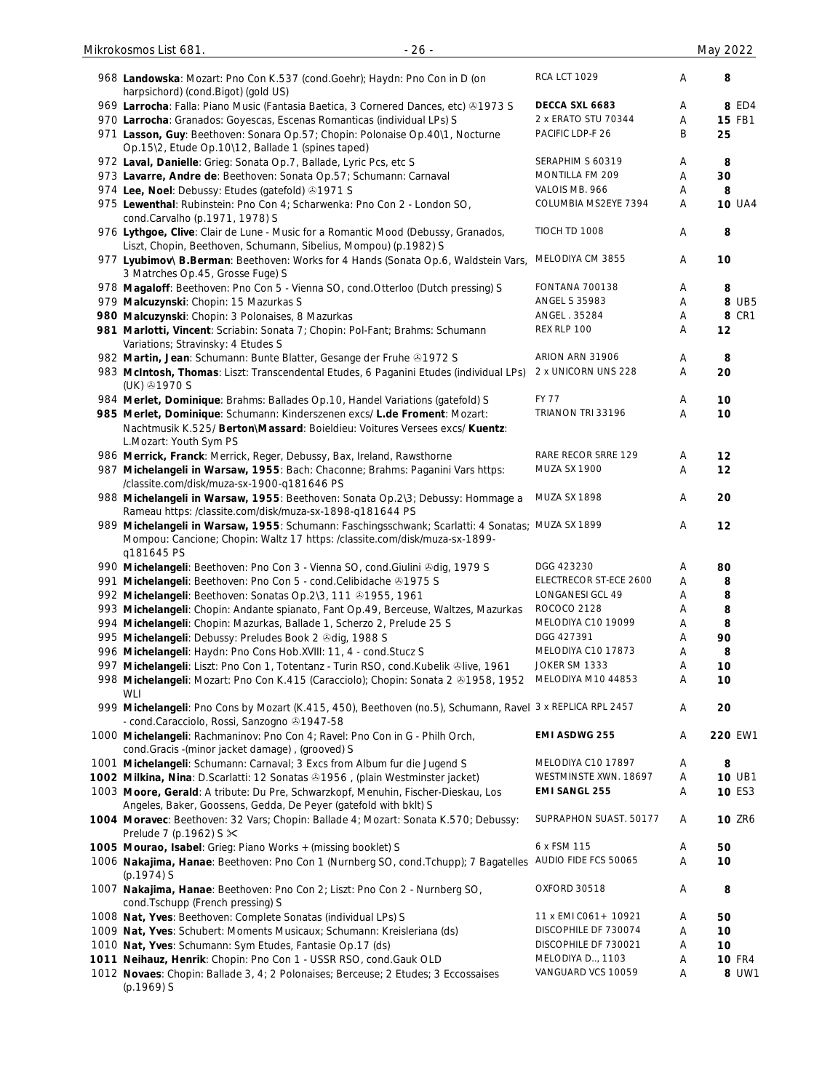| 968 Landowska: Mozart: Pno Con K.537 (cond.Goehr); Haydn: Pno Con in D (on<br>harpsichord) (cond.Bigot) (gold US)                                                                            | <b>RCA LCT 1029</b>    | Α      | 8             |
|----------------------------------------------------------------------------------------------------------------------------------------------------------------------------------------------|------------------------|--------|---------------|
| 969 Larrocha: Falla: Piano Music (Fantasia Baetica, 3 Cornered Dances, etc) ®1973 S                                                                                                          | DECCA SXL 6683         | Α      | 8 ED4         |
| 970 Larrocha: Granados: Goyescas, Escenas Romanticas (individual LPs) S                                                                                                                      | 2 x ERATO STU 70344    | Α      | <b>15 FB1</b> |
| 971 Lasson, Guy: Beethoven: Sonara Op.57; Chopin: Polonaise Op.40\1, Nocturne<br>Op.15\2, Etude Op.10\12, Ballade 1 (spines taped)                                                           | PACIFIC LDP-F 26       | B      | 25            |
| 972 Laval, Danielle: Grieg: Sonata Op.7, Ballade, Lyric Pcs, etc S                                                                                                                           | SERAPHIM S 60319       | Α      | 8             |
| 973 Lavarre, Andre de: Beethoven: Sonata Op.57; Schumann: Carnaval                                                                                                                           | MONTILLA FM 209        | Α      | 30            |
| 974 Lee, Noel: Debussy: Etudes (gatefold) 31971 S                                                                                                                                            | VALOIS MB. 966         | Α      | 8             |
| 975 Lewenthal: Rubinstein: Pno Con 4; Scharwenka: Pno Con 2 - London SO,<br>cond.Carvalho (p.1971, 1978) S                                                                                   | COLUMBIA MS2EYE 7394   | Α      | <b>10 UA4</b> |
| 976 Lythgoe, Clive: Clair de Lune - Music for a Romantic Mood (Debussy, Granados,<br>Liszt, Chopin, Beethoven, Schumann, Sibelius, Mompou) (p.1982) S                                        | TIOCH TD 1008          | Α      | 8             |
| 977 Lyubimov\ B.Berman: Beethoven: Works for 4 Hands (Sonata Op.6, Waldstein Vars,<br>3 Matrches Op.45, Grosse Fuge) S                                                                       | MELODIYA CM 3855       | Α      | 10            |
| 978 Magaloff: Beethoven: Pno Con 5 - Vienna SO, cond.Otterloo (Dutch pressing) S                                                                                                             | <b>FONTANA 700138</b>  | Α      | 8             |
| 979 Malcuzynski: Chopin: 15 Mazurkas S                                                                                                                                                       | <b>ANGEL S 35983</b>   | Α      | 8 UB5         |
| 980 Malcuzynski: Chopin: 3 Polonaises, 8 Mazurkas                                                                                                                                            | ANGEL . 35284          | Α      | <b>8 CR1</b>  |
|                                                                                                                                                                                              | REX RLP 100            | Α      | 12            |
| 981 Marlotti, Vincent: Scriabin: Sonata 7; Chopin: Pol-Fant; Brahms: Schumann<br>Variations; Stravinsky: 4 Etudes S                                                                          |                        |        |               |
| 982 Martin, Jean: Schumann: Bunte Blatter, Gesange der Fruhe & 1972 S                                                                                                                        | ARION ARN 31906        | Α      | 8             |
| 983 McIntosh, Thomas: Liszt: Transcendental Etudes, 6 Paganini Etudes (individual LPs)<br>(UK) +1970 S                                                                                       | 2 x UNICORN UNS 228    | Α      | 20            |
| 984 Merlet, Dominique: Brahms: Ballades Op.10, Handel Variations (gatefold) S                                                                                                                | <b>FY 77</b>           | Α      | 10            |
| 985 Merlet, Dominique: Schumann: Kinderszenen excs/ L.de Froment: Mozart:                                                                                                                    | TRIANON TRI 33196      | Α      | 10            |
| Nachtmusik K.525/ Berton\Massard: Boieldieu: Voitures Versees excs/ Kuentz:                                                                                                                  |                        |        |               |
| L.Mozart: Youth Sym PS                                                                                                                                                                       |                        |        |               |
| 986 Merrick, Franck: Merrick, Reger, Debussy, Bax, Ireland, Rawsthorne                                                                                                                       | RARE RECOR SRRE 129    | Α      | 12            |
| 987 Michelangeli in Warsaw, 1955: Bach: Chaconne; Brahms: Paganini Vars https:<br>/classite.com/disk/muza-sx-1900-q181646 PS                                                                 | MUZA SX 1900           | Α      | 12            |
| 988 Michelangeli in Warsaw, 1955: Beethoven: Sonata Op.2\3; Debussy: Hommage a<br>Rameau https: /classite.com/disk/muza-sx-1898-q181644 PS                                                   | MUZA SX 1898           | Α      | 20            |
| 989 Michelangeli in Warsaw, 1955: Schumann: Faschingsschwank; Scarlatti: 4 Sonatas; MUZA SX 1899<br>Mompou: Cancione; Chopin: Waltz 17 https: /classite.com/disk/muza-sx-1899-<br>q181645 PS |                        | Α      | 12            |
| 990 Michelangeli: Beethoven: Pno Con 3 - Vienna SO, cond. Giulini & dig, 1979 S                                                                                                              | DGG 423230             | Α      | 80            |
| 991 Michelangeli: Beethoven: Pno Con 5 - cond.Celibidache @1975 S                                                                                                                            | ELECTRECOR ST-ECE 2600 | Α      | 8             |
|                                                                                                                                                                                              | LONGANESI GCL 49       |        |               |
| 992 Michelangeli: Beethoven: Sonatas Op.2\3, 111 0 1955, 1961                                                                                                                                |                        | A      | 8             |
| 993 Michelangeli: Chopin: Andante spianato, Fant Op.49, Berceuse, Waltzes, Mazurkas                                                                                                          | ROCOCO 2128            | Α      | 8             |
| 994 Michelangeli: Chopin: Mazurkas, Ballade 1, Scherzo 2, Prelude 25 S                                                                                                                       | MELODIYA C10 19099     | Α      | 8             |
| 995 Michelangeli: Debussy: Preludes Book 2 & dig, 1988 S                                                                                                                                     | DGG 427391             | Α      | 90            |
| 996 Michelangeli: Haydn: Pno Cons Hob.XVIII: 11, 4 - cond.Stucz S                                                                                                                            | MELODIYA C10 17873     | Α      | 8             |
| 997 Michelangeli: Liszt: Pno Con 1, Totentanz - Turin RSO, cond.Kubelik &live, 1961                                                                                                          | JOKER SM 1333          | Α      | 10            |
| 998 Michelangeli: Mozart: Pno Con K.415 (Caracciolo); Chopin: Sonata 2 & 1958, 1952<br><b>WLI</b>                                                                                            | MELODIYA M10 44853     | Α      | 10            |
| 999 Michelangeli: Pno Cons by Mozart (K.415, 450), Beethoven (no.5), Schumann, Ravel 3 x REPLICA RPL 2457<br>- cond.Caracciolo, Rossi, Sanzogno 21947-58                                     |                        | Α      | 20            |
| 1000 Michelangeli: Rachmaninov: Pno Con 4; Ravel: Pno Con in G - Philh Orch,<br>cond.Gracis -(minor jacket damage), (grooved) S                                                              | <b>EMI ASDWG 255</b>   | Α      | 220 EW1       |
| 1001 Michelangeli: Schumann: Carnaval; 3 Excs from Album fur die Jugend S                                                                                                                    | MELODIYA C10 17897     | Α      | 8             |
| 1002 Milkina, Nina: D.Scarlatti: 12 Sonatas 31956, (plain Westminster jacket)                                                                                                                | WESTMINSTE XWN. 18697  | Α      | <b>10 UB1</b> |
| 1003 Moore, Gerald: A tribute: Du Pre, Schwarzkopf, Menuhin, Fischer-Dieskau, Los                                                                                                            | <b>EMI SANGL 255</b>   | Α      | 10 ES3        |
| Angeles, Baker, Goossens, Gedda, De Peyer (gatefold with bklt) S<br>1004 Moravec: Beethoven: 32 Vars; Chopin: Ballade 4; Mozart: Sonata K.570; Debussy:<br>Prelude 7 (p.1962) S $\times$     | SUPRAPHON SUAST. 50177 | Α      | <b>10 ZR6</b> |
|                                                                                                                                                                                              | 6 x FSM 115            |        |               |
| 1005 Mourao, Isabel: Grieg: Piano Works + (missing booklet) S<br>1006 Nakajima, Hanae: Beethoven: Pno Con 1 (Nurnberg SO, cond.Tchupp); 7 Bagatelles AUDIO FIDE FCS 50065                    |                        | Α<br>Α | 50<br>10      |
| $(p.1974)$ S<br>1007 Nakajima, Hanae: Beethoven: Pno Con 2; Liszt: Pno Con 2 - Nurnberg SO,                                                                                                  | OXFORD 30518           | Α      | 8             |
| cond.Tschupp (French pressing) S                                                                                                                                                             |                        |        |               |
| 1008 Nat, Yves: Beethoven: Complete Sonatas (individual LPs) S                                                                                                                               | 11 x EMI C061 + 10921  | Α      | 50            |
| 1009 Nat, Yves: Schubert: Moments Musicaux; Schumann: Kreisleriana (ds)                                                                                                                      | DISCOPHILE DF 730074   | Α      | 10            |
| 1010 Nat, Yves: Schumann: Sym Etudes, Fantasie Op.17 (ds)                                                                                                                                    | DISCOPHILE DF 730021   | Α      | 10            |
| 1011 Neihauz, Henrik: Chopin: Pno Con 1 - USSR RSO, cond. Gauk OLD                                                                                                                           | MELODIYA D., 1103      | Α      | <b>10 FR4</b> |
| 1012 Novaes: Chopin: Ballade 3, 4; 2 Polonaises; Berceuse; 2 Etudes; 3 Eccossaises<br>(p.1969) S                                                                                             | VANGUARD VCS 10059     | Α      | 8 UW1         |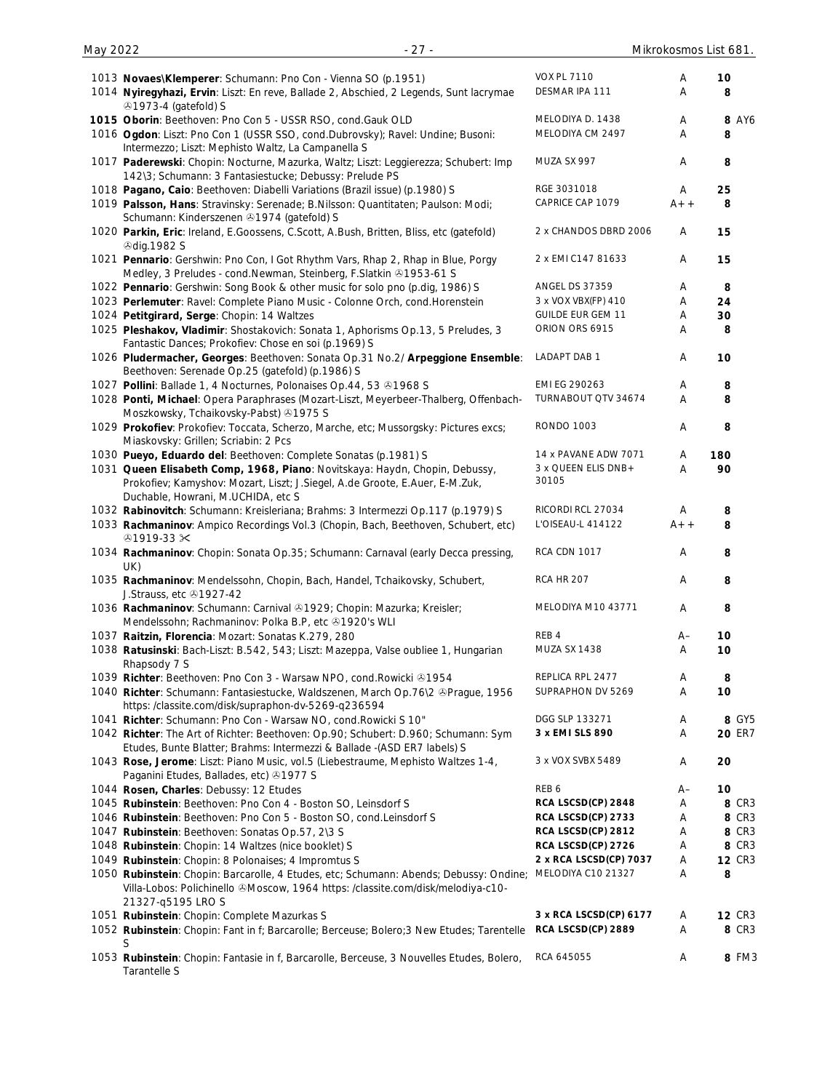| May 2022 | $-27-$                                                                                                                                                                                              |                              |       | Mikrokosmos List 681. |
|----------|-----------------------------------------------------------------------------------------------------------------------------------------------------------------------------------------------------|------------------------------|-------|-----------------------|
|          |                                                                                                                                                                                                     | <b>VOX PL 7110</b>           | Α     | 10                    |
|          | 1013 Novaes\Klemperer: Schumann: Pno Con - Vienna SO (p.1951)<br>1014 Nyiregyhazi, Ervin: Liszt: En reve, Ballade 2, Abschied, 2 Legends, Sunt lacrymae<br><b>ふ1973-4 (gatefold) S</b>              | DESMAR IPA 111               | A     | 8                     |
|          | 1015 Oborin: Beethoven: Pno Con 5 - USSR RSO, cond.Gauk OLD                                                                                                                                         | MELODIYA D. 1438             | Α     | <b>8 AY6</b>          |
|          | 1016 Ogdon: Liszt: Pno Con 1 (USSR SSO, cond.Dubrovsky); Ravel: Undine; Busoni:<br>Intermezzo; Liszt: Mephisto Waltz, La Campanella S                                                               | MELODIYA CM 2497             | A     | 8                     |
|          | 1017 Paderewski: Chopin: Nocturne, Mazurka, Waltz; Liszt: Leggierezza; Schubert: Imp                                                                                                                | MUZA SX 997                  | A     | 8                     |
|          | 142\3; Schumann: 3 Fantasiestucke; Debussy: Prelude PS<br>1018 Pagano, Caio: Beethoven: Diabelli Variations (Brazil issue) (p.1980) S                                                               | RGE 3031018                  | Α     | 25                    |
|          | 1019 Palsson, Hans: Stravinsky: Serenade; B.Nilsson: Quantitaten; Paulson: Modi;<br>Schumann: Kinderszenen 31974 (gatefold) S                                                                       | CAPRICE CAP 1079             | $A++$ | 8                     |
|          | 1020 Parkin, Eric: Ireland, E.Goossens, C.Scott, A.Bush, Britten, Bliss, etc (gatefold)<br><b><i></i></b> Odig.1982 S                                                                               | 2 x CHANDOS DBRD 2006        | A     | 15                    |
|          | 1021 Pennario: Gershwin: Pno Con, I Got Rhythm Vars, Rhap 2, Rhap in Blue, Porgy<br>Medley, 3 Preludes - cond. Newman, Steinberg, F. Slatkin & 1953-61 S                                            | 2 x EMI C147 81633           | A     | 15                    |
|          | 1022 Pennario: Gershwin: Song Book & other music for solo pno (p.dig, 1986) S                                                                                                                       | <b>ANGEL DS 37359</b>        | Α     | 8                     |
|          | 1023 Perlemuter: Ravel: Complete Piano Music - Colonne Orch, cond. Horenstein                                                                                                                       | 3 x VOX VBX(FP) 410          | Α     | 24                    |
|          | 1024 Petitgirard, Serge: Chopin: 14 Waltzes                                                                                                                                                         | <b>GUILDE EUR GEM 11</b>     | Α     | 30                    |
|          | 1025 Pleshakov, Vladimir: Shostakovich: Sonata 1, Aphorisms Op.13, 5 Preludes, 3<br>Fantastic Dances; Prokofiev: Chose en soi (p.1969) S                                                            | ORION ORS 6915               | Α     | 8                     |
|          | 1026 Pludermacher, Georges: Beethoven: Sonata Op.31 No.2/ Arpeggione Ensemble:<br>Beethoven: Serenade Op.25 (gatefold) (p.1986) S                                                                   | <b>LADAPT DAB 1</b>          | Α     | 10                    |
|          | 1027 Pollini: Ballade 1, 4 Nocturnes, Polonaises Op.44, 53 31968 S                                                                                                                                  | EMI EG 290263                | Α     | 8                     |
|          | 1028 Ponti, Michael: Opera Paraphrases (Mozart-Liszt, Meyerbeer-Thalberg, Offenbach-<br>Moszkowsky, Tchaikovsky-Pabst) +1975 S                                                                      | TURNABOUT QTV 34674          | Α     | 8                     |
|          | 1029 Prokofiev: Prokofiev: Toccata, Scherzo, Marche, etc; Mussorgsky: Pictures excs;<br>Miaskovsky: Grillen; Scriabin: 2 Pcs                                                                        | <b>RONDO 1003</b>            | Α     | 8                     |
|          | 1030 Pueyo, Eduardo del: Beethoven: Complete Sonatas (p.1981) S                                                                                                                                     | 14 x PAVANE ADW 7071         | Α     | 180                   |
|          | 1031 Queen Elisabeth Comp, 1968, Piano: Novitskaya: Haydn, Chopin, Debussy,<br>Prokofiev; Kamyshov: Mozart, Liszt; J. Siegel, A.de Groote, E. Auer, E-M. Zuk,<br>Duchable, Howrani, M.UCHIDA, etc S | 3 x QUEEN ELIS DNB+<br>30105 | A     | 90                    |
|          | 1032 Rabinovitch: Schumann: Kreisleriana; Brahms: 3 Intermezzi Op.117 (p.1979) S                                                                                                                    | RICORDI RCL 27034            | Α     | 8                     |
|          | 1033 Rachmaninov: Ampico Recordings Vol.3 (Chopin, Bach, Beethoven, Schubert, etc)<br>$@1919-33 \times$                                                                                             | L'OISEAU-L 414122            | $A++$ | 8                     |
|          | 1034 Rachmaninov: Chopin: Sonata Op.35; Schumann: Carnaval (early Decca pressing,<br>UK)                                                                                                            | <b>RCA CDN 1017</b>          | Α     | 8                     |
|          | 1035 Rachmaninov: Mendelssohn, Chopin, Bach, Handel, Tchaikovsky, Schubert,<br>J.Strauss, etc 31927-42                                                                                              | <b>RCA HR 207</b>            | Α     | 8                     |
|          | 1036 Rachmaninov: Schumann: Carnival @1929; Chopin: Mazurka; Kreisler;<br>Mendelssohn; Rachmaninov: Polka B.P, etc +1920's WLI                                                                      | MELODIYA M10 43771           | Α     | 8                     |
|          | 1037 Raitzin, Florencia: Mozart: Sonatas K.279, 280                                                                                                                                                 | REB 4                        | $A-$  | 10                    |
|          | 1038 Ratusinski: Bach-Liszt: B.542, 543; Liszt: Mazeppa, Valse oubliee 1, Hungarian<br>Rhapsody 7 S                                                                                                 | MUZA SX 1438                 | A     | 10                    |
|          | 1039 Richter: Beethoven: Pno Con 3 - Warsaw NPO, cond. Rowicki 31954                                                                                                                                | REPLICA RPL 2477             | Α     | 8                     |
|          | 1040 Richter: Schumann: Fantasiestucke, Waldszenen, March Op.76\2 & Praque, 1956<br>https:/classite.com/disk/supraphon-dv-5269-q236594                                                              | SUPRAPHON DV 5269            | Α     | 10                    |
|          | 1041 Richter: Schumann: Pno Con - Warsaw NO, cond. Rowicki S 10"                                                                                                                                    | DGG SLP 133271               | Α     | 8 GY5                 |
|          | 1042 Richter: The Art of Richter: Beethoven: Op.90; Schubert: D.960; Schumann: Sym<br>Etudes, Bunte Blatter; Brahms: Intermezzi & Ballade -(ASD ER7 labels) S                                       | 3 x EMI SLS 890              | Α     | 20 ER7                |
|          | 1043 Rose, Jerome: Liszt: Piano Music, vol.5 (Liebestraume, Mephisto Waltzes 1-4,<br>Paganini Etudes, Ballades, etc) 31977 S                                                                        | 3 x VOX SVBX 5489            | Α     | 20                    |
|          | 1044 Rosen, Charles: Debussy: 12 Etudes                                                                                                                                                             | REB 6                        | $A-$  | 10                    |
|          | 1045 Rubinstein: Beethoven: Pno Con 4 - Boston SO, Leinsdorf S                                                                                                                                      | RCA LSCSD(CP) 2848           | Α     | 8 CR3                 |
|          | 1046 Rubinstein: Beethoven: Pno Con 5 - Boston SO, cond. Leinsdorf S                                                                                                                                | RCA LSCSD(CP) 2733           | Α     | 8 CR3                 |
|          | 1047 Rubinstein: Beethoven: Sonatas Op.57, 2\3 S                                                                                                                                                    | RCA LSCSD(CP) 2812           | Α     | 8 CR3                 |
|          | 1048 Rubinstein: Chopin: 14 Waltzes (nice booklet) S                                                                                                                                                | RCA LSCSD(CP) 2726           | Α     | 8 CR3                 |
|          | 1049 Rubinstein: Chopin: 8 Polonaises; 4 Impromtus S                                                                                                                                                | 2 x RCA LSCSD(CP) 7037       | Α     | <b>12 CR3</b>         |
|          | 1050 Rubinstein: Chopin: Barcarolle, 4 Etudes, etc; Schumann: Abends; Debussy: Ondine;<br>Villa-Lobos: Polichinello & Moscow, 1964 https: /classite.com/disk/melodiya-c10-<br>21327-q5195 LRO S     | MELODIYA C10 21327           | Α     | 8                     |
|          | 1051 Rubinstein: Chopin: Complete Mazurkas S                                                                                                                                                        | 3 x RCA LSCSD(CP) 6177       | Α     | <b>12 CR3</b>         |
|          | 1052 Rubinstein: Chopin: Fant in f; Barcarolle; Berceuse; Bolero; 3 New Etudes; Tarentelle<br>S                                                                                                     | RCA LSCSD(CP) 2889           | Α     | 8 CR3                 |
|          | 1053 Rubinstein: Chopin: Fantasie in f, Barcarolle, Berceuse, 3 Nouvelles Etudes, Bolero,<br>Tarantelle S                                                                                           | RCA 645055                   | Α     | 8 FM3                 |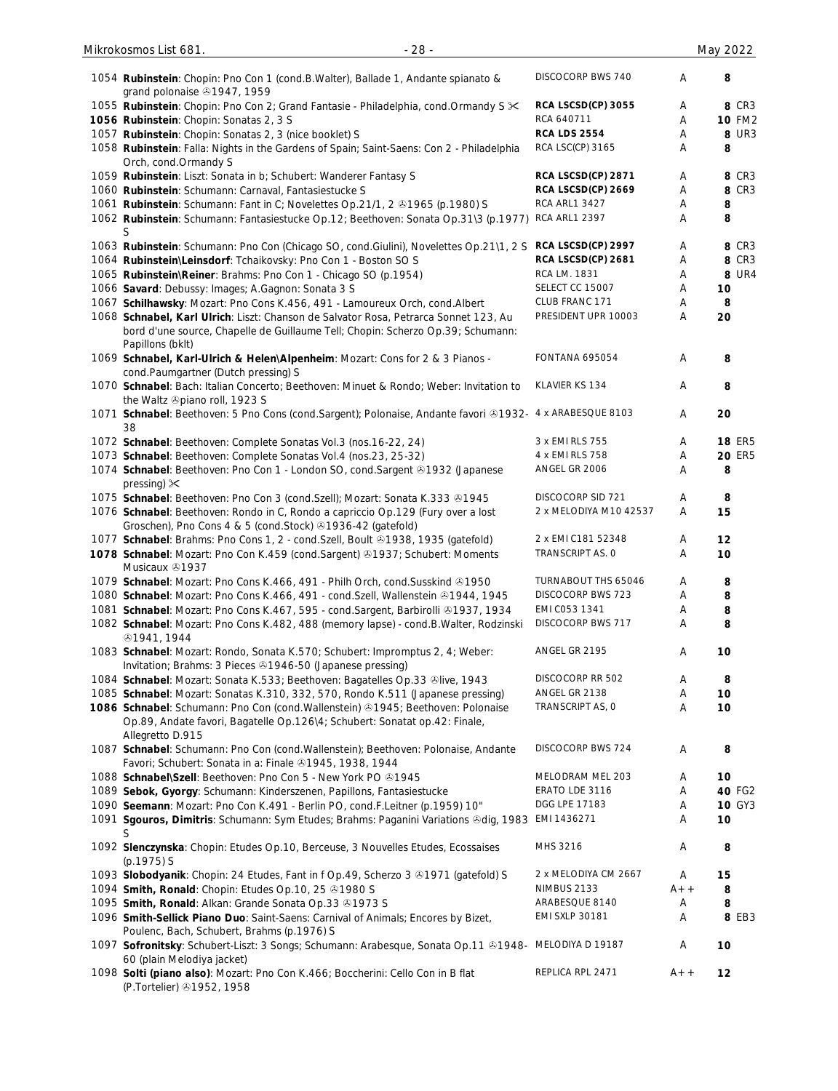| 1054 Rubinstein: Chopin: Pno Con 1 (cond.B.Walter), Ballade 1, Andante spianato &<br>grand polonaise 31947, 1959                                                                            | DISCOCORP BWS 740      | Α     | 8             |
|---------------------------------------------------------------------------------------------------------------------------------------------------------------------------------------------|------------------------|-------|---------------|
| 1055 Rubinstein: Chopin: Pno Con 2; Grand Fantasie - Philadelphia, cond. Ormandy S $\ltimes$                                                                                                | RCA LSCSD(CP) 3055     | Α     | 8 CR3         |
| 1056 Rubinstein: Chopin: Sonatas 2, 3 S                                                                                                                                                     | RCA 640711             | Α     | <b>10 FM2</b> |
| 1057 Rubinstein: Chopin: Sonatas 2, 3 (nice booklet) S                                                                                                                                      | <b>RCA LDS 2554</b>    | Α     | <b>8 UR3</b>  |
| 1058 Rubinstein: Falla: Nights in the Gardens of Spain; Saint-Saens: Con 2 - Philadelphia<br>Orch, cond.Ormandy S                                                                           | RCA LSC(CP) 3165       | Α     | 8             |
| 1059 Rubinstein: Liszt: Sonata in b; Schubert: Wanderer Fantasy S                                                                                                                           | RCA LSCSD(CP) 2871     | Α     | 8 CR3         |
| 1060 Rubinstein: Schumann: Carnaval, Fantasiestucke S                                                                                                                                       | RCA LSCSD(CP) 2669     | Α     | 8 CR3         |
| 1061 Rubinstein: Schumann: Fant in C; Novelettes Op.21/1, 2 & 1965 (p.1980) S                                                                                                               | <b>RCA ARL1 3427</b>   | Α     | 8             |
| 1062 Rubinstein: Schumann: Fantasiestucke Op.12; Beethoven: Sonata Op.31\3 (p.1977)<br>S                                                                                                    | <b>RCA ARL1 2397</b>   | Α     | 8             |
| 1063 Rubinstein: Schumann: Pno Con (Chicago SO, cond.Giulini), Novelettes Op.21\1, 2 S                                                                                                      | RCA LSCSD(CP) 2997     | Α     | 8 CR3         |
| 1064 Rubinstein\Leinsdorf: Tchaikovsky: Pno Con 1 - Boston SO S                                                                                                                             | RCA LSCSD(CP) 2681     | Α     | 8 CR3         |
| 1065 Rubinstein\Reiner: Brahms: Pno Con 1 - Chicago SO (p.1954)                                                                                                                             | RCA LM. 1831           | Α     | <b>8 UR4</b>  |
| 1066 Savard: Debussy: Images; A.Gagnon: Sonata 3 S                                                                                                                                          | SELECT CC 15007        | Α     | 10            |
| 1067 Schilhawsky: Mozart: Pno Cons K.456, 491 - Lamoureux Orch, cond. Albert                                                                                                                | CLUB FRANC 171         | Α     | 8             |
| 1068 Schnabel, Karl Ulrich: Liszt: Chanson de Salvator Rosa, Petrarca Sonnet 123, Au<br>bord d'une source, Chapelle de Guillaume Tell; Chopin: Scherzo Op.39; Schumann:<br>Papillons (bklt) | PRESIDENT UPR 10003    | Α     | 20            |
| 1069 Schnabel, Karl-Ulrich & Helen\Alpenheim: Mozart: Cons for 2 & 3 Pianos -<br>cond.Paumgartner (Dutch pressing) S                                                                        | <b>FONTANA 695054</b>  | Α     | 8             |
| 1070 Schnabel: Bach: Italian Concerto; Beethoven: Minuet & Rondo; Weber: Invitation to<br>the Waltz ®piano roll, 1923 S                                                                     | KLAVIER KS 134         | Α     | 8             |
| 1071 Schnabel: Beethoven: 5 Pno Cons (cond.Sargent); Polonaise, Andante favori @1932- 4 x ARABESQUE 8103<br>38                                                                              |                        | Α     | 20            |
| 1072 Schnabel: Beethoven: Complete Sonatas Vol.3 (nos.16-22, 24)                                                                                                                            | 3 x EMI RLS 755        | Α     | <b>18 ER5</b> |
| 1073 Schnabel: Beethoven: Complete Sonatas Vol.4 (nos.23, 25-32)                                                                                                                            | 4 x EMI RLS 758        | Α     | <b>20 ER5</b> |
| 1074 Schnabel: Beethoven: Pno Con 1 - London SO, cond.Sargent 21932 (Japanese<br>pressing) $\times$                                                                                         | ANGEL GR 2006          | Α     | 8             |
| 1075 Schnabel: Beethoven: Pno Con 3 (cond. Szell); Mozart: Sonata K.333 & 1945                                                                                                              | DISCOCORP SID 721      | Α     | 8             |
| 1076 Schnabel: Beethoven: Rondo in C, Rondo a capriccio Op.129 (Fury over a lost<br>Groschen), Pno Cons 4 & 5 (cond.Stock) +1936-42 (gatefold)                                              | 2 x MELODIYA M10 42537 | A     | 15            |
| 1077 Schnabel: Brahms: Pno Cons 1, 2 - cond. Szell, Boult & 1938, 1935 (gatefold)                                                                                                           | 2 x EMI C181 52348     | Α     | 12            |
| 1078 Schnabel: Mozart: Pno Con K.459 (cond.Sargent) @1937; Schubert: Moments<br>Musicaux 31937                                                                                              | TRANSCRIPT AS. 0       | Α     | 10            |
| 1079 Schnabel: Mozart: Pno Cons K.466, 491 - Philh Orch, cond. Susskind @1950                                                                                                               | TURNABOUT THS 65046    | Α     | 8             |
| 1080 Schnabel: Mozart: Pno Cons K.466, 491 - cond. Szell, Wallenstein & 1944, 1945                                                                                                          | DISCOCORP BWS 723      | Α     | 8             |
| 1081 Schnabel: Mozart: Pno Cons K.467, 595 - cond.Sargent, Barbirolli @1937, 1934                                                                                                           | EMI C053 1341          | Α     | 8             |
| 1082 Schnabel: Mozart: Pno Cons K.482, 488 (memory lapse) - cond.B.Walter, Rodzinski<br><b>31941, 1944</b>                                                                                  | DISCOCORP BWS 717      | Α     | 8             |
| 1083 Schnabel: Mozart: Rondo, Sonata K.570; Schubert: Impromptus 2, 4; Weber:<br>Invitation; Brahms: 3 Pieces 31946-50 (Japanese pressing)                                                  | ANGEL GR 2195          | Α     | 10            |
| 1084 Schnabel: Mozart: Sonata K.533; Beethoven: Bagatelles Op.33 &live, 1943                                                                                                                | DISCOCORP RR 502       | Α     | 8             |
| 1085 Schnabel: Mozart: Sonatas K.310, 332, 570, Rondo K.511 (Japanese pressing)                                                                                                             | ANGEL GR 2138          | Α     | 10            |
| 1086 Schnabel: Schumann: Pno Con (cond. Wallenstein) 31945; Beethoven: Polonaise<br>Op.89, Andate favori, Bagatelle Op.126\4; Schubert: Sonatat op.42: Finale,<br>Allegretto D.915          | TRANSCRIPT AS, O       | Α     | 10            |
| 1087 Schnabel: Schumann: Pno Con (cond.Wallenstein); Beethoven: Polonaise, Andante<br>Favori; Schubert: Sonata in a: Finale 31945, 1938, 1944                                               | DISCOCORP BWS 724      | A     | 8             |
| 1088 Schnabel\Szell: Beethoven: Pno Con 5 - New York PO 31945                                                                                                                               | MELODRAM MEL 203       | Α     | 10            |
| 1089 Sebok, Gyorgy: Schumann: Kinderszenen, Papillons, Fantasiestucke                                                                                                                       | ERATO LDE 3116         | Α     | 40 FG2        |
| 1090 Seemann: Mozart: Pno Con K.491 - Berlin PO, cond.F.Leitner (p.1959) 10"                                                                                                                | DGG LPE 17183          | Α     | <b>10 GY3</b> |
| 1091 Sgouros, Dimitris: Schumann: Sym Etudes; Brahms: Paganini Variations & dig, 1983<br>S                                                                                                  | EMI 1436271            | Α     | 10            |
| 1092 Slenczynska: Chopin: Etudes Op.10, Berceuse, 3 Nouvelles Etudes, Ecossaises<br>$(p.1975)$ S                                                                                            | MHS 3216               | A     | 8             |
| 1093 Slobodyanik: Chopin: 24 Etudes, Fant in f Op.49, Scherzo 3 & 1971 (gatefold) S                                                                                                         | 2 x MELODIYA CM 2667   | A     | 15            |
| 1094 Smith, Ronald: Chopin: Etudes Op.10, 25 01980 S                                                                                                                                        | NIMBUS 2133            | $A++$ | 8             |
| 1095 Smith, Ronald: Alkan: Grande Sonata Op.33 81973 S                                                                                                                                      | ARABESQUE 8140         | Α     | 8             |
| 1096 Smith-Sellick Piano Duo: Saint-Saens: Carnival of Animals; Encores by Bizet,                                                                                                           | <b>EMI SXLP 30181</b>  | A     | 8 EB3         |
| Poulenc, Bach, Schubert, Brahms (p.1976) S                                                                                                                                                  |                        |       |               |
| 1097 Sofronitsky: Schubert-Liszt: 3 Songs; Schumann: Arabesque, Sonata Op.11 & 1948- MELODIYA D 19187                                                                                       |                        | Α     | 10            |
| 60 (plain Melodiya jacket)                                                                                                                                                                  |                        |       |               |
| 1098 Solti (piano also): Mozart: Pno Con K.466; Boccherini: Cello Con in B flat<br>(P.Tortelier) 31952, 1958                                                                                | REPLICA RPL 2471       | $A++$ | 12            |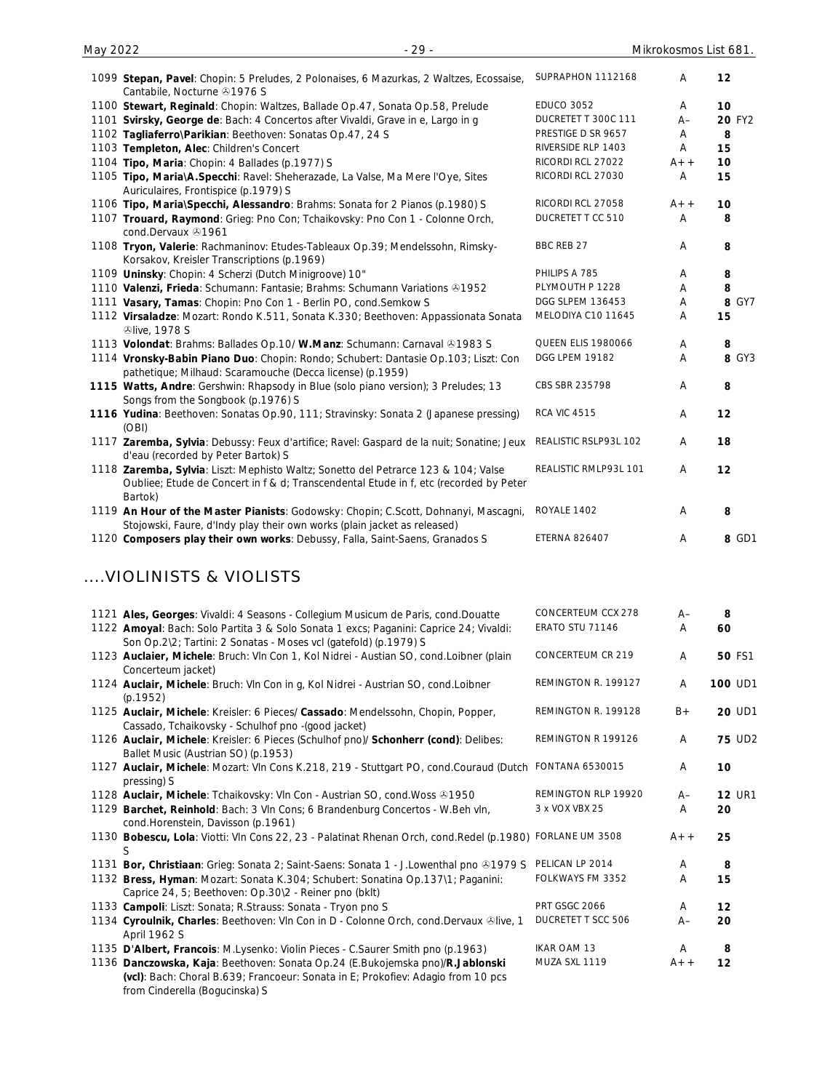| 1099 Stepan, Pavel: Chopin: 5 Preludes, 2 Polonaises, 6 Mazurkas, 2 Waltzes, Ecossaise,<br>Cantabile, Nocturne 31976 S                                                                 | SUPRAPHON 1112168         | Α     | 12     |
|----------------------------------------------------------------------------------------------------------------------------------------------------------------------------------------|---------------------------|-------|--------|
| 1100 Stewart, Reginald: Chopin: Waltzes, Ballade Op.47, Sonata Op.58, Prelude                                                                                                          | <b>EDUCO 3052</b>         | A     | 10     |
| 1101 Svirsky, George de: Bach: 4 Concertos after Vivaldi, Grave in e, Largo in g                                                                                                       | DUCRETET T 300C 111       | $A-$  | 20 FY2 |
| 1102 Tagliaferro\Parikian: Beethoven: Sonatas Op.47, 24 S                                                                                                                              | PRESTIGE D SR 9657        | Α     | 8      |
| 1103 Templeton, Alec: Children's Concert                                                                                                                                               | RIVERSIDE RLP 1403        | A     | 15     |
| 1104 Tipo, Maria: Chopin: 4 Ballades (p.1977) S                                                                                                                                        | RICORDI RCL 27022         | $A++$ | 10     |
| 1105 Tipo, Maria\A.Specchi: Ravel: Sheherazade, La Valse, Ma Mere l'Oye, Sites<br>Auriculaires, Frontispice (p.1979) S                                                                 | RICORDI RCL 27030         | A     | 15     |
| 1106 Tipo, Maria\Specchi, Alessandro: Brahms: Sonata for 2 Pianos (p.1980) S                                                                                                           | RICORDI RCL 27058         | $A++$ | 10     |
| 1107 Trouard, Raymond: Grieg: Pno Con; Tchaikovsky: Pno Con 1 - Colonne Orch,<br>cond.Dervaux 491961                                                                                   | DUCRETET T CC 510         | Α     | 8      |
| 1108 Tryon, Valerie: Rachmaninov: Etudes-Tableaux Op.39; Mendelssohn, Rimsky-<br>Korsakov, Kreisler Transcriptions (p.1969)                                                            | BBC REB 27                | Α     | 8      |
| 1109 Uninsky: Chopin: 4 Scherzi (Dutch Minigroove) 10"                                                                                                                                 | PHILIPS A 785             | Α     | 8      |
| 1110 Valenzi, Frieda: Schumann: Fantasie; Brahms: Schumann Variations & 1952                                                                                                           | PLYMOUTH P 1228           | A     | 8      |
| 1111 Vasary, Tamas: Chopin: Pno Con 1 - Berlin PO, cond.Semkow S                                                                                                                       | DGG SLPEM 136453          | Α     | 8 GY7  |
| 1112 Virsaladze: Mozart: Rondo K.511, Sonata K.330; Beethoven: Appassionata Sonata<br><b>Dlive, 1978 S</b>                                                                             | MELODIYA C10 11645        | A     | 15     |
| 1113 Volondat: Brahms: Ballades Op.10/ W.Manz: Schumann: Carnaval & 1983 S                                                                                                             | <b>QUEEN ELIS 1980066</b> | Α     | 8      |
| 1114 Vronsky-Babin Piano Duo: Chopin: Rondo; Schubert: Dantasie Op.103; Liszt: Con<br>pathetique; Milhaud: Scaramouche (Decca license) (p.1959)                                        | DGG LPEM 19182            | A     | 8 GY3  |
| 1115 Watts, Andre: Gershwin: Rhapsody in Blue (solo piano version); 3 Preludes; 13<br>Songs from the Songbook (p.1976) S                                                               | CBS SBR 235798            | A     | 8      |
| 1116 Yudina: Beethoven: Sonatas Op.90, 111; Stravinsky: Sonata 2 (Japanese pressing)<br>(OBI)                                                                                          | <b>RCA VIC 4515</b>       | Α     | 12     |
| 1117 Zaremba, Sylvia: Debussy: Feux d'artifice; Ravel: Gaspard de la nuit; Sonatine; Jeux<br>d'eau (recorded by Peter Bartok) S                                                        | REALISTIC RSLP93L 102     | Α     | 18     |
| 1118 Zaremba, Sylvia: Liszt: Mephisto Waltz; Sonetto del Petrarce 123 & 104; Valse<br>Oubliee; Etude de Concert in f & d; Transcendental Etude in f, etc (recorded by Peter<br>Bartok) | REALISTIC RMLP93L 101     | A     | 12     |
| 1119 An Hour of the Master Pianists: Godowsky: Chopin; C.Scott, Dohnanyi, Mascagni,<br>Stojowski, Faure, d'Indy play their own works (plain jacket as released)                        | ROYALE 1402               | A     | 8      |
| 1120 Composers play their own works: Debussy, Falla, Saint-Saens, Granados S                                                                                                           | <b>ETERNA 826407</b>      | Α     | 8 GD1  |

### ....VIOLINISTS & VIOLISTS

| 1121 Ales, Georges: Vivaldi: 4 Seasons - Collegium Musicum de Paris, cond.Douatte                         | CONCERTEUM CCX 278     | $A-$  | 8              |
|-----------------------------------------------------------------------------------------------------------|------------------------|-------|----------------|
| 1122 Amoyal: Bach: Solo Partita 3 & Solo Sonata 1 excs; Paganini: Caprice 24; Vivaldi:                    | ERATO STU 71146        | A     | 60             |
| Son Op.2\2; Tartini: 2 Sonatas - Moses vcl (gatefold) (p.1979) S                                          |                        |       |                |
| 1123 Auclaier, Michele: Bruch: Vln Con 1, Kol Nidrei - Austian SO, cond.Loibner (plain                    | CONCERTEUM CR 219      | A     | <b>50 FS1</b>  |
| Concerteum jacket)                                                                                        |                        |       |                |
| 1124 Auclair, Michele: Bruch: Vln Con in g, Kol Nidrei - Austrian SO, cond.Loibner                        | REMINGTON R. 199127    | A     | <b>100 UD1</b> |
| (p.1952)                                                                                                  |                        |       |                |
| 1125 Auclair, Michele: Kreisler: 6 Pieces/ Cassado: Mendelssohn, Chopin, Popper,                          | REMINGTON R. 199128    | $B +$ | 20 UD1         |
| Cassado, Tchaikovsky - Schulhof pno - (good jacket)                                                       |                        |       |                |
| 1126 Auclair, Michele: Kreisler: 6 Pieces (Schulhof pno)/ Schonherr (cond): Delibes:                      | REMINGTON R 199126     | A     | <b>75 UD2</b>  |
| Ballet Music (Austrian SO) (p.1953)                                                                       |                        |       |                |
| 1127 Auclair, Michele: Mozart: VIn Cons K.218, 219 - Stuttgart PO, cond.Couraud (Dutch                    | <b>FONTANA 6530015</b> | A     | 10             |
| pressing) S                                                                                               |                        |       |                |
| 1128 Auclair, Michele: Tchaikovsky: Vln Con - Austrian SO, cond. Woss 31950                               | REMINGTON RLP 19920    | $A-$  | <b>12 UR1</b>  |
| 1129 Barchet, Reinhold: Bach: 3 VIn Cons; 6 Brandenburg Concertos - W.Beh vln,                            | 3 x VOX VBX 25         | A     | 20             |
| cond. Horenstein, Davisson (p. 1961)                                                                      |                        |       |                |
| 1130 Bobescu, Lola: Viotti: Vln Cons 22, 23 - Palatinat Rhenan Orch, cond. Redel (p.1980) FORLANE UM 3508 |                        | $A++$ | 25             |
| S                                                                                                         |                        |       |                |
| 1131 Bor, Christiaan: Grieg: Sonata 2; Saint-Saens: Sonata 1 - J.Lowenthal pno & 1979 S                   | PELICAN LP 2014        | A     | 8              |
| 1132 Bress, Hyman: Mozart: Sonata K.304; Schubert: Sonatina Op.137\1; Paganini:                           | FOLKWAYS FM 3352       | A     | 15             |
| Caprice 24, 5; Beethoven: Op.30\2 - Reiner pno (bklt)                                                     |                        |       |                |
| 1133 Campoli: Liszt: Sonata; R.Strauss: Sonata - Tryon pno S                                              | <b>PRT GSGC 2066</b>   | A     | 12             |
| 1134 Cyroulnik, Charles: Beethoven: Vln Con in D - Colonne Orch, cond.Dervaux ®live, 1                    | DUCRETET T SCC 506     | $A-$  | 20             |
| April 1962 S                                                                                              |                        |       |                |
| 1135 D'Albert, Francois: M.Lysenko: Violin Pieces - C.Saurer Smith pno (p.1963)                           | IKAR OAM 13            | A     | 8              |
| 1136 Danczowska, Kaja: Beethoven: Sonata Op.24 (E.Bukojemska pno)/R.Jablonski                             | MUZA SXL 1119          | $A++$ | 12             |
| (vcl): Bach: Choral B.639; Francoeur: Sonata in E; Prokofiev: Adagio from 10 pcs                          |                        |       |                |
| from Cinderella (Bogucinska) S                                                                            |                        |       |                |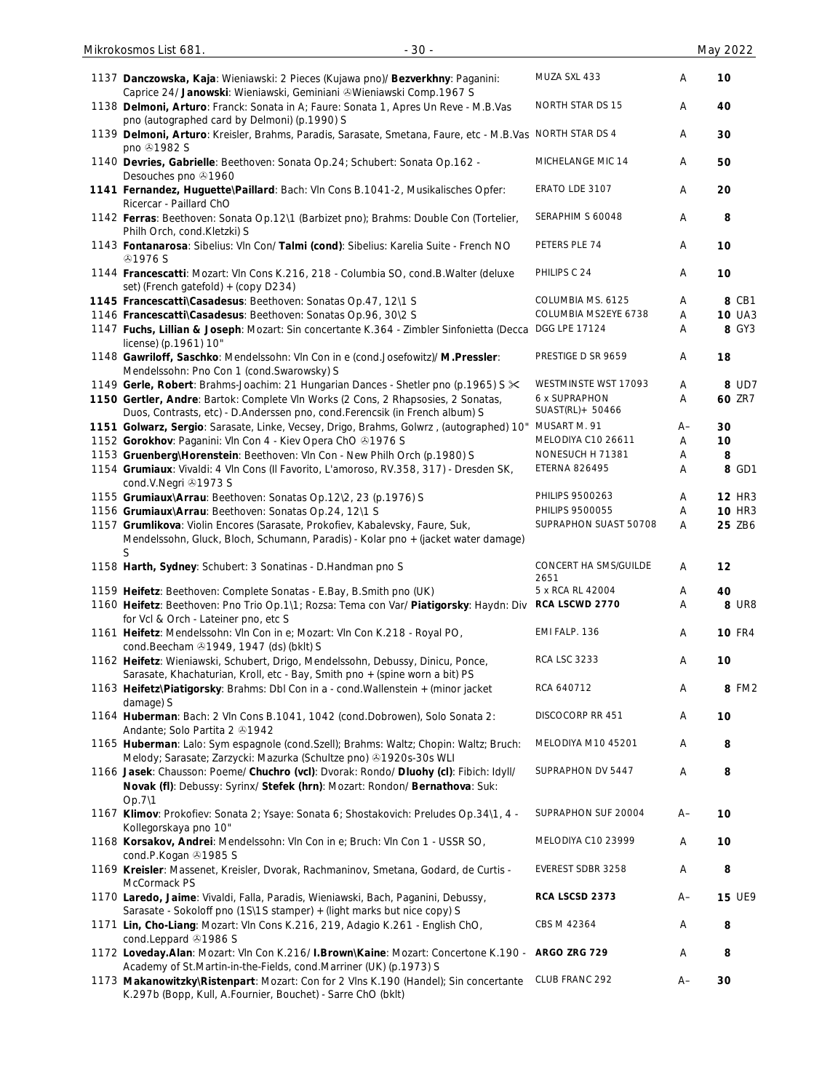| 1137 Danczowska, Kaja: Wieniawski: 2 Pieces (Kujawa pno)/ Bezverkhny: Paganini:<br>Caprice 24/ Janowski: Wieniawski, Geminiani & Wieniawski Comp.1967 S                                                                  | MUZA SXL 433                       | Α                         | 10            |
|--------------------------------------------------------------------------------------------------------------------------------------------------------------------------------------------------------------------------|------------------------------------|---------------------------|---------------|
| 1138 Delmoni, Arturo: Franck: Sonata in A; Faure: Sonata 1, Apres Un Reve - M.B.Vas<br>pno (autographed card by Delmoni) (p.1990) S                                                                                      | NORTH STAR DS 15                   | Α                         | 40            |
| 1139 Delmoni, Arturo: Kreisler, Brahms, Paradis, Sarasate, Smetana, Faure, etc - M.B.Vas NORTH STAR DS 4<br>pno 31982 S                                                                                                  |                                    | Α                         | 30            |
| 1140 Devries, Gabrielle: Beethoven: Sonata Op.24; Schubert: Sonata Op.162 -<br>Desouches pno 21960                                                                                                                       | MICHELANGE MIC 14                  | Α                         | 50            |
| 1141 Fernandez, Huguette\Paillard: Bach: VIn Cons B.1041-2, Musikalisches Opfer:<br>Ricercar - Paillard ChO                                                                                                              | ERATO LDE 3107                     | A                         | 20            |
| 1142 Ferras: Beethoven: Sonata Op.12\1 (Barbizet pno); Brahms: Double Con (Tortelier,<br>Philh Orch, cond.Kletzki) S                                                                                                     | SERAPHIM S 60048                   | A                         | 8             |
| 1143 Fontanarosa: Sibelius: VIn Con/ Talmi (cond): Sibelius: Karelia Suite - French NO<br>& 1976 S                                                                                                                       | PETERS PLE 74                      | A                         | 10            |
| 1144 Francescatti: Mozart: VIn Cons K.216, 218 - Columbia SO, cond.B.Walter (deluxe<br>set) (French gatefold) + (copy D234)                                                                                              | PHILIPS C 24                       | Α                         | 10            |
| 1145 Francescatti\Casadesus: Beethoven: Sonatas Op.47, 12\1 S                                                                                                                                                            | COLUMBIA MS. 6125                  | Α                         | 8 CB1         |
| 1146 Francescatti\Casadesus: Beethoven: Sonatas Op.96, 30\2 S                                                                                                                                                            | COLUMBIA MS2EYE 6738               | Α                         | <b>10 UA3</b> |
| 1147 Fuchs, Lillian & Joseph: Mozart: Sin concertante K.364 - Zimbler Sinfonietta (Decca                                                                                                                                 | DGG LPE 17124                      | Α                         | 8 GY3         |
| license) (p.1961) 10"                                                                                                                                                                                                    |                                    |                           |               |
| 1148 Gawriloff, Saschko: Mendelssohn: Vln Con in e (cond.Josefowitz)/ M.Pressler:<br>Mendelssohn: Pno Con 1 (cond.Swarowsky) S                                                                                           | PRESTIGE D SR 9659                 | Α                         | 18            |
| 1149 Gerle, Robert: Brahms-Joachim: 21 Hungarian Dances - Shetler pno (p.1965) S $\ll$                                                                                                                                   | WESTMINSTE WST 17093               | Α                         | 8 UD7         |
| 1150 Gertler, Andre: Bartok: Complete VIn Works (2 Cons, 2 Rhapsosies, 2 Sonatas,<br>Duos, Contrasts, etc) - D.Anderssen pno, cond.Ferencsik (in French album) S                                                         | 6 x SUPRAPHON<br>SUAST(RL) + 50466 | A                         | 60 ZR7        |
| 1151 Golwarz, Sergio: Sarasate, Linke, Vecsey, Drigo, Brahms, Golwrz, (autographed) 10"                                                                                                                                  | MUSART M. 91                       | $A-$                      | 30            |
| 1152 Gorokhov: Paganini: Vln Con 4 - Kiev Opera ChO 21976 S                                                                                                                                                              | MELODIYA C10 26611                 | Α                         | 10            |
| 1153 Gruenberg\Horenstein: Beethoven: VIn Con - New Philh Orch (p.1980) S                                                                                                                                                | NONESUCH H 71381                   | Α                         | 8             |
| 1154 Grumiaux: Vivaldi: 4 VIn Cons (Il Favorito, L'amoroso, RV.358, 317) - Dresden SK,                                                                                                                                   | <b>ETERNA 826495</b>               | Α                         | 8 GD1         |
| cond.V.Negri 21973 S                                                                                                                                                                                                     |                                    |                           |               |
| 1155 Grumiaux\Arrau: Beethoven: Sonatas Op.12\2, 23 (p.1976) S                                                                                                                                                           | PHILIPS 9500263                    | Α                         | <b>12 HR3</b> |
| 1156 Grumiaux\Arrau: Beethoven: Sonatas Op.24, 12\1 S                                                                                                                                                                    | PHILIPS 9500055                    | Α                         | <b>10 HR3</b> |
| 1157 Grumlikova: Violin Encores (Sarasate, Prokofiev, Kabalevsky, Faure, Suk,<br>Mendelssohn, Gluck, Bloch, Schumann, Paradis) - Kolar pno + (jacket water damage)<br>S                                                  | SUPRAPHON SUAST 50708              | A                         | 25 ZB6        |
| 1158 Harth, Sydney: Schubert: 3 Sonatinas - D. Handman pno S                                                                                                                                                             | CONCERT HA SMS/GUILDE<br>2651      | Α                         | 12            |
| 1159 Heifetz: Beethoven: Complete Sonatas - E.Bay, B.Smith pno (UK)                                                                                                                                                      | 5 x RCA RL 42004                   | A                         | 40            |
| 1160 Heifetz: Beethoven: Pno Trio Op.1\1; Rozsa: Tema con Var/ Piatigorsky: Haydn: Div RCA LSCWD 2770<br>for Vcl & Orch - Lateiner pno, etc S                                                                            |                                    | Α                         | <b>8 UR8</b>  |
| 1161 Heifetz: Mendelssohn: Vln Con in e; Mozart: Vln Con K.218 - Royal PO,<br>cond.Beecham 21949, 1947 (ds) (bklt) S                                                                                                     | EMI FALP. 136                      | Α                         | <b>10 FR4</b> |
| 1162 Heifetz: Wieniawski, Schubert, Drigo, Mendelssohn, Debussy, Dinicu, Ponce,<br>Sarasate, Khachaturian, Kroll, etc - Bay, Smith pno + (spine worn a bit) PS                                                           | <b>RCA LSC 3233</b>                | Α                         | 10            |
| 1163 Heifetz\Piatigorsky: Brahms: Dbl Con in a - cond. Wallenstein + (minor jacket<br>damage) S                                                                                                                          | RCA 640712                         | $\boldsymbol{\mathsf{A}}$ | 8 FM2         |
| 1164 Huberman: Bach: 2 VIn Cons B.1041, 1042 (cond.Dobrowen), Solo Sonata 2:<br>Andante; Solo Partita 2 31942                                                                                                            | DISCOCORP RR 451                   | Α                         | 10            |
| 1165 Huberman: Lalo: Sym espagnole (cond.Szell); Brahms: Waltz; Chopin: Waltz; Bruch:<br>Melody; Sarasate; Zarzycki: Mazurka (Schultze pno) +1920s-30s WLI                                                               | MELODIYA M10 45201                 | Α                         | 8             |
| 1166 Jasek: Chausson: Poeme/ Chuchro (vcl): Dvorak: Rondo/ Dluohy (cl): Fibich: Idyll/<br>Novak (fl): Debussy: Syrinx/ Stefek (hrn): Mozart: Rondon/ Bernathova: Suk:                                                    | SUPRAPHON DV 5447                  | Α                         | 8             |
| Op.7\1<br>1167 Klimov: Prokofiev: Sonata 2; Ysaye: Sonata 6; Shostakovich: Preludes Op.34\1, 4 -                                                                                                                         | SUPRAPHON SUF 20004                | A–                        | 10            |
| Kollegorskaya pno 10"<br>1168 Korsakov, Andrei: Mendelssohn: Vln Con in e; Bruch: Vln Con 1 - USSR SO,                                                                                                                   | MELODIYA C10 23999                 | Α                         | 10            |
| cond.P.Kogan 21985 S<br>1169 Kreisler: Massenet, Kreisler, Dvorak, Rachmaninov, Smetana, Godard, de Curtis -                                                                                                             | EVEREST SDBR 3258                  | Α                         | 8             |
| McCormack PS<br>1170 Laredo, Jaime: Vivaldi, Falla, Paradis, Wieniawski, Bach, Paganini, Debussy,                                                                                                                        | RCA LSCSD 2373                     | $A-$                      | <b>15 UE9</b> |
| Sarasate - Sokoloff pno (1S\1S stamper) + (light marks but nice copy) S<br>1171 Lin, Cho-Liang: Mozart: Vln Cons K.216, 219, Adagio K.261 - English ChO,                                                                 | CBS M 42364                        | Α                         | 8             |
| cond.Leppard 21986 S<br>1172 Loveday. Alan: Mozart: VIn Con K.216/ I. Brown\Kaine: Mozart: Concertone K.190 - ARGO ZRG 729                                                                                               |                                    | Α                         | 8             |
| Academy of St.Martin-in-the-Fields, cond.Marriner (UK) (p.1973) S<br>1173 Makanowitzky\Ristenpart: Mozart: Con for 2 Vlns K.190 (Handel); Sin concertante<br>K.297b (Bopp, Kull, A.Fournier, Bouchet) - Sarre ChO (bklt) | CLUB FRANC 292                     | A–                        | 30            |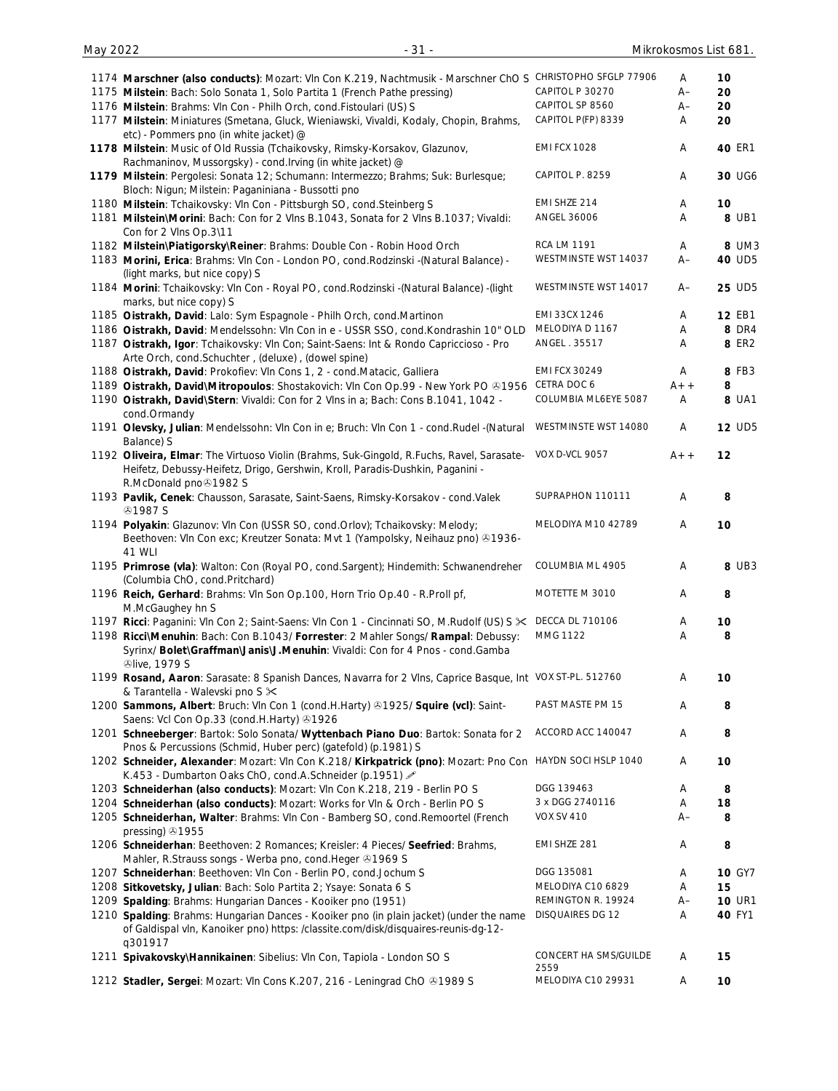| 1174 Marschner (also conducts): Mozart: VIn Con K.219, Nachtmusik - Marschner ChO S CHRISTOPHO SFGLP 77906                                                                                                       |                               | A         | 10            |
|------------------------------------------------------------------------------------------------------------------------------------------------------------------------------------------------------------------|-------------------------------|-----------|---------------|
| 1175 Milstein: Bach: Solo Sonata 1, Solo Partita 1 (French Pathe pressing)                                                                                                                                       | CAPITOL P 30270               | $A-$      | 20            |
| 1176 Milstein: Brahms: Vln Con - Philh Orch, cond. Fistoulari (US) S                                                                                                                                             | CAPITOL SP 8560               | $A-$      | 20            |
| 1177 Milstein: Miniatures (Smetana, Gluck, Wieniawski, Vivaldi, Kodaly, Chopin, Brahms,<br>etc) - Pommers pno (in white jacket) @                                                                                | CAPITOL P(FP) 8339            | Α         | 20            |
| 1178 Milstein: Music of Old Russia (Tchaikovsky, Rimsky-Korsakov, Glazunov,<br>Rachmaninov, Mussorgsky) - cond. Irving (in white jacket) @                                                                       | <b>EMI FCX 1028</b>           | Α         | 40 ER1        |
| 1179 Milstein: Pergolesi: Sonata 12; Schumann: Intermezzo; Brahms; Suk: Burlesque;<br>Bloch: Nigun; Milstein: Paganiniana - Bussotti pno                                                                         | CAPITOL P. 8259               | Α         | 30 UG6        |
| 1180 Milstein: Tchaikovsky: Vln Con - Pittsburgh SO, cond. Steinberg S                                                                                                                                           | EMI SHZE 214                  | A         | 10            |
| 1181 Milstein\Morini: Bach: Con for 2 Vlns B.1043, Sonata for 2 Vlns B.1037; Vivaldi:                                                                                                                            | ANGEL 36006                   | Α         | 8 UB1         |
| Con for 2 VIns Op.3\11                                                                                                                                                                                           |                               |           |               |
| 1182 Milstein\Piatigorsky\Reiner: Brahms: Double Con - Robin Hood Orch                                                                                                                                           | <b>RCA LM 1191</b>            | Α         | 8 UM3         |
| 1183 Morini, Erica: Brahms: VIn Con - London PO, cond. Rodzinski - (Natural Balance) -                                                                                                                           | WESTMINSTE WST 14037          | $A-$      | 40 UD5        |
| (light marks, but nice copy) S                                                                                                                                                                                   |                               |           |               |
| 1184 Morini: Tchaikovsky: Vln Con - Royal PO, cond. Rodzinski -(Natural Balance) -(light<br>marks, but nice copy) S                                                                                              | WESTMINSTE WST 14017          | $A-$      | 25 UD5        |
| 1185 Oistrakh, David: Lalo: Sym Espagnole - Philh Orch, cond. Martinon                                                                                                                                           | EMI 33CX 1246                 | A         | 12 EB1        |
| 1186 Oistrakh, David: Mendelssohn: Vln Con in e - USSR SSO, cond.Kondrashin 10" OLD                                                                                                                              | MELODIYA D 1167               | Α         | <b>8 DR4</b>  |
| 1187 Oistrakh, Igor: Tchaikovsky: VIn Con; Saint-Saens: Int & Rondo Capriccioso - Pro                                                                                                                            | ANGEL. 35517                  | Α         | 8 ER2         |
| Arte Orch, cond.Schuchter, (deluxe), (dowel spine)                                                                                                                                                               |                               |           |               |
| 1188 Oistrakh, David: Prokofiev: VIn Cons 1, 2 - cond. Matacic, Galliera                                                                                                                                         | <b>EMI FCX 30249</b>          | Α         | 8 FB3         |
| 1189 Oistrakh, David\Mitropoulos: Shostakovich: Vln Con Op.99 - New York PO &1956                                                                                                                                | CETRA DOC 6                   | A+ +      | 8             |
| 1190 Oistrakh, David\Stern: Vivaldi: Con for 2 Vlns in a; Bach: Cons B.1041, 1042 -<br>cond.Ormandy                                                                                                              | COLUMBIA ML6EYE 5087          | Α         | 8 UA1         |
| 1191 Olevsky, Julian: Mendelssohn: Vln Con in e; Bruch: Vln Con 1 - cond. Rudel - (Natural<br>Balance) S                                                                                                         | WESTMINSTE WST 14080          | Α         | <b>12 UD5</b> |
| 1192 Oliveira, Elmar: The Virtuoso Violin (Brahms, Suk-Gingold, R.Fuchs, Ravel, Sarasate-<br>Heifetz, Debussy-Heifetz, Drigo, Gershwin, Kroll, Paradis-Dushkin, Paganini -<br>R.McDonald pno <sup>3</sup> 1982 S | VOX D-VCL 9057                | $A++$     | 12            |
| 1193 Pavlik, Cenek: Chausson, Sarasate, Saint-Saens, Rimsky-Korsakov - cond.Valek<br><b>⊕1987 S</b>                                                                                                              | SUPRAPHON 110111              | Α         | 8             |
| 1194 Polyakin: Glazunov: Vln Con (USSR SO, cond.Orlov); Tchaikovsky: Melody;<br>Beethoven: VIn Con exc; Kreutzer Sonata: Mvt 1 (Yampolsky, Neihauz pno) +1936-<br>41 WLI                                         | MELODIYA M10 42789            | Α         | 10            |
| 1195 Primrose (vla): Walton: Con (Royal PO, cond.Sargent); Hindemith: Schwanendreher<br>(Columbia ChO, cond.Pritchard)                                                                                           | COLUMBIA ML 4905              | Α         | 8 UB3         |
| 1196 Reich, Gerhard: Brahms: Vln Son Op.100, Horn Trio Op.40 - R.Proll pf,                                                                                                                                       | MOTETTE M 3010                | Α         | 8             |
| M.McGaughey hn S                                                                                                                                                                                                 | <b>DECCA DL 710106</b>        |           |               |
| 1197 Ricci: Paganini: VIn Con 2; Saint-Saens: VIn Con 1 - Cincinnati SO, M.Rudolf (US) S $\mathbb X$                                                                                                             | MMG 1122                      | Α<br>Α    | 10            |
| 1198 Ricci\Menuhin: Bach: Con B.1043/ Forrester: 2 Mahler Songs/ Rampal: Debussy:<br>Syrinx/ Bolet\Graffman\Janis\J.Menuhin: Vivaldi: Con for 4 Pnos - cond.Gamba<br><b><i><u>Dlive, 1979 S</u></i></b>          |                               |           | 8             |
| 1199 Rosand, Aaron: Sarasate: 8 Spanish Dances, Navarra for 2 Vins, Caprice Basque, Int VOX ST-PL. 512760                                                                                                        |                               | Α         | 10            |
| & Tarantella - Walevski pno S $\times$                                                                                                                                                                           |                               |           |               |
| 1200 Sammons, Albert: Bruch: Vln Con 1 (cond.H.Harty) 31925/ Squire (vcl): Saint-<br>Saens: Vcl Con Op.33 (cond.H.Harty) 31926                                                                                   | PAST MASTE PM 15              | A         | 8             |
| 1201 Schneeberger: Bartok: Solo Sonata/ Wyttenbach Piano Duo: Bartok: Sonata for 2<br>Pnos & Percussions (Schmid, Huber perc) (gatefold) (p.1981) S                                                              | ACCORD ACC 140047             | Α         | 8             |
| 1202 Schneider, Alexander: Mozart: Vln Con K.218/ Kirkpatrick (pno): Mozart: Pno Con HAYDN SOCI HSLP 1040                                                                                                        |                               | Α         | 10            |
| K.453 - Dumbarton Oaks ChO, cond.A.Schneider (p.1951)                                                                                                                                                            | DGG 139463                    |           |               |
| 1203 Schneiderhan (also conducts): Mozart: Vln Con K.218, 219 - Berlin PO S                                                                                                                                      | 3 x DGG 2740116               | Α         | 8             |
| 1204 Schneiderhan (also conducts): Mozart: Works for VIn & Orch - Berlin PO S                                                                                                                                    | <b>VOX SV 410</b>             | Α<br>$A-$ | 18            |
| 1205 Schneiderhan, Walter: Brahms: VIn Con - Bamberg SO, cond. Remoortel (French<br>pressing) 31955                                                                                                              |                               |           | 8             |
| 1206 Schneiderhan: Beethoven: 2 Romances; Kreisler: 4 Pieces/ Seefried: Brahms,<br>Mahler, R.Strauss songs - Werba pno, cond.Heger & 1969 S                                                                      | EMI SHZE 281                  | Α         | 8             |
| 1207 Schneiderhan: Beethoven: VIn Con - Berlin PO, cond.Jochum S                                                                                                                                                 | DGG 135081                    | A         | <b>10 GY7</b> |
| 1208 Sitkovetsky, Julian: Bach: Solo Partita 2; Ysaye: Sonata 6 S                                                                                                                                                | MELODIYA C10 6829             | Α         | 15            |
| 1209 Spalding: Brahms: Hungarian Dances - Kooiker pno (1951)                                                                                                                                                     | REMINGTON R. 19924            | $A-$      | <b>10 UR1</b> |
| 1210 Spalding: Brahms: Hungarian Dances - Kooiker pno (in plain jacket) (under the name<br>of Galdispal vln, Kanoiker pno) https: /classite.com/disk/disquaires-reunis-dg-12-<br>q301917                         | DISQUAIRES DG 12              | Α         | 40 FY1        |
| 1211 Spivakovsky\Hannikainen: Sibelius: Vln Con, Tapiola - London SO S                                                                                                                                           | CONCERT HA SMS/GUILDE<br>2559 | Α         | 15            |
| 1212 Stadler, Sergei: Mozart: Vln Cons K.207, 216 - Leningrad ChO & 1989 S                                                                                                                                       | MELODIYA C10 29931            | Α         | 10            |
|                                                                                                                                                                                                                  |                               |           |               |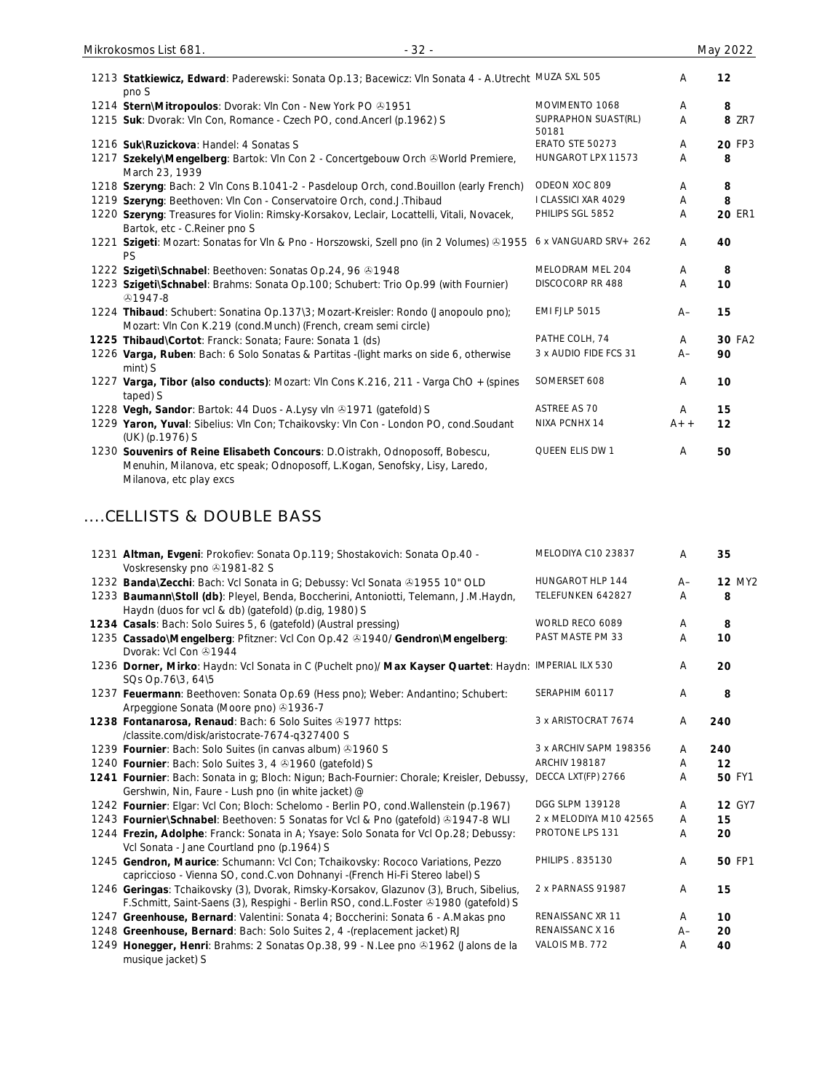| 1213 Statkiewicz, Edward: Paderewski: Sonata Op.13; Bacewicz: VIn Sonata 4 - A.Utrecht MUZA SXL 505<br>pno S                                               |                              | A              | 12            |
|------------------------------------------------------------------------------------------------------------------------------------------------------------|------------------------------|----------------|---------------|
| 1214 Stern\Mitropoulos: Dvorak: VIn Con - New York PO +1951                                                                                                | MOVIMENTO 1068               | A              | 8             |
| 1215 Suk: Dvorak: Vln Con, Romance - Czech PO, cond. Ancerl (p. 1962) S                                                                                    | SUPRAPHON SUAST(RL)<br>50181 | A              | <b>8 ZR7</b>  |
| 1216 Suk\Ruzickova: Handel: 4 Sonatas S                                                                                                                    | <b>ERATO STE 50273</b>       | A              | 20 FP3        |
| 1217 Szekely\Mengelberg: Bartok: Vln Con 2 - Concertgebouw Orch ®World Premiere,<br>March 23, 1939                                                         | HUNGAROT LPX 11573           | A              | 8             |
| 1218 Szeryng: Bach: 2 VIn Cons B.1041-2 - Pasdeloup Orch, cond. Bouillon (early French)                                                                    | ODEON XOC 809                | A              | 8             |
| 1219 Szeryng: Beethoven: Vln Con - Conservatoire Orch, cond.J.Thibaud                                                                                      | I CLASSICI XAR 4029          | A              | 8             |
| 1220 Szeryng: Treasures for Violin: Rimsky-Korsakov, Leclair, Locattelli, Vitali, Novacek,<br>Bartok, etc - C.Reiner pno S                                 | PHILIPS SGL 5852             | A              | <b>20 ER1</b> |
| 1221 Szigeti: Mozart: Sonatas for Vln & Pno - Horszowski, Szell pno (in 2 Volumes) @1955<br>PS                                                             | 6 x VANGUARD SRV + 262       | A              | 40            |
| 1222 Szigeti\Schnabel: Beethoven: Sonatas Op.24, 96 81948                                                                                                  | MELODRAM MEL 204             | A              | 8             |
| 1223 Szigeti\Schnabel: Brahms: Sonata Op.100; Schubert: Trio Op.99 (with Fournier)<br>$$1947-8$                                                            | DISCOCORP RR 488             | A              | 10            |
| 1224 Thibaud: Schubert: Sonatina Op.137\3; Mozart-Kreisler: Rondo (Janopoulo pno);<br>Mozart: VIn Con K.219 (cond.Munch) (French, cream semi circle)       | <b>EMI FJLP 5015</b>         | $A-$           | 15            |
| 1225 Thibaud\Cortot: Franck: Sonata; Faure: Sonata 1 (ds)                                                                                                  | PATHE COLH, 74               | A              | 30 FA2        |
| 1226 Varga, Ruben: Bach: 6 Solo Sonatas & Partitas - (light marks on side 6, otherwise<br>mint) S                                                          | 3 x AUDIO FIDE FCS 31        | $A -$          | 90            |
| 1227 Varga, Tibor (also conducts): Mozart: VIn Cons K.216, 211 - Varga ChO + (spines<br>taped) S                                                           | SOMERSET 608                 | A              | 10            |
| 1228 Vegh, Sandor: Bartok: 44 Duos - A.Lysy vln 31971 (gatefold) S                                                                                         | ASTREE AS 70                 | $\overline{A}$ | 15            |
| 1229 Yaron, Yuval: Sibelius: VIn Con; Tchaikovsky: VIn Con - London PO, cond.Soudant<br>(UK) (p.1976) S                                                    | NIXA PCNHX 14                | $A++$          | 12            |
| 1230 Souvenirs of Reine Elisabeth Concours: D.Oistrakh, Odnoposoff, Bobescu,<br>Menuhin, Milanova, etc speak; Odnoposoff, L.Kogan, Senofsky, Lisy, Laredo, | QUEEN ELIS DW 1              | A              | 50            |

Milanova, etc play excs

# ....CELLISTS & DOUBLE BASS

| 1231 Altman, Evgeni: Prokofiev: Sonata Op.119; Shostakovich: Sonata Op.40 -<br>Voskresensky pno 31981-82 S                                                                      | MELODIYA C10 23837     | A    | 35            |
|---------------------------------------------------------------------------------------------------------------------------------------------------------------------------------|------------------------|------|---------------|
| 1232 Banda\Zecchi: Bach: Vcl Sonata in G; Debussy: Vcl Sonata ®1955 10" OLD                                                                                                     | HUNGAROT HLP 144       | $A-$ | <b>12 MY2</b> |
| 1233 Baumann\Stoll (db): Pleyel, Benda, Boccherini, Antoniotti, Telemann, J.M.Haydn,<br>Haydn (duos for vcl & db) (gatefold) (p.dig, 1980) S                                    | TELEFUNKEN 642827      | A    | 8             |
| 1234 Casals: Bach: Solo Suires 5, 6 (gatefold) (Austral pressing)                                                                                                               | WORLD RECO 6089        | A    | 8             |
| 1235 Cassado\Mengelberg: Pfitzner: Vcl Con Op.42 & 1940/ Gendron\Mengelberg:<br>Dvorak: Vcl Con 31944                                                                           | PAST MASTE PM 33       | A    | 10            |
| 1236 Dorner, Mirko: Haydn: Vcl Sonata in C (Puchelt pno)/ Max Kayser Quartet: Haydn: IMPERIAL ILX 530<br>SQs Op.76\3, 64\5                                                      |                        | A    | 20            |
| 1237 Feuermann: Beethoven: Sonata Op.69 (Hess pno); Weber: Andantino; Schubert:<br>Arpeggione Sonata (Moore pno) 31936-7                                                        | SERAPHIM 60117         | A    | 8             |
| 1238 Fontanarosa, Renaud: Bach: 6 Solo Suites @1977 https:<br>/classite.com/disk/aristocrate-7674-q327400 S                                                                     | 3 x ARISTOCRAT 7674    | A    | 240           |
| 1239 Fournier: Bach: Solo Suites (in canvas album) 31960 S                                                                                                                      | 3 x ARCHIV SAPM 198356 | A    | 240           |
| 1240 Fournier: Bach: Solo Suites 3, 4 31960 (gatefold) S                                                                                                                        | <b>ARCHIV 198187</b>   | A    | 12            |
| 1241 Fournier: Bach: Sonata in g; Bloch: Nigun; Bach-Fournier: Chorale; Kreisler, Debussy,<br>Gershwin, Nin, Faure - Lush pno (in white jacket) @                               | DECCA LXT(FP) 2766     | Α    | <b>50 FY1</b> |
| 1242 Fournier: Elgar: Vcl Con; Bloch: Schelomo - Berlin PO, cond. Wallenstein (p.1967)                                                                                          | DGG SLPM 139128        | Α    | <b>12 GY7</b> |
| 1243 Fournier\Schnabel: Beethoven: 5 Sonatas for Vcl & Pno (gatefold) ®1947-8 WLI                                                                                               | 2 x MELODIYA M10 42565 | A    | 15            |
| 1244 Frezin, Adolphe: Franck: Sonata in A; Ysaye: Solo Sonata for Vcl Op.28; Debussy:<br>Vcl Sonata - Jane Courtland pno (p.1964) S                                             | PROTONE LPS 131        | A    | 20            |
| 1245 Gendron, Maurice: Schumann: Vcl Con; Tchaikovsky: Rococo Variations, Pezzo<br>capriccioso - Vienna SO, cond.C.von Dohnanyi - (French Hi-Fi Stereo label) S                 | PHILIPS . 835130       | A    | <b>50 FP1</b> |
| 1246 Geringas: Tchaikovsky (3), Dvorak, Rimsky-Korsakov, Glazunov (3), Bruch, Sibelius,<br>F.Schmitt, Saint-Saens (3), Respighi - Berlin RSO, cond.L.Foster & 1980 (gatefold) S | 2 x PARNASS 91987      | A    | 15            |
| 1247 Greenhouse, Bernard: Valentini: Sonata 4; Boccherini: Sonata 6 - A.Makas pno                                                                                               | RENAISSANC XR 11       | A    | 10            |
| 1248 Greenhouse, Bernard: Bach: Solo Suites 2, 4 - (replacement jacket) RJ                                                                                                      | RENAISSANC X 16        | $A-$ | 20            |
| 1249 Honegger, Henri: Brahms: 2 Sonatas Op.38, 99 - N.Lee pno ®1962 (Jalons de la<br>musique jacket) S                                                                          | VALOIS MB, 772         | Α    | 40            |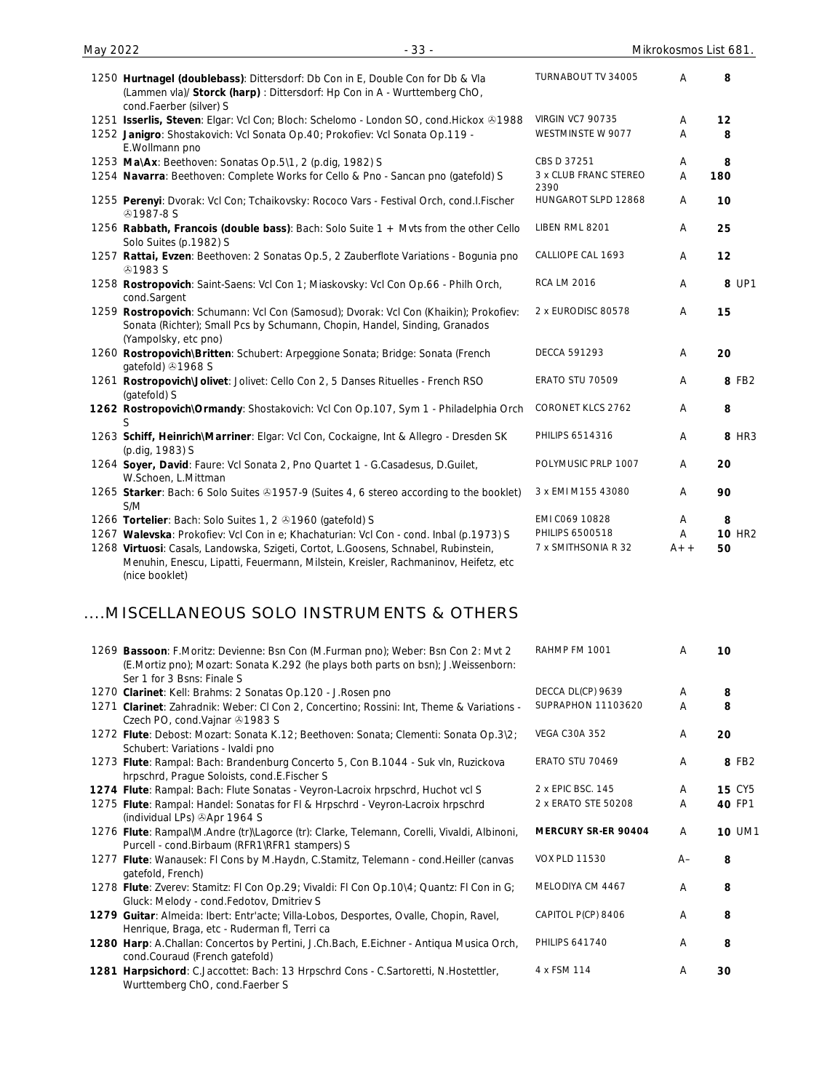| May 2022 | $-33-$                                                                                                                                                                                      |                               | Mikrokosmos List 681. |               |
|----------|---------------------------------------------------------------------------------------------------------------------------------------------------------------------------------------------|-------------------------------|-----------------------|---------------|
|          | 1250 Hurtnagel (doublebass): Dittersdorf: Db Con in E, Double Con for Db & Vla<br>(Lammen vla)/ Storck (harp): Dittersdorf: Hp Con in A - Wurttemberg ChO,<br>cond.Faerber (silver) S       | TURNABOUT TV 34005            | A                     | 8             |
|          | 1251 Isserlis, Steven: Elgar: Vcl Con; Bloch: Schelomo - London SO, cond.Hickox & 1988                                                                                                      | <b>VIRGIN VC7 90735</b>       | Α                     | 12            |
|          | 1252 Janigro: Shostakovich: Vcl Sonata Op.40; Prokofiev: Vcl Sonata Op.119 -<br>E.Wollmann pno                                                                                              | WESTMINSTE W 9077             | A                     | 8             |
|          | 1253 Ma\Ax: Beethoven: Sonatas Op.5\1, 2 (p.dig, 1982) S                                                                                                                                    | CBS D 37251                   | A                     | 8             |
|          | 1254 Navarra: Beethoven: Complete Works for Cello & Pno - Sancan pno (gatefold) S                                                                                                           | 3 x CLUB FRANC STEREO<br>2390 | A                     | 180           |
|          | 1255 Perenyi: Dvorak: Vcl Con; Tchaikovsky: Rococo Vars - Festival Orch, cond.I.Fischer<br><b>@1987-8S</b>                                                                                  | HUNGAROT SLPD 12868           | Α                     | 10            |
|          | 1256 Rabbath, Francois (double bass): Bach: Solo Suite 1 + Myts from the other Cello<br>Solo Suites (p.1982) S                                                                              | LIBEN RML 8201                | Α                     | 25            |
|          | 1257 Rattai, Evzen: Beethoven: 2 Sonatas Op.5, 2 Zauberflote Variations - Bogunia pno<br><b>⊕1983 S</b>                                                                                     | CALLIOPE CAL 1693             | A                     | 12            |
|          | 1258 Rostropovich: Saint-Saens: Vcl Con 1; Miaskovsky: Vcl Con Op.66 - Philh Orch,<br>cond.Sargent                                                                                          | <b>RCA LM 2016</b>            | $\overline{A}$        | 8 UP1         |
|          | 1259 Rostropovich: Schumann: Vcl Con (Samosud); Dvorak: Vcl Con (Khaikin); Prokofiev:<br>Sonata (Richter); Small Pcs by Schumann, Chopin, Handel, Sinding, Granados<br>(Yampolsky, etc pno) | 2 x EURODISC 80578            | A                     | 15            |
|          | 1260 Rostropovich\Britten: Schubert: Arpeggione Sonata; Bridge: Sonata (French<br>gatefold) 31968 S                                                                                         | <b>DECCA 591293</b>           | A                     | 20            |
|          | 1261 Rostropovich\Jolivet: Jolivet: Cello Con 2, 5 Danses Rituelles - French RSO<br>(gatefold) S                                                                                            | ERATO STU 70509               | A                     | 8 FB2         |
|          | 1262 Rostropovich\Ormandy: Shostakovich: Vcl Con Op.107, Sym 1 - Philadelphia Orch<br>S                                                                                                     | CORONET KLCS 2762             | A                     | 8             |
|          | 1263 Schiff, Heinrich\Marriner: Elgar: Vcl Con, Cockaigne, Int & Allegro - Dresden SK<br>(p.dig, 1983) S                                                                                    | <b>PHILIPS 6514316</b>        | A                     | 8 HR3         |
|          | 1264 Soyer, David: Faure: Vcl Sonata 2, Pno Quartet 1 - G.Casadesus, D.Guilet,<br>W.Schoen, L.Mittman                                                                                       | POLYMUSIC PRLP 1007           | A                     | 20            |
|          | 1265 Starker: Bach: 6 Solo Suites & 1957-9 (Suites 4, 6 stereo according to the booklet)<br>S/M                                                                                             | 3 x EMI M155 43080            | A                     | 90            |
|          | 1266 Tortelier: Bach: Solo Suites 1, 2 31960 (gatefold) S                                                                                                                                   | EMI C069 10828                | A                     | 8             |
|          | 1267 Walevska: Prokofiev: Vcl Con in e; Khachaturian: Vcl Con - cond. Inbal (p.1973) S                                                                                                      | PHILIPS 6500518               | Α                     | <b>10 HR2</b> |
|          | 1268 Virtuosi: Casals, Landowska, Szigeti, Cortot, L.Goosens, Schnabel, Rubinstein,<br>Menuhin, Enescu, Lipatti, Feuermann, Milstein, Kreisler, Rachmaninov, Heifetz, etc<br>(nice booklet) | 7 x SMITHSONIA R 32           | $A++$                 | 50            |

# ....MISCELLANEOUS SOLO INSTRUMENTS & OTHERS

|      | 1269 Bassoon: F.Moritz: Devienne: Bsn Con (M.Furman pno); Weber: Bsn Con 2: Mvt 2<br>(E.Mortiz pno); Mozart: Sonata K.292 (he plays both parts on bsn); J.Weissenborn:<br>Ser 1 for 3 Bsns: Finale S | RAHMP FM 1001          | A    | 10            |
|------|------------------------------------------------------------------------------------------------------------------------------------------------------------------------------------------------------|------------------------|------|---------------|
|      | 1270 Clarinet: Kell: Brahms: 2 Sonatas Op.120 - J.Rosen pno                                                                                                                                          | DECCA DL(CP) 9639      | A    | 8             |
|      | 1271 Clarinet: Zahradnik: Weber: CI Con 2, Concertino; Rossini: Int, Theme & Variations -<br>Czech PO, cond. Vajnar 21983 S                                                                          | SUPRAPHON 11103620     | A    | 8             |
|      | 1272 Flute: Debost: Mozart: Sonata K.12; Beethoven: Sonata; Clementi: Sonata Op.3\2;<br>Schubert: Variations - Ivaldi pno                                                                            | <b>VEGA C30A 352</b>   | A    | 20            |
|      | 1273 Flute: Rampal: Bach: Brandenburg Concerto 5, Con B.1044 - Suk vln, Ruzickova<br>hrpschrd, Prague Soloists, cond.E.Fischer S                                                                     | <b>ERATO STU 70469</b> | A    | 8 FB2         |
|      | 1274 Flute: Rampal: Bach: Flute Sonatas - Veyron-Lacroix hrpschrd, Huchot vcl S                                                                                                                      | 2 x EPIC BSC. 145      | A    | <b>15 CY5</b> |
|      | 1275 Flute: Rampal: Handel: Sonatas for FI & Hrpschrd - Veyron-Lacroix hrpschrd<br>(individual LPs) Apr 1964 S                                                                                       | 2 x ERATO STE 50208    | A    | 40 FP1        |
|      | 1276 Flute: Rampal\M.Andre (tr)\Lagorce (tr): Clarke, Telemann, Corelli, Vivaldi, Albinoni,<br>Purcell - cond. Birbaum (RFR1\RFR1 stampers) S                                                        | MERCURY SR-ER 90404    | A    | <b>10 UM1</b> |
|      | 1277 Flute: Wanausek: FI Cons by M.Haydn, C.Stamitz, Telemann - cond.Heiller (canvas<br>gatefold, French)                                                                                            | <b>VOX PLD 11530</b>   | $A-$ | 8             |
|      | 1278 Flute: Zverev: Stamitz: Fl Con Op.29; Vivaldi: Fl Con Op.10\4; Quantz: Fl Con in G;<br>Gluck: Melody - cond.Fedotov, Dmitriev S                                                                 | MELODIYA CM 4467       | A    | 8             |
|      | 1279 Guitar: Almeida: Ibert: Entr'acte; Villa-Lobos, Desportes, Ovalle, Chopin, Ravel,<br>Henrique, Braga, etc - Ruderman fl, Terri ca                                                               | CAPITOL P(CP) 8406     | A    | 8             |
|      | 1280 Harp: A.Challan: Concertos by Pertini, J.Ch.Bach, E.Eichner - Antiqua Musica Orch,<br>cond.Couraud (French gatefold)                                                                            | <b>PHILIPS 641740</b>  | A    | 8             |
| 1281 | Harpsichord: C.Jaccottet: Bach: 13 Hrpschrd Cons - C.Sartoretti, N.Hostettler,<br>Wurttemberg ChO, cond.Faerber S                                                                                    | 4 x FSM 114            | A    | 30            |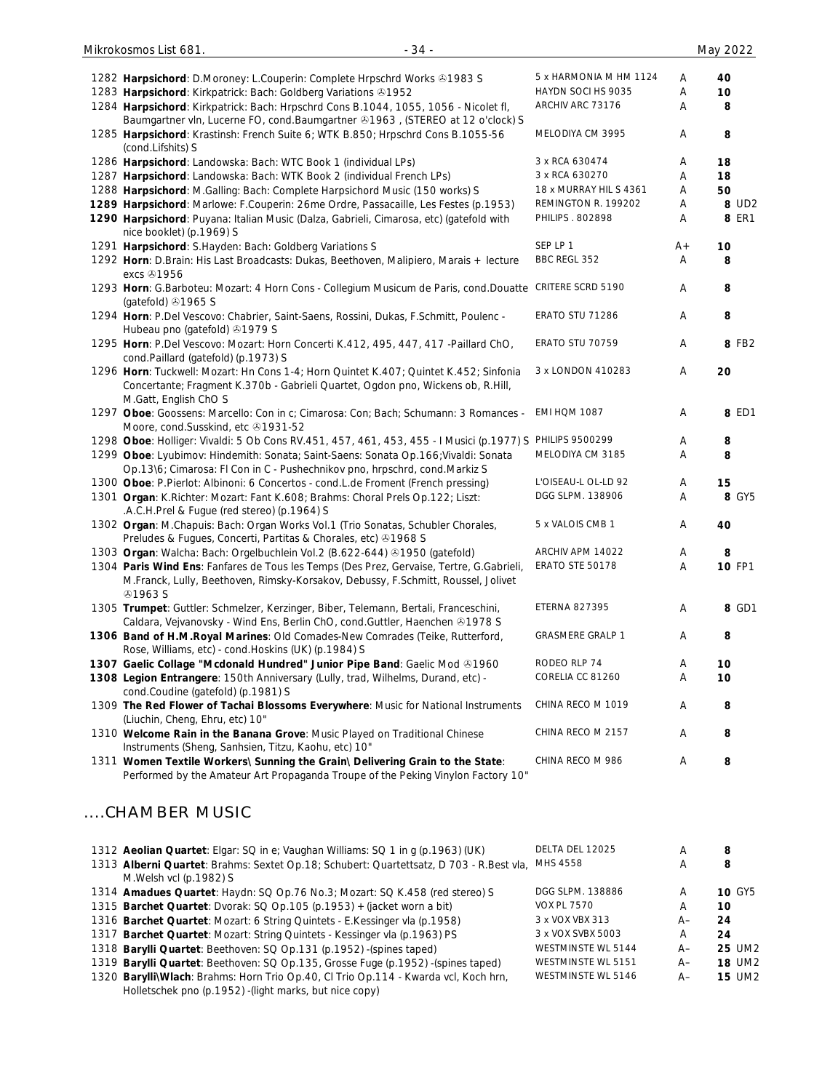| 1282 Harpsichord: D.Moroney: L.Couperin: Complete Hrpschrd Works & 1983 S                                                                                          | 5 x HARMONIA M HM 1124           | Α      | 40                      |
|--------------------------------------------------------------------------------------------------------------------------------------------------------------------|----------------------------------|--------|-------------------------|
| 1283 Harpsichord: Kirkpatrick: Bach: Goldberg Variations 31952                                                                                                     | HAYDN SOCI HS 9035               | Α      | 10                      |
| 1284 Harpsichord: Kirkpatrick: Bach: Hrpschrd Cons B.1044, 1055, 1056 - Nicolet fl,                                                                                | ARCHIV ARC 73176                 | Α      | 8                       |
| Baumgartner vln, Lucerne FO, cond.Baumgartner 491963, (STEREO at 12 o'clock) S                                                                                     |                                  |        |                         |
| 1285 Harpsichord: Krastinsh: French Suite 6; WTK B.850; Hrpschrd Cons B.1055-56                                                                                    | MELODIYA CM 3995                 | Α      | 8                       |
| (cond.Lifshits) S                                                                                                                                                  |                                  |        |                         |
| 1286 Harpsichord: Landowska: Bach: WTC Book 1 (individual LPs)                                                                                                     | 3 x RCA 630474<br>3 x RCA 630270 | Α      | 18                      |
| 1287 Harpsichord: Landowska: Bach: WTK Book 2 (individual French LPs)                                                                                              | 18 x MURRAY HIL S 4361           | Α      | 18                      |
| 1288 Harpsichord: M.Galling: Bach: Complete Harpsichord Music (150 works) S<br>1289 Harpsichord: Marlowe: F.Couperin: 26me Ordre, Passacaille, Les Festes (p.1953) | REMINGTON R. 199202              | Α<br>A | 50<br>8 UD <sub>2</sub> |
| 1290 Harpsichord: Puyana: Italian Music (Dalza, Gabrieli, Cimarosa, etc) (gatefold with                                                                            | PHILIPS . 802898                 | Α      | <b>8 ER1</b>            |
| nice booklet) (p.1969) S                                                                                                                                           |                                  |        |                         |
| 1291 Harpsichord: S.Hayden: Bach: Goldberg Variations S                                                                                                            | SEP LP 1                         | A+     | 10                      |
| 1292 Horn: D.Brain: His Last Broadcasts: Dukas, Beethoven, Malipiero, Marais + lecture                                                                             | BBC REGL 352                     | Α      | 8                       |
| excs 21956                                                                                                                                                         |                                  |        |                         |
| 1293 Horn: G.Barboteu: Mozart: 4 Horn Cons - Collegium Musicum de Paris, cond.Douatte CRITERE SCRD 5190                                                            |                                  | Α      | 8                       |
| (gatefold) 31965 S                                                                                                                                                 |                                  |        |                         |
| 1294 Horn: P.Del Vescovo: Chabrier, Saint-Saens, Rossini, Dukas, F.Schmitt, Poulenc -                                                                              | ERATO STU 71286                  | A      | 8                       |
| Hubeau pno (gatefold) 31979 S                                                                                                                                      |                                  |        |                         |
| 1295 Horn: P.Del Vescovo: Mozart: Horn Concerti K.412, 495, 447, 417 - Paillard ChO,                                                                               | ERATO STU 70759                  | Α      | 8 FB2                   |
| cond.Paillard (gatefold) (p.1973) S                                                                                                                                |                                  |        |                         |
| 1296 Horn: Tuckwell: Mozart: Hn Cons 1-4; Horn Quintet K.407; Quintet K.452; Sinfonia                                                                              | 3 x LONDON 410283                | Α      | 20                      |
| Concertante; Fragment K.370b - Gabrieli Quartet, Ogdon pno, Wickens ob, R.Hill,<br>M.Gatt, English ChO S                                                           |                                  |        |                         |
| 1297 Oboe: Goossens: Marcello: Con in c; Cimarosa: Con; Bach; Schumann: 3 Romances -                                                                               | EMI HQM 1087                     | A      | 8 ED1                   |
| Moore, cond.Susskind, etc 31931-52                                                                                                                                 |                                  |        |                         |
| 1298 Oboe: Holliger: Vivaldi: 5 Ob Cons RV.451, 457, 461, 453, 455 - I Musici (p.1977) S PHILIPS 9500299                                                           |                                  | A      | 8                       |
| 1299 Oboe: Lyubimov: Hindemith: Sonata; Saint-Saens: Sonata Op.166; Vivaldi: Sonata                                                                                | MELODIYA CM 3185                 | Α      | 8                       |
| Op.13\6; Cimarosa: FI Con in C - Pushechnikov pno, hrpschrd, cond.Markiz S                                                                                         |                                  |        |                         |
| 1300 Oboe: P.Pierlot: Albinoni: 6 Concertos - cond.L.de Froment (French pressing)                                                                                  | L'OISEAU-L OL-LD 92              | A      | 15                      |
| 1301 Organ: K.Richter: Mozart: Fant K.608; Brahms: Choral Prels Op.122; Liszt:                                                                                     | DGG SLPM. 138906                 | Α      | 8 GY5                   |
| .A.C.H.Prel & Fugue (red stereo) (p.1964) S                                                                                                                        |                                  |        |                         |
| 1302 Organ: M.Chapuis: Bach: Organ Works Vol.1 (Trio Sonatas, Schubler Chorales,                                                                                   | 5 x VALOIS CMB 1                 | Α      | 40                      |
| Preludes & Fugues, Concerti, Partitas & Chorales, etc) +1968 S                                                                                                     |                                  |        |                         |
| 1303 Organ: Walcha: Bach: Orgelbuchlein Vol.2 (B.622-644) 31950 (gatefold)                                                                                         | ARCHIV APM 14022                 | A      | 8                       |
| 1304 Paris Wind Ens: Fanfares de Tous les Temps (Des Prez, Gervaise, Tertre, G.Gabrieli,                                                                           | ERATO STE 50178                  | Α      | <b>10 FP1</b>           |
| M.Franck, Lully, Beethoven, Rimsky-Korsakov, Debussy, F.Schmitt, Roussel, Jolivet                                                                                  |                                  |        |                         |
| <b>⊕1963 S</b><br>1305 Trumpet: Guttler: Schmelzer, Kerzinger, Biber, Telemann, Bertali, Franceschini,                                                             | <b>ETERNA 827395</b>             | Α      | 8 GD1                   |
| Caldara, Vejvanovsky - Wind Ens, Berlin ChO, cond.Guttler, Haenchen & 1978 S                                                                                       |                                  |        |                         |
| 1306 Band of H.M. Royal Marines: Old Comades-New Comrades (Teike, Rutterford,                                                                                      | <b>GRASMERE GRALP 1</b>          | A      | 8                       |
| Rose, Williams, etc) - cond. Hoskins (UK) (p.1984) S                                                                                                               |                                  |        |                         |
| 1307 Gaelic Collage "Mcdonald Hundred" Junior Pipe Band: Gaelic Mod & 1960                                                                                         | RODEO RLP 74                     | A      | 10                      |
| 1308 Legion Entrangere: 150th Anniversary (Lully, trad, Wilhelms, Durand, etc) -                                                                                   | CORELIA CC 81260                 | Α      | 10                      |
| cond.Coudine (gatefold) (p.1981) S                                                                                                                                 |                                  |        |                         |
| 1309 The Red Flower of Tachai Blossoms Everywhere: Music for National Instruments                                                                                  | CHINA RECO M 1019                | A      | 8                       |
| (Liuchin, Cheng, Ehru, etc) 10"                                                                                                                                    |                                  |        |                         |
| 1310 Welcome Rain in the Banana Grove: Music Played on Traditional Chinese                                                                                         | CHINA RECO M 2157                | A      | 8                       |
| Instruments (Sheng, Sanhsien, Titzu, Kaohu, etc) 10"                                                                                                               |                                  |        |                         |
| 1311 Women Textile Workers\ Sunning the Grain\ Delivering Grain to the State:                                                                                      | CHINA RECO M 986                 | A      | 8                       |
| Performed by the Amateur Art Propaganda Troupe of the Peking Vinylon Factory 10"                                                                                   |                                  |        |                         |
|                                                                                                                                                                    |                                  |        |                         |
| CHAMBER MUSIC                                                                                                                                                      |                                  |        |                         |
|                                                                                                                                                                    |                                  |        |                         |
|                                                                                                                                                                    | DELTA DEL 12025                  |        |                         |
| 1312 Aeolian Quartet: Elgar: SQ in e; Vaughan Williams: SQ 1 in g (p.1963) (UK)                                                                                    | MHS 4558                         | A<br>Α | 8<br>8                  |
| 1313 Alberni Quartet: Brahms: Sextet Op.18; Schubert: Quartettsatz, D 703 - R.Best vla,<br>M.Welsh vcl (p.1982) S                                                  |                                  |        |                         |
| 1314 Amadues Quartet: Haydn: SQ Op.76 No.3; Mozart: SQ K.458 (red stereo) S                                                                                        | DGG SLPM. 138886                 | Α      | 10 GY5                  |
| 1315 Barchet Quartet: Dvorak: SQ Op.105 (p.1953) + (jacket worn a bit)                                                                                             | <b>VOX PL 7570</b>               | Α      | 10                      |
| 1316 Barchet Quartet: Mozart: 6 String Quintets - E.Kessinger vla (p.1958)                                                                                         | 3 x VOX VBX 313                  | $A-$   | 24                      |
| 1317 Barchet Quartet: Mozart: String Quintets - Kessinger vla (p.1963) PS                                                                                          | 3 x VOX SVBX 5003                | Α      | 24                      |
| 1318 Barylli Quartet: Beethoven: SQ Op.131 (p.1952) -(spines taped)                                                                                                | WESTMINSTE WL 5144               | A–     | 25 UM2                  |
| 1319 Barylli Quartet: Beethoven: SQ Op.135, Grosse Fuge (p.1952) -(spines taped)                                                                                   | WESTMINSTE WL 5151               | $A-$   | <b>18 UM2</b>           |
| 1320 BarylliWlach: Brahms: Horn Trio Op.40, Cl Trio Op.114 - Kwarda vcl, Koch hrn,                                                                                 | WESTMINSTE WL 5146               | $A-$   | <b>15 UM2</b>           |

1320 **Barylli\Wlach**: Brahms: Horn Trio Op.40, Cl Trio Op.114 - Kwarda vcl, Koch hrn, Holletschek pno (p.1952) -(light marks, but nice copy)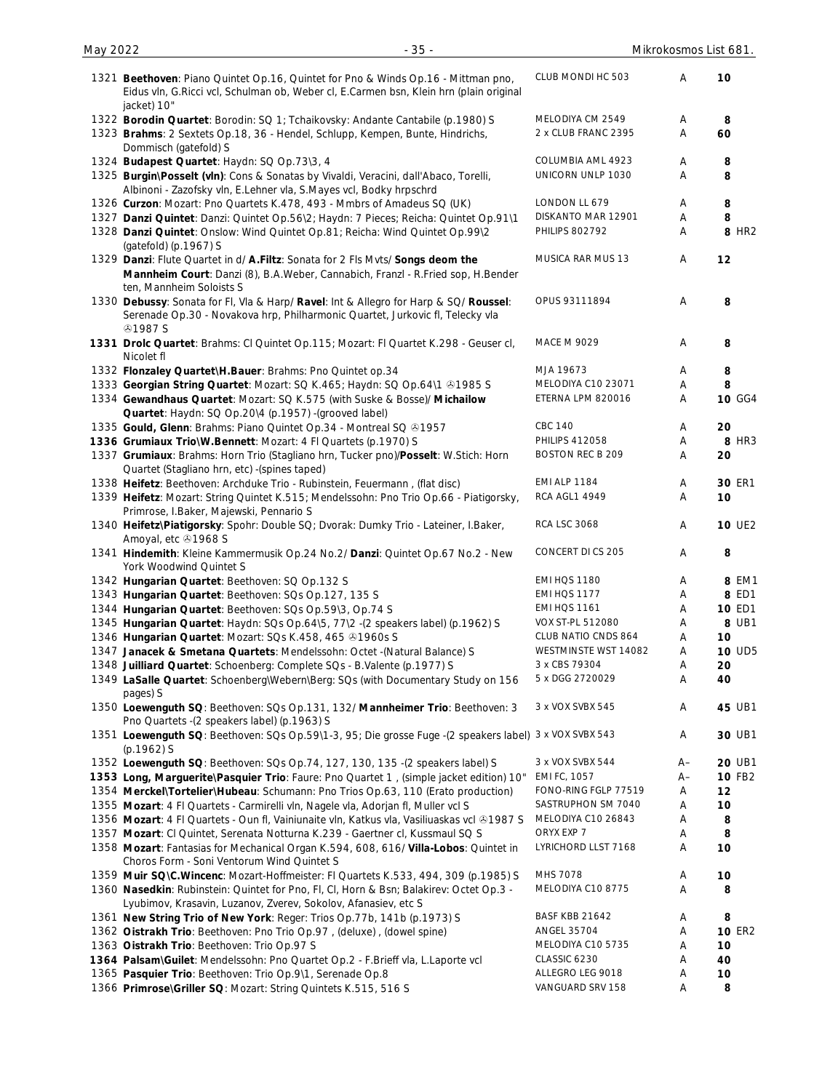| 1321 Beethoven: Piano Quintet Op.16, Quintet for Pno & Winds Op.16 - Mittman pno,<br>Eidus vln, G.Ricci vcl, Schulman ob, Weber cl, E.Carmen bsn, Klein hrn (plain original                   | CLUB MONDI HC 503       | Α    | 10                |
|-----------------------------------------------------------------------------------------------------------------------------------------------------------------------------------------------|-------------------------|------|-------------------|
| jacket) 10"                                                                                                                                                                                   | MELODIYA CM 2549        | Α    | 8                 |
| 1322 Borodin Quartet: Borodin: SQ 1; Tchaikovsky: Andante Cantabile (p.1980) S<br>1323 Brahms: 2 Sextets Op.18, 36 - Hendel, Schlupp, Kempen, Bunte, Hindrichs,<br>Dommisch (gatefold) S      | 2 x CLUB FRANC 2395     | A    | 60                |
| 1324 Budapest Quartet: Haydn: SQ Op.73\3, 4                                                                                                                                                   | COLUMBIA AML 4923       | Α    | 8                 |
| 1325 Burgin\Posselt (vln): Cons & Sonatas by Vivaldi, Veracini, dall'Abaco, Torelli,                                                                                                          | UNICORN UNLP 1030       | A    | 8                 |
| Albinoni - Zazofsky vln, E.Lehner vla, S.Mayes vcl, Bodky hrpschrd                                                                                                                            |                         |      |                   |
| 1326 Curzon: Mozart: Pno Quartets K.478, 493 - Mmbrs of Amadeus SQ (UK)                                                                                                                       | LONDON LL 679           | Α    | 8                 |
| 1327 Danzi Quintet: Danzi: Quintet Op.56\2; Haydn: 7 Pieces; Reicha: Quintet Op.91\1                                                                                                          | DISKANTO MAR 12901      | Α    | 8                 |
| 1328 Danzi Quintet: Onslow: Wind Quintet Op.81; Reicha: Wind Quintet Op.99\2                                                                                                                  | <b>PHILIPS 802792</b>   | Α    | 8 HR <sub>2</sub> |
| (gatefold) (p.1967) S                                                                                                                                                                         |                         |      |                   |
| 1329 Danzi: Flute Quartet in d/ A.Filtz: Sonata for 2 Fls Mvts/ Songs deom the<br>Mannheim Court: Danzi (8), B.A.Weber, Cannabich, Franzl - R.Fried sop, H.Bender<br>ten, Mannheim Soloists S | MUSICA RAR MUS 13       | Α    | 12                |
| 1330 Debussy: Sonata for Fl, Vla & Harp/ Ravel: Int & Allegro for Harp & SQ/ Roussel:<br>Serenade Op.30 - Novakova hrp, Philharmonic Quartet, Jurkovic fl, Telecky vla<br><b>41987 S</b>      | OPUS 93111894           | Α    | 8                 |
| 1331 Drolc Quartet: Brahms: Cl Quintet Op.115; Mozart: Fl Quartet K.298 - Geuser cl,<br>Nicolet fl                                                                                            | MACE M 9029             | Α    | 8                 |
| 1332 Flonzaley Quartet\H.Bauer: Brahms: Pno Quintet op.34                                                                                                                                     | MJA 19673               | Α    | 8                 |
| 1333 Georgian String Quartet: Mozart: SQ K.465; Haydn: SQ Op.64\1 +1985 S                                                                                                                     | MELODIYA C10 23071      | A    | 8                 |
| 1334 Gewandhaus Quartet: Mozart: SQ K.575 (with Suske & Bosse)/ Michailow                                                                                                                     | ETERNA LPM 820016       | Α    | 10 GG4            |
| Quartet: Haydn: SQ Op.20\4 (p.1957) -(grooved label)                                                                                                                                          |                         |      |                   |
| 1335 Gould, Glenn: Brahms: Piano Quintet Op.34 - Montreal SQ @1957                                                                                                                            | <b>CBC 140</b>          | Α    | 20                |
| 1336 Grumiaux Trio\W.Bennett: Mozart: 4 FI Quartets (p.1970) S                                                                                                                                | <b>PHILIPS 412058</b>   | A    | 8 HR3             |
|                                                                                                                                                                                               | <b>BOSTON REC B 209</b> |      |                   |
| 1337 Grumiaux: Brahms: Horn Trio (Stagliano hrn, Tucker pno)/Posselt: W.Stich: Horn<br>Quartet (Stagliano hrn, etc) - (spines taped)                                                          |                         | A    | 20                |
| 1338 Heifetz: Beethoven: Archduke Trio - Rubinstein, Feuermann, (flat disc)                                                                                                                   | <b>EMI ALP 1184</b>     | Α    | 30 ER1            |
| 1339 Heifetz: Mozart: String Quintet K.515; Mendelssohn: Pno Trio Op.66 - Piatigorsky,<br>Primrose, I.Baker, Majewski, Pennario S                                                             | <b>RCA AGL1 4949</b>    | A    | 10                |
| 1340 Heifetz\Piatigorsky: Spohr: Double SQ; Dvorak: Dumky Trio - Lateiner, I.Baker,<br>Amoyal, etc 31968 S                                                                                    | <b>RCA LSC 3068</b>     | Α    | <b>10 UE2</b>     |
| 1341 Hindemith: Kleine Kammermusik Op.24 No.2/ Danzi: Quintet Op.67 No.2 - New<br>York Woodwind Quintet S                                                                                     | CONCERT DI CS 205       | Α    | 8                 |
| 1342 Hungarian Quartet: Beethoven: SQ Op.132 S                                                                                                                                                | <b>EMI HQS 1180</b>     | A    | 8 EM1             |
| 1343 Hungarian Quartet: Beethoven: SQs Op.127, 135 S                                                                                                                                          | EMI HQS 1177            | A    | 8 ED1             |
| 1344 Hungarian Quartet: Beethoven: SQs Op.59\3, Op.74 S                                                                                                                                       | <b>EMI HQS 1161</b>     | Α    | <b>10 ED1</b>     |
| 1345 Hungarian Quartet: Haydn: SQs Op.64\5, 77\2 -(2 speakers label) (p.1962) S                                                                                                               | VOX ST-PL 512080        | Α    | 8 UB1             |
| 1346 Hungarian Quartet: Mozart: SQs K.458, 465 @1960s S                                                                                                                                       | CLUB NATIO CNDS 864     | Α    | 10                |
| 1347 Janacek & Smetana Quartets: Mendelssohn: Octet -(Natural Balance) S                                                                                                                      | WESTMINSTE WST 14082    | Α    | <b>10 UD5</b>     |
| 1348 Juilliard Quartet: Schoenberg: Complete SQs - B.Valente (p.1977) S                                                                                                                       | 3 x CBS 79304           | Α    | 20                |
| 1349 LaSalle Quartet: Schoenberg\Webern\Berg: SQs (with Documentary Study on 156                                                                                                              | 5 x DGG 2720029         | А    | 40                |
| pages) S<br>1350 Loewenguth SQ: Beethoven: SQs Op.131, 132/ Mannheimer Trio: Beethoven: 3                                                                                                     | 3 x VOX SVBX 545        | A    | 45 UB1            |
| Pno Quartets - (2 speakers label) (p.1963) S<br>1351 Loewenguth SQ: Beethoven: SQs Op.59\1-3, 95; Die grosse Fuge -(2 speakers label) 3 x VOX SVBX 543                                        |                         | A    | 30 UB1            |
| $(p.1962)$ S                                                                                                                                                                                  |                         |      |                   |
| 1352 Loewenguth SQ: Beethoven: SQs Op.74, 127, 130, 135 -(2 speakers label) S                                                                                                                 | 3 x VOX SVBX 544        | A–   | 20 UB1            |
| 1353 Long, Marguerite\Pasquier Trio: Faure: Pno Quartet 1, (simple jacket edition) 10"                                                                                                        | EMI FC, 1057            | $A-$ | <b>10 FB2</b>     |
| 1354 Merckel\Tortelier\Hubeau: Schumann: Pno Trios Op.63, 110 (Erato production)                                                                                                              | FONO-RING FGLP 77519    | Α    | 12                |
| 1355 Mozart: 4 FI Quartets - Carmirelli vln, Nagele vla, Adorjan fl, Muller vcl S                                                                                                             | SASTRUPHON SM 7040      | Α    | 10                |
| 1356 Mozart: 4 Fl Quartets - Oun fl, Vainiunaite vln, Katkus vla, Vasiliuaskas vcl & 1987 S                                                                                                   | MELODIYA C10 26843      | Α    | 8                 |
| 1357 Mozart: Cl Quintet, Serenata Notturna K.239 - Gaertner cl, Kussmaul SQ S                                                                                                                 | ORYX EXP 7              | Α    | 8                 |
| 1358 Mozart: Fantasias for Mechanical Organ K.594, 608, 616/ Villa-Lobos: Quintet in<br>Choros Form - Soni Ventorum Wind Quintet S                                                            | LYRICHORD LLST 7168     | Α    | 10                |
| 1359 Muir SQ\C.Wincenc: Mozart-Hoffmeister: FI Quartets K.533, 494, 309 (p.1985) S                                                                                                            | MHS 7078                | Α    | 10                |
| 1360 Nasedkin: Rubinstein: Quintet for Pno, Fl, Cl, Horn & Bsn; Balakirev: Octet Op.3 -<br>Lyubimov, Krasavin, Luzanov, Zverev, Sokolov, Afanasiev, etc S                                     | MELODIYA C10 8775       | Α    | 8                 |
| 1361 New String Trio of New York: Reger: Trios Op. 77b, 141b (p. 1973) S                                                                                                                      | BASF KBB 21642          | A    | 8                 |
| 1362 Oistrakh Trio: Beethoven: Pno Trio Op.97, (deluxe), (dowel spine)                                                                                                                        | <b>ANGEL 35704</b>      | Α    | <b>10 ER2</b>     |
| 1363 Oistrakh Trio: Beethoven: Trio Op.97 S                                                                                                                                                   | MELODIYA C10 5735       | Α    | 10                |
| 1364 Palsam\Guilet: Mendelssohn: Pno Quartet Op.2 - F.Brieff vla, L.Laporte vcl                                                                                                               | CLASSIC 6230            | Α    | 40                |
| 1365 Pasquier Trio: Beethoven: Trio Op.9\1, Serenade Op.8                                                                                                                                     | ALLEGRO LEG 9018        | Α    | 10                |
| 1366 Primrose\Griller SQ: Mozart: String Quintets K.515, 516 S                                                                                                                                | VANGUARD SRV 158        | Α    | 8                 |
|                                                                                                                                                                                               |                         |      |                   |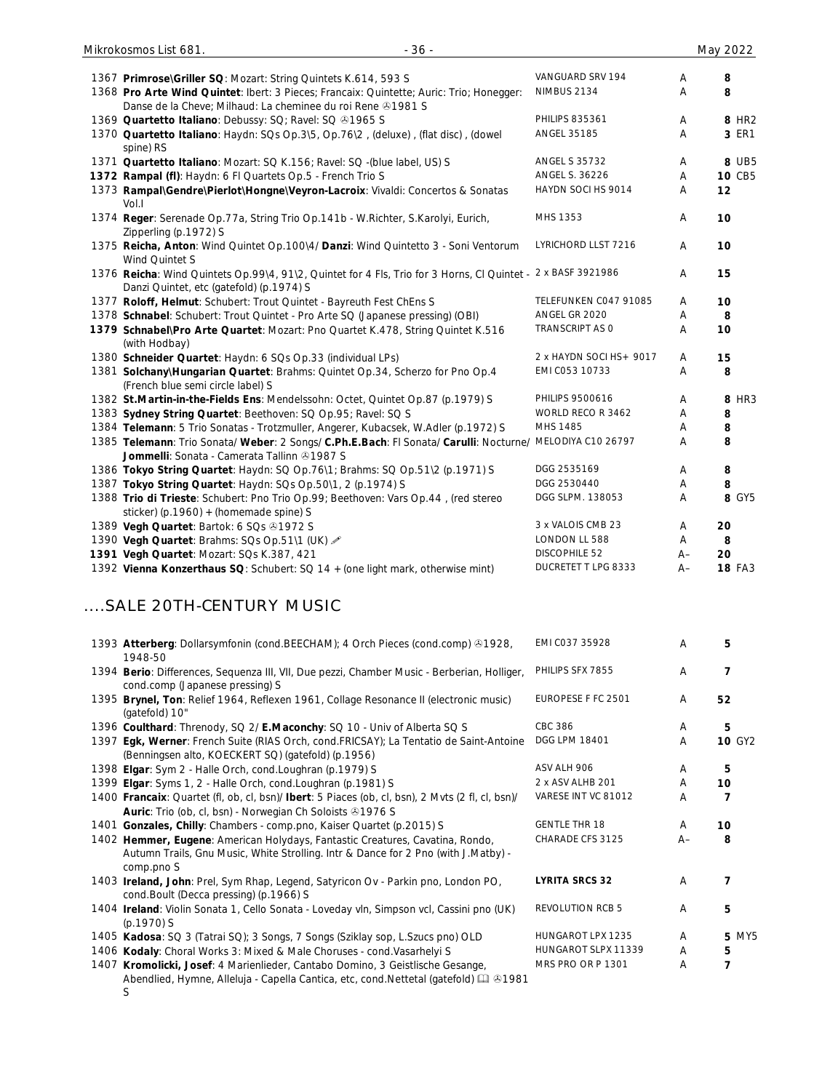| 1367 Primrose\Griller SQ: Mozart: String Quintets K.614, 593 S                                                                                                      | VANGUARD SRV 194        | Α    | 8                 |
|---------------------------------------------------------------------------------------------------------------------------------------------------------------------|-------------------------|------|-------------------|
| 1368 Pro Arte Wind Quintet: Ibert: 3 Pieces; Francaix: Quintette; Auric: Trio; Honegger:<br>Danse de la Cheve; Milhaud: La cheminee du roi Rene @1981 S             | NIMBUS 2134             | Α    | 8                 |
| 1369 Quartetto Italiano: Debussy: SQ; Ravel: SQ &1965 S                                                                                                             | <b>PHILIPS 835361</b>   | Α    | 8 HR <sub>2</sub> |
| 1370 Quartetto Italiano: Haydn: SQs Op.3\5, Op.76\2, (deluxe), (flat disc), (dowel<br>spine) RS                                                                     | ANGEL 35185             | Α    | 3 ER1             |
| 1371 Quartetto Italiano: Mozart: SQ K.156; Ravel: SQ -(blue label, US) S                                                                                            | <b>ANGEL S 35732</b>    | Α    | 8 UB5             |
| 1372 Rampal (fl): Haydn: 6 FI Quartets Op.5 - French Trio S                                                                                                         | ANGEL S. 36226          | Α    | 10 CB5            |
| 1373 Rampal\Gendre\Pierlot\Hongne\Veyron-Lacroix: Vivaldi: Concertos & Sonatas<br>Vol.I                                                                             | HAYDN SOCI HS 9014      | A    | 12                |
| 1374 Reger: Serenade Op.77a, String Trio Op.141b - W.Richter, S.Karolyi, Eurich,<br>Zipperling (p.1972) S                                                           | MHS 1353                | Α    | 10                |
| 1375 Reicha, Anton: Wind Quintet Op.100\4/ Danzi: Wind Quintetto 3 - Soni Ventorum<br>Wind Quintet S                                                                | LYRICHORD LLST 7216     | A    | 10                |
| 1376 Reicha: Wind Quintets Op.99\4, 91\2, Quintet for 4 Fls, Trio for 3 Horns, Cl Quintet - 2 x BASF 3921986<br>Danzi Quintet, etc (gatefold) (p.1974) S            |                         | A    | 15                |
| 1377 Roloff, Helmut: Schubert: Trout Quintet - Bayreuth Fest ChEns S                                                                                                | TELEFUNKEN CO47 91085   | A    | 10                |
| 1378 Schnabel: Schubert: Trout Quintet - Pro Arte SQ (Japanese pressing) (OBI)                                                                                      | ANGEL GR 2020           | Α    | 8                 |
| 1379 Schnabel\Pro Arte Quartet: Mozart: Pno Quartet K.478, String Quintet K.516<br>(with Hodbay)                                                                    | <b>TRANSCRIPT AS O</b>  | Α    | 10                |
| 1380 Schneider Quartet: Haydn: 6 SQs Op.33 (individual LPs)                                                                                                         | 2 x HAYDN SOCI HS+ 9017 | A    | 15                |
| 1381 Solchany\Hungarian Quartet: Brahms: Quintet Op.34, Scherzo for Pno Op.4<br>(French blue semi circle label) S                                                   | EMI C053 10733          | Α    | 8                 |
| 1382 St.Martin-in-the-Fields Ens: Mendelssohn: Octet, Quintet Op.87 (p.1979) S                                                                                      | PHILIPS 9500616         | Α    | 8 HR3             |
| 1383 Sydney String Quartet: Beethoven: SQ Op.95; Ravel: SQ S                                                                                                        | WORLD RECO R 3462       | Α    | 8                 |
| 1384 Telemann: 5 Trio Sonatas - Trotzmuller, Angerer, Kubacsek, W.Adler (p.1972) S                                                                                  | MHS 1485                | Α    | 8                 |
| 1385 Telemann: Trio Sonata/ Weber: 2 Songs/ C.Ph.E.Bach: Fl Sonata/ Carulli: Nocturne/ MELODIYA C10 26797<br>Jommelli: Sonata - Camerata Tallinn 21987 S            |                         | Α    | 8                 |
| 1386 Tokyo String Quartet: Haydn: SQ Op.76\1; Brahms: SQ Op.51\2 (p.1971) S                                                                                         | DGG 2535169             | Α    | 8                 |
| 1387 Tokyo String Quartet: Haydn: SQs Op.50\1, 2 (p.1974) S                                                                                                         | DGG 2530440             | Α    | 8                 |
| 1388 Trio di Trieste: Schubert: Pno Trio Op.99; Beethoven: Vars Op.44, (red stereo<br>sticker) (p.1960) + (homemade spine) S                                        | DGG SLPM. 138053        | Α    | 8 GY5             |
| 1389 Vegh Quartet: Bartok: 6 SQs +1972 S                                                                                                                            | 3 x VALOIS CMB 23       | Α    | 20                |
| 1390 Vegh Quartet: Brahms: SQs Op.51\1 (UK) 2                                                                                                                       | LONDON LL 588           | Α    | 8                 |
| 1391 Vegh Quartet: Mozart: SQs K.387, 421                                                                                                                           | DISCOPHILE 52           | $A-$ | 20                |
| 1392 Vienna Konzerthaus SQ: Schubert: SQ 14 + (one light mark, otherwise mint)                                                                                      | DUCRETET T LPG 8333     | $A-$ | <b>18 FA3</b>     |
| SALE 20TH-CENTURY MUSIC.                                                                                                                                            |                         |      |                   |
| 1393 Atterberg: Dollarsymfonin (cond.BEECHAM); 4 Orch Pieces (cond.comp) $@1928$ ,<br>1948-50                                                                       | EMI C037 35928          | A    | 5                 |
| 1394 Berio: Differences, Sequenza III, VII, Due pezzi, Chamber Music - Berberian, Holliger,<br>cond.comp (Japanese pressing) S                                      | PHILIPS SFX 7855        | Α    | $\overline{7}$    |
| 1395 Brynel, Ton: Relief 1964, Reflexen 1961, Collage Resonance II (electronic music)<br>(gatefold) 10"                                                             | EUROPESE F FC 2501      | Α    | 52                |
| 1396 Coulthard: Threnody, SQ 2/ E.Maconchy: SQ 10 - Univ of Alberta SQ S                                                                                            | <b>CBC 386</b>          | Α    | 5                 |
| 1397 Egk, Werner: French Suite (RIAS Orch, cond.FRICSAY); La Tentatio de Saint-Antoine<br>(Benningsen alto, KOECKERT SQ) (gatefold) (p.1956)                        | DGG LPM 18401           | Α    | <b>10 GY2</b>     |
| 1398 Elgar: Sym 2 - Halle Orch, cond.Loughran (p.1979) S                                                                                                            | ASV ALH 906             | Α    | 5                 |
| 1399 Elgar: Syms 1, 2 - Halle Orch, cond.Loughran (p.1981) S                                                                                                        | 2 x ASV ALHB 201        | Α    | 10                |
| 1400 Francaix: Quartet (fl, ob, cl, bsn)/ Ibert: 5 Piaces (ob, cl, bsn), 2 Mvts (2 fl, cl, bsn)/<br>Auric: Trio (ob, cl, bsn) - Norwegian Ch Soloists 31976 S       | VARESE INT VC 81012     | Α    | $\overline{7}$    |
| 1401 Gonzales, Chilly: Chambers - comp.pno, Kaiser Quartet (p.2015) S                                                                                               | <b>GENTLE THR 18</b>    | Α    | 10                |
| 1402 Hemmer, Eugene: American Holydays, Fantastic Creatures, Cavatina, Rondo,<br>Autumn Trails, Gnu Music, White Strolling. Intr & Dance for 2 Pno (with J.Matby) - | CHARADE CFS 3125        | $A-$ | 8                 |
| comp.pno S<br>1403 Ireland, John: Prel, Sym Rhap, Legend, Satyricon Ov - Parkin pno, London PO,<br>cond.Boult (Decca pressing) (p.1966) S                           | <b>LYRITA SRCS 32</b>   | Α    | 7                 |
| 1404 Ireland: Violin Sonata 1, Cello Sonata - Loveday vln, Simpson vcl, Cassini pno (UK)<br>(p.1970) S                                                              | <b>REVOLUTION RCB 5</b> | Α    | 5                 |
| 1405 Kadosa: SQ 3 (Tatrai SQ); 3 Songs, 7 Songs (Sziklay sop, L.Szucs pno) OLD                                                                                      | HUNGAROT LPX 1235       | Α    | <b>5 MY5</b>      |
| 1406 Kodaly: Choral Works 3: Mixed & Male Choruses - cond. Vasarhelyi S                                                                                             | HUNGAROT SLPX 11339     | A    | 5                 |
| 1407 Kromolicki, Josef: 4 Marienlieder, Cantabo Domino, 3 Geistlische Gesange,                                                                                      | MRS PRO OR P 1301       | Α    | $\overline{7}$    |

Abendlied, Hymne, Alleluja - Capella Cantica, etc, cond.Nettetal (gatefold) 1981 S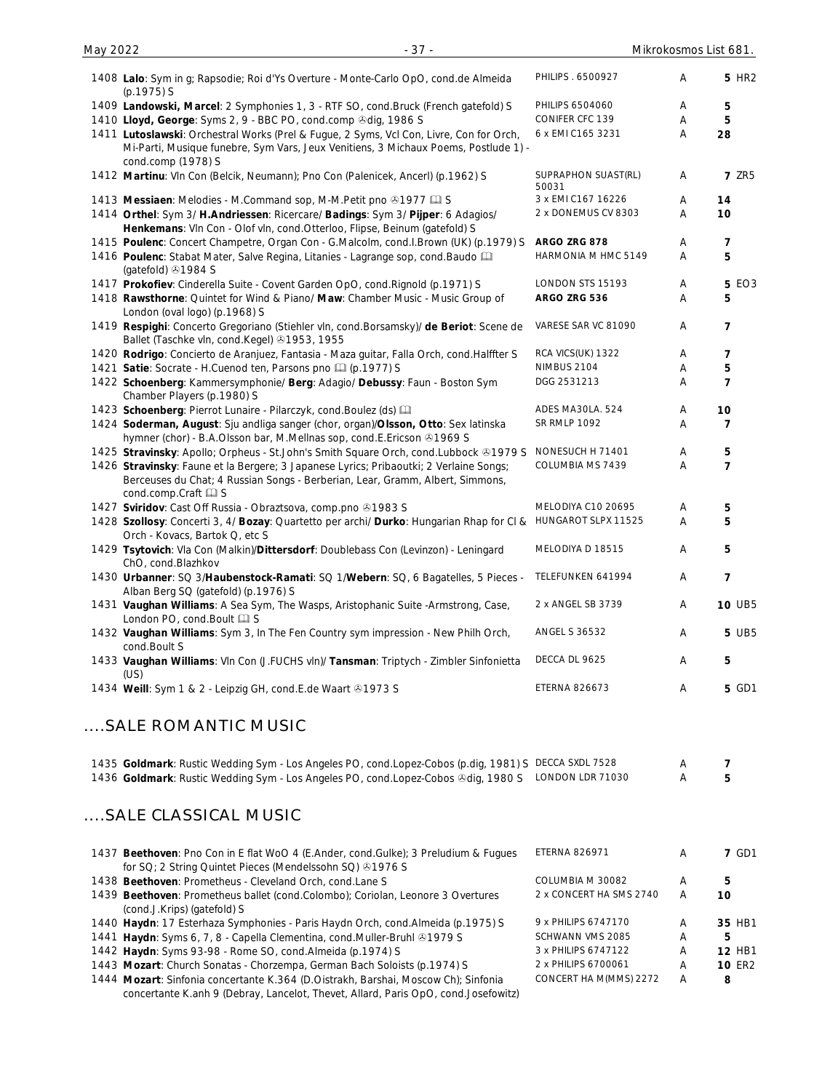| 1408 Lalo: Sym in g; Rapsodie; Roi d'Ys Overture - Monte-Carlo OpO, cond.de Almeida<br>(p.1975) S                                                                                                    | PHILIPS . 6500927                  | Α      | <b>5 HR2</b>   |
|------------------------------------------------------------------------------------------------------------------------------------------------------------------------------------------------------|------------------------------------|--------|----------------|
| 1409 Landowski, Marcel: 2 Symphonies 1, 3 - RTF SO, cond. Bruck (French gatefold) S                                                                                                                  | PHILIPS 6504060<br>CONIFER CFC 139 | Α      | 5              |
| 1410 Lloyd, George: Syms 2, 9 - BBC PO, cond.comp @dig, 1986 S                                                                                                                                       | 6 x EMI C165 3231                  | A<br>Α | 5<br>28        |
| 1411 Lutoslawski: Orchestral Works (Prel & Fugue, 2 Syms, Vcl Con, Livre, Con for Orch,<br>Mi-Parti, Musique funebre, Sym Vars, Jeux Venitiens, 3 Michaux Poems, Postlude 1) -<br>cond.comp (1978) S |                                    |        |                |
| 1412 Martinu: VIn Con (Belcik, Neumann); Pno Con (Palenicek, Ancerl) (p.1962) S                                                                                                                      | SUPRAPHON SUAST(RL)<br>50031       | Α      | <b>7 ZR5</b>   |
| 1413 Messiaen: Melodies - M.Command sop, M-M.Petit pno 01977 La S                                                                                                                                    | 3 x EMI C167 16226                 | A      | 14             |
| 1414 Orthel: Sym 3/ H.Andriessen: Ricercare/ Badings: Sym 3/ Pijper: 6 Adagios/<br>Henkemans: VIn Con - Olof vIn, cond.Otterloo, Flipse, Beinum (gatefold) S                                         | 2 x DONEMUS CV 8303                | Α      | 10             |
| 1415 Poulenc: Concert Champetre, Organ Con - G.Malcolm, cond.I.Brown (UK) (p.1979) S                                                                                                                 | ARGO ZRG 878                       | A      | 7              |
| 1416 Poulenc: Stabat Mater, Salve Regina, Litanies - Lagrange sop, cond. Baudo<br>(gatefold) 31984 S                                                                                                 | HARMONIA M HMC 5149                | Α      | 5              |
| 1417 Prokofiev: Cinderella Suite - Covent Garden OpO, cond. Rignold (p.1971) S                                                                                                                       | LONDON STS 15193                   | A      | <b>5 EO3</b>   |
| 1418 Rawsthorne: Quintet for Wind & Piano/ Maw: Chamber Music - Music Group of<br>London (oval logo) (p.1968) S                                                                                      | ARGO ZRG 536                       | A      | 5              |
| 1419 Respighi: Concerto Gregoriano (Stiehler vln, cond.Borsamsky)/ de Beriot: Scene de<br>Ballet (Taschke vln, cond.Kegel) 31953, 1955                                                               | VARESE SAR VC 81090                | Α      | 7              |
| 1420 Rodrigo: Concierto de Aranjuez, Fantasia - Maza guitar, Falla Orch, cond. Halffter S                                                                                                            | RCA VICS(UK) 1322                  | A      | 7              |
| 1421 Satie: Socrate - H.Cuenod ten, Parsons pno [1] (p.1977) S                                                                                                                                       | <b>NIMBUS 2104</b>                 | Α      | 5              |
| 1422 Schoenberg: Kammersymphonie/ Berg: Adagio/ Debussy: Faun - Boston Sym<br>Chamber Players (p.1980) S                                                                                             | DGG 2531213                        | Α      | $\overline{7}$ |
| 1423 Schoenberg: Pierrot Lunaire - Pilarczyk, cond. Boulez (ds) [11]                                                                                                                                 | ADES MA30LA. 524                   | Α      | 10             |
| 1424 Soderman, August: Sju andliga sanger (chor, organ)/Olsson, Otto: Sex latinska<br>hymner (chor) - B.A.Olsson bar, M.Mellnas sop, cond.E.Ericson @1969 S                                          | <b>SR RMLP 1092</b>                | Α      | 7              |
| 1425 Stravinsky: Apollo; Orpheus - St.John's Smith Square Orch, cond.Lubbock & 1979 S                                                                                                                | NONESUCH H 71401                   | A      | 5              |
| 1426 Stravinsky: Faune et la Bergere; 3 Japanese Lyrics; Pribaoutki; 2 Verlaine Songs;<br>Berceuses du Chat; 4 Russian Songs - Berberian, Lear, Gramm, Albert, Simmons,<br>cond.comp.Craft La S      | COLUMBIA MS 7439                   | Α      | 7              |
| 1427 Sviridov: Cast Off Russia - Obraztsova, comp.pno 21983 S                                                                                                                                        | MELODIYA C10 20695                 | A      | 5              |
| 1428 Szollosy: Concerti 3, 4/ Bozay: Quartetto per archi/ Durko: Hungarian Rhap for Cl &<br>Orch - Kovacs, Bartok Q, etc S                                                                           | HUNGAROT SLPX 11525                | A      | 5              |
| 1429 Tsytovich: Vla Con (Malkin)/Dittersdorf: Doublebass Con (Levinzon) - Leningard<br>ChO, cond.Blazhkov                                                                                            | MELODIYA D 18515                   | Α      | 5              |
| 1430 Urbanner: SQ 3/Haubenstock-Ramati: SQ 1/Webern: SQ, 6 Bagatelles, 5 Pieces - TELEFUNKEN 641994<br>Alban Berg SQ (gatefold) (p.1976) S                                                           |                                    | Α      | $\overline{7}$ |
| 1431 Vaughan Williams: A Sea Sym, The Wasps, Aristophanic Suite -Armstrong, Case,<br>London PO, cond. Boult La S                                                                                     | 2 x ANGEL SB 3739                  | Α      | <b>10 UB5</b>  |
| 1432 Vaughan Williams: Sym 3, In The Fen Country sym impression - New Philh Orch,<br>cond.Boult S                                                                                                    | ANGEL S 36532                      | Α      | <b>5 UB5</b>   |
| 1433 Vaughan Williams: Vln Con (J.FUCHS vln)/ Tansman: Triptych - Zimbler Sinfonietta<br>(US)                                                                                                        | DECCA DL 9625                      | A      | 5              |
| 1434 Weill: Sym 1 & 2 - Leipzig GH, cond.E.de Waart @1973 S                                                                                                                                          | ETERNA 826673                      | Α      | 5 GD1          |
| SALE ROMANTIC MUSIC                                                                                                                                                                                  |                                    |        |                |
| 1435 Goldmark: Rustic Wedding Sym - Los Angeles PO, cond.Lopez-Cobos (p.dig, 1981) S DECCA SXDL 7528                                                                                                 |                                    | A      | 7              |
| 1436 Goldmark: Rustic Wedding Sym - Los Angeles PO, cond.Lopez-Cobos &dig, 1980 S LONDON LDR 71030                                                                                                   |                                    | Α      | 5              |
| SALE CLASSICAL MUSIC                                                                                                                                                                                 |                                    |        |                |
| 1437 Beethoven: Pno Con in E flat WoO 4 (E.Ander, cond.Gulke); 3 Preludium & Fugues<br>for SQ; 2 String Quintet Pieces (Mendelssohn SQ) 31976 S                                                      | <b>ETERNA 826971</b>               | Α      | <b>7 GD1</b>   |
| 1438 Beethoven: Prometheus - Cleveland Orch, cond.Lane S                                                                                                                                             | COLUMBIA M 30082                   | Α      | 5              |
| 1439 Beethoven: Prometheus ballet (cond.Colombo); Coriolan, Leonore 3 Overtures<br>(cond.J.Krips) (gatefold) S                                                                                       | 2 x CONCERT HA SMS 2740            | Α      | 10             |
| 1440 Haydn: 17 Esterhaza Symphonies - Paris Haydn Orch, cond.Almeida (p.1975) S                                                                                                                      | 9 x PHILIPS 6747170                | A      | 35 HB1         |

CONCERT HA M(MMS) 2272 A **8**

May 2022 - 37 - Mikrokosmos List 681.

- 1441 **Haydn**: Syms 6, 7, 8 Capella Clementina, cond.Muller-Bruhl ®1979 S<br>1442 **Haydn**: Syms 93-98 Rome SO, cond.Almeida (p.1974) S 3x PHILIPS 6747122 A **12 HB1**
- 1442 **Haydn**: Syms 93-98 Rome SO, cond.Almeida (p.1974) S<br>1443 Mozart: Church Sonatas Chorzempa, German Bach Soloists (p.1974) S <sup>2</sup> x PHILIPS 6700061 A **10** ER2 1443 **Mozart**: Church Sonatas - Chorzempa, German Bach Soloists (p.1974) S <sup>2 x PHILIPS 6700061 A <br>1444 **Mozart**: Sinfonia concertante K.364 (D.Oistrakh, Barshai, Moscow Ch): Sinfonia CONCERT HA M(MMS) 2272 A</sup>

1444 **Mozart**: Sinfonia concertante K.364 (D.Oistrakh, Barshai, Moscow Ch); Sinfonia concertante K.anh 9 (Debray, Lancelot, Thevet, Allard, Paris OpO, cond.Josefowitz)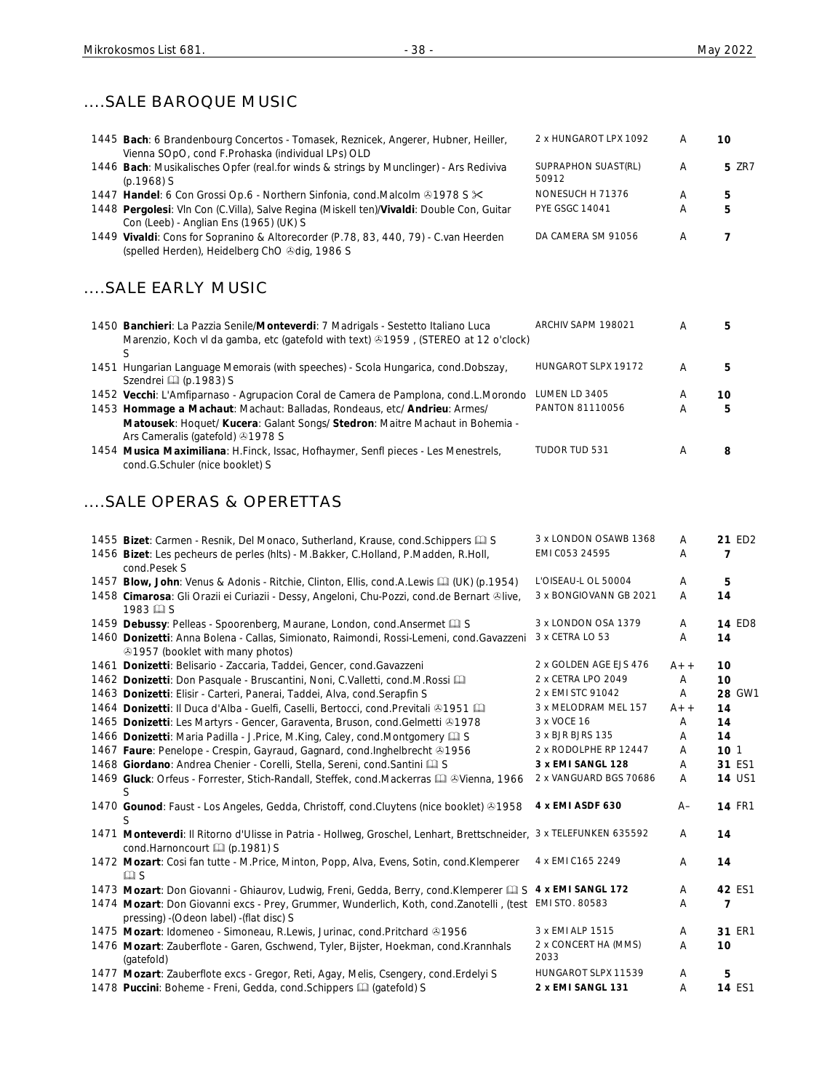### ....SALE BAROQUE MUSIC

| 1445 Bach: 6 Brandenbourg Concertos - Tomasek, Reznicek, Angerer, Hubner, Heiller,<br>Vienna SOpO, cond F.Prohaska (individual LPs) OLD                                                       | 2 x HUNGAROT LPX 1092        | Α     | 10            |
|-----------------------------------------------------------------------------------------------------------------------------------------------------------------------------------------------|------------------------------|-------|---------------|
| 1446 Bach: Musikalisches Opfer (real.for winds & strings by Munclinger) - Ars Rediviva<br>$(p.1968)$ S                                                                                        | SUPRAPHON SUAST(RL)<br>50912 | Α     | <b>5 ZR7</b>  |
| 1447 Handel: 6 Con Grossi Op.6 - Northern Sinfonia, cond. Malcolm 31978 S $\times$                                                                                                            | NONESUCH H 71376             | Α     | 5             |
| 1448 Pergolesi: Vln Con (C.Villa), Salve Regina (Miskell ten)/Vivaldi: Double Con, Guitar<br>Con (Leeb) - Anglian Ens (1965) (UK) S                                                           | <b>PYE GSGC 14041</b>        | A     | 5             |
| 1449 Vivaldi: Cons for Sopranino & Altorecorder (P.78, 83, 440, 79) - C.van Heerden<br>(spelled Herden), Heidelberg ChO & dig, 1986 S                                                         | DA CAMERA SM 91056           | Α     | 7             |
| SALE EARLY MUSIC                                                                                                                                                                              |                              |       |               |
| 1450 Banchieri: La Pazzia Senile/Monteverdi: 7 Madrigals - Sestetto Italiano Luca<br>Marenzio, Koch vl da gamba, etc (gatefold with text) 31959, (STEREO at 12 o'clock)<br>S                  | ARCHIV SAPM 198021           | A     | 5             |
| 1451 Hungarian Language Memorais (with speeches) - Scola Hungarica, cond.Dobszay,<br>Szendrei [1] (p.1983) S                                                                                  | HUNGAROT SLPX 19172          | A     | 5             |
| 1452 Vecchi: L'Amfiparnaso - Agrupacion Coral de Camera de Pamplona, cond.L.Morondo                                                                                                           | LUMEN LD 3405                | Α     | 10            |
| 1453 Hommage a Machaut: Machaut: Balladas, Rondeaus, etc/ Andrieu: Armes/<br>Matousek: Hoquet/ Kucera: Galant Songs/ Stedron: Maitre Machaut in Bohemia -<br>Ars Cameralis (gatefold) 31978 S | PANTON 81110056              | Α     | 5             |
| 1454 Musica Maximiliana: H.Finck, Issac, Hofhaymer, Senfl pieces - Les Menestrels,<br>cond.G.Schuler (nice booklet) S                                                                         | TUDOR TUD 531                | Α     | 8             |
| SALE OPERAS & OPERETTAS                                                                                                                                                                       |                              |       |               |
| 1455 Bizet: Carmen - Resnik, Del Monaco, Sutherland, Krause, cond. Schippers Q S                                                                                                              | 3 x LONDON OSAWB 1368        | Α     | 21 ED2        |
| 1456 Bizet: Les pecheurs de perles (hlts) - M.Bakker, C.Holland, P.Madden, R.Holl,<br>cond.Pesek S                                                                                            | EMI C053 24595               | Α     | 7             |
| 1457 Blow, John: Venus & Adonis - Ritchie, Clinton, Ellis, cond.A.Lewis [1] (UK) (p.1954)                                                                                                     | L'OISEAU-L OL 50004          | Α     | 5             |
| 1458 Cimarosa: Gli Orazii ei Curiazii - Dessy, Angeloni, Chu-Pozzi, cond.de Bernart ®live,<br>1983 H S                                                                                        | 3 x BONGIOVANN GB 2021       | A     | 14            |
| 1459 Debussy: Pelleas - Spoorenberg, Maurane, London, cond. Ansermet Ca S                                                                                                                     | 3 x LONDON OSA 1379          | Α     | <b>14 ED8</b> |
| 1460 Donizetti: Anna Bolena - Callas, Simionato, Raimondi, Rossi-Lemeni, cond. Gavazzeni<br><b>31957</b> (booklet with many photos)                                                           | 3 x CETRA LO 53              | Α     | 14            |
| 1461 Donizetti: Belisario - Zaccaria, Taddei, Gencer, cond. Gavazzeni                                                                                                                         | 2 x GOLDEN AGE EJS 476       | $A++$ | 10            |
| 1462 Donizetti: Don Pasquale - Bruscantini, Noni, C.Valletti, cond.M.Rossi                                                                                                                    | 2 x CETRA LPO 2049           | Α     | 10            |
| 1463 Donizetti: Elisir - Carteri, Panerai, Taddei, Alva, cond. Serapfin S                                                                                                                     | 2 x EMI STC 91042            | A     | 28 GW1        |
| 1464 Donizetti: Il Duca d'Alba - Guelfi, Caselli, Bertocci, cond. Previtali & 1951                                                                                                            | 3 x MELODRAM MEL 157         | $A++$ | 14            |
| 1465 Donizetti: Les Martyrs - Gencer, Garaventa, Bruson, cond. Gelmetti @1978                                                                                                                 | 3 x VOCE 16                  | Α     | 14            |
| 1466 Donizetti: Maria Padilla - J.Price, M.King, Caley, cond.Montgomery Q S                                                                                                                   | 3 x BJR BJRS 135             | A     | 14            |
|                                                                                                                                                                                               | <b>BOBOLDUE BB 40445</b>     |       |               |

- 1467 **Faure**: Penelope Crespin, Gayraud, Gagnard, cond.Inghelbrecht 31956 2 x RODOLPHE RP 12447 A 10 1
- 1468 **Giordano**: Andrea Chenier Corelli, Stella, Sereni, cond.Santini **Q S** 3 x EMI SANGL 128 A 31 ES1
- 1469 Gluck: Orfeus Forrester, Stich-Randall, Steffek, cond.Mackerras **QD &Vienna, 1966** 2 x VANGUARD BGS 70686 A 14 US1 S 1470 **Gounod**: Faust - Los Angeles, Gedda, Christoff, cond.Cluytens (nice booklet) 31958 **4x EMI ASDF 630** A– **14** FR1 S 1471 **Monteverdi**: Il Ritorno d'Ulisse in Patria - Hollweg, Groschel, Lenhart, Brettschneider, 3 x TELEFUNKEN 635592 A **14**
- cond.Harnoncourt **Q** (p.1981) S 1472 **Mozart**: Cosi fan tutte - M.Price, Minton, Popp, Alva, Evens, Sotin, cond.Klemperer  $\square$  S 4 x EMI C165 2249 A **14** 1473 Mozart: Don Giovanni - Ghiaurov, Ludwig, Freni, Gedda, Berry, cond.Klemperer **Q S 4 x EMI SANGL 172** A 42 ES1 1474 **Mozart**: Don Giovanni excs - Prey, Grummer, Wunderlich, Koth, cond.Zanotelli , (test EMI STO. 80583 A **7** pressing) -(Odeon label) -(flat disc) S 1475 Mozart: Idomeneo - Simoneau, R.Lewis, Jurinac, cond.Pritchard 31956 3 x EMI ALP 1515 A 31 ER1 2 x CONCERT HA (MMS) A **10**

2033

- 1476 **Mozart**: Zauberflote Garen, Gschwend, Tyler, Bijster, Hoekman, cond.Krannhals (gatefold)
- 1477 Mozart: Zauberflote excs Gregor, Reti, Agay, Melis, Csengery, cond.Erdelyi S HUNGAROT SLPX 11539 A 5 1478 Puccini: Boheme - Freni, Gedda, cond.Schippers (1) (gatefold) S **2 x EMI SANGL 131** A 14 ES1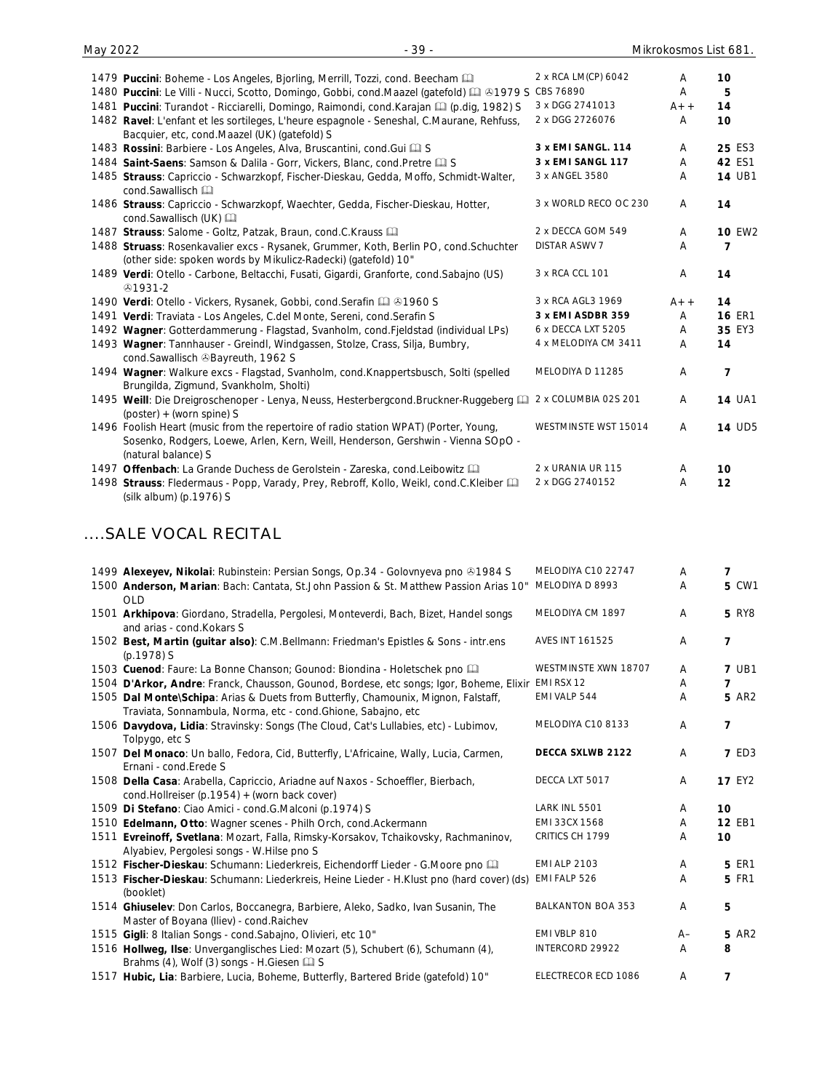| 1479 Puccini: Boheme - Los Angeles, Bjorling, Merrill, Tozzi, cond. Beecham [11]                                                                                                                | 2 x RCA LM(CP) 6042   | A     | 10             |
|-------------------------------------------------------------------------------------------------------------------------------------------------------------------------------------------------|-----------------------|-------|----------------|
| 1480 Puccini: Le Villi - Nucci, Scotto, Domingo, Gobbi, cond.Maazel (gatefold) [ 31979 S CBS 76890                                                                                              |                       | A     | 5              |
| 1481 Puccini: Turandot - Ricciarelli, Domingo, Raimondi, cond. Karajan [1] (p.dig, 1982) S                                                                                                      | 3 x DGG 2741013       | $A++$ | 14             |
| 1482 Ravel: L'enfant et les sortileges, L'heure espagnole - Seneshal, C.Maurane, Rehfuss,<br>Bacquier, etc, cond.Maazel (UK) (gatefold) S                                                       | 2 x DGG 2726076       | Α     | 10             |
| 1483 Rossini: Barbiere - Los Angeles, Alva, Bruscantini, cond. Gui [12] S                                                                                                                       | 3 x EMI SANGL. 114    | Α     | 25 ES3         |
| 1484 Saint-Saens: Samson & Dalila - Gorr, Vickers, Blanc, cond. Pretre La S                                                                                                                     | 3 x EMI SANGL 117     | Α     | 42 ES1         |
| 1485 Strauss: Capriccio - Schwarzkopf, Fischer-Dieskau, Gedda, Moffo, Schmidt-Walter,<br>cond.Sawallisch                                                                                        | 3 x ANGEL 3580        | A     | <b>14 UB1</b>  |
| 1486 Strauss: Capriccio - Schwarzkopf, Waechter, Gedda, Fischer-Dieskau, Hotter,<br>cond.Sawallisch (UK)                                                                                        | 3 x WORLD RECO OC 230 | A     | 14             |
| 1487 Strauss: Salome - Goltz, Patzak, Braun, cond.C.Krauss                                                                                                                                      | 2 x DECCA GOM 549     | A     | <b>10 EW2</b>  |
| 1488 Struass: Rosenkavalier excs - Rysanek, Grummer, Koth, Berlin PO, cond.Schuchter<br>(other side: spoken words by Mikulicz-Radecki) (gatefold) 10"                                           | <b>DISTAR ASWV 7</b>  | A     | 7              |
| 1489 Verdi: Otello - Carbone, Beltacchi, Fusati, Gigardi, Granforte, cond.Sabajno (US)<br>⊕1931-2                                                                                               | 3 x RCA CCL 101       | A     | 14             |
| 1490 Verdi: Otello - Vickers, Rysanek, Gobbi, cond. Serafin [1] 31960 S                                                                                                                         | 3 x RCA AGL3 1969     | $A++$ | 14             |
| 1491 Verdi: Traviata - Los Angeles, C.del Monte, Sereni, cond. Serafin S                                                                                                                        | 3 x EMI ASDBR 359     | A     | <b>16 ER1</b>  |
| 1492 Wagner: Gotterdammerung - Flagstad, Svanholm, cond.Fjeldstad (individual LPs)                                                                                                              | 6 x DECCA LXT 5205    | A     | 35 EY3         |
| 1493 Wagner: Tannhauser - Greindl, Windgassen, Stolze, Crass, Silja, Bumbry,<br>cond.Sawallisch &Bayreuth, 1962 S                                                                               | 4 x MELODIYA CM 3411  | A     | 14             |
| 1494 Wagner: Walkure excs - Flagstad, Svanholm, cond.Knappertsbusch, Solti (spelled<br>Brungilda, Zigmund, Svankholm, Sholti)                                                                   | MELODIYA D 11285      | A     | $\overline{7}$ |
| 1495 Weill: Die Dreigroschenoper - Lenya, Neuss, Hesterbergcond.Bruckner-Ruggeberg<br>$(poster) + (worm spine)$ S                                                                               | 2 x COLUMBIA 02S 201  | A     | <b>14 UA1</b>  |
| 1496 Foolish Heart (music from the repertoire of radio station WPAT) (Porter, Young,<br>Sosenko, Rodgers, Loewe, Arlen, Kern, Weill, Henderson, Gershwin - Vienna SOpO -<br>(natural balance) S | WESTMINSTE WST 15014  | A     | <b>14 UD5</b>  |
| 1497 Offenbach: La Grande Duchess de Gerolstein - Zareska, cond. Leibowitz [121]                                                                                                                | 2 x URANIA UR 115     | A     | 10             |
| 1498 Strauss: Fledermaus - Popp, Varady, Prey, Rebroff, Kollo, Weikl, cond.C.Kleiber<br>(silk album) (p.1976) S                                                                                 | 2 x DGG 2740152       | Α     | 12             |

### ....SALE VOCAL RECITAL

| 1499 Alexeyev, Nikolai: Rubinstein: Persian Songs, Op.34 - Golovnyeva pno ®1984 S<br>1500 Anderson, Marian: Bach: Cantata, St.John Passion & St. Matthew Passion Arias 10" | MELODIYA C10 22747<br>MELODIYA D 8993 | A<br>A         | 7<br><b>5 CW1</b> |
|----------------------------------------------------------------------------------------------------------------------------------------------------------------------------|---------------------------------------|----------------|-------------------|
| <b>OLD</b>                                                                                                                                                                 |                                       |                |                   |
| 1501 Arkhipova: Giordano, Stradella, Pergolesi, Monteverdi, Bach, Bizet, Handel songs<br>and arias - cond. Kokars S                                                        | MELODIYA CM 1897                      | $\overline{A}$ | <b>5 RY8</b>      |
| 1502 Best, Martin (guitar also): C.M.Bellmann: Friedman's Epistles & Sons - intr.ens<br>(p.1978) S                                                                         | <b>AVES INT 161525</b>                | A              | $\overline{7}$    |
| 1503 Cuenod: Faure: La Bonne Chanson; Gounod: Biondina - Holetschek pno                                                                                                    | WESTMINSTE XWN 18707                  | $\overline{A}$ | <b>7 UB1</b>      |
| 1504 D'Arkor, Andre: Franck, Chausson, Gounod, Bordese, etc songs; Igor, Boheme, Elixir                                                                                    | EMI RSX 12                            | A              | 7                 |
| 1505 Dal Monte\Schipa: Arias & Duets from Butterfly, Chamounix, Mignon, Falstaff,<br>Traviata, Sonnambula, Norma, etc - cond.Ghione, Sabajno, etc                          | EMI VALP 544                          | Α              | <b>5 AR2</b>      |
| 1506 Davydova, Lidia: Stravinsky: Songs (The Cloud, Cat's Lullabies, etc) - Lubimov,<br>Tolpygo, etc S                                                                     | MELODIYA C10 8133                     | Α              | $\overline{7}$    |
| 1507 Del Monaco: Un ballo, Fedora, Cid, Butterfly, L'Africaine, Wally, Lucia, Carmen,<br>Ernani - cond. Erede S                                                            | <b>DECCA SXLWB 2122</b>               | A              | <b>7 ED3</b>      |
| 1508 Della Casa: Arabella, Capriccio, Ariadne auf Naxos - Schoeffler, Bierbach,<br>cond.Hollreiser (p.1954) + (worn back cover)                                            | DECCA LXT 5017                        | A              | <b>17 EY2</b>     |
| 1509 Di Stefano: Ciao Amici - cond.G.Malconi (p.1974) S                                                                                                                    | LARK INL 5501                         | A              | 10                |
| 1510 Edelmann, Otto: Wagner scenes - Philh Orch, cond.Ackermann                                                                                                            | EMI 33CX 1568                         | A              | 12 EB1            |
| 1511 Evreinoff, Svetlana: Mozart, Falla, Rimsky-Korsakov, Tchaikovsky, Rachmaninov,<br>Alyabiev, Pergolesi songs - W. Hilse pno S                                          | CRITICS CH 1799                       | A              | 10                |
| 1512 Fischer-Dieskau: Schumann: Liederkreis, Eichendorff Lieder - G.Moore pno                                                                                              | <b>EMI ALP 2103</b>                   | A              | <b>5 ER1</b>      |
| 1513 Fischer-Dieskau: Schumann: Liederkreis, Heine Lieder - H.Klust pno (hard cover) (ds)<br>(booklet)                                                                     | EMI FALP 526                          | Α              | <b>5 FR1</b>      |
| 1514 Ghiuselev: Don Carlos, Boccanegra, Barbiere, Aleko, Sadko, Ivan Susanin, The<br>Master of Boyana (Iliev) - cond.Raichev                                               | <b>BALKANTON BOA 353</b>              | $\overline{A}$ | 5                 |
| 1515 Gigli: 8 Italian Songs - cond. Sabajno, Olivieri, etc 10"                                                                                                             | EMI VBLP 810                          | $A-$           | <b>5 AR2</b>      |
| 1516 Hollweg, Ilse: Unverganglisches Lied: Mozart (5), Schubert (6), Schumann (4),<br>Brahms (4), Wolf (3) songs - H.Giesen La S                                           | INTERCORD 29922                       | A              | 8                 |
| 1517 Hubic, Lia: Barbiere, Lucia, Boheme, Butterfly, Bartered Bride (gatefold) 10"                                                                                         | ELECTRECOR ECD 1086                   | A              | 7                 |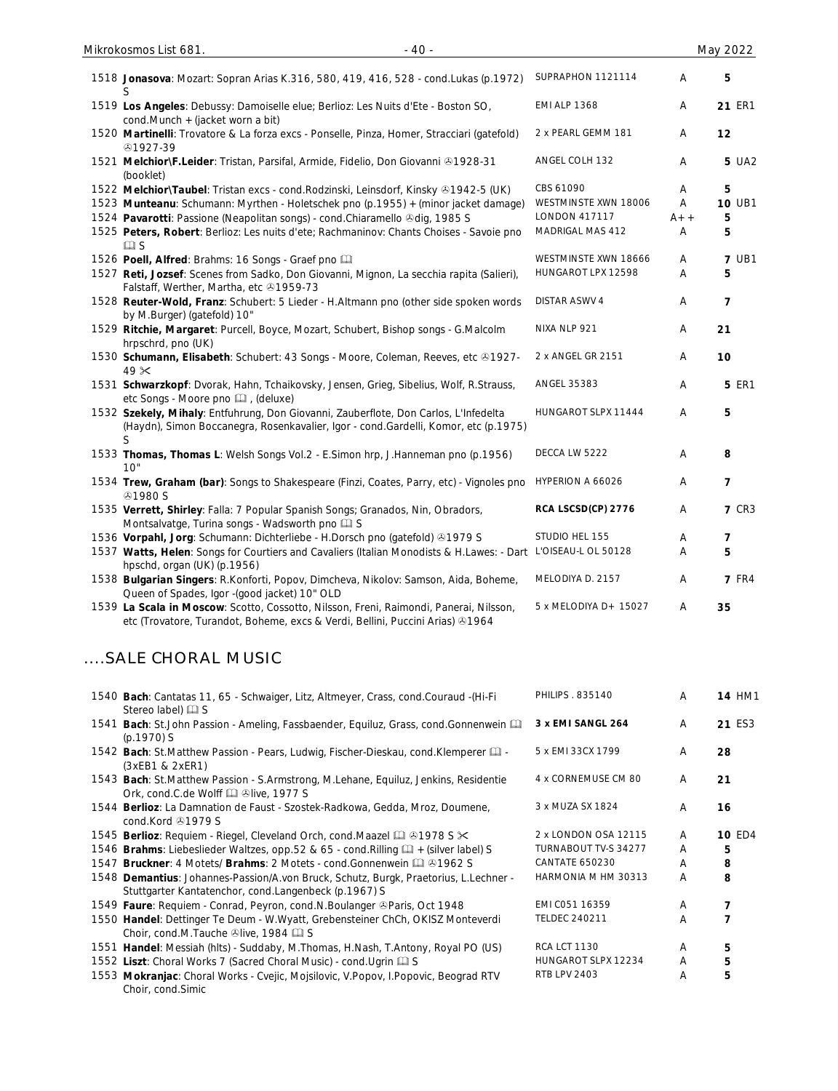| 1518 Jonasova: Mozart: Sopran Arias K.316, 580, 419, 416, 528 - cond. Lukas (p.1972)                                                                                        | SUPRAPHON 1121114     | A     | 5              |
|-----------------------------------------------------------------------------------------------------------------------------------------------------------------------------|-----------------------|-------|----------------|
| 1519 Los Angeles: Debussy: Damoiselle elue; Berlioz: Les Nuits d'Ete - Boston SO,<br>cond.Munch + (jacket worn a bit)                                                       | <b>EMI ALP 1368</b>   | A     | 21 ER1         |
| 1520 Martinelli: Trovatore & La forza excs - Ponselle, Pinza, Homer, Stracciari (gatefold)<br>⊕1927-39                                                                      | 2 x PEARL GEMM 181    | A     | 12             |
| 1521 Melchior\F.Leider: Tristan, Parsifal, Armide, Fidelio, Don Giovanni ®1928-31<br>(booklet)                                                                              | ANGEL COLH 132        | A     | 5 UA2          |
| 1522 Melchior\Taubel: Tristan excs - cond. Rodzinski, Leinsdorf, Kinsky & 1942-5 (UK)                                                                                       | CBS 61090             | A     | 5              |
| 1523 Munteanu: Schumann: Myrthen - Holetschek pno (p.1955) + (minor jacket damage)                                                                                          | WESTMINSTE XWN 18006  | A     | <b>10 UB1</b>  |
| 1524 Pavarotti: Passione (Neapolitan songs) - cond. Chiaramello @dig, 1985 S                                                                                                | <b>LONDON 417117</b>  | $A++$ | 5              |
| 1525 Peters, Robert: Berlioz: Les nuits d'ete; Rachmaninov: Chants Choises - Savoie pno<br>$\square$ S                                                                      | MADRIGAL MAS 412      | Α     | 5              |
| 1526 Poell, Alfred: Brahms: 16 Songs - Graef pno                                                                                                                            | WESTMINSTE XWN 18666  | Α     | <b>7 UB1</b>   |
| 1527 Reti, Jozsef: Scenes from Sadko, Don Giovanni, Mignon, La secchia rapita (Salieri),<br>Falstaff, Werther, Martha, etc 31959-73                                         | HUNGAROT LPX 12598    | Α     | 5              |
| 1528 Reuter-Wold, Franz: Schubert: 5 Lieder - H.Altmann pno (other side spoken words<br>by M.Burger) (gatefold) 10"                                                         | <b>DISTAR ASWV 4</b>  | Α     | $\overline{7}$ |
| 1529 Ritchie, Margaret: Purcell, Boyce, Mozart, Schubert, Bishop songs - G.Malcolm<br>hrpschrd, pno (UK)                                                                    | NIXA NLP 921          | Α     | 21             |
| 1530 Schumann, Elisabeth: Schubert: 43 Songs - Moore, Coleman, Reeves, etc & 1927-<br>49 <sup>3</sup>                                                                       | 2 x ANGEL GR 2151     | A     | 10             |
| 1531 Schwarzkopf: Dvorak, Hahn, Tchaikovsky, Jensen, Grieg, Sibelius, Wolf, R.Strauss,<br>etc Songs - Moore pno [12], (deluxe)                                              | ANGEL 35383           | A     | <b>5 ER1</b>   |
| 1532 Szekely, Mihaly: Entfuhrung, Don Giovanni, Zauberflote, Don Carlos, L'Infedelta<br>(Haydn), Simon Boccanegra, Rosenkavalier, Igor - cond.Gardelli, Komor, etc (p.1975) | HUNGAROT SLPX 11444   | Α     | 5              |
| 1533 Thomas, Thomas L: Welsh Songs Vol.2 - E.Simon hrp, J.Hanneman pno (p.1956)<br>10"                                                                                      | DECCA LW 5222         | A     | 8              |
| 1534 Trew, Graham (bar): Songs to Shakespeare (Finzi, Coates, Parry, etc) - Vignoles pno<br><b>⊕1980 S</b>                                                                  | HYPERION A 66026      | A     | $\overline{7}$ |
| 1535 Verrett, Shirley: Falla: 7 Popular Spanish Songs; Granados, Nin, Obradors,<br>Montsalvatge, Turina songs - Wadsworth pno La S                                          | RCA LSCSD(CP) 2776    | A     | <b>7 CR3</b>   |
| 1536 Vorpahl, Jorg: Schumann: Dichterliebe - H.Dorsch pno (gatefold) 31979 S                                                                                                | STUDIO HEL 155        | Α     | $\overline{7}$ |
| 1537 Watts, Helen: Songs for Courtiers and Cavaliers (Italian Monodists & H.Lawes: - Dart<br>hpschd, organ (UK) (p.1956)                                                    | L'OISEAU-L OL 50128   | A     | 5              |
| 1538 Bulgarian Singers: R.Konforti, Popov, Dimcheva, Nikolov: Samson, Aida, Boheme,<br>Queen of Spades, Igor -(good jacket) 10" OLD                                         | MELODIYA D. 2157      | A     | <b>7 FR4</b>   |
| 1539 La Scala in Moscow: Scotto, Cossotto, Nilsson, Freni, Raimondi, Panerai, Nilsson,                                                                                      | 5 x MELODIYA D+ 15027 | A     | 35             |

### ....SALE CHORAL MUSIC

etc (Trovatore, Turandot, Boheme, excs & Verdi, Bellini, Puccini Arias) 1964

| 1540 Bach: Cantatas 11, 65 - Schwaiger, Litz, Altmeyer, Crass, cond.Couraud -(Hi-Fi<br>Stereo label) 4 S                                       | <b>PHILIPS . 835140</b> | A | <b>14 HM1</b> |
|------------------------------------------------------------------------------------------------------------------------------------------------|-------------------------|---|---------------|
| 1541 Bach: St.John Passion - Ameling, Fassbaender, Equiluz, Grass, cond.Gonnenwein [14]<br>$(p.1970)$ S                                        | 3 x EMI SANGL 264       | A | 21 ES3        |
| 1542 Bach: St.Matthew Passion - Pears, Ludwig, Fischer-Dieskau, cond.Klemperer<br>(3xEB1 & 2xER1)                                              | 5 x EMI 33CX 1799       | A | 28            |
| 1543 Bach: St.Matthew Passion - S.Armstrong, M.Lehane, Equiluz, Jenkins, Residentie<br>Ork, cond.C.de Wolff [2] Olive, 1977 S                  | 4 x CORNEMUSE CM 80     | A | 21            |
| 1544 Berlioz: La Damnation de Faust - Szostek-Radkowa, Gedda, Mroz, Doumene,<br>cond. Kord $@1979S$                                            | 3 x MUZA SX 1824        | A | 16            |
| 1545 Berlioz: Requiem - Riegel, Cleveland Orch, cond. Maazel 4 31978 S $\times$                                                                | 2 x LONDON OSA 12115    | A | <b>10 ED4</b> |
| 1546 Brahms: Liebeslieder Waltzes, opp.52 & 65 - cond. Rilling $\Box$ + (silver label) S                                                       | TURNABOUT TV-S 34277    | A | 5             |
| 1547 <b>Bruckner:</b> 4 Motets/ <b>Brahms: 2 Motets - cond. Gonnenwein Q &amp; 1962 S</b>                                                      | <b>CANTATE 650230</b>   | A | 8             |
| 1548 Demantius: Johannes-Passion/A.von Bruck, Schutz, Burgk, Praetorius, L.Lechner -<br>Stuttgarter Kantatenchor, cond. Langenbeck (p. 1967) S | HARMONIA M HM 30313     | A | 8             |
| 1549 Faure: Requiem - Conrad, Peyron, cond.N. Boulanger & Paris, Oct 1948                                                                      | EMI CO51 16359          | A | 7             |
| 1550 Handel: Dettinger Te Deum - W.Wyatt, Grebensteiner ChCh, OKISZ Monteverdi<br>Choir, cond.M.Tauche $\odot$ live, 1984 $\Box$ S             | <b>TELDEC 240211</b>    | A |               |
| 1551 Handel: Messiah (hlts) - Suddaby, M. Thomas, H. Nash, T. Antony, Royal PO (US)                                                            | <b>RCA LCT 1130</b>     | A | 5             |
| 1552 Liszt: Choral Works 7 (Sacred Choral Music) - cond. Ugrin La S                                                                            | HUNGAROT SLPX 12234     | A | 5             |
| 1553 Mokranjac: Choral Works - Cvejic, Mojsilovic, V.Popov, I.Popovic, Beograd RTV<br>Choir, cond.Simic                                        | <b>RTB LPV 2403</b>     | A | 5             |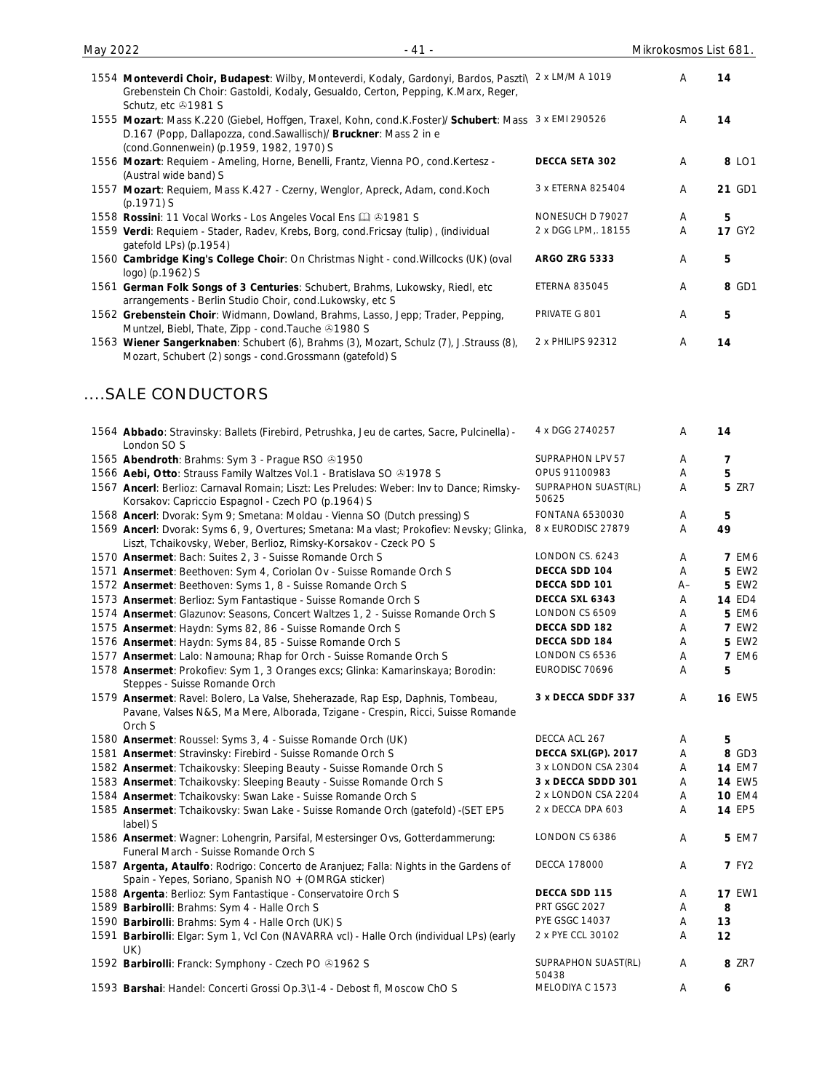| 1554 Monteverdi Choir, Budapest: Wilby, Monteverdi, Kodaly, Gardonyi, Bardos, Paszti\<br>Grebenstein Ch Choir: Gastoldi, Kodaly, Gesualdo, Certon, Pepping, K.Marx, Reger,<br>Schutz, etc 31981 S                      | 2 x LM/M A 1019      | A | 14            |
|------------------------------------------------------------------------------------------------------------------------------------------------------------------------------------------------------------------------|----------------------|---|---------------|
| 1555 Mozart: Mass K.220 (Giebel, Hoffgen, Traxel, Kohn, cond.K.Foster)/ Schubert: Mass 3 x EMI 290526<br>D.167 (Popp, Dallapozza, cond. Sawallisch)/ Bruckner: Mass 2 in e<br>(cond.Gonnenwein) (p.1959, 1982, 1970) S |                      | A | 14            |
| 1556 Mozart: Requiem - Ameling, Horne, Benelli, Frantz, Vienna PO, cond.Kertesz -<br>(Austral wide band) S                                                                                                             | DECCA SETA 302       | A | 8 LO1         |
| 1557 Mozart: Requiem, Mass K.427 - Czerny, Wenglor, Apreck, Adam, cond.Koch<br>$(p.1971)$ S                                                                                                                            | 3 x ETERNA 825404    | A | 21 GD1        |
| 1558 Rossini: 11 Vocal Works - Los Angeles Vocal Ens 4 31981 S                                                                                                                                                         | NONESUCH D 79027     | A | 5             |
| 1559 Verdi: Requiem - Stader, Radev, Krebs, Borg, cond. Fricsay (tulip), (individual<br>gatefold LPs) (p.1954)                                                                                                         | 2 x DGG LPM, 18155   | A | <b>17 GY2</b> |
| 1560 Cambridge King's College Choir: On Christmas Night - cond. Willcocks (UK) (oval<br>logo) (p.1962) S                                                                                                               | <b>ARGO ZRG 5333</b> | A | 5             |
| 1561 German Folk Songs of 3 Centuries: Schubert, Brahms, Lukowsky, Riedl, etc<br>arrangements - Berlin Studio Choir, cond. Lukowsky, etc S                                                                             | <b>ETERNA 835045</b> | A | 8 GD1         |
| 1562 Grebenstein Choir: Widmann, Dowland, Brahms, Lasso, Jepp; Trader, Pepping,<br>Muntzel, Biebl, Thate, Zipp - cond. Tauche @1980 S                                                                                  | PRIVATE G 801        | A | 5             |
| 1563 Wiener Sangerknaben: Schubert (6), Brahms (3), Mozart, Schulz (7), J.Strauss (8),                                                                                                                                 | 2 x PHILIPS 92312    | A | 14            |

May 2022 - 41 - Mikrokosmos List 681.

Mozart, Schubert (2) songs - cond.Grossmann (gatefold) S

### ....SALE CONDUCTORS

| 1564 Abbado: Stravinsky: Ballets (Firebird, Petrushka, Jeu de cartes, Sacre, Pulcinella) -<br>London SO S                                                                    | 4 x DGG 2740257              | Α    | 14            |
|------------------------------------------------------------------------------------------------------------------------------------------------------------------------------|------------------------------|------|---------------|
| 1565 Abendroth: Brahms: Sym 3 - Prague RSO @1950                                                                                                                             | <b>SUPRAPHON LPV 57</b>      | Α    | 7             |
| 1566 Aebi, Otto: Strauss Family Waltzes Vol.1 - Bratislava SO @1978 S                                                                                                        | OPUS 91100983                | A    | 5             |
| 1567 Ancerl: Berlioz: Carnaval Romain; Liszt: Les Preludes: Weber: Inv to Dance; Rimsky-<br>Korsakov: Capriccio Espagnol - Czech PO (p.1964) S                               | SUPRAPHON SUAST(RL)<br>50625 | Α    | <b>5 ZR7</b>  |
| 1568 Ancerl: Dvorak: Sym 9; Smetana: Moldau - Vienna SO (Dutch pressing) S                                                                                                   | FONTANA 6530030              | Α    | 5             |
| 1569 Ancerl: Dvorak: Syms 6, 9, Overtures; Smetana: Ma vlast; Prokofiev: Nevsky; Glinka,<br>Liszt, Tchaikovsky, Weber, Berlioz, Rimsky-Korsakov - Czeck PO S                 | 8 x EURODISC 27879           | Α    | 49            |
| 1570 Ansermet: Bach: Suites 2, 3 - Suisse Romande Orch S                                                                                                                     | LONDON CS. 6243              | Α    | <b>7 EM6</b>  |
| 1571 Ansermet: Beethoven: Sym 4, Coriolan Ov - Suisse Romande Orch S                                                                                                         | DECCA SDD 104                | Α    | <b>5 EW2</b>  |
| 1572 Ansermet: Beethoven: Syms 1, 8 - Suisse Romande Orch S                                                                                                                  | DECCA SDD 101                | $A-$ | <b>5 EW2</b>  |
| 1573 Ansermet: Berlioz: Sym Fantastique - Suisse Romande Orch S                                                                                                              | DECCA SXL 6343               | Α    | <b>14 ED4</b> |
| 1574 Ansermet: Glazunov: Seasons, Concert Waltzes 1, 2 - Suisse Romande Orch S                                                                                               | LONDON CS 6509               | Α    | <b>5 EM6</b>  |
| 1575 Ansermet: Haydn: Syms 82, 86 - Suisse Romande Orch S                                                                                                                    | DECCA SDD 182                | Α    | <b>7 EW2</b>  |
| 1576 Ansermet: Haydn: Syms 84, 85 - Suisse Romande Orch S                                                                                                                    | DECCA SDD 184                | Α    | <b>5 EW2</b>  |
| 1577 Ansermet: Lalo: Namouna; Rhap for Orch - Suisse Romande Orch S                                                                                                          | LONDON CS 6536               | Α    | <b>7 EM6</b>  |
| 1578 Ansermet: Prokofiev: Sym 1, 3 Oranges excs; Glinka: Kamarinskaya; Borodin:<br>Steppes - Suisse Romande Orch                                                             | EURODISC 70696               | A    | 5             |
| 1579 Ansermet: Ravel: Bolero, La Valse, Sheherazade, Rap Esp, Daphnis, Tombeau,<br>Pavane, Valses N&S, Ma Mere, Alborada, Tzigane - Crespin, Ricci, Suisse Romande<br>Orch S | 3 x DECCA SDDF 337           | Α    | <b>16 EW5</b> |
| 1580 Ansermet: Roussel: Syms 3, 4 - Suisse Romande Orch (UK)                                                                                                                 | DECCA ACL 267                | Α    | 5             |
| 1581 Ansermet: Stravinsky: Firebird - Suisse Romande Orch S                                                                                                                  | DECCA SXL(GP). 2017          | Α    | 8 GD3         |
| 1582 Ansermet: Tchaikovsky: Sleeping Beauty - Suisse Romande Orch S                                                                                                          | 3 x LONDON CSA 2304          | Α    | <b>14 EM7</b> |
| 1583 Ansermet: Tchaikovsky: Sleeping Beauty - Suisse Romande Orch S                                                                                                          | 3 x DECCA SDDD 301           | Α    | <b>14 EW5</b> |
| 1584 Ansermet: Tchaikovsky: Swan Lake - Suisse Romande Orch S                                                                                                                | 2 x LONDON CSA 2204          | Α    | <b>10 EM4</b> |
| 1585 Ansermet: Tchaikovsky: Swan Lake - Suisse Romande Orch (gatefold) - (SET EP5<br>label) S                                                                                | 2 x DECCA DPA 603            | Α    | <b>14 EP5</b> |
| 1586 Ansermet: Wagner: Lohengrin, Parsifal, Mestersinger Ovs, Gotterdammerung:<br>Funeral March - Suisse Romande Orch S                                                      | LONDON CS 6386               | Α    | 5 EM7         |
| 1587 Argenta, Ataulfo: Rodrigo: Concerto de Aranjuez; Falla: Nights in the Gardens of<br>Spain - Yepes, Soriano, Spanish NO + (OMRGA sticker)                                | <b>DECCA 178000</b>          | A    | <b>7 FY2</b>  |
| 1588 Argenta: Berlioz: Sym Fantastique - Conservatoire Orch S                                                                                                                | DECCA SDD 115                | Α    | <b>17 EW1</b> |
| 1589 Barbirolli: Brahms: Sym 4 - Halle Orch S                                                                                                                                | PRT GSGC 2027                | Α    | 8             |
| 1590 Barbirolli: Brahms: Sym 4 - Halle Orch (UK) S                                                                                                                           | <b>PYE GSGC 14037</b>        | Α    | 13            |
| 1591 Barbirolli: Elgar: Sym 1, Vcl Con (NAVARRA vcl) - Halle Orch (individual LPs) (early<br>UK)                                                                             | 2 x PYE CCL 30102            | Α    | 12            |
| 1592 Barbirolli: Franck: Symphony - Czech PO & 1962 S                                                                                                                        | SUPRAPHON SUAST(RL)<br>50438 | Α    | <b>8 ZR7</b>  |
| 1593 Barshai: Handel: Concerti Grossi Op.3\1-4 - Debost fl, Moscow ChO S                                                                                                     | MELODIYA C 1573              | A    | 6             |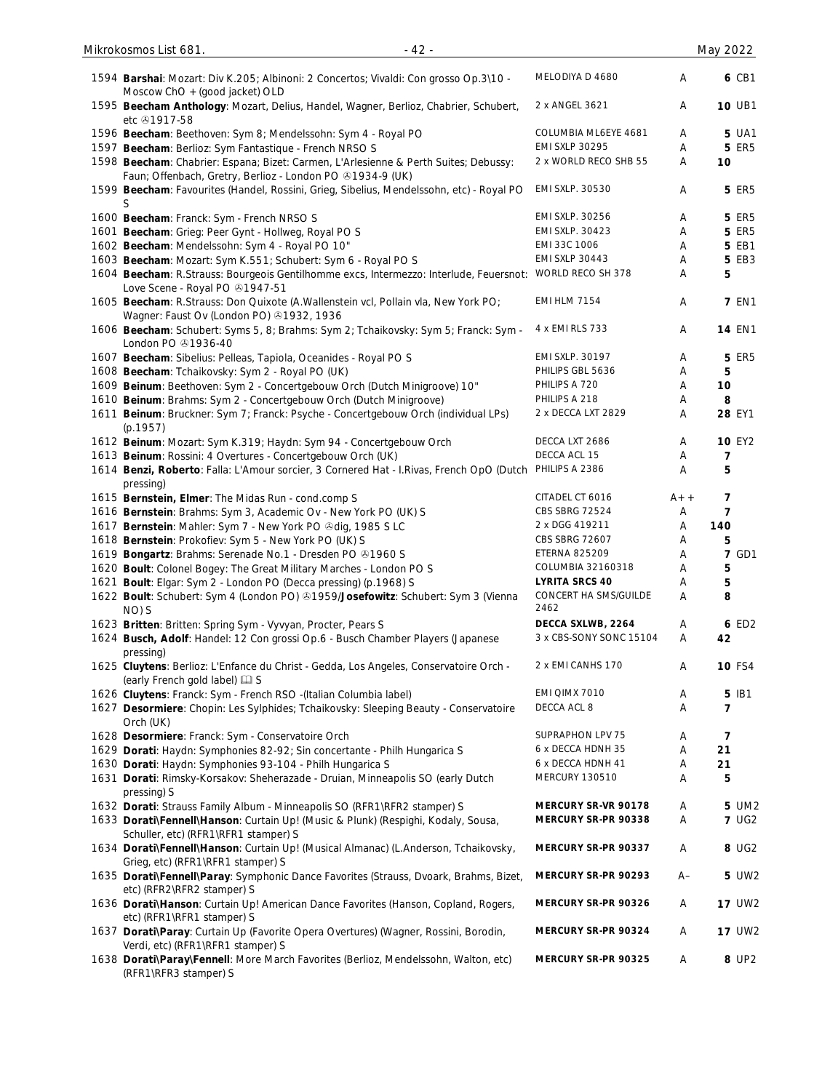| 1594 Barshai: Mozart: Div K.205; Albinoni: 2 Concertos; Vivaldi: Con grosso Op.3\10 -<br>Moscow $ChO + (good$ jacket) OLD                         | MELODIYA D 4680               | A     | 6 CB1          |
|---------------------------------------------------------------------------------------------------------------------------------------------------|-------------------------------|-------|----------------|
| 1595 Beecham Anthology: Mozart, Delius, Handel, Wagner, Berlioz, Chabrier, Schubert,<br>etc 21917-58                                              | 2 x ANGEL 3621                | Α     | <b>10 UB1</b>  |
| 1596 Beecham: Beethoven: Sym 8; Mendelssohn: Sym 4 - Royal PO                                                                                     | COLUMBIA ML6EYE 4681          | Α     | <b>5 UA1</b>   |
| 1597 Beecham: Berlioz: Sym Fantastique - French NRSO S                                                                                            | <b>EMI SXLP 30295</b>         | Α     | <b>5 ER5</b>   |
| 1598 Beecham: Chabrier: Espana; Bizet: Carmen, L'Arlesienne & Perth Suites; Debussy:<br>Faun; Offenbach, Gretry, Berlioz - London PO +1934-9 (UK) | 2 x WORLD RECO SHB 55         | Α     | 10             |
| 1599 Beecham: Favourites (Handel, Rossini, Grieg, Sibelius, Mendelssohn, etc) - Royal PO<br>S                                                     | EMI SXLP. 30530               | Α     | <b>5 ER5</b>   |
| 1600 Beecham: Franck: Sym - French NRSO S                                                                                                         | EMI SXLP. 30256               | Α     | <b>5 ER5</b>   |
| 1601 Beecham: Grieg: Peer Gynt - Hollweg, Royal PO S                                                                                              | EMI SXLP. 30423               | Α     | <b>5 ER5</b>   |
| 1602 Beecham: Mendelssohn: Sym 4 - Royal PO 10"                                                                                                   | EMI 33C 1006                  | Α     | 5 EB1          |
| 1603 Beecham: Mozart: Sym K.551; Schubert: Sym 6 - Royal PO S                                                                                     | <b>EMI SXLP 30443</b>         | Α     | 5 EB3          |
| 1604 Beecham: R.Strauss: Bourgeois Gentilhomme excs, Intermezzo: Interlude, Feuersnot: WORLD RECO SH 378<br>Love Scene - Royal PO +1947-51        |                               | Α     | 5              |
| 1605 Beecham: R.Strauss: Don Quixote (A.Wallenstein vcl, Pollain vla, New York PO;<br>Wagner: Faust Ov (London PO) 31932, 1936                    | <b>EMI HLM 7154</b>           | Α     | <b>7 EN1</b>   |
| 1606 Beecham: Schubert: Syms 5, 8; Brahms: Sym 2; Tchaikovsky: Sym 5; Franck: Sym -<br>London PO $@1936-40$                                       | 4 x EMI RLS 733               | Α     | <b>14 EN1</b>  |
| 1607 Beecham: Sibelius: Pelleas, Tapiola, Oceanides - Royal PO S                                                                                  | EMI SXLP. 30197               | Α     | <b>5 ER5</b>   |
| 1608 Beecham: Tchaikovsky: Sym 2 - Royal PO (UK)                                                                                                  | PHILIPS GBL 5636              | Α     | 5              |
| 1609 Beinum: Beethoven: Sym 2 - Concertgebouw Orch (Dutch Minigroove) 10"                                                                         | PHILIPS A 720                 | Α     | 10             |
| 1610 Beinum: Brahms: Sym 2 - Concertgebouw Orch (Dutch Minigroove)                                                                                | PHILIPS A 218                 | Α     | 8              |
| 1611 Beinum: Bruckner: Sym 7; Franck: Psyche - Concertgebouw Orch (individual LPs)<br>(p.1957)                                                    | 2 x DECCA LXT 2829            | Α     | 28 EY1         |
| 1612 Beinum: Mozart: Sym K.319; Haydn: Sym 94 - Concertgebouw Orch                                                                                | DECCA LXT 2686                | Α     | <b>10 EY2</b>  |
| 1613 Beinum: Rossini: 4 Overtures - Concertgebouw Orch (UK)                                                                                       | DECCA ACL 15                  | Α     | $\overline{7}$ |
| 1614 Benzi, Roberto: Falla: L'Amour sorcier, 3 Cornered Hat - I.Rivas, French OpO (Dutch<br>pressing)                                             | PHILIPS A 2386                | Α     | 5              |
| 1615 Bernstein, Elmer: The Midas Run - cond.comp S                                                                                                | CITADEL CT 6016               | $A++$ | $\overline{7}$ |
| 1616 Bernstein: Brahms: Sym 3, Academic Ov - New York PO (UK) S                                                                                   | CBS SBRG 72524                | Α     | $\overline{7}$ |
| 1617 Bernstein: Mahler: Sym 7 - New York PO & dig, 1985 S LC                                                                                      | 2 x DGG 419211                | A     | 140            |
| 1618 Bernstein: Prokofiev: Sym 5 - New York PO (UK) S                                                                                             | CBS SBRG 72607                | Α     | 5              |
| 1619 Bongartz: Brahms: Serenade No.1 - Dresden PO 31960 S                                                                                         | <b>ETERNA 825209</b>          | Α     | <b>7 GD1</b>   |
| 1620 Boult: Colonel Bogey: The Great Military Marches - London PO S                                                                               | COLUMBIA 32160318             | A     | 5              |
| 1621 Boult: Elgar: Sym 2 - London PO (Decca pressing) (p.1968) S                                                                                  | <b>LYRITA SRCS 40</b>         | A     | 5              |
| 1622 Boult: Schubert: Sym 4 (London PO) @1959/Josefowitz: Schubert: Sym 3 (Vienna<br>NO) S                                                        | CONCERT HA SMS/GUILDE<br>2462 | Α     | 8              |
| 1623 Britten: Britten: Spring Sym - Vyvyan, Procter, Pears S                                                                                      | DECCA SXLWB, 2264             | Α     | 6 ED2          |
| 1624 Busch, Adolf: Handel: 12 Con grossi Op.6 - Busch Chamber Players (Japanese<br>pressing)                                                      | 3 x CBS-SONY SONC 15104       | Α     | 42             |
| 1625 Cluytens: Berlioz: L'Enfance du Christ - Gedda, Los Angeles, Conservatoire Orch -<br>(early French gold label) [2] S                         | 2 x EMI CANHS 170             | Α     | <b>10 FS4</b>  |
| 1626 Cluytens: Franck: Sym - French RSO -(Italian Columbia label)                                                                                 | EMI QIMX 7010                 | Α     | 5 IB1          |
| 1627 Desormiere: Chopin: Les Sylphides; Tchaikovsky: Sleeping Beauty - Conservatoire<br>Orch (UK)                                                 | DECCA ACL 8                   | Α     | $\overline{7}$ |
| 1628 Desormiere: Franck: Sym - Conservatoire Orch                                                                                                 | SUPRAPHON LPV 75              | Α     | $\overline{7}$ |
| 1629 Dorati: Haydn: Symphonies 82-92; Sin concertante - Philh Hungarica S                                                                         | 6 x DECCA HDNH 35             | Α     | 21             |
| 1630 Dorati: Haydn: Symphonies 93-104 - Philh Hungarica S                                                                                         | 6 x DECCA HDNH 41             | Α     | 21             |
| 1631 Dorati: Rimsky-Korsakov: Sheherazade - Druian, Minneapolis SO (early Dutch<br>pressing) S                                                    | MERCURY 130510                | Α     | 5              |
| 1632 Dorati: Strauss Family Album - Minneapolis SO (RFR1\RFR2 stamper) S                                                                          | MERCURY SR-VR 90178           | Α     | 5 UM2          |
| 1633 Dorati\Fennell\Hanson: Curtain Up! (Music & Plunk) (Respighi, Kodaly, Sousa,                                                                 | MERCURY SR-PR 90338           | Α     | <b>7 UG2</b>   |
| Schuller, etc) (RFR1\RFR1 stamper) S<br>1634 Dorati\Fennell\Hanson: Curtain Up! (Musical Almanac) (L.Anderson, Tchaikovsky,                       | MERCURY SR-PR 90337           | Α     | 8 UG2          |
| Grieg, etc) (RFR1\RFR1 stamper) S<br>1635 Dorati\Fennell\Paray: Symphonic Dance Favorites (Strauss, Dvoark, Brahms, Bizet,                        | MERCURY SR-PR 90293           | $A-$  | 5 UW2          |
| etc) (RFR2\RFR2 stamper) S<br>1636 Dorati\Hanson: Curtain Up! American Dance Favorites (Hanson, Copland, Rogers,<br>etc) (RFR1\RFR1 stamper) S    | MERCURY SR-PR 90326           | A     | <b>17 UW2</b>  |
| 1637 Dorati\Paray: Curtain Up (Favorite Opera Overtures) (Wagner, Rossini, Borodin,<br>Verdi, etc) (RFR1\RFR1 stamper) S                          | MERCURY SR-PR 90324           | Α     | <b>17 UW2</b>  |
| 1638 Dorati\Paray\Fennell: More March Favorites (Berlioz, Mendelssohn, Walton, etc)<br>(RFR1\RFR3 stamper) S                                      | MERCURY SR-PR 90325           | Α     | 8 UP2          |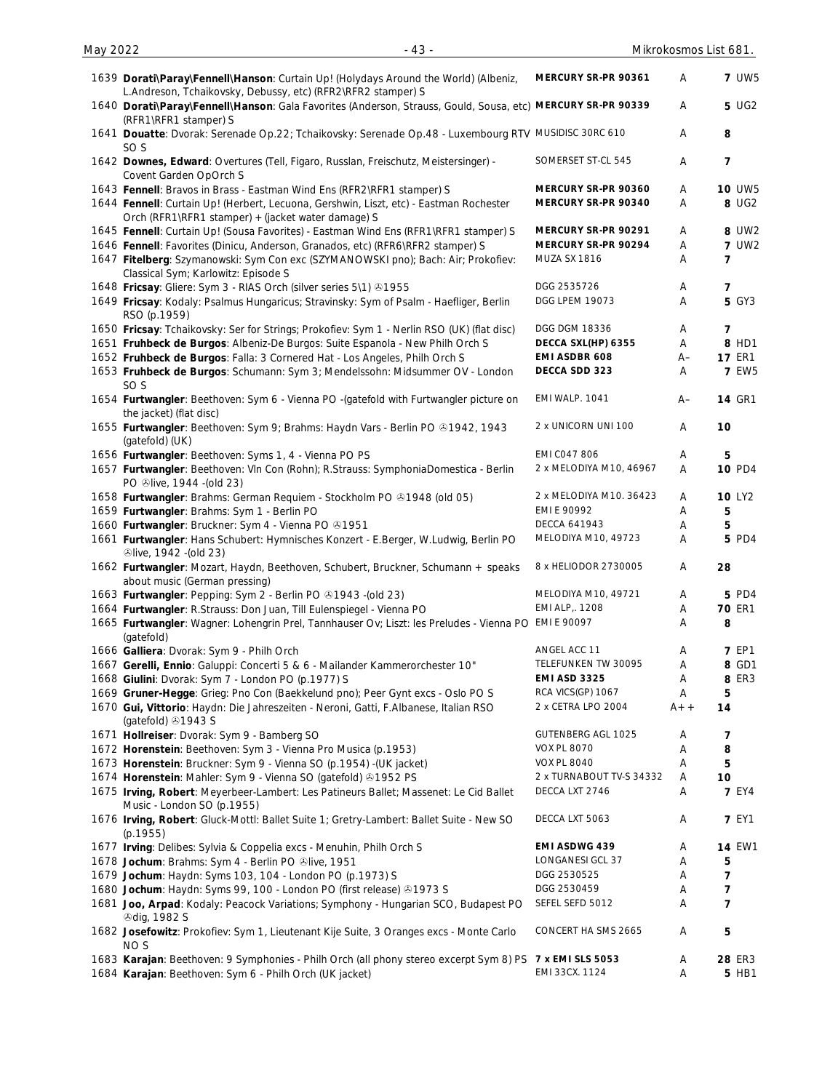| 1639 Dorati\Paray\Fennell\Hanson: Curtain Up! (Holydays Around the World) (Albeniz,<br>L.Andreson, Tchaikovsky, Debussy, etc) (RFR2\RFR2 stamper) S | MERCURY SR-PR 90361      | A     | <b>7 UW5</b>   |
|-----------------------------------------------------------------------------------------------------------------------------------------------------|--------------------------|-------|----------------|
| 1640 Dorati\Paray\Fennell\Hanson: Gala Favorites (Anderson, Strauss, Gould, Sousa, etc) MERCURY SR-PR 90339<br>(RFR1\RFR1 stamper) S                |                          | Α     | 5 UG2          |
| 1641 Douatte: Dvorak: Serenade Op.22; Tchaikovsky: Serenade Op.48 - Luxembourg RTV MUSIDISC 30RC 610<br>SO <sub>S</sub>                             |                          | Α     | 8              |
| 1642 Downes, Edward: Overtures (Tell, Figaro, Russlan, Freischutz, Meistersinger) -<br>Covent Garden OpOrch S                                       | SOMERSET ST-CL 545       | Α     | 7              |
| 1643 Fennell: Bravos in Brass - Eastman Wind Ens (RFR2\RFR1 stamper) S                                                                              | MERCURY SR-PR 90360      | Α     | <b>10 UW5</b>  |
| 1644 Fennell: Curtain Up! (Herbert, Lecuona, Gershwin, Liszt, etc) - Eastman Rochester<br>Orch (RFR1\RFR1 stamper) + (jacket water damage) S        | MERCURY SR-PR 90340      | Α     | 8 UG2          |
| 1645 Fennell: Curtain Up! (Sousa Favorites) - Eastman Wind Ens (RFR1\RFR1 stamper) S                                                                | MERCURY SR-PR 90291      | A     | 8 UW2          |
| 1646 Fennell: Favorites (Dinicu, Anderson, Granados, etc) (RFR6\RFR2 stamper) S                                                                     | MERCURY SR-PR 90294      | Α     | <b>7 UW2</b>   |
| 1647 Fitelberg: Szymanowski: Sym Con exc (SZYMANOWSKI pno); Bach: Air; Prokofiev:<br>Classical Sym; Karlowitz: Episode S                            | <b>MUZA SX 1816</b>      | Α     | 7              |
| 1648 Fricsay: Gliere: Sym 3 - RIAS Orch (silver series 5\1) 31955                                                                                   | DGG 2535726              | Α     | 7              |
| 1649 Fricsay: Kodaly: Psalmus Hungaricus; Stravinsky: Sym of Psalm - Haefliger, Berlin<br>RSO (p.1959)                                              | DGG LPEM 19073           | Α     | <b>5 GY3</b>   |
| 1650 Fricsay: Tchaikovsky: Ser for Strings; Prokofiev: Sym 1 - Nerlin RSO (UK) (flat disc)                                                          | DGG DGM 18336            | A     | 7              |
| 1651 Fruhbeck de Burgos: Albeniz-De Burgos: Suite Espanola - New Philh Orch S                                                                       | DECCA SXL(HP) 6355       | Α     | 8 HD1          |
| 1652 Fruhbeck de Burgos: Falla: 3 Cornered Hat - Los Angeles, Philh Orch S                                                                          | EMI ASDBR 608            | $A-$  | <b>17 ER1</b>  |
| 1653 Fruhbeck de Burgos: Schumann: Sym 3; Mendelssohn: Midsummer OV - London<br>SO <sub>S</sub>                                                     | DECCA SDD 323            | Α     | <b>7 EW5</b>   |
| 1654 Furtwangler: Beethoven: Sym 6 - Vienna PO -(gatefold with Furtwangler picture on<br>the jacket) (flat disc)                                    | EMI WALP. 1041           | A–    | <b>14 GR1</b>  |
| 1655 Furtwangler: Beethoven: Sym 9; Brahms: Haydn Vars - Berlin PO & 1942, 1943<br>(gatefold) (UK)                                                  | 2 x UNICORN UNI 100      | Α     | 10             |
| 1656 Furtwangler: Beethoven: Syms 1, 4 - Vienna PO PS                                                                                               | <b>EMI CO47 806</b>      | A     | 5              |
| 1657 Furtwangler: Beethoven: VIn Con (Rohn); R.Strauss: SymphoniaDomestica - Berlin<br>PO +live, 1944 - (old 23)                                    | 2 x MELODIYA M10, 46967  | Α     | <b>10 PD4</b>  |
| 1658 Furtwangler: Brahms: German Requiem - Stockholm PO @1948 (old 05)                                                                              | 2 x MELODIYA M10. 36423  | Α     | <b>10 LY2</b>  |
| 1659 Furtwangler: Brahms: Sym 1 - Berlin PO                                                                                                         | EMI E 90992              | Α     | 5              |
| 1660 Furtwangler: Bruckner: Sym 4 - Vienna PO & 1951                                                                                                | DECCA 641943             | Α     | 5              |
| 1661 Furtwangler: Hans Schubert: Hymnisches Konzert - E.Berger, W.Ludwig, Berlin PO<br><b>Dive, 1942 - (old 23)</b>                                 | MELODIYA M10, 49723      | Α     | 5 PD4          |
| 1662 Furtwangler: Mozart, Haydn, Beethoven, Schubert, Bruckner, Schumann + speaks<br>about music (German pressing)                                  | 8 x HELIODOR 2730005     | A     | 28             |
| 1663 Furtwangler: Pepping: Sym 2 - Berlin PO @1943 -(old 23)                                                                                        | MELODIYA M10, 49721      | Α     | <b>5 PD4</b>   |
| 1664 Furtwangler: R.Strauss: Don Juan, Till Eulenspiegel - Vienna PO                                                                                | EMI ALP,. 1208           | A     | <b>70 ER1</b>  |
| 1665 Furtwangler: Wagner: Lohengrin Prel, Tannhauser Ov; Liszt: les Preludes - Vienna PO EMI E 90097<br>(gatefold)                                  |                          | Α     | 8              |
| 1666 Galliera: Dvorak: Sym 9 - Philh Orch                                                                                                           | ANGEL ACC 11             | Α     | <b>7 EP1</b>   |
| 1667 Gerelli, Ennio: Galuppi: Concerti 5 & 6 - Mailander Kammerorchester 10"                                                                        | TELEFUNKEN TW 30095      | Α     | 8 GD1          |
| 1668 Giulini: Dvorak: Sym 7 - London PO (p.1977) S                                                                                                  | <b>EMI ASD 3325</b>      | Α     | 8 ER3          |
| 1669 Gruner-Hegge: Grieg: Pno Con (Baekkelund pno); Peer Gynt excs - Oslo PO S                                                                      | RCA VICS(GP) 1067        | Α     | 5              |
| 1670 Gui, Vittorio: Haydn: Die Jahreszeiten - Neroni, Gatti, F.Albanese, Italian RSO<br>(gatefold) 31943 S                                          | 2 x CETRA LPO 2004       | $A++$ | 14             |
| 1671 Hollreiser: Dvorak: Sym 9 - Bamberg SO                                                                                                         | GUTENBERG AGL 1025       | Α     | 7              |
| 1672 Horenstein: Beethoven: Sym 3 - Vienna Pro Musica (p.1953)                                                                                      | <b>VOX PL 8070</b>       | Α     | 8              |
| 1673 Horenstein: Bruckner: Sym 9 - Vienna SO (p.1954) - (UK jacket)                                                                                 | <b>VOX PL 8040</b>       | Α     | 5              |
| 1674 Horenstein: Mahler: Sym 9 - Vienna SO (gatefold) 31952 PS                                                                                      | 2 x TURNABOUT TV-S 34332 | Α     | 10             |
|                                                                                                                                                     |                          |       |                |
| 1675 Irving, Robert: Meyerbeer-Lambert: Les Patineurs Ballet; Massenet: Le Cid Ballet<br>Music - London SO (p.1955)                                 | DECCA LXT 2746           | A     | <b>7 EY4</b>   |
| 1676 Irving, Robert: Gluck-Mottl: Ballet Suite 1; Gretry-Lambert: Ballet Suite - New SO<br>(p.1955)                                                 | DECCA LXT 5063           | A     | <b>7 EY1</b>   |
| 1677 Irving: Delibes: Sylvia & Coppelia excs - Menuhin, Philh Orch S                                                                                | EMI ASDWG 439            | A     | <b>14 EW1</b>  |
| 1678 Jochum: Brahms: Sym 4 - Berlin PO Olive, 1951                                                                                                  | <b>LONGANESI GCL 37</b>  | A     | 5              |
| 1679 Jochum: Haydn: Syms 103, 104 - London PO (p.1973) S                                                                                            | DGG 2530525              | Α     | 7              |
| 1680 Jochum: Haydn: Syms 99, 100 - London PO (first release) 81973 S                                                                                | DGG 2530459              | Α     | 7              |
| 1681 Joo, Arpad: Kodaly: Peacock Variations; Symphony - Hungarian SCO, Budapest PO<br><b><i><u></u></i>dig, 1982 S</b>                              | SEFEL SEFD 5012          | Α     | $\overline{7}$ |
| 1682 Josefowitz: Prokofiev: Sym 1, Lieutenant Kije Suite, 3 Oranges excs - Monte Carlo<br>NO <sub>S</sub>                                           | CONCERT HA SMS 2665      | Α     | 5              |
| 1683 Karajan: Beethoven: 9 Symphonies - Philh Orch (all phony stereo excerpt Sym 8) PS 7 x EMI SLS 5053                                             |                          | A     | 28 ER3         |
| 1684 Karajan: Beethoven: Sym 6 - Philh Orch (UK jacket)                                                                                             | EMI 33CX. 1124           | Α     | 5 HB1          |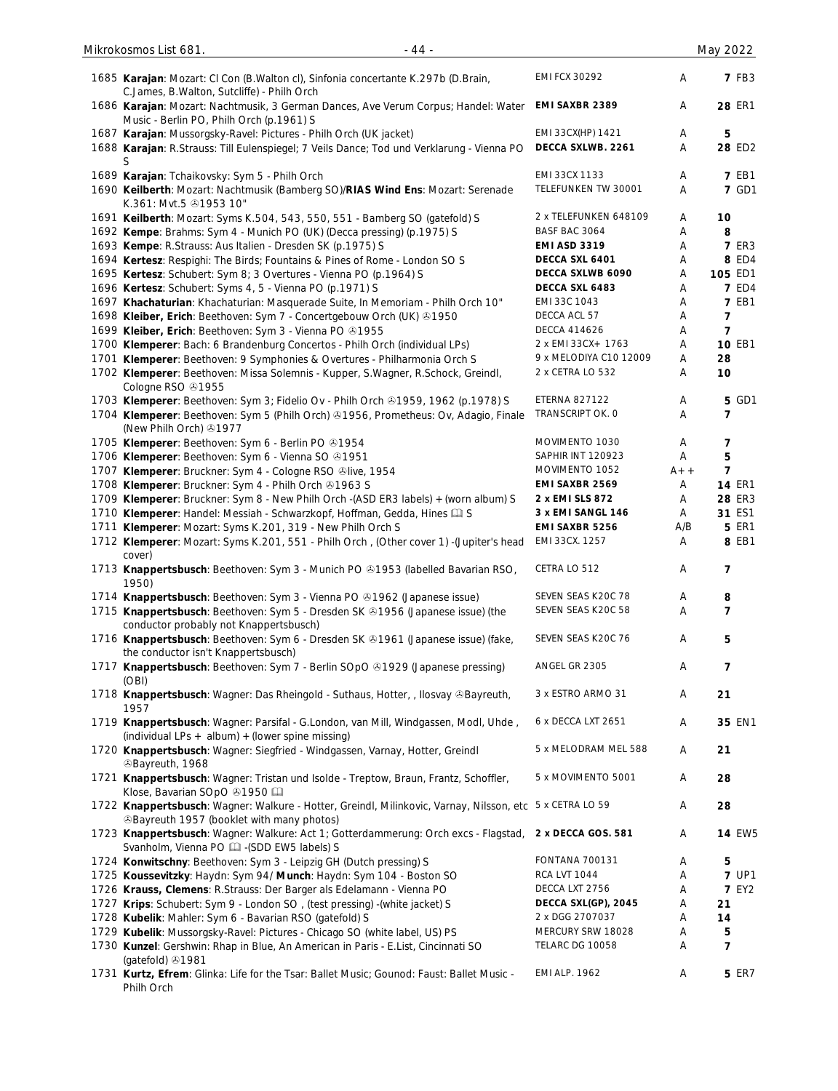|      | 1685 Karajan: Mozart: CI Con (B.Walton cl), Sinfonia concertante K.297b (D.Brain,<br>C.James, B.Walton, Sutcliffe) - Philh Orch                                     | <b>EMI FCX 30292</b>   | Α     | <b>7 FB3</b>   |
|------|---------------------------------------------------------------------------------------------------------------------------------------------------------------------|------------------------|-------|----------------|
|      | 1686 Karajan: Mozart: Nachtmusik, 3 German Dances, Ave Verum Corpus; Handel: Water<br>Music - Berlin PO, Philh Orch (p.1961) S                                      | <b>EMI SAXBR 2389</b>  | Α     | 28 ER1         |
|      | 1687 Karajan: Mussorgsky-Ravel: Pictures - Philh Orch (UK jacket)                                                                                                   | EMI 33CX(HP) 1421      | Α     | 5              |
|      | 1688 Karajan: R.Strauss: Till Eulenspiegel; 7 Veils Dance; Tod und Verklarung - Vienna PO<br>S                                                                      | DECCA SXLWB. 2261      | A     | 28 ED2         |
|      | 1689 Karajan: Tchaikovsky: Sym 5 - Philh Orch                                                                                                                       | EMI 33CX 1133          | Α     | <b>7 EB1</b>   |
|      | 1690 Keilberth: Mozart: Nachtmusik (Bamberg SO)/RIAS Wind Ens: Mozart: Serenade                                                                                     | TELEFUNKEN TW 30001    | A     | <b>7 GD1</b>   |
|      | K.361: Mvt.5 31953 10"                                                                                                                                              | 2 x TELEFUNKEN 648109  | A     | 10             |
|      | 1691 Keilberth: Mozart: Syms K.504, 543, 550, 551 - Bamberg SO (gatefold) S<br>1692 Kempe: Brahms: Sym 4 - Munich PO (UK) (Decca pressing) (p.1975) S               | BASF BAC 3064          | Α     | 8              |
|      | 1693 Kempe: R.Strauss: Aus Italien - Dresden SK (p.1975) S                                                                                                          | <b>EMI ASD 3319</b>    | Α     | <b>7 ER3</b>   |
|      | 1694 Kertesz: Respighi: The Birds; Fountains & Pines of Rome - London SO S                                                                                          | DECCA SXL 6401         | Α     | 8 ED4          |
|      | 1695 Kertesz: Schubert: Sym 8; 3 Overtures - Vienna PO (p.1964) S                                                                                                   | DECCA SXLWB 6090       | Α     | 105 ED1        |
|      | 1696 Kertesz: Schubert: Syms 4, 5 - Vienna PO (p.1971) S                                                                                                            | DECCA SXL 6483         | Α     | <b>7 ED4</b>   |
|      | 1697 Khachaturian: Khachaturian: Masquerade Suite, In Memoriam - Philh Orch 10"                                                                                     | EMI 33C 1043           | Α     | <b>7 EB1</b>   |
|      | 1698 Kleiber, Erich: Beethoven: Sym 7 - Concertgebouw Orch (UK) 01950                                                                                               | DECCA ACL 57           | Α     | 7              |
|      | 1699 Kleiber, Erich: Beethoven: Sym 3 - Vienna PO & 1955                                                                                                            | <b>DECCA 414626</b>    | Α     | 7              |
|      | 1700 Klemperer: Bach: 6 Brandenburg Concertos - Philh Orch (individual LPs)                                                                                         | 2 x EMI 33CX+ 1763     | Α     | <b>10 EB1</b>  |
|      | 1701 Klemperer: Beethoven: 9 Symphonies & Overtures - Philharmonia Orch S                                                                                           | 9 x MELODIYA C10 12009 | Α     | 28             |
|      | 1702 Klemperer: Beethoven: Missa Solemnis - Kupper, S.Wagner, R.Schock, Greindl,<br>Cologne RSO 31955                                                               | 2 x CETRA LO 532       | Α     | 10             |
|      | 1703 Klemperer: Beethoven: Sym 3; Fidelio Ov - Philh Orch @1959, 1962 (p.1978) S                                                                                    | ETERNA 827122          | A     | 5 GD1          |
|      | 1704 Klemperer: Beethoven: Sym 5 (Philh Orch) @1956, Prometheus: Ov, Adagio, Finale<br>(New Philh Orch) 31977                                                       | TRANSCRIPT OK. 0       | Α     | 7              |
|      | 1705 Klemperer: Beethoven: Sym 6 - Berlin PO @1954                                                                                                                  | MOVIMENTO 1030         | Α     | 7              |
|      | 1706 Klemperer: Beethoven: Sym 6 - Vienna SO & 1951                                                                                                                 | SAPHIR INT 120923      | A     | 5              |
|      | 1707 Klemperer: Bruckner: Sym 4 - Cologne RSO Olive, 1954                                                                                                           | MOVIMENTO 1052         | $A++$ | $\overline{7}$ |
|      | 1708 Klemperer: Bruckner: Sym 4 - Philh Orch 01963 S                                                                                                                | EMI SAXBR 2569         | Α     | <b>14 ER1</b>  |
|      | 1709 Klemperer: Bruckner: Sym 8 - New Philh Orch -(ASD ER3 labels) + (worn album) S                                                                                 | 2 x EMI SLS 872        | Α     | <b>28 ER3</b>  |
|      | 1710 Klemperer: Handel: Messiah - Schwarzkopf, Hoffman, Gedda, Hines [1] S                                                                                          | 3 x EMI SANGL 146      | Α     | 31 ES1         |
| 1711 | Klemperer: Mozart: Syms K.201, 319 - New Philh Orch S                                                                                                               | EMI SAXBR 5256         | A/B   | <b>5 ER1</b>   |
|      | 1712 Klemperer: Mozart: Syms K.201, 551 - Philh Orch, (Other cover 1) -(Jupiter's head<br>cover)                                                                    | EMI 33CX. 1257         | A     | 8 EB1          |
|      | 1713 Knappertsbusch: Beethoven: Sym 3 - Munich PO & 1953 (labelled Bavarian RSO,<br>1950)                                                                           | CETRA LO 512           | Α     | 7              |
|      | 1714 Knappertsbusch: Beethoven: Sym 3 - Vienna PO & 1962 (Japanese issue)                                                                                           | SEVEN SEAS K20C 78     | Α     | 8              |
|      | 1715 Knappertsbusch: Beethoven: Sym 5 - Dresden SK & 1956 (Japanese issue) (the<br>conductor probably not Knappertsbusch)                                           | SEVEN SEAS K20C 58     | Α     | 7              |
|      | 1716 Knappertsbusch: Beethoven: Sym 6 - Dresden SK & 1961 (Japanese issue) (fake,<br>the conductor isn't Knappertsbusch)                                            | SEVEN SEAS K20C 76     | Α     | 5              |
|      | 1717 Knappertsbusch: Beethoven: Sym 7 - Berlin SOpO & 1929 (Japanese pressing)<br>(OBI)                                                                             | ANGEL GR 2305          | Α     | 7              |
|      | 1718 Knappertsbusch: Wagner: Das Rheingold - Suthaus, Hotter, , Ilosvay & Bayreuth,<br>1957                                                                         | 3 x ESTRO ARMO 31      | Α     | 21             |
|      | 1719 Knappertsbusch: Wagner: Parsifal - G.London, van Mill, Windgassen, Modl, Uhde,<br>(individual LPs + album) $+$ (lower spine missing)                           | 6 x DECCA LXT 2651     | Α     | 35 EN1         |
|      | 1720 Knappertsbusch: Wagner: Siegfried - Windgassen, Varnay, Hotter, Greindl<br><sup>3</sup> Bayreuth, 1968                                                         | 5 x MELODRAM MEL 588   | Α     | 21             |
|      | 1721 Knappertsbusch: Wagner: Tristan und Isolde - Treptow, Braun, Frantz, Schoffler,<br>Klose, Bavarian SOpO +1950                                                  | 5 x MOVIMENTO 5001     | Α     | 28             |
|      | 1722 Knappertsbusch: Wagner: Walkure - Hotter, Greindl, Milinkovic, Varnay, Nilsson, etc 5 x CETRA LO 59<br><b><i>SBayreuth 1957 (booklet with many photos)</i></b> |                        | A     | 28             |
|      | 1723 Knappertsbusch: Wagner: Walkure: Act 1; Gotterdammerung: Orch excs - Flagstad,<br>Svanholm, Vienna PO [14] - (SDD EW5 labels) S                                | 2 x DECCA GOS. 581     | Α     | <b>14 EW5</b>  |
|      | 1724 Konwitschny: Beethoven: Sym 3 - Leipzig GH (Dutch pressing) S                                                                                                  | <b>FONTANA 700131</b>  | A     | 5              |
|      | 1725 Koussevitzky: Haydn: Sym 94/ Munch: Haydn: Sym 104 - Boston SO                                                                                                 | <b>RCA LVT 1044</b>    | Α     | <b>7 UP1</b>   |
|      | 1726 Krauss, Clemens: R.Strauss: Der Barger als Edelamann - Vienna PO                                                                                               | DECCA LXT 2756         | Α     | <b>7 EY2</b>   |
|      | 1727 Krips: Schubert: Sym 9 - London SO, (test pressing) - (white jacket) S                                                                                         | DECCA SXL(GP), 2045    | Α     | 21             |
|      | 1728 Kubelik: Mahler: Sym 6 - Bavarian RSO (gatefold) S                                                                                                             | 2 x DGG 2707037        | Α     | 14             |
|      | 1729 Kubelik: Mussorgsky-Ravel: Pictures - Chicago SO (white label, US) PS                                                                                          | MERCURY SRW 18028      | Α     | 5              |
|      | 1730 Kunzel: Gershwin: Rhap in Blue, An American in Paris - E.List, Cincinnati SO<br>(gatefold) 31981                                                               | TELARC DG 10058        | Α     | 7              |
|      | 1731 Kurtz, Efrem: Glinka: Life for the Tsar: Ballet Music; Gounod: Faust: Ballet Music -<br>Philh Orch                                                             | <b>EMI ALP. 1962</b>   | Α     | <b>5 ER7</b>   |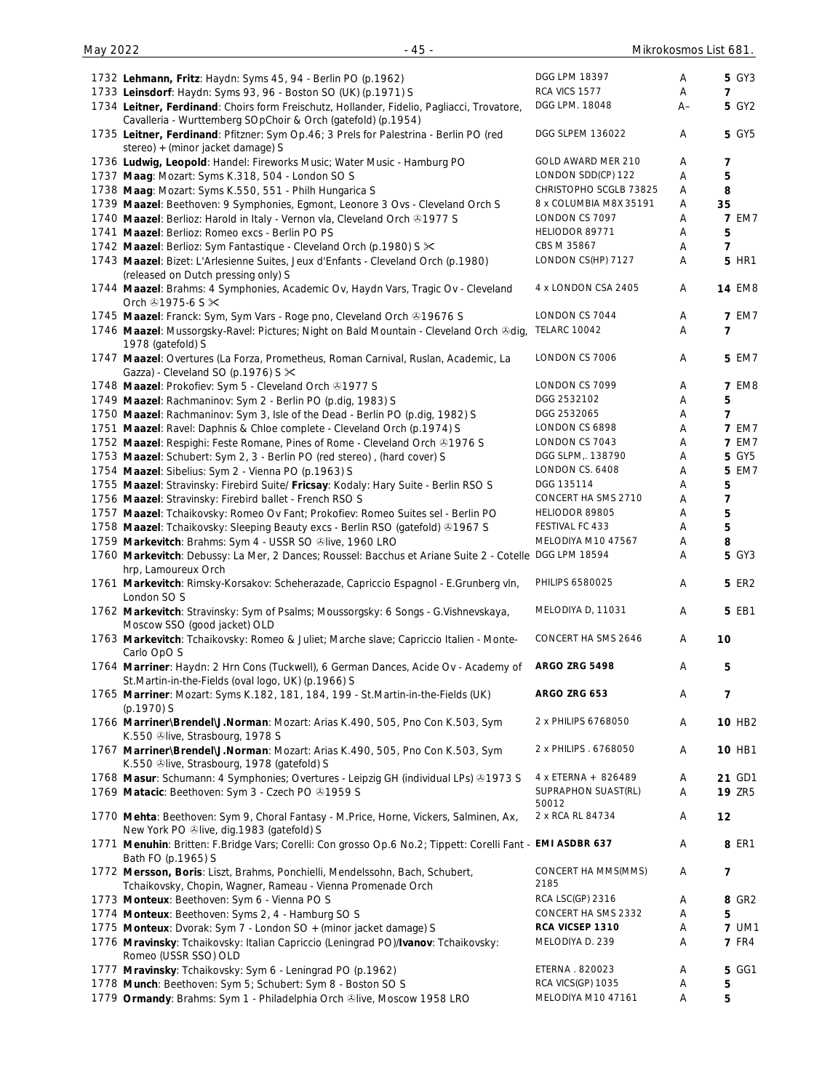| 1732 Lehmann, Fritz: Haydn: Syms 45, 94 - Berlin PO (p.1962)                                               | DGG LPM 18397               | A  | <b>5 GY3</b>       |
|------------------------------------------------------------------------------------------------------------|-----------------------------|----|--------------------|
| 1733 Leinsdorf: Haydn: Syms 93, 96 - Boston SO (UK) (p.1971) S                                             | RCA VICS 1577               | Α  | 7                  |
|                                                                                                            | DGG LPM. 18048              |    | 5 GY2              |
| 1734 Leitner, Ferdinand: Choirs form Freischutz, Hollander, Fidelio, Pagliacci, Trovatore,                 |                             | A– |                    |
| Cavalleria - Wurttemberg SOpChoir & Orch (gatefold) (p.1954)                                               |                             |    |                    |
| 1735 Leitner, Ferdinand: Pfitzner: Sym Op.46; 3 Prels for Palestrina - Berlin PO (red                      | DGG SLPEM 136022            | A  | <b>5 GY5</b>       |
| stereo) + (minor jacket damage) S                                                                          |                             |    |                    |
| 1736 Ludwig, Leopold: Handel: Fireworks Music; Water Music - Hamburg PO                                    | GOLD AWARD MER 210          | Α  | 7                  |
| 1737 Maag: Mozart: Syms K.318, 504 - London SO S                                                           | LONDON SDD(CP) 122          | Α  | 5                  |
| 1738 Maag: Mozart: Syms K.550, 551 - Philh Hungarica S                                                     | CHRISTOPHO SCGLB 73825      | A  | 8                  |
| 1739 Maazel: Beethoven: 9 Symphonies, Egmont, Leonore 3 Ovs - Cleveland Orch S                             | 8 x COLUMBIA M8X 35191      | Α  | 35                 |
| 1740 Maazel: Berlioz: Harold in Italy - Vernon vla, Cleveland Orch & 1977 S                                | LONDON CS 7097              | Α  | <b>7 EM7</b>       |
| 1741 Maazel: Berlioz: Romeo excs - Berlin PO PS                                                            | HELIODOR 89771              | Α  | 5                  |
| 1742 Maazel: Berlioz: Sym Fantastique - Cleveland Orch (p.1980) S $\times$                                 | CBS M 35867                 | A  | 7                  |
| 1743 Maazel: Bizet: L'Arlesienne Suites, Jeux d'Enfants - Cleveland Orch (p.1980)                          | LONDON CS(HP) 7127          | A  | <b>5 HR1</b>       |
| (released on Dutch pressing only) S                                                                        |                             |    |                    |
|                                                                                                            | 4 x LONDON CSA 2405         | A  | <b>14 EM8</b>      |
| 1744 Maazel: Brahms: 4 Symphonies, Academic Ov, Haydn Vars, Tragic Ov - Cleveland                          |                             |    |                    |
| Orch $@1975-6$ S $\times$                                                                                  |                             |    |                    |
| 1745 Maazel: Franck: Sym, Sym Vars - Roge pno, Cleveland Orch ®19676 S                                     | LONDON CS 7044              | A  | <b>7 EM7</b>       |
| 1746 Maazel: Mussorgsky-Ravel: Pictures; Night on Bald Mountain - Cleveland Orch &dig,                     | <b>TELARC 10042</b>         | A  | 7                  |
| 1978 (gatefold) S                                                                                          |                             |    |                    |
| 1747 Maazel: Overtures (La Forza, Prometheus, Roman Carnival, Ruslan, Academic, La                         | LONDON CS 7006              | Α  | 5 EM7              |
| Gazza) - Cleveland SO (p.1976) S $\times$                                                                  |                             |    |                    |
| 1748 Maazel: Prokofiev: Sym 5 - Cleveland Orch & 1977 S                                                    | LONDON CS 7099              | A  | <b>7 EM8</b>       |
| 1749 Maazel: Rachmaninov: Sym 2 - Berlin PO (p.dig, 1983) S                                                | DGG 2532102                 | Α  | 5                  |
| 1750 Maazel: Rachmaninov: Sym 3, Isle of the Dead - Berlin PO (p.dig, 1982) S                              | DGG 2532065                 | Α  | $\overline{7}$     |
| 1751 Maazel: Ravel: Daphnis & Chloe complete - Cleveland Orch (p.1974) S                                   | LONDON CS 6898              | Α  | <b>7 EM7</b>       |
| 1752 Maazel: Respighi: Feste Romane, Pines of Rome - Cleveland Orch & 1976 S                               | LONDON CS 7043              | Α  | <b>7 EM7</b>       |
|                                                                                                            | DGG SLPM,. 138790           |    | <b>5 GY5</b>       |
| 1753 Maazel: Schubert: Sym 2, 3 - Berlin PO (red stereo), (hard cover) S                                   | LONDON CS. 6408             | Α  |                    |
| 1754 Maazel: Sibelius: Sym 2 - Vienna PO (p.1963) S                                                        |                             | Α  | 5 EM7              |
| 1755 Maazel: Stravinsky: Firebird Suite/ Fricsay: Kodaly: Hary Suite - Berlin RSO S                        | DGG 135114                  | A  | 5                  |
| 1756 Maazel: Stravinsky: Firebird ballet - French RSO S                                                    | CONCERT HA SMS 2710         | Α  | $\overline{7}$     |
| 1757 Maazel: Tchaikovsky: Romeo Ov Fant; Prokofiev: Romeo Suites sel - Berlin PO                           | HELIODOR 89805              | Α  | 5                  |
| 1758 Maazel: Tchaikovsky: Sleeping Beauty excs - Berlin RSO (gatefold) 31967 S                             | FESTIVAL FC 433             | Α  | 5                  |
| 1759 Markevitch: Brahms: Sym 4 - USSR SO Olive, 1960 LRO                                                   | MELODIYA M10 47567          | Α  | 8                  |
| 1760 Markevitch: Debussy: La Mer, 2 Dances; Roussel: Bacchus et Ariane Suite 2 - Cotelle DGG LPM 18594     |                             | Α  | <b>5 GY3</b>       |
| hrp, Lamoureux Orch                                                                                        |                             |    |                    |
| 1761 Markevitch: Rimsky-Korsakov: Scheherazade, Capriccio Espagnol - E.Grunberg vln,                       | PHILIPS 6580025             | A  | <b>5 ER2</b>       |
| London SO S                                                                                                |                             |    |                    |
| 1762 Markevitch: Stravinsky: Sym of Psalms; Moussorgsky: 6 Songs - G. Vishnevskaya,                        | MELODIYA D, 11031           | Α  | 5 EB1              |
| Moscow SSO (good jacket) OLD                                                                               |                             |    |                    |
| 1763 Markevitch: Tchaikovsky: Romeo & Juliet; Marche slave; Capriccio Italien - Monte-                     | CONCERT HA SMS 2646         | Α  | 10                 |
|                                                                                                            |                             |    |                    |
| Carlo OpO S                                                                                                |                             |    |                    |
| 1764 Marriner: Haydn: 2 Hrn Cons (Tuckwell), 6 German Dances, Acide Ov - Academy of                        | <b>ARGO ZRG 5498</b>        | A  | 5                  |
| St.Martin-in-the-Fields (oval logo, UK) (p.1966) S                                                         |                             |    |                    |
| 1765 Marriner: Mozart: Syms K.182, 181, 184, 199 - St.Martin-in-the-Fields (UK)                            | ARGO ZRG 653                | Α  | 7                  |
| (p.1970) S                                                                                                 |                             |    |                    |
| 1766 Marriner\Brendel\J.Norman: Mozart: Arias K.490, 505, Pno Con K.503, Sym                               | 2 x PHILIPS 6768050         | Α  | 10 HB <sub>2</sub> |
| K.550 Slive, Strasbourg, 1978 S                                                                            |                             |    |                    |
| 1767 Marriner\Brendel\J.Norman: Mozart: Arias K.490, 505, Pno Con K.503, Sym                               | 2 x PHILIPS . 6768050       | Α  | 10 HB1             |
| K.550 Slive, Strasbourg, 1978 (gatefold) S                                                                 |                             |    |                    |
| 1768 Masur: Schumann: 4 Symphonies; Overtures - Leipzig GH (individual LPs) & 1973 S                       | 4 x ETERNA + 826489         | Α  | 21 GD1             |
| 1769 Matacic: Beethoven: Sym 3 - Czech PO @1959 S                                                          | SUPRAPHON SUAST(RL)         | Α  | <b>19 ZR5</b>      |
|                                                                                                            | 50012                       |    |                    |
| 1770 Mehta: Beethoven: Sym 9, Choral Fantasy - M.Price, Horne, Vickers, Salminen, Ax,                      | 2 x RCA RL 84734            | Α  | 12                 |
| New York PO Olive, dig. 1983 (gatefold) S                                                                  |                             |    |                    |
| 1771 Menuhin: Britten: F.Bridge Vars; Corelli: Con grosso Op.6 No.2; Tippett: Corelli Fant - EMI ASDBR 637 |                             | Α  | 8 ER1              |
| Bath FO (p.1965) S                                                                                         |                             |    |                    |
|                                                                                                            |                             |    |                    |
| 1772 Mersson, Boris: Liszt, Brahms, Ponchielli, Mendelssohn, Bach, Schubert,                               | CONCERT HA MMS(MMS)<br>2185 | Α  | 7                  |
| Tchaikovsky, Chopin, Wagner, Rameau - Vienna Promenade Orch                                                |                             |    |                    |
| 1773 Monteux: Beethoven: Sym 6 - Vienna PO S                                                               | RCA LSC(GP) 2316            | Α  | 8 GR2              |
| 1774 Monteux: Beethoven: Syms 2, 4 - Hamburg SO S                                                          | CONCERT HA SMS 2332         | Α  | 5                  |
| 1775 Monteux: Dvorak: Sym 7 - London SO + (minor jacket damage) S                                          | RCA VICSEP 1310             | Α  | <b>7 UM1</b>       |
| 1776 Mravinsky: Tchaikovsky: Italian Capriccio (Leningrad PO)/Ivanov: Tchaikovsky:                         | MELODIYA D. 239             | A  | <b>7 FR4</b>       |
| Romeo (USSR SSO) OLD                                                                                       |                             |    |                    |
| 1777 Mravinsky: Tchaikovsky: Sym 6 - Leningrad PO (p.1962)                                                 | ETERNA . 820023             | Α  | <b>5 GG1</b>       |
| 1778 Munch: Beethoven: Sym 5; Schubert: Sym 8 - Boston SO S                                                | RCA VICS(GP) 1035           | Α  | 5                  |
| 1779 Ormandy: Brahms: Sym 1 - Philadelphia Orch ®live, Moscow 1958 LRO                                     | MELODIYA M10 47161          | Α  | 5                  |
|                                                                                                            |                             |    |                    |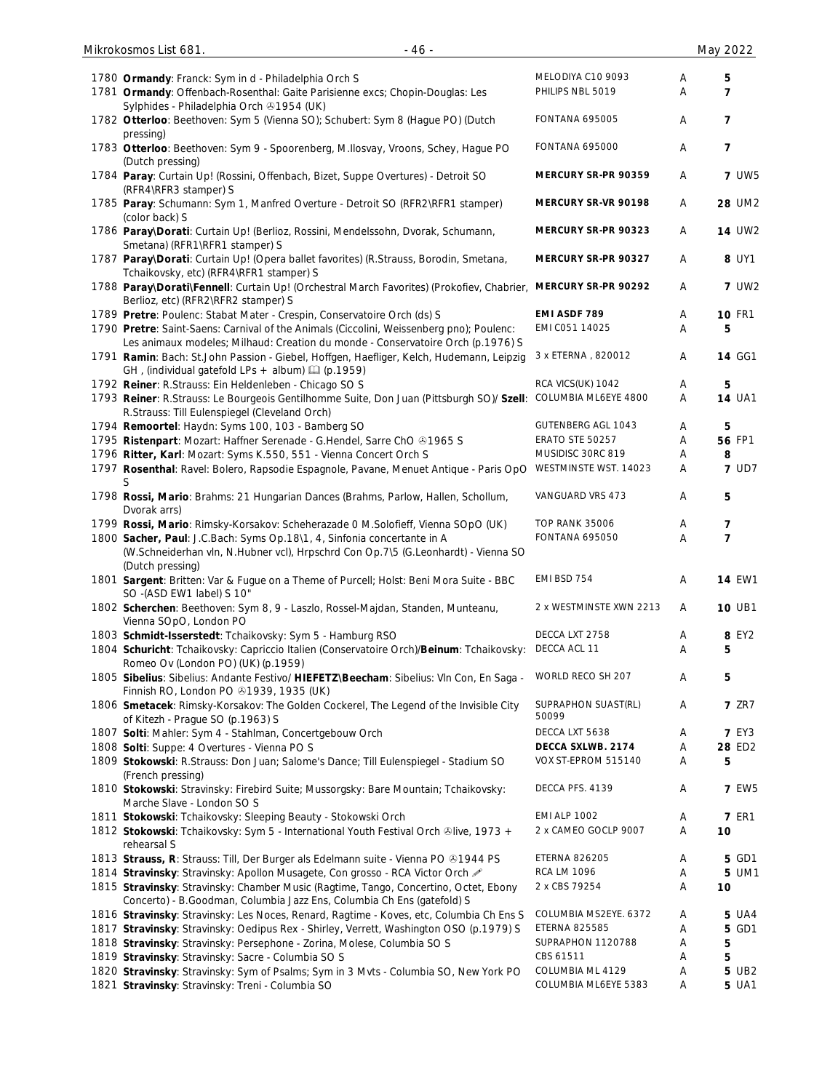| 1780 Ormandy: Franck: Sym in d - Philadelphia Orch S<br>1781 Ormandy: Offenbach-Rosenthal: Gaite Parisienne excs; Chopin-Douglas: Les                                            | MELODIYA C10 9093<br>PHILIPS NBL 5019 | Α<br>A | 5<br>7         |
|----------------------------------------------------------------------------------------------------------------------------------------------------------------------------------|---------------------------------------|--------|----------------|
| Sylphides - Philadelphia Orch + 1954 (UK)<br>1782 Otterloo: Beethoven: Sym 5 (Vienna SO); Schubert: Sym 8 (Hague PO) (Dutch                                                      | <b>FONTANA 695005</b>                 | Α      | 7              |
| pressing)                                                                                                                                                                        |                                       |        |                |
| 1783 Otterloo: Beethoven: Sym 9 - Spoorenberg, M.Ilosvay, Vroons, Schey, Hague PO<br>(Dutch pressing)                                                                            | <b>FONTANA 695000</b>                 | Α      | 7              |
| 1784 Paray: Curtain Up! (Rossini, Offenbach, Bizet, Suppe Overtures) - Detroit SO<br>(RFR4\RFR3 stamper) S                                                                       | MERCURY SR-PR 90359                   | A      | <b>7 UW5</b>   |
| 1785 Paray: Schumann: Sym 1, Manfred Overture - Detroit SO (RFR2\RFR1 stamper)<br>(color back) S                                                                                 | MERCURY SR-VR 90198                   | Α      | 28 UM2         |
| 1786 Paray\Dorati: Curtain Up! (Berlioz, Rossini, Mendelssohn, Dvorak, Schumann,<br>Smetana) (RFR1\RFR1 stamper) S                                                               | MERCURY SR-PR 90323                   | A      | <b>14 UW2</b>  |
| 1787 Paray\Dorati: Curtain Up! (Opera ballet favorites) (R.Strauss, Borodin, Smetana,<br>Tchaikovsky, etc) (RFR4\RFR1 stamper) S                                                 | MERCURY SR-PR 90327                   | A      | 8 UY1          |
| 1788 Paray\Dorati\Fennell: Curtain Up! (Orchestral March Favorites) (Prokofiev, Chabrier,<br>Berlioz, etc) (RFR2\RFR2 stamper) S                                                 | MERCURY SR-PR 90292                   | A      | <b>7 UW2</b>   |
| 1789 Pretre: Poulenc: Stabat Mater - Crespin, Conservatoire Orch (ds) S                                                                                                          | EMI ASDF 789                          | Α      | <b>10 FR1</b>  |
| 1790 Pretre: Saint-Saens: Carnival of the Animals (Ciccolini, Weissenberg pno); Poulenc:                                                                                         | EMI C051 14025                        | Α      | 5              |
| Les animaux modeles; Milhaud: Creation du monde - Conservatoire Orch (p.1976) S<br>1791 Ramin: Bach: St.John Passion - Giebel, Hoffgen, Haefliger, Kelch, Hudemann, Leipzig      | 3 x ETERNA, 820012                    | A      | <b>14 GG1</b>  |
| GH, (individual gatefold LPs + album) $\Box$ (p.1959)                                                                                                                            |                                       |        |                |
| 1792 Reiner: R.Strauss: Ein Heldenleben - Chicago SO S                                                                                                                           | RCA VICS(UK) 1042                     | A      | 5              |
| 1793 Reiner: R.Strauss: Le Bourgeois Gentilhomme Suite, Don Juan (Pittsburgh SO)/ Szell:<br>R.Strauss: Till Eulenspiegel (Cleveland Orch)                                        | COLUMBIA ML6EYE 4800                  | A      | <b>14 UA1</b>  |
| 1794 Remoortel: Haydn: Syms 100, 103 - Bamberg SO                                                                                                                                | <b>GUTENBERG AGL 1043</b>             | Α      | 5              |
| 1795 Ristenpart: Mozart: Haffner Serenade - G.Hendel, Sarre ChO @1965 S                                                                                                          | ERATO STE 50257                       | A      | 56 FP1         |
| 1796 Ritter, Karl: Mozart: Syms K.550, 551 - Vienna Concert Orch S                                                                                                               | MUSIDISC 30RC 819                     | Α      | 8              |
| 1797 Rosenthal: Ravel: Bolero, Rapsodie Espagnole, Pavane, Menuet Antique - Paris OpO                                                                                            | WESTMINSTE WST. 14023                 | Α      | <b>7 UD7</b>   |
| 1798 Rossi, Mario: Brahms: 21 Hungarian Dances (Brahms, Parlow, Hallen, Schollum,<br>Dvorak arrs)                                                                                | VANGUARD VRS 473                      | A      | 5              |
| 1799 Rossi, Mario: Rimsky-Korsakov: Scheherazade 0 M.Solofieff, Vienna SOpO (UK)                                                                                                 | <b>TOP RANK 35006</b>                 | Α      | 7              |
| 1800 Sacher, Paul: J.C.Bach: Syms Op.18\1, 4, Sinfonia concertante in A<br>(W.Schneiderhan vln, N.Hubner vcl), Hrpschrd Con Op.7\5 (G.Leonhardt) - Vienna SO<br>(Dutch pressing) | FONTANA 695050                        | Α      | $\overline{7}$ |
| 1801 Sargent: Britten: Var & Fugue on a Theme of Purcell; Holst: Beni Mora Suite - BBC<br>SO -(ASD EW1 label) S 10"                                                              | EMI BSD 754                           | Α      | <b>14 EW1</b>  |
| 1802 Scherchen: Beethoven: Sym 8, 9 - Laszlo, Rossel-Majdan, Standen, Munteanu,<br>Vienna SOpO, London PO                                                                        | 2 x WESTMINSTE XWN 2213               | A      | <b>10 UB1</b>  |
| 1803 Schmidt-Isserstedt: Tchaikovsky: Sym 5 - Hamburg RSO                                                                                                                        | DECCA LXT 2758                        | Α      | 8 EY2          |
| 1804 Schuricht: Tchaikovsky: Capriccio Italien (Conservatoire Orch)/Beinum: Tchaikovsky:<br>Romeo Ov (London PO) (UK) (p.1959)                                                   | DECCA ACL 11                          | Α      | 5              |
| 1805 Sibelius: Sibelius: Andante Festivo/ HIEFETZ\Beecham: Sibelius: VIn Con, En Saga -<br>Finnish RO, London PO 31939, 1935 (UK)                                                | WORLD RECO SH 207                     | Α      | 5              |
| 1806 Smetacek: Rimsky-Korsakov: The Golden Cockerel, The Legend of the Invisible City<br>of Kitezh - Prague SO (p.1963) S                                                        | SUPRAPHON SUAST(RL)<br>50099          | Α      | <b>7 ZR7</b>   |
| 1807 Solti: Mahler: Sym 4 - Stahlman, Concertgebouw Orch                                                                                                                         | DECCA LXT 5638                        | Α      | <b>7 EY3</b>   |
| 1808 Solti: Suppe: 4 Overtures - Vienna PO S                                                                                                                                     | DECCA SXLWB. 2174                     | Α      | 28 ED2         |
| 1809 Stokowski: R.Strauss: Don Juan; Salome's Dance; Till Eulenspiegel - Stadium SO<br>(French pressing)                                                                         | VOX ST-EPROM 515140                   | Α      | 5              |
| 1810 Stokowski: Stravinsky: Firebird Suite; Mussorgsky: Bare Mountain; Tchaikovsky:<br>Marche Slave - London SO S                                                                | DECCA PFS. 4139                       | Α      | <b>7 EW5</b>   |
| 1811 Stokowski: Tchaikovsky: Sleeping Beauty - Stokowski Orch                                                                                                                    | <b>EMI ALP 1002</b>                   | Α      | <b>7 ER1</b>   |
| 1812 Stokowski: Tchaikovsky: Sym 5 - International Youth Festival Orch &live, 1973 +                                                                                             | 2 x CAMEO GOCLP 9007                  | Α      | 10             |
| rehearsal S                                                                                                                                                                      |                                       |        |                |
| 1813 Strauss, R: Strauss: Till, Der Burger als Edelmann suite - Vienna PO & 1944 PS                                                                                              | <b>ETERNA 826205</b>                  | Α      | 5 GD1          |
| 1814 Stravinsky: Stravinsky: Apollon Musagete, Con grosso - RCA Victor Orch                                                                                                      | <b>RCA LM 1096</b>                    | Α      | 5 UM1          |
| 1815 Stravinsky: Stravinsky: Chamber Music (Ragtime, Tango, Concertino, Octet, Ebony<br>Concerto) - B.Goodman, Columbia Jazz Ens, Columbia Ch Ens (gatefold) S                   | 2 x CBS 79254                         | Α      | 10             |
| 1816 Stravinsky: Stravinsky: Les Noces, Renard, Ragtime - Koves, etc, Columbia Ch Ens S                                                                                          | COLUMBIA MS2EYE. 6372                 | Α      | 5 UA4          |
| 1817 Stravinsky: Stravinsky: Oedipus Rex - Shirley, Verrett, Washington OSO (p.1979) S                                                                                           | <b>ETERNA 825585</b>                  | Α      | <b>5 GD1</b>   |
| 1818 Stravinsky: Stravinsky: Persephone - Zorina, Molese, Columbia SO S                                                                                                          | SUPRAPHON 1120788                     | Α      | 5              |
| 1819 Stravinsky: Stravinsky: Sacre - Columbia SO S                                                                                                                               | CBS 61511                             | Α      | 5              |
| 1820 Stravinsky: Stravinsky: Sym of Psalms; Sym in 3 Mvts - Columbia SO, New York PO                                                                                             | COLUMBIA ML 4129                      | Α      | 5 UB2          |
| 1821 Stravinsky: Stravinsky: Treni - Columbia SO                                                                                                                                 | COLUMBIA ML6EYE 5383                  | Α      | <b>5 UA1</b>   |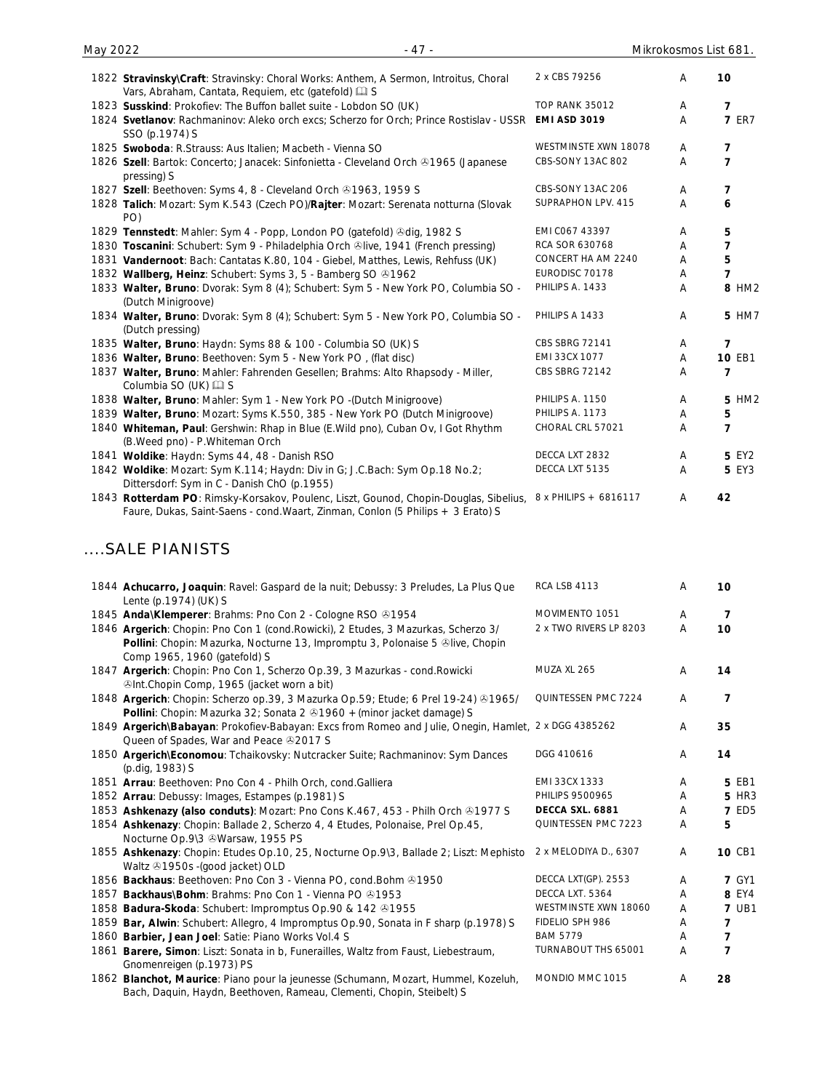**7** ER7

8 HM2

PHILIPS A 1433 A **5** HM7

| 1822 Stravinsky\Craft: Stravinsky: Choral Works: Anthem, A Sermon, Introitus, Choral<br>Vars, Abraham, Cantata, Requiem, etc (gatefold) [12] S | 2 x CBS 79256        | A | 10 |
|------------------------------------------------------------------------------------------------------------------------------------------------|----------------------|---|----|
| 1823 Susskind: Prokofiev: The Buffon ballet suite - Lobdon SO (UK)                                                                             | TOP RANK 35012       | A | 7  |
| 1824 Svetlanov: Rachmaninov: Aleko orch excs; Scherzo for Orch; Prince Rostislav - USSR<br>SSO (p.1974) S                                      | <b>EMI ASD 3019</b>  | Α |    |
| 1825 Swoboda: R.Strauss: Aus Italien; Macbeth - Vienna SO                                                                                      | WESTMINSTE XWN 18078 | A |    |
| 1826 Szell: Bartok: Concerto; Janacek: Sinfonietta - Cleveland Orch & 1965 (Japanese<br>pressing) S                                            | CBS-SONY 13AC 802    | A |    |
| 1827 Szell: Beethoven: Syms 4, 8 - Cleveland Orch 31963, 1959 S                                                                                | CBS-SONY 13AC 206    | A |    |
| 1828 Talich: Mozart: Sym K.543 (Czech PO)/Rajter: Mozart: Serenata notturna (Slovak<br>PO)                                                     | SUPRAPHON LPV. 415   | A |    |
| 1829 Tennstedt: Mahler: Sym 4 - Popp, London PO (gatefold) & dig, 1982 S                                                                       | EMI CO67 43397       | A | 5  |
| 1830 Toscanini: Schubert: Sym 9 - Philadelphia Orch &live, 1941 (French pressing)                                                              | RCA SOR 630768       | Α |    |
| 1831 Vandernoot: Bach: Cantatas K.80, 104 - Giebel, Matthes, Lewis, Rehfuss (UK)                                                               | CONCERT HA AM 2240   | A | 5  |
| 1832 Wallberg, Heinz: Schubert: Syms 3, 5 - Bamberg SO 01962                                                                                   | EURODISC 70178       | Α |    |
| 1833 Walter, Bruno: Dvorak: Sym 8 (4); Schubert: Sym 5 - New York PO, Columbia SO -                                                            | PHILIPS A. 1433      | A |    |

| (Dutch Minigroove)                                                                  |                       |   |               |
|-------------------------------------------------------------------------------------|-----------------------|---|---------------|
| 1834 Walter, Bruno: Dvorak: Sym 8 (4); Schubert: Sym 5 - New York PO, Columbia SO - | PHILIPS A 1433        | A | 5 HM          |
| (Dutch pressing)                                                                    |                       |   |               |
| 1835 Walter, Bruno: Haydn: Syms 88 & 100 - Columbia SO (UK) S                       | <b>CBS SBRG 72141</b> |   | 7             |
| 1836 Walter, Bruno: Beethoven: Sym 5 - New York PO, (flat disc)                     | EMI 33CX 1077         | A | <b>10 EB1</b> |
| 1837 Walter, Bruno: Mahler: Fahrenden Gesellen; Brahms: Alto Rhapsody - Miller,     | CBS SBRG 72142        | А |               |
| Columbia SO (UK) $\Box$ S                                                           |                       |   |               |

#### 1838 Walter, Bruno: Mahler: Sym 1 - New York PO -(Dutch Minigroove) PHILIPS A. 1150 A 5 HM2 1839 Walter, Bruno: Mozart: Syms K.550, 385 - New York PO (Dutch Minigroove) PHILIPS A. 1173 A 5 1840 **Whiteman, Paul**: Gershwin: Rhap in Blue (E.Wild pno), Cuban Ov, I Got Rhythm (B.Weed pno) - P.Whiteman Orch CHORAL CRL 57021 A **7** 1841 Woldike: Haydn: Syms 44, 48 - Danish RSO DECCA LXT 2832 A 5 EY2 1842 **Woldike**: Mozart: Sym K.114; Haydn: Div in G; J.C.Bach: Sym Op.18 No.2; Dittersdorf: Sym in C - Danish ChO (p.1955) DECCA LXT 5135 A **5** EY3

1843 **Rotterdam PO**: Rimsky-Korsakov, Poulenc, Liszt, Gounod, Chopin-Douglas, Sibelius, 8 x PHILIPS + 6816117 A 42 Faure, Dukas, Saint-Saens - cond.Waart, Zinman, Conlon (5 Philips + 3 Erato) S

### ....SALE PIANISTS

| 1844 Achucarro, Joaquin: Ravel: Gaspard de la nuit; Debussy: 3 Preludes, La Plus Que<br>Lente (p.1974) (UK) S                                                                                      | <b>RCA LSB 4113</b>    | A | 10             |
|----------------------------------------------------------------------------------------------------------------------------------------------------------------------------------------------------|------------------------|---|----------------|
| 1845 Anda\Klemperer: Brahms: Pno Con 2 - Cologne RSO ®1954                                                                                                                                         | MOVIMENTO 1051         | Α | 7              |
| 1846 Argerich: Chopin: Pno Con 1 (cond.Rowicki), 2 Etudes, 3 Mazurkas, Scherzo 3/<br>Pollini: Chopin: Mazurka, Nocturne 13, Impromptu 3, Polonaise 5 &live, Chopin<br>Comp 1965, 1960 (gatefold) S | 2 x TWO RIVERS LP 8203 | A | 10             |
| 1847 Argerich: Chopin: Pno Con 1, Scherzo Op.39, 3 Mazurkas - cond. Rowicki<br>@Int.Chopin Comp, 1965 (jacket worn a bit)                                                                          | MUZA XL 265            | A | 14             |
| 1848 Argerich: Chopin: Scherzo op.39, 3 Mazurka Op.59; Etude; 6 Prel 19-24) @1965/<br>Pollini: Chopin: Mazurka 32; Sonata 2 81960 + (minor jacket damage) S                                        | QUINTESSEN PMC 7224    | A | 7              |
| 1849 Argerich\Babayan: Prokofiev-Babayan: Excs from Romeo and Julie, Onegin, Hamlet, 2 x DGG 4385262<br>Queen of Spades, War and Peace 32017 S                                                     |                        | A | 35             |
| 1850 Argerich\Economou: Tchaikovsky: Nutcracker Suite; Rachmaninov: Sym Dances<br>(p.dig, 1983) S                                                                                                  | DGG 410616             | Α | 14             |
| 1851 Arrau: Beethoven: Pno Con 4 - Philh Orch, cond. Galliera                                                                                                                                      | EMI 33CX 1333          | Α | 5 EB1          |
| 1852 Arrau: Debussy: Images, Estampes (p.1981) S                                                                                                                                                   | PHILIPS 9500965        | A | <b>5 HR3</b>   |
| 1853 Ashkenazy (also conduts): Mozart: Pno Cons K.467, 453 - Philh Orch & 1977 S                                                                                                                   | DECCA SXL. 6881        | A | <b>7 ED5</b>   |
| 1854 Ashkenazy: Chopin: Ballade 2, Scherzo 4, 4 Etudes, Polonaise, Prel Op.45,<br>Nocturne Op.9\3 & Warsaw, 1955 PS                                                                                | QUINTESSEN PMC 7223    | Α | 5              |
| 1855 Ashkenazy: Chopin: Etudes Op.10, 25, Nocturne Op.9\3, Ballade 2; Liszt: Mephisto<br>Waltz & 1950s - (good jacket) OLD                                                                         | 2 x MELODIYA D., 6307  | A | 10 CB1         |
| 1856 Backhaus: Beethoven: Pno Con 3 - Vienna PO, cond. Bohm @1950                                                                                                                                  | DECCA LXT(GP). 2553    | A | <b>7 GY1</b>   |
| 1857 Backhaus\Bohm: Brahms: Pno Con 1 - Vienna PO 31953                                                                                                                                            | DECCA LXT. 5364        | A | 8 EY4          |
| 1858 Badura-Skoda: Schubert: Impromptus Op.90 & 142 @1955                                                                                                                                          | WESTMINSTE XWN 18060   | A | <b>7 UB1</b>   |
| 1859 Bar, Alwin: Schubert: Allegro, 4 Impromptus Op.90, Sonata in F sharp (p.1978) S                                                                                                               | FIDELIO SPH 986        | Α | $\overline{7}$ |
| 1860 Barbier, Jean Joel: Satie: Piano Works Vol.4 S                                                                                                                                                | <b>BAM 5779</b>        | A | $\overline{7}$ |
| 1861 Barere, Simon: Liszt: Sonata in b, Funerailles, Waltz from Faust, Liebestraum,<br>Gnomenreigen (p.1973) PS                                                                                    | TURNABOUT THS 65001    | A | $\overline{7}$ |
| 1862 Blanchot, Maurice: Piano pour la jeunesse (Schumann, Mozart, Hummel, Kozeluh,<br>Bach, Daquin, Haydn, Beethoven, Rameau, Clementi, Chopin, Steibelt) S                                        | MONDIO MMC 1015        | Α | 28             |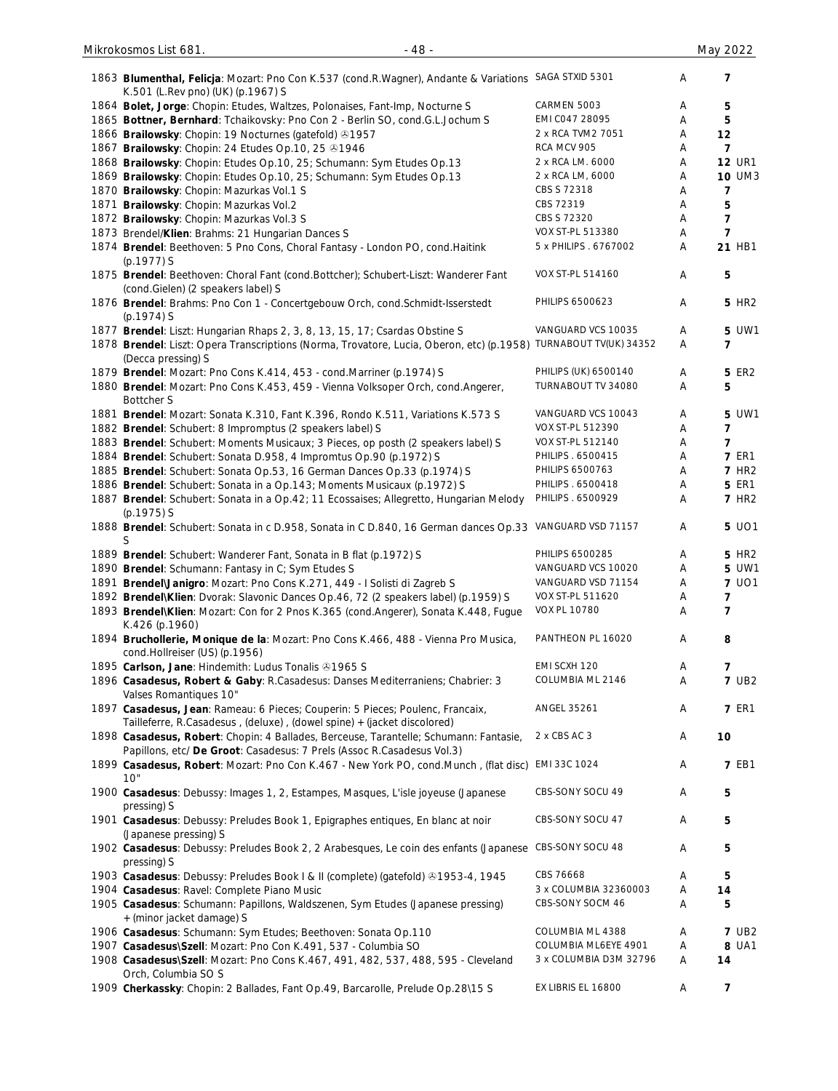| 1863 Blumenthal, Felicja: Mozart: Pno Con K.537 (cond.R.Wagner), Andante & Variations SAGA STXID 5301                                                           |                        | Α                         | 7                       |
|-----------------------------------------------------------------------------------------------------------------------------------------------------------------|------------------------|---------------------------|-------------------------|
| K.501 (L.Rev pno) (UK) (p.1967) S                                                                                                                               |                        |                           |                         |
| 1864 Bolet, Jorge: Chopin: Etudes, Waltzes, Polonaises, Fant-Imp, Nocturne S                                                                                    | CARMEN 5003            | Α                         | 5                       |
| 1865 Bottner, Bernhard: Tchaikovsky: Pno Con 2 - Berlin SO, cond.G.L.Jochum S                                                                                   | EMI CO47 28095         | Α                         | $5\phantom{.0}$         |
| 1866 Brailowsky: Chopin: 19 Nocturnes (gatefold) 31957                                                                                                          | 2 x RCA TVM2 7051      | Α                         | 12                      |
| 1867 Brailowsky: Chopin: 24 Etudes Op.10, 25 01946                                                                                                              | RCA MCV 905            | Α                         | $\overline{\mathbf{z}}$ |
| 1868 Brailowsky: Chopin: Etudes Op.10, 25; Schumann: Sym Etudes Op.13                                                                                           | 2 x RCA LM. 6000       | Α                         | <b>12 UR1</b>           |
| 1869 Brailowsky: Chopin: Etudes Op.10, 25; Schumann: Sym Etudes Op.13                                                                                           | 2 x RCA LM, 6000       | Α                         | <b>10 UM3</b>           |
| 1870 Brailowsky: Chopin: Mazurkas Vol.1 S                                                                                                                       | CBS S 72318            | Α                         | 7                       |
| 1871 Brailowsky: Chopin: Mazurkas Vol.2                                                                                                                         | CBS 72319              | Α                         | 5                       |
|                                                                                                                                                                 | CBS S 72320            |                           | $\overline{7}$          |
| 1872 Brailowsky: Chopin: Mazurkas Vol.3 S                                                                                                                       |                        | Α                         |                         |
| 1873 Brendel/Klien: Brahms: 21 Hungarian Dances S                                                                                                               | VOX ST-PL 513380       | Α                         | $\overline{7}$          |
| 1874 Brendel: Beethoven: 5 Pno Cons, Choral Fantasy - London PO, cond. Haitink<br>(p.1977) S                                                                    | 5 x PHILIPS . 6767002  | Α                         | 21 HB1                  |
| 1875 Brendel: Beethoven: Choral Fant (cond.Bottcher); Schubert-Liszt: Wanderer Fant<br>(cond.Gielen) (2 speakers label) S                                       | VOX ST-PL 514160       | Α                         | 5                       |
| 1876 Brendel: Brahms: Pno Con 1 - Concertgebouw Orch, cond. Schmidt-Isserstedt<br>(p.1974) S                                                                    | PHILIPS 6500623        | Α                         | <b>5 HR2</b>            |
| 1877 Brendel: Liszt: Hungarian Rhaps 2, 3, 8, 13, 15, 17; Csardas Obstine S                                                                                     | VANGUARD VCS 10035     | Α                         | 5 UW1                   |
| 1878 Brendel: Liszt: Opera Transcriptions (Norma, Trovatore, Lucia, Oberon, etc) (p.1958) TURNABOUT TV(UK) 34352<br>(Decca pressing) S                          |                        | Α                         | $\overline{7}$          |
| 1879 Brendel: Mozart: Pno Cons K.414, 453 - cond. Marriner (p.1974) S                                                                                           | PHILIPS (UK) 6500140   | Α                         | <b>5 ER2</b>            |
| 1880 Brendel: Mozart: Pno Cons K.453, 459 - Vienna Volksoper Orch, cond.Angerer,<br><b>Bottcher S</b>                                                           | TURNABOUT TV 34080     | Α                         | 5                       |
| 1881 Brendel: Mozart: Sonata K.310, Fant K.396, Rondo K.511, Variations K.573 S                                                                                 | VANGUARD VCS 10043     | Α                         | 5 UW1                   |
| 1882 Brendel: Schubert: 8 Impromptus (2 speakers label) S                                                                                                       | VOX ST-PL 512390       | Α                         | 7                       |
|                                                                                                                                                                 | VOX ST-PL 512140       |                           |                         |
| 1883 Brendel: Schubert: Moments Musicaux; 3 Pieces, op posth (2 speakers label) S                                                                               |                        | Α                         | $\overline{7}$          |
| 1884 Brendel: Schubert: Sonata D.958, 4 Impromtus Op.90 (p.1972) S                                                                                              | PHILIPS . 6500415      | Α                         | <b>7 ER1</b>            |
| 1885 Brendel: Schubert: Sonata Op.53, 16 German Dances Op.33 (p.1974) S                                                                                         | PHILIPS 6500763        | Α                         | <b>7 HR2</b>            |
| 1886 Brendel: Schubert: Sonata in a Op.143; Moments Musicaux (p.1972) S                                                                                         | PHILIPS . 6500418      | Α                         | <b>5 ER1</b>            |
| 1887 Brendel: Schubert: Sonata in a Op.42; 11 Ecossaises; Allegretto, Hungarian Melody<br>$(p.1975)$ S                                                          | PHILIPS . 6500929      | Α                         | <b>7 HR2</b>            |
| 1888 Brendel: Schubert: Sonata in c D.958, Sonata in C D.840, 16 German dances Op.33 VANGUARD VSD 71157<br>S                                                    |                        | Α                         | 5 UO1                   |
| 1889 Brendel: Schubert: Wanderer Fant, Sonata in B flat (p.1972) S                                                                                              | PHILIPS 6500285        | Α                         | <b>5 HR2</b>            |
| 1890 Brendel: Schumann: Fantasy in C; Sym Etudes S                                                                                                              | VANGUARD VCS 10020     | Α                         | 5 UW1                   |
| 1891 Brendel Janigro: Mozart: Pno Cons K.271, 449 - I Solisti di Zagreb S                                                                                       | VANGUARD VSD 71154     | Α                         | 7 UO1                   |
| 1892 Brendel\Klien: Dvorak: Slavonic Dances Op.46, 72 (2 speakers label) (p.1959) S                                                                             | VOX ST-PL 511620       | Α                         | $\overline{7}$          |
| 1893 Brendel\Klien: Mozart: Con for 2 Pnos K.365 (cond.Angerer), Sonata K.448, Fugue                                                                            | <b>VOX PL 10780</b>    | Α                         | 7                       |
| K.426 (p.1960)                                                                                                                                                  |                        |                           |                         |
| 1894 Bruchollerie, Monique de la: Mozart: Pno Cons K.466, 488 - Vienna Pro Musica,                                                                              | PANTHEON PL 16020      | Α                         | 8                       |
| cond.Hollreiser (US) (p.1956)                                                                                                                                   |                        |                           |                         |
|                                                                                                                                                                 | EMI SCXH 120           | Α                         | $\overline{7}$          |
| 1895 Carlson, Jane: Hindemith: Ludus Tonalis 31965 S                                                                                                            |                        |                           |                         |
| 1896 Casadesus, Robert & Gaby: R.Casadesus: Danses Mediterraniens; Chabrier: 3                                                                                  | COLUMBIA ML 2146       | Α                         | <b>7 UB2</b>            |
| Valses Romantiques 10"<br>1897 Casadesus, Jean: Rameau: 6 Pieces; Couperin: 5 Pieces; Poulenc, Francaix,                                                        | ANGEL 35261            | Α                         | <b>7 ER1</b>            |
| Tailleferre, R.Casadesus, (deluxe), (dowel spine) + (jacket discolored)                                                                                         |                        |                           |                         |
| 1898 Casadesus, Robert: Chopin: 4 Ballades, Berceuse, Tarantelle; Schumann: Fantasie,<br>Papillons, etc/ De Groot: Casadesus: 7 Prels (Assoc R.Casadesus Vol.3) | 2 x CBS AC 3           | Α                         | 10                      |
| 1899 Casadesus, Robert: Mozart: Pno Con K.467 - New York PO, cond.Munch, (flat disc) EMI 33C 1024<br>10"                                                        |                        | Α                         | <b>7 EB1</b>            |
| 1900 Casadesus: Debussy: Images 1, 2, Estampes, Masques, L'isle joyeuse (Japanese<br>pressing) S                                                                | CBS-SONY SOCU 49       | $\boldsymbol{\mathsf{A}}$ | 5                       |
| 1901 Casadesus: Debussy: Preludes Book 1, Epigraphes entiques, En blanc at noir<br>(Japanese pressing) S                                                        | CBS-SONY SOCU 47       | Α                         | 5                       |
| 1902 Casadesus: Debussy: Preludes Book 2, 2 Arabesques, Le coin des enfants (Japanese<br>pressing) S                                                            | CBS-SONY SOCU 48       | Α                         | 5                       |
| 1903 Casadesus: Debussy: Preludes Book I & II (complete) (gatefold) ®1953-4, 1945                                                                               | CBS 76668              | Α                         | 5                       |
| 1904 Casadesus: Ravel: Complete Piano Music                                                                                                                     | 3 x COLUMBIA 32360003  | Α                         | 14                      |
| 1905 Casadesus: Schumann: Papillons, Waldszenen, Sym Etudes (Japanese pressing)<br>+ (minor jacket damage) S                                                    | CBS-SONY SOCM 46       | Α                         | 5                       |
| 1906 Casadesus: Schumann: Sym Etudes; Beethoven: Sonata Op.110                                                                                                  | COLUMBIA ML 4388       | Α                         | <b>7 UB2</b>            |
| 1907 Casadesus\Szell: Mozart: Pno Con K.491, 537 - Columbia SO                                                                                                  | COLUMBIA ML6EYE 4901   | Α                         | 8 UA1                   |
|                                                                                                                                                                 | 3 x COLUMBIA D3M 32796 | Α                         |                         |
| 1908 Casadesus\Szell: Mozart: Pno Cons K.467, 491, 482, 537, 488, 595 - Cleveland                                                                               |                        |                           | 14                      |
| Orch, Columbia SO S                                                                                                                                             |                        |                           |                         |
| 1909 Cherkassky: Chopin: 2 Ballades, Fant Op.49, Barcarolle, Prelude Op.28\15 S                                                                                 | EX LIBRIS EL 16800     | Α                         | 7                       |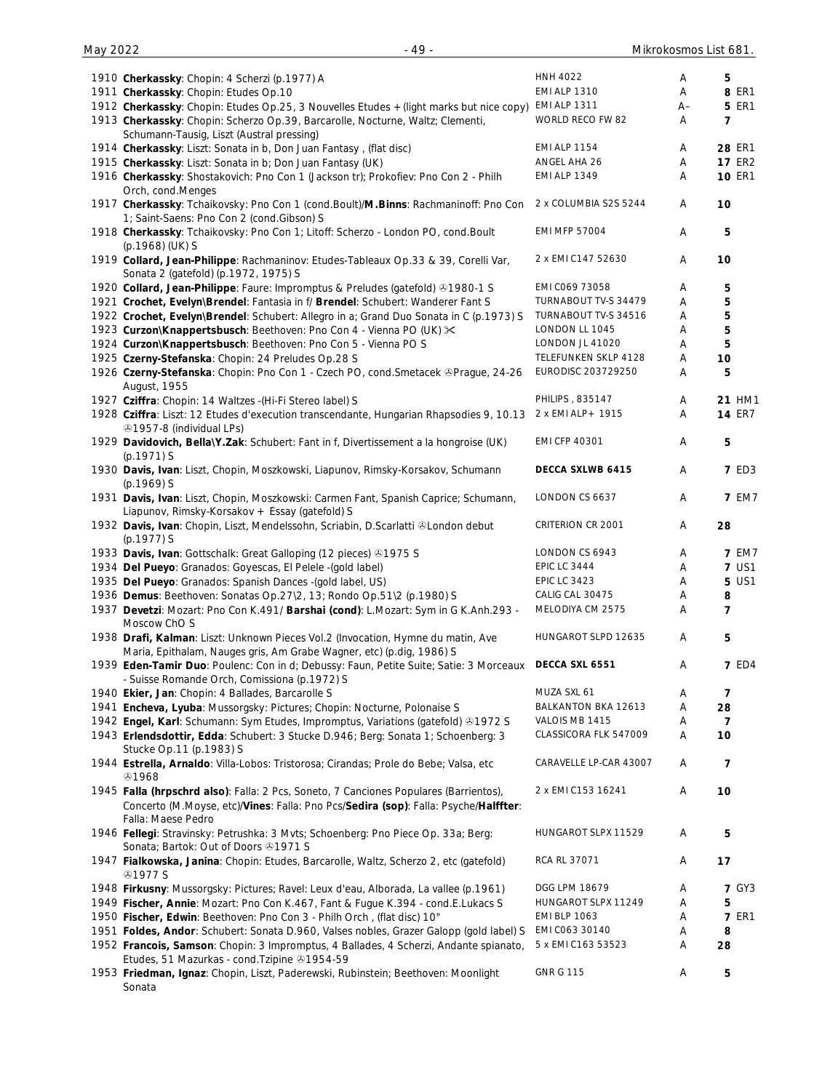| 1910 Cherkassky: Chopin: 4 Scherzi (p.1977) A                                           | <b>HNH 4022</b>        | Α  | 5              |
|-----------------------------------------------------------------------------------------|------------------------|----|----------------|
| 1911 Cherkassky: Chopin: Etudes Op.10                                                   | <b>EMI ALP 1310</b>    | A  | 8 ER1          |
| 1912 Cherkassky: Chopin: Etudes Op.25, 3 Nouvelles Etudes + (light marks but nice copy) | <b>EMI ALP 1311</b>    | A– | <b>5 ER1</b>   |
| 1913 Cherkassky: Chopin: Scherzo Op.39, Barcarolle, Nocturne, Waltz; Clementi,          | WORLD RECO FW 82       | A  | 7              |
| Schumann-Tausig, Liszt (Austral pressing)                                               |                        |    |                |
| 1914 Cherkassky: Liszt: Sonata in b, Don Juan Fantasy, (flat disc)                      | <b>EMI ALP 1154</b>    | Α  | 28 ER1         |
|                                                                                         | ANGEL AHA 26           |    |                |
| 1915 Cherkassky: Liszt: Sonata in b; Don Juan Fantasy (UK)                              |                        | Α  | <b>17 ER2</b>  |
| 1916 Cherkassky: Shostakovich: Pno Con 1 (Jackson tr); Prokofiev: Pno Con 2 - Philh     | <b>EMI ALP 1349</b>    | Α  | <b>10 ER1</b>  |
| Orch, cond.Menges                                                                       |                        |    |                |
| 1917 Cherkassky: Tchaikovsky: Pno Con 1 (cond.Boult)/M.Binns: Rachmaninoff: Pno Con     | 2 x COLUMBIA S2S 5244  | Α  | 10             |
| 1; Saint-Saens: Pno Con 2 (cond. Gibson) S                                              |                        |    |                |
| 1918 Cherkassky: Tchaikovsky: Pno Con 1; Litoff: Scherzo - London PO, cond. Boult       | <b>EMI MFP 57004</b>   | A  | 5              |
| (p.1968) (UK) S                                                                         |                        |    |                |
|                                                                                         | 2 x EMI C147 52630     |    |                |
| 1919 Collard, Jean-Philippe: Rachmaninov: Etudes-Tableaux Op.33 & 39, Corelli Var,      |                        | A  | 10             |
| Sonata 2 (gatefold) (p.1972, 1975) S                                                    |                        |    |                |
| 1920 Collard, Jean-Philippe: Faure: Impromptus & Preludes (gatefold) & 1980-1 S         | EMI C069 73058         | Α  | 5              |
| 1921 Crochet, Evelyn\Brendel: Fantasia in f/ Brendel: Schubert: Wanderer Fant S         | TURNABOUT TV-S 34479   | Α  | 5              |
| 1922 Crochet, Evelyn\Brendel: Schubert: Allegro in a; Grand Duo Sonata in C (p.1973) S  | TURNABOUT TV-S 34516   | Α  | 5              |
| 1923 Curzon\Knappertsbusch: Beethoven: Pno Con 4 - Vienna PO (UK) $\times$              | LONDON LL 1045         | Α  | 5              |
| 1924 Curzon\Knappertsbusch: Beethoven: Pno Con 5 - Vienna PO S                          | LONDON JL 41020        | Α  | 5              |
| 1925 Czerny-Stefanska: Chopin: 24 Preludes Op.28 S                                      | TELEFUNKEN SKLP 4128   | Α  | 10             |
|                                                                                         |                        |    |                |
| 1926 Czerny-Stefanska: Chopin: Pno Con 1 - Czech PO, cond. Smetacek & Prague, 24-26     | EURODISC 203729250     | Α  | 5              |
| August, 1955                                                                            |                        |    |                |
| 1927 Cziffra: Chopin: 14 Waltzes - (Hi-Fi Stereo label) S                               | PHILIPS, 835147        | Α  | 21 HM1         |
| 1928 Cziffra: Liszt: 12 Etudes d'execution transcendante, Hungarian Rhapsodies 9, 10.13 | 2 x EMI ALP+ 1915      | Α  | <b>14 ER7</b>  |
| ふ1957-8 (individual LPs)                                                                |                        |    |                |
| 1929 Davidovich, Bella\Y.Zak: Schubert: Fant in f, Divertissement a la hongroise (UK)   | <b>EMI CFP 40301</b>   | Α  | 5              |
| $(p.1971)$ S                                                                            |                        |    |                |
|                                                                                         | DECCA SXLWB 6415       | Α  | <b>7 ED3</b>   |
| 1930 Davis, Ivan: Liszt, Chopin, Moszkowski, Liapunov, Rimsky-Korsakov, Schumann        |                        |    |                |
| $(p.1969)$ S                                                                            |                        |    |                |
| 1931 Davis, Ivan: Liszt, Chopin, Moszkowski: Carmen Fant, Spanish Caprice; Schumann,    | LONDON CS 6637         | A  | <b>7 EM7</b>   |
| Liapunov, Rimsky-Korsakov + Essay (gatefold) S                                          |                        |    |                |
| 1932 Davis, Ivan: Chopin, Liszt, Mendelssohn, Scriabin, D.Scarlatti & London debut      | CRITERION CR 2001      | Α  | 28             |
| (p.1977) S                                                                              |                        |    |                |
| 1933 Davis, Ivan: Gottschalk: Great Galloping (12 pieces) 31975 S                       | LONDON CS 6943         | Α  | <b>7 EM7</b>   |
| 1934 Del Pueyo: Granados: Goyescas, El Pelele - (gold label)                            | <b>EPIC LC 3444</b>    | Α  | <b>7 US1</b>   |
|                                                                                         |                        |    |                |
| 1935 Del Pueyo: Granados: Spanish Dances - (gold label, US)                             | <b>EPIC LC 3423</b>    | Α  | 5 US1          |
| 1936 Demus: Beethoven: Sonatas Op.27\2, 13; Rondo Op.51\2 (p.1980) S                    | CALIG CAL 30475        | Α  | 8              |
| 1937 Devetzi: Mozart: Pno Con K.491/ Barshai (cond): L.Mozart: Sym in G K.Anh.293 -     | MELODIYA CM 2575       | A  | $\overline{7}$ |
| Moscow ChO S                                                                            |                        |    |                |
| 1938 Drafi, Kalman: Liszt: Unknown Pieces Vol.2 (Invocation, Hymne du matin, Ave        | HUNGAROT SLPD 12635    | Α  | 5              |
| Maria, Epithalam, Nauges gris, Am Grabe Wagner, etc) (p.dig, 1986) S                    |                        |    |                |
| 1939 Eden-Tamir Duo: Poulenc: Con in d; Debussy: Faun, Petite Suite; Satie: 3 Morceaux  | DECCA SXL 6551         | Α  | <b>7 ED4</b>   |
| - Suisse Romande Orch, Comissiona (p.1972) S                                            |                        |    |                |
|                                                                                         |                        |    |                |
| 1940 Ekier, Jan: Chopin: 4 Ballades, Barcarolle S                                       | MUZA SXL 61            | Α  | 7              |
| 1941 Encheva, Lyuba: Mussorgsky: Pictures; Chopin: Nocturne, Polonaise S                | BALKANTON BKA 12613    | Α  | 28             |
| 1942 Engel, Karl: Schumann: Sym Etudes, Impromptus, Variations (gatefold) ®1972 S       | VALOIS MB 1415         | Α  | $\overline{7}$ |
| 1943 Erlendsdottir, Edda: Schubert: 3 Stucke D.946; Berg: Sonata 1; Schoenberg: 3       | CLASSICORA FLK 547009  | Α  | 10             |
| Stucke Op.11 (p.1983) S                                                                 |                        |    |                |
| 1944 Estrella, Arnaldo: Villa-Lobos: Tristorosa; Cirandas; Prole do Bebe; Valsa, etc    | CARAVELLE LP-CAR 43007 | Α  | 7              |
| @1968                                                                                   |                        |    |                |
| 1945 Falla (hrpschrd also): Falla: 2 Pcs, Soneto, 7 Canciones Populares (Barrientos),   | 2 x EMI C153 16241     | Α  | 10             |
|                                                                                         |                        |    |                |
| Concerto (M.Moyse, etc)/Vines: Falla: Pno Pcs/Sedira (sop): Falla: Psyche/Halffter:     |                        |    |                |
| Falla: Maese Pedro                                                                      |                        |    |                |
| 1946 Fellegi: Stravinsky: Petrushka: 3 Mvts; Schoenberg: Pno Piece Op. 33a; Berg:       | HUNGAROT SLPX 11529    | A  | 5              |
| Sonata; Bartok: Out of Doors 21971 S                                                    |                        |    |                |
| 1947 Fialkowska, Janina: Chopin: Etudes, Barcarolle, Waltz, Scherzo 2, etc (gatefold)   | RCA RL 37071           | Α  | 17             |
| <b>⊕1977 S</b>                                                                          |                        |    |                |
| 1948 Firkusny: Mussorgsky: Pictures; Ravel: Leux d'eau, Alborada, La vallee (p.1961)    | DGG LPM 18679          | A  | <b>7 GY3</b>   |
|                                                                                         | HUNGAROT SLPX 11249    |    |                |
| 1949 Fischer, Annie: Mozart: Pno Con K.467, Fant & Fugue K.394 - cond.E.Lukacs S        |                        | Α  | 5              |
| 1950 Fischer, Edwin: Beethoven: Pno Con 3 - Philh Orch, (flat disc) 10"                 | <b>EMI BLP 1063</b>    | Α  | <b>7 ER1</b>   |
| 1951 Foldes, Andor: Schubert: Sonata D.960, Valses nobles, Grazer Galopp (gold label) S | EMI C063 30140         | A  | 8              |
| 1952 Francois, Samson: Chopin: 3 Impromptus, 4 Ballades, 4 Scherzi, Andante spianato,   | 5 x EMI C163 53523     | Α  | 28             |
| Etudes, 51 Mazurkas - cond. Tzipine 31954-59                                            |                        |    |                |
| 1953 Friedman, Ignaz: Chopin, Liszt, Paderewski, Rubinstein; Beethoven: Moonlight       | <b>GNR G 115</b>       | Α  | 5              |
| Sonata                                                                                  |                        |    |                |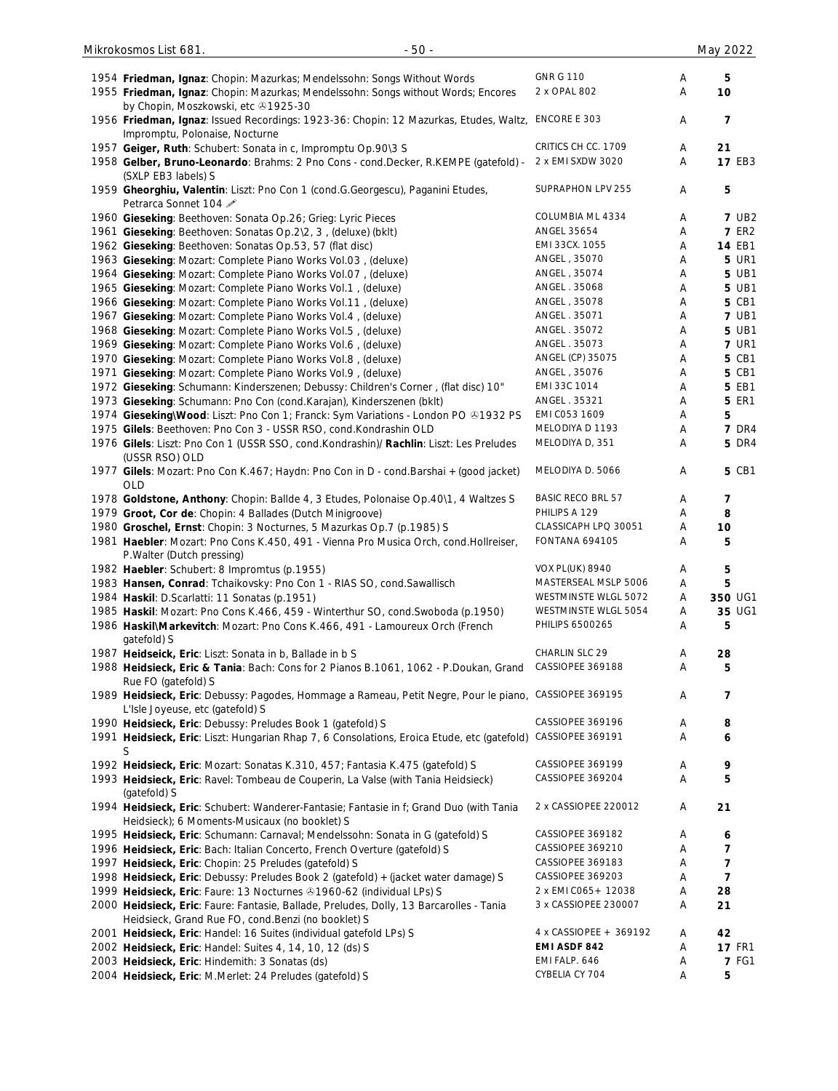| 1954 Friedman, Ignaz: Chopin: Mazurkas; Mendelssohn: Songs Without Words<br>1955 Friedman, Ignaz: Chopin: Mazurkas; Mendelssohn: Songs without Words; Encores | <b>GNR G 110</b><br>2 x OPAL 802 | Α<br>Α | 5<br>10        |
|---------------------------------------------------------------------------------------------------------------------------------------------------------------|----------------------------------|--------|----------------|
| by Chopin, Moszkowski, etc +1925-30<br>1956 Friedman, Ignaz: Issued Recordings: 1923-36: Chopin: 12 Mazurkas, Etudes, Waltz, ENCORE E 303                     |                                  | Α      | 7              |
| Impromptu, Polonaise, Nocturne                                                                                                                                |                                  |        |                |
| 1957 Geiger, Ruth: Schubert: Sonata in c, Impromptu Op.90\3 S                                                                                                 | CRITICS CH CC. 1709              | Α      | 21             |
| 1958 Gelber, Bruno-Leonardo: Brahms: 2 Pno Cons - cond.Decker, R.KEMPE (gatefold) -<br>(SXLP EB3 labels) S                                                    | 2 x EMI SXDW 3020                | Α      | 17 EB3         |
| 1959 Gheorghiu, Valentin: Liszt: Pno Con 1 (cond.G.Georgescu), Paganini Etudes,<br>Petrarca Sonnet 104                                                        | SUPRAPHON LPV 255                | Α      | 5              |
| 1960 Gieseking: Beethoven: Sonata Op.26; Grieg: Lyric Pieces                                                                                                  | COLUMBIA ML 4334                 | A      | <b>7 UB2</b>   |
| 1961 Gieseking: Beethoven: Sonatas Op.2\2, 3, (deluxe) (bklt)                                                                                                 | ANGEL 35654                      | A      | <b>7 ER2</b>   |
| 1962 Gieseking: Beethoven: Sonatas Op.53, 57 (flat disc)                                                                                                      | EMI 33CX. 1055                   | A      | 14 EB1         |
| 1963 Gieseking: Mozart: Complete Piano Works Vol.03, (deluxe)                                                                                                 | ANGEL, 35070                     | Α      | <b>5 UR1</b>   |
| 1964 Gieseking: Mozart: Complete Piano Works Vol.07, (deluxe)                                                                                                 | ANGEL, 35074                     | A      | <b>5 UB1</b>   |
| 1965 Gieseking: Mozart: Complete Piano Works Vol.1, (deluxe)                                                                                                  | ANGEL . 35068                    | Α      | 5 UB1          |
| 1966 Gieseking: Mozart: Complete Piano Works Vol.11, (deluxe)                                                                                                 | ANGEL, 35078                     | Α      | <b>5 CB1</b>   |
| 1967 Gieseking: Mozart: Complete Piano Works Vol.4, (deluxe)                                                                                                  | ANGEL . 35071                    | Α      | <b>7 UB1</b>   |
| 1968 Gieseking: Mozart: Complete Piano Works Vol.5, (deluxe)                                                                                                  | ANGEL . 35072                    | Α      | <b>5 UB1</b>   |
| 1969 Gieseking: Mozart: Complete Piano Works Vol.6, (deluxe)                                                                                                  | ANGEL . 35073                    | Α      | <b>7 UR1</b>   |
| 1970 Gieseking: Mozart: Complete Piano Works Vol.8, (deluxe)                                                                                                  | ANGEL (CP) 35075                 | A      | <b>5 CB1</b>   |
| 1971 Gieseking: Mozart: Complete Piano Works Vol.9, (deluxe)                                                                                                  | ANGEL, 35076                     | Α      | <b>5 CB1</b>   |
| 1972 Gieseking: Schumann: Kinderszenen; Debussy: Children's Corner, (flat disc) 10"                                                                           | EMI 33C 1014                     | Α      | <b>5 EB1</b>   |
| 1973 Gieseking: Schumann: Pno Con (cond.Karajan), Kinderszenen (bklt)                                                                                         | ANGEL . 35321                    | A      | <b>5 ER1</b>   |
| 1974 Gieseking\Wood: Liszt: Pno Con 1; Franck: Sym Variations - London PO & 1932 PS                                                                           | EMI C053 1609                    | Α      | 5              |
| 1975 Gilels: Beethoven: Pno Con 3 - USSR RSO, cond.Kondrashin OLD                                                                                             | MELODIYA D 1193                  | Α      | <b>7 DR4</b>   |
| 1976 Gilels: Liszt: Pno Con 1 (USSR SSO, cond.Kondrashin)/ Rachlin: Liszt: Les Preludes                                                                       | MELODIYA D, 351                  | A      | <b>5 DR4</b>   |
| (USSR RSO) OLD                                                                                                                                                |                                  |        |                |
| 1977 Gilels: Mozart: Pno Con K.467; Haydn: Pno Con in D - cond.Barshai + (good jacket)<br>OLD                                                                 | MELODIYA D. 5066                 | Α      | <b>5 CB1</b>   |
| 1978 Goldstone, Anthony: Chopin: Ballde 4, 3 Etudes, Polonaise Op.40\1, 4 Waltzes S                                                                           | <b>BASIC RECO BRL 57</b>         | A      | 7              |
| 1979 Groot, Cor de: Chopin: 4 Ballades (Dutch Minigroove)                                                                                                     | PHILIPS A 129                    | Α      | 8              |
| 1980 Groschel, Ernst: Chopin: 3 Nocturnes, 5 Mazurkas Op.7 (p.1985) S                                                                                         | CLASSICAPH LPQ 30051             | Α      | 10             |
| 1981 Haebler: Mozart: Pno Cons K.450, 491 - Vienna Pro Musica Orch, cond. Hollreiser,<br>P. Walter (Dutch pressing)                                           | <b>FONTANA 694105</b>            | Α      | 5              |
| 1982 Haebler: Schubert: 8 Impromtus (p.1955)                                                                                                                  | <b>VOX PL(UK) 8940</b>           | A      | 5              |
| 1983 Hansen, Conrad: Tchaikovsky: Pno Con 1 - RIAS SO, cond.Sawallisch                                                                                        | MASTERSEAL MSLP 5006             | Α      | 5              |
| 1984 Haskil: D.Scarlatti: 11 Sonatas (p.1951)                                                                                                                 | WESTMINSTE WLGL 5072             | A      | 350 UG1        |
| 1985 Haskil: Mozart: Pno Cons K.466, 459 - Winterthur SO, cond. Swoboda (p.1950)                                                                              | WESTMINSTE WLGL 5054             | Α      | 35 UG1         |
| 1986 Haskil\Markevitch: Mozart: Pno Cons K.466, 491 - Lamoureux Orch (French<br>gatefold) S                                                                   | PHILIPS 6500265                  | A      | 5              |
| 1987 Heidseick, Eric: Liszt: Sonata in b, Ballade in b S                                                                                                      | CHARLIN SLC 29                   | A      | 28             |
| 1988 Heidsieck, Eric & Tania: Bach: Cons for 2 Pianos B.1061, 1062 - P.Doukan, Grand<br>Rue FO (gatefold) S                                                   | CASSIOPEE 369188                 | Α      | 5              |
| 1989 Heidsieck, Eric: Debussy: Pagodes, Hommage a Rameau, Petit Negre, Pour le piano, CASSIOPEE 369195<br>L'Isle Joyeuse, etc (gatefold) S                    |                                  | A      | 7              |
| 1990 Heidsieck, Eric: Debussy: Preludes Book 1 (gatefold) S                                                                                                   | CASSIOPEE 369196                 | Α      | 8              |
| 1991 Heidsieck, Eric: Liszt: Hungarian Rhap 7, 6 Consolations, Eroica Etude, etc (gatefold)<br>S                                                              | CASSIOPEE 369191                 | Α      | 6              |
| 1992 Heidsieck, Eric: Mozart: Sonatas K.310, 457; Fantasia K.475 (gatefold) S                                                                                 | CASSIOPEE 369199                 | A      | 9              |
| 1993 Heidsieck, Eric: Ravel: Tombeau de Couperin, La Valse (with Tania Heidsieck)<br>(gatefold) S                                                             | CASSIOPEE 369204                 | Α      | 5              |
| 1994 Heidsieck, Eric: Schubert: Wanderer-Fantasie; Fantasie in f; Grand Duo (with Tania<br>Heidsieck); 6 Moments-Musicaux (no booklet) S                      | 2 x CASSIOPEE 220012             | Α      | 21             |
| 1995 Heidsieck, Eric: Schumann: Carnaval; Mendelssohn: Sonata in G (gatefold) S                                                                               | CASSIOPEE 369182                 | A      | 6              |
| 1996 Heidsieck, Eric: Bach: Italian Concerto, French Overture (gatefold) S                                                                                    | CASSIOPEE 369210                 | A      | 7              |
| 1997 Heidsieck, Eric: Chopin: 25 Preludes (gatefold) S                                                                                                        | CASSIOPEE 369183                 | A      | $\overline{7}$ |
| 1998 Heidsieck, Eric: Debussy: Preludes Book 2 (gatefold) + (jacket water damage) S                                                                           | CASSIOPEE 369203                 | A      | 7              |
| 1999 Heidsieck, Eric: Faure: 13 Nocturnes 81960-62 (individual LPs) S                                                                                         | 2 x EMI C065 + 12038             | A      | 28             |
| 2000 Heidsieck, Eric: Faure: Fantasie, Ballade, Preludes, Dolly, 13 Barcarolles - Tania                                                                       | 3 x CASSIOPEE 230007             | A      | 21             |
| Heidsieck, Grand Rue FO, cond. Benzi (no booklet) S                                                                                                           |                                  |        |                |
| 2001 Heidsieck, Eric: Handel: 16 Suites (individual gatefold LPs) S                                                                                           | 4 x CASSIOPEE + 369192           | A      | 42             |
| 2002 Heidsieck, Eric: Handel: Suites 4, 14, 10, 12 (ds) S                                                                                                     | EMI ASDF 842                     | Α      | <b>17 FR1</b>  |
| 2003 Heidsieck, Eric: Hindemith: 3 Sonatas (ds)                                                                                                               | EMI FALP. 646                    | Α      | <b>7 FG1</b>   |
| 2004 Heidsieck, Eric: M.Merlet: 24 Preludes (gatefold) S                                                                                                      | CYBELIA CY 704                   | A      | 5              |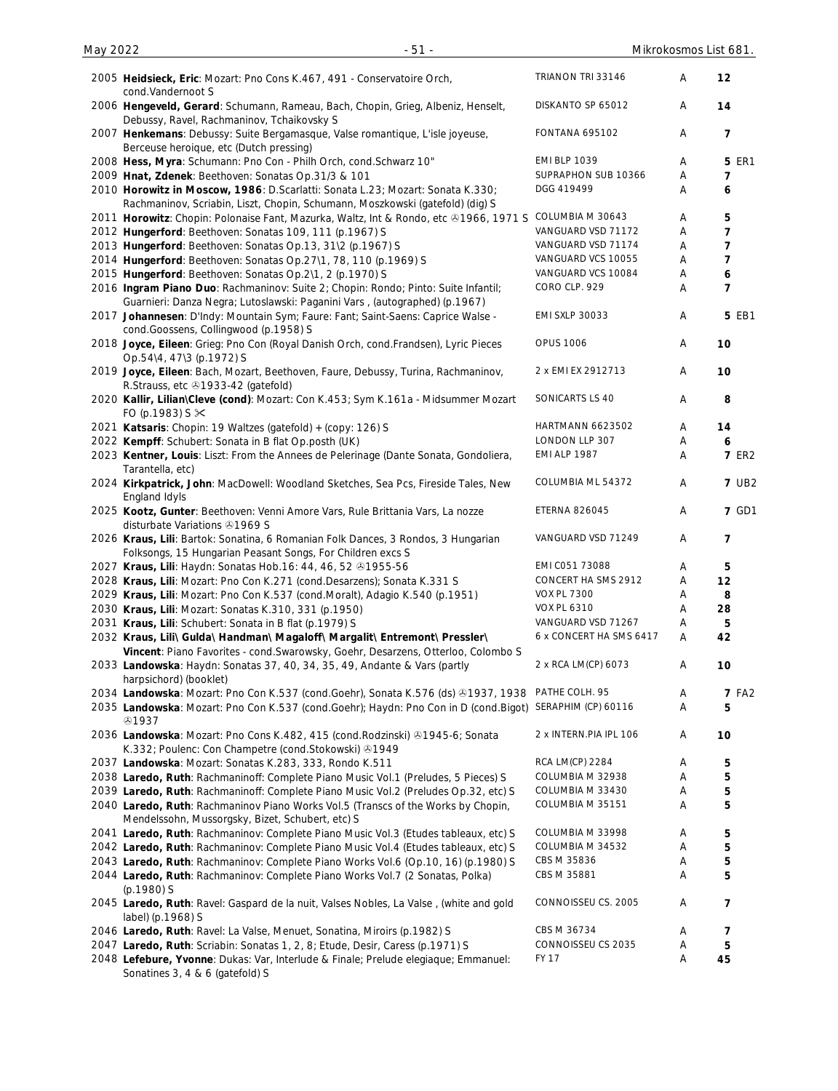| 2005 Heidsieck, Eric: Mozart: Pno Cons K.467, 491 - Conservatoire Orch,<br>cond.Vandernoot S                                                                   | TRIANON TRI 33146       | Α | 12             |
|----------------------------------------------------------------------------------------------------------------------------------------------------------------|-------------------------|---|----------------|
| 2006 Hengeveld, Gerard: Schumann, Rameau, Bach, Chopin, Grieg, Albeniz, Henselt,<br>Debussy, Ravel, Rachmaninov, Tchaikovsky S                                 | DISKANTO SP 65012       | Α | 14             |
| 2007 Henkemans: Debussy: Suite Bergamasque, Valse romantique, L'isle joyeuse,<br>Berceuse heroique, etc (Dutch pressing)                                       | <b>FONTANA 695102</b>   | Α | 7              |
| 2008 Hess, Myra: Schumann: Pno Con - Philh Orch, cond. Schwarz 10"                                                                                             | <b>EMI BLP 1039</b>     | Α | <b>5 ER1</b>   |
| 2009 Hnat, Zdenek: Beethoven: Sonatas Op.31/3 & 101                                                                                                            | SUPRAPHON SUB 10366     | Α | 7              |
| 2010 Horowitz in Moscow, 1986: D.Scarlatti: Sonata L.23; Mozart: Sonata K.330;                                                                                 | DGG 419499              | Α | 6              |
| Rachmaninov, Scriabin, Liszt, Chopin, Schumann, Moszkowski (gatefold) (dig) S                                                                                  |                         |   |                |
| 2011 Horowitz: Chopin: Polonaise Fant, Mazurka, Waltz, Int & Rondo, etc & 1966, 1971 S                                                                         | COLUMBIA M 30643        | Α | 5              |
| 2012 Hungerford: Beethoven: Sonatas 109, 111 (p.1967) S                                                                                                        | VANGUARD VSD 71172      | Α | $\overline{7}$ |
| 2013 Hungerford: Beethoven: Sonatas Op.13, 31\2 (p.1967) S                                                                                                     | VANGUARD VSD 71174      | Α | $\overline{7}$ |
| 2014 Hungerford: Beethoven: Sonatas Op.27\1, 78, 110 (p.1969) S                                                                                                | VANGUARD VCS 10055      | Α | 7              |
| 2015 Hungerford: Beethoven: Sonatas Op.2\1, 2 (p.1970) S                                                                                                       | VANGUARD VCS 10084      | Α | 6              |
| 2016 Ingram Piano Duo: Rachmaninov: Suite 2; Chopin: Rondo; Pinto: Suite Infantil;                                                                             | CORO CLP. 929           | Α | $\overline{7}$ |
| Guarnieri: Danza Negra; Lutoslawski: Paganini Vars, (autographed) (p.1967)<br>2017 Johannesen: D'Indy: Mountain Sym; Faure: Fant; Saint-Saens: Caprice Walse - | <b>EMI SXLP 30033</b>   | A | <b>5 EB1</b>   |
| cond.Goossens, Collingwood (p.1958) S<br>2018 Joyce, Eileen: Grieg: Pno Con (Royal Danish Orch, cond.Frandsen), Lyric Pieces                                   | <b>OPUS 1006</b>        | Α | 10             |
| Op.54\4, 47\3 (p.1972) S                                                                                                                                       |                         |   |                |
| 2019 Joyce, Eileen: Bach, Mozart, Beethoven, Faure, Debussy, Turina, Rachmaninov,<br>R.Strauss, etc 31933-42 (gatefold)                                        | 2 x EMI EX 2912713      | Α | 10             |
| 2020 Kallir, Lilian\Cleve (cond): Mozart: Con K.453; Sym K.161a - Midsummer Mozart<br>FO (p.1983) S $\times$                                                   | SONICARTS LS 40         | Α | 8              |
| 2021 Katsaris: Chopin: 19 Waltzes (gatefold) + (copy: 126) S                                                                                                   | <b>HARTMANN 6623502</b> | A | 14             |
| 2022 Kempff: Schubert: Sonata in B flat Op.posth (UK)                                                                                                          | LONDON LLP 307          | Α | 6              |
| 2023 Kentner, Louis: Liszt: From the Annees de Pelerinage (Dante Sonata, Gondoliera,<br>Tarantella, etc)                                                       | <b>EMI ALP 1987</b>     | Α | <b>7 ER2</b>   |
| 2024 Kirkpatrick, John: MacDowell: Woodland Sketches, Sea Pcs, Fireside Tales, New<br>England Idyls                                                            | COLUMBIA ML 54372       | Α | <b>7 UB2</b>   |
| 2025 Kootz, Gunter: Beethoven: Venni Amore Vars, Rule Brittania Vars, La nozze                                                                                 | <b>ETERNA 826045</b>    | Α | 7 GD1          |
| disturbate Variations 31969 S<br>2026 Kraus, Lili: Bartok: Sonatina, 6 Romanian Folk Dances, 3 Rondos, 3 Hungarian                                             | VANGUARD VSD 71249      | A | 7              |
| Folksongs, 15 Hungarian Peasant Songs, For Children excs S                                                                                                     | EMI C051 73088          |   |                |
| 2027 Kraus, Lili: Haydn: Sonatas Hob.16: 44, 46, 52 01955-56                                                                                                   | CONCERT HA SMS 2912     | Α | 5              |
| 2028 Kraus, Lili: Mozart: Pno Con K.271 (cond.Desarzens); Sonata K.331 S                                                                                       |                         | Α | 12             |
| 2029 Kraus, Lili: Mozart: Pno Con K.537 (cond.Moralt), Adagio K.540 (p.1951)                                                                                   | VOX PL 7300             | Α | 8              |
| 2030 Kraus, Lili: Mozart: Sonatas K.310, 331 (p.1950)                                                                                                          | <b>VOX PL 6310</b>      | A | 28             |
| 2031 Kraus, Lili: Schubert: Sonata in B flat (p.1979) S                                                                                                        | VANGUARD VSD 71267      | Α | 5              |
| 2032 Kraus, Lili\ Gulda\ Handman\ Magaloff\ Margalit\ Entremont\ Pressler\                                                                                     | 6 x CONCERT HA SMS 6417 | A | 42             |
| Vincent: Piano Favorites - cond. Swarowsky, Goehr, Desarzens, Otterloo, Colombo S                                                                              |                         |   |                |
| 2033 Landowska: Haydn: Sonatas 37, 40, 34, 35, 49, Andante & Vars (partly<br>harpsichord) (booklet)                                                            | 2 x RCA LM(CP) 6073     | A | 10             |
| 2034 Landowska: Mozart: Pno Con K.537 (cond.Goehr), Sonata K.576 (ds) @1937, 1938                                                                              | PATHE COLH. 95          | A | <b>7 FA2</b>   |
| 2035 Landowska: Mozart: Pno Con K.537 (cond.Goehr); Haydn: Pno Con in D (cond.Bigot)<br>\$1937                                                                 | SERAPHIM (CP) 60116     | Α | 5              |
| 2036 Landowska: Mozart: Pno Cons K.482, 415 (cond. Rodzinski) 21945-6; Sonata<br>K.332; Poulenc: Con Champetre (cond.Stokowski) 31949                          | 2 x INTERN.PIA IPL 106  | A | 10             |
| 2037 Landowska: Mozart: Sonatas K.283, 333, Rondo K.511                                                                                                        | RCA LM(CP) 2284         | Α | 5              |
| 2038 Laredo, Ruth: Rachmaninoff: Complete Piano Music Vol.1 (Preludes, 5 Pieces) S                                                                             | COLUMBIA M 32938        | Α | 5              |
| 2039 Laredo, Ruth: Rachmaninoff: Complete Piano Music Vol.2 (Preludes Op.32, etc) S                                                                            | COLUMBIA M 33430        | Α | 5              |
| 2040 Laredo, Ruth: Rachmaninov Piano Works Vol.5 (Transcs of the Works by Chopin,<br>Mendelssohn, Mussorgsky, Bizet, Schubert, etc) S                          | COLUMBIA M 35151        | Α | 5              |
| 2041 Laredo, Ruth: Rachmaninov: Complete Piano Music Vol.3 (Etudes tableaux, etc) S                                                                            | COLUMBIA M 33998        | Α | 5              |
| 2042 Laredo, Ruth: Rachmaninov: Complete Piano Music Vol.4 (Etudes tableaux, etc) S                                                                            | COLUMBIA M 34532        | Α | 5              |
| 2043 Laredo, Ruth: Rachmaninov: Complete Piano Works Vol.6 (Op.10, 16) (p.1980) S                                                                              | CBS M 35836             | A | 5              |
| 2044 Laredo, Ruth: Rachmaninov: Complete Piano Works Vol.7 (2 Sonatas, Polka)                                                                                  | CBS M 35881             | Α | 5              |
| (p.1980) S                                                                                                                                                     |                         |   |                |
| 2045 Laredo, Ruth: Ravel: Gaspard de la nuit, Valses Nobles, La Valse, (white and gold<br>label) (p.1968) S                                                    | CONNOISSEU CS. 2005     | A | 7              |
| 2046 Laredo, Ruth: Ravel: La Valse, Menuet, Sonatina, Miroirs (p.1982) S                                                                                       | CBS M 36734             | Α | 7              |
| 2047 Laredo, Ruth: Scriabin: Sonatas 1, 2, 8; Etude, Desir, Caress (p.1971) S                                                                                  | CONNOISSEU CS 2035      | A | 5              |
| 2048 Lefebure, Yvonne: Dukas: Var, Interlude & Finale; Prelude elegiaque; Emmanuel:<br>Sonatines 3, 4 & 6 (gatefold) S                                         | <b>FY 17</b>            | A | 45             |
|                                                                                                                                                                |                         |   |                |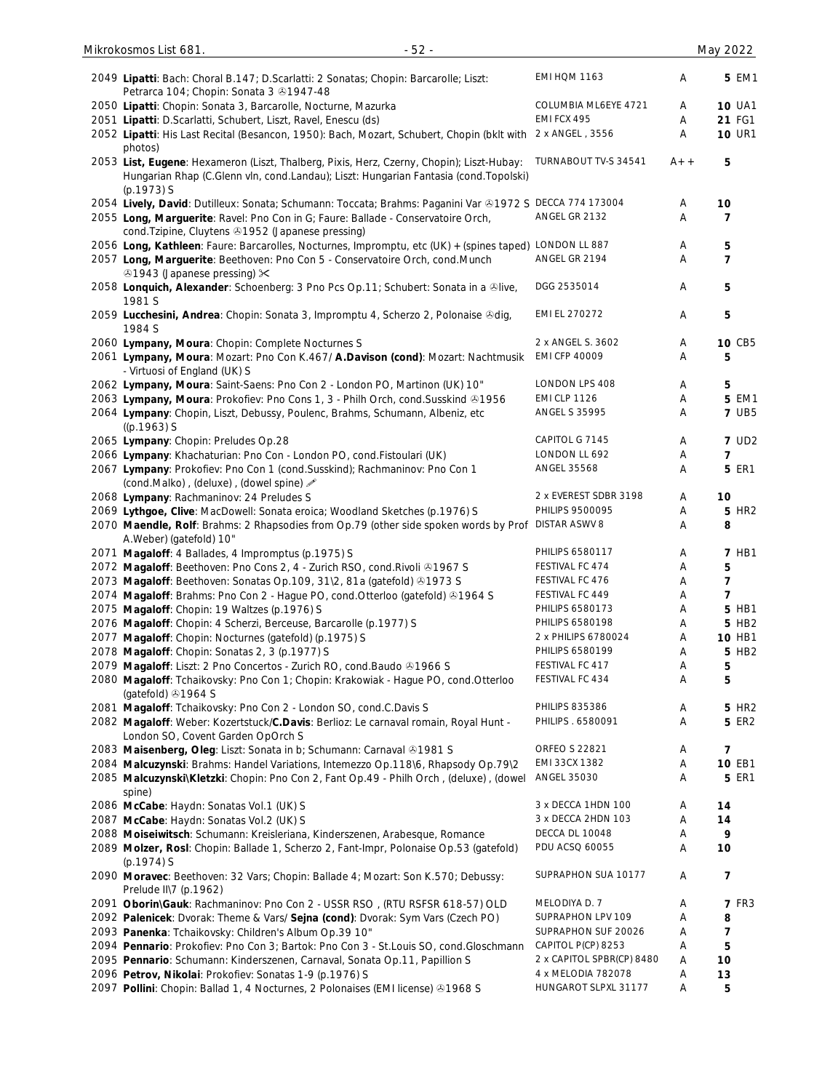| $-52-$<br>Mikrokosmos List 681.                                                                                                                                                                 |                                        |        | May 2022                    |
|-------------------------------------------------------------------------------------------------------------------------------------------------------------------------------------------------|----------------------------------------|--------|-----------------------------|
| 2049 Lipatti: Bach: Choral B.147; D.Scarlatti: 2 Sonatas; Chopin: Barcarolle; Liszt:<br>Petrarca 104; Chopin: Sonata 3 31947-48                                                                 | EMI HOM 1163                           | Α      | <b>5 EM1</b>                |
| 2050 Lipatti: Chopin: Sonata 3, Barcarolle, Nocturne, Mazurka                                                                                                                                   | COLUMBIA ML6EYE 4721                   | A      | <b>10 UA1</b>               |
| 2051 Lipatti: D.Scarlatti, Schubert, Liszt, Ravel, Enescu (ds)                                                                                                                                  | EMI FCX 495                            | A      | 21 FG1                      |
| 2052 Lipatti: His Last Recital (Besancon, 1950): Bach, Mozart, Schubert, Chopin (bklt with 2 x ANGEL, 3556<br>photos)                                                                           |                                        | A      | <b>10 UR1</b>               |
| 2053 List, Eugene: Hexameron (Liszt, Thalberg, Pixis, Herz, Czerny, Chopin); Liszt-Hubay:<br>Hungarian Rhap (C.Glenn vln, cond.Landau); Liszt: Hungarian Fantasia (cond.Topolski)<br>(p.1973) S | TURNABOUT TV-S 34541                   | $A++$  | 5                           |
| 2054 Lively, David: Dutilleux: Sonata; Schumann: Toccata; Brahms: Paganini Var & 1972 S DECCA 774 173004                                                                                        |                                        | Α      | 10                          |
| 2055 Long, Marguerite: Ravel: Pno Con in G; Faure: Ballade - Conservatoire Orch,<br>cond. Tzipine, Cluytens 21952 (Japanese pressing)                                                           | ANGEL GR 2132                          | A      | 7                           |
| 2056 Long, Kathleen: Faure: Barcarolles, Nocturnes, Impromptu, etc (UK) + (spines taped) LONDON LL 887                                                                                          |                                        | A      | 5                           |
| 2057 Long, Marguerite: Beethoven: Pno Con 5 - Conservatoire Orch, cond.Munch<br><b>⊕1943 (Japanese pressing) <math>×</math></b>                                                                 | ANGEL GR 2194                          | Α      | $\overline{7}$              |
| 2058 Lonquich, Alexander: Schoenberg: 3 Pno Pcs Op.11; Schubert: Sonata in a ®live,<br>1981 S                                                                                                   | DGG 2535014                            | Α      | 5                           |
| 2059 Lucchesini, Andrea: Chopin: Sonata 3, Impromptu 4, Scherzo 2, Polonaise Ddig,<br>1984 S                                                                                                    | EMI EL 270272                          | Α      | 5                           |
| 2060 Lympany, Moura: Chopin: Complete Nocturnes S                                                                                                                                               | 2 x ANGEL S. 3602                      | Α      | 10 CB5                      |
| 2061 Lympany, Moura: Mozart: Pno Con K.467/ A.Davison (cond): Mozart: Nachtmusik<br>- Virtuosi of England (UK) S                                                                                | <b>EMI CFP 40009</b>                   | A      | 5                           |
| 2062 Lympany, Moura: Saint-Saens: Pno Con 2 - London PO, Martinon (UK) 10"                                                                                                                      | LONDON LPS 408                         | Α      | 5                           |
| 2063 Lympany, Moura: Prokofiev: Pno Cons 1, 3 - Philh Orch, cond. Susskind & 1956                                                                                                               | <b>EMI CLP 1126</b>                    | A      | 5 EM1                       |
| 2064 Lympany: Chopin, Liszt, Debussy, Poulenc, Brahms, Schumann, Albeniz, etc<br>$((p.1963)$ S                                                                                                  | <b>ANGEL S 35995</b>                   | A      | <b>7 UB5</b>                |
| 2065 Lympany: Chopin: Preludes Op.28                                                                                                                                                            | CAPITOL G 7145                         | Α      | <b>7 UD2</b>                |
| 2066 Lympany: Khachaturian: Pno Con - London PO, cond. Fistoulari (UK)                                                                                                                          | LONDON LL 692                          | Α      | $\overline{7}$              |
| 2067 Lympany: Prokofiev: Pno Con 1 (cond.Susskind); Rachmaninov: Pno Con 1<br>(cond.Malko), (deluxe), (dowel spine) »                                                                           | <b>ANGEL 35568</b>                     | A      | <b>5 ER1</b>                |
| 2068 Lympany: Rachmaninov: 24 Preludes S                                                                                                                                                        | 2 x EVEREST SDBR 3198                  | A      | 10                          |
| 2069 Lythgoe, Clive: MacDowell: Sonata eroica; Woodland Sketches (p.1976) S                                                                                                                     | <b>PHILIPS 9500095</b>                 | Α      | <b>5 HR2</b>                |
| 2070 Maendle, Rolf: Brahms: 2 Rhapsodies from Op.79 (other side spoken words by Prof<br>A.Weber) (gatefold) 10"                                                                                 | <b>DISTAR ASWV 8</b>                   | Α      | 8                           |
| 2071 Magaloff: 4 Ballades, 4 Impromptus (p.1975) S                                                                                                                                              | PHILIPS 6580117                        | Α      | <b>7 HB1</b>                |
| 2072 Magaloff: Beethoven: Pno Cons 2, 4 - Zurich RSO, cond. Rivoli @1967 S                                                                                                                      | FESTIVAL FC 474                        | Α      | 5                           |
| 2073 Magaloff: Beethoven: Sonatas Op.109, 31\2, 81a (gatefold) 31973 S                                                                                                                          | FESTIVAL FC 476                        | A      | 7                           |
| 2074 Magaloff: Brahms: Pno Con 2 - Hague PO, cond.Otterloo (gatefold) & 1964 S                                                                                                                  | FESTIVAL FC 449                        | Α      | 7                           |
| 2075 Magaloff: Chopin: 19 Waltzes (p.1976) S                                                                                                                                                    | PHILIPS 6580173                        | A      | 5 HB1                       |
| 2076 Magaloff: Chopin: 4 Scherzi, Berceuse, Barcarolle (p.1977) S                                                                                                                               | PHILIPS 6580198                        | A      | 5 HB2                       |
| 2077 Magaloff: Chopin: Nocturnes (gatefold) (p.1975) S                                                                                                                                          | 2 x PHILIPS 6780024<br>PHILIPS 6580199 | A      | 10 HB1<br>5 HB <sub>2</sub> |
| 2078 Magaloff: Chopin: Sonatas 2, 3 (p.1977) S                                                                                                                                                  | FESTIVAL FC 417                        | A      |                             |
| 2079 Magaloff: Liszt: 2 Pno Concertos - Zurich RO, cond. Baudo @1966 S<br>2080 Magaloff: Tchaikovsky: Pno Con 1; Chopin: Krakowiak - Hague PO, cond.Otterloo<br>(gatefold) 31964 S              | FESTIVAL FC 434                        | A<br>Α | 5<br>5                      |
| 2081 Magaloff: Tchaikovsky: Pno Con 2 - London SO, cond.C.Davis S                                                                                                                               | <b>PHILIPS 835386</b>                  | A      | 5 HR <sub>2</sub>           |
| 2082 Magaloff: Weber: Kozertstuck/C.Davis: Berlioz: Le carnaval romain, Royal Hunt -<br>London SO, Covent Garden OpOrch S                                                                       | PHILIPS . 6580091                      | Α      | <b>5 ER2</b>                |
| 2083 Maisenberg, Oleg: Liszt: Sonata in b; Schumann: Carnaval @1981 S                                                                                                                           | <b>ORFEO S 22821</b>                   | Α      | 7                           |
| 2084 Malcuzynski: Brahms: Handel Variations, Intemezzo Op.118\6, Rhapsody Op.79\2                                                                                                               | EMI 33CX 1382                          | Α      | 10 EB1                      |
| 2085 Malcuzynski\Kletzki: Chopin: Pno Con 2, Fant Op.49 - Philh Orch, (deluxe), (dowel<br>spine)                                                                                                | ANGEL 35030                            | Α      | <b>5 ER1</b>                |
| 2086 McCabe: Haydn: Sonatas Vol.1 (UK) S                                                                                                                                                        | 3 x DECCA 1HDN 100                     | A      | 14                          |
| 2087 McCabe: Haydn: Sonatas Vol.2 (UK) S                                                                                                                                                        | 3 x DECCA 2HDN 103                     | Α      | 14                          |
| 2088 Moiseiwitsch: Schumann: Kreisleriana, Kinderszenen, Arabesque, Romance                                                                                                                     | DECCA DL 10048                         | A      | 9                           |
| 2089 Molzer, Rosl: Chopin: Ballade 1, Scherzo 2, Fant-Impr, Polonaise Op.53 (gatefold)<br>$(p.1974)$ S                                                                                          | PDU ACSQ 60055                         | Α      | 10                          |
| 2090 Moravec: Beethoven: 32 Vars; Chopin: Ballade 4; Mozart: Son K.570; Debussy:<br>Prelude II\7 (p.1962)                                                                                       | SUPRAPHON SUA 10177                    | Α      | 7                           |
| 2091 Oborin\Gauk: Rachmaninov: Pno Con 2 - USSR RSO, (RTU RSFSR 618-57) OLD                                                                                                                     | MELODIYA D. 7                          | A      | <b>7 FR3</b>                |
| 2092 Palenicek: Dvorak: Theme & Vars/ Sejna (cond): Dvorak: Sym Vars (Czech PO)                                                                                                                 | SUPRAPHON LPV 109                      | Α      | 8                           |
| 2093 Panenka: Tchaikovsky: Children's Album Op.39 10"                                                                                                                                           | SUPRAPHON SUF 20026                    | A      | 7                           |
| 2094 Pennario: Prokofiev: Pno Con 3; Bartok: Pno Con 3 - St.Louis SO, cond.Gloschmann                                                                                                           | CAPITOL P(CP) 8253                     | A      | 5                           |
| 2095 Pennario: Schumann: Kinderszenen, Carnaval, Sonata Op.11, Papillion S                                                                                                                      | 2 x CAPITOL SPBR(CP) 8480              | A      | 10                          |
| 2096 Petrov, Nikolai: Prokofiev: Sonatas 1-9 (p.1976) S                                                                                                                                         | 4 x MELODIA 782078                     | A      | 13                          |
| 2097 Pollini: Chopin: Ballad 1, 4 Nocturnes, 2 Polonaises (EMI license) & 1968 S                                                                                                                | HUNGAROT SLPXL 31177                   | A      | 5                           |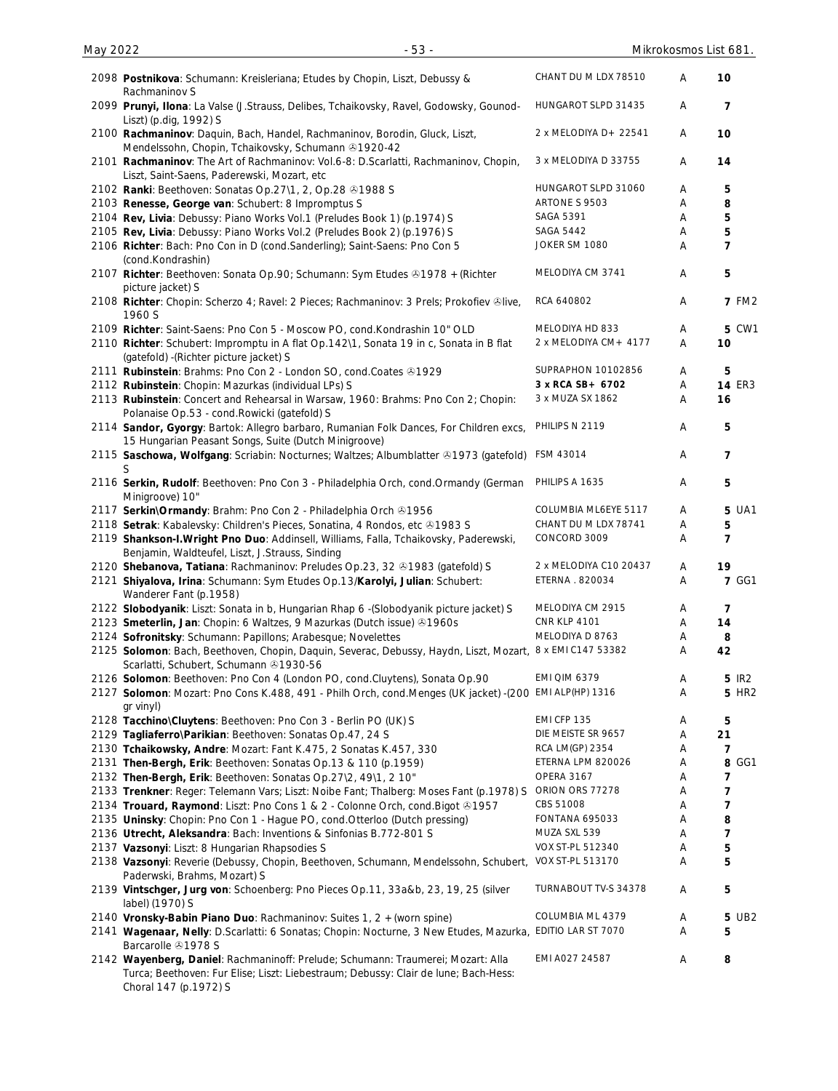| 2098 Postnikova: Schumann: Kreisleriana; Etudes by Chopin, Liszt, Debussy &                                                                                                                      | CHANT DU M LDX 78510   | Α | 10             |
|--------------------------------------------------------------------------------------------------------------------------------------------------------------------------------------------------|------------------------|---|----------------|
| Rachmaninov S<br>2099 Prunyi, Ilona: La Valse (J.Strauss, Delibes, Tchaikovsky, Ravel, Godowsky, Gounod-                                                                                         | HUNGAROT SLPD 31435    | A | 7              |
| Liszt) (p.dig, 1992) S<br>2100 Rachmaninov: Daquin, Bach, Handel, Rachmaninov, Borodin, Gluck, Liszt,                                                                                            | 2 x MELODIYA D+ 22541  | A | 10             |
| Mendelssohn, Chopin, Tchaikovsky, Schumann & 1920-42<br>2101 Rachmaninov: The Art of Rachmaninov: Vol.6-8: D.Scarlatti, Rachmaninov, Chopin,<br>Liszt, Saint-Saens, Paderewski, Mozart, etc      | 3 x MELODIYA D 33755   | Α | 14             |
| 2102 Ranki: Beethoven: Sonatas Op.27\1, 2, Op.28 31988 S                                                                                                                                         | HUNGAROT SLPD 31060    | Α | 5              |
| 2103 Renesse, George van: Schubert: 8 Impromptus S                                                                                                                                               | ARTONE S 9503          | Α | 8              |
| 2104 Rev, Livia: Debussy: Piano Works Vol.1 (Preludes Book 1) (p.1974) S                                                                                                                         | SAGA 5391              | Α | 5              |
| 2105 Rev, Livia: Debussy: Piano Works Vol.2 (Preludes Book 2) (p.1976) S                                                                                                                         | <b>SAGA 5442</b>       | Α | 5              |
| 2106 Richter: Bach: Pno Con in D (cond.Sanderling); Saint-Saens: Pno Con 5<br>(cond.Kondrashin)                                                                                                  | JOKER SM 1080          | Α | $\overline{7}$ |
| 2107 Richter: Beethoven: Sonata Op.90; Schumann: Sym Etudes & 1978 + (Richter<br>picture jacket) S                                                                                               | MELODIYA CM 3741       | A | 5              |
| 2108 Richter: Chopin: Scherzo 4; Ravel: 2 Pieces; Rachmaninov: 3 Prels; Prokofiev ®live,<br>1960 S                                                                                               | RCA 640802             | A | <b>7 FM2</b>   |
| 2109 Richter: Saint-Saens: Pno Con 5 - Moscow PO, cond. Kondrashin 10" OLD                                                                                                                       | MELODIYA HD 833        | Α | 5 CW1          |
| 2110 Richter: Schubert: Impromptu in A flat Op.142\1, Sonata 19 in c, Sonata in B flat<br>(gatefold) - (Richter picture jacket) S                                                                | 2 x MELODIYA CM+ 4177  | Α | 10             |
| 2111 Rubinstein: Brahms: Pno Con 2 - London SO, cond.Coates 31929                                                                                                                                | SUPRAPHON 10102856     | A | 5              |
| 2112 Rubinstein: Chopin: Mazurkas (individual LPs) S                                                                                                                                             | 3 x RCA SB+ 6702       | A | <b>14 ER3</b>  |
| 2113 Rubinstein: Concert and Rehearsal in Warsaw, 1960: Brahms: Pno Con 2; Chopin:<br>Polanaise Op.53 - cond.Rowicki (gatefold) S                                                                | 3 x MUZA SX 1862       | Α | 16             |
| 2114 Sandor, Gyorgy: Bartok: Allegro barbaro, Rumanian Folk Dances, For Children excs,<br>15 Hungarian Peasant Songs, Suite (Dutch Minigroove)                                                   | PHILIPS N 2119         | A | 5              |
| 2115 Saschowa, Wolfgang: Scriabin: Nocturnes; Waltzes; Albumblatter & 1973 (gatefold)<br>S                                                                                                       | FSM 43014              | A | 7              |
| 2116 Serkin, Rudolf: Beethoven: Pno Con 3 - Philadelphia Orch, cond.Ormandy (German<br>Minigroove) 10"                                                                                           | PHILIPS A 1635         | A | 5              |
| 2117 Serkin\Ormandy: Brahm: Pno Con 2 - Philadelphia Orch @1956                                                                                                                                  | COLUMBIA ML6EYE 5117   | A | 5 UA1          |
| 2118 Setrak: Kabalevsky: Children's Pieces, Sonatina, 4 Rondos, etc @1983 S                                                                                                                      | CHANT DU M LDX 78741   | Α | 5              |
| 2119 Shankson-I. Wright Pno Duo: Addinsell, Williams, Falla, Tchaikovsky, Paderewski,<br>Benjamin, Waldteufel, Liszt, J.Strauss, Sinding                                                         | CONCORD 3009           | Α | $\overline{7}$ |
| 2120 Shebanova, Tatiana: Rachmaninov: Preludes Op.23, 32 31983 (gatefold) S                                                                                                                      | 2 x MELODIYA C10 20437 | Α | 19             |
| 2121 Shiyalova, Irina: Schumann: Sym Etudes Op.13/Karolyi, Julian: Schubert:<br>Wanderer Fant (p.1958)                                                                                           | ETERNA . 820034        | A | <b>7 GG1</b>   |
| 2122 Slobodyanik: Liszt: Sonata in b, Hungarian Rhap 6 - (Slobodyanik picture jacket) S                                                                                                          | MELODIYA CM 2915       | A | 7              |
| 2123 Smeterlin, Jan: Chopin: 6 Waltzes, 9 Mazurkas (Dutch issue) 31960s                                                                                                                          | <b>CNR KLP 4101</b>    | Α | 14             |
| 2124 Sofronitsky: Schumann: Papillons; Arabesque; Novelettes                                                                                                                                     | MELODIYA D 8763        | A | 8              |
| 2125 Solomon: Bach, Beethoven, Chopin, Daquin, Severac, Debussy, Haydn, Liszt, Mozart, 8 x EMI C147 53382<br>Scarlatti, Schubert, Schumann 31930-56                                              |                        | A | 42             |
| 2126 Solomon: Beethoven: Pno Con 4 (London PO, cond.Cluytens), Sonata Op.90                                                                                                                      | <b>EMI QIM 6379</b>    | A | 5 IR2          |
| 2127 Solomon: Mozart: Pno Cons K.488, 491 - Philh Orch, cond. Menges (UK jacket) -(200<br>gr vinyl)                                                                                              | EMI ALP(HP) 1316       | Α | <b>5 HR2</b>   |
| 2128 Tacchino\Cluytens: Beethoven: Pno Con 3 - Berlin PO (UK) S                                                                                                                                  | EMI CFP 135            | Α | 5              |
| 2129 Tagliaferro\Parikian: Beethoven: Sonatas Op.47, 24 S                                                                                                                                        | DIE MEISTE SR 9657     | Α | 21             |
| 2130 Tchaikowsky, Andre: Mozart: Fant K.475, 2 Sonatas K.457, 330                                                                                                                                | RCA LM(GP) 2354        | A | 7              |
| 2131 Then-Bergh, Erik: Beethoven: Sonatas Op.13 & 110 (p.1959)                                                                                                                                   | ETERNA LPM 820026      | Α | 8 GG1          |
| 2132 Then-Bergh, Erik: Beethoven: Sonatas Op.27\2, 49\1, 2 10"                                                                                                                                   | <b>OPERA 3167</b>      | A | 7              |
| 2133 Trenkner: Reger: Telemann Vars; Liszt: Noibe Fant; Thalberg: Moses Fant (p.1978) S                                                                                                          | ORION ORS 77278        | Α | 7              |
| 2134 Trouard, Raymond: Liszt: Pno Cons 1 & 2 - Colonne Orch, cond. Bigot @1957                                                                                                                   | CBS 51008              | Α | 7              |
| 2135 Uninsky: Chopin: Pno Con 1 - Hague PO, cond. Otterloo (Dutch pressing)                                                                                                                      | FONTANA 695033         | Α | 8              |
| 2136 Utrecht, Aleksandra: Bach: Inventions & Sinfonias B.772-801 S                                                                                                                               | MUZA SXL 539           | A | 7              |
| 2137 Vazsonyi: Liszt: 8 Hungarian Rhapsodies S                                                                                                                                                   | VOX ST-PL 512340       | A | 5              |
| 2138 Vazsonyi: Reverie (Debussy, Chopin, Beethoven, Schumann, Mendelssohn, Schubert, VOX ST-PL 513170<br>Paderwski, Brahms, Mozart) S                                                            |                        | Α | 5              |
| 2139 Vintschger, Jurg von: Schoenberg: Pno Pieces Op.11, 33a&b, 23, 19, 25 (silver<br>label) (1970) S                                                                                            | TURNABOUT TV-S 34378   | Α | 5              |
| 2140 Vronsky-Babin Piano Duo: Rachmaninov: Suites 1, 2 + (worn spine)                                                                                                                            | COLUMBIA ML 4379       | Α | 5 UB2          |
| 2141 Wagenaar, Nelly: D.Scarlatti: 6 Sonatas; Chopin: Nocturne, 3 New Etudes, Mazurka,<br>Barcarolle 21978 S                                                                                     | EDITIO LAR ST 7070     | Α | 5              |
| 2142 Wayenberg, Daniel: Rachmaninoff: Prelude; Schumann: Traumerei; Mozart: Alla<br>Turca; Beethoven: Fur Elise; Liszt: Liebestraum; Debussy: Clair de lune; Bach-Hess:<br>Choral 147 (p.1972) S | EMI A027 24587         | Α | 8              |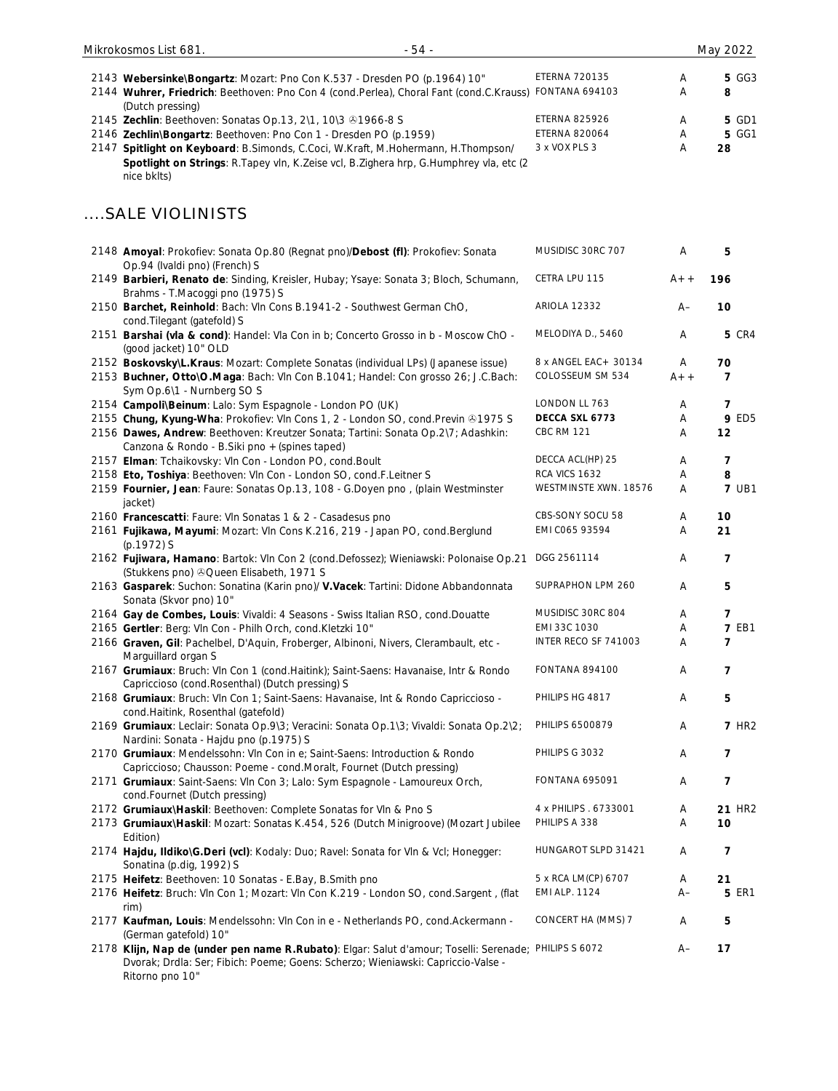| $-54-$<br>Mikrokosmos List 681.                                                                                                                                                                                  |                                               |        | May 2022          |
|------------------------------------------------------------------------------------------------------------------------------------------------------------------------------------------------------------------|-----------------------------------------------|--------|-------------------|
| 2143 Webersinke\Bongartz: Mozart: Pno Con K.537 - Dresden PO (p.1964) 10"<br>2144 Wuhrer, Friedrich: Beethoven: Pno Con 4 (cond.Perlea), Choral Fant (cond.C.Krauss)                                             | <b>ETERNA 720135</b><br><b>FONTANA 694103</b> | A<br>Α | <b>5 GG3</b><br>8 |
| (Dutch pressing)<br>2145 Zechlin: Beethoven: Sonatas Op.13, 2\1, 10\3 31966-8 S                                                                                                                                  | <b>ETERNA 825926</b>                          | Α      | 5 GD1             |
| 2146 Zechlin\Bongartz: Beethoven: Pno Con 1 - Dresden PO (p.1959)                                                                                                                                                | <b>ETERNA 820064</b>                          | Α      | <b>5 GG1</b>      |
| 2147 Spitlight on Keyboard: B.Simonds, C.Coci, W.Kraft, M.Hohermann, H.Thompson/<br>Spotlight on Strings: R.Tapey vln, K.Zeise vcl, B.Zighera hrp, G.Humphrey vla, etc (2<br>nice bklts)                         | 3 x VOX PLS 3                                 | Α      | 28                |
| SALE VIOLINISTS                                                                                                                                                                                                  |                                               |        |                   |
| 2148 Amoyal: Prokofiev: Sonata Op.80 (Regnat pno)/Debost (fl): Prokofiev: Sonata<br>Op.94 (Ivaldi pno) (French) S                                                                                                | MUSIDISC 30RC 707                             | A      | 5                 |
| 2149 Barbieri, Renato de: Sinding, Kreisler, Hubay; Ysaye: Sonata 3; Bloch, Schumann,<br>Brahms - T.Macoggi pno (1975) S                                                                                         | CETRA LPU 115                                 | $A++$  | 196               |
| 2150 Barchet, Reinhold: Bach: Vln Cons B.1941-2 - Southwest German ChO,<br>cond. Tilegant (gatefold) S                                                                                                           | <b>ARIOLA 12332</b>                           | A–     | 10                |
| 2151 Barshai (vla & cond): Handel: Vla Con in b; Concerto Grosso in b - Moscow ChO -<br>(good jacket) 10" OLD                                                                                                    | MELODIYA D., 5460                             | A      | <b>5 CR4</b>      |
| 2152 Boskovsky\L.Kraus: Mozart: Complete Sonatas (individual LPs) (Japanese issue)                                                                                                                               | 8 x ANGEL EAC + 30134                         | Α      | 70                |
| 2153 Buchner, Otto\O.Maga: Bach: Vln Con B.1041; Handel: Con grosso 26; J.C.Bach:<br>Sym Op.6\1 - Nurnberg SO S                                                                                                  | COLOSSEUM SM 534                              | $A++$  | 7                 |
| 2154 Campoli\Beinum: Lalo: Sym Espagnole - London PO (UK)                                                                                                                                                        | LONDON LL 763                                 | Α      | 7                 |
| 2155 Chung, Kyung-Wha: Prokofiev: Vln Cons 1, 2 - London SO, cond. Previn @1975 S                                                                                                                                | DECCA SXL 6773                                | Α      | <b>9 ED5</b>      |
| 2156 Dawes, Andrew: Beethoven: Kreutzer Sonata; Tartini: Sonata Op.2\7; Adashkin:<br>Canzona & Rondo - B. Siki pno + (spines taped)                                                                              | <b>CBC RM 121</b>                             | Α      | 12                |
| 2157 Elman: Tchaikovsky: Vln Con - London PO, cond.Boult                                                                                                                                                         | DECCA ACL(HP) 25                              | Α      | 7                 |
| 2158 Eto, Toshiya: Beethoven: Vln Con - London SO, cond.F.Leitner S                                                                                                                                              | RCA VICS 1632                                 | Α      | 8                 |
| 2159 Fournier, Jean: Faure: Sonatas Op.13, 108 - G.Doyen pno, (plain Westminster<br>jacket)                                                                                                                      | WESTMINSTE XWN. 18576                         | Α      | <b>7 UB1</b>      |
| 2160 Francescatti: Faure: VIn Sonatas 1 & 2 - Casadesus pno                                                                                                                                                      | CBS-SONY SOCU 58                              | Α      | 10                |
| 2161 Fujikawa, Mayumi: Mozart: VIn Cons K.216, 219 - Japan PO, cond.Berglund<br>(p.1972) S                                                                                                                       | EMI C065 93594                                | Α      | 21                |
| 2162 Fujiwara, Hamano: Bartok: VIn Con 2 (cond.Defossez); Wieniawski: Polonaise Op.21<br>(Stukkens pno) © Queen Elisabeth, 1971 S                                                                                | DGG 2561114                                   | Α      | 7                 |
| 2163 Gasparek: Suchon: Sonatina (Karin pno)/ V.Vacek: Tartini: Didone Abbandonnata<br>Sonata (Skvor pno) 10"                                                                                                     | SUPRAPHON LPM 260                             | Α      | 5                 |
| 2164 Gay de Combes, Louis: Vivaldi: 4 Seasons - Swiss Italian RSO, cond.Douatte                                                                                                                                  | MUSIDISC 30RC 804                             | Α      | $\overline{7}$    |
| 2165 Gertler: Berg: Vln Con - Philh Orch, cond.Kletzki 10"                                                                                                                                                       | EMI 33C 1030<br>INTER RECO SF 741003          | Α      | <b>7 EB1</b>      |
| 2166 Graven, Gil: Pachelbel, D'Aquin, Froberger, Albinoni, Nivers, Clerambault, etc -<br>Marguillard organ S<br>2167 Grumiaux: Bruch: VIn Con 1 (cond.Haitink); Saint-Saens: Havanaise, Intr & Rondo             | <b>FONTANA 894100</b>                         | Α<br>A | 7<br>7            |
| Capriccioso (cond.Rosenthal) (Dutch pressing) S<br>2168 Grumiaux: Bruch: VIn Con 1; Saint-Saens: Havanaise, Int & Rondo Capriccioso -                                                                            | PHILIPS HG 4817                               |        |                   |
| cond.Haitink, Rosenthal (gatefold)                                                                                                                                                                               | PHILIPS 6500879                               | Α<br>Α | 5<br><b>7 HR2</b> |
| 2169 Grumiaux: Leclair: Sonata Op.9\3; Veracini: Sonata Op.1\3; Vivaldi: Sonata Op.2\2;<br>Nardini: Sonata - Hajdu pno (p.1975) S<br>2170 Grumiaux: Mendelssohn: VIn Con in e; Saint-Saens: Introduction & Rondo | PHILIPS G 3032                                | Α      | 7                 |
| Capriccioso; Chausson: Poeme - cond.Moralt, Fournet (Dutch pressing)<br>2171 Grumiaux: Saint-Saens: VIn Con 3; Lalo: Sym Espagnole - Lamoureux Orch,                                                             | <b>FONTANA 695091</b>                         | Α      | 7                 |
| cond.Fournet (Dutch pressing)<br>2172 Grumiaux\Haskil: Beethoven: Complete Sonatas for VIn & Pno S                                                                                                               | 4 x PHILIPS . 6733001                         | Α      | <b>21 HR2</b>     |
| 2173 Grumiaux\Haskil: Mozart: Sonatas K.454, 526 (Dutch Minigroove) (Mozart Jubilee                                                                                                                              | PHILIPS A 338                                 | Α      | 10                |
| Edition)                                                                                                                                                                                                         |                                               |        |                   |
| 2174 Hajdu, Ildiko\G.Deri (vcl): Kodaly: Duo; Ravel: Sonata for Vln & Vcl; Honegger:<br>Sonatina (p.dig, 1992) S                                                                                                 | HUNGAROT SLPD 31421                           | Α      | $\overline{7}$    |
| 2175 Heifetz: Beethoven: 10 Sonatas - E.Bay, B.Smith pno                                                                                                                                                         | 5 x RCA LM(CP) 6707                           | Α      | 21                |
| 2176 Heifetz: Bruch: VIn Con 1; Mozart: VIn Con K.219 - London SO, cond.Sargent, (flat<br>rim)                                                                                                                   | <b>EMI ALP. 1124</b>                          | $A-$   | <b>5 ER1</b>      |
| 2177 Kaufman, Louis: Mendelssohn: VIn Con in e - Netherlands PO, cond. Ackermann -<br>(German gatefold) 10"                                                                                                      | CONCERT HA (MMS) 7                            | Α      | 5                 |
| 2178 Klijn, Nap de (under pen name R.Rubato): Elgar: Salut d'amour; Toselli: Serenade; PHILIPS S 6072<br>Dvorak; Drdla: Ser; Fibich: Poeme; Goens: Scherzo; Wieniawski: Capriccio-Valse -<br>Ritorno pno 10"     |                                               | A–     | 17                |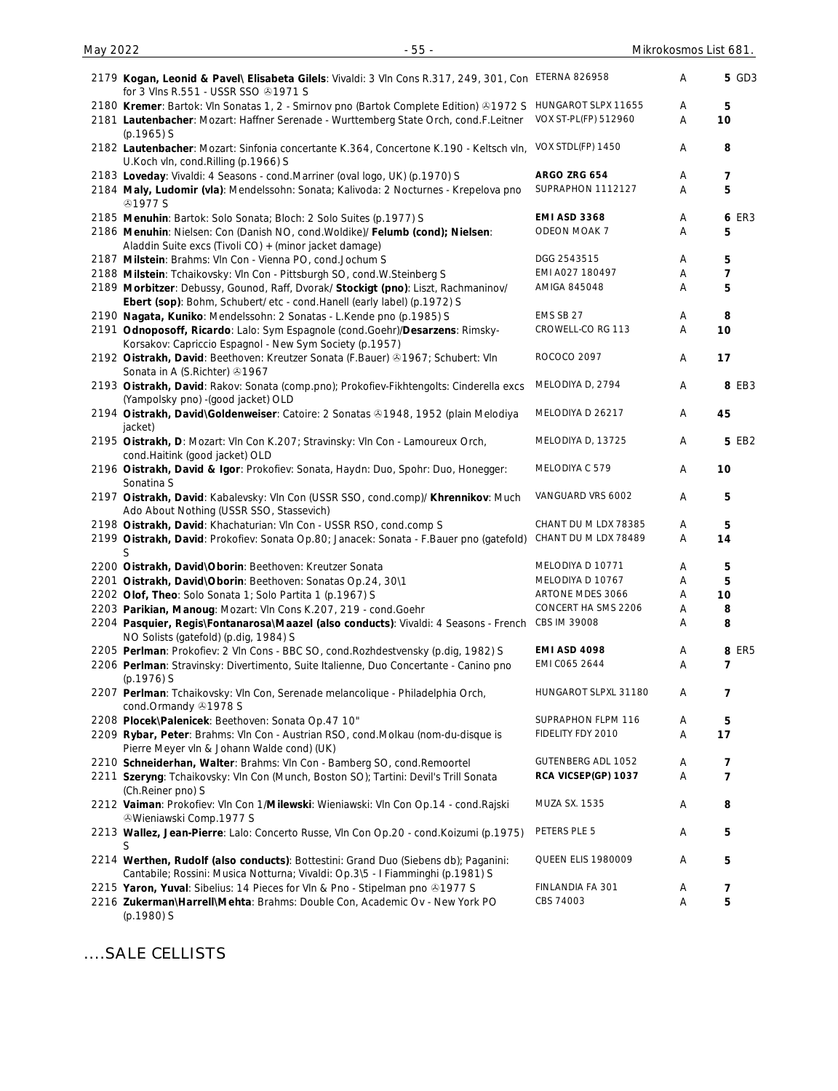| 2179 Kogan, Leonid & Pavel\ Elisabeta Gilels: Vivaldi: 3 Vln Cons R.317, 249, 301, Con ETERNA 826958<br>for 3 VIns R.551 - USSR SSO 21971 S                           |                      | Α | <b>5 GD3</b>   |
|-----------------------------------------------------------------------------------------------------------------------------------------------------------------------|----------------------|---|----------------|
| 2180 Kremer: Bartok: VIn Sonatas 1, 2 - Smirnov pno (Bartok Complete Edition) @1972 S HUNGAROT SLPX 11655                                                             |                      | A | 5              |
| 2181 Lautenbacher: Mozart: Haffner Serenade - Wurttemberg State Orch, cond.F.Leitner<br>$(p.1965)$ S                                                                  | VOX ST-PL(FP) 512960 | Α | 10             |
| 2182 Lautenbacher: Mozart: Sinfonia concertante K.364, Concertone K.190 - Keltsch vln, VOX STDL(FP) 1450<br>U.Koch vln, cond.Rilling (p.1966) S                       |                      | Α | 8              |
| 2183 Loveday: Vivaldi: 4 Seasons - cond.Marriner (oval logo, UK) (p.1970) S                                                                                           | ARGO ZRG 654         | Α | 7              |
| 2184 Maly, Ludomir (vla): Mendelssohn: Sonata; Kalivoda: 2 Nocturnes - Krepelova pno<br><b>@1977 S</b>                                                                | SUPRAPHON 1112127    | A | 5              |
| 2185 Menuhin: Bartok: Solo Sonata; Bloch: 2 Solo Suites (p.1977) S                                                                                                    | <b>EMI ASD 3368</b>  | A | 6 ER3          |
| 2186 Menuhin: Nielsen: Con (Danish NO, cond. Woldike)/ Felumb (cond); Nielsen:<br>Aladdin Suite excs (Tivoli CO) + (minor jacket damage)                              | ODEON MOAK 7         | A | 5              |
| 2187 Milstein: Brahms: Vln Con - Vienna PO, cond.Jochum S                                                                                                             | DGG 2543515          | A | 5              |
| 2188 Milstein: Tchaikovsky: Vln Con - Pittsburgh SO, cond.W.Steinberg S                                                                                               | EMI A027 180497      | A | $\overline{7}$ |
| 2189 Morbitzer: Debussy, Gounod, Raff, Dvorak/ Stockigt (pno): Liszt, Rachmaninov/<br>Ebert (sop): Bohm, Schubert/ etc - cond.Hanell (early label) (p.1972) S         | AMIGA 845048         | Α | 5              |
| 2190 Nagata, Kuniko: Mendelssohn: 2 Sonatas - L.Kende pno (p.1985) S                                                                                                  | EMS SB 27            | A | 8              |
| 2191 Odnoposoff, Ricardo: Lalo: Sym Espagnole (cond.Goehr)/Desarzens: Rimsky-<br>Korsakov: Capriccio Espagnol - New Sym Society (p.1957)                              | CROWELL-CO RG 113    | Α | 10             |
| 2192 Oistrakh, David: Beethoven: Kreutzer Sonata (F.Bauer) & 1967; Schubert: VIn<br>Sonata in A (S.Richter) 31967                                                     | ROCOCO 2097          | Α | 17             |
| 2193 Oistrakh, David: Rakov: Sonata (comp.pno); Prokofiev-Fikhtengolts: Cinderella excs<br>(Yampolsky pno) - (good jacket) OLD                                        | MELODIYA D, 2794     | Α | 8 EB3          |
| 2194 Oistrakh, David\Goldenweiser: Catoire: 2 Sonatas ®1948, 1952 (plain Melodiya<br>jacket)                                                                          | MELODIYA D 26217     | Α | 45             |
| 2195 Oistrakh, D: Mozart: Vln Con K.207; Stravinsky: Vln Con - Lamoureux Orch,<br>cond.Haitink (good jacket) OLD                                                      | MELODIYA D, 13725    | Α | 5 EB2          |
| 2196 Oistrakh, David & Igor: Prokofiev: Sonata, Haydn: Duo, Spohr: Duo, Honegger:<br>Sonatina S                                                                       | MELODIYA C 579       | Α | 10             |
| 2197 Oistrakh, David: Kabalevsky: Vln Con (USSR SSO, cond.comp)/ Khrennikov: Much<br>Ado About Nothing (USSR SSO, Stassevich)                                         | VANGUARD VRS 6002    | Α | 5              |
| 2198 Oistrakh, David: Khachaturian: VIn Con - USSR RSO, cond.comp S                                                                                                   | CHANT DU M LDX 78385 | Α | 5              |
| 2199 Oistrakh, David: Prokofiev: Sonata Op.80; Janacek: Sonata - F.Bauer pno (gatefold)<br>S                                                                          | CHANT DU M LDX 78489 | A | 14             |
| 2200 Oistrakh, David\Oborin: Beethoven: Kreutzer Sonata                                                                                                               | MELODIYA D 10771     | Α | 5              |
| 2201 Oistrakh, David\Oborin: Beethoven: Sonatas Op.24, 30\1                                                                                                           | MELODIYA D 10767     | Α | 5              |
| 2202 Olof, Theo: Solo Sonata 1; Solo Partita 1 (p.1967) S                                                                                                             | ARTONE MDES 3066     | Α | 10             |
| 2203 Parikian, Manoug: Mozart: VIn Cons K.207, 219 - cond.Goehr                                                                                                       | CONCERT HA SMS 2206  | Α | 8              |
| 2204 Pasquier, Regis\Fontanarosa\Maazel (also conducts): Vivaldi: 4 Seasons - French<br>NO Solists (gatefold) (p.dig, 1984) S                                         | CBS IM 39008         | Α | 8              |
| 2205 Perlman: Prokofiev: 2 Vln Cons - BBC SO, cond. Rozhdestvensky (p.dig, 1982) S                                                                                    | <b>EMI ASD 4098</b>  | A | 8 ER5          |
| 2206 Perlman: Stravinsky: Divertimento, Suite Italienne, Duo Concertante - Canino pno<br>$(p.1976)$ S                                                                 | EMI C065 2644        | Α | 7              |
| 2207 Perlman: Tchaikovsky: Vln Con, Serenade melancolique - Philadelphia Orch,<br>cond.Ormandy 31978 S                                                                | HUNGAROT SLPXL 31180 | Α | 7              |
| 2208 Plocek\Palenicek: Beethoven: Sonata Op.47 10"                                                                                                                    | SUPRAPHON FLPM 116   | Α | 5              |
| 2209 Rybar, Peter: Brahms: VIn Con - Austrian RSO, cond.Molkau (nom-du-disque is<br>Pierre Meyer vln & Johann Walde cond) (UK)                                        | FIDELITY FDY 2010    | Α | 17             |
| 2210 Schneiderhan, Walter: Brahms: Vln Con - Bamberg SO, cond. Remoortel                                                                                              | GUTENBERG ADL 1052   | Α | 7              |
| 2211 Szeryng: Tchaikovsky: Vln Con (Munch, Boston SO); Tartini: Devil's Trill Sonata                                                                                  | RCA VICSEP(GP) 1037  | Α | $\overline{7}$ |
| (Ch.Reiner pno) S<br>2212 Vaiman: Prokofiev: Vln Con 1/Milewski: Wieniawski: Vln Con Op.14 - cond. Rajski                                                             | <b>MUZA SX. 1535</b> | Α | 8              |
| <b>&amp;Wieniawski Comp.1977 S</b>                                                                                                                                    | PETERS PLE 5         | Α | 5              |
| 2213 Wallez, Jean-Pierre: Lalo: Concerto Russe, VIn Con Op.20 - cond. Koizumi (p.1975)<br>S                                                                           |                      |   |                |
| 2214 Werthen, Rudolf (also conducts): Bottestini: Grand Duo (Siebens db); Paganini:<br>Cantabile; Rossini: Musica Notturna; Vivaldi: Op.3\5 - I Fiamminghi (p.1981) S | QUEEN ELIS 1980009   | Α | 5              |
| 2215 Yaron, Yuval: Sibelius: 14 Pieces for Vln & Pno - Stipelman pno @1977 S                                                                                          | FINLANDIA FA 301     | A | 7              |
| 2216 Zukerman\Harrell\Mehta: Brahms: Double Con, Academic Ov - New York PO<br>(p.1980) S                                                                              | CBS 74003            | Α | 5              |

....SALE CELLISTS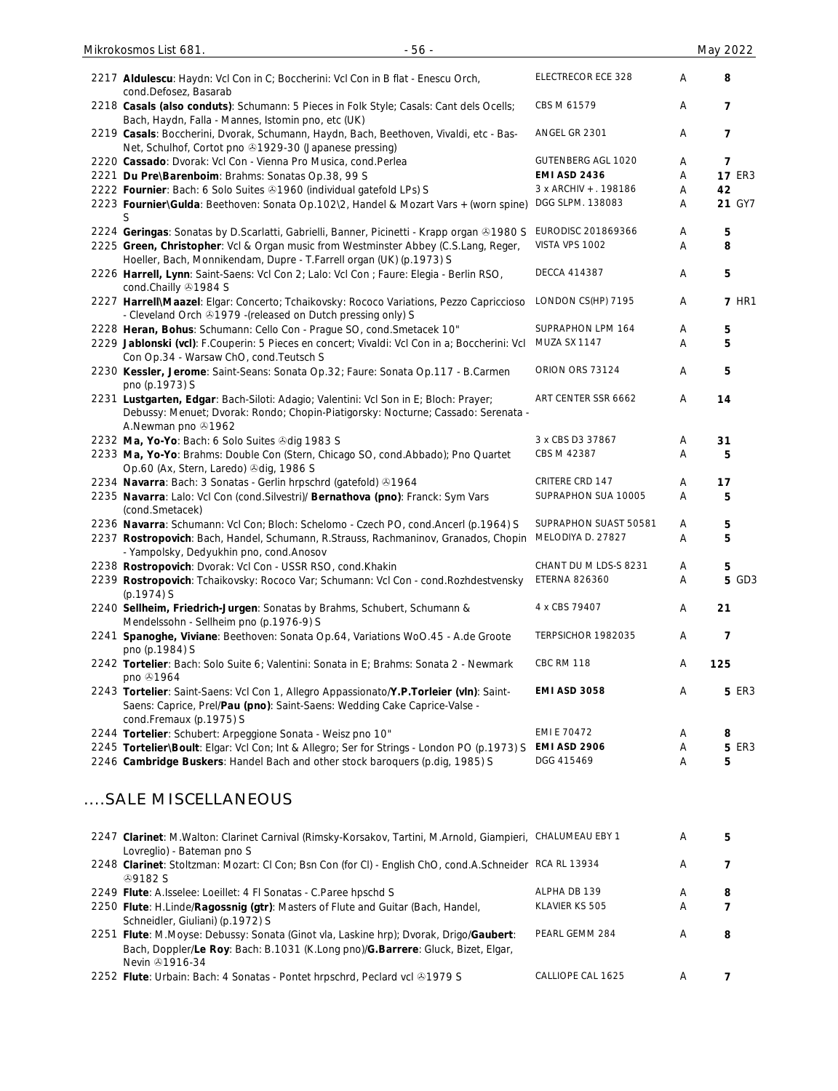| 2217 Aldulescu: Haydn: Vcl Con in C; Boccherini: Vcl Con in B flat - Enescu Orch,<br>cond.Defosez, Basarab                                                                                      | ELECTRECOR ECE 328     | A | 8             |
|-------------------------------------------------------------------------------------------------------------------------------------------------------------------------------------------------|------------------------|---|---------------|
| 2218 Casals (also conduts): Schumann: 5 Pieces in Folk Style; Casals: Cant dels Ocells;<br>Bach, Haydn, Falla - Mannes, Istomin pno, etc (UK)                                                   | CBS M 61579            | A | 7             |
| 2219 Casals: Boccherini, Dvorak, Schumann, Haydn, Bach, Beethoven, Vivaldi, etc - Bas-<br>Net, Schulhof, Cortot pno 31929-30 (Japanese pressing)                                                | ANGEL GR 2301          | Α | 7             |
| 2220 Cassado: Dvorak: Vcl Con - Vienna Pro Musica, cond.Perlea                                                                                                                                  | GUTENBERG AGL 1020     | A | 7             |
| 2221 Du Pre\Barenboim: Brahms: Sonatas Op.38, 99 S                                                                                                                                              | <b>EMI ASD 2436</b>    | A | <b>17 ER3</b> |
|                                                                                                                                                                                                 |                        |   |               |
| 2222 Fournier: Bach: 6 Solo Suites 31960 (individual gatefold LPs) S                                                                                                                            | 3 x ARCHIV + . 198186  | Α | 42            |
| 2223 Fournier\Gulda: Beethoven: Sonata Op.102\2, Handel & Mozart Vars + (worn spine)<br>S                                                                                                       | DGG SLPM. 138083       | Α | 21 GY7        |
| 2224 Geringas: Sonatas by D.Scarlatti, Gabrielli, Banner, Picinetti - Krapp organ ®1980 S                                                                                                       | EURODISC 201869366     | Α | 5             |
| 2225 Green, Christopher: Vcl & Organ music from Westminster Abbey (C.S.Lang, Reger,                                                                                                             | VISTA VPS 1002         | A | 8             |
| Hoeller, Bach, Monnikendam, Dupre - T.Farrell organ (UK) (p.1973) S                                                                                                                             |                        |   |               |
| 2226 Harrell, Lynn: Saint-Saens: Vcl Con 2; Lalo: Vcl Con ; Faure: Elegia - Berlin RSO,<br>cond.Chailly 31984 S                                                                                 | <b>DECCA 414387</b>    | Α | 5             |
| 2227 Harrell\Maazel: Elgar: Concerto; Tchaikovsky: Rococo Variations, Pezzo Capriccioso                                                                                                         | LONDON CS(HP) 7195     | Α | <b>7 HR1</b>  |
| - Cleveland Orch 21979 - (released on Dutch pressing only) S                                                                                                                                    |                        |   |               |
| 2228 Heran, Bohus: Schumann: Cello Con - Prague SO, cond. Smetacek 10"                                                                                                                          | SUPRAPHON LPM 164      | Α | 5             |
| 2229 Jablonski (vcl): F.Couperin: 5 Pieces en concert; Vivaldi: Vcl Con in a; Boccherini: Vcl<br>Con Op.34 - Warsaw ChO, cond. Teutsch S                                                        | MUZA SX 1147           | Α | 5             |
| 2230 Kessler, Jerome: Saint-Seans: Sonata Op.32; Faure: Sonata Op.117 - B.Carmen<br>pno (p.1973) S                                                                                              | ORION ORS 73124        | Α | 5             |
| 2231 Lustgarten, Edgar: Bach-Siloti: Adagio; Valentini: Vcl Son in E; Bloch: Prayer;<br>Debussy: Menuet; Dvorak: Rondo; Chopin-Piatigorsky: Nocturne; Cassado: Serenata -<br>A.Newman pno 31962 | ART CENTER SSR 6662    | Α | 14            |
| 2232 Ma, Yo-Yo: Bach: 6 Solo Suites & dig 1983 S                                                                                                                                                | 3 x CBS D3 37867       | A | 31            |
| 2233 Ma, Yo-Yo: Brahms: Double Con (Stern, Chicago SO, cond.Abbado); Pno Quartet                                                                                                                | CBS M 42387            | Α | 5             |
| Op.60 (Ax, Stern, Laredo) 3dig, 1986 S                                                                                                                                                          |                        |   |               |
| 2234 Navarra: Bach: 3 Sonatas - Gerlin hrpschrd (gatefold) 31964                                                                                                                                | <b>CRITERE CRD 147</b> | A | 17            |
| 2235 Navarra: Lalo: Vcl Con (cond. Silvestri)/ Bernathova (pno): Franck: Sym Vars<br>(cond.Smetacek)                                                                                            | SUPRAPHON SUA 10005    | A | 5             |
| 2236 Navarra: Schumann: Vcl Con; Bloch: Schelomo - Czech PO, cond.Ancerl (p.1964) S                                                                                                             | SUPRAPHON SUAST 50581  | A | 5             |
| 2237 Rostropovich: Bach, Handel, Schumann, R.Strauss, Rachmaninov, Granados, Chopin<br>- Yampolsky, Dedyukhin pno, cond.Anosov                                                                  | MELODIYA D. 27827      | A | 5             |
| 2238 Rostropovich: Dvorak: Vcl Con - USSR RSO, cond.Khakin                                                                                                                                      | CHANT DU M LDS-S 8231  | A | 5             |
| 2239 Rostropovich: Tchaikovsky: Rococo Var; Schumann: Vcl Con - cond. Rozhdestvensky                                                                                                            | <b>ETERNA 826360</b>   | A | <b>5 GD3</b>  |
| $(p.1974)$ S                                                                                                                                                                                    |                        |   |               |
| 2240 Sellheim, Friedrich-Jurgen: Sonatas by Brahms, Schubert, Schumann &<br>Mendelssohn - Sellheim pno (p.1976-9) S                                                                             | 4 x CBS 79407          | A | 21            |
| 2241 Spanoghe, Viviane: Beethoven: Sonata Op.64, Variations WoO.45 - A.de Groote<br>pno (p.1984) S                                                                                              | TERPSICHOR 1982035     | Α | 7             |
| 2242 Tortelier: Bach: Solo Suite 6; Valentini: Sonata in E; Brahms: Sonata 2 - Newmark<br>pno 31964                                                                                             | <b>CBC RM 118</b>      | Α | 125           |
| 2243 Tortelier: Saint-Saens: Vcl Con 1, Allegro Appassionato/Y.P.Torleier (vln): Saint-<br>Saens: Caprice, Prel/Pau (pno): Saint-Saens: Wedding Cake Caprice-Valse -<br>cond.Fremaux (p.1975) S | <b>EMI ASD 3058</b>    | Α | <b>5 ER3</b>  |
| 2244 Tortelier: Schubert: Arpeggione Sonata - Weisz pno 10"                                                                                                                                     | EMI E 70472            | Α | 8             |
| 2245 Tortelier\Boult: Elgar: Vcl Con; Int & Allegro; Ser for Strings - London PO (p.1973) S                                                                                                     | <b>EMI ASD 2906</b>    | Α | <b>5 ER3</b>  |
| 2246 Cambridge Buskers: Handel Bach and other stock baroquers (p.dig, 1985) S                                                                                                                   | DGG 415469             | A | 5             |
| SALE MISCELLANEOUS                                                                                                                                                                              |                        |   |               |
| 2247 Clarinet: M.Walton: Clarinet Carnival (Rimsky-Korsakov, Tartini, M.Arnold, Giampieri, CHALUMEAU EBY 1<br>Lovreglio) - Bateman pno S                                                        |                        | Α | 5             |
| 2248 Clarinet: Stoltzman: Mozart: Cl Con; Bsn Con (for Cl) - English ChO, cond.A.Schneider RCA RL 13934<br><b>49182 S</b>                                                                       |                        | Α | 7             |
| 2249 Flute: A.Isselee: Loeillet: 4 FI Sonatas - C.Paree hpschd S                                                                                                                                | ALPHA DB 139           | Α | 8             |
|                                                                                                                                                                                                 | KLAVIER KS 505         |   | 7             |
| 2250 Flute: H.Linde/Ragossnig (gtr): Masters of Flute and Guitar (Bach, Handel,<br>Schneidler, Giuliani) (p.1972) S                                                                             |                        | A |               |
| 2251 Flute: M.Moyse: Debussy: Sonata (Ginot vla, Laskine hrp); Dvorak, Drigo/Gaubert:<br>Bach, Doppler/Le Roy: Bach: B.1031 (K.Long pno)/G.Barrere: Gluck, Bizet, Elgar,<br>Nevin 31916-34      | PEARL GEMM 284         | Α | 8             |

2252 **Flute**: Urbain: Bach: 4 Sonatas - Pontet hrpschrd, Peclard vcl 31979 S CALLIOPE CAL 1625 A 7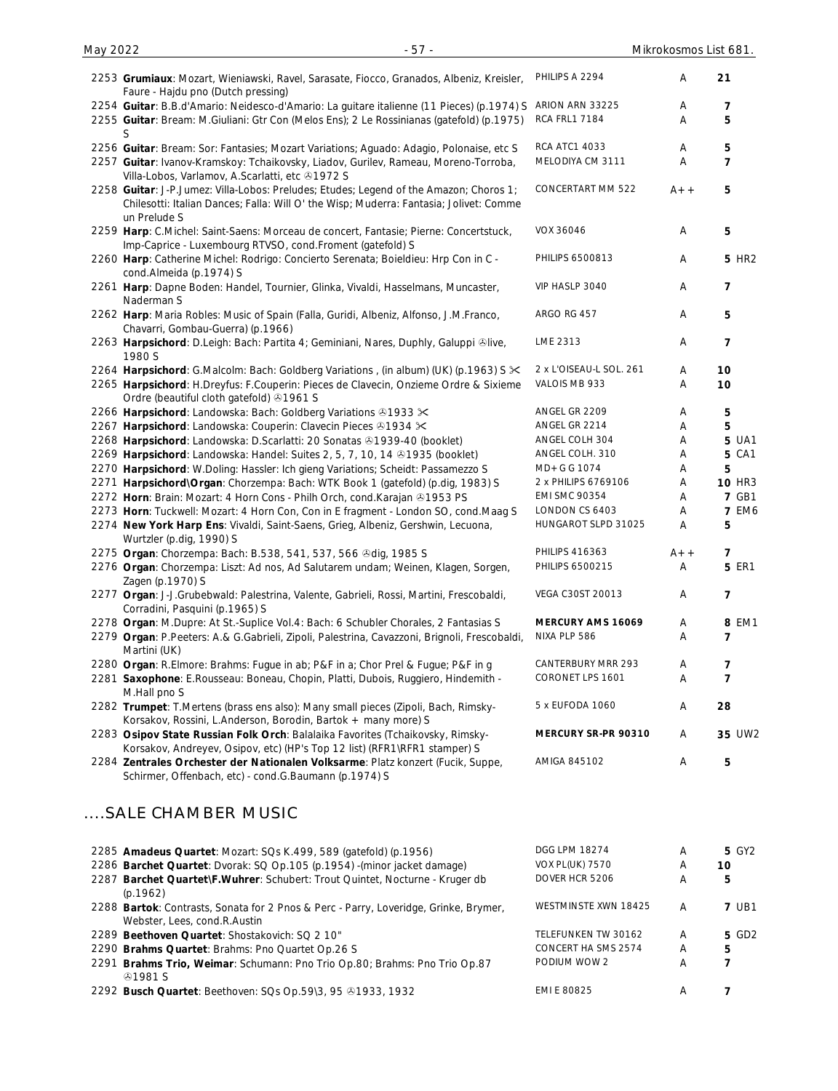| May 2022 | $-57-$                                                                                                                                 |                      | Mikrokosmos List 6 |    |
|----------|----------------------------------------------------------------------------------------------------------------------------------------|----------------------|--------------------|----|
|          | 2253 Grumiaux: Mozart, Wieniawski, Ravel, Sarasate, Fiocco, Granados, Albeniz, Kreisler,<br>Faure - Hajdu pno (Dutch pressing)         | PHILIPS A 2294       | A                  | 21 |
|          | 2254 Guitar: B.B.d'Amario: Neidesco-d'Amario: La guitare italienne (11 Pieces) (p.1974) S                                              | ARION ARN 33225      | A                  |    |
|          | 2255 Guitar: Bream: M.Giuliani: Gtr Con (Melos Ens); 2 Le Rossinianas (gatefold) (p.1975)                                              | <b>RCA FRL1 7184</b> | A                  | 5  |
|          | 2256 Guitar: Bream: Sor: Fantasies; Mozart Variations; Aguado: Adagio, Polonaise, etc S                                                | <b>RCA ATC1 4033</b> | A                  | 5  |
|          | 2257 Guitar: Ivanov-Kramskoy: Tchaikovsky, Liadov, Gurilev, Rameau, Moreno-Torroba,<br>Villa-Lobos, Varlamov, A.Scarlatti, etc 31972 S | MELODIYA CM 3111     | Α                  |    |

- 2258 **Guitar**: J-P.Jumez: Villa-Lobos: Preludes; Etudes; Legend of the Amazon; Choros 1; Chilesotti: Italian Dances; Falla: Will O' the Wisp; Muderra: Fantasia; Jolivet: Comme un Prelude S CONCERTART MM 522  $A++$  5 2259 **Harp**: C.Michel: Saint-Saens: Morceau de concert, Fantasie; Pierne: Concertstuck, Imp-Caprice - Luxembourg RTVSO, cond.Froment (gatefold) S VOX 36046 A **5**
- 2260 **Harp**: Catherine Michel: Rodrigo: Concierto Serenata; Boieldieu: Hrp Con in C cond.Almeida (p.1974) S 2261 **Harp**: Dapne Boden: Handel, Tournier, Glinka, Vivaldi, Hasselmans, Muncaster, Naderman S
- 2262 **Harp**: Maria Robles: Music of Spain (Falla, Guridi, Albeniz, Alfonso, J.M.Franco, Chavarri, Gombau-Guerra) (p.1966) 2263 Harpsichord: D.Leigh: Bach: Partita 4; Geminiani, Nares, Duphly, Galuppi <sup>@</sup>live,
- 1980 S 2264 **Harpsichord**: G.Malcolm: Bach: Goldberg Variations , (in album) (UK) (p.1963) S 2 x L'OISEAU-L SOL. 261 A **10**
- 2265 **Harpsichord**: H.Dreyfus: F.Couperin: Pieces de Clavecin, Onzieme Ordre & Sixieme
- Ordre (beautiful cloth gatefold) 31961 S 2266 **Harpsichord**: Landowska: Bach: Goldberg Variations 31933  $\times$  ANGEL GR 2209 A 5
- 2267 Harpsichord: Landowska: Couperin: Clavecin Pieces 81934  $\times$  ANGEL GR 2214 A 5
- 2268 Harpsichord: Landowska: D.Scarlatti: 20 Sonatas 81939-40 (booklet) ANGEL COLH 304 A 5 UA1
- 2269 Harpsichord: Landowska: Handel: Suites 2, 5, 7, 10, 14 ® 1935 (booklet) ANGEL COLH. 310 A 5 CA1
- 2270 **Harpsichord**: W.Doling: Hassler: Ich gieng Variations; Scheidt: Passamezzo S MD+G G 1074 A 5
- 2271 **Harpsichord\Organ**: Chorzempa: Bach: WTK Book 1 (gatefold) (p.dig, 1983) S 2 x PHILIPS 6769106 A **10** HR3
- 2272 Horn: Brain: Mozart: 4 Horn Cons Philh Orch, cond.Karajan 31953 PS EMI SMC 90354 A 7 GB1
- 2273 **Horn**: Tuckwell: Mozart: 4 Horn Con, Con in E fragment London SO, cond.Maag S LONDON CS 6403 A **7** EM6 2274 **New York Harp Ens**: Vivaldi, Saint-Saens, Grieg, Albeniz, Gershwin, Lecuona,
- Wurtzler (p.dig, 1990) S 2275 **Organ**: Chorzempa: Bach: B.538, 541, 537, 566 dig, 1985 S PHILIPS 416363 A++ **7**
- 2276 **Organ**: Chorzempa: Liszt: Ad nos, Ad Salutarem undam; Weinen, Klagen, Sorgen, Zagen (p.1970) S
- 2277 **Organ**: J-J.Grubebwald: Palestrina, Valente, Gabrieli, Rossi, Martini, Frescobaldi, Corradini, Pasquini (p.1965) S
- 2278 **Organ**: M.Dupre: At St.-Suplice Vol.4: Bach: 6 Schubler Chorales, 2 Fantasias S **MERCURY AMS 16069** A **8** EM1
- 2279 **Organ**: P.Peeters: A.& G.Gabrieli, Zipoli, Palestrina, Cavazzoni, Brignoli, Frescobaldi, Martini (UK) NIXA PLP 586 A **7**
- 2280 **Organ**: R.Elmore: Brahms: Fugue in ab; P&F in a; Chor Prel & Fugue; P&F in g CANTERBURY MRR 293 A **7**
- 2281 **Saxophone**: E.Rousseau: Boneau, Chopin, Platti, Dubois, Ruggiero, Hindemith M.Hall pno S
- 2282 **Trumpet**: T.Mertens (brass ens also): Many small pieces (Zipoli, Bach, Rimsky-Korsakov, Rossini, L.Anderson, Borodin, Bartok + many more) S
- 2283 **Osipov State Russian Folk Orch**: Balalaika Favorites (Tchaikovsky, Rimsky-Korsakov, Andreyev, Osipov, etc) (HP's Top 12 list) (RFR1\RFR1 stamper) S
- 2284 **Zentrales Orchester der Nationalen Volksarme**: Platz konzert (Fucik, Suppe, Schirmer, Offenbach, etc) - cond.G.Baumann (p.1974) S

# ....SALE CHAMBER MUSIC

| 2285 Amadeus Quartet: Mozart: SQs K.499, 589 (gatefold) (p.1956)                     | <b>DGG LPM 18274</b>   | А | 5 GY2        |
|--------------------------------------------------------------------------------------|------------------------|---|--------------|
| 2286 Barchet Quartet: Dvorak: SQ Op.105 (p.1954) - (minor jacket damage)             | <b>VOX PL(UK) 7570</b> | A | 10           |
| 2287 Barchet Quartet\F. Wuhrer: Schubert: Trout Quintet, Nocturne - Kruger db        | DOVER HCR 5206         | A | 5            |
| (p.1962)                                                                             |                        |   |              |
| 2288 Bartok: Contrasts, Sonata for 2 Pnos & Perc - Parry, Loveridge, Grinke, Brymer, | WESTMINSTE XWN 18425   | A | <b>7 UB1</b> |
| Webster, Lees, cond.R.Austin                                                         |                        |   |              |
| 2289 Beethoven Quartet: Shostakovich: SQ 2 10"                                       | TELEFUNKEN TW 30162    | A | 5 GD2        |
| 2290 Brahms Quartet: Brahms: Pno Quartet Op.26 S                                     | CONCERT HA SMS 2574    | A | 5            |
| 2291 Brahms Trio, Weimar: Schumann: Pno Trio Op.80; Brahms: Pno Trio Op.87           | PODIUM WOW 2           | A |              |
| 41981S                                                                               |                        |   |              |
| 2292 Busch Quartet: Beethoven: SQs Op.59\3, 95 & 1933, 1932                          | <b>EMI E 80825</b>     | Α |              |

PHILIPS 6500813 A **5** HR2

VIP HASLP 3040 A **7**

ARGO RG 457 **A** 5

LME 2313 A **7**

VALOIS MB 933 A **10**

HUNGAROT SLPD 31025 A **5**

VEGA C30ST 20013 A **7**

CORONET LPS 1601 A **7**

5 x EUFODA 1060 A **28**

AMIGA 845102 A **5**

**MERCURY SR-PR 90310** A **35** UW2

PHILIPS 6500215 A **5** ER1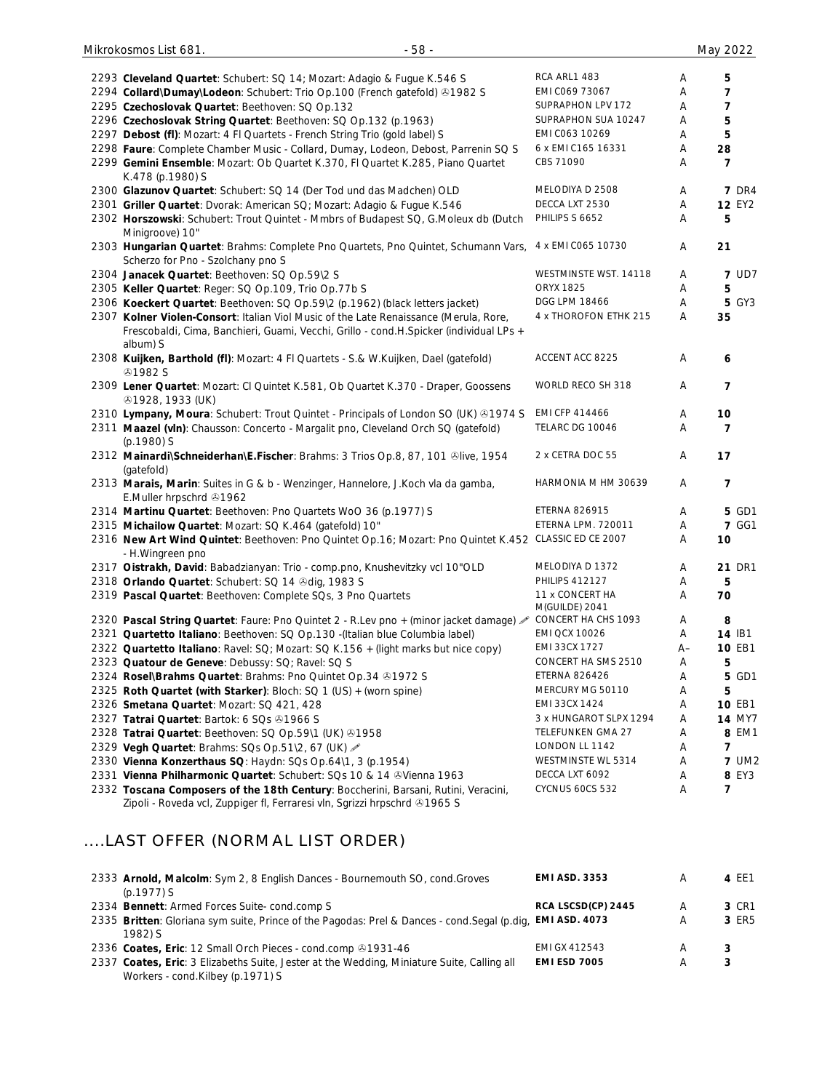| $-58-$<br>Mikrokosmos List 681.                                                                                                                                                             |                                   |    | May 2022       |
|---------------------------------------------------------------------------------------------------------------------------------------------------------------------------------------------|-----------------------------------|----|----------------|
|                                                                                                                                                                                             | RCA ARL1 483                      | Α  | 5              |
| 2293 Cleveland Quartet: Schubert: SQ 14; Mozart: Adagio & Fugue K.546 S                                                                                                                     | EMI C069 73067                    | Α  | 7              |
| 2294 Collard\Dumay\Lodeon: Schubert: Trio Op.100 (French gatefold) & 1982 S                                                                                                                 | SUPRAPHON LPV 172                 | Α  | 7              |
| 2295 Czechoslovak Quartet: Beethoven: SQ Op.132                                                                                                                                             | SUPRAPHON SUA 10247               | Α  | 5              |
| 2296 Czechoslovak String Quartet: Beethoven: SQ Op.132 (p.1963)                                                                                                                             | EMI C063 10269                    | Α  | 5              |
| 2297 Debost (fl): Mozart: 4 FI Quartets - French String Trio (gold label) S                                                                                                                 | 6 x EMI C165 16331                | Α  | 28             |
| 2298 Faure: Complete Chamber Music - Collard, Dumay, Lodeon, Debost, Parrenin SQ S<br>2299 Gemini Ensemble: Mozart: Ob Quartet K.370, FI Quartet K.285, Piano Quartet                       | CBS 71090                         | Α  | $\overline{7}$ |
| K.478 (p.1980) S                                                                                                                                                                            |                                   |    |                |
| 2300 Glazunov Quartet: Schubert: SQ 14 (Der Tod und das Madchen) OLD                                                                                                                        | MELODIYA D 2508                   | Α  | <b>7 DR4</b>   |
| 2301 Griller Quartet: Dvorak: American SQ; Mozart: Adagio & Fugue K.546                                                                                                                     | DECCA LXT 2530                    | Α  | <b>12 EY2</b>  |
| 2302 Horszowski: Schubert: Trout Quintet - Mmbrs of Budapest SQ, G.Moleux db (Dutch<br>Minigroove) 10"                                                                                      | PHILIPS S 6652                    | Α  | 5              |
| 2303 Hungarian Quartet: Brahms: Complete Pno Quartets, Pno Quintet, Schumann Vars, 4 x EMI C065 10730<br>Scherzo for Pno - Szolchany pno S                                                  |                                   | Α  | 21             |
| 2304 Janacek Quartet: Beethoven: SQ Op.59\2 S                                                                                                                                               | WESTMINSTE WST. 14118             | A  | <b>7 UD7</b>   |
| 2305 Keller Quartet: Reger: SQ Op.109, Trio Op.77b S                                                                                                                                        | <b>ORYX 1825</b>                  | Α  | 5              |
| 2306 Koeckert Quartet: Beethoven: SQ Op.59\2 (p.1962) (black letters jacket)                                                                                                                | DGG LPM 18466                     | Α  | <b>5 GY3</b>   |
| 2307 Kolner Violen-Consort: Italian Viol Music of the Late Renaissance (Merula, Rore,<br>Frescobaldi, Cima, Banchieri, Guami, Vecchi, Grillo - cond.H.Spicker (individual LPs +<br>album) S | 4 x THOROFON ETHK 215             | Α  | 35             |
| 2308 Kuijken, Barthold (fl): Mozart: 4 Fl Quartets - S.& W.Kuijken, Dael (gatefold)<br><b>@1982 S</b>                                                                                       | ACCENT ACC 8225                   | Α  | 6              |
| 2309 Lener Quartet: Mozart: CI Quintet K.581, Ob Quartet K.370 - Draper, Goossens<br>491928, 1933 (UK)                                                                                      | WORLD RECO SH 318                 | Α  | $\overline{7}$ |
| 2310 Lympany, Moura: Schubert: Trout Quintet - Principals of London SO (UK) ®1974 S                                                                                                         | EMI CFP 414466                    | Α  | 10             |
| 2311 Maazel (vln): Chausson: Concerto - Margalit pno, Cleveland Orch SQ (gatefold)<br>(p.1980) S                                                                                            | TELARC DG 10046                   | Α  | $\overline{7}$ |
| 2312 Mainardi\Schneiderhan\E.Fischer: Brahms: 3 Trios Op.8, 87, 101 ®live, 1954<br>(gatefold)                                                                                               | 2 x CETRA DOC 55                  | Α  | 17             |
| 2313 Marais, Marin: Suites in G & b - Wenzinger, Hannelore, J.Koch vla da gamba,<br>E.Muller hrpschrd 31962                                                                                 | HARMONIA M HM 30639               | Α  | 7              |
| 2314 Martinu Quartet: Beethoven: Pno Quartets WoO 36 (p.1977) S                                                                                                                             | <b>ETERNA 826915</b>              | Α  | 5 GD1          |
| 2315 Michailow Quartet: Mozart: SQ K.464 (gatefold) 10"                                                                                                                                     | ETERNA LPM. 720011                | Α  | <b>7 GG1</b>   |
| 2316 New Art Wind Quintet: Beethoven: Pno Quintet Op.16; Mozart: Pno Quintet K.452 CLASSIC ED CE 2007<br>- H.Wingreen pno                                                                   |                                   | Α  | 10             |
| 2317 Oistrakh, David: Babadzianyan: Trio - comp.pno, Knushevitzky vcl 10"OLD                                                                                                                | MELODIYA D 1372                   | Α  | 21 DR1         |
| 2318 Orlando Quartet: Schubert: SQ 14 & dig, 1983 S                                                                                                                                         | <b>PHILIPS 412127</b>             | A  | 5              |
| 2319 Pascal Quartet: Beethoven: Complete SQs, 3 Pno Quartets                                                                                                                                | 11 x CONCERT HA<br>M(GUILDE) 2041 | Α  | 70             |
| 2320 Pascal String Quartet: Faure: Pno Quintet 2 - R.Lev pno + (minor jacket damage)                                                                                                        | CONCERT HA CHS 1093               | Α  | 8              |
| 2321 Quartetto Italiano: Beethoven: SQ Op.130 -(Italian blue Columbia label)                                                                                                                | <b>EMI QCX 10026</b>              | Α  | 14 IB1         |
| 2322 Quartetto Italiano: Ravel: SQ; Mozart: SQ K.156 + (light marks but nice copy)                                                                                                          | EMI 33CX 1727                     | A– | <b>10 EB1</b>  |
| 2323 Quatour de Geneve: Debussy: SQ; Ravel: SQ S                                                                                                                                            | CONCERT HA SMS 2510               | A  | 5              |
| 2324 Rosel\Brahms Quartet: Brahms: Pno Quintet Op.34 & 1972 S                                                                                                                               | <b>ETERNA 826426</b>              | A  | 5 GD1          |
| 2325 Roth Quartet (with Starker): Bloch: SQ 1 (US) + (worn spine)                                                                                                                           | MERCURY MG 50110                  | Α  | 5              |
| 2326 Smetana Quartet: Mozart: SQ 421, 428                                                                                                                                                   | EMI 33CX 1424                     | Α  | <b>10 EB1</b>  |
| 2327 Tatrai Quartet: Bartok: 6 SQs @1966 S                                                                                                                                                  | 3 x HUNGAROT SLPX 1294            | A  | <b>14 MY7</b>  |
| 2328 Tatrai Quartet: Beethoven: SQ Op.59\1 (UK) 01958                                                                                                                                       | TELEFUNKEN GMA 27                 | A  | 8 EM1          |
| 2329 Vegh Quartet: Brahms: SQs Op.51\2, 67 (UK)                                                                                                                                             | LONDON LL 1142                    | A  | 7              |
| 2330 Vienna Konzerthaus SQ: Haydn: SQs Op.64\1, 3 (p.1954)                                                                                                                                  | WESTMINSTE WL 5314                | Α  | <b>7 UM2</b>   |
| 2331 Vienna Philharmonic Quartet: Schubert: SQs 10 & 14 & Vienna 1963                                                                                                                       | DECCA LXT 6092                    | A  | 8 EY3          |
| 2332 Toscana Composers of the 18th Century: Boccherini, Barsani, Rutini, Veracini,<br>Zipoli - Roveda vcl, Zuppiger fl, Ferraresi vln, Sgrizzi hrpschrd 21965 S                             | <b>CYCNUS 60CS 532</b>            | Α  | 7              |

# ....LAST OFFER (NORMAL LIST ORDER)

| 2333 Arnold, Malcolm: Sym 2, 8 English Dances - Bournemouth SO, cond. Groves                               | <b>EMI ASD. 3353</b> | A | 4 EE1 |
|------------------------------------------------------------------------------------------------------------|----------------------|---|-------|
| $(p.1977)$ S                                                                                               |                      |   |       |
| 2334 Bennett: Armed Forces Suite-cond.comp S                                                               | RCA LSCSD(CP) 2445   | A | 3 CR1 |
| 2335 Britten: Gloriana sym suite, Prince of the Pagodas: Prel & Dances - cond. Segal (p.dig, EMI ASD. 4073 |                      | A | 3 ER5 |
| $1982$ S                                                                                                   |                      |   |       |
| 2336 Coates, Eric: 12 Small Orch Pieces - cond.comp 01931-46                                               | EMI GX 412543        | A | 3     |
| 2337 Coates, Eric: 3 Elizabeths Suite, Jester at the Wedding, Miniature Suite, Calling all                 | <b>EMI ESD 7005</b>  | A | 3     |
| Workers - cond.Kilbey (p.1971) S                                                                           |                      |   |       |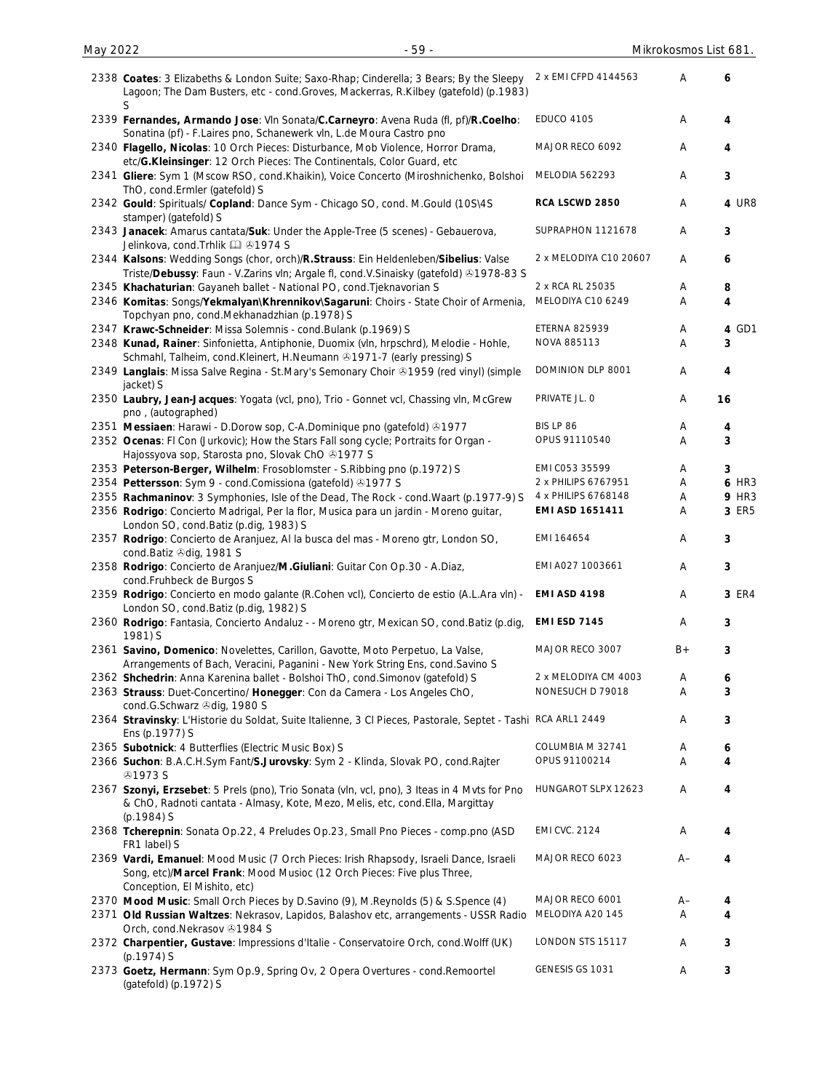| 2338 Coates: 3 Elizabeths & London Suite; Saxo-Rhap; Cinderella; 3 Bears; By the Sleepy<br>Lagoon; The Dam Busters, etc - cond.Groves, Mackerras, R.Kilbey (gatefold) (p.1983)<br>S              | 2 x EMI CFPD 4144563   | A    | 6            |
|--------------------------------------------------------------------------------------------------------------------------------------------------------------------------------------------------|------------------------|------|--------------|
| 2339 Fernandes, Armando Jose: VIn Sonata/C.Carneyro: Avena Ruda (fl, pf)/R.Coelho:<br>Sonatina (pf) - F.Laires pno, Schanewerk vln, L.de Moura Castro pno                                        | <b>EDUCO 4105</b>      | A    | 4            |
| 2340 Flagello, Nicolas: 10 Orch Pieces: Disturbance, Mob Violence, Horror Drama,<br>etc/G.Kleinsinger: 12 Orch Pieces: The Continentals, Color Guard, etc                                        | MAJOR RECO 6092        | Α    | 4            |
| 2341 Gliere: Sym 1 (Mscow RSO, cond.Khaikin), Voice Concerto (Miroshnichenko, Bolshoi<br>ThO, cond.Ermler (gatefold) S                                                                           | MELODIA 562293         | Α    | 3            |
| 2342 Gould: Spirituals/ Copland: Dance Sym - Chicago SO, cond. M.Gould (10S\4S)<br>stamper) (gatefold) S                                                                                         | RCA LSCWD 2850         | Α    | 4 UR8        |
| 2343 Janacek: Amarus cantata/Suk: Under the Apple-Tree (5 scenes) - Gebauerova,<br>Jelinkova, cond. Trhlik [ 31974 S                                                                             | SUPRAPHON 1121678      | Α    | 3            |
| 2344 Kalsons: Wedding Songs (chor, orch)/R.Strauss: Ein Heldenleben/Sibelius: Valse<br>Triste/Debussy: Faun - V.Zarins vln; Argale fl, cond.V.Sinaisky (gatefold) & 1978-83 S                    | 2 x MELODIYA C10 20607 | A    | 6            |
| 2345 Khachaturian: Gayaneh ballet - National PO, cond. Tjeknavorian S                                                                                                                            | 2 x RCA RL 25035       | Α    | 8            |
| 2346 Komitas: Songs/Yekmalyan\Khrennikov\Sagaruni: Choirs - State Choir of Armenia,<br>Topchyan pno, cond.Mekhanadzhian (p.1978) S                                                               | MELODIYA C10 6249      | A    | 4            |
| 2347 Krawc-Schneider: Missa Solemnis - cond. Bulank (p. 1969) S                                                                                                                                  | <b>ETERNA 825939</b>   | Α    | 4 GD1        |
| 2348 Kunad, Rainer: Sinfonietta, Antiphonie, Duomix (vln, hrpschrd), Melodie - Hohle,                                                                                                            | NOVA 885113            | A    | 3            |
| Schmahl, Talheim, cond. Kleinert, H. Neumann 21971-7 (early pressing) S<br>2349 Langlais: Missa Salve Regina - St.Mary's Semonary Choir & 1959 (red vinyl) (simple                               | DOMINION DLP 8001      | A    | 4            |
| jacket) S                                                                                                                                                                                        |                        |      |              |
| 2350 Laubry, Jean-Jacques: Yogata (vcl, pno), Trio - Gonnet vcl, Chassing vln, McGrew<br>pno, (autographed)                                                                                      | PRIVATE JL. O          | Α    | 16           |
| 2351 Messiaen: Harawi - D.Dorow sop, C-A.Dominique pno (gatefold) 31977                                                                                                                          | BIS LP 86              | A    | 4            |
| 2352 Ocenas: FI Con (Jurkovic); How the Stars Fall song cycle; Portraits for Organ -<br>Hajossyova sop, Starosta pno, Slovak ChO +1977 S                                                         | OPUS 91110540          | Α    | 3            |
| 2353 Peterson-Berger, Wilhelm: Frosoblomster - S. Ribbing pno (p. 1972) S                                                                                                                        | EMI C053 35599         | Α    | 3            |
| 2354 Pettersson: Sym 9 - cond.Comissiona (gatefold) +1977 S                                                                                                                                      | 2 x PHILIPS 6767951    | Α    | <b>6 HR3</b> |
| 2355 Rachmaninov: 3 Symphonies, Isle of the Dead, The Rock - cond. Waart (p.1977-9) S                                                                                                            | 4 x PHILIPS 6768148    | Α    | <b>9 HR3</b> |
| 2356 Rodrigo: Concierto Madrigal, Per la flor, Musica para un jardin - Moreno guitar,<br>London SO, cond. Batiz (p.dig, 1983) S                                                                  | EMI ASD 1651411        | A    | 3 ER5        |
| 2357 Rodrigo: Concierto de Aranjuez, Al la busca del mas - Moreno gtr, London SO,<br>cond.Batiz @dig, 1981 S                                                                                     | EMI 164654             | A    | 3            |
| 2358 Rodrigo: Concierto de Aranjuez/M.Giuliani: Guitar Con Op.30 - A.Diaz,<br>cond.Fruhbeck de Burgos S                                                                                          | EMI A027 1003661       | Α    | 3            |
| 2359 Rodrigo: Concierto en modo galante (R.Cohen vcl), Concierto de estio (A.L.Ara vln) -<br>London SO, cond.Batiz (p.dig, 1982) S                                                               | <b>EMI ASD 4198</b>    | Α    | 3 ER4        |
| 2360 Rodrigo: Fantasia, Concierto Andaluz - - Moreno gtr, Mexican SO, cond. Batiz (p.dig,<br>1981) S                                                                                             | <b>EMI ESD 7145</b>    | Α    | 3            |
| 2361 Savino, Domenico: Novelettes, Carillon, Gavotte, Moto Perpetuo, La Valse,<br>Arrangements of Bach, Veracini, Paganini - New York String Ens, cond. Savino S                                 | MAJOR RECO 3007        | $B+$ | 3            |
| 2362 Shchedrin: Anna Karenina ballet - Bolshoi ThO, cond. Simonov (gatefold) S                                                                                                                   | 2 x MELODIYA CM 4003   | Α    | 6            |
| 2363 Strauss: Duet-Concertino/ Honegger: Con da Camera - Los Angeles ChO,<br>cond.G.Schwarz @dig, 1980 S                                                                                         | NONESUCH D 79018       | Α    | 3            |
| 2364 Stravinsky: L'Historie du Soldat, Suite Italienne, 3 Cl Pieces, Pastorale, Septet - Tashi RCA ARL1 2449<br>Ens (p.1977) S                                                                   |                        | Α    | 3            |
| 2365 Subotnick: 4 Butterflies (Electric Music Box) S                                                                                                                                             | COLUMBIA M 32741       | Α    | 6            |
| 2366 Suchon: B.A.C.H.Sym Fant/S.Jurovsky: Sym 2 - Klinda, Slovak PO, cond.Rajter<br><b>@1973 S</b>                                                                                               | OPUS 91100214          | Α    | 4            |
| 2367 Szonyi, Erzsebet: 5 Prels (pno), Trio Sonata (vln, vcl, pno), 3 Iteas in 4 Mvts for Pno<br>& ChO, Radnoti cantata - Almasy, Kote, Mezo, Melis, etc, cond. Ella, Margittay<br>$(p.1984)$ S   | HUNGAROT SLPX 12623    | Α    | 4            |
| 2368 Tcherepnin: Sonata Op.22, 4 Preludes Op.23, Small Pno Pieces - comp.pno (ASD<br>FR1 label) S                                                                                                | <b>EMI CVC. 2124</b>   | Α    | 4            |
| 2369 Vardi, Emanuel: Mood Music (7 Orch Pieces: Irish Rhapsody, Israeli Dance, Israeli<br>Song, etc)/Marcel Frank: Mood Musioc (12 Orch Pieces: Five plus Three,<br>Conception, El Mishito, etc) | MAJOR RECO 6023        | $A-$ | 4            |
| 2370 Mood Music: Small Orch Pieces by D.Savino (9), M.Reynolds (5) & S.Spence (4)                                                                                                                | MAJOR RECO 6001        | A–   | 4            |
| 2371 Old Russian Waltzes: Nekrasov, Lapidos, Balashov etc, arrangements - USSR Radio                                                                                                             | MELODIYA A20 145       | A    | 4            |
| Orch, cond.Nekrasov 31984 S                                                                                                                                                                      |                        |      |              |
| 2372 Charpentier, Gustave: Impressions d'Italie - Conservatoire Orch, cond. Wolff (UK)<br>$(p.1974)$ S                                                                                           | LONDON STS 15117       | A    | 3            |
| 2373 Goetz, Hermann: Sym Op.9, Spring Ov, 2 Opera Overtures - cond.Remoortel<br>(gatefold) (p.1972) S                                                                                            | GENESIS GS 1031        | Α    | 3            |

May 2022 - 59 - Mikrokosmos List 681.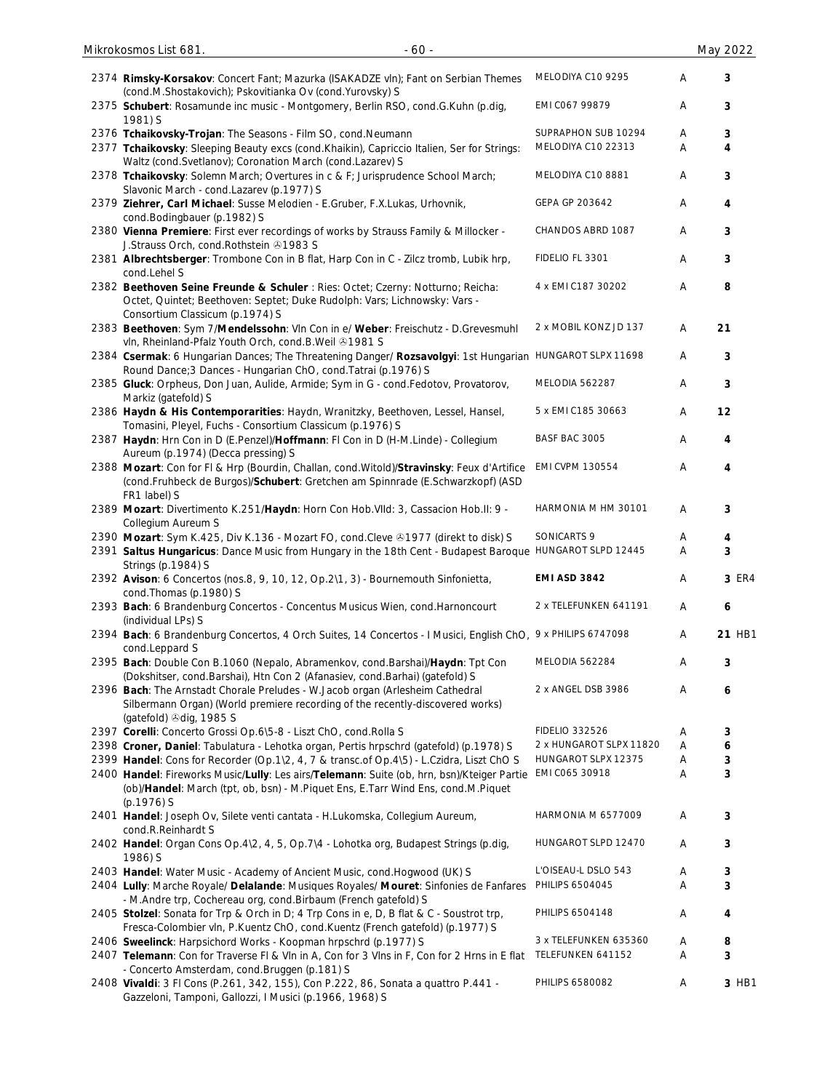| 2374 Rimsky-Korsakov: Concert Fant; Mazurka (ISAKADZE vln); Fant on Serbian Themes<br>(cond.M.Shostakovich); Pskovitianka Ov (cond.Yurovsky) S                                                  | MELODIYA C10 9295                         | Α      | 3      |
|-------------------------------------------------------------------------------------------------------------------------------------------------------------------------------------------------|-------------------------------------------|--------|--------|
| 2375 Schubert: Rosamunde inc music - Montgomery, Berlin RSO, cond.G.Kuhn (p.dig,<br>1981) S                                                                                                     | EMI C067 99879                            | Α      | 3      |
| 2376 Tchaikovsky-Trojan: The Seasons - Film SO, cond. Neumann<br>2377 Tchaikovsky: Sleeping Beauty excs (cond.Khaikin), Capriccio Italien, Ser for Strings:                                     | SUPRAPHON SUB 10294<br>MELODIYA C10 22313 | A<br>Α | 3<br>4 |
| Waltz (cond. Svetlanov); Coronation March (cond. Lazarev) S                                                                                                                                     |                                           |        |        |
| 2378 Tchaikovsky: Solemn March; Overtures in c & F; Jurisprudence School March;<br>Slavonic March - cond.Lazarev (p.1977) S                                                                     | MELODIYA C10 8881                         | Α      | 3      |
| 2379 Ziehrer, Carl Michael: Susse Melodien - E.Gruber, F.X.Lukas, Urhovnik,<br>cond.Bodingbauer (p.1982) S                                                                                      | GEPA GP 203642                            | Α      | 4      |
| 2380 Vienna Premiere: First ever recordings of works by Strauss Family & Millocker -<br>J.Strauss Orch, cond.Rothstein 31983 S                                                                  | CHANDOS ABRD 1087                         | Α      | 3      |
| 2381 Albrechtsberger: Trombone Con in B flat, Harp Con in C - Zilcz tromb, Lubik hrp,<br>cond.Lehel S                                                                                           | FIDELIO FL 3301                           | Α      | 3      |
| 2382 Beethoven Seine Freunde & Schuler : Ries: Octet; Czerny: Notturno; Reicha:<br>Octet, Quintet; Beethoven: Septet; Duke Rudolph: Vars; Lichnowsky: Vars -<br>Consortium Classicum (p.1974) S | 4 x EMI C187 30202                        | А      | 8      |
| 2383 Beethoven: Sym 7/Mendelssohn: Vln Con in e/ Weber: Freischutz - D.Grevesmuhl<br>vln, Rheinland-Pfalz Youth Orch, cond.B.Weil +1981 S                                                       | 2 x MOBIL KONZ JD 137                     | Α      | 21     |
| 2384 Csermak: 6 Hungarian Dances; The Threatening Danger/ Rozsavolgyi: 1st Hungarian HUNGAROT SLPX 11698<br>Round Dance; 3 Dances - Hungarian ChO, cond. Tatrai (p.1976) S                      |                                           | Α      | 3      |
| 2385 Gluck: Orpheus, Don Juan, Aulide, Armide; Sym in G - cond.Fedotov, Provatorov,<br>Markiz (gatefold) S                                                                                      | MELODIA 562287                            | Α      | 3      |
| 2386 Haydn & His Contemporarities: Haydn, Wranitzky, Beethoven, Lessel, Hansel,<br>Tomasini, Pleyel, Fuchs - Consortium Classicum (p.1976) S                                                    | 5 x EMI C185 30663                        | Α      | 12     |
| 2387 Haydn: Hrn Con in D (E.Penzel)/Hoffmann: FI Con in D (H-M.Linde) - Collegium<br>Aureum (p.1974) (Decca pressing) S                                                                         | BASF BAC 3005                             | Α      | 4      |
| 2388 Mozart: Con for Fl & Hrp (Bourdin, Challan, cond. Witold)/Stravinsky: Feux d'Artifice<br>(cond.Fruhbeck de Burgos)/Schubert: Gretchen am Spinnrade (E.Schwarzkopf) (ASD<br>FR1 label) S    | EMI CVPM 130554                           | Α      | 4      |
| 2389 Mozart: Divertimento K.251/Haydn: Horn Con Hob.VIId: 3, Cassacion Hob.II: 9 -<br>Collegium Aureum S                                                                                        | HARMONIA M HM 30101                       | Α      | 3      |
| 2390 Mozart: Sym K.425, Div K.136 - Mozart FO, cond.Cleve & 1977 (direkt to disk) S                                                                                                             | SONICARTS 9                               | Α      | 4      |
| 2391 Saltus Hungaricus: Dance Music from Hungary in the 18th Cent - Budapest Baroque HUNGAROT SLPD 12445<br>Strings (p.1984) S                                                                  |                                           | A      | 3      |
| 2392 Avison: 6 Concertos (nos.8, 9, 10, 12, Op.2\1, 3) - Bournemouth Sinfonietta,<br>cond. Thomas (p. 1980) S                                                                                   | <b>EMI ASD 3842</b>                       | Α      | 3 ER4  |
| 2393 Bach: 6 Brandenburg Concertos - Concentus Musicus Wien, cond. Harnoncourt<br>(individual LPs) S                                                                                            | 2 x TELEFUNKEN 641191                     | Α      | 6      |
| 2394 Bach: 6 Brandenburg Concertos, 4 Orch Suites, 14 Concertos - I Musici, English ChO, 9 x PHILIPS 6747098<br>cond.Leppard S                                                                  |                                           | Α      | 21 HB1 |
| 2395 Bach: Double Con B.1060 (Nepalo, Abramenkov, cond.Barshai)/Haydn: Tpt Con<br>(Dokshitser, cond.Barshai), Htn Con 2 (Afanasiev, cond.Barhai) (gatefold) S                                   | MELODIA 562284                            | Α      | 3      |
| 2396 Bach: The Arnstadt Chorale Preludes - W. Jacob organ (Arlesheim Cathedral<br>Silbermann Organ) (World premiere recording of the recently-discovered works)<br>(gatefold) Odig, 1985 S      | 2 x ANGEL DSB 3986                        | Α      | 6      |
| 2397 Corelli: Concerto Grossi Op.6\5-8 - Liszt ChO, cond.Rolla S                                                                                                                                | <b>FIDELIO 332526</b>                     | Α      | 3      |
| 2398 Croner, Daniel: Tabulatura - Lehotka organ, Pertis hrpschrd (gatefold) (p.1978) S                                                                                                          | 2 x HUNGAROT SLPX 11820                   | Α      | 6      |
| 2399 Handel: Cons for Recorder (Op.1\2, 4, 7 & transc.of Op.4\5) - L.Czidra, Liszt ChO S                                                                                                        | HUNGAROT SLPX 12375                       | Α      | 3      |
| 2400 Handel: Fireworks Music/Lully: Les airs/Telemann: Suite (ob, hrn, bsn)/Kteiger Partie<br>(ob)/Handel: March (tpt, ob, bsn) - M.Piquet Ens, E.Tarr Wind Ens, cond.M.Piquet                  | EMI C065 30918                            | Α      | 3      |
| (p.1976) S<br>2401 Handel: Joseph Ov, Silete venti cantata - H.Lukomska, Collegium Aureum,                                                                                                      | HARMONIA M 6577009                        | Α      | 3      |
| cond.R.Reinhardt S<br>2402 Handel: Organ Cons Op.4\2, 4, 5, Op.7\4 - Lohotka org, Budapest Strings (p.dig,                                                                                      | HUNGAROT SLPD 12470                       | Α      | 3      |
| 1986) S                                                                                                                                                                                         |                                           |        |        |
| 2403 Handel: Water Music - Academy of Ancient Music, cond. Hogwood (UK) S                                                                                                                       | L'OISEAU-L DSLO 543                       | Α      | 3      |
| 2404 Lully: Marche Royale/ Delalande: Musiques Royales/ Mouret: Sinfonies de Fanfares<br>- M.Andre trp, Cochereau org, cond.Birbaum (French gatefold) S                                         | <b>PHILIPS 6504045</b>                    | Α      | 3      |
| 2405 Stolzel: Sonata for Trp & Orch in D; 4 Trp Cons in e, D, B flat & C - Soustrot trp,<br>Fresca-Colombier vln, P.Kuentz ChO, cond.Kuentz (French gatefold) (p.1977) S                        | <b>PHILIPS 6504148</b>                    | Α      | 4      |
| 2406 Sweelinck: Harpsichord Works - Koopman hrpschrd (p.1977) S                                                                                                                                 | 3 x TELEFUNKEN 635360                     | Α      | 8      |
| 2407 Telemann: Con for Traverse FI & VIn in A, Con for 3 VIns in F, Con for 2 Hrns in E flat                                                                                                    | TELEFUNKEN 641152                         | Α      | 3      |
| - Concerto Amsterdam, cond. Bruggen (p. 181) S<br>2408 Vivaldi: 3 Fl Cons (P.261, 342, 155), Con P.222, 86, Sonata a quattro P.441 -                                                            | PHILIPS 6580082                           | Α      | 3 HB1  |
| Gazzeloni, Tamponi, Gallozzi, I Musici (p.1966, 1968) S                                                                                                                                         |                                           |        |        |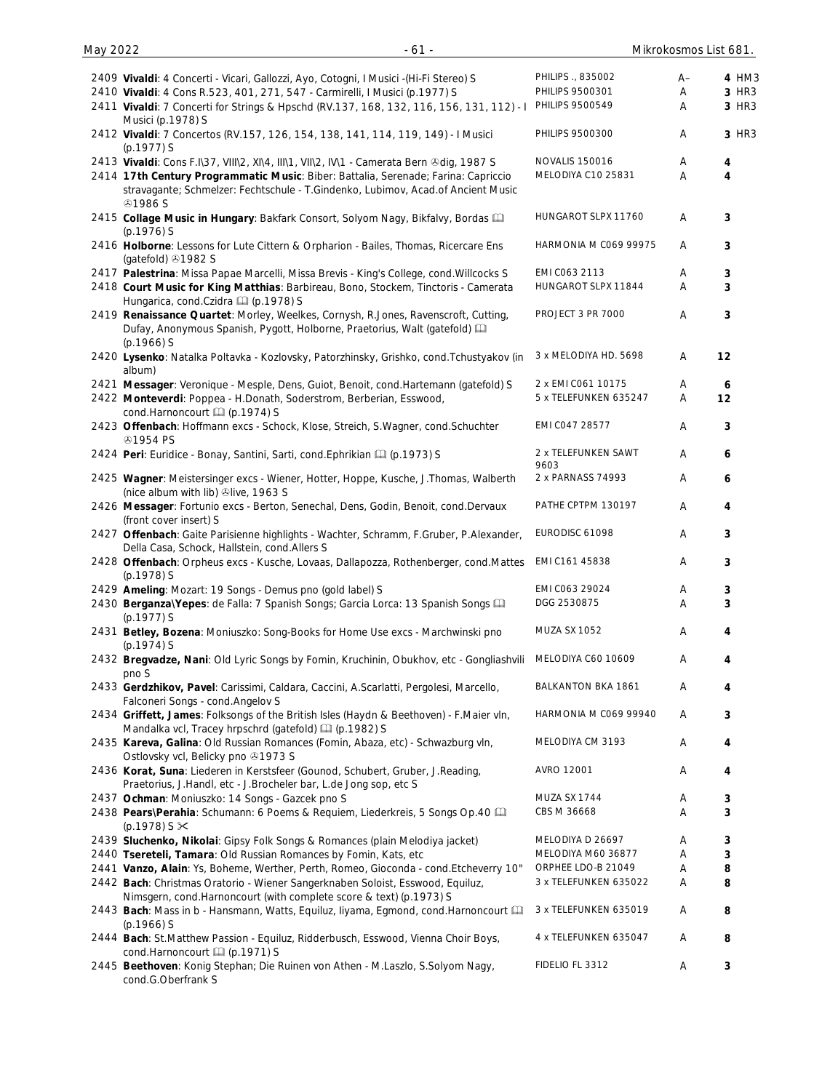| 2409 Vivaldi: 4 Concerti - Vicari, Gallozzi, Ayo, Cotogni, I Musici -(Hi-Fi Stereo) S                                                                                                    | PHILIPS ., 835002           | $A-$ | 4 HM3        |
|------------------------------------------------------------------------------------------------------------------------------------------------------------------------------------------|-----------------------------|------|--------------|
| 2410 Vivaldi: 4 Cons R.523, 401, 271, 547 - Carmirelli, I Musici (p.1977) S                                                                                                              | PHILIPS 9500301             | Α    | 3 HR3        |
| 2411 Vivaldi: 7 Concerti for Strings & Hpschd (RV.137, 168, 132, 116, 156, 131, 112) - I<br>Musici (p.1978) S                                                                            | PHILIPS 9500549             | A    | 3 HR3        |
| 2412 Vivaldi: 7 Concertos (RV.157, 126, 154, 138, 141, 114, 119, 149) - I Musici<br>$(p.1977)$ S                                                                                         | PHILIPS 9500300             | Α    | 3 HR3        |
| 2413 Vivaldi: Cons F.I\37, VIII\2, XI\4, III\1, VII\2, IV\1 - Camerata Bern ®dig, 1987 S                                                                                                 | <b>NOVALIS 150016</b>       | A    | 4            |
| 2414 17th Century Programmatic Music: Biber: Battalia, Serenade; Farina: Capriccio<br>stravagante; Schmelzer: Fechtschule - T.Gindenko, Lubimov, Acad.of Ancient Music<br><b>41986 S</b> | MELODIYA C10 25831          | A    | 4            |
| 2415 Collage Music in Hungary: Bakfark Consort, Solyom Nagy, Bikfalvy, Bordas Ca<br>$(p.1976)$ S                                                                                         | HUNGAROT SLPX 11760         | Α    | 3            |
| 2416 Holborne: Lessons for Lute Cittern & Orpharion - Bailes, Thomas, Ricercare Ens<br>(gatefold) 31982 S                                                                                | HARMONIA M C069 99975       | Α    | 3            |
| 2417 Palestrina: Missa Papae Marcelli, Missa Brevis - King's College, cond. Willcocks S                                                                                                  | EMI CO63 2113               | A    | 3            |
| 2418 Court Music for King Matthias: Barbireau, Bono, Stockem, Tinctoris - Camerata<br>Hungarica, cond.Czidra [1] (p.1978) S                                                              | HUNGAROT SLPX 11844         | A    | 3            |
| 2419 Renaissance Quartet: Morley, Weelkes, Cornysh, R.Jones, Ravenscroft, Cutting,<br>Dufay, Anonymous Spanish, Pygott, Holborne, Praetorius, Walt (gatefold) [11]<br>$(p.1966)$ S       | PROJECT 3 PR 7000           | Α    | $\mathbf{3}$ |
| 2420 Lysenko: Natalka Poltavka - Kozlovsky, Patorzhinsky, Grishko, cond.Tchustyakov (in<br>album)                                                                                        | 3 x MELODIYA HD. 5698       | Α    | 12           |
| 2421 Messager: Veronique - Mesple, Dens, Guiot, Benoit, cond.Hartemann (gatefold) S                                                                                                      | 2 x EMI CO61 10175          | Α    | 6            |
| 2422 Monteverdi: Poppea - H.Donath, Soderstrom, Berberian, Esswood,<br>cond.Harnoncourt [1] (p.1974) S                                                                                   | 5 x TELEFUNKEN 635247       | Α    | 12           |
| 2423 Offenbach: Hoffmann excs - Schock, Klose, Streich, S.Wagner, cond.Schuchter<br><b>@1954 PS</b>                                                                                      | EMI CO47 28577              | A    | $\mathbf{3}$ |
| 2424 Peri: Euridice - Bonay, Santini, Sarti, cond. Ephrikian [1] (p.1973) S                                                                                                              | 2 x TELEFUNKEN SAWT<br>9603 | Α    | 6            |
| 2425 Wagner: Meistersinger excs - Wiener, Hotter, Hoppe, Kusche, J. Thomas, Walberth<br>(nice album with lib) @live, 1963 S                                                              | 2 x PARNASS 74993           | A    | 6            |
| 2426 Messager: Fortunio excs - Berton, Senechal, Dens, Godin, Benoit, cond.Dervaux<br>(front cover insert) S                                                                             | PATHE CPTPM 130197          | Α    | 4            |
| 2427 Offenbach: Gaite Parisienne highlights - Wachter, Schramm, F.Gruber, P.Alexander,<br>Della Casa, Schock, Hallstein, cond.Allers S                                                   | EURODISC 61098              | Α    | $\mathbf{3}$ |
| 2428 Offenbach: Orpheus excs - Kusche, Lovaas, Dallapozza, Rothenberger, cond.Mattes<br>(p.1978) S                                                                                       | EMI C161 45838              | A    | $\mathbf{3}$ |
| 2429 Ameling: Mozart: 19 Songs - Demus pno (gold label) S                                                                                                                                | EMI C063 29024              | Α    | 3            |
| 2430 Berganza\Yepes: de Falla: 7 Spanish Songs; Garcia Lorca: 13 Spanish Songs<br>(p.1977) S                                                                                             | DGG 2530875                 | Α    | 3            |
| 2431 Betley, Bozena: Moniuszko: Song-Books for Home Use excs - Marchwinski pno<br>$(p.1974)$ S                                                                                           | <b>MUZA SX 1052</b>         | Α    | 4            |
| 2432 Bregvadze, Nani: Old Lyric Songs by Fomin, Kruchinin, Obukhov, etc - Gongliashvili<br>pno S                                                                                         | MELODIYA C60 10609          | A    | 4            |
| 2433 Gerdzhikov, Pavel: Carissimi, Caldara, Caccini, A.Scarlatti, Pergolesi, Marcello,<br>Falconeri Songs - cond.Angelov S                                                               | BALKANTON BKA 1861          | A    | 4            |
| 2434 Griffett, James: Folksongs of the British Isles (Haydn & Beethoven) - F.Maier vln,<br>Mandalka vcl, Tracey hrpschrd (gatefold) [1] (p.1982) S                                       | HARMONIA M C069 99940       | A    | 3            |
| 2435 Kareva, Galina: Old Russian Romances (Fomin, Abaza, etc) - Schwazburg vln,<br>Ostlovsky vcl, Belicky pno @1973 S                                                                    | MELODIYA CM 3193            | A    | 4            |
| 2436 Korat, Suna: Liederen in Kerstsfeer (Gounod, Schubert, Gruber, J.Reading,<br>Praetorius, J.Handl, etc - J.Brocheler bar, L.de Jong sop, etc S                                       | AVRO 12001                  | Α    | 4            |
| 2437 Ochman: Moniuszko: 14 Songs - Gazcek pno S                                                                                                                                          | MUZA SX 1744                | Α    | 3            |
| 2438 Pears\Perahia: Schumann: 6 Poems & Requiem, Liederkreis, 5 Songs Op.40 [11]<br>(p.1978) S $\times$                                                                                  | CBS M 36668                 | Α    | 3            |
| 2439 Sluchenko, Nikolai: Gipsy Folk Songs & Romances (plain Melodiya jacket)                                                                                                             | MELODIYA D 26697            | A    | 3            |
| 2440 Tsereteli, Tamara: Old Russian Romances by Fomin, Kats, etc                                                                                                                         | MELODIYA M60 36877          | Α    | 3            |
| 2441 Vanzo, Alain: Ys, Boheme, Werther, Perth, Romeo, Gioconda - cond. Etcheverry 10"                                                                                                    | ORPHEE LDO-B 21049          | Α    | 8            |
| 2442 Bach: Christmas Oratorio - Wiener Sangerknaben Soloist, Esswood, Equiluz,                                                                                                           | 3 x TELEFUNKEN 635022       | A    | 8            |
| Nimsgern, cond.Harnoncourt (with complete score & text) (p.1973) S<br>2443 Bach: Mass in b - Hansmann, Watts, Equiluz, Iiyama, Egmond, cond.Harnoncourt                                  | 3 x TELEFUNKEN 635019       | Α    | 8            |
| $(p.1966)$ S                                                                                                                                                                             |                             |      |              |
| 2444 Bach: St.Matthew Passion - Equiluz, Ridderbusch, Esswood, Vienna Choir Boys,<br>cond.Harnoncourt [1] (p.1971) S                                                                     | 4 x TELEFUNKEN 635047       | A    | 8            |
| 2445 Beethoven: Konig Stephan; Die Ruinen von Athen - M.Laszlo, S.Solyom Nagy,<br>cond.G.Oberfrank S                                                                                     | FIDELIO FL 3312             | Α    | $\mathsf 3$  |

May 2022 - 61 - Mikrokosmos List 681.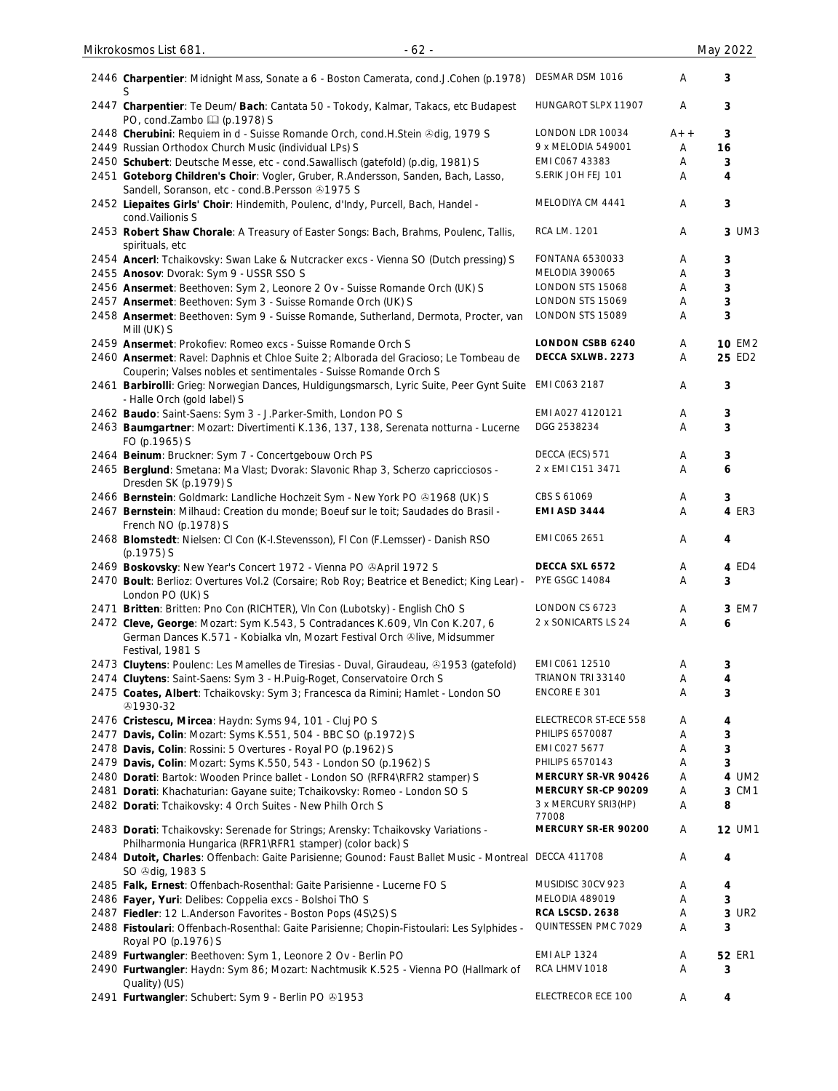| 2446 Charpentier: Midnight Mass, Sonate a 6 - Boston Camerata, cond.J.Cohen (p.1978)                                                                                           | DESMAR DSM 1016               | Α     | 3             |
|--------------------------------------------------------------------------------------------------------------------------------------------------------------------------------|-------------------------------|-------|---------------|
| 2447 Charpentier: Te Deum/ Bach: Cantata 50 - Tokody, Kalmar, Takacs, etc Budapest<br>PO, cond.Zambo (p.1978) S                                                                | HUNGAROT SLPX 11907           | A     | 3             |
| 2448 Cherubini: Requiem in d - Suisse Romande Orch, cond.H.Stein &dig, 1979 S                                                                                                  | LONDON LDR 10034              | $A++$ | 3             |
| 2449 Russian Orthodox Church Music (individual LPs) S                                                                                                                          | 9 x MELODIA 549001            | Α     | 16            |
| 2450 Schubert: Deutsche Messe, etc - cond. Sawallisch (gatefold) (p.dig, 1981) S                                                                                               | EMI CO67 43383                | Α     | 3             |
| 2451 Goteborg Children's Choir: Vogler, Gruber, R.Andersson, Sanden, Bach, Lasso,                                                                                              | S.ERIK JOH FEJ 101            | A     | 4             |
| Sandell, Soranson, etc - cond.B.Persson 21975 S                                                                                                                                |                               |       |               |
| 2452 Liepaites Girls' Choir: Hindemith, Poulenc, d'Indy, Purcell, Bach, Handel -<br>cond. Vailionis S                                                                          | MELODIYA CM 4441              | A     | 3             |
| 2453 Robert Shaw Chorale: A Treasury of Easter Songs: Bach, Brahms, Poulenc, Tallis,<br>spirituals, etc                                                                        | RCA LM. 1201                  | A     | 3 UM3         |
|                                                                                                                                                                                | FONTANA 6530033               |       |               |
| 2454 Ancerl: Tchaikovsky: Swan Lake & Nutcracker excs - Vienna SO (Dutch pressing) S                                                                                           |                               | Α     | 3             |
| 2455 Anosov: Dvorak: Sym 9 - USSR SSO S                                                                                                                                        | MELODIA 390065                | Α     | 3             |
| 2456 Ansermet: Beethoven: Sym 2, Leonore 2 Ov - Suisse Romande Orch (UK) S                                                                                                     | LONDON STS 15068              | Α     | $\mathbf{3}$  |
| 2457 Ansermet: Beethoven: Sym 3 - Suisse Romande Orch (UK) S                                                                                                                   | LONDON STS 15069              | Α     | 3             |
| 2458 Ansermet: Beethoven: Sym 9 - Suisse Romande, Sutherland, Dermota, Procter, van<br>Mill (UK) S                                                                             | LONDON STS 15089              | Α     | 3             |
| 2459 Ansermet: Prokofiev: Romeo excs - Suisse Romande Orch S                                                                                                                   | <b>LONDON CSBB 6240</b>       | Α     | <b>10 EM2</b> |
| 2460 Ansermet: Ravel: Daphnis et Chloe Suite 2; Alborada del Gracioso; Le Tombeau de<br>Couperin; Valses nobles et sentimentales - Suisse Romande Orch S                       | DECCA SXLWB. 2273             | Α     | 25 ED2        |
| 2461 Barbirolli: Grieg: Norwegian Dances, Huldigungsmarsch, Lyric Suite, Peer Gynt Suite<br>- Halle Orch (gold label) S                                                        | EMI C063 2187                 | Α     | 3             |
| 2462 Baudo: Saint-Saens: Sym 3 - J.Parker-Smith, London PO S                                                                                                                   | EMI A027 4120121              | Α     | 3             |
| 2463 Baumgartner: Mozart: Divertimenti K.136, 137, 138, Serenata notturna - Lucerne<br>FO (p.1965) S                                                                           | DGG 2538234                   | Α     | 3             |
| 2464 Beinum: Bruckner: Sym 7 - Concertgebouw Orch PS                                                                                                                           | DECCA (ECS) 571               | Α     | 3             |
| 2465 Berglund: Smetana: Ma Vlast; Dvorak: Slavonic Rhap 3, Scherzo capricciosos -<br>Dresden SK (p.1979) S                                                                     | 2 x EMI C151 3471             | Α     | 6             |
|                                                                                                                                                                                | CBS S 61069                   |       | 3             |
| 2466 Bernstein: Goldmark: Landliche Hochzeit Sym - New York PO & 1968 (UK) S                                                                                                   |                               | Α     |               |
| 2467 Bernstein: Milhaud: Creation du monde; Boeuf sur le toit; Saudades do Brasil -<br>French NO (p.1978) S                                                                    | EMI ASD 3444                  | Α     | 4 ER3         |
| 2468 Blomstedt: Nielsen: CI Con (K-I.Stevensson), FI Con (F.Lemsser) - Danish RSO<br>(p.1975) S                                                                                | EMI C065 2651                 | Α     | 4             |
| 2469 Boskovsky: New Year's Concert 1972 - Vienna PO & April 1972 S                                                                                                             | DECCA SXL 6572                | Α     | 4 ED4         |
| 2470 Boult: Berlioz: Overtures Vol.2 (Corsaire; Rob Roy; Beatrice et Benedict; King Lear) -<br>London PO (UK) S                                                                | <b>PYE GSGC 14084</b>         | Α     | 3             |
| 2471 Britten: Britten: Pno Con (RICHTER), VIn Con (Lubotsky) - English ChO S                                                                                                   | LONDON CS 6723                | Α     | 3 EM7         |
| 2472 Cleve, George: Mozart: Sym K.543, 5 Contradances K.609, Vln Con K.207, 6<br>German Dances K.571 - Kobialka vln, Mozart Festival Orch ®live, Midsummer<br>Festival, 1981 S | 2 x SONICARTS LS 24           | Α     | 6             |
| 2473 Cluytens: Poulenc: Les Mamelles de Tiresias - Duval, Giraudeau, &1953 (gatefold)                                                                                          | EMI C061 12510                | A     | 3             |
|                                                                                                                                                                                | TRIANON TRI 33140             | Α     | 4             |
| 2474 Cluytens: Saint-Saens: Sym 3 - H.Puig-Roget, Conservatoire Orch S                                                                                                         |                               |       |               |
| 2475 Coates, Albert: Tchaikovsky: Sym 3; Francesca da Rimini; Hamlet - London SO<br>51930-32                                                                                   | ENCORE E 301                  | Α     | 3             |
| 2476 Cristescu, Mircea: Haydn: Syms 94, 101 - Cluj PO S                                                                                                                        | ELECTRECOR ST-ECE 558         | Α     | 4             |
| 2477 Davis, Colin: Mozart: Syms K.551, 504 - BBC SO (p.1972) S                                                                                                                 | PHILIPS 6570087               | Α     | 3             |
| 2478 Davis, Colin: Rossini: 5 Overtures - Royal PO (p.1962) S                                                                                                                  | EMI CO27 5677                 | Α     | 3             |
| 2479 Davis, Colin: Mozart: Syms K.550, 543 - London SO (p.1962) S                                                                                                              | PHILIPS 6570143               | Α     | 3             |
|                                                                                                                                                                                | MERCURY SR-VR 90426           |       |               |
| 2480 Dorati: Bartok: Wooden Prince ballet - London SO (RFR4\RFR2 stamper) S                                                                                                    |                               | Α     | 4 UM2         |
| 2481 Dorati: Khachaturian: Gayane suite; Tchaikovsky: Romeo - London SO S                                                                                                      | MERCURY SR-CP 90209           | Α     | 3 CM1         |
| 2482 Dorati: Tchaikovsky: 4 Orch Suites - New Philh Orch S                                                                                                                     | 3 x MERCURY SRI3(HP)<br>77008 | Α     | 8             |
| 2483 Dorati: Tchaikovsky: Serenade for Strings; Arensky: Tchaikovsky Variations -<br>Philharmonia Hungarica (RFR1\RFR1 stamper) (color back) S                                 | MERCURY SR-ER 90200           | Α     | <b>12 UM1</b> |
| 2484 Dutoit, Charles: Offenbach: Gaite Parisienne; Gounod: Faust Ballet Music - Montreal<br>SO <sup>®</sup> dig, 1983 S                                                        | <b>DECCA 411708</b>           | A     | 4             |
| 2485 Falk, Ernest: Offenbach-Rosenthal: Gaite Parisienne - Lucerne FO S                                                                                                        | MUSIDISC 30CV 923             | Α     | 4             |
| 2486 Fayer, Yuri: Delibes: Coppelia excs - Bolshoi ThO S                                                                                                                       | MELODIA 489019                | Α     | 3             |
| 2487 Fiedler: 12 L.Anderson Favorites - Boston Pops (4S\2S) S                                                                                                                  | RCA LSCSD. 2638               | Α     | 3 UR2         |
|                                                                                                                                                                                | QUINTESSEN PMC 7029           | Α     | 3             |
| 2488 Fistoulari: Offenbach-Rosenthal: Gaite Parisienne; Chopin-Fistoulari: Les Sylphides -<br>Royal PO (p.1976) S                                                              |                               |       |               |
| 2489 Furtwangler: Beethoven: Sym 1, Leonore 2 Ov - Berlin PO                                                                                                                   | <b>EMI ALP 1324</b>           | Α     | <b>52 ER1</b> |
| 2490 Furtwangler: Haydn: Sym 86; Mozart: Nachtmusik K.525 - Vienna PO (Hallmark of<br>Quality) (US)                                                                            | RCA LHMV 1018                 | Α     | 3             |
| 2491 Furtwangler: Schubert: Sym 9 - Berlin PO 81953                                                                                                                            | ELECTRECOR ECE 100            | Α     | 4             |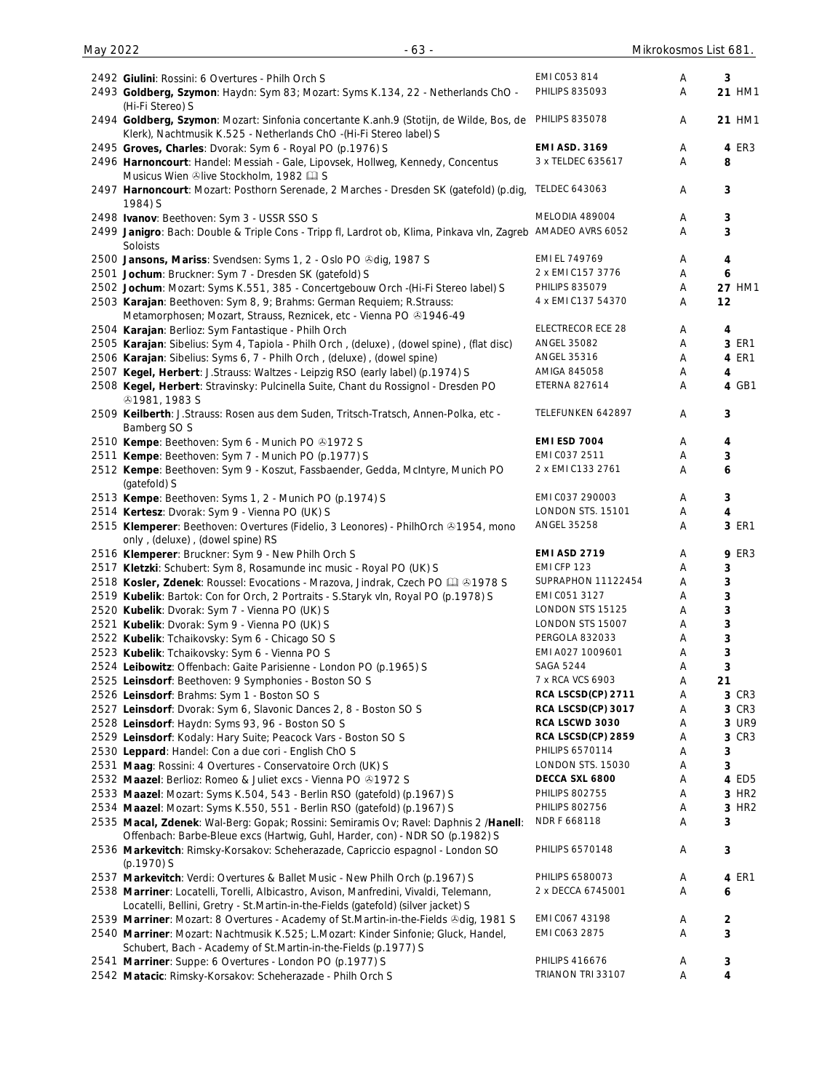| 2492 Giulini: Rossini: 6 Overtures - Philh Orch S                                                            | EMI C053 814             | Α | 3                 |
|--------------------------------------------------------------------------------------------------------------|--------------------------|---|-------------------|
| 2493 Goldberg, Szymon: Haydn: Sym 83; Mozart: Syms K.134, 22 - Netherlands ChO -                             | <b>PHILIPS 835093</b>    | Α | 21 HM1            |
| (Hi-Fi Stereo) S                                                                                             |                          |   |                   |
| 2494 Goldberg, Szymon: Mozart: Sinfonia concertante K.anh.9 (Stotijn, de Wilde, Bos, de                      | <b>PHILIPS 835078</b>    | Α | 21 HM1            |
| Klerk), Nachtmusik K.525 - Netherlands ChO - (Hi-Fi Stereo label) S                                          |                          |   |                   |
| 2495 Groves, Charles: Dvorak: Sym 6 - Royal PO (p.1976) S                                                    | <b>EMI ASD. 3169</b>     | Α | 4 ER3             |
| 2496 Harnoncourt: Handel: Messiah - Gale, Lipovsek, Hollweg, Kennedy, Concentus                              | 3 x TELDEC 635617        | Α | 8                 |
| Musicus Wien ®live Stockholm, 1982 La S                                                                      |                          |   |                   |
| 2497 Harnoncourt: Mozart: Posthorn Serenade, 2 Marches - Dresden SK (gatefold) (p.dig,                       | <b>TELDEC 643063</b>     | Α | 3                 |
| 1984) S                                                                                                      |                          |   |                   |
| 2498 Ivanov: Beethoven: Sym 3 - USSR SSO S                                                                   | MELODIA 489004           | A | 3                 |
| 2499 Janigro: Bach: Double & Triple Cons - Tripp fl, Lardrot ob, Klima, Pinkava vln, Zagreb AMADEO AVRS 6052 |                          | Α | 3                 |
| Soloists                                                                                                     |                          |   |                   |
| 2500 Jansons, Mariss: Svendsen: Syms 1, 2 - Oslo PO & dig, 1987 S                                            | EMI EL 749769            | Α | 4                 |
| 2501 Jochum: Bruckner: Sym 7 - Dresden SK (gatefold) S                                                       | 2 x EMI C157 3776        | Α | 6                 |
| 2502 Jochum: Mozart: Syms K.551, 385 - Concertgebouw Orch -(Hi-Fi Stereo label) S                            | <b>PHILIPS 835079</b>    | Α | <b>27 HM1</b>     |
| 2503 Karajan: Beethoven: Sym 8, 9; Brahms: German Requiem; R.Strauss:                                        | 4 x EMI C137 54370       | Α | 12                |
| Metamorphosen; Mozart, Strauss, Reznicek, etc - Vienna PO +1946-49                                           |                          |   |                   |
| 2504 Karajan: Berlioz: Sym Fantastique - Philh Orch                                                          | <b>ELECTRECOR ECE 28</b> | A | 4                 |
| 2505 Karajan: Sibelius: Sym 4, Tapiola - Philh Orch, (deluxe), (dowel spine), (flat disc)                    | <b>ANGEL 35082</b>       | Α | 3 ER1             |
| 2506 Karajan: Sibelius: Syms 6, 7 - Philh Orch, (deluxe), (dowel spine)                                      | ANGEL 35316              | Α | 4 ER1             |
| 2507 Kegel, Herbert: J.Strauss: Waltzes - Leipzig RSO (early label) (p.1974) S                               | AMIGA 845058             | A | 4                 |
| 2508 Kegel, Herbert: Stravinsky: Pulcinella Suite, Chant du Rossignol - Dresden PO                           | <b>ETERNA 827614</b>     | Α | 4 GB1             |
| <b>⊕1981, 1983 S</b>                                                                                         |                          |   |                   |
| 2509 Keilberth: J.Strauss: Rosen aus dem Suden, Tritsch-Tratsch, Annen-Polka, etc -                          | TELEFUNKEN 642897        | A | 3                 |
| Bamberg SO S                                                                                                 |                          |   |                   |
| 2510 Kempe: Beethoven: Sym 6 - Munich PO 01972 S                                                             | <b>EMI ESD 7004</b>      | A | 4                 |
| 2511 Kempe: Beethoven: Sym 7 - Munich PO (p.1977) S                                                          | EMI C037 2511            | A | 3                 |
| 2512 Kempe: Beethoven: Sym 9 - Koszut, Fassbaender, Gedda, McIntyre, Munich PO                               | 2 x EMI C133 2761        | Α | 6                 |
| (gatefold) S                                                                                                 |                          |   |                   |
| 2513 Kempe: Beethoven: Syms 1, 2 - Munich PO (p.1974) S                                                      | EMI C037 290003          | Α | 3                 |
| 2514 Kertesz: Dvorak: Sym 9 - Vienna PO (UK) S                                                               | LONDON STS. 15101        | A | 4                 |
| 2515 Klemperer: Beethoven: Overtures (Fidelio, 3 Leonores) - PhilhOrch & 1954, mono                          | <b>ANGEL 35258</b>       | Α | 3 ER1             |
| only, (deluxe), (dowel spine) RS                                                                             |                          |   |                   |
| 2516 Klemperer: Bruckner: Sym 9 - New Philh Orch S                                                           | <b>EMI ASD 2719</b>      | Α | <b>9 ER3</b>      |
| 2517 Kletzki: Schubert: Sym 8, Rosamunde inc music - Royal PO (UK) S                                         | EMI CFP 123              | Α | 3                 |
| 2518 Kosler, Zdenek: Roussel: Evocations - Mrazova, Jindrak, Czech PO LQ & 1978 S                            | SUPRAPHON 11122454       | Α | 3                 |
| 2519 Kubelik: Bartok: Con for Orch, 2 Portraits - S.Staryk vln, Royal PO (p.1978) S                          | EMI C051 3127            | A | 3                 |
| 2520 Kubelik: Dvorak: Sym 7 - Vienna PO (UK) S                                                               | LONDON STS 15125         | Α | 3                 |
| 2521 Kubelik: Dvorak: Sym 9 - Vienna PO (UK) S                                                               | LONDON STS 15007         | Α | 3                 |
| 2522 Kubelik: Tchaikovsky: Sym 6 - Chicago SO S                                                              | PERGOLA 832033           | Α | 3                 |
| 2523 Kubelik: Tchaikovsky: Sym 6 - Vienna PO S                                                               | EMI A027 1009601         | Α | 3                 |
| 2524 Leibowitz: Offenbach: Gaite Parisienne - London PO (p.1965) S                                           | <b>SAGA 5244</b>         | Α | 3                 |
| 2525 Leinsdorf: Beethoven: 9 Symphonies - Boston SO S                                                        | 7 x RCA VCS 6903         | Α | 21                |
| 2526 Leinsdorf: Brahms: Sym 1 - Boston SO S                                                                  | RCA LSCSD(CP) 2711       | Α | 3 CR3             |
| 2527 Leinsdorf: Dvorak: Sym 6, Slavonic Dances 2, 8 - Boston SO S                                            | RCA LSCSD(CP) 3017       | A | 3 CR3             |
| 2528 Leinsdorf: Haydn: Syms 93, 96 - Boston SO S                                                             | RCA LSCWD 3030           | A | 3 UR9             |
| 2529 Leinsdorf: Kodaly: Hary Suite; Peacock Vars - Boston SO S                                               | RCA LSCSD(CP) 2859       | A | 3 CR3             |
| 2530 Leppard: Handel: Con a due cori - English ChO S                                                         | PHILIPS 6570114          | A | 3                 |
| 2531 Maag: Rossini: 4 Overtures - Conservatoire Orch (UK) S                                                  | LONDON STS. 15030        | A | 3                 |
| 2532 Maazel: Berlioz: Romeo & Juliet excs - Vienna PO @1972 S                                                | DECCA SXL 6800           | A | 4 ED5             |
| 2533 Maazel: Mozart: Syms K.504, 543 - Berlin RSO (gatefold) (p.1967) S                                      | <b>PHILIPS 802755</b>    | A | 3 HR <sub>2</sub> |
| 2534 Maazel: Mozart: Syms K.550, 551 - Berlin RSO (gatefold) (p.1967) S                                      | <b>PHILIPS 802756</b>    | A | 3 HR2             |
| 2535 Macal, Zdenek: Wal-Berg: Gopak; Rossini: Semiramis Ov; Ravel: Daphnis 2 /Hanell:                        | NDR F 668118             | Α | 3                 |
| Offenbach: Barbe-Bleue excs (Hartwig, Guhl, Harder, con) - NDR SO (p.1982) S                                 |                          |   |                   |
| 2536 Markevitch: Rimsky-Korsakov: Scheherazade, Capriccio espagnol - London SO                               | PHILIPS 6570148          | Α | 3                 |
| (p.1970) S                                                                                                   |                          |   |                   |
| 2537 Markevitch: Verdi: Overtures & Ballet Music - New Philh Orch (p.1967) S                                 | PHILIPS 6580073          | Α | 4 ER1             |
| 2538 Marriner: Locatelli, Torelli, Albicastro, Avison, Manfredini, Vivaldi, Telemann,                        | 2 x DECCA 6745001        | A | 6                 |
| Locatelli, Bellini, Gretry - St. Martin-in-the-Fields (gatefold) (silver jacket) S                           |                          |   |                   |
| 2539 Marriner: Mozart: 8 Overtures - Academy of St. Martin-in-the-Fields & dig, 1981 S                       | EMI CO67 43198           | A | 2                 |
| 2540 Marriner: Mozart: Nachtmusik K.525; L.Mozart: Kinder Sinfonie; Gluck, Handel,                           | EMI C063 2875            | Α | 3                 |
| Schubert, Bach - Academy of St.Martin-in-the-Fields (p.1977) S                                               |                          |   |                   |
| 2541 Marriner: Suppe: 6 Overtures - London PO (p.1977) S                                                     | <b>PHILIPS 416676</b>    | A | 3                 |
| 2542 Matacic: Rimsky-Korsakov: Scheherazade - Philh Orch S                                                   | TRIANON TRI 33107        | Α | 4                 |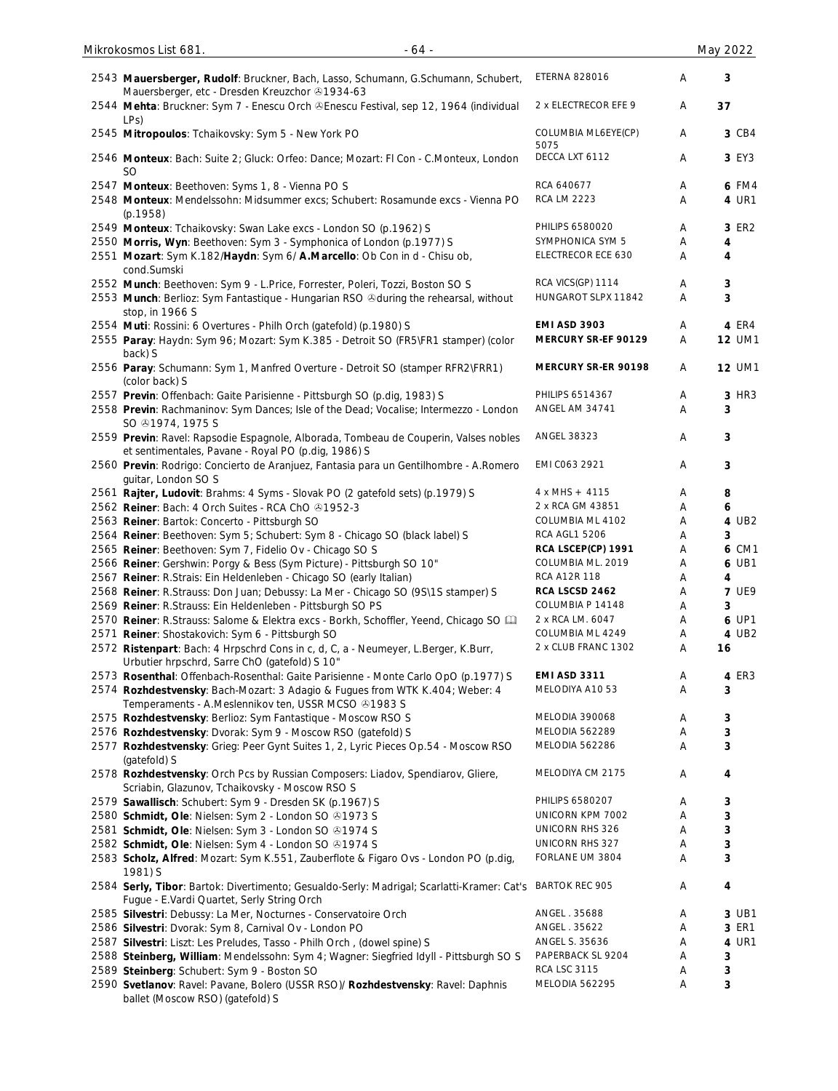| 2543 Mauersberger, Rudolf: Bruckner, Bach, Lasso, Schumann, G.Schumann, Schubert,<br>Mauersberger, etc - Dresden Kreuzchor 31934-63          | <b>ETERNA 828016</b>        | Α | 3                |
|----------------------------------------------------------------------------------------------------------------------------------------------|-----------------------------|---|------------------|
| 2544 Mehta: Bruckner: Sym 7 - Enescu Orch & Enescu Festival, sep 12, 1964 (individual<br>LP <sub>S</sub> )                                   | 2 x ELECTRECOR EFE 9        | Α | 37               |
| 2545 Mitropoulos: Tchaikovsky: Sym 5 - New York PO                                                                                           | COLUMBIA ML6EYE(CP)<br>5075 | Α | 3 CB4            |
| 2546 Monteux: Bach: Suite 2; Gluck: Orfeo: Dance; Mozart: FI Con - C.Monteux, London<br><b>SO</b>                                            | DECCA LXT 6112              | Α | 3 EY3            |
| 2547 Monteux: Beethoven: Syms 1, 8 - Vienna PO S                                                                                             | RCA 640677                  | Α | 6 FM4            |
| 2548 Monteux: Mendelssohn: Midsummer excs; Schubert: Rosamunde excs - Vienna PO<br>(p.1958)                                                  | <b>RCA LM 2223</b>          | Α | 4 UR1            |
| 2549 Monteux: Tchaikovsky: Swan Lake excs - London SO (p.1962) S                                                                             | PHILIPS 6580020             | Α | 3 ER2            |
| 2550 Morris, Wyn: Beethoven: Sym 3 - Symphonica of London (p.1977) S                                                                         | SYMPHONICA SYM 5            | Α | 4                |
| 2551 Mozart: Sym K.182/Haydn: Sym 6/ A.Marcello: Ob Con in d - Chisu ob,                                                                     | ELECTRECOR ECE 630          | Α | 4                |
| cond.Sumski                                                                                                                                  |                             |   |                  |
| 2552 Munch: Beethoven: Sym 9 - L.Price, Forrester, Poleri, Tozzi, Boston SO S                                                                | RCA VICS(GP) 1114           | Α | $\mathbf 3$      |
| 2553 Munch: Berlioz: Sym Fantastique - Hungarian RSO & during the rehearsal, without                                                         | HUNGAROT SLPX 11842         | A | 3                |
| stop, in 1966 S                                                                                                                              |                             |   |                  |
| 2554 Muti: Rossini: 6 Overtures - Philh Orch (gatefold) (p.1980) S                                                                           | <b>EMI ASD 3903</b>         | Α | 4 ER4            |
| 2555 Paray: Haydn: Sym 96; Mozart: Sym K.385 - Detroit SO (FR5\FR1 stamper) (color                                                           | MERCURY SR-EF 90129         | Α | <b>12 UM1</b>    |
| back) S                                                                                                                                      |                             |   |                  |
| 2556 Paray: Schumann: Sym 1, Manfred Overture - Detroit SO (stamper RFR2\FRR1)<br>(color back) S                                             | MERCURY SR-ER 90198         | Α | <b>12 UM1</b>    |
| 2557 Previn: Offenbach: Gaite Parisienne - Pittsburgh SO (p.dig, 1983) S                                                                     | PHILIPS 6514367             | Α | 3 HR3            |
| 2558 Previn: Rachmaninov: Sym Dances; Isle of the Dead; Vocalise; Intermezzo - London                                                        | ANGEL AM 34741              | Α | 3                |
| SO $@1974, 1975$ S                                                                                                                           |                             |   |                  |
| 2559 Previn: Ravel: Rapsodie Espagnole, Alborada, Tombeau de Couperin, Valses nobles                                                         | ANGEL 38323                 | Α | $\mathbf{3}$     |
| et sentimentales, Pavane - Royal PO (p.dig, 1986) S<br>2560 Previn: Rodrigo: Concierto de Aranjuez, Fantasia para un Gentilhombre - A.Romero | EMI C063 2921               | Α | $\mathbf{3}$     |
| guitar, London SO S                                                                                                                          |                             |   |                  |
| 2561 Rajter, Ludovit: Brahms: 4 Syms - Slovak PO (2 gatefold sets) (p.1979) S                                                                | $4 x MHS + 4115$            | Α | 8                |
| 2562 Reiner: Bach: 4 Orch Suites - RCA ChO 31952-3                                                                                           | 2 x RCA GM 43851            | Α | 6                |
| 2563 Reiner: Bartok: Concerto - Pittsburgh SO                                                                                                | COLUMBIA ML 4102            | Α | 4 UB2            |
| 2564 Reiner: Beethoven: Sym 5; Schubert: Sym 8 - Chicago SO (black label) S                                                                  | <b>RCA AGL1 5206</b>        | Α | 3                |
| 2565 Reiner: Beethoven: Sym 7, Fidelio Ov - Chicago SO S                                                                                     | RCA LSCEP(CP) 1991          | Α | 6 CM1            |
| 2566 Reiner: Gershwin: Porgy & Bess (Sym Picture) - Pittsburgh SO 10"                                                                        | COLUMBIA ML. 2019           | Α | 6 UB1            |
| 2567 Reiner: R.Strais: Ein Heldenleben - Chicago SO (early Italian)                                                                          | RCA A12R 118                | Α | 4                |
| 2568 Reiner: R.Strauss: Don Juan; Debussy: La Mer - Chicago SO (9S\1S stamper) S                                                             | RCA LSCSD 2462              | Α | <b>7 UE9</b>     |
| 2569 Reiner: R.Strauss: Ein Heldenleben - Pittsburgh SO PS                                                                                   | COLUMBIA P 14148            | Α | 3                |
| 2570 Reiner: R.Strauss: Salome & Elektra excs - Borkh, Schoffler, Yeend, Chicago SO [11]                                                     | 2 x RCA LM. 6047            | Α | 6 UP1            |
| 2571 Reiner: Shostakovich: Sym 6 - Pittsburgh SO                                                                                             | COLUMBIA ML 4249            | Α | 4 UB2            |
| 2572 Ristenpart: Bach: 4 Hrpschrd Cons in c, d, C, a - Neumeyer, L.Berger, K.Burr,<br>Urbutier hrpschrd, Sarre ChO (gatefold) S 10"          | 2 x CLUB FRANC 1302         | Α | 16               |
| 2573 Rosenthal: Offenbach-Rosenthal: Gaite Parisienne - Monte Carlo OpO (p.1977) S                                                           | <b>EMI ASD 3311</b>         | Α | 4 ER3            |
| 2574 Rozhdestvensky: Bach-Mozart: 3 Adagio & Fugues from WTK K.404; Weber: 4                                                                 | MELODIYA A10 53             | Α | 3                |
| Temperaments - A.Meslennikov ten, USSR MCSO @1983 S                                                                                          |                             |   |                  |
| 2575 Rozhdestvensky: Berlioz: Sym Fantastique - Moscow RSO S                                                                                 | MELODIA 390068              | Α | 3                |
| 2576 Rozhdestvensky: Dvorak: Sym 9 - Moscow RSO (gatefold) S                                                                                 | MELODIA 562289              | Α | 3                |
| 2577 Rozhdestvensky: Grieg: Peer Gynt Suites 1, 2, Lyric Pieces Op.54 - Moscow RSO<br>(gatefold) S                                           | MELODIA 562286              | Α | 3                |
| 2578 Rozhdestvensky: Orch Pcs by Russian Composers: Liadov, Spendiarov, Gliere,<br>Scriabin, Glazunov, Tchaikovsky - Moscow RSO S            | MELODIYA CM 2175            | Α | 4                |
| 2579 Sawallisch: Schubert: Sym 9 - Dresden SK (p.1967) S                                                                                     | PHILIPS 6580207             | Α | 3                |
| 2580 Schmidt, Ole: Nielsen: Sym 2 - London SO ®1973 S                                                                                        | UNICORN KPM 7002            | Α | 3                |
| 2581 Schmidt, Ole: Nielsen: Sym 3 - London SO 31974 S                                                                                        | UNICORN RHS 326             | Α | 3                |
| 2582 Schmidt, Ole: Nielsen: Sym 4 - London SO 31974 S                                                                                        | UNICORN RHS 327             | Α | 3                |
| 2583 Scholz, Alfred: Mozart: Sym K.551, Zauberflote & Figaro Ovs - London PO (p.dig,                                                         | FORLANE UM 3804             | Α | 3                |
| 1981) S                                                                                                                                      |                             |   |                  |
| 2584 Serly, Tibor: Bartok: Divertimento; Gesualdo-Serly: Madrigal; Scarlatti-Kramer: Cat's<br>Fugue - E.Vardi Quartet, Serly String Orch     | <b>BARTOK REC 905</b>       | Α | $\boldsymbol{4}$ |
| 2585 Silvestri: Debussy: La Mer, Nocturnes - Conservatoire Orch                                                                              | ANGEL. 35688                | Α | 3 UB1            |
| 2586 Silvestri: Dvorak: Sym 8, Carnival Ov - London PO                                                                                       | ANGEL . 35622               | Α | 3 ER1            |
| 2587 Silvestri: Liszt: Les Preludes, Tasso - Philh Orch, (dowel spine) S                                                                     | ANGEL S. 35636              | Α | 4 UR1            |
| 2588 Steinberg, William: Mendelssohn: Sym 4; Wagner: Siegfried Idyll - Pittsburgh SO S                                                       | PAPERBACK SL 9204           | Α | $\mathbf{3}$     |
| 2589 Steinberg: Schubert: Sym 9 - Boston SO                                                                                                  | <b>RCA LSC 3115</b>         | Α | 3                |
| 2590 Svetlanov: Ravel: Pavane, Bolero (USSR RSO)/ Rozhdestvensky: Ravel: Daphnis                                                             | MELODIA 562295              | Α | 3                |
| ballet (Moscow RSO) (gatefold) S                                                                                                             |                             |   |                  |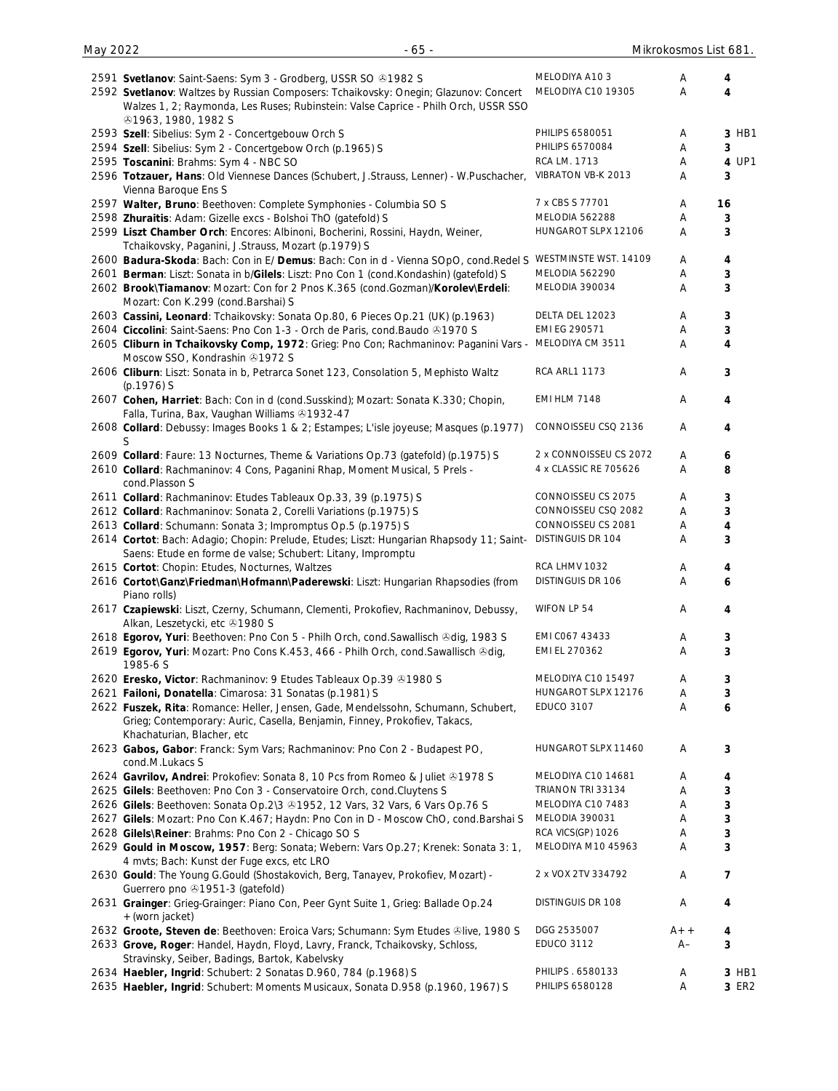| 2591 Svetlanov: Saint-Saens: Sym 3 - Grodberg, USSR SO @1982 S<br>2592 Svetlanov: Waltzes by Russian Composers: Tchaikovsky: Onegin; Glazunov: Concert<br>Walzes 1, 2; Raymonda, Les Ruses; Rubinstein: Valse Caprice - Philh Orch, USSR SSO<br><b>⊕1963, 1980, 1982 S</b> | MELODIYA A103<br>MELODIYA C10 19305 | Α<br>A        | 4<br>4         |
|----------------------------------------------------------------------------------------------------------------------------------------------------------------------------------------------------------------------------------------------------------------------------|-------------------------------------|---------------|----------------|
| 2593 Szell: Sibelius: Sym 2 - Concertgebouw Orch S                                                                                                                                                                                                                         | PHILIPS 6580051                     | A             | 3 HB1          |
| 2594 Szell: Sibelius: Sym 2 - Concertgebow Orch (p.1965) S                                                                                                                                                                                                                 | PHILIPS 6570084                     | A             | 3              |
| 2595 Toscanini: Brahms: Sym 4 - NBC SO                                                                                                                                                                                                                                     | RCA LM. 1713                        | Α             | 4 UP1          |
| 2596 Totzauer, Hans: Old Viennese Dances (Schubert, J.Strauss, Lenner) - W.Puschacher,                                                                                                                                                                                     | VIBRATON VB-K 2013                  | Α             | 3              |
| Vienna Baroque Ens S                                                                                                                                                                                                                                                       | 7 x CBS S 77701                     |               |                |
| 2597 Walter, Bruno: Beethoven: Complete Symphonies - Columbia SO S                                                                                                                                                                                                         | MELODIA 562288                      | Α             | 16             |
| 2598 Zhuraitis: Adam: Gizelle excs - Bolshoi ThO (gatefold) S                                                                                                                                                                                                              | HUNGAROT SLPX 12106                 | Α             | 3              |
| 2599 Liszt Chamber Orch: Encores: Albinoni, Bocherini, Rossini, Haydn, Weiner,<br>Tchaikovsky, Paganini, J.Strauss, Mozart (p.1979) S                                                                                                                                      |                                     | Α             | 3              |
| 2600 Badura-Skoda: Bach: Con in E/ Demus: Bach: Con in d - Vienna SOpO, cond.Redel S                                                                                                                                                                                       | WESTMINSTE WST. 14109               | Α             | 4              |
| 2601 Berman: Liszt: Sonata in b/Gilels: Liszt: Pno Con 1 (cond.Kondashin) (gatefold) S                                                                                                                                                                                     | MELODIA 562290                      | Α             | 3              |
| 2602 Brook\Tiamanov: Mozart: Con for 2 Pnos K.365 (cond.Gozman)/Korolev\Erdeli:<br>Mozart: Con K.299 (cond.Barshai) S                                                                                                                                                      | MELODIA 390034                      | A             | 3              |
| 2603 Cassini, Leonard: Tchaikovsky: Sonata Op.80, 6 Pieces Op.21 (UK) (p.1963)                                                                                                                                                                                             | DELTA DEL 12023                     | Α             | 3              |
| 2604 Ciccolini: Saint-Saens: Pno Con 1-3 - Orch de Paris, cond. Baudo @1970 S                                                                                                                                                                                              | EMI EG 290571                       | Α             | 3              |
| 2605 Cliburn in Tchaikovsky Comp, 1972: Grieg: Pno Con; Rachmaninov: Paganini Vars -<br>Moscow SSO, Kondrashin 31972 S                                                                                                                                                     | MELODIYA CM 3511                    | A             | 4              |
| 2606 Cliburn: Liszt: Sonata in b, Petrarca Sonet 123, Consolation 5, Mephisto Waltz<br>$(p.1976)$ S                                                                                                                                                                        | <b>RCA ARL1 1173</b>                | A             | 3              |
| 2607 Cohen, Harriet: Bach: Con in d (cond.Susskind); Mozart: Sonata K.330; Chopin,<br>Falla, Turina, Bax, Vaughan Williams 31932-47                                                                                                                                        | <b>EMI HLM 7148</b>                 | A             | 4              |
| 2608 Collard: Debussy: Images Books 1 & 2; Estampes; L'isle joyeuse; Masques (p.1977)<br>S                                                                                                                                                                                 | CONNOISSEU CSQ 2136                 | A             | 4              |
| 2609 Collard: Faure: 13 Nocturnes, Theme & Variations Op.73 (gatefold) (p.1975) S                                                                                                                                                                                          | 2 x CONNOISSEU CS 2072              | Α             | 6              |
| 2610 Collard: Rachmaninov: 4 Cons, Paganini Rhap, Moment Musical, 5 Prels -<br>cond.Plasson S                                                                                                                                                                              | 4 x CLASSIC RE 705626               | A             | 8              |
| 2611 Collard: Rachmaninov: Etudes Tableaux Op.33, 39 (p.1975) S                                                                                                                                                                                                            | CONNOISSEU CS 2075                  | Α             | 3              |
| 2612 Collard: Rachmaninov: Sonata 2, Corelli Variations (p.1975) S                                                                                                                                                                                                         | CONNOISSEU CSQ 2082                 | A             | 3              |
| 2613 Collard: Schumann: Sonata 3; Impromptus Op.5 (p.1975) S                                                                                                                                                                                                               | CONNOISSEU CS 2081                  | Α             | 4              |
| 2614 Cortot: Bach: Adagio; Chopin: Prelude, Etudes; Liszt: Hungarian Rhapsody 11; Saint-<br>Saens: Etude en forme de valse; Schubert: Litany, Impromptu                                                                                                                    | DISTINGUIS DR 104                   | Α             | 3              |
| 2615 Cortot: Chopin: Etudes, Nocturnes, Waltzes                                                                                                                                                                                                                            | RCA LHMV 1032                       | A             | 4              |
| 2616 Cortot\Ganz\Friedman\Hofmann\Paderewski: Liszt: Hungarian Rhapsodies (from<br>Piano rolls)                                                                                                                                                                            | DISTINGUIS DR 106                   | Α             | 6              |
| 2617 Czapiewski: Liszt, Czerny, Schumann, Clementi, Prokofiev, Rachmaninov, Debussy,<br>Alkan, Leszetycki, etc 31980 S                                                                                                                                                     | WIFON LP 54                         | A             | 4              |
| 2618 Egorov, Yuri: Beethoven: Pno Con 5 - Philh Orch, cond. Sawallisch & dig, 1983 S                                                                                                                                                                                       | EMI CO67 43433                      | A             | 3              |
| 2619 Egorov, Yuri: Mozart: Pno Cons K.453, 466 - Philh Orch, cond.Sawallisch &dig,<br>1985-6 S                                                                                                                                                                             | EMI EL 270362                       | Α             | 3              |
| 2620 Eresko, Victor: Rachmaninov: 9 Etudes Tableaux Op.39 01980 S                                                                                                                                                                                                          | MELODIYA C10 15497                  | Α             | 3              |
| 2621 Failoni, Donatella: Cimarosa: 31 Sonatas (p.1981) S                                                                                                                                                                                                                   | HUNGAROT SLPX 12176                 | Α             | 3              |
| 2622 Fuszek, Rita: Romance: Heller, Jensen, Gade, Mendelssohn, Schumann, Schubert,<br>Grieg; Contemporary: Auric, Casella, Benjamin, Finney, Prokofiev, Takacs,                                                                                                            | <b>EDUCO 3107</b>                   | Α             | 6              |
| Khachaturian, Blacher, etc<br>2623 Gabos, Gabor: Franck: Sym Vars; Rachmaninov: Pno Con 2 - Budapest PO,<br>cond.M.Lukacs S                                                                                                                                                | HUNGAROT SLPX 11460                 | A             | 3              |
| 2624 Gavrilov, Andrei: Prokofiev: Sonata 8, 10 Pcs from Romeo & Juliet @1978 S                                                                                                                                                                                             | MELODIYA C10 14681                  | A             | 4              |
| 2625 Gilels: Beethoven: Pno Con 3 - Conservatoire Orch, cond. Cluytens S                                                                                                                                                                                                   | TRIANON TRI 33134                   | Α             | 3              |
| 2626 Gilels: Beethoven: Sonata Op.2\3 & 1952, 12 Vars, 32 Vars, 6 Vars Op.76 S                                                                                                                                                                                             | MELODIYA C10 7483                   | Α             | 3              |
| 2627 Gilels: Mozart: Pno Con K.467; Haydn: Pno Con in D - Moscow ChO, cond.Barshai S                                                                                                                                                                                       | MELODIA 390031                      | Α             | 3              |
| 2628 Gilels\Reiner: Brahms: Pno Con 2 - Chicago SO S                                                                                                                                                                                                                       | RCA VICS(GP) 1026                   | Α             | 3              |
| 2629 Gould in Moscow, 1957: Berg: Sonata; Webern: Vars Op.27; Krenek: Sonata 3: 1,                                                                                                                                                                                         | MELODIYA M10 45963                  | Α             | 3              |
| 4 mvts; Bach: Kunst der Fuge excs, etc LRO                                                                                                                                                                                                                                 |                                     |               |                |
| 2630 Gould: The Young G.Gould (Shostakovich, Berg, Tanayev, Prokofiev, Mozart) -<br>Guerrero pno 21951-3 (gatefold)                                                                                                                                                        | 2 x VOX 2TV 334792                  | A             | $\overline{7}$ |
| 2631 Grainger: Grieg-Grainger: Piano Con, Peer Gynt Suite 1, Grieg: Ballade Op.24<br>+ (worn jacket)                                                                                                                                                                       | DISTINGUIS DR 108                   | A             | 4              |
| 2632 Groote, Steven de: Beethoven: Eroica Vars; Schumann: Sym Etudes &live, 1980 S<br>2633 Grove, Roger: Handel, Haydn, Floyd, Lavry, Franck, Tchaikovsky, Schloss,<br>Stravinsky, Seiber, Badings, Bartok, Kabelvsky                                                      | DGG 2535007<br><b>EDUCO 3112</b>    | $A++$<br>$A-$ | 4<br>3         |
| 2634 Haebler, Ingrid: Schubert: 2 Sonatas D.960, 784 (p.1968) S                                                                                                                                                                                                            | PHILIPS . 6580133                   | Α             | 3 HB1          |
| 2635 Haebler, Ingrid: Schubert: Moments Musicaux, Sonata D.958 (p.1960, 1967) S                                                                                                                                                                                            | PHILIPS 6580128                     | Α             | 3 ER2          |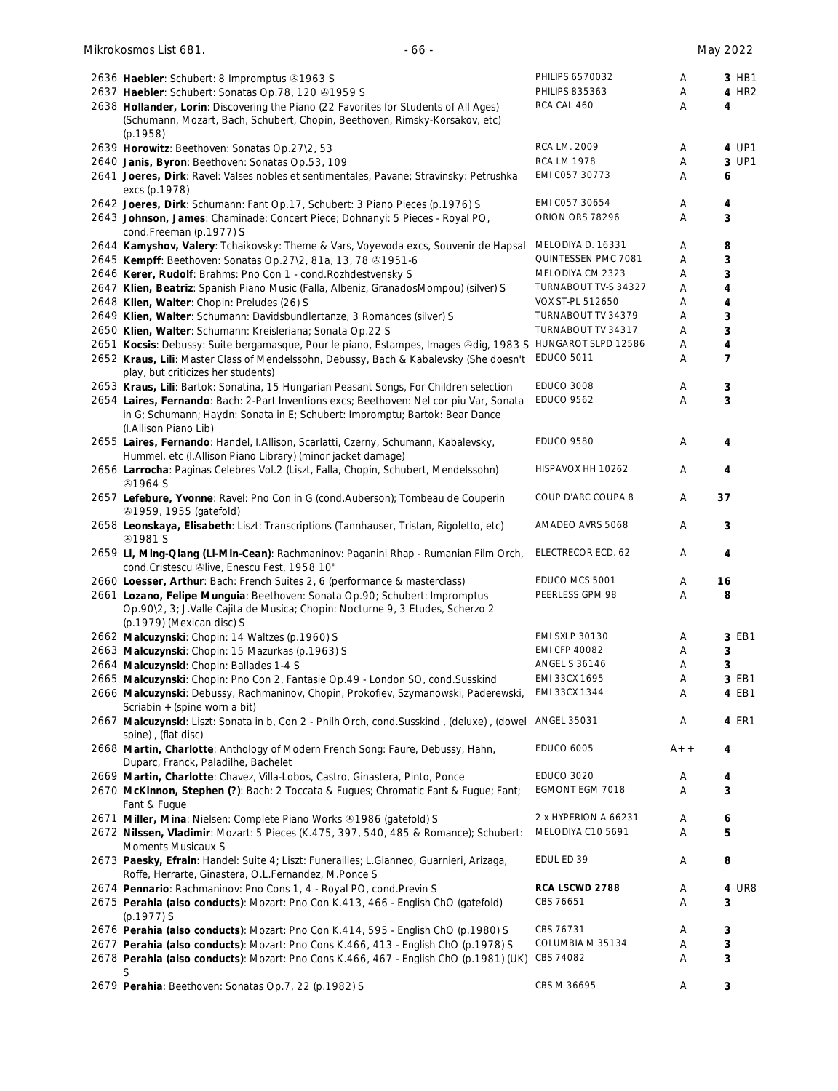| 2636 Haebler: Schubert: 8 Impromptus 31963 S                                                                                                                                                                          | PHILIPS 6570032                           | Α      | 3 HB1               |
|-----------------------------------------------------------------------------------------------------------------------------------------------------------------------------------------------------------------------|-------------------------------------------|--------|---------------------|
| 2637 Haebler: Schubert: Sonatas Op.78, 120 81959 S                                                                                                                                                                    | <b>PHILIPS 835363</b>                     | Α      | 4 HR2               |
| 2638 Hollander, Lorin: Discovering the Piano (22 Favorites for Students of All Ages)<br>(Schumann, Mozart, Bach, Schubert, Chopin, Beethoven, Rimsky-Korsakov, etc)<br>(p.1958)                                       | RCA CAL 460                               | Α      | 4                   |
| 2639 Horowitz: Beethoven: Sonatas Op.27\2, 53                                                                                                                                                                         | RCA LM. 2009                              | A      | 4 UP1               |
| 2640 Janis, Byron: Beethoven: Sonatas Op.53, 109                                                                                                                                                                      | <b>RCA LM 1978</b>                        | Α      | 3 UP1               |
| 2641 Joeres, Dirk: Ravel: Valses nobles et sentimentales, Pavane; Stravinsky: Petrushka<br>excs (p.1978)                                                                                                              | EMI C057 30773                            | Α      | 6                   |
| 2642 Joeres, Dirk: Schumann: Fant Op.17, Schubert: 3 Piano Pieces (p.1976) S                                                                                                                                          | EMI C057 30654                            | A      | 4                   |
| 2643 Johnson, James: Chaminade: Concert Piece; Dohnanyi: 5 Pieces - Royal PO,<br>cond.Freeman (p.1977) S                                                                                                              | ORION ORS 78296                           | Α      | 3                   |
| 2644 Kamyshov, Valery: Tchaikovsky: Theme & Vars, Voyevoda excs, Souvenir de Hapsal                                                                                                                                   | MELODIYA D. 16331                         | Α      | 8                   |
| 2645 Kempff: Beethoven: Sonatas Op.27\2, 81a, 13, 78 31951-6                                                                                                                                                          | QUINTESSEN PMC 7081                       | Α      | 3                   |
| 2646 Kerer, Rudolf: Brahms: Pno Con 1 - cond. Rozhdestvensky S                                                                                                                                                        | MELODIYA CM 2323                          | Α      | 3                   |
| 2647 Klien, Beatriz: Spanish Piano Music (Falla, Albeniz, GranadosMompou) (silver) S                                                                                                                                  | TURNABOUT TV-S 34327                      | Α      | 4                   |
| 2648 Klien, Walter: Chopin: Preludes (26) S                                                                                                                                                                           | VOX ST-PL 512650                          | Α      | 4                   |
| 2649 Klien, Walter: Schumann: Davidsbundlertanze, 3 Romances (silver) S                                                                                                                                               | TURNABOUT TV 34379                        | Α      | 3                   |
| 2650 Klien, Walter: Schumann: Kreisleriana; Sonata Op.22 S                                                                                                                                                            | TURNABOUT TV 34317<br>HUNGAROT SLPD 12586 | Α      | 3                   |
| 2651 Kocsis: Debussy: Suite bergamasque, Pour le piano, Estampes, Images &dig, 1983 S<br>2652 Kraus, Lili: Master Class of Mendelssohn, Debussy, Bach & Kabalevsky (She doesn't<br>play, but criticizes her students) | <b>EDUCO 5011</b>                         | Α<br>Α | 4<br>$\overline{7}$ |
| 2653 Kraus, Lili: Bartok: Sonatina, 15 Hungarian Peasant Songs, For Children selection                                                                                                                                | <b>EDUCO 3008</b>                         | Α      | 3                   |
| 2654 Laires, Fernando: Bach: 2-Part Inventions excs; Beethoven: Nel cor piu Var, Sonata<br>in G; Schumann; Haydn: Sonata in E; Schubert: Impromptu; Bartok: Bear Dance                                                | <b>EDUCO 9562</b>                         | Α      | 3                   |
| (I.Allison Piano Lib)<br>2655 Laires, Fernando: Handel, I.Allison, Scarlatti, Czerny, Schumann, Kabalevsky,<br>Hummel, etc (I.Allison Piano Library) (minor jacket damage)                                            | <b>EDUCO 9580</b>                         | Α      | 4                   |
| 2656 Larrocha: Paginas Celebres Vol.2 (Liszt, Falla, Chopin, Schubert, Mendelssohn)<br><b><i></i></b> 91964 S                                                                                                         | HISPAVOX HH 10262                         | Α      | 4                   |
| 2657 Lefebure, Yvonne: Ravel: Pno Con in G (cond.Auberson); Tombeau de Couperin<br><b>31959, 1955 (gatefold)</b>                                                                                                      | COUP D'ARC COUPA 8                        | Α      | 37                  |
| 2658 Leonskaya, Elisabeth: Liszt: Transcriptions (Tannhauser, Tristan, Rigoletto, etc)<br><b><i></i></b> 91981 S                                                                                                      | AMADEO AVRS 5068                          | Α      | 3                   |
| 2659 Li, Ming-Qiang (Li-Min-Cean): Rachmaninov: Paganini Rhap - Rumanian Film Orch,<br>cond.Cristescu &live, Enescu Fest, 1958 10"                                                                                    | ELECTRECOR ECD. 62                        | Α      | 4                   |
| 2660 Loesser, Arthur: Bach: French Suites 2, 6 (performance & masterclass)                                                                                                                                            | EDUCO MCS 5001                            | Α      | 16                  |
| 2661 Lozano, Felipe Munguia: Beethoven: Sonata Op.90; Schubert: Impromptus<br>Op.90\2, 3; J.Valle Cajita de Musica; Chopin: Nocturne 9, 3 Etudes, Scherzo 2<br>(p.1979) (Mexican disc) S                              | PEERLESS GPM 98                           | Α      | 8                   |
| 2662 Malcuzynski: Chopin: 14 Waltzes (p.1960) S                                                                                                                                                                       | <b>EMI SXLP 30130</b>                     | Α      | 3 EB1               |
| 2663 Malcuzynski: Chopin: 15 Mazurkas (p.1963) S                                                                                                                                                                      | <b>EMI CFP 40082</b>                      | Α      | 3                   |
| 2664 Malcuzynski: Chopin: Ballades 1-4 S                                                                                                                                                                              | <b>ANGEL S 36146</b>                      | Α      | 3                   |
| 2665 Malcuzynski: Chopin: Pno Con 2, Fantasie Op.49 - London SO, cond.Susskind                                                                                                                                        | EMI 33CX 1695                             | Α      | 3 EB1               |
| 2666 Malcuzynski: Debussy, Rachmaninov, Chopin, Prokofiev, Szymanowski, Paderewski,<br>Scriabin + (spine worn a bit)                                                                                                  | EMI 33CX 1344                             | Α      | 4 EB1               |
| 2667 Malcuzynski: Liszt: Sonata in b, Con 2 - Philh Orch, cond.Susskind, (deluxe), (dowel<br>spine), (flat disc)                                                                                                      | <b>ANGEL 35031</b>                        | Α      | 4 ER1               |
| 2668 Martin, Charlotte: Anthology of Modern French Song: Faure, Debussy, Hahn,<br>Duparc, Franck, Paladilhe, Bachelet                                                                                                 | <b>EDUCO 6005</b>                         | $A++$  | 4                   |
| 2669 Martin, Charlotte: Chavez, Villa-Lobos, Castro, Ginastera, Pinto, Ponce                                                                                                                                          | <b>EDUCO 3020</b>                         | Α      | 4                   |
| 2670 McKinnon, Stephen (?): Bach: 2 Toccata & Fugues; Chromatic Fant & Fugue; Fant;<br>Fant & Fugue                                                                                                                   | EGMONT EGM 7018                           | Α      | 3                   |
| 2671 Miller, Mina: Nielsen: Complete Piano Works @1986 (gatefold) S                                                                                                                                                   | 2 x HYPERION A 66231                      | Α      | 6                   |
| 2672 Nilssen, Vladimir: Mozart: 5 Pieces (K.475, 397, 540, 485 & Romance); Schubert:<br>Moments Musicaux S                                                                                                            | MELODIYA C10 5691                         | Α      | 5                   |
| 2673 Paesky, Efrain: Handel: Suite 4; Liszt: Funerailles; L.Gianneo, Guarnieri, Arizaga,<br>Roffe, Herrarte, Ginastera, O.L.Fernandez, M.Ponce S                                                                      | EDUL ED 39                                | Α      | 8                   |
| 2674 Pennario: Rachmaninov: Pno Cons 1, 4 - Royal PO, cond. Previn S                                                                                                                                                  | RCA LSCWD 2788                            | Α      | 4 UR8               |
| 2675 Perahia (also conducts): Mozart: Pno Con K.413, 466 - English ChO (gatefold)<br>$(p.1977)$ S                                                                                                                     | CBS 76651                                 | Α      | 3                   |
| 2676 Perahia (also conducts): Mozart: Pno Con K.414, 595 - English ChO (p.1980) S                                                                                                                                     | CBS 76731                                 | Α      | 3                   |
| 2677 Perahia (also conducts): Mozart: Pno Cons K.466, 413 - English ChO (p.1978) S<br>2678 Perahia (also conducts): Mozart: Pno Cons K.466, 467 - English ChO (p.1981) (UK)                                           | COLUMBIA M 35134<br>CBS 74082             | Α<br>Α | 3<br>3              |
| S<br>2679 Perahia: Beethoven: Sonatas Op.7, 22 (p.1982) S                                                                                                                                                             | CBS M 36695                               | Α      | 3                   |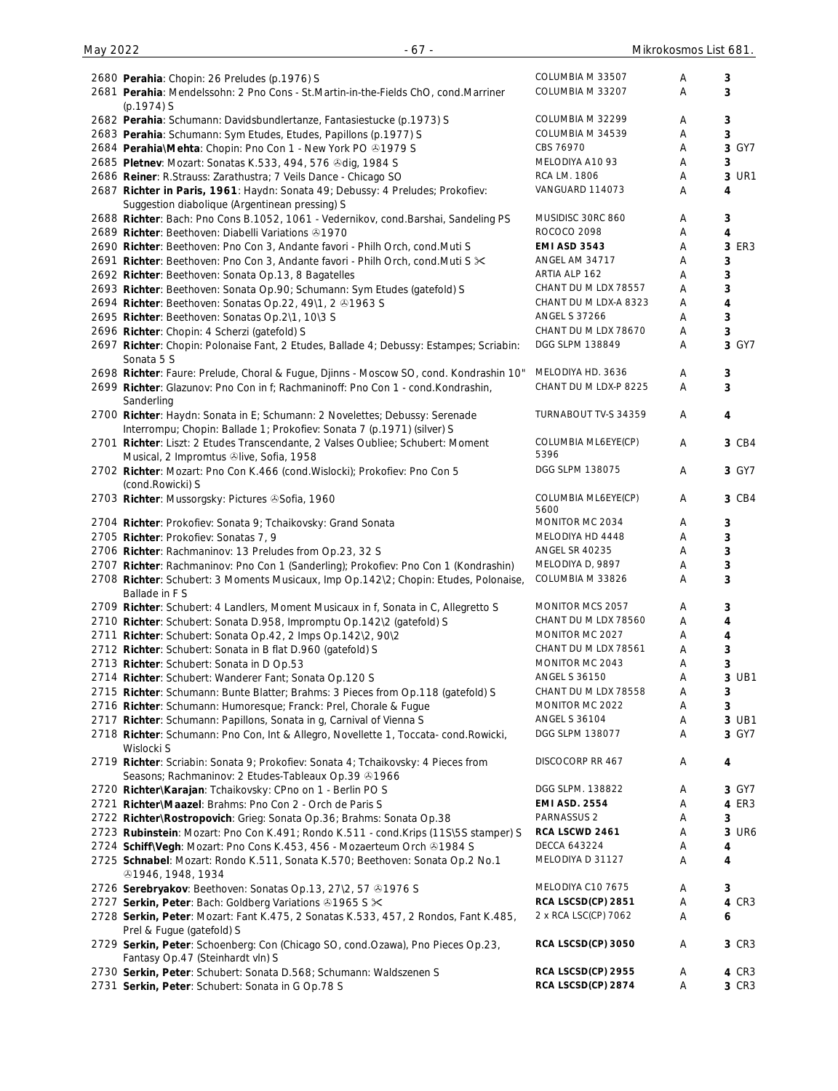| 2680 Perahia: Chopin: 26 Preludes (p.1976) S                                            | COLUMBIA M 33507                         | Α | 3                       |
|-----------------------------------------------------------------------------------------|------------------------------------------|---|-------------------------|
| 2681 Perahia: Mendelssohn: 2 Pno Cons - St. Martin-in-the-Fields ChO, cond. Marriner    | COLUMBIA M 33207                         | Α | 3                       |
| $(p.1974)$ S                                                                            |                                          |   |                         |
|                                                                                         | COLUMBIA M 32299                         | Α |                         |
| 2682 Perahia: Schumann: Davidsbundlertanze, Fantasiestucke (p.1973) S                   | COLUMBIA M 34539                         |   | 3                       |
| 2683 Perahia: Schumann: Sym Etudes, Etudes, Papillons (p.1977) S                        |                                          | Α | 3                       |
| 2684 Perahia\Mehta: Chopin: Pno Con 1 - New York PO +1979 S                             | CBS 76970                                | Α | 3 GY7                   |
| 2685 Pletnev: Mozart: Sonatas K.533, 494, 576 & dig, 1984 S                             | MELODIYA A10 93                          | Α | 3                       |
| 2686 Reiner: R.Strauss: Zarathustra; 7 Veils Dance - Chicago SO                         | RCA LM. 1806                             | Α | 3 UR1                   |
| 2687 Richter in Paris, 1961: Haydn: Sonata 49; Debussy: 4 Preludes; Prokofiev:          | VANGUARD 114073                          | Α | 4                       |
| Suggestion diabolique (Argentinean pressing) S                                          |                                          |   |                         |
| 2688 Richter: Bach: Pno Cons B.1052, 1061 - Vedernikov, cond.Barshai, Sandeling PS      | MUSIDISC 30RC 860                        | Α | 3                       |
| 2689 Richter: Beethoven: Diabelli Variations 31970                                      | ROCOCO 2098                              | Α | 4                       |
| 2690 Richter: Beethoven: Pno Con 3, Andante favori - Philh Orch, cond.Muti S            | <b>EMI ASD 3543</b>                      | Α | 3 ER3                   |
| 2691 Richter: Beethoven: Pno Con 3, Andante favori - Philh Orch, cond. Muti S $\times$  | ANGEL AM 34717                           | Α | 3                       |
| 2692 Richter: Beethoven: Sonata Op.13, 8 Bagatelles                                     | ARTIA ALP 162                            | Α | 3                       |
|                                                                                         | CHANT DU M LDX 78557                     | Α | 3                       |
| 2693 Richter: Beethoven: Sonata Op.90; Schumann: Sym Etudes (gatefold) S                |                                          |   |                         |
| 2694 Richter: Beethoven: Sonatas Op.22, 49\1, 2 31963 S                                 | CHANT DU M LDX-A 8323                    | Α | $\overline{\mathbf{4}}$ |
| 2695 Richter: Beethoven: Sonatas Op.2\1, 10\3 S                                         | <b>ANGEL S 37266</b>                     | Α | 3                       |
| 2696 Richter: Chopin: 4 Scherzi (gatefold) S                                            | CHANT DU M LDX 78670                     | Α | 3                       |
| 2697 Richter: Chopin: Polonaise Fant, 2 Etudes, Ballade 4; Debussy: Estampes; Scriabin: | DGG SLPM 138849                          | Α | 3 GY7                   |
| Sonata 5 S                                                                              |                                          |   |                         |
| 2698 Richter: Faure: Prelude, Choral & Fugue, Djinns - Moscow SO, cond. Kondrashin 10"  | MELODIYA HD. 3636                        | Α | 3                       |
| 2699 Richter: Glazunov: Pno Con in f; Rachmaninoff: Pno Con 1 - cond.Kondrashin,        | CHANT DU M LDX-P 8225                    | A | 3                       |
| Sanderling                                                                              |                                          |   |                         |
| 2700 Richter: Haydn: Sonata in E; Schumann: 2 Novelettes; Debussy: Serenade             | TURNABOUT TV-S 34359                     | Α | 4                       |
| Interrompu; Chopin: Ballade 1; Prokofiev: Sonata 7 (p.1971) (silver) S                  |                                          |   |                         |
|                                                                                         |                                          |   |                         |
| 2701 Richter: Liszt: 2 Etudes Transcendante, 2 Valses Oubliee; Schubert: Moment         | COLUMBIA ML6EYE(CP)<br>5396              | Α | 3 CB4                   |
| Musical, 2 Impromtus Olive, Sofia, 1958                                                 |                                          |   |                         |
| 2702 Richter: Mozart: Pno Con K.466 (cond. Wislocki); Prokofiev: Pno Con 5              | DGG SLPM 138075                          | Α | 3 GY7                   |
| (cond.Rowicki) S                                                                        |                                          |   |                         |
| 2703 Richter: Mussorgsky: Pictures & Sofia, 1960                                        | COLUMBIA ML6EYE(CP)                      | Α | 3 CB4                   |
|                                                                                         | 5600                                     |   |                         |
| 2704 Richter: Prokofiev: Sonata 9; Tchaikovsky: Grand Sonata                            | MONITOR MC 2034                          | Α | 3                       |
| 2705 Richter: Prokofiev: Sonatas 7, 9                                                   | MELODIYA HD 4448                         | Α | 3                       |
| 2706 Richter: Rachmaninov: 13 Preludes from Op.23, 32 S                                 | <b>ANGEL SR 40235</b>                    | Α | 3                       |
| 2707 Richter: Rachmaninov: Pno Con 1 (Sanderling); Prokofiev: Pno Con 1 (Kondrashin)    | MELODIYA D, 9897                         | Α | 3                       |
| 2708 Richter: Schubert: 3 Moments Musicaux, Imp Op.142\2; Chopin: Etudes, Polonaise,    | COLUMBIA M 33826                         | Α | 3                       |
| Ballade in F S                                                                          |                                          |   |                         |
| 2709 Richter: Schubert: 4 Landlers, Moment Musicaux in f, Sonata in C, Allegretto S     | MONITOR MCS 2057                         | Α | 3                       |
|                                                                                         | CHANT DU M LDX 78560                     | Α | 4                       |
| 2710 Richter: Schubert: Sonata D.958, Impromptu Op.142\2 (gatefold) S                   | MONITOR MC 2027                          |   |                         |
| 2711 Richter: Schubert: Sonata Op.42, 2 Imps Op.142\2, 90\2                             |                                          | Α | 4                       |
| 2712 Richter: Schubert: Sonata in B flat D.960 (gatefold) S                             | CHANT DU M LDX 78561                     | Α | 3                       |
| 2713 Richter: Schubert: Sonata in D Op.53                                               | MONITOR MC 2043                          | Α | 3                       |
| 2714 Richter: Schubert: Wanderer Fant; Sonata Op.120 S                                  | <b>ANGEL S 36150</b>                     | Α | 3 UB1                   |
| 2715 Richter: Schumann: Bunte Blatter; Brahms: 3 Pieces from Op.118 (gatefold) S        | CHANT DU M LDX 78558                     | Α | 3                       |
| 2716 Richter: Schumann: Humoresque; Franck: Prel, Chorale & Fugue                       | MONITOR MC 2022                          | Α | 3                       |
| 2717 Richter: Schumann: Papillons, Sonata in g, Carnival of Vienna S                    | <b>ANGEL S 36104</b>                     | Α | 3 UB1                   |
| 2718 Richter: Schumann: Pno Con, Int & Allegro, Novellette 1, Toccata- cond. Rowicki,   | DGG SLPM 138077                          | Α | 3 GY7                   |
| Wislocki S                                                                              |                                          |   |                         |
|                                                                                         | DISCOCORP RR 467                         |   |                         |
|                                                                                         |                                          | A | 4                       |
| 2719 Richter: Scriabin: Sonata 9; Prokofiev: Sonata 4; Tchaikovsky: 4 Pieces from       |                                          |   |                         |
| Seasons; Rachmaninov: 2 Etudes-Tableaux Op.39 01966                                     |                                          |   |                         |
| 2720 Richter\Karajan: Tchaikovsky: CPno on 1 - Berlin PO S                              | DGG SLPM. 138822                         | Α | 3 GY7                   |
| 2721 Richter\Maazel: Brahms: Pno Con 2 - Orch de Paris S                                | <b>EMI ASD. 2554</b>                     | Α | 4 ER3                   |
| 2722 Richter\Rostropovich: Grieg: Sonata Op.36; Brahms: Sonata Op.38                    | PARNASSUS <sub>2</sub>                   | Α | 3                       |
| 2723 Rubinstein: Mozart: Pno Con K.491; Rondo K.511 - cond.Krips (11S\5S stamper) S     | RCA LSCWD 2461                           | Α | 3 UR6                   |
| 2724 SchiffWegh: Mozart: Pno Cons K.453, 456 - Mozaerteum Orch & 1984 S                 | <b>DECCA 643224</b>                      | Α | 4                       |
|                                                                                         | MELODIYA D 31127                         | Α | 4                       |
| 2725 Schnabel: Mozart: Rondo K.511, Sonata K.570; Beethoven: Sonata Op.2 No.1           |                                          |   |                         |
| <b>81946, 1948, 1934</b>                                                                |                                          |   |                         |
| 2726 Serebryakov: Beethoven: Sonatas Op.13, 27\2, 57 31976 S                            | MELODIYA C10 7675                        | Α | 3                       |
| 2727 Serkin, Peter: Bach: Goldberg Variations 31965 S $\times$                          | RCA LSCSD(CP) 2851                       | Α | 4 CR3                   |
| 2728 Serkin, Peter: Mozart: Fant K.475, 2 Sonatas K.533, 457, 2 Rondos, Fant K.485,     | 2 x RCA LSC(CP) 7062                     | Α | 6                       |
| Prel & Fugue (gatefold) S                                                               |                                          |   |                         |
| 2729 Serkin, Peter: Schoenberg: Con (Chicago SO, cond.Ozawa), Pno Pieces Op.23,         | RCA LSCSD(CP) 3050                       | A | 3 CR3                   |
| Fantasy Op.47 (Steinhardt vln) S                                                        |                                          |   |                         |
| 2730 Serkin, Peter: Schubert: Sonata D.568; Schumann: Waldszenen S                      | RCA LSCSD(CP) 2955<br>RCA LSCSD(CP) 2874 | A | 4 CR3<br>3 CR3          |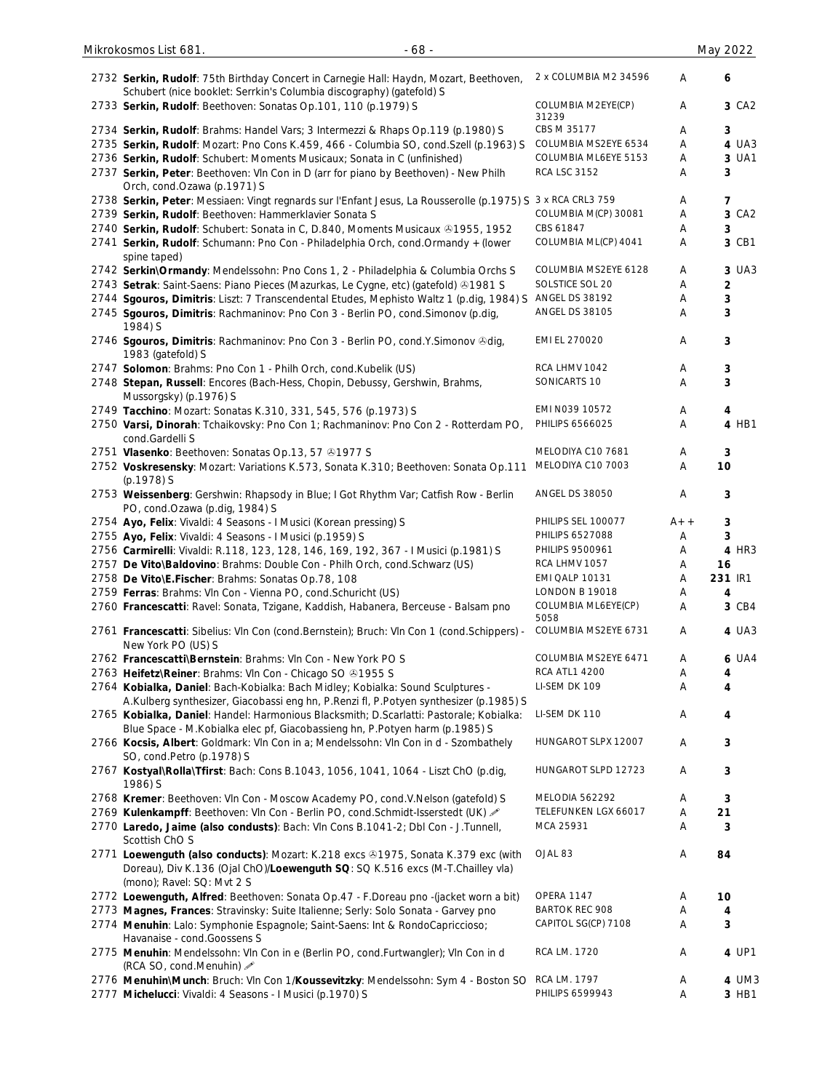| 2732 Serkin, Rudolf: 75th Birthday Concert in Carnegie Hall: Haydn, Mozart, Beethoven,                                                                                                            | 2 x COLUMBIA M2 34596       | A     | 6                |
|---------------------------------------------------------------------------------------------------------------------------------------------------------------------------------------------------|-----------------------------|-------|------------------|
| Schubert (nice booklet: Serrkin's Columbia discography) (gatefold) S                                                                                                                              |                             |       |                  |
| 2733 Serkin, Rudolf: Beethoven: Sonatas Op.101, 110 (p.1979) S                                                                                                                                    | COLUMBIA M2EYE(CP)<br>31239 | Α     | 3 CA2            |
| 2734 Serkin, Rudolf: Brahms: Handel Vars; 3 Intermezzi & Rhaps Op.119 (p.1980) S                                                                                                                  | CBS M 35177                 | Α     | 3                |
| 2735 Serkin, Rudolf: Mozart: Pno Cons K.459, 466 - Columbia SO, cond. Szell (p.1963) S                                                                                                            | COLUMBIA MS2EYE 6534        | Α     | 4 UA3            |
| 2736 Serkin, Rudolf: Schubert: Moments Musicaux; Sonata in C (unfinished)                                                                                                                         | COLUMBIA ML6EYE 5153        | Α     | 3 UA1            |
| 2737 Serkin, Peter: Beethoven: VIn Con in D (arr for piano by Beethoven) - New Philh<br>Orch, cond.Ozawa (p.1971) S                                                                               | <b>RCA LSC 3152</b>         | Α     | 3                |
| 2738 Serkin, Peter: Messiaen: Vingt regnards sur l'Enfant Jesus, La Rousserolle (p.1975) S 3 x RCA CRL3 759                                                                                       |                             | Α     | 7                |
| 2739 Serkin, Rudolf: Beethoven: Hammerklavier Sonata S                                                                                                                                            | COLUMBIA M(CP) 30081        | Α     | 3 CA2            |
| 2740 Serkin, Rudolf: Schubert: Sonata in C, D.840, Moments Musicaux 21955, 1952                                                                                                                   | CBS 61847                   | Α     | 3                |
| 2741 Serkin, Rudolf: Schumann: Pno Con - Philadelphia Orch, cond. Ormandy + (lower<br>spine taped)                                                                                                | COLUMBIA ML(CP) 4041        | Α     | 3 CB1            |
| 2742 Serkin\Ormandy: Mendelssohn: Pno Cons 1, 2 - Philadelphia & Columbia Orchs S                                                                                                                 | COLUMBIA MS2EYE 6128        | Α     | 3 UA3            |
| 2743 Setrak: Saint-Saens: Piano Pieces (Mazurkas, Le Cygne, etc) (gatefold) ®1981 S                                                                                                               | SOLSTICE SOL 20             | Α     | $\boldsymbol{2}$ |
| 2744 Sgouros, Dimitris: Liszt: 7 Transcendental Etudes, Mephisto Waltz 1 (p.dig, 1984) S                                                                                                          | <b>ANGEL DS 38192</b>       | Α     | $\mathbf{3}$     |
| 2745 Sgouros, Dimitris: Rachmaninov: Pno Con 3 - Berlin PO, cond. Simonov (p.dig,<br>1984) S                                                                                                      | <b>ANGEL DS 38105</b>       | Α     | 3                |
| 2746 Sgouros, Dimitris: Rachmaninov: Pno Con 3 - Berlin PO, cond.Y.Simonov &dig,<br>1983 (gatefold) S                                                                                             | EMI EL 270020               | Α     | 3                |
| 2747 Solomon: Brahms: Pno Con 1 - Philh Orch, cond. Kubelik (US)                                                                                                                                  | RCA LHMV 1042               | Α     | $\mathbf{3}$     |
| 2748 Stepan, Russell: Encores (Bach-Hess, Chopin, Debussy, Gershwin, Brahms,<br>Mussorgsky) (p.1976) S                                                                                            | SONICARTS 10                | Α     | 3                |
| 2749 Tacchino: Mozart: Sonatas K.310, 331, 545, 576 (p.1973) S                                                                                                                                    | EMI N039 10572              | Α     | 4                |
| 2750 Varsi, Dinorah: Tchaikovsky: Pno Con 1; Rachmaninov: Pno Con 2 - Rotterdam PO,<br>cond.Gardelli S                                                                                            | PHILIPS 6566025             | Α     | 4 HB1            |
| 2751 Vlasenko: Beethoven: Sonatas Op.13, 57 81977 S                                                                                                                                               | MELODIYA C10 7681           | Α     | 3                |
| 2752 Voskresensky: Mozart: Variations K.573, Sonata K.310; Beethoven: Sonata Op.111<br>(p.1978) S                                                                                                 | MELODIYA C10 7003           | Α     | 10               |
| 2753 Weissenberg: Gershwin: Rhapsody in Blue; I Got Rhythm Var; Catfish Row - Berlin<br>PO, cond.Ozawa (p.dig, 1984) S                                                                            | <b>ANGEL DS 38050</b>       | Α     | 3                |
| 2754 Ayo, Felix: Vivaldi: 4 Seasons - I Musici (Korean pressing) S                                                                                                                                | PHILIPS SEL 100077          | $A++$ | $\mathbf{3}$     |
| 2755 Ayo, Felix: Vivaldi: 4 Seasons - I Musici (p.1959) S                                                                                                                                         | PHILIPS 6527088             | Α     | 3                |
| 2756 Carmirelli: Vivaldi: R.118, 123, 128, 146, 169, 192, 367 - I Musici (p.1981) S                                                                                                               | PHILIPS 9500961             | A     | 4 HR3            |
| 2757 De Vito\Baldovino: Brahms: Double Con - Philh Orch, cond. Schwarz (US)                                                                                                                       | RCA LHMV 1057               | Α     | 16               |
| 2758 De Vito\E.Fischer: Brahms: Sonatas Op.78, 108                                                                                                                                                | EMI QALP 10131              | Α     | 231 IR1          |
| 2759 Ferras: Brahms: VIn Con - Vienna PO, cond. Schuricht (US)                                                                                                                                    | LONDON B 19018              | Α     | 4                |
| 2760 Francescatti: Ravel: Sonata, Tzigane, Kaddish, Habanera, Berceuse - Balsam pno                                                                                                               | COLUMBIA ML6EYE(CP)<br>5058 | A     | 3 CB4            |
| 2761 Francescatti: Sibelius: VIn Con (cond.Bernstein); Bruch: VIn Con 1 (cond.Schippers) -<br>New York PO (US) S                                                                                  | COLUMBIA MS2EYE 6731        | Α     | 4 UA3            |
| 2762 Francescatti\Bernstein: Brahms: VIn Con - New York PO S                                                                                                                                      | COLUMBIA MS2EYE 6471        | A     | <b>6 UA4</b>     |
| 2763 Heifetz\Reiner: Brahms: VIn Con - Chicago SO 21955 S                                                                                                                                         | <b>RCA ATL1 4200</b>        | Α     | 4                |
| 2764 Kobialka, Daniel: Bach-Kobialka: Bach Midley; Kobialka: Sound Sculptures -                                                                                                                   | LI-SEM DK 109               | Α     | 4                |
| A.Kulberg synthesizer, Giacobassi eng hn, P.Renzi fl, P.Potyen synthesizer (p.1985) S                                                                                                             |                             |       |                  |
| 2765 Kobialka, Daniel: Handel: Harmonious Blacksmith; D.Scarlatti: Pastorale; Kobialka:<br>Blue Space - M. Kobialka elec pf, Giacobassieng hn, P. Potyen harm (p. 1985) S                         | LI-SEM DK 110               | Α     | 4                |
| 2766 Kocsis, Albert: Goldmark: VIn Con in a; Mendelssohn: VIn Con in d - Szombathely<br>SO, cond.Petro (p.1978) S                                                                                 | HUNGAROT SLPX 12007         | A     | 3                |
| 2767 Kostyal\Rolla\Tfirst: Bach: Cons B.1043, 1056, 1041, 1064 - Liszt ChO (p.dig,<br>1986) S                                                                                                     | HUNGAROT SLPD 12723         | Α     | $\mathbf{3}$     |
| 2768 Kremer: Beethoven: VIn Con - Moscow Academy PO, cond.V.Nelson (gatefold) S                                                                                                                   | MELODIA 562292              | Α     | 3                |
| 2769 Kulenkampff: Beethoven: Vln Con - Berlin PO, cond.Schmidt-Isserstedt (UK) /                                                                                                                  | TELEFUNKEN LGX 66017        | Α     | 21               |
| 2770 Laredo, Jaime (also condusts): Bach: VIn Cons B.1041-2; Dbl Con - J.Tunnell,<br>Scottish ChO S                                                                                               | MCA 25931                   | Α     | 3                |
| 2771 Loewenguth (also conducts): Mozart: K.218 excs & 1975, Sonata K.379 exc (with<br>Doreau), Div K.136 (Ojal ChO)/Loewenguth SQ: SQ K.516 excs (M-T.Chailley vla)<br>(mono); Ravel: SQ: Mvt 2 S | OJAL 83                     | Α     | 84               |
| 2772 Loewenguth, Alfred: Beethoven: Sonata Op.47 - F.Doreau pno -(jacket worn a bit)                                                                                                              | <b>OPERA 1147</b>           | Α     | 10               |
| 2773 Magnes, Frances: Stravinsky: Suite Italienne; Serly: Solo Sonata - Garvey pno                                                                                                                | <b>BARTOK REC 908</b>       | Α     | 4                |
| 2774 Menuhin: Lalo: Symphonie Espagnole; Saint-Saens: Int & RondoCapriccioso;                                                                                                                     | CAPITOL SG(CP) 7108         | Α     | $\mathbf{3}$     |
| Havanaise - cond.Goossens S<br>2775 Menuhin: Mendelssohn: VIn Con in e (Berlin PO, cond.Furtwangler); VIn Con in d                                                                                | RCA LM. 1720                | Α     | 4 UP1            |
| (RCA SO, cond.Menuhin)<br>2776 Menuhin\Munch: Bruch: Vln Con 1/Koussevitzky: Mendelssohn: Sym 4 - Boston SO                                                                                       | RCA LM. 1797                | Α     | 4 UM3            |
| 2777 Michelucci: Vivaldi: 4 Seasons - I Musici (p.1970) S                                                                                                                                         | PHILIPS 6599943             | Α     | 3 HB1            |
|                                                                                                                                                                                                   |                             |       |                  |

Mikrokosmos List 681. - 68 - May 2022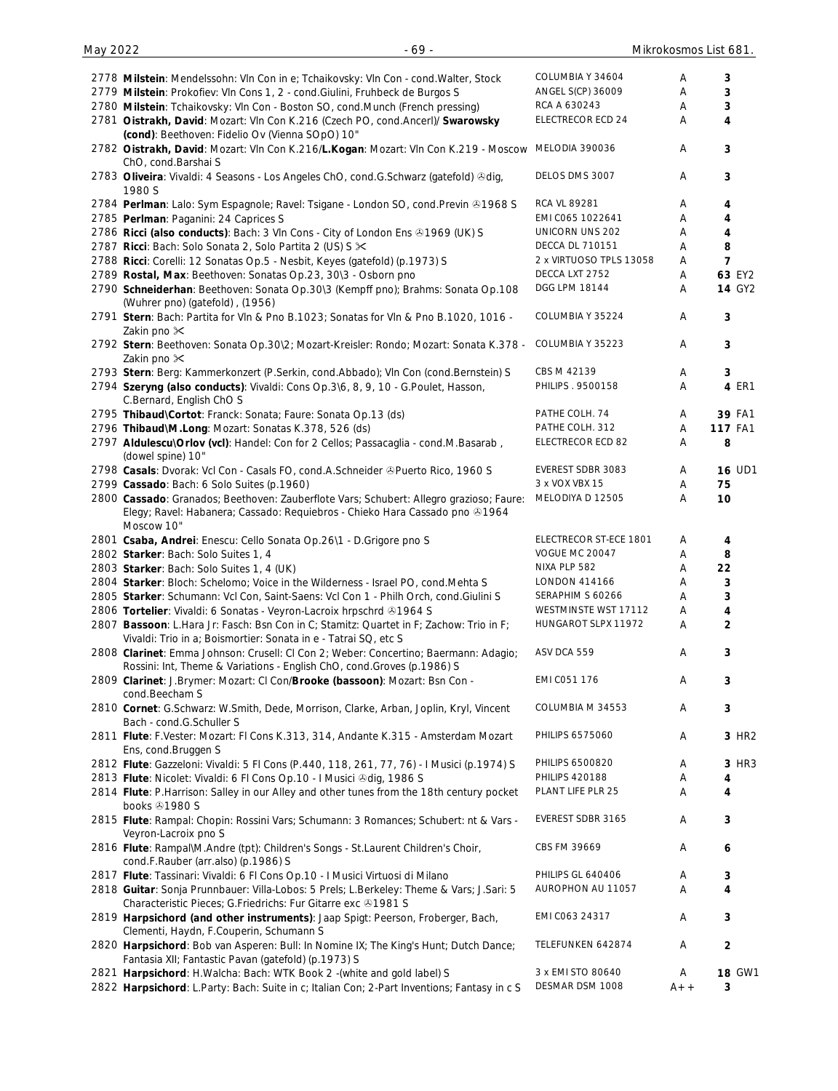| 2778 Milstein: Mendelssohn: Vln Con in e; Tchaikovsky: Vln Con - cond. Walter, Stock                              | COLUMBIA Y 34604        | Α     | 3                       |
|-------------------------------------------------------------------------------------------------------------------|-------------------------|-------|-------------------------|
| 2779 Milstein: Prokofiev: VIn Cons 1, 2 - cond. Giulini, Fruhbeck de Burgos S                                     | ANGEL S(CP) 36009       | Α     | 3                       |
| 2780 Milstein: Tchaikovsky: Vln Con - Boston SO, cond.Munch (French pressing)                                     | RCA A 630243            | Α     | 3                       |
| 2781 Oistrakh, David: Mozart: VIn Con K.216 (Czech PO, cond.Ancerl)/ Swarowsky                                    | ELECTRECOR ECD 24       | Α     | $\overline{\mathbf{4}}$ |
| (cond): Beethoven: Fidelio Ov (Vienna SOpO) 10"                                                                   |                         |       |                         |
| 2782 Oistrakh, David: Mozart: VIn Con K.216/L.Kogan: Mozart: VIn Con K.219 - Moscow                               | MELODIA 390036          | Α     | 3                       |
| ChO, cond.Barshai S                                                                                               |                         |       |                         |
| 2783 Oliveira: Vivaldi: 4 Seasons - Los Angeles ChO, cond.G.Schwarz (gatefold) &dig,                              | DELOS DMS 3007          | Α     | 3                       |
| 1980 S                                                                                                            |                         |       |                         |
| 2784 Perlman: Lalo: Sym Espagnole; Ravel: Tsigane - London SO, cond. Previn ®1968 S                               | RCA VL 89281            | Α     | 4                       |
| 2785 Perlman: Paganini: 24 Caprices S                                                                             | EMI C065 1022641        | Α     | 4                       |
| 2786 Ricci (also conducts): Bach: 3 Vln Cons - City of London Ens & 1969 (UK) S                                   | UNICORN UNS 202         | Α     | 4                       |
| 2787 Ricci: Bach: Solo Sonata 2, Solo Partita 2 (US) S $\times$                                                   | <b>DECCA DL 710151</b>  | Α     | 8                       |
| 2788 Ricci: Corelli: 12 Sonatas Op.5 - Nesbit, Keyes (gatefold) (p.1973) S                                        | 2 x VIRTUOSO TPLS 13058 | Α     | 7                       |
| 2789 Rostal, Max: Beethoven: Sonatas Op.23, 30\3 - Osborn pno                                                     | DECCA LXT 2752          | Α     | 63 EY2                  |
| 2790 Schneiderhan: Beethoven: Sonata Op.30\3 (Kempff pno); Brahms: Sonata Op.108                                  | DGG LPM 18144           | Α     | <b>14 GY2</b>           |
| (Wuhrer pno) (gatefold), (1956)                                                                                   |                         |       |                         |
| 2791 Stern: Bach: Partita for VIn & Pno B.1023; Sonatas for VIn & Pno B.1020, 1016 -                              | COLUMBIA Y 35224        | Α     | 3                       |
| Zakin pno $\mathsf{\times}$                                                                                       |                         |       |                         |
| 2792 Stern: Beethoven: Sonata Op.30\2; Mozart-Kreisler: Rondo; Mozart: Sonata K.378 -                             | COLUMBIA Y 35223        | A     | 3                       |
| Zakin pno $\mathsf{\times}$                                                                                       | CBS M 42139             |       |                         |
| 2793 Stern: Berg: Kammerkonzert (P.Serkin, cond.Abbado); VIn Con (cond.Bernstein) S                               | PHILIPS . 9500158       | A     | 3                       |
| 2794 Szeryng (also conducts): Vivaldi: Cons Op.3\6, 8, 9, 10 - G.Poulet, Hasson,                                  |                         | Α     | 4 ER1                   |
| C.Bernard, English ChO S                                                                                          |                         |       |                         |
| 2795 Thibaud\Cortot: Franck: Sonata; Faure: Sonata Op.13 (ds)                                                     | PATHE COLH. 74          | Α     | 39 FA1                  |
| 2796 Thibaud\M.Long: Mozart: Sonatas K.378, 526 (ds)                                                              | PATHE COLH. 312         | Α     | <b>117 FA1</b>          |
| 2797 Aldulescu\Orlov (vcl): Handel: Con for 2 Cellos; Passacaglia - cond.M.Basarab,                               | ELECTRECOR ECD 82       | Α     | 8                       |
| (dowel spine) 10"                                                                                                 |                         |       |                         |
| 2798 Casals: Dvorak: Vcl Con - Casals FO, cond.A.Schneider @Puerto Rico, 1960 S                                   | EVEREST SDBR 3083       | A     | <b>16 UD1</b>           |
| 2799 Cassado: Bach: 6 Solo Suites (p.1960)                                                                        | 3 x VOX VBX 15          | Α     | 75                      |
| 2800 Cassado: Granados; Beethoven: Zauberflote Vars; Schubert: Allegro grazioso; Faure:                           | MELODIYA D 12505        | Α     | 10                      |
| Elegy; Ravel: Habanera; Cassado: Requiebros - Chieko Hara Cassado pno &1964<br>Moscow 10"                         |                         |       |                         |
| 2801 Csaba, Andrei: Enescu: Cello Sonata Op.26\1 - D.Grigore pno S                                                | ELECTRECOR ST-ECE 1801  | A     | 4                       |
| 2802 Starker: Bach: Solo Suites 1, 4                                                                              | <b>VOGUE MC 20047</b>   | Α     | 8                       |
| 2803 Starker: Bach: Solo Suites 1, 4 (UK)                                                                         | NIXA PLP 582            | Α     | 22                      |
| 2804 Starker: Bloch: Schelomo; Voice in the Wilderness - Israel PO, cond.Mehta S                                  | <b>LONDON 414166</b>    | Α     | 3                       |
| 2805 Starker: Schumann: Vcl Con, Saint-Saens: Vcl Con 1 - Philh Orch, cond. Giulini S                             | SERAPHIM S 60266        | Α     | 3                       |
| 2806 Tortelier: Vivaldi: 6 Sonatas - Veyron-Lacroix hrpschrd 31964 S                                              | WESTMINSTE WST 17112    | Α     | 4                       |
| 2807 Bassoon: L.Hara Jr: Fasch: Bsn Con in C; Stamitz: Quartet in F; Zachow: Trio in F;                           | HUNGAROT SLPX 11972     | Α     | $\overline{2}$          |
| Vivaldi: Trio in a; Boismortier: Sonata in e - Tatrai SQ, etc S                                                   |                         |       |                         |
| 2808 Clarinet: Emma Johnson: Crusell: Cl Con 2; Weber: Concertino; Baermann: Adagio;                              | ASV DCA 559             | Α     | 3                       |
| Rossini: Int, Theme & Variations - English ChO, cond. Groves (p. 1986) S                                          |                         |       |                         |
|                                                                                                                   | EMI C051 176            | Α     | 3                       |
| 2809 Clarinet: J.Brymer: Mozart: CI Con/Brooke (bassoon): Mozart: Bsn Con -<br>cond.Beecham S                     |                         |       |                         |
|                                                                                                                   | COLUMBIA M 34553        | Α     | 3                       |
| 2810 Cornet: G.Schwarz: W.Smith, Dede, Morrison, Clarke, Arban, Joplin, Kryl, Vincent<br>Bach - cond.G.Schuller S |                         |       |                         |
| 2811 Flute: F.Vester: Mozart: FI Cons K.313, 314, Andante K.315 - Amsterdam Mozart                                | PHILIPS 6575060         | Α     | 3 HR2                   |
| Ens, cond.Bruggen S                                                                                               |                         |       |                         |
| 2812 Flute: Gazzeloni: Vivaldi: 5 Fl Cons (P.440, 118, 261, 77, 76) - I Musici (p.1974) S                         | PHILIPS 6500820         | Α     | 3 HR3                   |
| 2813 Flute: Nicolet: Vivaldi: 6 Fl Cons Op.10 - I Musici Odig, 1986 S                                             | <b>PHILIPS 420188</b>   | Α     | 4                       |
|                                                                                                                   | PLANT LIFE PLR 25       |       | 4                       |
| 2814 Flute: P.Harrison: Salley in our Alley and other tunes from the 18th century pocket<br>books +1980 S         |                         | Α     |                         |
| 2815 Flute: Rampal: Chopin: Rossini Vars; Schumann: 3 Romances; Schubert: nt & Vars -                             | EVEREST SDBR 3165       | Α     | 3                       |
| Veyron-Lacroix pno S                                                                                              |                         |       |                         |
| 2816 Flute: Rampal\M.Andre (tpt): Children's Songs - St.Laurent Children's Choir,                                 | CBS FM 39669            | A     | 6                       |
| cond.F.Rauber (arr.also) (p.1986) S                                                                               |                         |       |                         |
|                                                                                                                   | PHILIPS GL 640406       |       |                         |
| 2817 Flute: Tassinari: Vivaldi: 6 Fl Cons Op.10 - I Musici Virtuosi di Milano                                     |                         | Α     | 3                       |
| 2818 Guitar: Sonja Prunnbauer: Villa-Lobos: 5 Prels; L.Berkeley: Theme & Vars; J.Sari: 5                          | AUROPHON AU 11057       | Α     | 4                       |
| Characteristic Pieces; G.Friedrichs: Fur Gitarre exc @1981 S                                                      |                         |       |                         |
| 2819 Harpsichord (and other instruments): Jaap Spigt: Peerson, Froberger, Bach,                                   | EMI C063 24317          | Α     | 3                       |
| Clementi, Haydn, F.Couperin, Schumann S                                                                           |                         |       |                         |
| 2820 Harpsichord: Bob van Asperen: Bull: In Nomine IX; The King's Hunt; Dutch Dance;                              | TELEFUNKEN 642874       | Α     | 2                       |
| Fantasia XII; Fantastic Pavan (gatefold) (p.1973) S                                                               |                         |       |                         |
| 2821 Harpsichord: H.Walcha: Bach: WTK Book 2 - (white and gold label) S                                           | 3 x EMI STO 80640       | A     | <b>18 GW1</b>           |
| 2822 Harpsichord: L.Party: Bach: Suite in c; Italian Con; 2-Part Inventions; Fantasy in c S                       | DESMAR DSM 1008         | $A++$ | 3                       |